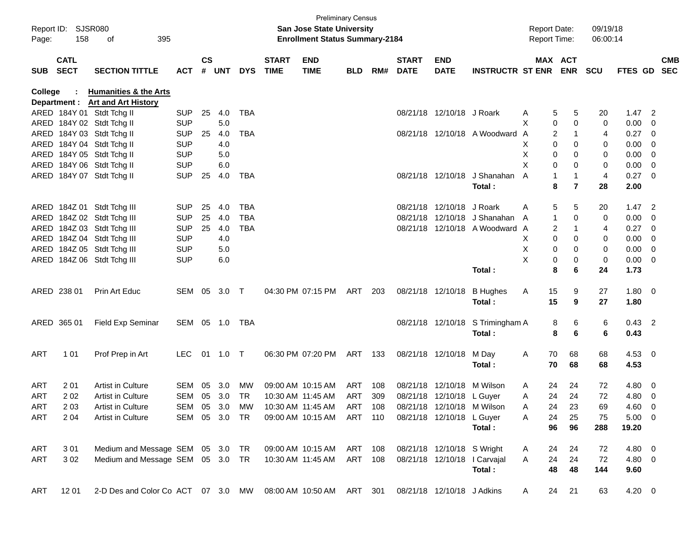| Page:      | Report ID: SJSR080<br>158  | 395<br>of                                                                               |                |               |          |            |                             | <b>Preliminary Census</b><br><b>San Jose State University</b><br><b>Enrollment Status Summary-2184</b> |            |     |                             |                            |                              | <b>Report Date:</b><br><b>Report Time:</b> |                       | 09/19/18<br>06:00:14 |                     |                         |            |
|------------|----------------------------|-----------------------------------------------------------------------------------------|----------------|---------------|----------|------------|-----------------------------|--------------------------------------------------------------------------------------------------------|------------|-----|-----------------------------|----------------------------|------------------------------|--------------------------------------------|-----------------------|----------------------|---------------------|-------------------------|------------|
| <b>SUB</b> | <b>CATL</b><br><b>SECT</b> | <b>SECTION TITTLE</b>                                                                   | <b>ACT</b>     | $\mathsf{cs}$ | # UNT    | <b>DYS</b> | <b>START</b><br><b>TIME</b> | <b>END</b><br><b>TIME</b>                                                                              | <b>BLD</b> | RM# | <b>START</b><br><b>DATE</b> | <b>END</b><br><b>DATE</b>  | <b>INSTRUCTR ST ENR</b>      |                                            | MAX ACT<br><b>ENR</b> | <b>SCU</b>           | FTES GD SEC         |                         | <b>CMB</b> |
| College    |                            | <b>Humanities &amp; the Arts</b>                                                        |                |               |          |            |                             |                                                                                                        |            |     |                             |                            |                              |                                            |                       |                      |                     |                         |            |
|            |                            | Department : Art and Art History                                                        |                |               |          |            |                             |                                                                                                        |            |     |                             |                            |                              |                                            |                       |                      |                     |                         |            |
|            |                            | ARED 184Y 01 Stdt Tchg II                                                               | <b>SUP</b>     | 25            | 4.0      | TBA        |                             |                                                                                                        |            |     |                             | 08/21/18 12/10/18 J Roark  |                              | A                                          | 5<br>5                | 20                   | $1.47$ 2            |                         |            |
|            |                            | ARED 184Y 02 Stdt Tchg II                                                               | <b>SUP</b>     |               | 5.0      |            |                             |                                                                                                        |            |     |                             |                            |                              | X                                          | 0<br>0                | $\mathbf 0$          | 0.00                | 0                       |            |
|            |                            | ARED 184Y 03 Stdt Tchg II                                                               | <b>SUP</b>     | 25            | 4.0      | <b>TBA</b> |                             |                                                                                                        |            |     |                             |                            | 08/21/18 12/10/18 A Woodward | A                                          | 2                     | 4                    | 0.27                | $\overline{\mathbf{0}}$ |            |
|            |                            | ARED 184Y 04 Stdt Tchg II                                                               | <b>SUP</b>     |               | 4.0      |            |                             |                                                                                                        |            |     |                             |                            |                              | х                                          | 0<br>0                | 0                    | 0.00                | 0                       |            |
|            |                            | ARED 184Y 05 Stdt Tchg II                                                               | <b>SUP</b>     |               | 5.0      |            |                             |                                                                                                        |            |     |                             |                            |                              | Х                                          | 0<br>0                | 0                    | 0.00                | 0                       |            |
|            |                            | ARED 184Y 06 Stdt Tchg II                                                               | <b>SUP</b>     |               | 6.0      |            |                             |                                                                                                        |            |     |                             |                            |                              | X                                          | 0<br>0                | 0                    | 0.00                | 0                       |            |
|            |                            | ARED 184Y 07 Stdt Tchg II                                                               | <b>SUP</b>     | 25            | 4.0      | TBA        |                             |                                                                                                        |            |     |                             | 08/21/18 12/10/18          | J Shanahan                   | A                                          | $\mathbf{1}$          | $\overline{4}$       | $0.27 \t 0$         |                         |            |
|            |                            |                                                                                         |                |               |          |            |                             |                                                                                                        |            |     |                             |                            | Total:                       |                                            | 8<br>$\overline{7}$   | 28                   | 2.00                |                         |            |
|            |                            | ARED 184Z 01 Stdt Tchg III                                                              | <b>SUP</b>     | 25            | 4.0      | TBA        |                             |                                                                                                        |            |     |                             | 08/21/18 12/10/18 J Roark  |                              | Α                                          | 5<br>5                | 20                   | $1.47$ 2            |                         |            |
|            |                            | ARED 184Z 02 Stdt Tchg III                                                              | <b>SUP</b>     | 25            | 4.0      | <b>TBA</b> |                             |                                                                                                        |            |     |                             |                            | 08/21/18 12/10/18 J Shanahan | 1<br>A                                     | 0                     | 0                    | 0.00                | 0                       |            |
|            |                            | ARED 184Z 03 Stdt Tchg III                                                              | <b>SUP</b>     | 25            | 4.0      | <b>TBA</b> |                             |                                                                                                        |            |     |                             |                            | 08/21/18 12/10/18 A Woodward | A                                          | 2                     | 4                    | 0.27                | $\overline{\mathbf{0}}$ |            |
|            |                            | ARED 184Z 04 Stdt Tchg III                                                              | <b>SUP</b>     |               | 4.0      |            |                             |                                                                                                        |            |     |                             |                            |                              | X.                                         | 0<br>0                | 0                    | 0.00                | 0                       |            |
|            |                            | ARED 184Z 05 Stdt Tchg III                                                              | <b>SUP</b>     |               | $5.0\,$  |            |                             |                                                                                                        |            |     |                             |                            |                              | Х                                          | 0<br>0                | 0                    | 0.00                | 0                       |            |
|            |                            | ARED 184Z 06 Stdt Tchg III                                                              | <b>SUP</b>     |               | 6.0      |            |                             |                                                                                                        |            |     |                             |                            |                              | X                                          | 0<br>0                | 0                    | 0.00                | $\overline{\mathbf{0}}$ |            |
|            |                            |                                                                                         |                |               |          |            |                             |                                                                                                        |            |     |                             |                            | Total:                       |                                            | 8<br>6                | 24                   | 1.73                |                         |            |
|            |                            |                                                                                         |                |               |          |            |                             |                                                                                                        |            |     |                             |                            |                              |                                            |                       |                      |                     |                         |            |
|            | ARED 238 01                | Prin Art Educ                                                                           | SEM 05         |               | 3.0 T    |            |                             | 04:30 PM 07:15 PM                                                                                      | ART        | 203 |                             | 08/21/18 12/10/18          | <b>B</b> Hughes<br>Total:    | 15<br>A<br>15                              | 9<br>9                | 27<br>27             | $1.80 \t 0$<br>1.80 |                         |            |
|            |                            |                                                                                         |                |               |          |            |                             |                                                                                                        |            |     |                             |                            |                              |                                            |                       |                      |                     |                         |            |
|            | ARED 365 01                | <b>Field Exp Seminar</b>                                                                | SEM 05 1.0 TBA |               |          |            |                             |                                                                                                        |            |     |                             | 08/21/18 12/10/18          | S Trimingham A               |                                            | 8<br>6                | 6                    | $0.43$ 2            |                         |            |
|            |                            |                                                                                         |                |               |          |            |                             |                                                                                                        |            |     |                             |                            | Total:                       |                                            | 8<br>6                | 6                    | 0.43                |                         |            |
| ART        | 101                        | Prof Prep in Art                                                                        | LEC.           |               | 01 1.0 T |            |                             | 06:30 PM 07:20 PM                                                                                      | ART 133    |     |                             | 08/21/18 12/10/18          | M Day                        | 70<br>A                                    | 68                    | 68                   | $4.53 \quad 0$      |                         |            |
|            |                            |                                                                                         |                |               |          |            |                             |                                                                                                        |            |     |                             |                            | Total:                       | 70                                         | 68                    | 68                   | 4.53                |                         |            |
|            |                            |                                                                                         |                |               |          |            |                             |                                                                                                        |            |     |                             |                            |                              |                                            |                       |                      |                     |                         |            |
| <b>ART</b> | 201                        | Artist in Culture                                                                       | SEM            | 05            | 3.0      | МW         |                             | 09:00 AM 10:15 AM                                                                                      | ART        | 108 |                             | 08/21/18 12/10/18 M Wilson |                              | A<br>24                                    | 24                    | 72                   | 4.80                | $\overline{\mathbf{0}}$ |            |
| <b>ART</b> | 202                        | Artist in Culture                                                                       | SEM            | 05            | 3.0      | TR         |                             | 10:30 AM 11:45 AM                                                                                      | ART        | 309 |                             | 08/21/18 12/10/18 L Guyer  |                              | 24<br>A                                    | 24                    | 72                   | 4.80                | $\overline{0}$          |            |
| ART        | 2 0 3                      | Artist in Culture                                                                       | SEM 05 3.0     |               |          | MW         |                             | 10:30 AM_11:45 AM_                                                                                     | ART        | 108 |                             |                            | 08/21/18 12/10/18 M Wilson   | 24<br>A                                    | 23                    | 69                   | $4.60 \quad 0$      |                         |            |
| ART        | 2 0 4                      | Artist in Culture                                                                       | SEM 05 3.0 TR  |               |          |            |                             | 09:00 AM 10:15 AM ART 110                                                                              |            |     |                             | 08/21/18 12/10/18 L Guyer  |                              | A<br>24                                    | 25                    | 75                   | $5.00 \t 0$         |                         |            |
|            |                            |                                                                                         |                |               |          |            |                             |                                                                                                        |            |     |                             |                            | Total:                       | 96                                         | 96                    | 288                  | 19.20               |                         |            |
| ART        | 301                        | Medium and Message SEM 05 3.0 TR 09:00 AM 10:15 AM ART 108                              |                |               |          |            |                             |                                                                                                        |            |     |                             | 08/21/18 12/10/18 S Wright |                              | A<br>24                                    | 24                    | 72                   | 4.80 0              |                         |            |
| ART        | 302                        | Medium and Message SEM 05 3.0 TR 10:30 AM 11:45 AM ART 108                              |                |               |          |            |                             |                                                                                                        |            |     |                             |                            | 08/21/18 12/10/18   Carvajal | 24<br>A                                    | 24                    | 72                   | 4.80 0              |                         |            |
|            |                            |                                                                                         |                |               |          |            |                             |                                                                                                        |            |     |                             |                            | Total:                       | 48                                         | 48                    | 144                  | 9.60                |                         |            |
|            |                            |                                                                                         |                |               |          |            |                             |                                                                                                        |            |     |                             |                            |                              |                                            |                       |                      |                     |                         |            |
| ART        | 12 01                      | 2-D Des and Color Co ACT 07 3.0 MW 08:00 AM 10:50 AM ART 301 08/21/18 12/10/18 J Adkins |                |               |          |            |                             |                                                                                                        |            |     |                             |                            |                              | A                                          | 24 21                 | 63                   | $4.20 \ 0$          |                         |            |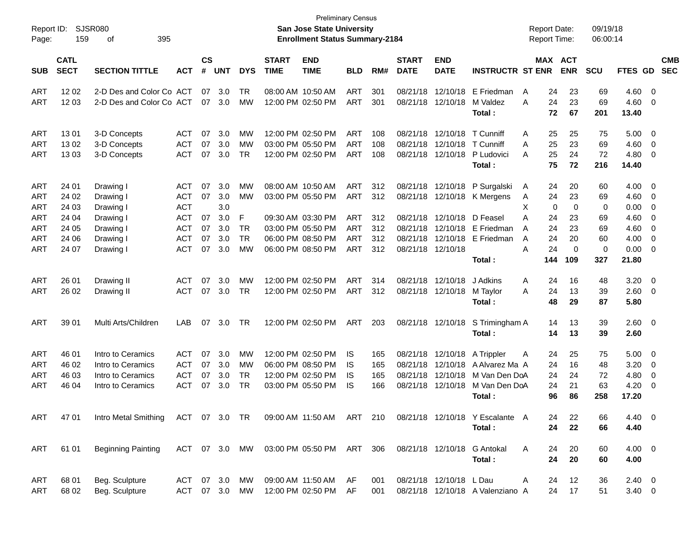| Report ID:<br>Page: | 159                        | SJSR080<br>395<br>οf      |               |                    |            |            |                             | <b>Preliminary Census</b><br>San Jose State University<br><b>Enrollment Status Summary-2184</b> |            |     |                             |                           |                                  | <b>Report Date:</b><br><b>Report Time:</b> |          |                       | 09/19/18<br>06:00:14 |                |                          |                          |
|---------------------|----------------------------|---------------------------|---------------|--------------------|------------|------------|-----------------------------|-------------------------------------------------------------------------------------------------|------------|-----|-----------------------------|---------------------------|----------------------------------|--------------------------------------------|----------|-----------------------|----------------------|----------------|--------------------------|--------------------------|
| <b>SUB</b>          | <b>CATL</b><br><b>SECT</b> | <b>SECTION TITTLE</b>     | <b>ACT</b>    | $\mathsf{cs}$<br># | <b>UNT</b> | <b>DYS</b> | <b>START</b><br><b>TIME</b> | <b>END</b><br><b>TIME</b>                                                                       | <b>BLD</b> | RM# | <b>START</b><br><b>DATE</b> | <b>END</b><br><b>DATE</b> | <b>INSTRUCTR ST ENR</b>          |                                            |          | MAX ACT<br><b>ENR</b> | <b>SCU</b>           | <b>FTES GD</b> |                          | <b>CMB</b><br><b>SEC</b> |
| <b>ART</b>          | 12 02                      | 2-D Des and Color Co ACT  |               | 07                 | 3.0        | TR         |                             | 08:00 AM 10:50 AM                                                                               | <b>ART</b> | 301 | 08/21/18                    | 12/10/18                  | E Friedman                       | A                                          | 24       | 23                    | 69                   | 4.60           | $\overline{\phantom{0}}$ |                          |
| <b>ART</b>          | 12 03                      | 2-D Des and Color Co ACT  |               | 07                 | 3.0        | МW         |                             | 12:00 PM 02:50 PM                                                                               | <b>ART</b> | 301 | 08/21/18                    | 12/10/18                  | M Valdez<br>Total:               | A                                          | 24<br>72 | 23<br>67              | 69<br>201            | 4.60<br>13.40  | - 0                      |                          |
| <b>ART</b>          | 1301                       | 3-D Concepts              | ACT           | 07                 | 3.0        | МW         |                             | 12:00 PM 02:50 PM                                                                               | ART        | 108 | 08/21/18                    | 12/10/18                  | T Cunniff                        | A                                          | 25       | 25                    | 75                   | 5.00           | $\overline{\mathbf{0}}$  |                          |
| <b>ART</b>          | 1302                       | 3-D Concepts              | <b>ACT</b>    | 07                 | 3.0        | MW         |                             | 03:00 PM 05:50 PM                                                                               | <b>ART</b> | 108 | 08/21/18                    | 12/10/18                  | T Cunniff                        | A                                          | 25       | 23                    | 69                   | 4.60           | 0                        |                          |
| <b>ART</b>          | 1303                       | 3-D Concepts              | <b>ACT</b>    | 07                 | 3.0        | TR         |                             | 12:00 PM 02:50 PM                                                                               | <b>ART</b> | 108 | 08/21/18                    | 12/10/18                  | P Ludovici                       | A                                          | 25       | 24                    | 72                   | 4.80           | - 0                      |                          |
|                     |                            |                           |               |                    |            |            |                             |                                                                                                 |            |     |                             |                           | Total:                           |                                            | 75       | 72                    | 216                  | 14.40          |                          |                          |
| <b>ART</b>          | 24 01                      | Drawing I                 | ACT           | 07                 | 3.0        | MW         |                             | 08:00 AM 10:50 AM                                                                               | <b>ART</b> | 312 | 08/21/18                    | 12/10/18                  | P Surgalski                      | A                                          | 24       | 20                    | 60                   | 4.00           | $\overline{\mathbf{0}}$  |                          |
| <b>ART</b>          | 24 02                      | Drawing I                 | <b>ACT</b>    | 07                 | 3.0        | MW         |                             | 03:00 PM 05:50 PM                                                                               | <b>ART</b> | 312 | 08/21/18                    | 12/10/18                  | K Mergens                        | A                                          | 24       | 23                    | 69                   | 4.60           | 0                        |                          |
| <b>ART</b>          | 24 03                      | Drawing I                 | <b>ACT</b>    |                    | 3.0        |            |                             |                                                                                                 |            |     |                             |                           |                                  | X                                          | 0        | 0                     | 0                    | 0.00           | 0                        |                          |
| <b>ART</b>          | 24 04                      | Drawing I                 | <b>ACT</b>    | 07                 | 3.0        | F          |                             | 09:30 AM 03:30 PM                                                                               | <b>ART</b> | 312 |                             | 08/21/18 12/10/18         | D Feasel                         | Α                                          | 24       | 23                    | 69                   | 4.60           | 0                        |                          |
| <b>ART</b>          | 24 05                      | Drawing I                 | <b>ACT</b>    | 07                 | 3.0        | TR         |                             | 03:00 PM 05:50 PM                                                                               | <b>ART</b> | 312 | 08/21/18                    | 12/10/18                  | E Friedman                       | A                                          | 24       | 23                    | 69                   | 4.60           | 0                        |                          |
| <b>ART</b>          | 24 06                      | Drawing I                 | <b>ACT</b>    | 07                 | 3.0        | <b>TR</b>  |                             | 06:00 PM 08:50 PM                                                                               | <b>ART</b> | 312 | 08/21/18                    | 12/10/18                  | E Friedman                       | A                                          | 24       | 20                    | 60                   | 4.00           | 0                        |                          |
| <b>ART</b>          | 24 07                      | Drawing I                 | <b>ACT</b>    | 07                 | 3.0        | MW         |                             | 06:00 PM 08:50 PM                                                                               | <b>ART</b> | 312 | 08/21/18 12/10/18           |                           |                                  | A                                          | 24       | 0                     | 0                    | 0.00           | - 0                      |                          |
|                     |                            |                           |               |                    |            |            |                             |                                                                                                 |            |     |                             |                           | Total:                           |                                            | 144      | 109                   | 327                  | 21.80          |                          |                          |
| <b>ART</b>          | 26 01                      | Drawing II                | <b>ACT</b>    | 07                 | 3.0        | МW         |                             | 12:00 PM 02:50 PM                                                                               | <b>ART</b> | 314 | 08/21/18                    | 12/10/18                  | J Adkins                         | Α                                          | 24       | 16                    | 48                   | 3.20           | $\overline{\mathbf{0}}$  |                          |
| <b>ART</b>          | 26 02                      | Drawing II                | <b>ACT</b>    | 07                 | 3.0        | TR         |                             | 12:00 PM 02:50 PM                                                                               | <b>ART</b> | 312 | 08/21/18                    | 12/10/18                  | M Taylor                         | A                                          | 24       | 13                    | 39                   | 2.60           | - 0                      |                          |
|                     |                            |                           |               |                    |            |            |                             |                                                                                                 |            |     |                             |                           | Total:                           |                                            | 48       | 29                    | 87                   | 5.80           |                          |                          |
| <b>ART</b>          | 39 01                      | Multi Arts/Children       | <b>LAB</b>    | 07                 | 3.0        | TR         |                             | 12:00 PM 02:50 PM                                                                               | <b>ART</b> | 203 |                             | 08/21/18 12/10/18         | S Trimingham A                   |                                            | 14       | 13                    | 39                   | 2.60 0         |                          |                          |
|                     |                            |                           |               |                    |            |            |                             |                                                                                                 |            |     |                             |                           | Total:                           |                                            | 14       | 13                    | 39                   | 2.60           |                          |                          |
| <b>ART</b>          | 46 01                      | Intro to Ceramics         | <b>ACT</b>    | 07                 | 3.0        | MW         |                             | 12:00 PM 02:50 PM                                                                               | IS         | 165 | 08/21/18                    | 12/10/18                  | A Trippler                       | A                                          | 24       | 25                    | 75                   | 5.00           | $\overline{\mathbf{0}}$  |                          |
| <b>ART</b>          | 46 02                      | Intro to Ceramics         | ACT           | 07                 | 3.0        | MW         |                             | 06:00 PM 08:50 PM                                                                               | IS         | 165 | 08/21/18                    | 12/10/18                  | A Alvarez Ma A                   |                                            | 24       | 16                    | 48                   | 3.20           | 0                        |                          |
| <b>ART</b>          | 46 03                      | Intro to Ceramics         | <b>ACT</b>    | 07                 | 3.0        | <b>TR</b>  |                             | 12:00 PM 02:50 PM                                                                               | IS         | 165 | 08/21/18                    | 12/10/18                  | M Van Den DoA                    |                                            | 24       | 24                    | 72                   | 4.80           | 0                        |                          |
| ART                 | 46 04                      | Intro to Ceramics         | <b>ACT</b>    | 07                 | 3.0        | TR         |                             | 03:00 PM 05:50 PM                                                                               | IS         | 166 |                             | 08/21/18 12/10/18         | M Van Den DoA                    |                                            | 24       | 21                    | 63                   | 4.20           | 0                        |                          |
|                     |                            |                           |               |                    |            |            |                             |                                                                                                 |            |     |                             |                           | Total:                           |                                            | 96       | 86                    | 258                  | 17.20          |                          |                          |
| ART                 | 47 01                      | Intro Metal Smithing      | ACT 07 3.0 TR |                    |            |            |                             | 09:00 AM 11:50 AM ART 210                                                                       |            |     |                             |                           | 08/21/18 12/10/18 Y Escalante A  |                                            | 24       | 22                    | 66                   | $4.40 \quad 0$ |                          |                          |
|                     |                            |                           |               |                    |            |            |                             |                                                                                                 |            |     |                             |                           | Total:                           |                                            | 24       | 22                    | 66                   | 4.40           |                          |                          |
| ART                 | 61 01                      | <b>Beginning Painting</b> | ACT 07 3.0 MW |                    |            |            |                             | 03:00 PM 05:50 PM ART 306                                                                       |            |     |                             |                           | 08/21/18 12/10/18 G Antokal      | A                                          | 24       | 20                    | 60                   | $4.00 \t 0$    |                          |                          |
|                     |                            |                           |               |                    |            |            |                             |                                                                                                 |            |     |                             |                           | Total:                           |                                            | 24       | 20                    | 60                   | 4.00           |                          |                          |
| ART                 | 68 01                      | Beg. Sculpture            | ACT 07 3.0    |                    |            | МW         |                             | 09:00 AM 11:50 AM                                                                               | AF         | 001 |                             | 08/21/18 12/10/18 LDau    |                                  | A                                          | 24       | 12                    | 36                   | $2.40 \quad 0$ |                          |                          |
| <b>ART</b>          | 68 02                      | Beg. Sculpture            | ACT 07 3.0    |                    |            | <b>MW</b>  |                             | 12:00 PM 02:50 PM                                                                               | AF         | 001 |                             |                           | 08/21/18 12/10/18 A Valenziano A |                                            | 24       | 17                    | 51                   | $3.40 \ 0$     |                          |                          |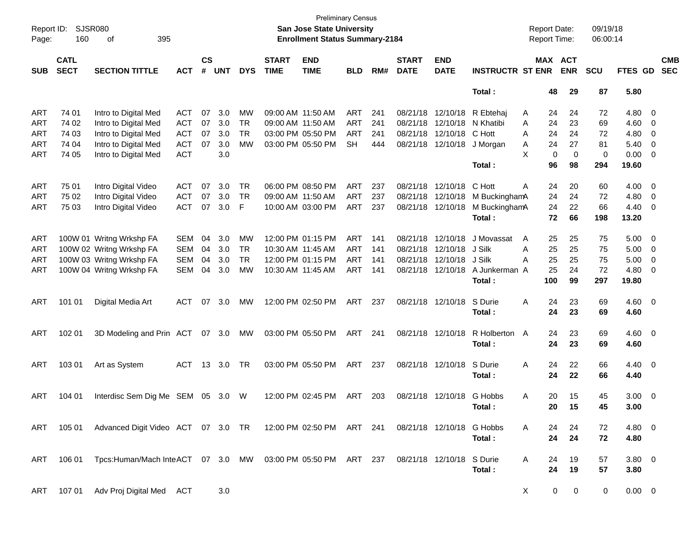| Report ID:<br>Page: | <b>SJSR080</b><br>160      | 395<br>οf                                                           |            |                    |            |            |                             | <b>Preliminary Census</b><br>San Jose State University<br><b>Enrollment Status Summary-2184</b> |            |     |                             |                           |                         | <b>Report Date:</b><br>Report Time: |                       | 09/19/18<br>06:00:14 |                   |                          |
|---------------------|----------------------------|---------------------------------------------------------------------|------------|--------------------|------------|------------|-----------------------------|-------------------------------------------------------------------------------------------------|------------|-----|-----------------------------|---------------------------|-------------------------|-------------------------------------|-----------------------|----------------------|-------------------|--------------------------|
| <b>SUB</b>          | <b>CATL</b><br><b>SECT</b> | <b>SECTION TITTLE</b>                                               | <b>ACT</b> | $\mathsf{cs}$<br># | <b>UNT</b> | <b>DYS</b> | <b>START</b><br><b>TIME</b> | <b>END</b><br><b>TIME</b>                                                                       | <b>BLD</b> | RM# | <b>START</b><br><b>DATE</b> | <b>END</b><br><b>DATE</b> | <b>INSTRUCTR ST ENR</b> |                                     | MAX ACT<br><b>ENR</b> | <b>SCU</b>           | FTES GD           | <b>CMB</b><br><b>SEC</b> |
|                     |                            |                                                                     |            |                    |            |            |                             |                                                                                                 |            |     |                             |                           | Total:                  | 48                                  | 29                    | 87                   | 5.80              |                          |
| ART                 | 74 01                      | Intro to Digital Med                                                | <b>ACT</b> | 07                 | 3.0        | MW         | 09:00 AM 11:50 AM           |                                                                                                 | ART        | 241 | 08/21/18                    | 12/10/18                  | R Ebtehaj               | 24<br>Α                             | 24                    | 72                   | 4.80              | $\overline{\mathbf{0}}$  |
| ART                 | 74 02                      | Intro to Digital Med                                                | <b>ACT</b> | 07                 | 3.0        | <b>TR</b>  | 09:00 AM 11:50 AM           |                                                                                                 | <b>ART</b> | 241 | 08/21/18                    | 12/10/18                  | N Khatibi               | 24<br>Α                             | 23                    | 69                   | 4.60              | 0                        |
| ART                 | 74 03                      | Intro to Digital Med                                                | <b>ACT</b> | 07                 | 3.0        | <b>TR</b>  | 03:00 PM 05:50 PM           |                                                                                                 | <b>ART</b> | 241 | 08/21/18                    | 12/10/18                  | C Hott                  | 24<br>Α                             | 24                    | 72                   | 4.80              | 0                        |
| ART                 | 74 04                      | Intro to Digital Med                                                | <b>ACT</b> | 07                 | 3.0        | <b>MW</b>  |                             | 03:00 PM 05:50 PM                                                                               | <b>SH</b>  | 444 | 08/21/18                    | 12/10/18                  | J Morgan                | 24<br>Α                             | 27                    | 81                   | 5.40              | 0                        |
| ART                 | 74 05                      | Intro to Digital Med                                                | <b>ACT</b> |                    | 3.0        |            |                             |                                                                                                 |            |     |                             |                           |                         | X                                   | 0<br>0                | 0                    | 0.00              | 0                        |
|                     |                            |                                                                     |            |                    |            |            |                             |                                                                                                 |            |     |                             |                           | Total:                  | 96                                  | 98                    | 294                  | 19.60             |                          |
| <b>ART</b>          | 75 01                      | Intro Digital Video                                                 | <b>ACT</b> | 07                 | 3.0        | TR         | 06:00 PM 08:50 PM           |                                                                                                 | <b>ART</b> | 237 | 08/21/18                    | 12/10/18                  | C Hott                  | Α<br>24                             | 20                    | 60                   | 4.00              | $\overline{\mathbf{0}}$  |
| <b>ART</b>          | 75 02                      | Intro Digital Video                                                 | <b>ACT</b> | 07                 | 3.0        | <b>TR</b>  | 09:00 AM 11:50 AM           |                                                                                                 | ART        | 237 | 08/21/18                    | 12/10/18                  | M BuckinghamA           | 24                                  | 24                    | 72                   | 4.80              | 0                        |
| ART                 | 75 03                      | Intro Digital Video                                                 | <b>ACT</b> | 07                 | 3.0        | F          |                             | 10:00 AM 03:00 PM                                                                               | ART        | 237 | 08/21/18                    | 12/10/18                  | M BuckinghamA           | 24                                  | 22                    | 66                   | 4.40              | 0                        |
|                     |                            |                                                                     |            |                    |            |            |                             |                                                                                                 |            |     |                             |                           | Total:                  | 72                                  | 66                    | 198                  | 13.20             |                          |
| ART                 |                            | 100W 01 Writng Wrkshp FA                                            | <b>SEM</b> | 04                 | 3.0        | MW         | 12:00 PM 01:15 PM           |                                                                                                 | <b>ART</b> | 141 | 08/21/18                    | 12/10/18                  | J Movassat              | 25<br>A                             | 25                    | 75                   | 5.00              | $\overline{\mathbf{0}}$  |
| ART                 |                            | 100W 02 Writng Wrkshp FA                                            | <b>SEM</b> | 04                 | 3.0        | TR         | 10:30 AM 11:45 AM           |                                                                                                 | <b>ART</b> | 141 | 08/21/18                    | 12/10/18                  | J Silk                  | 25<br>Α                             | 25                    | 75                   | 5.00              | 0                        |
| ART                 |                            | 100W 03 Writng Wrkshp FA                                            | <b>SEM</b> | 04                 | 3.0        | <b>TR</b>  | 12:00 PM 01:15 PM           |                                                                                                 | ART        | 141 | 08/21/18                    | 12/10/18                  | J Silk                  | 25<br>Α                             | 25                    | 75                   | 5.00              | 0                        |
| <b>ART</b>          |                            | 100W 04 Writng Wrkshp FA                                            | <b>SEM</b> | 04                 | 3.0        | <b>MW</b>  | 10:30 AM 11:45 AM           |                                                                                                 | ART        | 141 | 08/21/18                    | 12/10/18                  | A Junkerman A           | 25                                  | 24                    | 72                   | 4.80              | 0                        |
|                     |                            |                                                                     |            |                    |            |            |                             |                                                                                                 |            |     |                             |                           | Total:                  | 100                                 | 99                    | 297                  | 19.80             |                          |
| ART                 | 101 01                     | Digital Media Art                                                   | ACT        | 07                 | 3.0        | MW         |                             | 12:00 PM 02:50 PM                                                                               | ART        | 237 |                             | 08/21/18 12/10/18         | S Durie                 | 24<br>Α                             | 23                    | 69                   | $4.60$ 0          |                          |
|                     |                            |                                                                     |            |                    |            |            |                             |                                                                                                 |            |     |                             |                           | Total:                  | 24                                  | 23                    | 69                   | 4.60              |                          |
| ART                 | 102 01                     | 3D Modeling and Prin ACT                                            |            |                    | 07 3.0     | МW         | 03:00 PM 05:50 PM           |                                                                                                 | ART        | 241 |                             | 08/21/18 12/10/18         | R Holberton<br>Total:   | 24<br>A<br>24                       | 23<br>23              | 69<br>69             | $4.60$ 0<br>4.60  |                          |
| ART                 | 103 01                     | Art as System                                                       | ACT        | 13                 | 3.0        | TR         | 03:00 PM 05:50 PM           |                                                                                                 | ART        | 237 |                             | 08/21/18 12/10/18         | S Durie<br>Total:       | 24<br>Α<br>24                       | 22<br>22              | 66<br>66             | 4.40 0<br>4.40    |                          |
| ART                 | 104 01                     | Interdisc Sem Dig Me SEM                                            |            |                    | 05 3.0     | W          |                             | 12:00 PM 02:45 PM                                                                               | ART        | 203 | 08/21/18                    | 12/10/18                  | G Hobbs<br>Total:       | 20<br>Α<br>20                       | 15<br>15              | 45<br>45             | 3.00<br>3.00      | $\overline{\phantom{0}}$ |
| ART                 |                            | 105 01 Advanced Digit Video ACT 07 3.0 TR 12:00 PM 02:50 PM ART 241 |            |                    |            |            |                             |                                                                                                 |            |     |                             | 08/21/18 12/10/18 G Hobbs | Total:                  | 24<br>A<br>24                       | 24<br>24              | 72<br>72             | 4.80 0<br>4.80    |                          |
| ART                 | 106 01                     | Tpcs:Human/Mach InteACT  07  3.0  MW  03:00 PM  05:50 PM  ART  237  |            |                    |            |            |                             |                                                                                                 |            |     |                             | 08/21/18 12/10/18         | S Durie<br>Total:       | A<br>24<br>24                       | 19<br>19              | 57<br>57             | $3.80\ 0$<br>3.80 |                          |
| ART                 | 107 01                     | Adv Proj Digital Med ACT                                            |            |                    | 3.0        |            |                             |                                                                                                 |            |     |                             |                           |                         | X                                   | 0<br>0                | 0                    | $0.00 \t 0$       |                          |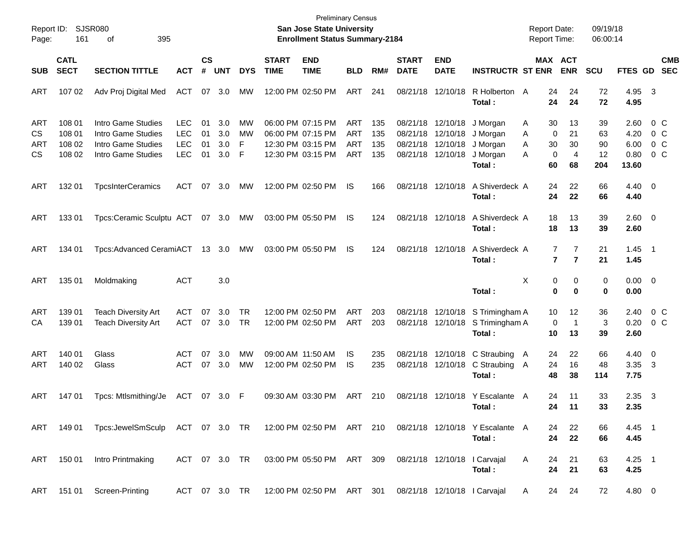| Report ID:<br>Page:           | 161                        | SJSR080<br>395<br>οf                                                                                 |                                        |                |                   |              |                             | San Jose State University<br><b>Enrollment Status Summary-2184</b>   | <b>Preliminary Census</b>              |                   |                             |                                                             |                                  | <b>Report Date:</b><br><b>Report Time:</b> |                                            | 09/19/18<br>06:00:14 |                                |                              |                          |
|-------------------------------|----------------------------|------------------------------------------------------------------------------------------------------|----------------------------------------|----------------|-------------------|--------------|-----------------------------|----------------------------------------------------------------------|----------------------------------------|-------------------|-----------------------------|-------------------------------------------------------------|----------------------------------|--------------------------------------------|--------------------------------------------|----------------------|--------------------------------|------------------------------|--------------------------|
| <b>SUB</b>                    | <b>CATL</b><br><b>SECT</b> | <b>SECTION TITTLE</b>                                                                                | <b>ACT</b>                             | <b>CS</b><br># | <b>UNT</b>        | <b>DYS</b>   | <b>START</b><br><b>TIME</b> | <b>END</b><br><b>TIME</b>                                            | <b>BLD</b>                             | RM#               | <b>START</b><br><b>DATE</b> | <b>END</b><br><b>DATE</b>                                   | <b>INSTRUCTR ST ENR</b>          |                                            | MAX ACT<br><b>ENR</b>                      | <b>SCU</b>           | FTES GD                        |                              | <b>CMB</b><br><b>SEC</b> |
| ART                           | 107 02                     | Adv Proj Digital Med                                                                                 | <b>ACT</b>                             |                | 07 3.0            | <b>MW</b>    |                             | 12:00 PM 02:50 PM                                                    | ART                                    | 241               |                             | 08/21/18 12/10/18                                           | R Holberton A<br>Total:          |                                            | 24<br>24<br>24<br>24                       | 72<br>72             | 4.95 3<br>4.95                 |                              |                          |
| <b>ART</b>                    | 108 01                     | Intro Game Studies                                                                                   | <b>LEC</b>                             | 01             | 3.0               | MW           |                             | 06:00 PM 07:15 PM                                                    | <b>ART</b>                             | 135               |                             | 08/21/18 12/10/18                                           | J Morgan                         | 30<br>A                                    | 13                                         | 39                   | 2.60                           | 0 C                          |                          |
| <b>CS</b><br>ART<br><b>CS</b> | 108 01<br>108 02<br>108 02 | Intro Game Studies<br>Intro Game Studies<br>Intro Game Studies                                       | <b>LEC</b><br><b>LEC</b><br><b>LEC</b> | 01<br>01<br>01 | 3.0<br>3.0<br>3.0 | MW<br>F<br>F |                             | 06:00 PM 07:15 PM<br>12:30 PM 03:15 PM<br>12:30 PM 03:15 PM          | <b>ART</b><br><b>ART</b><br><b>ART</b> | 135<br>135<br>135 |                             | 08/21/18 12/10/18<br>08/21/18 12/10/18<br>08/21/18 12/10/18 | J Morgan<br>J Morgan<br>J Morgan | A<br>A<br>A                                | 0<br>21<br>30<br>30<br>0<br>4              | 63<br>90<br>12       | 4.20<br>6.00<br>0.80           | 0 C<br>0 <sup>o</sup><br>0 C |                          |
| <b>ART</b>                    | 132 01                     | <b>TpcsInterCeramics</b>                                                                             | ACT                                    | 07             | 3.0               | <b>MW</b>    |                             | 12:00 PM 02:50 PM                                                    | IS                                     | 166               |                             | 08/21/18 12/10/18                                           | Total:<br>A Shiverdeck A         | 60                                         | 68<br>22<br>24                             | 204<br>66            | 13.60<br>$4.40 \ 0$            |                              |                          |
|                               |                            |                                                                                                      |                                        |                |                   |              |                             |                                                                      |                                        |                   |                             |                                                             | Total:                           | 24                                         | 22                                         | 66                   | 4.40                           |                              |                          |
| <b>ART</b>                    | 133 01                     | Tpcs:Ceramic Sculptu ACT 07 3.0                                                                      |                                        |                |                   | MW           |                             | 03:00 PM 05:50 PM                                                    | IS                                     | 124               |                             | 08/21/18 12/10/18                                           | A Shiverdeck A<br>Total:         | 18<br>18                                   | 13<br>13                                   | 39<br>39             | 2.60 0<br>2.60                 |                              |                          |
| ART                           | 134 01                     | Tpcs:Advanced CeramiACT 13 3.0                                                                       |                                        |                |                   | MW           |                             | 03:00 PM 05:50 PM                                                    | IS                                     | 124               |                             | 08/21/18 12/10/18                                           | A Shiverdeck A<br>Total:         |                                            | 7<br>7<br>$\overline{7}$<br>$\overline{7}$ | 21<br>21             | $1.45$ 1<br>1.45               |                              |                          |
| ART                           | 135 01                     | Moldmaking                                                                                           | <b>ACT</b>                             |                | 3.0               |              |                             |                                                                      |                                        |                   |                             |                                                             | Total:                           | Х                                          | 0<br>0<br>$\bf{0}$<br>0                    | 0<br>0               | $0.00 \t 0$<br>0.00            |                              |                          |
| ART<br>CA                     | 139 01<br>139 01           | <b>Teach Diversity Art</b><br><b>Teach Diversity Art</b>                                             | <b>ACT</b><br>ACT                      | 07             | 3.0<br>07 3.0     | TR<br>TR     |                             | 12:00 PM 02:50 PM<br>12:00 PM 02:50 PM                               | <b>ART</b><br><b>ART</b>               | 203<br>203        |                             | 08/21/18 12/10/18<br>08/21/18 12/10/18                      | S Trimingham A<br>S Trimingham A | 10                                         | 12<br>0<br>$\mathbf 1$                     | 36<br>3              | 2.40<br>0.20                   | 0 <sup>o</sup><br>0 C        |                          |
| <b>ART</b>                    | 140 01                     | Glass                                                                                                | <b>ACT</b>                             | 07             | 3.0               | MW           |                             | 09:00 AM 11:50 AM                                                    | IS                                     | 235               |                             | 08/21/18 12/10/18                                           | Total:<br>C Straubing            | 10                                         | 13                                         | 39<br>66             | 2.60                           |                              |                          |
| <b>ART</b>                    | 140 02                     | Glass                                                                                                | <b>ACT</b>                             | 07             | 3.0               | <b>MW</b>    |                             | 12:00 PM 02:50 PM                                                    | IS                                     | 235               |                             | 08/21/18 12/10/18                                           | C Straubing<br>Total:            | 24<br>$\mathsf{A}$<br>24<br>A<br>48        | 22<br>16<br>38                             | 48<br>114            | $4.40 \quad 0$<br>3.35<br>7.75 | $\overline{\mathbf{3}}$      |                          |
| ART                           | 147 01                     | Tpcs: Mtlsmithing/Je                                                                                 | ACT 07 3.0 F                           |                |                   |              |                             | 09:30 AM 03:30 PM                                                    | <b>ART</b>                             | 210               |                             | 08/21/18 12/10/18                                           | Y Escalante A<br>Total:          | 24                                         | 11<br>24<br>11                             | 33<br>33             | 2.35<br>2.35                   | $\overline{\mathbf{3}}$      |                          |
|                               |                            | ART 149 01 Tpcs:JewelSmSculp ACT 07 3.0 TR 12:00 PM 02:50 PM ART 210 08/21/18 12/10/18 Y Escalante A |                                        |                |                   |              |                             |                                                                      |                                        |                   |                             |                                                             | Total:                           |                                            | 24<br>22<br>24<br>22                       | 66<br>66             | 4.45 1<br>4.45                 |                              |                          |
|                               | ART 150 01                 | Intro Printmaking                                                                                    | ACT 07 3.0 TR                          |                |                   |              |                             | 03:00 PM 05:50 PM ART 309 08/21/18 12/10/18 I Carvajal               |                                        |                   |                             |                                                             | Total:                           | A<br>24<br>24                              | 21<br>21                                   | 63<br>63             | $4.25$ 1<br>4.25               |                              |                          |
|                               |                            | ART 151 01 Screen-Printing                                                                           |                                        |                |                   |              |                             | ACT 07 3.0 TR 12:00 PM 02:50 PM ART 301 08/21/18 12/10/18 I Carvajal |                                        |                   |                             |                                                             |                                  | $\mathsf{A}$                               | 24 24                                      | 72                   | 4.80 0                         |                              |                          |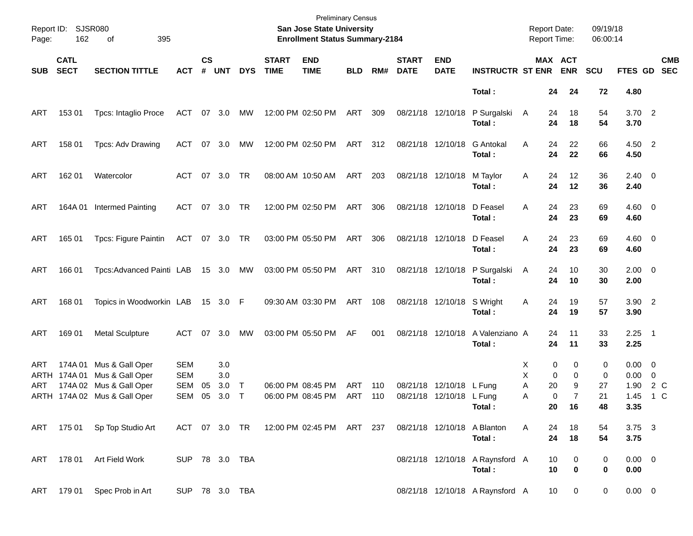| Page:              | Report ID: SJSR080<br>162  | 395<br>of                                                                                     |                                                      |                    |                          |             |                             | <b>Preliminary Census</b><br>San Jose State University<br><b>Enrollment Status Summary-2184</b> |            |            |                             |                                      |                                           |                  | <b>Report Date:</b><br><b>Report Time:</b>                               | 09/19/18<br>06:00:14     |                                                    |            |                          |
|--------------------|----------------------------|-----------------------------------------------------------------------------------------------|------------------------------------------------------|--------------------|--------------------------|-------------|-----------------------------|-------------------------------------------------------------------------------------------------|------------|------------|-----------------------------|--------------------------------------|-------------------------------------------|------------------|--------------------------------------------------------------------------|--------------------------|----------------------------------------------------|------------|--------------------------|
| SUB                | <b>CATL</b><br><b>SECT</b> | <b>SECTION TITTLE</b>                                                                         | <b>ACT</b>                                           | $\mathsf{cs}$<br># | <b>UNT</b>               | <b>DYS</b>  | <b>START</b><br><b>TIME</b> | <b>END</b><br><b>TIME</b>                                                                       | <b>BLD</b> | RM#        | <b>START</b><br><b>DATE</b> | <b>END</b><br><b>DATE</b>            | <b>INSTRUCTR ST ENR</b>                   |                  | MAX ACT<br><b>ENR</b>                                                    | <b>SCU</b>               | <b>FTES GD</b>                                     |            | <b>CMB</b><br><b>SEC</b> |
|                    |                            |                                                                                               |                                                      |                    |                          |             |                             |                                                                                                 |            |            |                             |                                      | Total:                                    |                  | 24<br>24                                                                 | 72                       | 4.80                                               |            |                          |
| ART                | 153 01                     | Tpcs: Intaglio Proce                                                                          | ACT                                                  |                    | 07 3.0                   | МW          |                             | 12:00 PM 02:50 PM                                                                               | ART        | 309        |                             | 08/21/18 12/10/18                    | P Surgalski<br>Total:                     | A                | 24<br>18<br>24<br>18                                                     | 54<br>54                 | $3.70$ 2<br>3.70                                   |            |                          |
| ART                | 158 01                     | Tpcs: Adv Drawing                                                                             | ACT                                                  |                    | 07 3.0                   | МW          |                             | 12:00 PM 02:50 PM                                                                               | ART        | 312        |                             | 08/21/18 12/10/18                    | <b>G</b> Antokal<br>Total:                | A                | 24<br>22<br>24<br>22                                                     | 66<br>66                 | 4.50 2<br>4.50                                     |            |                          |
| ART                | 162 01                     | Watercolor                                                                                    | ACT                                                  |                    | 07 3.0                   | TR          |                             | 08:00 AM 10:50 AM                                                                               | ART        | 203        |                             | 08/21/18 12/10/18                    | M Taylor<br>Total:                        | A                | 24<br>12<br>24<br>12                                                     | 36<br>36                 | $2.40 \ 0$<br>2.40                                 |            |                          |
| ART                | 164A 01                    | <b>Intermed Painting</b>                                                                      | ACT                                                  |                    | 07 3.0                   | TR          |                             | 12:00 PM 02:50 PM                                                                               | ART        | 306        |                             | 08/21/18 12/10/18                    | D Feasel<br>Total:                        | A                | 23<br>24<br>24<br>23                                                     | 69<br>69                 | $4.60$ 0<br>4.60                                   |            |                          |
| ART                | 165 01                     | Tpcs: Figure Paintin                                                                          | ACT 07 3.0 TR                                        |                    |                          |             |                             | 03:00 PM 05:50 PM                                                                               | ART        | 306        |                             | 08/21/18 12/10/18                    | D Feasel<br>Total:                        | A                | 24<br>23<br>24<br>23                                                     | 69<br>69                 | $4.60$ 0<br>4.60                                   |            |                          |
| ART                | 166 01                     | Tpcs: Advanced Painti LAB                                                                     |                                                      |                    | 15 3.0 MW                |             |                             | 03:00 PM 05:50 PM                                                                               | ART        | 310        |                             | 08/21/18 12/10/18                    | P Surgalski<br>Total:                     | A                | 24<br>10<br>24<br>10                                                     | 30<br>30                 | $2.00 \t 0$<br>2.00                                |            |                          |
| ART                | 168 01                     | Topics in Woodworkin LAB                                                                      |                                                      |                    | 15 3.0 F                 |             |                             | 09:30 AM 03:30 PM                                                                               | ART        | 108        |                             | 08/21/18 12/10/18                    | S Wright<br>Total:                        | A                | 24<br>19<br>24<br>19                                                     | 57<br>57                 | $3.90$ 2<br>3.90                                   |            |                          |
| ART                | 169 01                     | <b>Metal Sculpture</b>                                                                        | ACT                                                  |                    | 07 3.0                   | MW          |                             | 03:00 PM 05:50 PM                                                                               | AF         | 001        |                             | 08/21/18 12/10/18                    | A Valenziano A<br>Total:                  |                  | 24<br>11<br>24<br>11                                                     | 33<br>33                 | $2.25$ 1<br>2.25                                   |            |                          |
| ART<br>ARTH<br>ART | 174A 01<br>174A 01         | Mus & Gall Oper<br>Mus & Gall Oper<br>174A 02 Mus & Gall Oper<br>ARTH 174A 02 Mus & Gall Oper | <b>SEM</b><br><b>SEM</b><br><b>SEM</b><br><b>SEM</b> | 05<br>05           | 3.0<br>3.0<br>3.0<br>3.0 | Т<br>$\top$ |                             | 06:00 PM 08:45 PM<br>06:00 PM 08:45 PM                                                          | ART<br>ART | 110<br>110 | 08/21/18                    | 12/10/18<br>08/21/18 12/10/18 L Fung | L Fung<br>Total:                          | Х<br>X<br>Α<br>A | 0<br>0<br>0<br>0<br>20<br>9<br>$\mathbf 0$<br>$\overline{7}$<br>20<br>16 | 0<br>0<br>27<br>21<br>48 | $0.00 \t 0$<br>$0.00 \t 0$<br>1.90<br>1.45<br>3.35 | 2 C<br>1 C |                          |
|                    |                            | ART 175 01 Sp Top Studio Art                                                                  |                                                      |                    |                          |             |                             | ACT 07 3.0 TR 12:00 PM 02:45 PM ART 237                                                         |            |            |                             |                                      | 08/21/18 12/10/18 A Blanton<br>Total:     | A                | 24<br>18<br>24<br>18                                                     | 54<br>54                 | $3.75 \quad 3$<br>3.75                             |            |                          |
|                    |                            | ART 178 01 Art Field Work                                                                     | SUP 78 3.0 TBA                                       |                    |                          |             |                             |                                                                                                 |            |            |                             |                                      | 08/21/18 12/10/18 A Raynsford A<br>Total: |                  | 10<br>0<br>10<br>$\bf{0}$                                                | 0<br>0                   | $0.00 \t 0$<br>0.00                                |            |                          |
|                    | ART 179 01                 | Spec Prob in Art                                                                              | SUP 78 3.0 TBA                                       |                    |                          |             |                             |                                                                                                 |            |            |                             |                                      | 08/21/18 12/10/18 A Raynsford A           |                  | 10 <sup>°</sup><br>$\overline{0}$                                        | 0                        | $0.00 \t 0$                                        |            |                          |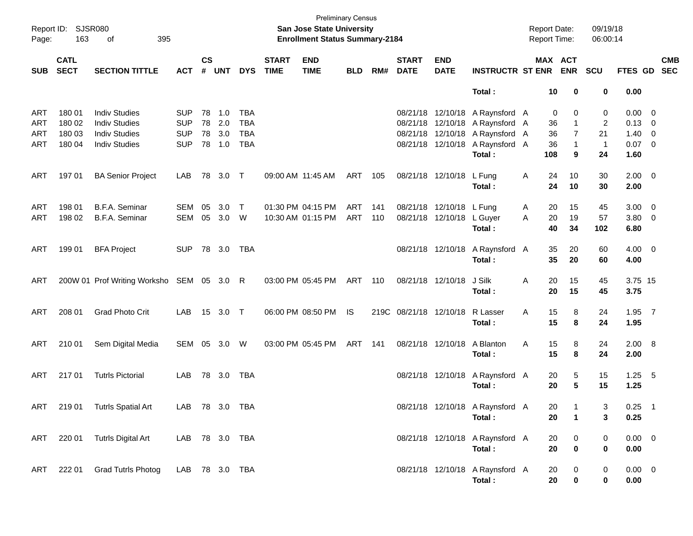| Page:                    | Report ID: SJSR080<br>163<br>395<br>of |                                                                                              |                                                      |                             |                             |                                               |                             | <b>Preliminary Census</b><br>San Jose State University<br><b>Enrollment Status Summary-2184</b> |            |            |                             |                                                       |                                                                                                                                                    | <b>Report Date:</b><br><b>Report Time:</b> |                                          | 09/19/18<br>06:00:14                            |                                                             |            |
|--------------------------|----------------------------------------|----------------------------------------------------------------------------------------------|------------------------------------------------------|-----------------------------|-----------------------------|-----------------------------------------------|-----------------------------|-------------------------------------------------------------------------------------------------|------------|------------|-----------------------------|-------------------------------------------------------|----------------------------------------------------------------------------------------------------------------------------------------------------|--------------------------------------------|------------------------------------------|-------------------------------------------------|-------------------------------------------------------------|------------|
| SUB                      | <b>CATL</b><br><b>SECT</b>             | <b>SECTION TITTLE</b>                                                                        | <b>ACT</b>                                           | $\mathsf{cs}$<br>$\pmb{\#}$ | <b>UNT</b>                  | <b>DYS</b>                                    | <b>START</b><br><b>TIME</b> | <b>END</b><br><b>TIME</b>                                                                       | <b>BLD</b> | RM#        | <b>START</b><br><b>DATE</b> | <b>END</b><br><b>DATE</b>                             | <b>INSTRUCTR ST ENR</b>                                                                                                                            |                                            | MAX ACT<br><b>ENR</b>                    | <b>SCU</b>                                      | FTES GD SEC                                                 | <b>CMB</b> |
|                          |                                        |                                                                                              |                                                      |                             |                             |                                               |                             |                                                                                                 |            |            |                             |                                                       | Total:                                                                                                                                             |                                            | 10<br>0                                  | 0                                               | 0.00                                                        |            |
| ART<br>ART<br>ART<br>ART | 180 01<br>180 02<br>180 03<br>180 04   | <b>Indiv Studies</b><br><b>Indiv Studies</b><br><b>Indiv Studies</b><br><b>Indiv Studies</b> | <b>SUP</b><br><b>SUP</b><br><b>SUP</b><br><b>SUP</b> | 78<br>78<br>78              | 1.0<br>2.0<br>3.0<br>78 1.0 | TBA<br><b>TBA</b><br><b>TBA</b><br><b>TBA</b> |                             |                                                                                                 |            |            |                             |                                                       | 08/21/18 12/10/18 A Raynsford A<br>08/21/18 12/10/18 A Raynsford A<br>08/21/18 12/10/18 A Raynsford A<br>08/21/18 12/10/18 A Raynsford A<br>Total: | 36<br>36<br>36<br>108                      | 0<br>0<br>1<br>7<br>1<br>9               | 0<br>$\overline{2}$<br>21<br>$\mathbf{1}$<br>24 | $0.00 \t 0$<br>$0.13 \ 0$<br>$1.40 \ 0$<br>$0.07$ 0<br>1.60 |            |
| ART                      | 197 01                                 | <b>BA Senior Project</b>                                                                     | LAB                                                  | 78                          | $3.0$ T                     |                                               |                             | 09:00 AM 11:45 AM                                                                               | ART        | 105        |                             | 08/21/18 12/10/18                                     | L Fung<br>Total:                                                                                                                                   | Α<br>24<br>24                              | 10<br>10                                 | 30<br>30                                        | $2.00 \t 0$<br>2.00                                         |            |
| ART<br>ART               | 198 01<br>198 02                       | B.F.A. Seminar<br><b>B.F.A. Seminar</b>                                                      | SEM<br>SEM                                           | 05<br>05                    | 3.0<br>3.0 W                | $\top$                                        |                             | 01:30 PM 04:15 PM<br>10:30 AM 01:15 PM                                                          | ART<br>ART | 141<br>110 |                             | 08/21/18 12/10/18 L Fung<br>08/21/18 12/10/18 L Guyer | Total:                                                                                                                                             | 20<br>A<br>20<br>A<br>40                   | 15<br>19<br>34                           | 45<br>57<br>102                                 | $3.00 \ 0$<br>$3.80\ 0$<br>6.80                             |            |
| ART                      | 199 01                                 | <b>BFA Project</b>                                                                           | <b>SUP</b>                                           |                             | 78 3.0                      | TBA                                           |                             |                                                                                                 |            |            |                             |                                                       | 08/21/18 12/10/18 A Raynsford A<br>Total:                                                                                                          |                                            | 35<br>20<br>35<br>20                     | 60<br>60                                        | $4.00 \ 0$<br>4.00                                          |            |
| ART                      |                                        | 200W 01 Prof Writing Worksho SEM 05 3.0 R                                                    |                                                      |                             |                             |                                               |                             | 03:00 PM 05:45 PM                                                                               | ART 110    |            | 08/21/18 12/10/18           |                                                       | J Silk<br>Total:                                                                                                                                   | Α                                          | 20<br>15<br>20<br>15                     | 45<br>45                                        | 3.75 15<br>3.75                                             |            |
| ART                      | 208 01                                 | <b>Grad Photo Crit</b>                                                                       | LAB                                                  |                             | 15 3.0 T                    |                                               |                             | 06:00 PM 08:50 PM                                                                               | IS         |            | 219C 08/21/18 12/10/18      |                                                       | R Lasser<br>Total:                                                                                                                                 | Α                                          | 15<br>8<br>15<br>8                       | 24<br>24                                        | $1.95$ 7<br>1.95                                            |            |
| ART                      | 210 01                                 | Sem Digital Media                                                                            | SEM 05 3.0                                           |                             |                             | W                                             |                             | 03:00 PM 05:45 PM                                                                               | ART        | 141        |                             | 08/21/18 12/10/18                                     | A Blanton<br>Total:                                                                                                                                | Α                                          | 15<br>8<br>15<br>8                       | 24<br>24                                        | 2.00 8<br>2.00                                              |            |
| ART                      | 21701                                  | <b>Tutrls Pictorial</b>                                                                      | LAB                                                  |                             | 78 3.0                      | TBA                                           |                             |                                                                                                 |            |            |                             |                                                       | 08/21/18 12/10/18 A Raynsford A<br>Total:                                                                                                          |                                            | 20<br>5<br>5<br>20                       | 15<br>15                                        | $1.25$ 5<br>1.25                                            |            |
| ART                      | 21901                                  | Tutrls Spatial Art                                                                           | LAB 78 3.0 TBA                                       |                             |                             |                                               |                             |                                                                                                 |            |            |                             |                                                       | 08/21/18 12/10/18 A Raynsford A<br>Total:                                                                                                          |                                            | 20<br>$\mathbf{1}$<br>20<br>$\mathbf{1}$ | 3<br>3                                          | $0.25$ 1<br>0.25                                            |            |
|                          |                                        | ART 220 01 Tutrls Digital Art                                                                | LAB 78 3.0 TBA                                       |                             |                             |                                               |                             |                                                                                                 |            |            |                             |                                                       | 08/21/18 12/10/18 A Raynsford A<br>Total:                                                                                                          | 20                                         | 20<br>0<br>0                             | 0<br>0                                          | $0.00 \t 0$<br>0.00                                         |            |
| ART                      | 222 01                                 | <b>Grad Tutrls Photog</b>                                                                    | LAB 78 3.0 TBA                                       |                             |                             |                                               |                             |                                                                                                 |            |            |                             |                                                       | 08/21/18 12/10/18 A Raynsford A<br>Total:                                                                                                          |                                            | 20<br>0<br>20<br>0                       | 0<br>0                                          | $0.00 \t 0$<br>0.00                                         |            |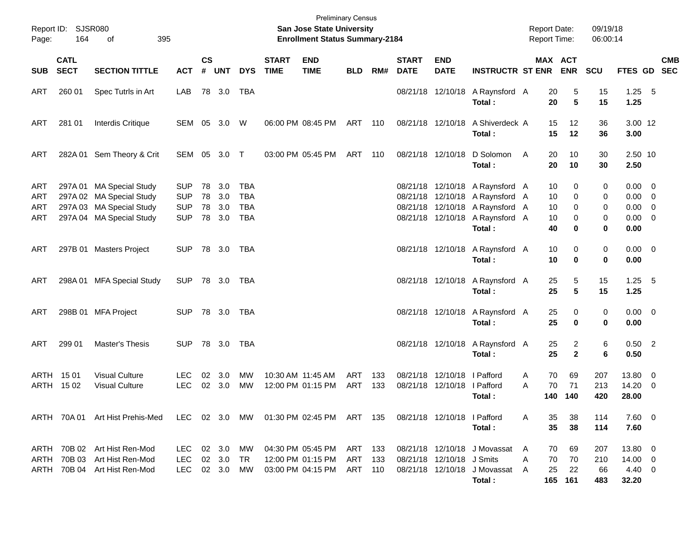| Page:                           | Report ID: SJSR080<br>164  | 395<br>of                                                                                                    |                                                      |                    |                             |                                        |                             | <b>Preliminary Census</b><br>San Jose State University<br><b>Enrollment Status Summary-2184</b> |                           |            |                             |                                                            |                                                                                                                                                    | <b>Report Date:</b><br><b>Report Time:</b> |                           | 09/19/18<br>06:00:14    |                                                                  |            |
|---------------------------------|----------------------------|--------------------------------------------------------------------------------------------------------------|------------------------------------------------------|--------------------|-----------------------------|----------------------------------------|-----------------------------|-------------------------------------------------------------------------------------------------|---------------------------|------------|-----------------------------|------------------------------------------------------------|----------------------------------------------------------------------------------------------------------------------------------------------------|--------------------------------------------|---------------------------|-------------------------|------------------------------------------------------------------|------------|
| <b>SUB</b>                      | <b>CATL</b><br><b>SECT</b> | <b>SECTION TITTLE</b>                                                                                        | <b>ACT</b>                                           | $\mathsf{cs}$<br># | <b>UNT</b>                  | <b>DYS</b>                             | <b>START</b><br><b>TIME</b> | <b>END</b><br><b>TIME</b>                                                                       | <b>BLD</b>                | RM#        | <b>START</b><br><b>DATE</b> | <b>END</b><br><b>DATE</b>                                  | <b>INSTRUCTR ST ENR</b>                                                                                                                            |                                            | MAX ACT<br><b>ENR</b>     | <b>SCU</b>              | FTES GD SEC                                                      | <b>CMB</b> |
| ART                             | 260 01                     | Spec Tutrls in Art                                                                                           | LAB                                                  |                    | 78 3.0                      | TBA                                    |                             |                                                                                                 |                           |            |                             | 08/21/18 12/10/18                                          | A Raynsford A<br>Total:                                                                                                                            | 20<br>20                                   | 5<br>$5\phantom{1}$       | 15<br>15                | $1.25$ 5<br>1.25                                                 |            |
| ART                             | 281 01                     | Interdis Critique                                                                                            | SEM 05 3.0                                           |                    |                             | W                                      |                             | 06:00 PM 08:45 PM                                                                               | ART 110                   |            |                             | 08/21/18 12/10/18                                          | A Shiverdeck A<br>Total:                                                                                                                           | 15<br>15                                   | 12<br>12                  | 36<br>36                | 3.00 12<br>3.00                                                  |            |
| ART                             |                            | 282A 01 Sem Theory & Crit                                                                                    | SEM 05 3.0 T                                         |                    |                             |                                        |                             | 03:00 PM 05:45 PM                                                                               | ART                       | 110        |                             | 08/21/18 12/10/18                                          | D Solomon<br>Total:                                                                                                                                | 20<br>A<br>20                              | 10<br>10                  | 30<br>30                | 2.50 10<br>2.50                                                  |            |
| ART<br><b>ART</b><br>ART<br>ART |                            | 297A 01 MA Special Study<br>297A 02 MA Special Study<br>297A 03 MA Special Study<br>297A 04 MA Special Study | <b>SUP</b><br><b>SUP</b><br><b>SUP</b><br><b>SUP</b> | 78<br>78<br>78     | 3.0<br>3.0<br>3.0<br>78 3.0 | TBA<br><b>TBA</b><br><b>TBA</b><br>TBA |                             |                                                                                                 |                           |            |                             |                                                            | 08/21/18 12/10/18 A Raynsford A<br>08/21/18 12/10/18 A Raynsford A<br>08/21/18 12/10/18 A Raynsford A<br>08/21/18 12/10/18 A Raynsford A<br>Total: | 10<br>10<br>10<br>10<br>40                 | 0<br>0<br>0<br>0<br>0     | 0<br>0<br>0<br>0<br>0   | $0.00 \t 0$<br>$0.00 \t 0$<br>$0.00 \t 0$<br>$0.00 \t 0$<br>0.00 |            |
| ART                             |                            | 297B 01 Masters Project                                                                                      | <b>SUP</b>                                           |                    | 78 3.0                      | TBA                                    |                             |                                                                                                 |                           |            |                             | 08/21/18 12/10/18                                          | A Raynsford A<br>Total:                                                                                                                            | 10<br>10                                   | 0<br>0                    | 0<br>0                  | $0.00 \t 0$<br>0.00                                              |            |
| ART                             |                            | 298A 01 MFA Special Study                                                                                    | <b>SUP</b>                                           |                    | 78 3.0 TBA                  |                                        |                             |                                                                                                 |                           |            |                             | 08/21/18 12/10/18                                          | A Raynsford A<br>Total:                                                                                                                            | 25<br>25                                   | 5<br>$5\phantom{1}$       | 15<br>15                | $1.25$ 5<br>1.25                                                 |            |
| ART                             |                            | 298B 01 MFA Project                                                                                          | <b>SUP</b>                                           |                    | 78 3.0                      | TBA                                    |                             |                                                                                                 |                           |            |                             | 08/21/18 12/10/18                                          | A Raynsford A<br>Total:                                                                                                                            | 25<br>25                                   | 0<br>0                    | 0<br>0                  | $0.00 \t 0$<br>0.00                                              |            |
| ART                             | 299 01                     | Master's Thesis                                                                                              | SUP.                                                 |                    | 78 3.0                      | TBA                                    |                             |                                                                                                 |                           |            |                             | 08/21/18 12/10/18                                          | A Raynsford A<br>Total:                                                                                                                            | 25<br>25                                   | 2<br>$\overline{2}$       | 6<br>6                  | $0.50$ 2<br>0.50                                                 |            |
| ARTH                            | ARTH 1501<br>15 02         | <b>Visual Culture</b><br><b>Visual Culture</b>                                                               | LEC.<br><b>LEC</b>                                   | 02<br>02           | 3.0<br>3.0                  | МW<br>MW                               |                             | 10:30 AM 11:45 AM<br>12:00 PM 01:15 PM                                                          | ART<br>ART                | 133<br>133 |                             | 08/21/18 12/10/18   Pafford<br>08/21/18 12/10/18 I Pafford | Total :                                                                                                                                            | 70<br>Α<br>70<br>А<br>140                  | 69<br>71<br>140           | 207<br>213<br>420       | 13.80 0<br>$14.20 \t 0$<br>28.00                                 |            |
|                                 |                            | ARTH 70A 01 Art Hist Prehis-Med                                                                              |                                                      |                    |                             |                                        |                             | LEC 02 3.0 MW 01:30 PM 02:45 PM ART 135                                                         |                           |            |                             | 08/21/18 12/10/18 I Pafford                                | Total:                                                                                                                                             | 35<br>A<br>35                              | 38<br>38                  | 114<br>114              | $7.60 \t 0$<br>7.60                                              |            |
| ARTH                            |                            | ARTH 70B 02 Art Hist Ren-Mod<br>70B 03 Art Hist Ren-Mod<br>ARTH 70B 04 Art Hist Ren-Mod                      | LEC.<br><b>LEC</b><br><b>LEC</b>                     |                    | 02 3.0<br>02 3.0<br>02 3.0  | MW<br>TR<br>МW                         |                             | 04:30 PM 05:45 PM<br>12:00 PM 01:15 PM<br>03:00 PM 04:15 PM                                     | ART 133<br>ART<br>ART 110 | - 133      |                             | 08/21/18 12/10/18 J Smits                                  | 08/21/18 12/10/18 J Movassat<br>08/21/18 12/10/18 J Movassat<br>Total:                                                                             | 70<br>A<br>70<br>Α<br>25<br>A              | 69<br>70<br>22<br>165 161 | 207<br>210<br>66<br>483 | 13.80 0<br>14.00 0<br>4.40 0<br>32.20                            |            |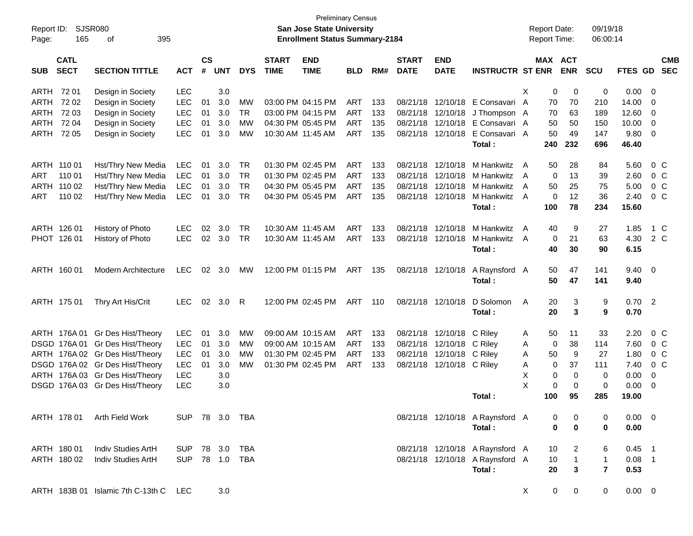| Report ID:<br>Page: | 165                        | <b>SJSR080</b><br>395<br>оf       |                |                |            |            |                             | San Jose State University<br><b>Enrollment Status Summary-2184</b> | <b>Preliminary Census</b> |       |                             |                           |                                 |   | <b>Report Date:</b><br><b>Report Time:</b> |                | 09/19/18<br>06:00:14 |                |                          |                          |
|---------------------|----------------------------|-----------------------------------|----------------|----------------|------------|------------|-----------------------------|--------------------------------------------------------------------|---------------------------|-------|-----------------------------|---------------------------|---------------------------------|---|--------------------------------------------|----------------|----------------------|----------------|--------------------------|--------------------------|
| <b>SUB</b>          | <b>CATL</b><br><b>SECT</b> | <b>SECTION TITTLE</b>             | <b>ACT</b>     | <b>CS</b><br># | <b>UNT</b> | <b>DYS</b> | <b>START</b><br><b>TIME</b> | <b>END</b><br><b>TIME</b>                                          | BLD                       | RM#   | <b>START</b><br><b>DATE</b> | <b>END</b><br><b>DATE</b> | <b>INSTRUCTR ST ENR</b>         |   | MAX ACT                                    | <b>ENR</b>     | <b>SCU</b>           | FTES GD        |                          | <b>CMB</b><br><b>SEC</b> |
| ARTH                | 72 01                      | Design in Society                 | <b>LEC</b>     |                | 3.0        |            |                             |                                                                    |                           |       |                             |                           |                                 | X | 0                                          | 0              | 0                    | 0.00           | $\overline{\phantom{0}}$ |                          |
| ARTH                | 7202                       | Design in Society                 | <b>LEC</b>     | 01             | 3.0        | МW         |                             | 03:00 PM 04:15 PM                                                  | ART                       | 133   |                             | 08/21/18 12/10/18         | E Consavari A                   |   | 70                                         | 70             | 210                  | 14.00          | $\overline{\mathbf{0}}$  |                          |
| ARTH                | 72 03                      | Design in Society                 | <b>LEC</b>     | 01             | 3.0        | <b>TR</b>  |                             | 03:00 PM 04:15 PM                                                  | ART                       | 133   |                             | 08/21/18 12/10/18         | J Thompson A                    |   | 70                                         | 63             | 189                  | 12.60          | $\overline{\mathbf{0}}$  |                          |
| ARTH                | 72 04                      | Design in Society                 | <b>LEC</b>     | 01             | 3.0        | <b>MW</b>  |                             | 04:30 PM 05:45 PM                                                  | <b>ART</b>                | 135   |                             | 08/21/18 12/10/18         | E Consavari A                   |   | 50                                         | 50             | 150                  | 10.00          | $\overline{\mathbf{0}}$  |                          |
| ARTH                | 72 05                      | Design in Society                 | <b>LEC</b>     | 01             | 3.0        | <b>MW</b>  |                             | 10:30 AM 11:45 AM                                                  | <b>ART</b>                | 135   |                             | 08/21/18 12/10/18         | E Consavari A                   |   | 50                                         | 49             | 147                  | 9.80           | $\overline{\phantom{0}}$ |                          |
|                     |                            |                                   |                |                |            |            |                             |                                                                    |                           |       |                             |                           | Total:                          |   | 240                                        | 232            | 696                  | 46.40          |                          |                          |
| ARTH 110 01         |                            | Hst/Thry New Media                | <b>LEC</b>     | 01             | 3.0        | TR         |                             | 01:30 PM 02:45 PM                                                  | ART                       | 133   |                             | 08/21/18 12/10/18         | M Hankwitz A                    |   | 50                                         | 28             | 84                   | 5.60           |                          | 0 <sup>o</sup>           |
| ART                 | 110 01                     | Hst/Thry New Media                | <b>LEC</b>     | 01             | 3.0        | <b>TR</b>  |                             | 01:30 PM 02:45 PM                                                  | ART                       | 133   | 08/21/18                    | 12/10/18                  | M Hankwitz                      | A | 0                                          | 13             | 39                   | 2.60           |                          | 0 <sup>o</sup>           |
|                     | ARTH 110 02                | Hst/Thry New Media                | LEC            | 01             | 3.0        | <b>TR</b>  |                             | 04:30 PM 05:45 PM                                                  | ART                       | 135   |                             | 08/21/18 12/10/18         | M Hankwitz                      | A | 50                                         | 25             | 75                   | 5.00           |                          | 0 <sup>o</sup>           |
| ART                 | 110 02                     | Hst/Thry New Media                | LEC            | 01             | 3.0        | <b>TR</b>  |                             | 04:30 PM 05:45 PM                                                  | ART                       | 135   |                             | 08/21/18 12/10/18         | M Hankwitz A                    |   | 0                                          | 12             | 36                   | 2.40           |                          | 0 <sup>o</sup>           |
|                     |                            |                                   |                |                |            |            |                             |                                                                    |                           |       |                             |                           | Total:                          |   | 100                                        | 78             | 234                  | 15.60          |                          |                          |
| ARTH 126 01         |                            | History of Photo                  | <b>LEC</b>     | 02             | 3.0        | <b>TR</b>  |                             | 10:30 AM 11:45 AM                                                  | ART                       | 133   |                             | 08/21/18 12/10/18         | M Hankwitz A                    |   | 40                                         | 9              | 27                   | 1.85           |                          | 1 C                      |
|                     | PHOT 126 01                | History of Photo                  | <b>LEC</b>     | 02             | 3.0        | <b>TR</b>  |                             | 10:30 AM 11:45 AM                                                  | ART                       | 133   |                             | 08/21/18 12/10/18         | M Hankwitz A                    |   | 0                                          | 21             | 63                   | 4.30           |                          | 2 C                      |
|                     |                            |                                   |                |                |            |            |                             |                                                                    |                           |       |                             |                           | Total:                          |   | 40                                         | 30             | 90                   | 6.15           |                          |                          |
|                     | ARTH 160 01                | Modern Architecture               | <b>LEC</b>     | 02             | 3.0        | MW         |                             | 12:00 PM 01:15 PM                                                  | ART                       | 135   |                             | 08/21/18 12/10/18         | A Raynsford A                   |   | 50                                         | 47             | 141                  | $9.40 \quad 0$ |                          |                          |
|                     |                            |                                   |                |                |            |            |                             |                                                                    |                           |       |                             |                           | Total:                          |   | 50                                         | 47             | 141                  | 9.40           |                          |                          |
|                     | ARTH 175 01                | Thry Art His/Crit                 | <b>LEC</b>     | 02             | 3.0        | - R        |                             | 12:00 PM 02:45 PM                                                  | <b>ART</b>                | - 110 |                             | 08/21/18 12/10/18         | D Solomon                       | A | 20                                         | 3              | 9                    | $0.70$ 2       |                          |                          |
|                     |                            |                                   |                |                |            |            |                             |                                                                    |                           |       |                             |                           | Total:                          |   | 20                                         | 3              | 9                    | 0.70           |                          |                          |
|                     |                            | ARTH 176A 01 Gr Des Hist/Theory   | <b>LEC</b>     | 01             | 3.0        | МW         |                             | 09:00 AM 10:15 AM                                                  | ART                       | 133   |                             | 08/21/18 12/10/18         | C Riley                         | A | 50                                         | 11             | 33                   | 2.20           |                          | 0 <sup>o</sup>           |
|                     |                            | DSGD 176A 01 Gr Des Hist/Theory   | <b>LEC</b>     | 01             | 3.0        | MW         |                             | 09:00 AM 10:15 AM                                                  | ART                       | 133   |                             | 08/21/18 12/10/18         | C Riley                         | A | 0                                          | 38             | 114                  | 7.60           |                          | 0 <sup>o</sup>           |
|                     |                            | ARTH 176A 02 Gr Des Hist/Theory   | <b>LEC</b>     | 01             | 3.0        | <b>MW</b>  |                             | 01:30 PM 02:45 PM                                                  | ART                       | 133   |                             | 08/21/18 12/10/18 C Riley |                                 | Α | 50                                         | 9              | 27                   | 1.80           |                          | 0 <sup>o</sup>           |
|                     |                            | DSGD 176A 02 Gr Des Hist/Theory   | <b>LEC</b>     | 01             | 3.0        | <b>MW</b>  |                             | 01:30 PM 02:45 PM                                                  | ART                       | 133   |                             | 08/21/18 12/10/18 C Riley |                                 | Α | 0                                          | 37             | 111                  | 7.40           |                          | $0\,C$                   |
|                     |                            | ARTH 176A 03 Gr Des Hist/Theory   | <b>LEC</b>     |                | 3.0        |            |                             |                                                                    |                           |       |                             |                           |                                 | Х | 0                                          | 0              | 0                    | 0.00           | $\mathbf 0$              |                          |
|                     |                            | DSGD 176A 03 Gr Des Hist/Theory   | <b>LEC</b>     |                | 3.0        |            |                             |                                                                    |                           |       |                             |                           |                                 | X | $\mathbf 0$                                | $\mathbf 0$    | 0                    | 0.00           | - 0                      |                          |
|                     |                            |                                   |                |                |            |            |                             |                                                                    |                           |       |                             |                           | Total :                         |   | 100                                        | 95             | 285                  | 19.00          |                          |                          |
|                     |                            | ARTH 178 01 Arth Field Work       | SUP 78 3.0 TBA |                |            |            |                             |                                                                    |                           |       |                             |                           | 08/21/18 12/10/18 A Raynsford A |   | 0                                          | 0              | 0                    | $0.00 \t 0$    |                          |                          |
|                     |                            |                                   |                |                |            |            |                             |                                                                    |                           |       |                             |                           | Total:                          |   | $\mathbf 0$                                | 0              | 0                    | 0.00           |                          |                          |
|                     | ARTH 180 01                | Indiv Studies ArtH                | SUP 78 3.0 TBA |                |            |            |                             |                                                                    |                           |       |                             |                           | 08/21/18 12/10/18 A Raynsford A |   | 10                                         | $\overline{a}$ | 6                    | $0.45$ 1       |                          |                          |
|                     | ARTH 180 02                | Indiv Studies ArtH                | SUP 78 1.0 TBA |                |            |            |                             |                                                                    |                           |       |                             |                           | 08/21/18 12/10/18 A Raynsford A |   | 10                                         | $\overline{1}$ | $\mathbf{1}$         | $0.08$ 1       |                          |                          |
|                     |                            |                                   |                |                |            |            |                             |                                                                    |                           |       |                             |                           | Total:                          |   | 20                                         | $\mathbf{3}$   | $\overline{7}$       | 0.53           |                          |                          |
|                     |                            | ARTH 183B 01 Islamic 7th C-13th C | LEC            |                | 3.0        |            |                             |                                                                    |                           |       |                             |                           |                                 | X | 0                                          | $\mathbf 0$    | $\mathbf 0$          | $0.00 \t 0$    |                          |                          |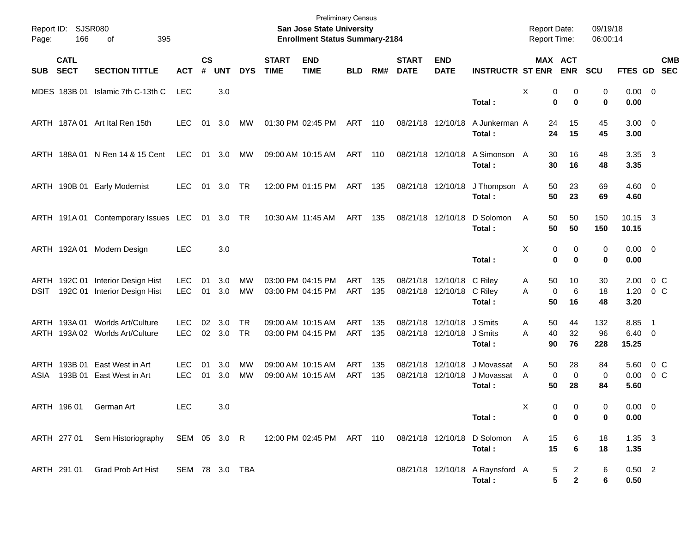| Page:        | Report ID: SJSR080<br>166  | 395<br>оf                                                         |                          |                    |            |                        |                             | <b>Preliminary Census</b><br>San Jose State University<br><b>Enrollment Status Summary-2184</b> |                   |            |                             |                               |                                           | <b>Report Date:</b><br>Report Time: |                                          | 09/19/18<br>06:00:14 |                                 |                            |
|--------------|----------------------------|-------------------------------------------------------------------|--------------------------|--------------------|------------|------------------------|-----------------------------|-------------------------------------------------------------------------------------------------|-------------------|------------|-----------------------------|-------------------------------|-------------------------------------------|-------------------------------------|------------------------------------------|----------------------|---------------------------------|----------------------------|
| <b>SUB</b>   | <b>CATL</b><br><b>SECT</b> | <b>SECTION TITTLE</b>                                             | <b>ACT</b>               | $\mathsf{cs}$<br># | <b>UNT</b> | <b>DYS</b>             | <b>START</b><br><b>TIME</b> | <b>END</b><br><b>TIME</b>                                                                       | <b>BLD</b>        | RM#        | <b>START</b><br><b>DATE</b> | <b>END</b><br><b>DATE</b>     | <b>INSTRUCTR ST ENR</b>                   |                                     | MAX ACT<br><b>ENR</b>                    | <b>SCU</b>           |                                 | <b>CMB</b><br>FTES GD SEC  |
|              |                            | MDES 183B 01 Islamic 7th C-13th C                                 | <b>LEC</b>               |                    | 3.0        |                        |                             |                                                                                                 |                   |            |                             |                               | Total:                                    | Х                                   | 0<br>0<br>$\mathbf 0$<br>0               | 0<br>0               | $0.00 \t 0$<br>0.00             |                            |
|              |                            | ARTH 187A 01 Art Ital Ren 15th                                    | <b>LEC</b>               | 01                 | 3.0        | МW                     |                             | 01:30 PM 02:45 PM                                                                               | ART 110           |            |                             | 08/21/18 12/10/18             | A Junkerman A<br>Total:                   | 24<br>24                            | 15<br>15                                 | 45<br>45             | $3.00 \ 0$<br>3.00              |                            |
|              |                            | ARTH 188A 01 N Ren 14 & 15 Cent                                   | LEC                      |                    | 01 3.0     | MW                     |                             | 09:00 AM 10:15 AM                                                                               | ART 110           |            |                             | 08/21/18 12/10/18             | A Simonson A<br>Total:                    | 30                                  | 16<br>16<br>30                           | 48<br>48             | $3.35 \quad 3$<br>3.35          |                            |
|              |                            | ARTH 190B 01 Early Modernist                                      | <b>LEC</b>               | 01                 | 3.0        | TR                     |                             | 12:00 PM 01:15 PM                                                                               | ART 135           |            | 08/21/18 12/10/18           |                               | J Thompson A<br>Total:                    | 50                                  | 23<br>50<br>23                           | 69<br>69             | $4.60$ 0<br>4.60                |                            |
|              |                            | ARTH 191A 01 Contemporary Issues LEC 01 3.0 TR                    |                          |                    |            |                        |                             | 10:30 AM 11:45 AM                                                                               | ART 135           |            | 08/21/18 12/10/18           |                               | D Solomon<br>Total:                       | 50<br>A                             | 50<br>50<br>50                           | 150<br>150           | 10.15 3<br>10.15                |                            |
|              |                            | ARTH 192A 01 Modern Design                                        | <b>LEC</b>               |                    | 3.0        |                        |                             |                                                                                                 |                   |            |                             |                               | Total:                                    | Х                                   | 0<br>0<br>$\bf{0}$<br>0                  | 0<br>0               | $0.00 \t 0$<br>0.00             |                            |
| <b>DSIT</b>  |                            | ARTH 192C 01 Interior Design Hist<br>192C 01 Interior Design Hist | <b>LEC</b><br><b>LEC</b> | 01<br>01           | 3.0<br>3.0 | MW<br><b>MW</b>        |                             | 03:00 PM 04:15 PM<br>03:00 PM 04:15 PM                                                          | ART<br>ART        | 135<br>135 | 08/21/18                    | 12/10/18<br>08/21/18 12/10/18 | C Riley<br>C Riley<br>Total:              | 50<br>A<br>A<br>50                  | 10<br>6<br>$\mathbf 0$<br>16             | 30<br>18<br>48       | 2.00<br>1.20<br>3.20            | 0 C<br>$0\,$ C             |
|              | ARTH 193A 01               | Worlds Art/Culture<br>ARTH 193A 02 Worlds Art/Culture             | LEC.<br><b>LEC</b>       | 02<br>02           | 3.0<br>3.0 | <b>TR</b><br><b>TR</b> |                             | 09:00 AM 10:15 AM<br>03:00 PM 04:15 PM                                                          | ART<br><b>ART</b> | 135<br>135 | 08/21/18                    | 12/10/18<br>08/21/18 12/10/18 | J Smits<br>J Smits<br>Total:              | A<br>40<br>A<br>90                  | 50<br>44<br>32<br>76                     | 132<br>96<br>228     | 8.85<br>$6.40 \quad 0$<br>15.25 | $\overline{\phantom{0}}$ 1 |
| ARTH<br>ASIA |                            | 193B 01 East West in Art<br>193B 01 East West in Art              | <b>LEC</b><br><b>LEC</b> | 01<br>01           | 3.0<br>3.0 | MW<br><b>MW</b>        |                             | 09:00 AM 10:15 AM<br>09:00 AM 10:15 AM                                                          | ART<br><b>ART</b> | 135<br>135 | 08/21/18<br>08/21/18        | 12/10/18<br>12/10/18          | J Movassat<br>J Movassat<br>Total:        | A<br>A<br>50                        | 50<br>28<br>$\mathbf 0$<br>0<br>28       | 84<br>0<br>84        | 5.60<br>0.00<br>5.60            | 0 C<br>0 <sup>o</sup>      |
|              |                            | ARTH 196 01 German Art                                            | LEC                      |                    | $3.0\,$    |                        |                             |                                                                                                 |                   |            |                             |                               | Total:                                    | X                                   | $\pmb{0}$<br>$\pmb{0}$<br>0<br>0         | 0<br>0               | $0.00 \t 0$<br>0.00             |                            |
|              | ARTH 277 01                | Sem Historiography                                                | SEM 05 3.0 R             |                    |            |                        |                             | 12:00 PM 02:45 PM ART 110                                                                       |                   |            | 08/21/18 12/10/18           |                               | D Solomon<br>Total:                       | A                                   | 15<br>6<br>$\bf 6$<br>15                 | 18<br>18             | $1.35 \quad 3$<br>1.35          |                            |
|              | ARTH 291 01                | Grad Prob Art Hist                                                | SEM 78 3.0 TBA           |                    |            |                        |                             |                                                                                                 |                   |            |                             |                               | 08/21/18 12/10/18 A Raynsford A<br>Total: |                                     | 5<br>$\overline{a}$<br>5<br>$\mathbf{2}$ | 6<br>6               | $0.50$ 2<br>0.50                |                            |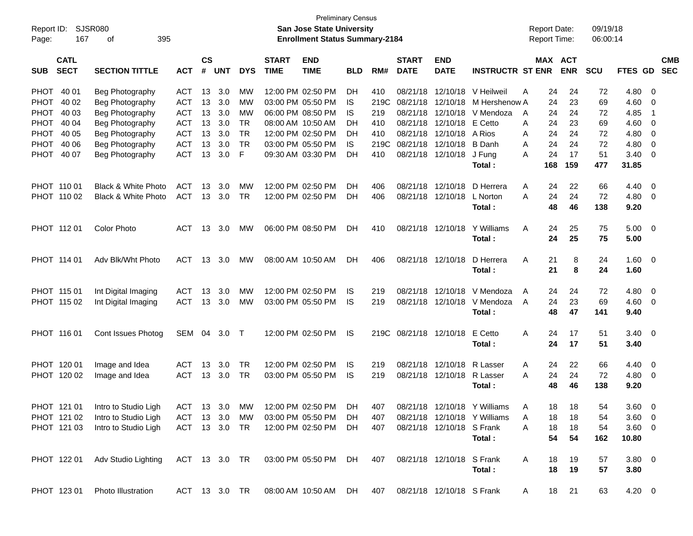| Report ID:<br>Page: | 167                        | <b>SJSR080</b><br>395<br>οf                                         |               |                    |            |            |                             | San Jose State University<br><b>Enrollment Status Summary-2184</b> | <b>Preliminary Census</b> |      |                             |                           |                              | <b>Report Date:</b><br>Report Time: |            | 09/19/18<br>06:00:14 |                |                          |  |
|---------------------|----------------------------|---------------------------------------------------------------------|---------------|--------------------|------------|------------|-----------------------------|--------------------------------------------------------------------|---------------------------|------|-----------------------------|---------------------------|------------------------------|-------------------------------------|------------|----------------------|----------------|--------------------------|--|
| <b>SUB</b>          | <b>CATL</b><br><b>SECT</b> | <b>SECTION TITTLE</b>                                               | <b>ACT</b>    | $\mathsf{cs}$<br># | <b>UNT</b> | <b>DYS</b> | <b>START</b><br><b>TIME</b> | <b>END</b><br><b>TIME</b>                                          | <b>BLD</b>                | RM#  | <b>START</b><br><b>DATE</b> | <b>END</b><br><b>DATE</b> | <b>INSTRUCTR ST ENR</b>      | <b>MAX ACT</b>                      | <b>ENR</b> | <b>SCU</b>           | <b>FTES GD</b> | <b>CMB</b><br><b>SEC</b> |  |
| <b>PHOT</b>         | 40 01                      | Beg Photography                                                     | <b>ACT</b>    | 13                 | 3.0        | МW         |                             | 12:00 PM 02:50 PM                                                  | DH                        | 410  | 08/21/18                    | 12/10/18                  | V Heilweil                   | 24<br>A                             | 24         | 72                   | 4.80           | $\overline{0}$           |  |
| <b>PHOT</b>         | 40 02                      | Beg Photography                                                     | <b>ACT</b>    | 13                 | 3.0        | МW         |                             | 03:00 PM 05:50 PM                                                  | IS.                       | 219C | 08/21/18                    | 12/10/18                  | M Hershenow A                | 24                                  | 23         | 69                   | 4.60           | 0                        |  |
| <b>PHOT</b>         | 40 03                      | Beg Photography                                                     | <b>ACT</b>    | 13                 | 3.0        | MW         |                             | 06:00 PM 08:50 PM                                                  | IS                        | 219  | 08/21/18                    | 12/10/18                  | V Mendoza                    | 24<br>A                             | 24         | 72                   | 4.85           | -1                       |  |
| <b>PHOT</b>         | 40 04                      | Beg Photography                                                     | <b>ACT</b>    | 13                 | 3.0        | TR         |                             | 08:00 AM 10:50 AM                                                  | DН                        | 410  |                             | 08/21/18 12/10/18         | E Cetto                      | 24<br>A                             | 23         | 69                   | 4.60           | 0                        |  |
| <b>PHOT</b>         | 40 05                      | Beg Photography                                                     | <b>ACT</b>    | 13                 | 3.0        | TR         |                             | 12:00 PM 02:50 PM                                                  | DН                        | 410  |                             | 08/21/18 12/10/18         | A Rios                       | 24<br>A                             | 24         | 72                   | 4.80           | 0                        |  |
| <b>PHOT</b>         | 40 06                      | Beg Photography                                                     | <b>ACT</b>    | 13                 | 3.0        | <b>TR</b>  |                             | 03:00 PM 05:50 PM                                                  | IS                        | 219C | 08/21/18                    | 12/10/18                  | <b>B</b> Danh                | 24<br>Α                             | 24         | 72                   | 4.80           | 0                        |  |
| <b>PHOT</b>         | 40 07                      | Beg Photography                                                     | <b>ACT</b>    | 13                 | 3.0        | F          |                             | 09:30 AM 03:30 PM                                                  | DН                        | 410  |                             | 08/21/18 12/10/18         | J Fung                       | 24<br>Α                             | 17         | 51                   | 3.40           | $\mathbf 0$              |  |
|                     |                            |                                                                     |               |                    |            |            |                             |                                                                    |                           |      |                             |                           | Total:                       | 168                                 | 159        | 477                  | 31.85          |                          |  |
|                     | PHOT 110 01                | <b>Black &amp; White Photo</b>                                      | <b>ACT</b>    | 13                 | 3.0        | МW         |                             | 12:00 PM 02:50 PM                                                  | DН                        | 406  | 08/21/18                    | 12/10/18                  | D Herrera                    | 24<br>A                             | 22         | 66                   | 4.40           | $\overline{0}$           |  |
|                     | PHOT 110 02                | <b>Black &amp; White Photo</b>                                      | <b>ACT</b>    | 13                 | 3.0        | <b>TR</b>  |                             | 12:00 PM 02:50 PM                                                  | DН                        | 406  |                             | 08/21/18 12/10/18         | L Norton                     | 24<br>Α                             | 24         | 72                   | 4.80           | $\overline{0}$           |  |
|                     |                            |                                                                     |               |                    |            |            |                             |                                                                    |                           |      |                             |                           | Total:                       | 48                                  | 46         | 138                  | 9.20           |                          |  |
|                     | PHOT 11201                 | <b>Color Photo</b>                                                  | ACT           | 13                 | 3.0        | MW         |                             | 06:00 PM 08:50 PM                                                  | DН                        | 410  |                             | 08/21/18 12/10/18         | Y Williams                   | A<br>24                             | 25         | 75                   | 5.00           | - 0                      |  |
|                     |                            |                                                                     |               |                    |            |            |                             |                                                                    |                           |      |                             |                           | Total:                       | 24                                  | 25         | 75                   | 5.00           |                          |  |
|                     | PHOT 114 01                | Adv Blk/Wht Photo                                                   | <b>ACT</b>    | 13                 | 3.0        | MW         |                             | 08:00 AM 10:50 AM                                                  | DН                        | 406  |                             | 08/21/18 12/10/18         | D Herrera                    | Α<br>21                             | 8          | 24                   | 1.60           | $\overline{\mathbf{0}}$  |  |
|                     |                            |                                                                     |               |                    |            |            |                             |                                                                    |                           |      |                             |                           | Total:                       | 21                                  | 8          | 24                   | 1.60           |                          |  |
|                     | PHOT 115 01                | Int Digital Imaging                                                 | <b>ACT</b>    | 13                 | 3.0        | МW         |                             | 12:00 PM 02:50 PM                                                  | IS                        | 219  | 08/21/18                    | 12/10/18                  | V Mendoza                    | 24<br>A                             | 24         | 72                   | 4.80           | 0                        |  |
|                     | PHOT 115 02                | Int Digital Imaging                                                 | <b>ACT</b>    | 13                 | 3.0        | MW         |                             | 03:00 PM 05:50 PM                                                  | IS                        | 219  |                             | 08/21/18 12/10/18         | V Mendoza                    | 24<br>A                             | 23         | 69                   | 4.60           | $\overline{0}$           |  |
|                     |                            |                                                                     |               |                    |            |            |                             |                                                                    |                           |      |                             |                           | Total:                       | 48                                  | 47         | 141                  | 9.40           |                          |  |
|                     | PHOT 116 01                | Cont Issues Photog                                                  | SEM 04        |                    | 3.0        | $\top$     |                             | 12:00 PM 02:50 PM                                                  | 1S                        |      | 219C 08/21/18 12/10/18      |                           | E Cetto                      | A<br>24                             | 17         | 51                   | 3.40           | - 0                      |  |
|                     |                            |                                                                     |               |                    |            |            |                             |                                                                    |                           |      |                             |                           | Total:                       | 24                                  | 17         | 51                   | 3.40           |                          |  |
|                     | PHOT 120 01                | Image and Idea                                                      | ACT           | 13                 | 3.0        | TR         |                             | 12:00 PM 02:50 PM                                                  | IS                        | 219  | 08/21/18                    | 12/10/18                  | R Lasser                     | 24<br>A                             | 22         | 66                   | 4.40           | 0                        |  |
|                     | PHOT 120 02                | Image and Idea                                                      | <b>ACT</b>    | 13                 | 3.0        | <b>TR</b>  |                             | 03:00 PM 05:50 PM                                                  | IS                        | 219  |                             | 08/21/18 12/10/18         | R Lasser                     | 24<br>Α                             | 24         | 72                   | 4.80           | $\mathbf 0$              |  |
|                     |                            |                                                                     |               |                    |            |            |                             |                                                                    |                           |      |                             |                           | Total:                       | 48                                  | 46         | 138                  | 9.20           |                          |  |
|                     |                            | PHOT 121 01 Intro to Studio Ligh ACT 13 3.0 MW 12:00 PM 02:50 PM DH |               |                    |            |            |                             |                                                                    |                           | 407  |                             |                           | 08/21/18 12/10/18 Y Williams | 18<br>A                             | 18         | 54                   | 3.60 0         |                          |  |
|                     | PHOT 121 02                | Intro to Studio Ligh                                                | ACT           |                    | 13 3.0     | МW         |                             | 03:00 PM 05:50 PM                                                  | DH                        | 407  |                             |                           | 08/21/18 12/10/18 Y Williams | Α<br>18                             | 18         | 54                   | $3.60 \quad 0$ |                          |  |
|                     | PHOT 121 03                | Intro to Studio Ligh                                                | ACT 13 3.0 TR |                    |            |            |                             | 12:00 PM 02:50 PM                                                  | DH                        | 407  |                             | 08/21/18 12/10/18 S Frank |                              | Α<br>18                             | 18         | 54                   | $3.60 \ 0$     |                          |  |
|                     |                            |                                                                     |               |                    |            |            |                             |                                                                    |                           |      |                             |                           | Total:                       | 54                                  | 54         | 162                  | 10.80          |                          |  |
|                     | PHOT 122 01                | Adv Studio Lighting                                                 | ACT 13 3.0 TR |                    |            |            |                             | 03:00 PM 05:50 PM                                                  | DH.                       | 407  |                             | 08/21/18 12/10/18 S Frank |                              | A<br>18                             | 19         | 57                   | $3.80\ 0$      |                          |  |
|                     |                            |                                                                     |               |                    |            |            |                             |                                                                    |                           |      |                             |                           | Total:                       | 18                                  | 19         | 57                   | 3.80           |                          |  |
|                     | PHOT 123 01                | Photo Illustration                                                  | ACT 13 3.0 TR |                    |            |            |                             | 08:00 AM 10:50 AM                                                  | DH                        | 407  |                             | 08/21/18 12/10/18 S Frank |                              | 18<br>A                             | 21         | 63                   | 4.20 0         |                          |  |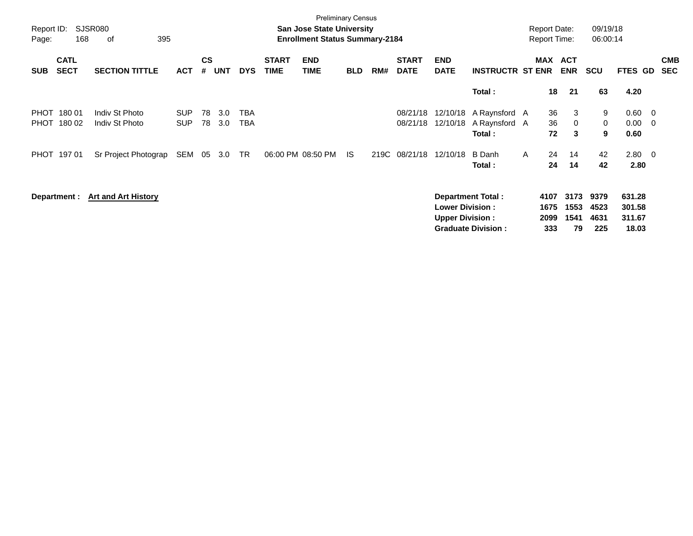| Report ID:<br>Page: | 168                        | SJSR080<br>395<br>οf             |                          |                    |            |                          |                             | <b>Preliminary Census</b><br><b>San Jose State University</b><br><b>Enrollment Status Summary-2184</b> |            |     |                             |                                                  |                                                       |              | <b>Report Date:</b><br><b>Report Time:</b> |                            | 09/19/18<br>06:00:14        |                                     |                                 |
|---------------------|----------------------------|----------------------------------|--------------------------|--------------------|------------|--------------------------|-----------------------------|--------------------------------------------------------------------------------------------------------|------------|-----|-----------------------------|--------------------------------------------------|-------------------------------------------------------|--------------|--------------------------------------------|----------------------------|-----------------------------|-------------------------------------|---------------------------------|
| <b>SUB</b>          | <b>CATL</b><br><b>SECT</b> | <b>SECTION TITTLE</b>            | <b>ACT</b>               | $\mathsf{cs}$<br># | <b>UNT</b> | <b>DYS</b>               | <b>START</b><br><b>TIME</b> | <b>END</b><br><b>TIME</b>                                                                              | <b>BLD</b> | RM# | <b>START</b><br><b>DATE</b> | <b>END</b><br><b>DATE</b>                        | <b>INSTRUCTR ST ENR</b>                               |              | MAX                                        | <b>ACT</b><br><b>ENR</b>   | <b>SCU</b>                  | FTES GD                             | <b>CMB</b><br><b>SEC</b>        |
|                     |                            |                                  |                          |                    |            |                          |                             |                                                                                                        |            |     |                             |                                                  | Total:                                                |              | 18                                         | 21                         | 63                          | 4.20                                |                                 |
| <b>PHOT</b><br>PHOT | 180 01<br>180 02           | Indiv St Photo<br>Indiv St Photo | <b>SUP</b><br><b>SUP</b> | 78<br>78           | 3.0<br>3.0 | <b>TBA</b><br><b>TBA</b> |                             |                                                                                                        |            |     | 08/21/18<br>08/21/18        | 12/10/18                                         | 12/10/18 A Raynsford A<br>A Raynsford A<br>Total:     |              | 36<br>36<br>72                             | 3<br>$\mathbf{0}$<br>3     | 9<br>0<br>9                 | 0.60<br>0.00<br>0.60                | $\overline{\phantom{0}}$<br>- 0 |
|                     | PHOT 197 01                | Sr Project Photograp             | SEM                      | 05                 | 3.0        | TR                       |                             | 06:00 PM 08:50 PM                                                                                      | IS.        |     | 219C 08/21/18               | 12/10/18                                         | B Danh<br>Total:                                      | $\mathsf{A}$ | 24<br>24                                   | 14<br>14                   | 42<br>42                    | $2.80 \ 0$<br>2.80                  |                                 |
|                     | Department :               | <b>Art and Art History</b>       |                          |                    |            |                          |                             |                                                                                                        |            |     |                             | <b>Lower Division:</b><br><b>Upper Division:</b> | <b>Department Total:</b><br><b>Graduate Division:</b> |              | 4107<br>1675<br>2099<br>333                | 3173<br>1553<br>1541<br>79 | 9379<br>4523<br>4631<br>225 | 631.28<br>301.58<br>311.67<br>18.03 |                                 |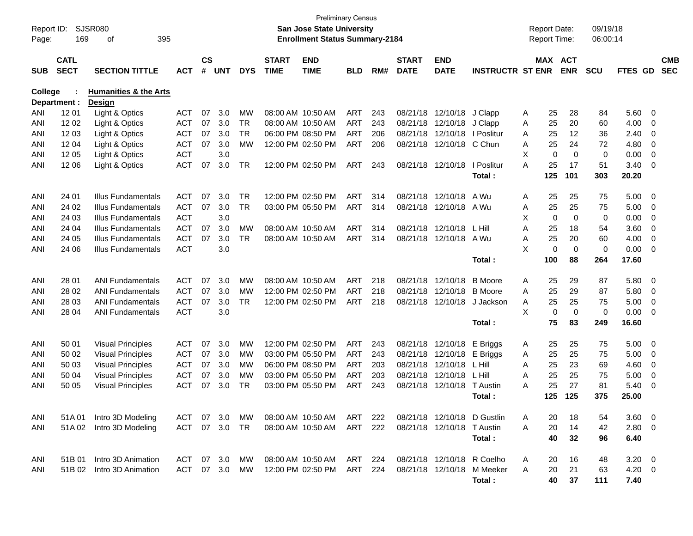| Report ID:<br>Page: | <b>SJSR080</b><br>169      | 395                                               |            |                    |            |            | <b>Preliminary Census</b><br><b>San Jose State University</b><br><b>Enrollment Status Summary-2184</b> |                           |            |     |                             |                             |                         | <b>Report Date:</b><br>Report Time: |             | 09/19/18<br>06:00:14 |             |               |                          |                          |
|---------------------|----------------------------|---------------------------------------------------|------------|--------------------|------------|------------|--------------------------------------------------------------------------------------------------------|---------------------------|------------|-----|-----------------------------|-----------------------------|-------------------------|-------------------------------------|-------------|----------------------|-------------|---------------|--------------------------|--------------------------|
| <b>SUB</b>          | <b>CATL</b><br><b>SECT</b> | <b>SECTION TITTLE</b>                             | <b>ACT</b> | $\mathsf{cs}$<br># | <b>UNT</b> | <b>DYS</b> | <b>START</b><br><b>TIME</b>                                                                            | <b>END</b><br><b>TIME</b> | <b>BLD</b> | RM# | <b>START</b><br><b>DATE</b> | <b>END</b><br><b>DATE</b>   | <b>INSTRUCTR ST ENR</b> |                                     | MAX ACT     | <b>ENR</b>           | SCU         | FTES GD       |                          | <b>CMB</b><br><b>SEC</b> |
| <b>College</b>      | Department :               | <b>Humanities &amp; the Arts</b><br><b>Design</b> |            |                    |            |            |                                                                                                        |                           |            |     |                             |                             |                         |                                     |             |                      |             |               |                          |                          |
| ANI                 | 1201                       | Light & Optics                                    | <b>ACT</b> | 07                 | 3.0        | МW         | 08:00 AM 10:50 AM                                                                                      |                           | ART        | 243 | 08/21/18                    | 12/10/18                    | J Clapp                 | A                                   | 25          | 28                   | 84          | 5.60          | 0                        |                          |
| ANI                 | 12 02                      | Light & Optics                                    | <b>ACT</b> | 07                 | 3.0        | <b>TR</b>  | 08:00 AM 10:50 AM                                                                                      |                           | <b>ART</b> | 243 | 08/21/18                    | 12/10/18                    | J Clapp                 | Α                                   | 25          | 20                   | 60          | 4.00          | 0                        |                          |
| ANI                 | 12 03                      | Light & Optics                                    | <b>ACT</b> | 07                 | 3.0        | <b>TR</b>  |                                                                                                        | 06:00 PM 08:50 PM         | <b>ART</b> | 206 | 08/21/18                    | 12/10/18                    | I Poslitur              | A                                   | 25          | 12                   | 36          | 2.40          | 0                        |                          |
| ANI                 | 1204                       | Light & Optics                                    | <b>ACT</b> | 07                 | 3.0        | <b>MW</b>  |                                                                                                        | 12:00 PM 02:50 PM         | <b>ART</b> | 206 | 08/21/18                    | 12/10/18                    | C Chun                  | A                                   | 25          | 24                   | 72          | 4.80          | 0                        |                          |
| ANI                 | 12 05                      | Light & Optics                                    | <b>ACT</b> |                    | 3.0        |            |                                                                                                        |                           |            |     |                             |                             |                         | X                                   | $\mathbf 0$ | $\mathbf 0$          | $\mathbf 0$ | 0.00          | $\mathbf 0$              |                          |
| ANI                 | 12 06                      | Light & Optics                                    | <b>ACT</b> | 07                 | 3.0        | <b>TR</b>  |                                                                                                        | 12:00 PM 02:50 PM         | <b>ART</b> | 243 | 08/21/18                    | 12/10/18                    | I Poslitur<br>Total:    | A                                   | 25<br>125   | 17<br>101            | 51<br>303   | 3.40<br>20.20 | 0                        |                          |
| ANI                 | 24 01                      | Illus Fundamentals                                | <b>ACT</b> | 07                 | 3.0        | <b>TR</b>  |                                                                                                        | 12:00 PM 02:50 PM         | <b>ART</b> | 314 | 08/21/18                    | 12/10/18                    | A Wu                    | Α                                   | 25          | 25                   | 75          | 5.00          | 0                        |                          |
| ANI                 | 24 02                      | Illus Fundamentals                                | <b>ACT</b> | 07                 | 3.0        | <b>TR</b>  |                                                                                                        | 03:00 PM 05:50 PM         | <b>ART</b> | 314 | 08/21/18                    | 12/10/18                    | A Wu                    | Α                                   | 25          | 25                   | 75          | 5.00          | 0                        |                          |
| ANI                 | 24 03                      | <b>Illus Fundamentals</b>                         | <b>ACT</b> |                    | 3.0        |            |                                                                                                        |                           |            |     |                             |                             |                         | X                                   | 0           | $\mathbf 0$          | 0           | 0.00          | 0                        |                          |
| ANI                 | 24 04                      | Illus Fundamentals                                | <b>ACT</b> | 07                 | 3.0        | <b>MW</b>  | 08:00 AM 10:50 AM                                                                                      |                           | <b>ART</b> | 314 | 08/21/18                    | 12/10/18                    | L Hill                  | A                                   | 25          | 18                   | 54          | 3.60          | 0                        |                          |
| ANI                 | 24 05                      | Illus Fundamentals                                | <b>ACT</b> | 07                 | 3.0        | <b>TR</b>  |                                                                                                        | 08:00 AM 10:50 AM         | <b>ART</b> | 314 | 08/21/18                    | 12/10/18                    | A Wu                    | A                                   | 25          | 20                   | 60          | 4.00          | 0                        |                          |
| ANI                 | 24 06                      | <b>Illus Fundamentals</b>                         | <b>ACT</b> |                    | 3.0        |            |                                                                                                        |                           |            |     |                             |                             |                         | X                                   | 0           | $\mathbf 0$          | $\mathbf 0$ | 0.00          | 0                        |                          |
|                     |                            |                                                   |            |                    |            |            |                                                                                                        |                           |            |     |                             |                             | Total:                  |                                     | 100         | 88                   | 264         | 17.60         |                          |                          |
| ANI                 | 28 01                      | <b>ANI Fundamentals</b>                           | <b>ACT</b> | 07                 | 3.0        | MW         | 08:00 AM 10:50 AM                                                                                      |                           | <b>ART</b> | 218 | 08/21/18                    | 12/10/18                    | <b>B</b> Moore          | Α                                   | 25          | 29                   | 87          | 5.80          | 0                        |                          |
| ANI                 | 28 02                      | <b>ANI Fundamentals</b>                           | <b>ACT</b> | 07                 | 3.0        | <b>MW</b>  |                                                                                                        | 12:00 PM 02:50 PM         | ART        | 218 | 08/21/18                    | 12/10/18                    | <b>B</b> Moore          | A                                   | 25          | 29                   | 87          | 5.80          | 0                        |                          |
| ANI                 | 28 03                      | <b>ANI Fundamentals</b>                           | <b>ACT</b> | 07                 | 3.0        | <b>TR</b>  |                                                                                                        | 12:00 PM 02:50 PM         | <b>ART</b> | 218 | 08/21/18                    | 12/10/18                    | J Jackson               | A                                   | 25          | 25                   | 75          | 5.00          | 0                        |                          |
| ANI                 | 28 04                      | <b>ANI Fundamentals</b>                           | <b>ACT</b> |                    | 3.0        |            |                                                                                                        |                           |            |     |                             |                             |                         | X                                   | $\mathbf 0$ | $\mathbf 0$          | $\mathbf 0$ | 0.00          | 0                        |                          |
|                     |                            |                                                   |            |                    |            |            |                                                                                                        |                           |            |     |                             |                             | Total:                  |                                     | 75          | 83                   | 249         | 16.60         |                          |                          |
| ANI                 | 50 01                      | <b>Visual Principles</b>                          | <b>ACT</b> | 07                 | 3.0        | MW         |                                                                                                        | 12:00 PM 02:50 PM         | <b>ART</b> | 243 | 08/21/18                    | 12/10/18                    | E Briggs                | A                                   | 25          | 25                   | 75          | 5.00          | 0                        |                          |
| ANI                 | 50 02                      | <b>Visual Principles</b>                          | <b>ACT</b> | 07                 | 3.0        | МW         |                                                                                                        | 03:00 PM 05:50 PM         | ART        | 243 | 08/21/18                    | 12/10/18                    | E Briggs                | Α                                   | 25          | 25                   | 75          | 5.00          | 0                        |                          |
| ANI                 | 50 03                      | <b>Visual Principles</b>                          | <b>ACT</b> | 07                 | 3.0        | <b>MW</b>  |                                                                                                        | 06:00 PM 08:50 PM         | <b>ART</b> | 203 | 08/21/18                    | 12/10/18                    | L Hill                  | A                                   | 25          | 23                   | 69          | 4.60          | 0                        |                          |
| ANI                 | 50 04                      | <b>Visual Principles</b>                          | <b>ACT</b> | 07                 | 3.0        | <b>MW</b>  |                                                                                                        | 03:00 PM 05:50 PM         | <b>ART</b> | 203 | 08/21/18                    | 12/10/18                    | L Hill                  | A                                   | 25          | 25                   | 75          | 5.00          | 0                        |                          |
| ANI                 | 50 05                      | <b>Visual Principles</b>                          | <b>ACT</b> | 07                 | 3.0        | TR         |                                                                                                        | 03:00 PM 05:50 PM         | ART        | 243 | 08/21/18                    | 12/10/18                    | <b>T</b> Austin         | A                                   | 25          | 27                   | 81          | 5.40          | 0                        |                          |
|                     |                            |                                                   |            |                    |            |            |                                                                                                        |                           |            |     |                             |                             | Total:                  |                                     | 125         | 125                  | 375         | 25.00         |                          |                          |
| ANI                 | 51A 01                     | Intro 3D Modeling                                 | ACT        |                    | 07 3.0     | МW         |                                                                                                        | 08:00 AM 10:50 AM         | ART        | 222 |                             | 08/21/18 12/10/18 D Gustlin |                         | A                                   | 20          | 18                   | 54          | 3.60          | $\overline{\phantom{0}}$ |                          |
| ANI                 | 51A02                      | Intro 3D Modeling                                 | ACT        |                    | 07 3.0     | TR         |                                                                                                        | 08:00 AM 10:50 AM         | ART        | 222 |                             | 08/21/18 12/10/18           | T Austin                | A                                   | 20          | 14                   | 42          | 2.80 0        |                          |                          |
|                     |                            |                                                   |            |                    |            |            |                                                                                                        |                           |            |     |                             |                             | Total:                  |                                     | 40          | 32                   | 96          | 6.40          |                          |                          |
| ANI                 | 51B 01                     | Intro 3D Animation                                | ACT        |                    | 07 3.0     | МW         |                                                                                                        | 08:00 AM 10:50 AM         | ART        | 224 |                             | 08/21/18 12/10/18 R Coelho  |                         | A                                   | 20          | 16                   | 48          | $3.20 \ 0$    |                          |                          |
| ANI                 | 51B 02                     | Intro 3D Animation                                | ACT        |                    | 07 3.0     | MW         |                                                                                                        | 12:00 PM 02:50 PM         | ART        | 224 |                             | 08/21/18 12/10/18           | M Meeker                | A                                   | 20          | 21                   | 63          | 4.20 0        |                          |                          |
|                     |                            |                                                   |            |                    |            |            |                                                                                                        |                           |            |     |                             |                             | Total:                  |                                     | 40          | 37                   | 111         | 7.40          |                          |                          |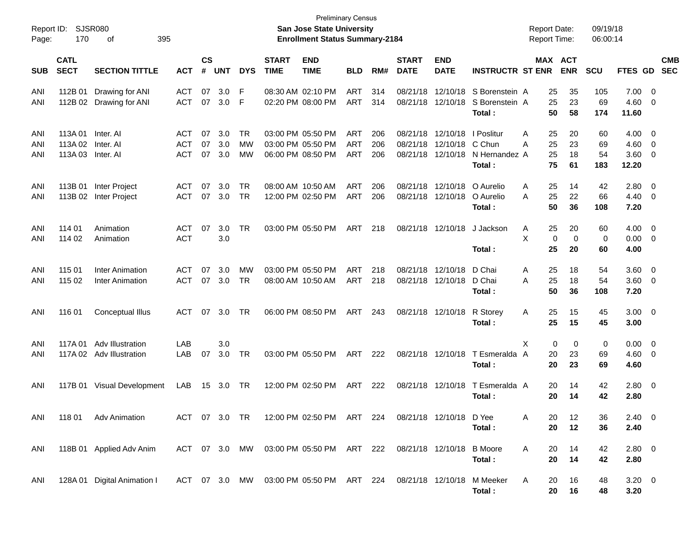| Report ID:<br>Page: | 170                           | SJSR080<br>395<br>оf                                |                                        |                    |                   |                              |                             | <b>Preliminary Census</b><br><b>San Jose State University</b><br><b>Enrollment Status Summary-2184</b> |                                        |                   |                                  |                                  |                                                 | <b>Report Date:</b><br><b>Report Time:</b> |                              | 09/19/18<br>06:00:14  |                               |                                                    |                          |
|---------------------|-------------------------------|-----------------------------------------------------|----------------------------------------|--------------------|-------------------|------------------------------|-----------------------------|--------------------------------------------------------------------------------------------------------|----------------------------------------|-------------------|----------------------------------|----------------------------------|-------------------------------------------------|--------------------------------------------|------------------------------|-----------------------|-------------------------------|----------------------------------------------------|--------------------------|
| <b>SUB</b>          | <b>CATL</b><br><b>SECT</b>    | <b>SECTION TITTLE</b>                               | <b>ACT</b>                             | $\mathsf{cs}$<br># | <b>UNT</b>        | <b>DYS</b>                   | <b>START</b><br><b>TIME</b> | <b>END</b><br><b>TIME</b>                                                                              | <b>BLD</b>                             | RM#               | <b>START</b><br><b>DATE</b>      | <b>END</b><br><b>DATE</b>        | <b>INSTRUCTR ST ENR</b>                         |                                            | <b>MAX ACT</b><br><b>ENR</b> | <b>SCU</b>            | FTES GD                       |                                                    | <b>CMB</b><br><b>SEC</b> |
| ANI<br>ANI          | 112B 01                       | Drawing for ANI<br>112B 02 Drawing for ANI          | <b>ACT</b><br><b>ACT</b>               | 07<br>07           | 3.0<br>3.0        | F<br>F                       |                             | 08:30 AM 02:10 PM<br>02:20 PM 08:00 PM                                                                 | <b>ART</b><br><b>ART</b>               | 314<br>314        | 08/21/18<br>08/21/18             | 12/10/18<br>12/10/18             | S Borenstein A<br>S Borenstein A<br>Total:      | 25<br>25<br>50                             | 35<br>23<br>58               | 105<br>69<br>174      | 7.00<br>4.60<br>11.60         | $\overline{\mathbf{0}}$<br>0                       |                          |
| ANI<br>ANI<br>ANI   | 113A 01<br>113A 02<br>113A 03 | Inter, AI<br>Inter. AI<br>Inter. Al                 | <b>ACT</b><br><b>ACT</b><br><b>ACT</b> | 07<br>07<br>07     | 3.0<br>3.0<br>3.0 | <b>TR</b><br>МW<br><b>MW</b> | 03:00 PM 05:50 PM           | 03:00 PM 05:50 PM<br>06:00 PM 08:50 PM                                                                 | <b>ART</b><br><b>ART</b><br><b>ART</b> | 206<br>206<br>206 | 08/21/18<br>08/21/18<br>08/21/18 | 12/10/18<br>12/10/18<br>12/10/18 | I Poslitur<br>C Chun<br>N Hernandez A<br>Total: | Α<br>25<br>25<br>Α<br>25<br>75             | 20<br>23<br>18<br>61         | 60<br>69<br>54<br>183 | 4.00<br>4.60<br>3.60<br>12.20 | 0<br>0<br>0                                        |                          |
| ANI<br>ANI          | 113B 01                       | Inter Project<br>113B 02 Inter Project              | <b>ACT</b><br><b>ACT</b>               | 07<br>07           | 3.0<br>3.0        | <b>TR</b><br><b>TR</b>       |                             | 08:00 AM 10:50 AM<br>12:00 PM 02:50 PM                                                                 | <b>ART</b><br><b>ART</b>               | 206<br>206        | 08/21/18<br>08/21/18             | 12/10/18<br>12/10/18             | O Aurelio<br>O Aurelio<br>Total:                | Α<br>25<br>25<br>A<br>50                   | 14<br>22<br>36               | 42<br>66<br>108       | 2.80<br>4.40<br>7.20          | 0<br>0                                             |                          |
| ANI<br>ANI          | 114 01<br>114 02              | Animation<br>Animation                              | <b>ACT</b><br><b>ACT</b>               | 07                 | 3.0<br>3.0        | <b>TR</b>                    |                             | 03:00 PM 05:50 PM                                                                                      | <b>ART</b>                             | 218               | 08/21/18                         | 12/10/18                         | J Jackson<br>Total:                             | 25<br>Α<br>X<br>25                         | 20<br>0<br>0<br>20           | 60<br>0<br>60         | 4.00<br>0.00<br>4.00          | $\overline{\mathbf{0}}$<br>$\overline{\mathbf{0}}$ |                          |
| ANI<br>ANI          | 115 01<br>115 02              | <b>Inter Animation</b><br>Inter Animation           | <b>ACT</b><br><b>ACT</b>               | 07<br>07           | 3.0<br>3.0        | <b>MW</b><br><b>TR</b>       |                             | 03:00 PM 05:50 PM<br>08:00 AM 10:50 AM                                                                 | <b>ART</b><br><b>ART</b>               | 218<br>218        | 08/21/18<br>08/21/18             | 12/10/18<br>12/10/18             | D Chai<br>D Chai<br>Total:                      | Α<br>25<br>25<br>A<br>50                   | 18<br>18<br>36               | 54<br>54<br>108       | 3.60<br>3.60<br>7.20          | $\overline{\mathbf{0}}$<br>0                       |                          |
| ANI                 | 116 01                        | <b>Conceptual Illus</b>                             | <b>ACT</b>                             | 07                 | 3.0               | TR                           |                             | 06:00 PM 08:50 PM                                                                                      | ART                                    | 243               | 08/21/18                         | 12/10/18                         | R Storey<br>Total:                              | 25<br>Α<br>25                              | 15<br>15                     | 45<br>45              | $3.00 \ 0$<br>3.00            |                                                    |                          |
| ANI<br>ANI          | 117A 01                       | <b>Adv Illustration</b><br>117A 02 Adv Illustration | LAB<br>LAB                             | 07                 | 3.0<br>3.0        | TR                           |                             | 03:00 PM 05:50 PM                                                                                      | ART                                    | 222               |                                  | 08/21/18 12/10/18                | T Esmeralda A<br>Total:                         | Χ<br>20<br>20                              | 0<br>0<br>23<br>23           | 0<br>69<br>69         | 0.00<br>4.60<br>4.60          | $\overline{\mathbf{0}}$<br>0                       |                          |
| ANI                 |                               | 117B 01 Visual Development                          | LAB                                    | 15                 | 3.0               | TR                           |                             | 12:00 PM 02:50 PM                                                                                      | ART                                    | 222               | 08/21/18                         | 12/10/18                         | T Esmeralda A<br>Total:                         | 20<br>20                                   | 14<br>14                     | 42<br>42              | 2.80<br>2.80                  | $\overline{\mathbf{0}}$                            |                          |
| ANI                 |                               | 118 01 Adv Animation                                | ACT 07 3.0 TR                          |                    |                   |                              |                             | 12:00 PM 02:50 PM ART 224                                                                              |                                        |                   |                                  | 08/21/18 12/10/18 D Yee          | Total:                                          | 20<br>A<br>20                              | 12<br>12                     | 36<br>36              | $2.40 \ 0$<br>2.40            |                                                    |                          |
| ANI                 |                               | 118B 01 Applied Adv Anim                            |                                        |                    |                   |                              |                             | ACT 07 3.0 MW 03:00 PM 05:50 PM ART 222                                                                |                                        |                   | 08/21/18 12/10/18 B Moore        |                                  | Total:                                          | 20<br>A<br>20                              | 14<br>14                     | 42<br>42              | 2.80 0<br>2.80                |                                                    |                          |
| ANI                 |                               | 128A 01 Digital Animation I                         |                                        |                    |                   |                              |                             | ACT 07 3.0 MW 03:00 PM 05:50 PM ART 224                                                                |                                        |                   |                                  |                                  | 08/21/18 12/10/18 M Meeker<br>Total:            | A<br>20<br>20                              | 16<br>16                     | 48<br>48              | $3.20 \ 0$<br>3.20            |                                                    |                          |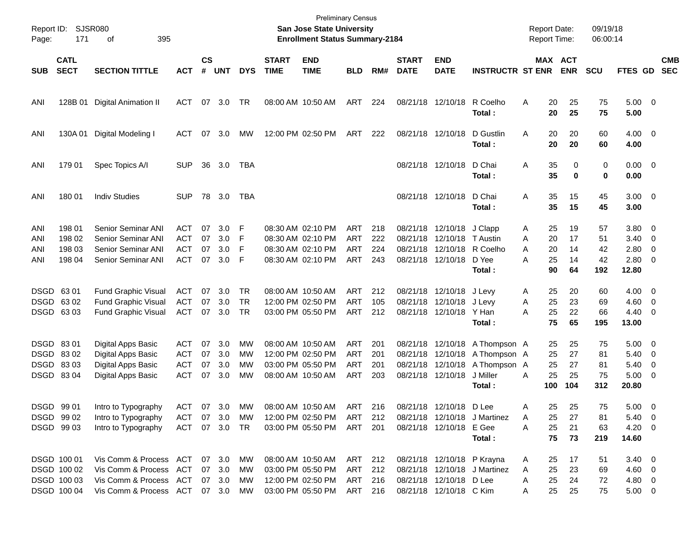| Page:                                             | Report ID: SJSR080<br>171                                | 395<br>οf                                                                                                                    |                                               |                      |                          |                               |                             | <b>Preliminary Census</b><br>San Jose State University<br><b>Enrollment Status Summary-2184</b> |                                               |                          |                             |                                                                                  |                                                                                               | <b>Report Date:</b><br><b>Report Time:</b>     |                                  | 09/19/18<br>06:00:14        |                                                        |                                                     |                          |
|---------------------------------------------------|----------------------------------------------------------|------------------------------------------------------------------------------------------------------------------------------|-----------------------------------------------|----------------------|--------------------------|-------------------------------|-----------------------------|-------------------------------------------------------------------------------------------------|-----------------------------------------------|--------------------------|-----------------------------|----------------------------------------------------------------------------------|-----------------------------------------------------------------------------------------------|------------------------------------------------|----------------------------------|-----------------------------|--------------------------------------------------------|-----------------------------------------------------|--------------------------|
| <b>SUB</b>                                        | <b>CATL</b><br><b>SECT</b>                               | <b>SECTION TITTLE</b>                                                                                                        | <b>ACT</b>                                    | $\mathsf{cs}$<br>#   | <b>UNT</b>               | <b>DYS</b>                    | <b>START</b><br><b>TIME</b> | <b>END</b><br><b>TIME</b>                                                                       | <b>BLD</b>                                    | RM#                      | <b>START</b><br><b>DATE</b> | <b>END</b><br><b>DATE</b>                                                        | <b>INSTRUCTR ST ENR</b>                                                                       |                                                | <b>MAX ACT</b><br><b>ENR</b>     | <b>SCU</b>                  | <b>FTES GD</b>                                         |                                                     | <b>CMB</b><br><b>SEC</b> |
| ANI                                               | 128B 01                                                  | <b>Digital Animation II</b>                                                                                                  | ACT                                           | 07                   | 3.0                      | TR                            |                             | 08:00 AM 10:50 AM                                                                               | ART                                           | 224                      |                             | 08/21/18 12/10/18                                                                | R Coelho<br>Total:                                                                            | 20<br>A<br>20                                  | 25<br>25                         | 75<br>75                    | $5.00 \t 0$<br>5.00                                    |                                                     |                          |
| ANI                                               | 130A 01                                                  | Digital Modeling I                                                                                                           | ACT                                           | 07                   | 3.0                      | МW                            |                             | 12:00 PM 02:50 PM                                                                               | ART                                           | 222                      | 08/21/18 12/10/18           |                                                                                  | D Gustlin<br>Total:                                                                           | 20<br>A<br>20                                  | 20<br>20                         | 60<br>60                    | $4.00 \ 0$<br>4.00                                     |                                                     |                          |
| ANI                                               | 179 01                                                   | Spec Topics A/I                                                                                                              | <b>SUP</b>                                    | 36                   | 3.0                      | TBA                           |                             |                                                                                                 |                                               |                          |                             | 08/21/18 12/10/18                                                                | D Chai<br>Total:                                                                              | 35<br>Α<br>35                                  |                                  | 0<br>0<br>$\bf{0}$<br>0     | $0.00 \t 0$<br>0.00                                    |                                                     |                          |
| ANI                                               | 180 01                                                   | <b>Indiv Studies</b>                                                                                                         | <b>SUP</b>                                    |                      | 78 3.0                   | TBA                           |                             |                                                                                                 |                                               |                          |                             | 08/21/18 12/10/18                                                                | D Chai<br>Total:                                                                              | 35<br>A<br>35                                  | 15<br>15                         | 45<br>45                    | $3.00 \ 0$<br>3.00                                     |                                                     |                          |
| ANI<br>ANI<br>ANI<br>ANI                          | 198 01<br>198 02<br>198 03<br>198 04                     | <b>Senior Seminar ANI</b><br>Senior Seminar ANI<br>Senior Seminar ANI<br>Senior Seminar ANI                                  | ACT<br><b>ACT</b><br><b>ACT</b><br><b>ACT</b> | 07<br>07<br>07<br>07 | 3.0<br>3.0<br>3.0<br>3.0 | F<br>F<br>F<br>F              |                             | 08:30 AM 02:10 PM<br>08:30 AM 02:10 PM<br>08:30 AM 02:10 PM<br>08:30 AM 02:10 PM                | ART<br><b>ART</b><br><b>ART</b><br>ART        | 218<br>222<br>224<br>243 |                             | 08/21/18 12/10/18<br>08/21/18 12/10/18<br>08/21/18 12/10/18<br>08/21/18 12/10/18 | J Clapp<br>T Austin<br>R Coelho<br>D Yee<br>Total:                                            | 25<br>Α<br>20<br>A<br>20<br>Α<br>A<br>25<br>90 | 19<br>17<br>14<br>14<br>64       | 57<br>51<br>42<br>42<br>192 | $3.80 \ 0$<br>3.40<br>2.80<br>$2.80 \t 0$<br>12.80     | $\overline{\phantom{0}}$<br>0                       |                          |
| DSGD 63 01<br>DSGD 6302                           | DSGD 6303                                                | Fund Graphic Visual<br>Fund Graphic Visual<br>Fund Graphic Visual                                                            | ACT<br><b>ACT</b><br>ACT                      | 07<br>07<br>07       | 3.0<br>3.0<br>3.0        | TR.<br><b>TR</b><br><b>TR</b> |                             | 08:00 AM 10:50 AM<br>12:00 PM 02:50 PM<br>03:00 PM 05:50 PM                                     | ART<br><b>ART</b><br>ART                      | 212<br>105<br>212        |                             | 08/21/18 12/10/18 J Levy<br>08/21/18 12/10/18<br>08/21/18 12/10/18 Y Han         | J Levy<br>Total:                                                                              | 25<br>Α<br>25<br>A<br>25<br>А<br>75            | 20<br>23<br>22<br>65             | 60<br>69<br>66<br>195       | $4.00 \ 0$<br>4.60<br>$4.40 \quad 0$<br>13.00          | $\overline{\mathbf{0}}$                             |                          |
| DSGD 8301<br>DSGD 8302<br>DSGD 8303<br>DSGD 83 04 |                                                          | Digital Apps Basic<br>Digital Apps Basic<br>Digital Apps Basic<br>Digital Apps Basic                                         | ACT<br>ACT<br>ACT<br><b>ACT</b>               | 07<br>07<br>07<br>07 | 3.0<br>3.0<br>3.0<br>3.0 | <b>MW</b><br>MW<br>MW<br>MW   |                             | 08:00 AM 10:50 AM<br>12:00 PM 02:50 PM<br>03:00 PM 05:50 PM<br>08:00 AM 10:50 AM                | ART<br><b>ART</b><br><b>ART</b><br><b>ART</b> | 201<br>201<br>201<br>203 | 08/21/18<br>08/21/18        | 12/10/18<br>08/21/18 12/10/18                                                    | 08/21/18 12/10/18 A Thompson A<br>12/10/18 A Thompson A<br>A Thompson A<br>J Miller<br>Total: | 25<br>25<br>25<br>25<br>A<br>100               | 25<br>27<br>27<br>25<br>104      | 75<br>81<br>81<br>75<br>312 | $5.00 \quad 0$<br>5.40<br>5.40<br>$5.00 \t 0$<br>20.80 | $\overline{\phantom{0}}$<br>$\overline{\mathbf{0}}$ |                          |
| DSGD 99 01                                        | DSGD 99 02<br>DSGD 99 03                                 | Intro to Typography<br>Intro to Typography<br>Intro to Typography                                                            | ACT<br>ACT<br>ACT 07 3.0 TR                   |                      | 07 3.0<br>07 3.0         | <b>MW</b><br>МW               |                             | 08:00 AM 10:50 AM<br>12:00 PM 02:50 PM<br>03:00 PM 05:50 PM                                     | ART 216<br>ART<br>ART 201                     | 212                      |                             | 08/21/18 12/10/18 D Lee<br>08/21/18 12/10/18 E Gee                               | 08/21/18 12/10/18 J Martinez<br>Total:                                                        | A<br>25<br>Α<br>25<br>A                        | 25<br>25<br>27<br>21<br>75<br>73 | 75<br>81<br>63<br>219       | $5.00 \t 0$<br>$5.40 \ 0$<br>$4.20 \ 0$<br>14.60       |                                                     |                          |
|                                                   | DSGD 100 01<br>DSGD 100 02<br>DSGD 100 03<br>DSGD 100 04 | Vis Comm & Process ACT 07 3.0<br>Vis Comm & Process ACT<br>Vis Comm & Process ACT 07 3.0<br>Vis Comm & Process ACT 07 3.0 MW |                                               |                      | 07 3.0                   | MW<br>MW<br>МW                |                             | 08:00 AM 10:50 AM<br>03:00 PM 05:50 PM<br>12:00 PM 02:50 PM<br>03:00 PM 05:50 PM                | ART 212<br>ART 212<br>ART 216<br>ART 216      |                          |                             | 08/21/18 12/10/18 P Krayna<br>08/21/18 12/10/18 D Lee<br>08/21/18 12/10/18 C Kim | 08/21/18 12/10/18 J Martinez                                                                  | 25<br>A<br>25<br>Α<br>25<br>Α<br>A             | 17<br>23<br>24<br>25<br>25       | 51<br>69<br>72<br>75        | $3.40 \ 0$<br>$4.60$ 0<br>4.80 0<br>$5.00 \t 0$        |                                                     |                          |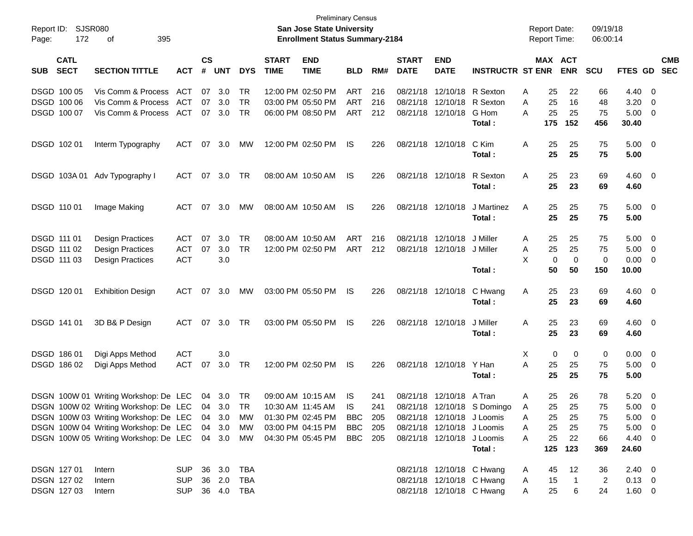| Page:       | Report ID: SJSR080<br>172  | 395<br>οf                                       |                   |                    |              |                  |                             | <b>Preliminary Census</b><br>San Jose State University<br><b>Enrollment Status Summary-2184</b> |                |            |                             |                                                 |                             |        | <b>Report Date:</b><br><b>Report Time:</b> |                | 09/19/18<br>06:00:14 |                 |                          |                          |
|-------------|----------------------------|-------------------------------------------------|-------------------|--------------------|--------------|------------------|-----------------------------|-------------------------------------------------------------------------------------------------|----------------|------------|-----------------------------|-------------------------------------------------|-----------------------------|--------|--------------------------------------------|----------------|----------------------|-----------------|--------------------------|--------------------------|
| <b>SUB</b>  | <b>CATL</b><br><b>SECT</b> | <b>SECTION TITTLE</b>                           | <b>ACT</b>        | $\mathsf{cs}$<br># | <b>UNT</b>   | <b>DYS</b>       | <b>START</b><br><b>TIME</b> | <b>END</b><br><b>TIME</b>                                                                       | <b>BLD</b>     | RM#        | <b>START</b><br><b>DATE</b> | <b>END</b><br><b>DATE</b>                       | <b>INSTRUCTR ST ENR</b>     |        | MAX ACT                                    | <b>ENR</b>     | <b>SCU</b>           | <b>FTES GD</b>  |                          | <b>CMB</b><br><b>SEC</b> |
| DSGD 100 05 |                            | Vis Comm & Process                              | ACT               | 07                 | 3.0          | TR               |                             | 12:00 PM 02:50 PM                                                                               | ART            | 216        |                             | 08/21/18 12/10/18 R Sexton                      |                             | A      | 25                                         | 22             | 66                   | 4.40            | $\overline{\phantom{0}}$ |                          |
| DSGD 100 06 | DSGD 100 07                | Vis Comm & Process<br>Vis Comm & Process        | <b>ACT</b><br>ACT | 07<br>07           | 3.0<br>3.0   | <b>TR</b><br>TR. |                             | 03:00 PM 05:50 PM<br>06:00 PM 08:50 PM                                                          | ART<br>ART     | 216<br>212 |                             | 08/21/18 12/10/18 R Sexton<br>08/21/18 12/10/18 | G Hom                       | A<br>A | 25<br>25                                   | 16<br>25       | 48<br>75             | 3.20<br>5.00    | - 0<br>- 0               |                          |
|             |                            |                                                 |                   |                    |              |                  |                             |                                                                                                 |                |            |                             |                                                 | Total:                      |        | 175                                        | 152            | 456                  | 30.40           |                          |                          |
| DSGD 102 01 |                            | Interm Typography                               | ACT               | 07                 | 3.0          | МW               |                             | 12:00 PM 02:50 PM                                                                               | IS             | 226        |                             | 08/21/18 12/10/18                               | C Kim                       | A      | 25                                         | 25             | 75                   | $5.00 \t 0$     |                          |                          |
|             |                            |                                                 |                   |                    |              |                  |                             |                                                                                                 |                |            |                             |                                                 | Total:                      |        | 25                                         | 25             | 75                   | 5.00            |                          |                          |
|             | DSGD 103A01                | Adv Typography I                                | ACT               | 07                 | 3.0          | TR               |                             | 08:00 AM 10:50 AM                                                                               | IS             | 226        |                             | 08/21/18 12/10/18                               | R Sexton                    | A      | 25                                         | 23             | 69                   | $4.60$ 0        |                          |                          |
|             |                            |                                                 |                   |                    |              |                  |                             |                                                                                                 |                |            |                             |                                                 | Total:                      |        | 25                                         | 23             | 69                   | 4.60            |                          |                          |
| DSGD 110 01 |                            | Image Making                                    | <b>ACT</b>        | 07                 | 3.0          | МW               |                             | 08:00 AM 10:50 AM                                                                               | IS             | 226        |                             | 08/21/18 12/10/18                               | J Martinez                  | A      | 25                                         | 25             | 75                   | $5.00 \t 0$     |                          |                          |
|             |                            |                                                 |                   |                    |              |                  |                             |                                                                                                 |                |            |                             |                                                 | Total:                      |        | 25                                         | 25             | 75                   | 5.00            |                          |                          |
| DSGD 111 01 |                            | <b>Design Practices</b>                         | <b>ACT</b>        | 07                 | 3.0          | TR               |                             | 08:00 AM 10:50 AM                                                                               | ART            | 216        |                             | 08/21/18 12/10/18                               | J Miller                    | A      | 25                                         | 25             | 75                   | 5.00            | - 0                      |                          |
| DSGD 111 02 |                            | <b>Design Practices</b>                         | <b>ACT</b>        | 07                 | 3.0          | <b>TR</b>        |                             | 12:00 PM 02:50 PM                                                                               | <b>ART</b>     | 212        |                             | 08/21/18 12/10/18 J Miller                      |                             | A      | 25                                         | 25             | 75                   | 5.00            | $\overline{\phantom{0}}$ |                          |
| DSGD 111 03 |                            | <b>Design Practices</b>                         | <b>ACT</b>        |                    | 3.0          |                  |                             |                                                                                                 |                |            |                             |                                                 |                             | X      | 0                                          | 0              | 0                    | 0.00            | - 0                      |                          |
|             |                            |                                                 |                   |                    |              |                  |                             |                                                                                                 |                |            |                             |                                                 | Total:                      |        | 50                                         | 50             | 150                  | 10.00           |                          |                          |
| DSGD 120 01 |                            | <b>Exhibition Design</b>                        | <b>ACT</b>        | 07                 | 3.0          | МW               |                             | 03:00 PM 05:50 PM                                                                               | IS             | 226        |                             | 08/21/18 12/10/18                               | C Hwang                     | Α      | 25                                         | 23             | 69                   | $4.60$ 0        |                          |                          |
|             |                            |                                                 |                   |                    |              |                  |                             |                                                                                                 |                |            |                             |                                                 | Total:                      |        | 25                                         | 23             | 69                   | 4.60            |                          |                          |
| DSGD 141 01 |                            | 3D B& P Design                                  | ACT               | 07                 | 3.0          | <b>TR</b>        |                             | 03:00 PM 05:50 PM                                                                               | IS             | 226        |                             | 08/21/18 12/10/18                               | J Miller                    | A      | 25                                         | 23             | 69                   | $4.60$ 0        |                          |                          |
|             |                            |                                                 |                   |                    |              |                  |                             |                                                                                                 |                |            |                             |                                                 | Total:                      |        | 25                                         | 23             | 69                   | 4.60            |                          |                          |
| DSGD 186 01 |                            | Digi Apps Method                                | <b>ACT</b>        |                    | 3.0          |                  |                             |                                                                                                 |                |            |                             |                                                 |                             | X      | 0                                          | 0              | 0                    | $0.00 \t 0$     |                          |                          |
| DSGD 186 02 |                            | Digi Apps Method                                | ACT               | 07                 | 3.0          | TR               |                             | 12:00 PM 02:50 PM                                                                               | IS             | 226        |                             | 08/21/18 12/10/18                               | Y Han                       | A      | 25                                         | 25             | 75                   | 5.00            | $\overline{\mathbf{0}}$  |                          |
|             |                            |                                                 |                   |                    |              |                  |                             |                                                                                                 |                |            |                             |                                                 | Total:                      |        | 25                                         | 25             | 75                   | 5.00            |                          |                          |
|             |                            | DSGN 100W 01 Writing Workshop: De LEC           |                   |                    | 04 3.0       | TR               |                             | 09:00 AM 10:15 AM                                                                               | IS             | 241        |                             | 08/21/18 12/10/18 A Tran                        |                             | A      | 25                                         | 26             | 78                   | 5.20            | $\overline{\phantom{0}}$ |                          |
|             |                            | DSGN 100W 02 Writing Workshop: De LEC 04 3.0 TR |                   |                    |              |                  |                             | 10:30 AM 11:45 AM                                                                               | IS             | 241        |                             |                                                 | 08/21/18 12/10/18 S Domingo | A      | 25                                         | 25             | 75                   | $5.00 \t 0$     |                          |                          |
|             |                            | DSGN 100W 03 Writing Workshop: De LEC 04 3.0 MW |                   |                    |              |                  |                             | 01:30 PM 02:45 PM                                                                               | <b>BBC</b> 205 |            |                             | 08/21/18 12/10/18 J Loomis                      |                             | A      | 25                                         | 25             | 75                   | $5.00 \t 0$     |                          |                          |
|             |                            | DSGN 100W 04 Writing Workshop: De LEC 04 3.0    |                   |                    |              | MW               |                             | 03:00 PM 04:15 PM                                                                               | <b>BBC</b> 205 |            |                             | 08/21/18 12/10/18 J Loomis                      |                             | A      | 25                                         | 25             | 75                   | $5.00 \t 0$     |                          |                          |
|             |                            | DSGN 100W 05 Writing Workshop: De LEC 04 3.0 MW |                   |                    |              |                  |                             | 04:30 PM 05:45 PM                                                                               | <b>BBC</b> 205 |            |                             | 08/21/18 12/10/18 J Loomis                      | Total:                      | A      | 25<br>125                                  | 22<br>123      | 66<br>369            | 4.40 0<br>24.60 |                          |                          |
|             |                            |                                                 |                   |                    |              |                  |                             |                                                                                                 |                |            |                             |                                                 |                             |        |                                            |                |                      |                 |                          |                          |
| DSGN 127 01 |                            | Intern                                          | <b>SUP</b>        |                    | 36 3.0       | TBA              |                             |                                                                                                 |                |            |                             | 08/21/18 12/10/18 C Hwang                       |                             | A      | 45                                         | 12             | 36                   | $2.40 \ 0$      |                          |                          |
|             | DSGN 127 02                | Intern                                          | <b>SUP</b>        |                    | 36 2.0       | TBA              |                             |                                                                                                 |                |            |                             | 08/21/18 12/10/18 C Hwang                       |                             | A      | 15                                         | $\overline{1}$ | 2                    | $0.13 \ 0$      |                          |                          |
|             | DSGN 127 03                | Intern                                          | <b>SUP</b>        |                    | 36  4.0  TBA |                  |                             |                                                                                                 |                |            |                             | 08/21/18 12/10/18 C Hwang                       |                             | A      | 25                                         | 6              | 24                   | $1.60 \t 0$     |                          |                          |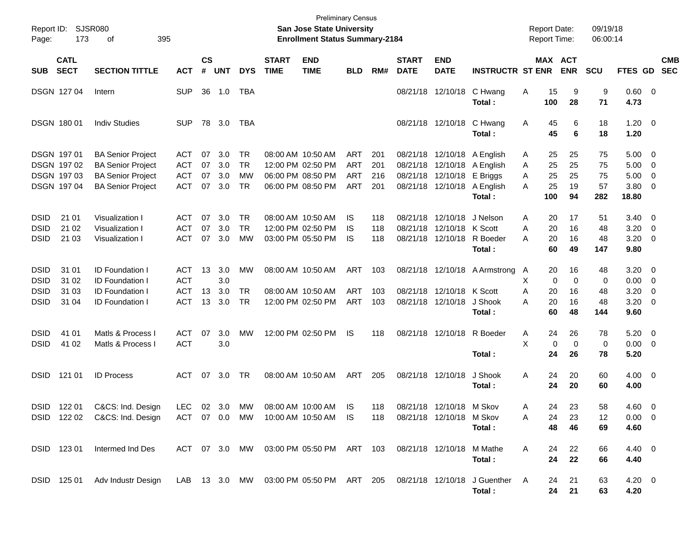| Report ID:<br>Page:                                      | <b>SJSR080</b><br>173                                    | 395<br>оf                                                                                                    |                                               |                      |                          |                               |                             | <b>Preliminary Census</b><br>San Jose State University<br><b>Enrollment Status Summary-2184</b> |                                        |                          |                             |                                                                     |                                                                                               | <b>Report Date:</b><br><b>Report Time:</b>      |                                       | 09/19/18<br>06:00:14        |                                       |                               |                          |
|----------------------------------------------------------|----------------------------------------------------------|--------------------------------------------------------------------------------------------------------------|-----------------------------------------------|----------------------|--------------------------|-------------------------------|-----------------------------|-------------------------------------------------------------------------------------------------|----------------------------------------|--------------------------|-----------------------------|---------------------------------------------------------------------|-----------------------------------------------------------------------------------------------|-------------------------------------------------|---------------------------------------|-----------------------------|---------------------------------------|-------------------------------|--------------------------|
| SUB                                                      | <b>CATL</b><br><b>SECT</b>                               | <b>SECTION TITTLE</b>                                                                                        | <b>ACT</b>                                    | <b>CS</b><br>#       | <b>UNT</b>               | <b>DYS</b>                    | <b>START</b><br><b>TIME</b> | <b>END</b><br><b>TIME</b>                                                                       | <b>BLD</b>                             | RM#                      | <b>START</b><br><b>DATE</b> | <b>END</b><br><b>DATE</b>                                           | <b>INSTRUCTR ST ENR</b>                                                                       |                                                 | MAX ACT<br><b>ENR</b>                 | <b>SCU</b>                  | FTES GD                               |                               | <b>CMB</b><br><b>SEC</b> |
|                                                          | DSGN 127 04                                              | Intern                                                                                                       | <b>SUP</b>                                    | 36                   | 1.0                      | TBA                           |                             |                                                                                                 |                                        |                          |                             | 08/21/18 12/10/18                                                   | C Hwang<br>Total:                                                                             | 15<br>Α<br>100                                  | 9<br>28                               | 9<br>71                     | 0.60<br>4.73                          | $\overline{\phantom{0}}$      |                          |
|                                                          | DSGN 180 01                                              | <b>Indiv Studies</b>                                                                                         | <b>SUP</b>                                    | 78                   | 3.0                      | TBA                           |                             |                                                                                                 |                                        |                          |                             | 08/21/18 12/10/18                                                   | C Hwang<br>Total:                                                                             | 45<br>A<br>45                                   | 6<br>6                                | 18<br>18                    | 1.20<br>1.20                          | $\overline{\mathbf{0}}$       |                          |
|                                                          | DSGN 197 01<br>DSGN 197 02<br>DSGN 197 03<br>DSGN 197 04 | <b>BA Senior Project</b><br><b>BA Senior Project</b><br><b>BA Senior Project</b><br><b>BA Senior Project</b> | ACT<br><b>ACT</b><br><b>ACT</b><br><b>ACT</b> | 07<br>07<br>07<br>07 | 3.0<br>3.0<br>3.0<br>3.0 | TR.<br>TR.<br>MW<br><b>TR</b> |                             | 08:00 AM 10:50 AM<br>12:00 PM 02:50 PM<br>06:00 PM 08:50 PM<br>06:00 PM 08:50 PM                | ART<br><b>ART</b><br><b>ART</b><br>ART | 201<br>201<br>216<br>201 |                             | 08/21/18 12/10/18<br>08/21/18 12/10/18                              | 08/21/18 12/10/18 A English<br>08/21/18 12/10/18 A English<br>E Briggs<br>A English<br>Total: | 25<br>A<br>25<br>A<br>25<br>A<br>25<br>A<br>100 | 25<br>25<br>25<br>19<br>94            | 75<br>75<br>75<br>57<br>282 | 5.00<br>5.00<br>5.00<br>3.80<br>18.80 | 0<br>0<br>0<br>0              |                          |
| <b>DSID</b><br><b>DSID</b><br><b>DSID</b>                | 21 01<br>21 02<br>21 03                                  | Visualization I<br>Visualization I<br>Visualization I                                                        | ACT<br>ACT<br><b>ACT</b>                      | 07<br>07<br>07       | 3.0<br>3.0<br>3.0        | TR.<br><b>TR</b><br><b>MW</b> |                             | 08:00 AM 10:50 AM<br>12:00 PM 02:50 PM<br>03:00 PM 05:50 PM                                     | IS<br>IS<br>IS                         | 118<br>118<br>118        |                             | 08/21/18 12/10/18<br>08/21/18 12/10/18 K Scott<br>08/21/18 12/10/18 | J Nelson<br>R Boeder<br>Total:                                                                | A<br>20<br>20<br>Α<br>20<br>A<br>60             | 17<br>16<br>16<br>49                  | 51<br>48<br>48<br>147       | 3.40<br>3.20<br>3.20<br>9.80          | 0<br>0<br>$\overline{0}$      |                          |
| <b>DSID</b><br><b>DSID</b><br><b>DSID</b><br><b>DSID</b> | 31 01<br>31 02<br>31 03<br>31 04                         | <b>ID Foundation I</b><br><b>ID Foundation I</b><br><b>ID Foundation I</b><br><b>ID Foundation I</b>         | ACT<br><b>ACT</b><br><b>ACT</b><br><b>ACT</b> | 13<br>13<br>13       | 3.0<br>3.0<br>3.0<br>3.0 | MW<br>TR.<br><b>TR</b>        |                             | 08:00 AM 10:50 AM<br>08:00 AM 10:50 AM<br>12:00 PM 02:50 PM                                     | ART<br><b>ART</b><br>ART               | 103<br>103<br>103        |                             | 08/21/18 12/10/18<br>08/21/18 12/10/18 K Scott<br>08/21/18 12/10/18 | <b>A</b> Armstrong<br>J Shook<br>Total:                                                       | 20<br>A<br>X<br>Α<br>20<br>20<br>Α<br>60        | 16<br>$\Omega$<br>0<br>16<br>16<br>48 | 48<br>0<br>48<br>48<br>144  | 3.20<br>0.00<br>3.20<br>3.20<br>9.60  | 0<br>0<br>0<br>$\overline{0}$ |                          |
| <b>DSID</b><br><b>DSID</b>                               | 41 01<br>41 02                                           | Matls & Process I<br>Matls & Process I                                                                       | ACT<br><b>ACT</b>                             | 07                   | 3.0<br>3.0               | MW                            |                             | 12:00 PM 02:50 PM                                                                               | IS                                     | 118                      |                             | 08/21/18 12/10/18                                                   | R Boeder<br>Total:                                                                            | 24<br>A<br>X<br>24                              | 26<br>0<br>$\Omega$<br>26             | 78<br>$\mathbf 0$<br>78     | 5.20<br>0.00<br>5.20                  | 0<br>$\overline{0}$           |                          |
| <b>DSID</b>                                              | 121 01                                                   | <b>ID Process</b>                                                                                            | ACT                                           | 07                   | 3.0                      | TR                            | 08:00 AM 10:50 AM           |                                                                                                 | ART                                    | 205                      | 08/21/18 12/10/18           |                                                                     | J Shook<br>Total:                                                                             | Α<br>24<br>24                                   | 20<br>20                              | 60<br>60                    | $4.00 \ 0$<br>4.00                    |                               |                          |
|                                                          | DSID 122 01<br>DSID 122 02                               | C&CS: Ind. Design<br>C&CS: Ind. Design                                                                       | <b>LEC</b><br>ACT 07 0.0 MW                   |                      | 02 3.0 MW                |                               |                             | 08:00 AM 10:00 AM<br>10:00 AM 10:50 AM                                                          | IS<br>IS.                              | 118<br>118               |                             | 08/21/18 12/10/18 M Skov<br>08/21/18 12/10/18 M Skov                | Total:                                                                                        | 24<br>Α<br>24<br>Α<br>48                        | 23<br>23<br>46                        | 58<br>12<br>69              | $4.60$ 0<br>$0.00 \t 0$<br>4.60       |                               |                          |
|                                                          | DSID 123 01                                              | Intermed Ind Des                                                                                             | ACT 07 3.0 MW                                 |                      |                          |                               |                             | 03:00 PM 05:50 PM ART 103                                                                       |                                        |                          | 08/21/18 12/10/18           |                                                                     | M Mathe<br>Total:                                                                             | Α<br>24<br>24                                   | 22<br>22                              | 66<br>66                    | 4.40 0<br>4.40                        |                               |                          |
|                                                          | DSID 125 01                                              | Adv Industr Design                                                                                           |                                               |                      |                          |                               |                             | LAB 13 3.0 MW 03:00 PM 05:50 PM ART 205                                                         |                                        |                          |                             |                                                                     | 08/21/18 12/10/18 J Guenther<br>Total:                                                        | A                                               | 21<br>24<br>21<br>24                  | 63<br>63                    | $4.20 \ 0$<br>4.20                    |                               |                          |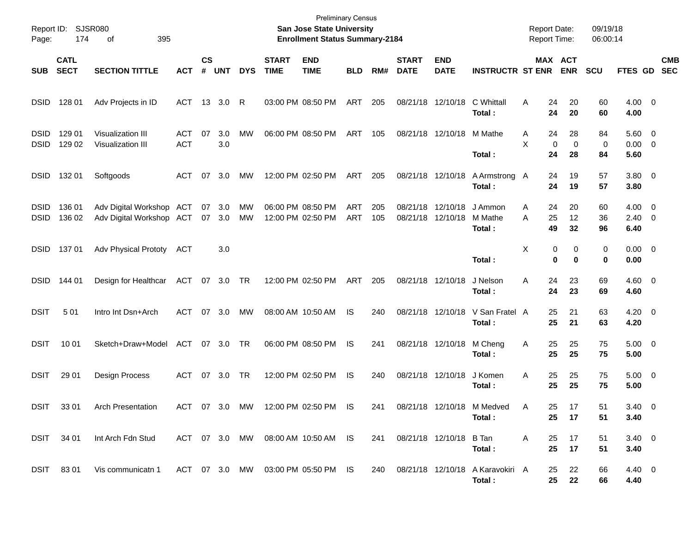| Page:                      | Report ID: SJSR080<br>174  | 395<br>οf                                                   |                          |                |            |            |                                        | <b>Preliminary Census</b><br>San Jose State University<br><b>Enrollment Status Summary-2184</b> |                          |            |                               |                           |                                                | <b>Report Date:</b><br><b>Report Time:</b> |                                  | 09/19/18<br>06:00:14 |                                   |                          |
|----------------------------|----------------------------|-------------------------------------------------------------|--------------------------|----------------|------------|------------|----------------------------------------|-------------------------------------------------------------------------------------------------|--------------------------|------------|-------------------------------|---------------------------|------------------------------------------------|--------------------------------------------|----------------------------------|----------------------|-----------------------------------|--------------------------|
| <b>SUB</b>                 | <b>CATL</b><br><b>SECT</b> | <b>SECTION TITTLE</b>                                       | <b>ACT</b>               | <b>CS</b><br># | <b>UNT</b> | <b>DYS</b> | <b>START</b><br><b>TIME</b>            | <b>END</b><br><b>TIME</b>                                                                       | <b>BLD</b>               | RM#        | <b>START</b><br><b>DATE</b>   | <b>END</b><br><b>DATE</b> | <b>INSTRUCTR ST ENR</b>                        |                                            | MAX ACT<br><b>ENR</b>            | <b>SCU</b>           | FTES GD                           | <b>CMB</b><br><b>SEC</b> |
| <b>DSID</b>                | 128 01                     | Adv Projects in ID                                          | ACT                      |                | 13 3.0     | R          |                                        | 03:00 PM 08:50 PM                                                                               | ART                      | 205        |                               | 08/21/18 12/10/18         | C Whittall<br>Total:                           | A                                          | 20<br>24<br>24<br>20             | 60<br>60             | $4.00 \t 0$<br>4.00               |                          |
| <b>DSID</b><br><b>DSID</b> | 129 01<br>129 02           | <b>Visualization III</b><br><b>Visualization III</b>        | <b>ACT</b><br><b>ACT</b> | 07             | 3.0<br>3.0 | MW         |                                        | 06:00 PM 08:50 PM                                                                               | ART                      | 105        | 08/21/18 12/10/18             |                           | M Mathe<br>Total:                              | A<br>X                                     | 24<br>28<br>0<br>0<br>24<br>28   | 84<br>0<br>84        | 5.60 0<br>$0.00 \t 0$<br>5.60     |                          |
| <b>DSID</b>                | 132 01                     | Softgoods                                                   | <b>ACT</b>               | 07             | 3.0        | <b>MW</b>  |                                        | 12:00 PM 02:50 PM                                                                               | ART                      | 205        |                               | 08/21/18 12/10/18         | A Armstrong A<br>Total:                        |                                            | 19<br>24<br>24<br>19             | 57<br>57             | 3.80 0<br>3.80                    |                          |
| <b>DSID</b><br><b>DSID</b> | 136 01<br>136 02           | Adv Digital Workshop ACT<br>Adv Digital Workshop ACT 07 3.0 |                          | 07             | 3.0        | MW<br>MW   | 06:00 PM 08:50 PM<br>12:00 PM 02:50 PM |                                                                                                 | <b>ART</b><br><b>ART</b> | 205<br>105 | 08/21/18<br>08/21/18 12/10/18 | 12/10/18                  | J Ammon<br>M Mathe<br>Total:                   | A<br>A                                     | 20<br>24<br>25<br>12<br>49<br>32 | 60<br>36<br>96       | $4.00 \t 0$<br>$2.40 \ 0$<br>6.40 |                          |
| <b>DSID</b>                | 137 01                     | <b>Adv Physical Prototy</b>                                 | ACT                      |                | 3.0        |            |                                        |                                                                                                 |                          |            |                               |                           | Total:                                         | X                                          | 0<br>0<br>0<br>0                 | 0<br>0               | $0.00 \t 0$<br>0.00               |                          |
| <b>DSID</b>                | 144 01                     | Design for Healthcar                                        | ACT 07 3.0               |                |            | TR         |                                        | 12:00 PM 02:50 PM                                                                               | ART                      | 205        | 08/21/18 12/10/18             |                           | J Nelson<br>Total:                             | Α                                          | 24<br>23<br>24<br>23             | 69<br>69             | $4.60 \quad 0$<br>4.60            |                          |
| <b>DSIT</b>                | 501                        | Intro Int Dsn+Arch                                          | ACT                      |                | 07 3.0     | MW         |                                        | 08:00 AM 10:50 AM                                                                               | IS                       | 240        |                               | 08/21/18 12/10/18         | V San Fratel A<br>Total:                       |                                            | 25<br>21<br>25<br>21             | 63<br>63             | $4.20 \ 0$<br>4.20                |                          |
| <b>DSIT</b>                | 10 01                      | Sketch+Draw+Model                                           | ACT 07 3.0               |                |            | - TR       |                                        | 06:00 PM 08:50 PM                                                                               | IS                       | 241        |                               | 08/21/18 12/10/18         | M Cheng<br>Total:                              | A                                          | 25<br>25<br>25<br>25             | 75<br>75             | $5.00 \t 0$<br>5.00               |                          |
| <b>DSIT</b>                | 29 01                      | Design Process                                              | ACT                      | 07             | 3.0        | TR         |                                        | 12:00 PM 02:50 PM                                                                               | IS                       | 240        |                               | 08/21/18 12/10/18         | J Komen<br>Total :                             | Α                                          | 25<br>25<br>25<br>25             | 75<br>75             | $5.00 \t 0$<br>5.00               |                          |
| <b>DSIT</b>                | 33 01                      | <b>Arch Presentation</b>                                    | ACT 07 3.0               |                |            | MW         |                                        | 12:00 PM 02:50 PM                                                                               | IS                       | 241        |                               | 08/21/18 12/10/18         | M Medved<br>Total:                             | A                                          | 25<br>17<br>25<br>17             | 51<br>51             | $3.40 \quad 0$<br>3.40            |                          |
|                            | DSIT 34 01                 | Int Arch Fdn Stud                                           |                          |                |            |            |                                        | ACT 07 3.0 MW 08:00 AM 10:50 AM IS                                                              |                          | 241        | 08/21/18 12/10/18 B Tan       |                           | Total:                                         | A                                          | 25<br>17<br>25<br>17             | 51<br>51             | $3.40 \ 0$<br>3.40                |                          |
|                            | DSIT 8301                  | Vis communicatn 1                                           |                          |                |            |            |                                        | ACT 07 3.0 MW 03:00 PM 05:50 PM IS                                                              |                          |            |                               |                           | 240 08/21/18 12/10/18 A Karavokiri A<br>Total: |                                            | 22<br>25<br>25<br>22             | 66<br>66             | $4.40 \quad 0$<br>4.40            |                          |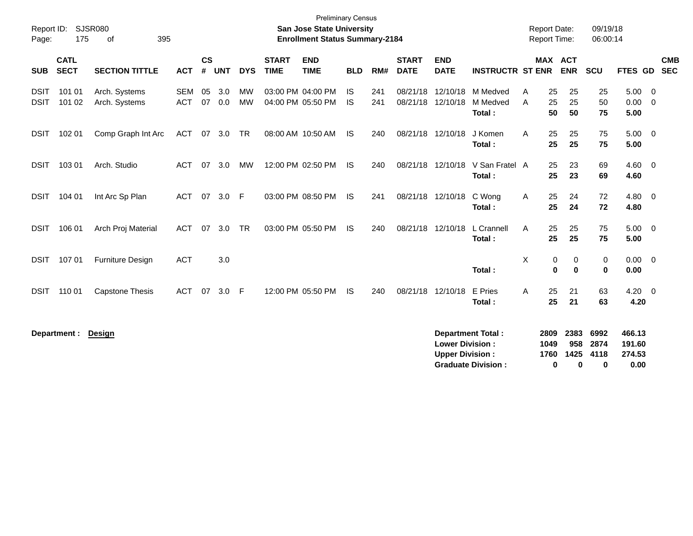| Page:                      | Report ID: SJSR080<br>175  | 395<br>οf                      |                          |                    |            |                        |                             | <b>Preliminary Census</b><br><b>San Jose State University</b><br><b>Enrollment Status Summary-2184</b> |                 |            |                             |                                                  |                                | <b>Report Date:</b><br><b>Report Time:</b> |                      |                              | 09/19/18<br>06:00:14 |                            |                |                          |
|----------------------------|----------------------------|--------------------------------|--------------------------|--------------------|------------|------------------------|-----------------------------|--------------------------------------------------------------------------------------------------------|-----------------|------------|-----------------------------|--------------------------------------------------|--------------------------------|--------------------------------------------|----------------------|------------------------------|----------------------|----------------------------|----------------|--------------------------|
| <b>SUB</b>                 | <b>CATL</b><br><b>SECT</b> | <b>SECTION TITTLE</b>          | <b>ACT</b>               | $\mathsf{cs}$<br># | <b>UNT</b> | <b>DYS</b>             | <b>START</b><br><b>TIME</b> | <b>END</b><br><b>TIME</b>                                                                              | <b>BLD</b>      | RM#        | <b>START</b><br><b>DATE</b> | <b>END</b><br><b>DATE</b>                        | <b>INSTRUCTR ST ENR</b>        |                                            |                      | <b>MAX ACT</b><br><b>ENR</b> | SCU                  | FTES GD                    |                | <b>CMB</b><br><b>SEC</b> |
| <b>DSIT</b><br><b>DSIT</b> | 101 01<br>101 02           | Arch. Systems<br>Arch. Systems | <b>SEM</b><br><b>ACT</b> | 05<br>07           | 3.0<br>0.0 | <b>MW</b><br><b>MW</b> |                             | 03:00 PM 04:00 PM<br>04:00 PM 05:50 PM                                                                 | IS<br><b>IS</b> | 241<br>241 | 08/21/18<br>08/21/18        | 12/10/18<br>12/10/18                             | M Medved<br>M Medved<br>Total: | A<br>A                                     | 25<br>25<br>50       | 25<br>25<br>50               | 25<br>50<br>75       | 5.00<br>0.00<br>5.00       | - 0<br>- 0     |                          |
| <b>DSIT</b>                | 102 01                     | Comp Graph Int Arc             | <b>ACT</b>               | 07                 | 3.0        | <b>TR</b>              |                             | 08:00 AM 10:50 AM                                                                                      | IS.             | 240        | 08/21/18                    | 12/10/18                                         | J Komen<br>Total:              | A                                          | 25<br>25             | 25<br>25                     | 75<br>75             | $5.00 \t 0$<br>5.00        |                |                          |
| <b>DSIT</b>                | 103 01                     | Arch. Studio                   | <b>ACT</b>               | 07                 | 3.0        | MW                     |                             | 12:00 PM 02:50 PM                                                                                      | <b>IS</b>       | 240        | 08/21/18                    | 12/10/18                                         | V San Fratel A<br>Total:       |                                            | 25<br>25             | 23<br>23                     | 69<br>69             | 4.60<br>4.60               | $\overline{0}$ |                          |
| <b>DSIT</b>                | 104 01                     | Int Arc Sp Plan                | ACT                      | 07                 | 3.0        | F                      |                             | 03:00 PM 08:50 PM                                                                                      | <b>IS</b>       | 241        |                             | 08/21/18 12/10/18                                | C Wong<br>Total:               | A                                          | 25<br>25             | 24<br>24                     | 72<br>72             | 4.80<br>4.80               | - 0            |                          |
| <b>DSIT</b>                | 106 01                     | Arch Proj Material             | <b>ACT</b>               | 07                 | 3.0        | <b>TR</b>              |                             | 03:00 PM 05:50 PM                                                                                      | IS.             | 240        |                             | 08/21/18 12/10/18                                | L Crannell<br>Total:           | A                                          | 25<br>25             | 25<br>25                     | 75<br>75             | $5.00 \ 0$<br>5.00         |                |                          |
| <b>DSIT</b>                | 107 01                     | <b>Furniture Design</b>        | <b>ACT</b>               |                    | 3.0        |                        |                             |                                                                                                        |                 |            |                             |                                                  | Total:                         | X                                          | 0<br>$\mathbf 0$     | 0<br>$\mathbf 0$             | 0<br>$\bf{0}$        | $0.00 \ 0$<br>0.00         |                |                          |
| <b>DSIT</b>                | 110 01                     | <b>Capstone Thesis</b>         | <b>ACT</b>               | 07                 | 3.0        | F                      |                             | 12:00 PM 05:50 PM                                                                                      | <b>IS</b>       | 240        | 08/21/18                    | 12/10/18                                         | E Pries<br>Total:              | A                                          | 25<br>25             | 21<br>21                     | 63<br>63             | $4.20 \ 0$<br>4.20         |                |                          |
|                            | Department :               | Design                         |                          |                    |            |                        |                             |                                                                                                        |                 |            |                             | <b>Lower Division:</b><br><b>Upper Division:</b> | Department Total:              |                                            | 2809<br>1049<br>1760 | 2383<br>958<br>1425          | 6992<br>2874<br>4118 | 466.13<br>191.60<br>274.53 |                |                          |

**Graduate Division : 0 0 0 0.00**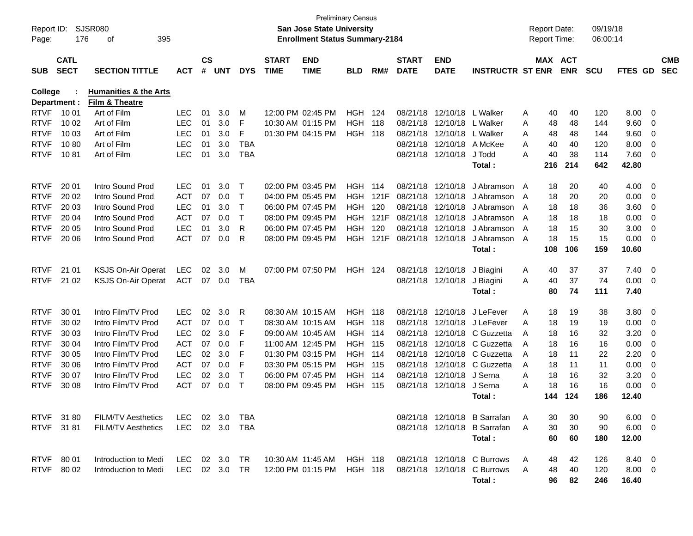| Report ID:<br>Page: | 176                        | <b>SJSR080</b><br>395<br>οf                        |            |                    |                |            |                             | <b>San Jose State University</b><br><b>Enrollment Status Summary-2184</b> | <b>Preliminary Census</b> |       |                             |                           |                              |   | <b>Report Date:</b><br>Report Time: |            | 09/19/18<br>06:00:14 |                |                         |                          |
|---------------------|----------------------------|----------------------------------------------------|------------|--------------------|----------------|------------|-----------------------------|---------------------------------------------------------------------------|---------------------------|-------|-----------------------------|---------------------------|------------------------------|---|-------------------------------------|------------|----------------------|----------------|-------------------------|--------------------------|
| <b>SUB</b>          | <b>CATL</b><br><b>SECT</b> | <b>SECTION TITTLE</b>                              | ACT        | $\mathsf{cs}$<br># | <b>UNT</b>     | <b>DYS</b> | <b>START</b><br><b>TIME</b> | <b>END</b><br><b>TIME</b>                                                 | <b>BLD</b>                | RM#   | <b>START</b><br><b>DATE</b> | <b>END</b><br><b>DATE</b> | <b>INSTRUCTR ST ENR</b>      |   | MAX ACT                             | <b>ENR</b> | <b>SCU</b>           | FTES GD        |                         | <b>CMB</b><br><b>SEC</b> |
| <b>College</b>      | Department :               | <b>Humanities &amp; the Arts</b><br>Film & Theatre |            |                    |                |            |                             |                                                                           |                           |       |                             |                           |                              |   |                                     |            |                      |                |                         |                          |
| <b>RTVF</b>         | 10 01                      | Art of Film                                        | <b>LEC</b> | 01                 | 3.0            | M          |                             | 12:00 PM 02:45 PM                                                         | HGH                       | 124   | 08/21/18                    | 12/10/18                  | L Walker                     | A | 40                                  | 40         | 120                  | 8.00           | 0                       |                          |
| <b>RTVF</b>         | 10 02                      | Art of Film                                        | <b>LEC</b> | 01                 | 3.0            | F          |                             | 10:30 AM 01:15 PM                                                         | HGH                       | 118   | 08/21/18                    | 12/10/18                  | L Walker                     | Α | 48                                  | 48         | 144                  | 9.60           | 0                       |                          |
| <b>RTVF</b>         | 10 03                      | Art of Film                                        | <b>LEC</b> | 01                 | 3.0            | F          |                             | 01:30 PM 04:15 PM                                                         | <b>HGH 118</b>            |       | 08/21/18                    | 12/10/18                  | L Walker                     | A | 48                                  | 48         | 144                  | 9.60           | 0                       |                          |
| <b>RTVF</b>         | 1080                       | Art of Film                                        | <b>LEC</b> | 01                 | 3.0            | <b>TBA</b> |                             |                                                                           |                           |       | 08/21/18                    | 12/10/18                  | A McKee                      | A | 40                                  | 40         | 120                  | 8.00           | 0                       |                          |
| <b>RTVF</b>         | 1081                       | Art of Film                                        | <b>LEC</b> | 01                 | 3.0            | <b>TBA</b> |                             |                                                                           |                           |       |                             | 08/21/18 12/10/18         | J Todd                       | A | 40                                  | 38         | 114                  | 7.60           | 0                       |                          |
|                     |                            |                                                    |            |                    |                |            |                             |                                                                           |                           |       |                             |                           | Total:                       |   | 216                                 | 214        | 642                  | 42.80          |                         |                          |
| <b>RTVF</b>         | 20 01                      | Intro Sound Prod                                   | <b>LEC</b> | 01                 | 3.0            | Т          |                             | 02:00 PM 03:45 PM                                                         | HGH                       | -114  | 08/21/18                    | 12/10/18                  | J Abramson                   | A | 18                                  | 20         | 40                   | 4.00           | 0                       |                          |
| <b>RTVF</b>         | 20 02                      | Intro Sound Prod                                   | <b>ACT</b> | 07                 | 0.0            | Т          |                             | 04:00 PM 05:45 PM                                                         | <b>HGH</b>                | 121F  | 08/21/18                    | 12/10/18                  | J Abramson                   | A | 18                                  | 20         | 20                   | 0.00           | 0                       |                          |
| <b>RTVF</b>         | 20 03                      | Intro Sound Prod                                   | <b>LEC</b> | 01                 | 3.0            | Т          |                             | 06:00 PM 07:45 PM                                                         | <b>HGH</b>                | 120   | 08/21/18                    | 12/10/18                  | J Abramson                   | A | 18                                  | 18         | 36                   | 3.60           | 0                       |                          |
| <b>RTVF</b>         | 20 04                      | Intro Sound Prod                                   | <b>ACT</b> | 07                 | 0.0            | Т          |                             | 08:00 PM 09:45 PM                                                         | <b>HGH</b>                | 121F  | 08/21/18                    | 12/10/18                  | J Abramson                   | A | 18                                  | 18         | 18                   | 0.00           | 0                       |                          |
| <b>RTVF</b>         | 20 05                      | Intro Sound Prod                                   | <b>LEC</b> | 01                 | 3.0            | R          |                             | 06:00 PM 07:45 PM                                                         | <b>HGH</b>                | 120   | 08/21/18                    | 12/10/18                  | J Abramson                   | A | 18                                  | 15         | 30                   | 3.00           | 0                       |                          |
| <b>RTVF</b>         | 20 06                      | Intro Sound Prod                                   | <b>ACT</b> | 07                 | 0.0            | R          |                             | 08:00 PM 09:45 PM                                                         | <b>HGH</b>                | 121F  | 08/21/18                    | 12/10/18                  | J Abramson                   | A | 18                                  | 15         | 15                   | 0.00           | 0                       |                          |
|                     |                            |                                                    |            |                    |                |            |                             |                                                                           |                           |       |                             |                           | Total:                       |   | 108                                 | 106        | 159                  | 10.60          |                         |                          |
| <b>RTVF</b>         | 21 01                      | <b>KSJS On-Air Operat</b>                          | <b>LEC</b> | 02                 | 3.0            | M          |                             | 07:00 PM 07:50 PM                                                         | <b>HGH 124</b>            |       | 08/21/18                    | 12/10/18                  | J Biagini                    | A | 40                                  | 37         | 37                   | 7.40           | $\overline{\mathbf{0}}$ |                          |
| <b>RTVF</b>         | 21 02                      | <b>KSJS On-Air Operat</b>                          | <b>ACT</b> | 07                 | 0.0            | <b>TBA</b> |                             |                                                                           |                           |       |                             | 08/21/18 12/10/18         | J Biagini                    | A | 40                                  | 37         | 74                   | 0.00           | $\overline{\mathbf{0}}$ |                          |
|                     |                            |                                                    |            |                    |                |            |                             |                                                                           |                           |       |                             |                           | Total:                       |   | 80                                  | 74         | 111                  | 7.40           |                         |                          |
| <b>RTVF</b>         | 30 01                      | Intro Film/TV Prod                                 | <b>LEC</b> | 02                 | 3.0            | R          |                             | 08:30 AM 10:15 AM                                                         | HGH                       | 118   | 08/21/18                    | 12/10/18                  | J LeFever                    | Α | 18                                  | 19         | 38                   | 3.80           | $\overline{\mathbf{0}}$ |                          |
| <b>RTVF</b>         | 30 02                      | Intro Film/TV Prod                                 | <b>ACT</b> | 07                 | 0.0            | Т          |                             | 08:30 AM 10:15 AM                                                         | <b>HGH</b>                | 118   | 08/21/18                    | 12/10/18                  | J LeFever                    | A | 18                                  | 19         | 19                   | 0.00           | 0                       |                          |
| <b>RTVF</b>         | 30 03                      | Intro Film/TV Prod                                 | <b>LEC</b> | 02                 | 3.0            | F          |                             | 09:00 AM 10:45 AM                                                         | <b>HGH</b>                | 114   | 08/21/18                    | 12/10/18                  | C Guzzetta                   | A | 18                                  | 16         | 32                   | 3.20           | 0                       |                          |
| <b>RTVF</b>         | 30 04                      | Intro Film/TV Prod                                 | <b>ACT</b> | 07                 | 0.0            | F          |                             | 11:00 AM 12:45 PM                                                         | <b>HGH 115</b>            |       | 08/21/18                    | 12/10/18                  | C Guzzetta                   | A | 18                                  | 16         | 16                   | 0.00           | 0                       |                          |
| <b>RTVF</b>         | 30 05                      | Intro Film/TV Prod                                 | <b>LEC</b> | 02                 | 3.0            | F          |                             | 01:30 PM 03:15 PM                                                         | HGH                       | 114   | 08/21/18                    | 12/10/18                  | C Guzzetta                   | A | 18                                  | 11         | 22                   | 2.20           | 0                       |                          |
| <b>RTVF</b>         | 30 06                      | Intro Film/TV Prod                                 | <b>ACT</b> | 07                 | 0.0            | F          |                             | 03:30 PM 05:15 PM                                                         | <b>HGH</b>                | 115   | 08/21/18                    | 12/10/18                  | C Guzzetta                   | Α | 18                                  | 11         | 11                   | 0.00           | 0                       |                          |
| <b>RTVF</b>         | 30 07                      | Intro Film/TV Prod                                 | <b>LEC</b> | 02                 | 3.0            | Т          |                             | 06:00 PM 07:45 PM                                                         | <b>HGH</b>                | 114   | 08/21/18                    | 12/10/18                  | J Serna                      | A | 18                                  | 16         | 32                   | 3.20           | 0                       |                          |
| <b>RTVF</b>         | 30 08                      | Intro Film/TV Prod                                 | <b>ACT</b> | 07                 | 0.0            | Т          |                             | 08:00 PM 09:45 PM                                                         | HGH                       | - 115 |                             | 08/21/18 12/10/18         | J Serna                      | A | 18                                  | 16         | 16                   | 0.00           | 0                       |                          |
|                     |                            |                                                    |            |                    |                |            |                             |                                                                           |                           |       |                             |                           | Total :                      |   | 144                                 | 124        | 186                  | 12.40          |                         |                          |
|                     | RTVF 3180                  | <b>FILM/TV Aesthetics</b>                          | LEC.       |                    | $02 \quad 3.0$ | TBA        |                             |                                                                           |                           |       |                             |                           | 08/21/18 12/10/18 B Sarrafan | A | 30                                  | 30         | 90                   | $6.00 \quad 0$ |                         |                          |
|                     | RTVF 3181                  | <b>FILM/TV Aesthetics</b>                          | LEC        |                    | 02 3.0         | TBA        |                             |                                                                           |                           |       |                             |                           | 08/21/18 12/10/18 B Sarrafan | A | 30                                  | 30         | 90                   | $6.00 \t 0$    |                         |                          |
|                     |                            |                                                    |            |                    |                |            |                             |                                                                           |                           |       |                             |                           | Total:                       |   | 60                                  | 60         | 180                  | 12.00          |                         |                          |
|                     | RTVF 80 01                 | Introduction to Medi                               | LEC 02 3.0 |                    |                | TR.        |                             | 10:30 AM 11:45 AM                                                         | HGH 118                   |       |                             |                           | 08/21/18 12/10/18 C Burrows  | A | 48                                  | 42         | 126                  | 8.40 0         |                         |                          |
|                     | RTVF 80 02                 | Introduction to Medi                               | LEC        |                    | 02 3.0         | TR         |                             | 12:00 PM 01:15 PM                                                         | <b>HGH 118</b>            |       |                             |                           | 08/21/18 12/10/18 C Burrows  | A | 48                                  | 40         | 120                  | $8.00 \quad 0$ |                         |                          |
|                     |                            |                                                    |            |                    |                |            |                             |                                                                           |                           |       |                             |                           | Total:                       |   | 96                                  | 82         | 246                  | 16.40          |                         |                          |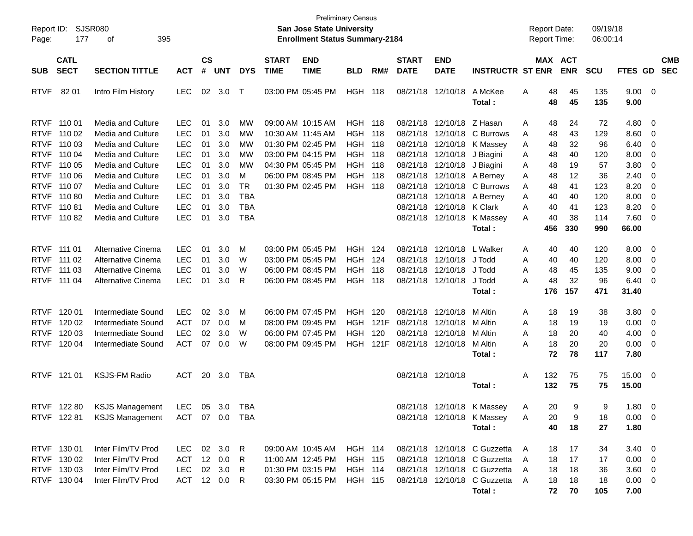| Report ID:<br>Page:                       | 177                                       | <b>SJSR080</b><br>395<br>οf                                    |                                                      |                             |                   |                                       |                             | San Jose State University<br><b>Enrollment Status Summary-2184</b> | <b>Preliminary Census</b>                          |                            |                                  |                                                   |                                                                                              | <b>Report Date:</b><br>Report Time: |                 |                       | 09/19/18<br>06:00:14 |                                                    |                                              |                          |
|-------------------------------------------|-------------------------------------------|----------------------------------------------------------------|------------------------------------------------------|-----------------------------|-------------------|---------------------------------------|-----------------------------|--------------------------------------------------------------------|----------------------------------------------------|----------------------------|----------------------------------|---------------------------------------------------|----------------------------------------------------------------------------------------------|-------------------------------------|-----------------|-----------------------|----------------------|----------------------------------------------------|----------------------------------------------|--------------------------|
| <b>SUB</b>                                | <b>CATL</b><br><b>SECT</b>                | <b>SECTION TITTLE</b>                                          | <b>ACT</b>                                           | $\mathbf{c}\mathbf{s}$<br># | <b>UNT</b>        | <b>DYS</b>                            | <b>START</b><br><b>TIME</b> | <b>END</b><br><b>TIME</b>                                          | <b>BLD</b>                                         | RM#                        | <b>START</b><br><b>DATE</b>      | <b>END</b><br><b>DATE</b>                         | <b>INSTRUCTR ST ENR</b>                                                                      |                                     |                 | MAX ACT<br><b>ENR</b> | <b>SCU</b>           | <b>FTES GD</b>                                     |                                              | <b>CMB</b><br><b>SEC</b> |
| <b>RTVF</b>                               | 82 01                                     | Intro Film History                                             | <b>LEC</b>                                           | 02                          | 3.0               | $\top$                                |                             | 03:00 PM 05:45 PM                                                  | HGH                                                | 118                        | 08/21/18                         | 12/10/18                                          | A McKee<br>Total:                                                                            | Α                                   | 48<br>48        | 45<br>45              | 135<br>135           | 9.00<br>9.00                                       | $\overline{\phantom{0}}$                     |                          |
| <b>RTVF</b><br><b>RTVF</b>                | RTVF 110 01<br>110 02<br>110 03           | Media and Culture<br>Media and Culture<br>Media and Culture    | <b>LEC</b><br>LEC<br>LEC                             | 01<br>01<br>01              | 3.0<br>3.0<br>3.0 | МW<br><b>MW</b><br>МW                 |                             | 09:00 AM 10:15 AM<br>10:30 AM 11:45 AM<br>01:30 PM 02:45 PM        | <b>HGH 118</b><br><b>HGH 118</b><br><b>HGH 118</b> |                            | 08/21/18<br>08/21/18             | 08/21/18 12/10/18 Z Hasan<br>12/10/18<br>12/10/18 | C Burrows<br>K Massey                                                                        | A<br>Α<br>Α                         | 48<br>48<br>48  | 24<br>43<br>32        | 72<br>129<br>96      | 4.80<br>8.60<br>6.40                               | 0<br>$\mathbf 0$<br>0                        |                          |
| <b>RTVF</b><br><b>RTVF</b><br><b>RTVF</b> | 110 04<br>110 05<br>110 06                | Media and Culture<br>Media and Culture<br>Media and Culture    | LEC<br>LEC<br>LEC                                    | 01<br>01<br>01              | 3.0<br>3.0<br>3.0 | МW<br><b>MW</b><br>м                  |                             | 03:00 PM 04:15 PM<br>04:30 PM 05:45 PM<br>06:00 PM 08:45 PM        | <b>HGH 118</b><br><b>HGH 118</b><br><b>HGH 118</b> |                            | 08/21/18<br>08/21/18<br>08/21/18 | 12/10/18<br>12/10/18                              | J Biagini<br>J Biagini<br>12/10/18 A Berney                                                  | Α<br>Α<br>Α                         | 48<br>48<br>48  | 40<br>19<br>12        | 120<br>57<br>36      | 8.00<br>3.80<br>2.40                               | 0<br>0<br>0                                  |                          |
| <b>RTVF</b><br><b>RTVF</b><br><b>RTVF</b> | 110 07<br>11080<br>11081                  | Media and Culture<br>Media and Culture<br>Media and Culture    | LEC<br><b>LEC</b><br><b>LEC</b>                      | 01<br>01<br>01              | 3.0<br>3.0<br>3.0 | <b>TR</b><br><b>TBA</b><br><b>TBA</b> |                             | 01:30 PM 02:45 PM                                                  | <b>HGH 118</b>                                     |                            | 08/21/18<br>08/21/18<br>08/21/18 | 12/10/18<br>12/10/18<br>12/10/18                  | C Burrows<br>A Berney<br>K Clark                                                             | Α<br>Α<br>Α                         | 48<br>40<br>40  | 41<br>40<br>41        | 123<br>120<br>123    | 8.20<br>8.00<br>8.20                               | 0<br>0<br>0                                  |                          |
| <b>RTVF</b>                               | 11082                                     | Media and Culture                                              | LEC                                                  | 01                          | 3.0               | <b>TBA</b>                            |                             |                                                                    |                                                    |                            |                                  | 08/21/18 12/10/18                                 | K Massey<br>Total:                                                                           | A                                   | 40<br>456       | 38<br>330             | 114<br>990           | 7.60<br>66.00                                      | 0                                            |                          |
| <b>RTVF</b>                               | RTVF 111 01<br>RTVF 111 02<br>111 03      | Alternative Cinema<br>Alternative Cinema<br>Alternative Cinema | <b>LEC</b><br><b>LEC</b><br><b>LEC</b>               | 01<br>01<br>01              | 3.0<br>3.0<br>3.0 | M<br>W<br>W                           |                             | 03:00 PM 05:45 PM<br>03:00 PM 05:45 PM<br>06:00 PM 08:45 PM        | HGH<br>HGH<br><b>HGH</b>                           | 124<br>124<br>118          | 08/21/18<br>08/21/18<br>08/21/18 | 12/10/18<br>12/10/18<br>12/10/18                  | L Walker<br>J Todd<br>J Todd                                                                 | A<br>Α<br>Α                         | 40<br>40<br>48  | 40<br>40<br>45        | 120<br>120<br>135    | 8.00<br>8.00<br>9.00                               | $\overline{0}$<br>$\mathbf 0$<br>0           |                          |
| <b>RTVF</b>                               | 111 04                                    | Alternative Cinema                                             | <b>LEC</b>                                           | 01                          | 3.0               | R                                     |                             | 06:00 PM 08:45 PM                                                  | HGH                                                | 118                        |                                  | 08/21/18 12/10/18                                 | J Todd<br>Total:                                                                             | A                                   | 48<br>176       | 32<br>157             | 96<br>471            | 6.40<br>31.40                                      | 0                                            |                          |
| <b>RTVF</b><br><b>RTVF</b>                | RTVF 120 01<br>120 02<br>120 03           | Intermediate Sound<br>Intermediate Sound<br>Intermediate Sound | <b>LEC</b><br><b>ACT</b><br><b>LEC</b><br><b>ACT</b> | 02<br>07<br>02              | 3.0<br>0.0<br>3.0 | M<br>M<br>W                           |                             | 06:00 PM 07:45 PM<br>08:00 PM 09:45 PM<br>06:00 PM 07:45 PM        | <b>HGH</b><br>HGH<br><b>HGH</b>                    | 120<br>121F<br>120<br>121F | 08/21/18<br>08/21/18             | 12/10/18<br>12/10/18<br>08/21/18 12/10/18         | M Altin<br>M Altin<br>M Altin                                                                | A<br>Α<br>Α                         | 18<br>18<br>18  | 19<br>19<br>20        | 38<br>19<br>40       | 3.80<br>0.00<br>4.00                               | $\overline{0}$<br>$\mathbf 0$<br>$\mathbf 0$ |                          |
| <b>RTVF</b>                               | 120 04<br>RTVF 121 01                     | Intermediate Sound<br><b>KSJS-FM Radio</b>                     | <b>ACT</b>                                           | 07                          | 0.0<br>20 3.0     | W<br>TBA                              |                             | 08:00 PM 09:45 PM                                                  | HGH                                                |                            |                                  | 08/21/18 12/10/18<br>08/21/18 12/10/18            | M Altin<br>Total:                                                                            | A<br>Α                              | 18<br>72<br>132 | 20<br>78<br>75        | 20<br>117<br>75      | 0.00<br>7.80<br>15.00                              | 0<br>$\overline{\phantom{0}}$                |                          |
|                                           | RTVF 122 80                               | <b>KSJS Management</b>                                         | LEC                                                  |                             | 05 3.0            | TBA                                   |                             |                                                                    |                                                    |                            |                                  |                                                   | Total :<br>08/21/18 12/10/18 K Massey                                                        | A                                   | 132<br>20       | 75<br>9               | 75<br>9              | 15.00<br>1.80                                      | - 0                                          |                          |
|                                           | RTVF 122 81                               | <b>KSJS Management</b>                                         | ACT 07 0.0 TBA                                       |                             |                   |                                       |                             |                                                                    |                                                    |                            |                                  |                                                   | 08/21/18 12/10/18 K Massey<br>Total:                                                         | A                                   | 20<br>40        | 9<br>18               | 18<br>27             | $0.00 \quad 0$<br>1.80                             |                                              |                          |
|                                           | RTVF 130 01<br>RTVF 130 02<br>RTVF 130 03 | Inter Film/TV Prod<br>Inter Film/TV Prod<br>Inter Film/TV Prod | LEC 02 3.0 R<br><b>ACT</b><br><b>LEC</b>             |                             | 12 0.0<br>02 3.0  | R<br>R                                |                             | 09:00 AM 10:45 AM<br>11:00 AM 12:45 PM<br>01:30 PM 03:15 PM        | <b>HGH 114</b><br><b>HGH 115</b><br><b>HGH 114</b> |                            |                                  |                                                   | 08/21/18 12/10/18 C Guzzetta<br>08/21/18 12/10/18 C Guzzetta<br>08/21/18 12/10/18 C Guzzetta | A<br>A<br>A                         | 18<br>18<br>18  | 17<br>17<br>18        | 34<br>17<br>36       | $3.40 \quad 0$<br>$0.00 \quad 0$<br>$3.60 \quad 0$ |                                              |                          |
|                                           | RTVF 130 04                               | Inter Film/TV Prod                                             | ACT 12 0.0                                           |                             |                   | - R                                   |                             | 03:30 PM 05:15 PM                                                  | <b>HGH 115</b>                                     |                            |                                  |                                                   | 08/21/18 12/10/18 C Guzzetta<br>Total:                                                       | A                                   | 18<br>72        | 18<br>70              | 18<br>105            | $0.00 \quad 0$<br>7.00                             |                                              |                          |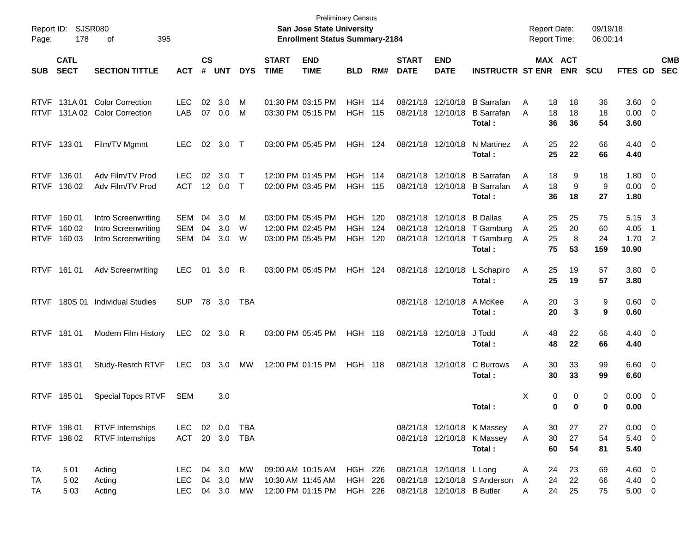| Report ID:<br>Page:                       | 178                        | <b>SJSR080</b><br>395<br>οf                                       |                                  |                    |                   |                   |                             | <b>Preliminary Census</b><br>San Jose State University<br><b>Enrollment Status Summary-2184</b> |                                        |                   |                             |                                                        |                                                                    | <b>Report Date:</b><br><b>Report Time:</b> |                      |                       | 09/19/18<br>06:00:14  |                                         |                                                                       |                          |
|-------------------------------------------|----------------------------|-------------------------------------------------------------------|----------------------------------|--------------------|-------------------|-------------------|-----------------------------|-------------------------------------------------------------------------------------------------|----------------------------------------|-------------------|-----------------------------|--------------------------------------------------------|--------------------------------------------------------------------|--------------------------------------------|----------------------|-----------------------|-----------------------|-----------------------------------------|-----------------------------------------------------------------------|--------------------------|
| <b>SUB</b>                                | <b>CATL</b><br><b>SECT</b> | <b>SECTION TITTLE</b>                                             | <b>ACT</b>                       | $\mathsf{cs}$<br># | <b>UNT</b>        | <b>DYS</b>        | <b>START</b><br><b>TIME</b> | <b>END</b><br><b>TIME</b>                                                                       | <b>BLD</b>                             | RM#               | <b>START</b><br><b>DATE</b> | <b>END</b><br><b>DATE</b>                              | <b>INSTRUCTR ST ENR</b>                                            |                                            |                      | MAX ACT<br><b>ENR</b> | <b>SCU</b>            | FTES GD                                 |                                                                       | <b>CMB</b><br><b>SEC</b> |
| <b>RTVF</b><br><b>RTVF</b>                | 131A 01                    | <b>Color Correction</b><br>131A 02 Color Correction               | <b>LEC</b><br>LAB                | 02<br>07           | 3.0<br>0.0        | M<br>M            |                             | 01:30 PM 03:15 PM<br>03:30 PM 05:15 PM                                                          | <b>HGH 114</b><br><b>HGH 115</b>       |                   |                             | 08/21/18 12/10/18                                      | 08/21/18 12/10/18 B Sarrafan<br><b>B</b> Sarrafan<br>Total:        | A<br>A                                     | 18<br>18<br>36       | 18<br>18<br>36        | 36<br>18<br>54        | $3.60 \ 0$<br>0.00<br>3.60              | $\overline{\mathbf{0}}$                                               |                          |
| <b>RTVF</b>                               | 133 01                     | Film/TV Mgmnt                                                     | <b>LEC</b>                       | 02                 | 3.0               | $\top$            |                             | 03:00 PM 05:45 PM                                                                               | <b>HGH 124</b>                         |                   |                             | 08/21/18 12/10/18                                      | N Martinez<br>Total:                                               | A                                          | 25<br>25             | 22<br>22              | 66<br>66              | $4.40 \quad 0$<br>4.40                  |                                                                       |                          |
| <b>RTVF</b><br><b>RTVF</b>                | 136 01<br>136 02           | Adv Film/TV Prod<br>Adv Film/TV Prod                              | <b>LEC</b><br><b>ACT</b>         | 02<br>12           | 3.0<br>$0.0\,$    | $\top$<br>$\top$  |                             | 12:00 PM 01:45 PM<br>02:00 PM 03:45 PM                                                          | <b>HGH 114</b><br><b>HGH 115</b>       |                   | 08/21/18                    | 12/10/18<br>08/21/18 12/10/18                          | <b>B</b> Sarrafan<br><b>B</b> Sarrafan<br>Total:                   | A<br>A                                     | 18<br>18<br>36       | 9<br>9<br>18          | 18<br>9<br>27         | $1.80 \ 0$<br>$0.00 \t 0$<br>1.80       |                                                                       |                          |
| <b>RTVF</b><br><b>RTVF</b><br><b>RTVF</b> | 160 01<br>160 02<br>160 03 | Intro Screenwriting<br>Intro Screenwriting<br>Intro Screenwriting | SEM<br>SEM<br>SEM                | 04<br>04<br>04     | 3.0<br>3.0<br>3.0 | M<br>W<br>W       |                             | 03:00 PM 05:45 PM<br>12:00 PM 02:45 PM<br>03:00 PM 05:45 PM                                     | <b>HGH</b><br><b>HGH</b><br><b>HGH</b> | 120<br>124<br>120 | 08/21/18<br>08/21/18        | 12/10/18<br>12/10/18<br>08/21/18 12/10/18              | <b>B</b> Dallas<br>T Gamburg<br>T Gamburg<br>Total:                | A<br>A<br>A                                | 25<br>25<br>25<br>75 | 25<br>20<br>8<br>53   | 75<br>60<br>24<br>159 | 5.15<br>4.05<br>1.70<br>10.90           | $\overline{\mathbf{3}}$<br>$\overline{1}$<br>$\overline{\phantom{a}}$ |                          |
|                                           | RTVF 161 01                | <b>Adv Screenwriting</b>                                          | <b>LEC</b>                       |                    | 01 3.0            | R                 |                             | 03:00 PM 05:45 PM                                                                               | <b>HGH 124</b>                         |                   |                             | 08/21/18 12/10/18                                      | L Schapiro<br>Total:                                               | Α                                          | 25<br>25             | 19<br>19              | 57<br>57              | $3.80\ 0$<br>3.80                       |                                                                       |                          |
| <b>RTVF</b>                               |                            | 180S 01 Individual Studies                                        | <b>SUP</b>                       |                    | 78 3.0            | <b>TBA</b>        |                             |                                                                                                 |                                        |                   |                             | 08/21/18 12/10/18                                      | A McKee<br>Total:                                                  | Α                                          | 20<br>20             | 3<br>3                | 9<br>9                | $0.60 \quad 0$<br>0.60                  |                                                                       |                          |
|                                           | RTVF 181 01                | Modern Film History                                               | LEC                              |                    | 02 3.0            | R                 |                             | 03:00 PM 05:45 PM                                                                               | <b>HGH 118</b>                         |                   |                             | 08/21/18 12/10/18                                      | J Todd<br>Total:                                                   | Α                                          | 48<br>48             | 22<br>22              | 66<br>66              | $4.40 \quad 0$<br>4.40                  |                                                                       |                          |
|                                           | RTVF 18301                 | Study-Resrch RTVF                                                 | LEC                              | 03                 | 3.0               | МW                |                             | 12:00 PM 01:15 PM                                                                               | <b>HGH 118</b>                         |                   |                             | 08/21/18 12/10/18                                      | C Burrows<br>Total:                                                | Α                                          | 30<br>30             | 33<br>33              | 99<br>99              | $6.60 \quad 0$<br>6.60                  |                                                                       |                          |
| <b>RTVF</b>                               | 185 01                     | <b>Special Topcs RTVF</b>                                         | SEM                              |                    | 3.0               |                   |                             |                                                                                                 |                                        |                   |                             |                                                        | Total:                                                             | Χ                                          | 0<br>$\bf{0}$        | 0<br>$\bf{0}$         | 0<br>0                | $0.00 \t 0$<br>0.00                     |                                                                       |                          |
|                                           | RTVF 198 01<br>RTVF 198 02 | <b>RTVF</b> Internships<br><b>RTVF</b> Internships                | LEC.<br>ACT                      |                    | 02 0.0<br>20 3.0  | TBA<br><b>TBA</b> |                             |                                                                                                 |                                        |                   |                             |                                                        | 08/21/18 12/10/18 K Massey<br>08/21/18 12/10/18 K Massey<br>Total: | A<br>A                                     | 30<br>30<br>60       | 27<br>27<br>54        | 27<br>54<br>81        | $0.00 \t 0$<br>5.40 0<br>5.40           |                                                                       |                          |
| TA<br>TA<br>TA                            | 501<br>5 0 2<br>5 0 3      | Acting<br>Acting<br>Acting                                        | LEC.<br><b>LEC</b><br>LEC 04 3.0 | 04<br>04           | 3.0<br>3.0        | МW<br>MW<br>MW    |                             | 09:00 AM 10:15 AM<br>10:30 AM 11:45 AM<br>12:00 PM 01:15 PM                                     | HGH 226<br>HGH 226<br>HGH 226          |                   |                             | 08/21/18 12/10/18 L Long<br>08/21/18 12/10/18 B Butler | 08/21/18 12/10/18 S Anderson                                       | A<br>A<br>A                                | 24<br>24<br>24       | 23<br>22<br>25        | 69<br>66<br>75        | $4.60 \quad 0$<br>4.40 0<br>$5.00 \t 0$ |                                                                       |                          |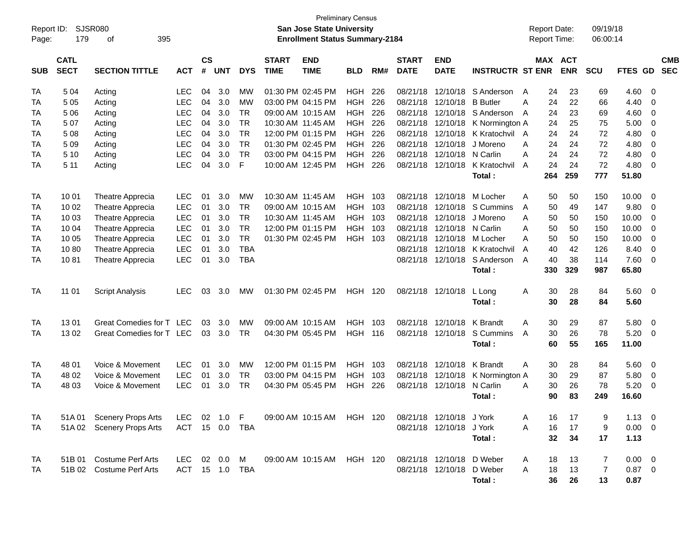| Report ID:<br>Page: | 179                        | <b>SJSR080</b><br>395<br>οf |                |                |            |            |                             | San Jose State University<br><b>Enrollment Status Summary-2184</b> | <b>Preliminary Census</b> |     |                             |                           |                         | <b>Report Date:</b><br>Report Time: |          |            | 09/19/18<br>06:00:14 |              |                          |  |
|---------------------|----------------------------|-----------------------------|----------------|----------------|------------|------------|-----------------------------|--------------------------------------------------------------------|---------------------------|-----|-----------------------------|---------------------------|-------------------------|-------------------------------------|----------|------------|----------------------|--------------|--------------------------|--|
| <b>SUB</b>          | <b>CATL</b><br><b>SECT</b> | <b>SECTION TITTLE</b>       | <b>ACT</b>     | <b>CS</b><br># | <b>UNT</b> | <b>DYS</b> | <b>START</b><br><b>TIME</b> | <b>END</b><br><b>TIME</b>                                          | <b>BLD</b>                | RM# | <b>START</b><br><b>DATE</b> | <b>END</b><br><b>DATE</b> | <b>INSTRUCTR ST ENR</b> | MAX ACT                             |          | <b>ENR</b> | SCU                  | FTES GD      | <b>CMB</b><br><b>SEC</b> |  |
| TA                  | 5 0 4                      | Acting                      | <b>LEC</b>     | 04             | 3.0        | МW         |                             | 01:30 PM 02:45 PM                                                  | <b>HGH</b>                | 226 | 08/21/18                    | 12/10/18                  | S Anderson              | A                                   | 24       | 23         | 69                   | 4.60         | -0                       |  |
| TA                  | 5 0 5                      | Acting                      | <b>LEC</b>     | 04             | 3.0        | <b>MW</b>  |                             | 03:00 PM 04:15 PM                                                  | <b>HGH</b>                | 226 | 08/21/18                    | 12/10/18                  | <b>B</b> Butler         | A                                   | 24       | 22         | 66                   | 4.40         | 0                        |  |
| TA                  | 5 0 6                      | Acting                      | <b>LEC</b>     | 04             | 3.0        | <b>TR</b>  |                             | 09:00 AM 10:15 AM                                                  | <b>HGH</b>                | 226 | 08/21/18                    | 12/10/18                  | S Anderson              | A                                   | 24       | 23         | 69                   | 4.60         | 0                        |  |
| TA                  | 507                        | Acting                      | <b>LEC</b>     | 04             | 3.0        | <b>TR</b>  |                             | 10:30 AM 11:45 AM                                                  | <b>HGH</b>                | 226 | 08/21/18                    | 12/10/18                  | K Normington A          |                                     | 24       | 25         | 75                   | 5.00         | 0                        |  |
| TA                  | 5 0 8                      | Acting                      | <b>LEC</b>     | 04             | 3.0        | <b>TR</b>  |                             | 12:00 PM 01:15 PM                                                  | <b>HGH</b>                | 226 | 08/21/18                    | 12/10/18                  | K Kratochvil            | A                                   | 24       | 24         | 72                   | 4.80         | 0                        |  |
| TA                  | 5 0 9                      | Acting                      | <b>LEC</b>     | 04             | 3.0        | <b>TR</b>  |                             | 01:30 PM 02:45 PM                                                  | <b>HGH</b>                | 226 | 08/21/18                    | 12/10/18                  | J Moreno                | A                                   | 24       | 24         | 72                   | 4.80         | 0                        |  |
| TA                  | 5 10                       | Acting                      | <b>LEC</b>     | 04             | 3.0        | <b>TR</b>  |                             | 03:00 PM 04:15 PM                                                  | <b>HGH</b>                | 226 | 08/21/18                    | 12/10/18                  | N Carlin                | A                                   | 24       | 24         | 72                   | 4.80         | $\overline{0}$           |  |
| <b>TA</b>           | 5 1 1                      | Acting                      | <b>LEC</b>     | 04             | 3.0        | F          |                             | 10:00 AM 12:45 PM                                                  | <b>HGH</b>                | 226 |                             | 08/21/18 12/10/18         | K Kratochvil            | A                                   | 24       | 24         | 72                   | 4.80         | - 0                      |  |
|                     |                            |                             |                |                |            |            |                             |                                                                    |                           |     |                             |                           | Total:                  |                                     | 264      | 259        | 777                  | 51.80        |                          |  |
| TA                  | 10 01                      | Theatre Apprecia            | <b>LEC</b>     | 01             | 3.0        | MW         |                             | 10:30 AM 11:45 AM                                                  | <b>HGH</b>                | 103 | 08/21/18                    | 12/10/18                  | M Locher                | A                                   | 50       | 50         | 150                  | 10.00        | - 0                      |  |
| TA                  | 10 02                      | <b>Theatre Apprecia</b>     | <b>LEC</b>     | 01             | 3.0        | <b>TR</b>  |                             | 09:00 AM 10:15 AM                                                  | <b>HGH</b>                | 103 | 08/21/18                    | 12/10/18                  | S Cummins               | A                                   | 50       | 49         | 147                  | 9.80         | $\overline{0}$           |  |
| TA                  | 10 03                      | Theatre Apprecia            | <b>LEC</b>     | 01             | 3.0        | <b>TR</b>  |                             | 10:30 AM 11:45 AM                                                  | <b>HGH</b>                | 103 | 08/21/18                    | 12/10/18                  | J Moreno                | A                                   | 50       | 50         | 150                  | 10.00        | 0                        |  |
| TA                  | 10 04                      | Theatre Apprecia            | <b>LEC</b>     | 01             | 3.0        | <b>TR</b>  |                             | 12:00 PM 01:15 PM                                                  | <b>HGH</b>                | 103 | 08/21/18                    | 12/10/18 N Carlin         |                         | A                                   | 50       | 50         | 150                  | 10.00        | 0                        |  |
| TA                  | 10 05                      | Theatre Apprecia            | <b>LEC</b>     | 01             | 3.0        | <b>TR</b>  |                             | 01:30 PM 02:45 PM                                                  | <b>HGH</b>                | 103 | 08/21/18                    | 12/10/18                  | M Locher                | A                                   | 50       | 50         | 150                  | 10.00        | $\overline{0}$           |  |
| TA                  | 1080                       | Theatre Apprecia            | <b>LEC</b>     | 01             | 3.0        | <b>TBA</b> |                             |                                                                    |                           |     | 08/21/18                    | 12/10/18                  | K Kratochvil            | A                                   | 40       | 42         | 126                  | 8.40         | 0                        |  |
| TA                  | 1081                       | Theatre Apprecia            | <b>LEC</b>     | 01             | 3.0        | <b>TBA</b> |                             |                                                                    |                           |     |                             | 08/21/18 12/10/18         | S Anderson              | A                                   | 40       | 38         | 114                  | 7.60         | $\overline{0}$           |  |
|                     |                            |                             |                |                |            |            |                             |                                                                    |                           |     |                             |                           | Total:                  |                                     | 330      | 329        | 987                  | 65.80        |                          |  |
| <b>TA</b>           | 11 01                      | <b>Script Analysis</b>      | <b>LEC</b>     | 03             | 3.0        | MW         |                             | 01:30 PM 02:45 PM                                                  | <b>HGH 120</b>            |     |                             | 08/21/18 12/10/18         | L Long<br>Total:        | A                                   | 30<br>30 | 28<br>28   | 84<br>84             | 5.60<br>5.60 | - 0                      |  |
| TA                  | 1301                       | Great Comedies for T LEC    |                | 03             | 3.0        | МW         |                             | 09:00 AM 10:15 AM                                                  | <b>HGH</b>                | 103 | 08/21/18                    | 12/10/18                  | K Brandt                | A                                   | 30       | 29         | 87                   | 5.80         | - 0                      |  |
| TA                  | 1302                       | Great Comedies for T LEC    |                | 03             | 3.0        | <b>TR</b>  |                             | 04:30 PM 05:45 PM                                                  | <b>HGH</b>                | 116 |                             | 08/21/18 12/10/18         | S Cummins               | A                                   | 30       | 26         | 78                   | 5.20         | - 0                      |  |
|                     |                            |                             |                |                |            |            |                             |                                                                    |                           |     |                             |                           | Total:                  |                                     | 60       | 55         | 165                  | 11.00        |                          |  |
| TA                  | 48 01                      | Voice & Movement            | <b>LEC</b>     | 01             | 3.0        | MW         |                             | 12:00 PM 01:15 PM                                                  | <b>HGH</b>                | 103 | 08/21/18                    | 12/10/18                  | K Brandt                | A                                   | 30       | 28         | 84                   | 5.60         | - 0                      |  |
| TA                  | 48 02                      | Voice & Movement            | <b>LEC</b>     | 01             | 3.0        | <b>TR</b>  |                             | 03:00 PM 04:15 PM                                                  | <b>HGH</b>                | 103 | 08/21/18                    | 12/10/18                  | K Normington A          |                                     | 30       | 29         | 87                   | 5.80         | 0                        |  |
| TA                  | 48 03                      | Voice & Movement            | <b>LEC</b>     | 01             | 3.0        | <b>TR</b>  |                             | 04:30 PM 05:45 PM                                                  | <b>HGH</b>                | 226 |                             | 08/21/18 12/10/18         | N Carlin                | A                                   | 30       | 26         | 78                   | 5.20         | 0                        |  |
|                     |                            |                             |                |                |            |            |                             |                                                                    |                           |     |                             |                           | Total:                  |                                     | 90       | 83         | 249                  | 16.60        |                          |  |
| TA                  |                            | 51A 01 Scenery Props Arts   | LEC            |                | 02 1.0 F   |            |                             | 09:00 AM 10:15 AM                                                  | HGH 120                   |     |                             | 08/21/18 12/10/18 J York  |                         | A                                   | 16       | 17         | 9                    | $1.13 \ 0$   |                          |  |
| TA                  |                            | 51A 02 Scenery Props Arts   | ACT 15 0.0 TBA |                |            |            |                             |                                                                    |                           |     |                             | 08/21/18 12/10/18 J York  |                         | A                                   | 16       | 17         | 9                    | $0.00 \t 0$  |                          |  |
|                     |                            |                             |                |                |            |            |                             |                                                                    |                           |     |                             |                           | Total:                  |                                     | 32       | 34         | 17                   | 1.13         |                          |  |
| TA                  |                            | 51B 01 Costume Perf Arts    | <b>LEC</b>     |                | 02  0.0    | M          |                             | 09:00 AM 10:15 AM                                                  | <b>HGH 120</b>            |     |                             | 08/21/18 12/10/18         | D Weber                 | A                                   | 18       | 13         | 7                    | $0.00 \t 0$  |                          |  |
| TA                  |                            | 51B 02 Costume Perf Arts    | ACT 15 1.0 TBA |                |            |            |                             |                                                                    |                           |     |                             | 08/21/18 12/10/18 D Weber |                         | A                                   | 18       | 13         | 7                    | $0.87$ 0     |                          |  |
|                     |                            |                             |                |                |            |            |                             |                                                                    |                           |     |                             |                           | Total:                  |                                     | 36       | 26         | 13                   | 0.87         |                          |  |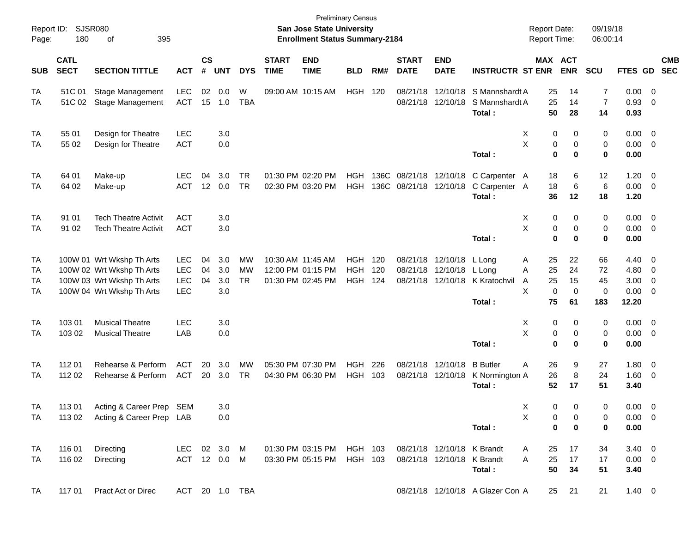| Report ID:<br>Page:  | 180                        | SJSR080<br>395<br>оf                                                                                             |                                               |                    |                          |                              |                                                             | <b>Preliminary Census</b><br><b>San Jose State University</b><br><b>Enrollment Status Summary-2184</b> |                                            |              |                                        |                                                          |                                                     | <b>Report Date:</b><br><b>Report Time:</b>              |                                | 09/19/18<br>06:00:14                 |                                                |                                                     |                          |
|----------------------|----------------------------|------------------------------------------------------------------------------------------------------------------|-----------------------------------------------|--------------------|--------------------------|------------------------------|-------------------------------------------------------------|--------------------------------------------------------------------------------------------------------|--------------------------------------------|--------------|----------------------------------------|----------------------------------------------------------|-----------------------------------------------------|---------------------------------------------------------|--------------------------------|--------------------------------------|------------------------------------------------|-----------------------------------------------------|--------------------------|
| <b>SUB</b>           | <b>CATL</b><br><b>SECT</b> | <b>SECTION TITTLE</b>                                                                                            | <b>ACT</b>                                    | $\mathsf{cs}$<br># | <b>UNT</b>               | <b>DYS</b>                   | <b>START</b><br><b>TIME</b>                                 | <b>END</b><br><b>TIME</b>                                                                              | <b>BLD</b>                                 | RM#          | <b>START</b><br><b>DATE</b>            | <b>END</b><br><b>DATE</b>                                | <b>INSTRUCTR ST ENR</b>                             | MAX ACT                                                 | <b>ENR</b>                     | <b>SCU</b>                           | FTES GD                                        |                                                     | <b>CMB</b><br><b>SEC</b> |
| TA<br>TA             | 51C 01<br>51C 02           | Stage Management<br>Stage Management                                                                             | <b>LEC</b><br><b>ACT</b>                      | 02<br>15           | 0.0<br>1.0               | W<br><b>TBA</b>              | 09:00 AM 10:15 AM                                           |                                                                                                        | <b>HGH 120</b>                             |              | 08/21/18                               | 08/21/18 12/10/18                                        | 12/10/18 S Mannshardt A<br>S Mannshardt A<br>Total: | 25<br>25<br>50                                          | 14<br>14<br>28                 | 7<br>$\overline{7}$<br>14            | $0.00 \t 0$<br>0.93<br>0.93                    | $\overline{\mathbf{0}}$                             |                          |
| TA<br>TA             | 55 01<br>55 02             | Design for Theatre<br>Design for Theatre                                                                         | <b>LEC</b><br><b>ACT</b>                      |                    | 3.0<br>0.0               |                              |                                                             |                                                                                                        |                                            |              |                                        |                                                          | Total:                                              | 0<br>Χ<br>X<br>0<br>0                                   | 0<br>0<br>$\mathbf 0$          | 0<br>0<br>0                          | $0.00 \t 0$<br>$0.00 \t 0$<br>0.00             |                                                     |                          |
| TA<br>TA             | 64 01<br>64 02             | Make-up<br>Make-up                                                                                               | <b>LEC</b><br><b>ACT</b>                      | 04                 | 3.0<br>12 0.0            | <b>TR</b><br>TR              | 01:30 PM 02:20 PM<br>02:30 PM 03:20 PM                      |                                                                                                        | HGH<br>HGH                                 | 136C<br>136C | 08/21/18 12/10/18<br>08/21/18 12/10/18 |                                                          | C Carpenter A<br>C Carpenter A<br>Total:            | 18<br>18<br>36                                          | 6<br>6<br>12                   | 12<br>6<br>18                        | $1.20 \t 0$<br>$0.00 \t 0$<br>1.20             |                                                     |                          |
| TA<br>TA             | 91 01<br>91 02             | <b>Tech Theatre Activit</b><br><b>Tech Theatre Activit</b>                                                       | <b>ACT</b><br><b>ACT</b>                      |                    | 3.0<br>3.0               |                              |                                                             |                                                                                                        |                                            |              |                                        |                                                          | Total:                                              | 0<br>X<br>X<br>0<br>0                                   | 0<br>0<br>$\bf{0}$             | 0<br>0<br>0                          | $0.00 \t 0$<br>$0.00 \t 0$<br>0.00             |                                                     |                          |
| TA<br>TA<br>TA<br>TA |                            | 100W 01 Wrt Wkshp Th Arts<br>100W 02 Wrt Wkshp Th Arts<br>100W 03 Wrt Wkshp Th Arts<br>100W 04 Wrt Wkshp Th Arts | <b>LEC</b><br><b>LEC</b><br>LEC<br><b>LEC</b> | 04<br>04<br>04     | 3.0<br>3.0<br>3.0<br>3.0 | MW<br><b>MW</b><br><b>TR</b> | 10:30 AM 11:45 AM<br>12:00 PM 01:15 PM<br>01:30 PM 02:45 PM |                                                                                                        | <b>HGH</b><br><b>HGH</b><br><b>HGH 124</b> | 120<br>120   |                                        | 08/21/18 12/10/18 L Long<br>08/21/18 12/10/18 L Long     | 08/21/18 12/10/18 K Kratochvil<br>Total:            | 25<br>A<br>25<br>Α<br>25<br>A<br>X<br>$\mathbf 0$<br>75 | 22<br>24<br>15<br>0<br>61      | 66<br>72<br>45<br>$\mathbf 0$<br>183 | 4.40 0<br>4.80<br>3.00<br>$0.00 \t 0$<br>12.20 | $\overline{\mathbf{0}}$<br>$\overline{\phantom{0}}$ |                          |
| TA<br>TA             | 103 01<br>103 02           | <b>Musical Theatre</b><br><b>Musical Theatre</b>                                                                 | <b>LEC</b><br>LAB                             |                    | 3.0<br>0.0               |                              |                                                             |                                                                                                        |                                            |              |                                        |                                                          | Total:                                              | 0<br>X<br>X<br>0<br>0                                   | 0<br>0<br>$\mathbf 0$          | 0<br>0<br>0                          | $0.00 \t 0$<br>$0.00 \t 0$<br>0.00             |                                                     |                          |
| TA<br>TA             | 112 01<br>112 02           | Rehearse & Perform<br>Rehearse & Perform                                                                         | <b>ACT</b><br>ACT                             | 20                 | 3.0<br>20 3.0            | <b>MW</b><br>TR              | 05:30 PM 07:30 PM<br>04:30 PM 06:30 PM                      |                                                                                                        | <b>HGH</b><br>HGH 103                      | 226          |                                        | 08/21/18 12/10/18<br>08/21/18 12/10/18                   | <b>B</b> Butler<br>K Normington A<br>Total:         | 26<br>Α<br>26<br>52                                     | 9<br>8<br>17                   | 27<br>24<br>51                       | 1.80 0<br>1.60 0<br>3.40                       |                                                     |                          |
| TA<br>TA             | 11301                      | Acting & Career Prep SEM<br>113 02 Acting & Career Prep LAB                                                      |                                               |                    | 3.0<br>0.0               |                              |                                                             |                                                                                                        |                                            |              |                                        |                                                          | Total:                                              | X<br>Χ<br>0<br>$\bf{0}$                                 | $\Omega$<br>$\Omega$<br>0<br>0 | $\Omega$<br>0<br>$\mathbf 0$         | $0.00 \quad 0$<br>$0.00 \t 0$<br>0.00          |                                                     |                          |
| TA<br>TA             | 116 01<br>116 02           | Directing<br>Directing                                                                                           | LEC 02 3.0 M<br>ACT 12 0.0 M                  |                    |                          |                              |                                                             | 01:30 PM 03:15 PM HGH 103<br>03:30 PM 05:15 PM                                                         | HGH 103                                    |              |                                        | 08/21/18 12/10/18 K Brandt<br>08/21/18 12/10/18 K Brandt | Total:                                              | 25<br>A<br>25<br>A<br>50                                | 17<br>17<br>34                 | 34<br>17<br>51                       | $3.40 \quad 0$<br>$0.00 \t 0$<br>3.40          |                                                     |                          |
| TA                   | 117 01                     | Pract Act or Direc                                                                                               | ACT 20 1.0 TBA                                |                    |                          |                              |                                                             |                                                                                                        |                                            |              |                                        |                                                          | 08/21/18 12/10/18 A Glazer Con A                    |                                                         | 25 21                          | 21                                   | $1.40 \quad 0$                                 |                                                     |                          |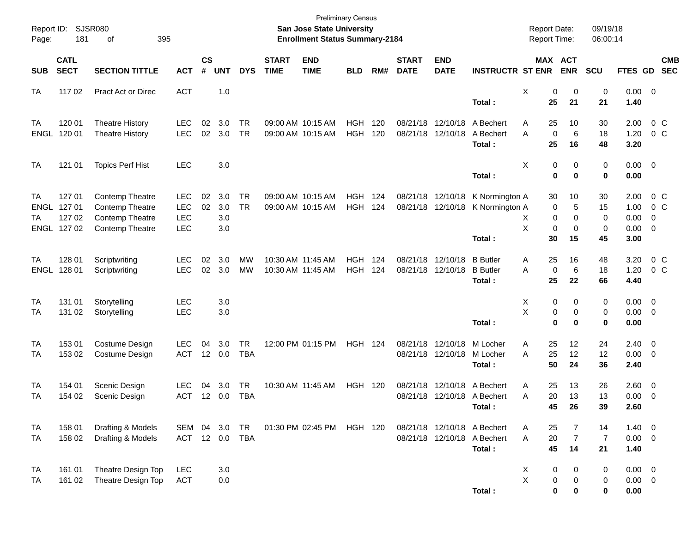| Report ID:<br>Page:    | 181                                            | <b>SJSR080</b><br>395<br>οf                                                     |                                                      |                    |                          |                         |                                        | <b>Preliminary Census</b><br>San Jose State University<br><b>Enrollment Status Summary-2184</b> |                          |            |                             |                               |                                                                      | <b>Report Date:</b><br>Report Time:                |                                   | 09/19/18<br>06:00:14       |                                             |                                  |
|------------------------|------------------------------------------------|---------------------------------------------------------------------------------|------------------------------------------------------|--------------------|--------------------------|-------------------------|----------------------------------------|-------------------------------------------------------------------------------------------------|--------------------------|------------|-----------------------------|-------------------------------|----------------------------------------------------------------------|----------------------------------------------------|-----------------------------------|----------------------------|---------------------------------------------|----------------------------------|
| <b>SUB</b>             | <b>CATL</b><br><b>SECT</b>                     | <b>SECTION TITTLE</b>                                                           | <b>ACT</b>                                           | $\mathsf{cs}$<br># | <b>UNT</b>               | <b>DYS</b>              | <b>START</b><br><b>TIME</b>            | <b>END</b><br><b>TIME</b>                                                                       | <b>BLD</b>               | RM#        | <b>START</b><br><b>DATE</b> | <b>END</b><br><b>DATE</b>     | <b>INSTRUCTR ST ENR</b>                                              | <b>MAX ACT</b>                                     | <b>ENR</b>                        | SCU                        | FTES GD                                     | <b>CMB</b><br><b>SEC</b>         |
| <b>TA</b>              | 117 02                                         | <b>Pract Act or Direc</b>                                                       | <b>ACT</b>                                           |                    | 1.0                      |                         |                                        |                                                                                                 |                          |            |                             |                               | Total:                                                               | X<br>0<br>25                                       | 0<br>21                           | 0<br>21                    | $0.00 \t 0$<br>1.40                         |                                  |
| TA<br>ENGL             | 120 01<br>120 01                               | <b>Theatre History</b><br><b>Theatre History</b>                                | <b>LEC</b><br><b>LEC</b>                             | 02<br>02           | 3.0<br>3.0               | <b>TR</b><br><b>TR</b>  |                                        | 09:00 AM 10:15 AM<br>09:00 AM 10:15 AM                                                          | HGH<br><b>HGH</b>        | 120<br>120 | 08/21/18<br>08/21/18        | 12/10/18<br>12/10/18          | A Bechert<br>A Bechert<br>Total:                                     | 25<br>A<br>A<br>$\mathbf 0$<br>25                  | 10<br>6<br>16                     | 30<br>18<br>48             | 2.00<br>1.20<br>3.20                        | 0 <sup>o</sup><br>0 <sup>o</sup> |
| <b>TA</b>              | 121 01                                         | <b>Topics Perf Hist</b>                                                         | <b>LEC</b>                                           |                    | 3.0                      |                         |                                        |                                                                                                 |                          |            |                             |                               | Total:                                                               | X<br>0<br>$\mathbf 0$                              | 0<br>0                            | 0<br>0                     | $0.00 \t 0$<br>0.00                         |                                  |
| <b>TA</b><br>ТA        | 127 01<br>ENGL 127 01<br>127 02<br>ENGL 127 02 | <b>Contemp Theatre</b><br>Contemp Theatre<br>Contemp Theatre<br>Contemp Theatre | <b>LEC</b><br><b>LEC</b><br><b>LEC</b><br><b>LEC</b> | 02<br>02           | 3.0<br>3.0<br>3.0<br>3.0 | <b>TR</b><br><b>TR</b>  |                                        | 09:00 AM 10:15 AM<br>09:00 AM 10:15 AM                                                          | HGH<br><b>HGH</b>        | 124<br>124 | 08/21/18                    | 12/10/18<br>08/21/18 12/10/18 | K Normington A<br>K Normington A<br>Total:                           | 30<br>0<br>0<br>X.<br>X<br>$\mathbf 0$<br>30       | 10<br>5<br>0<br>$\mathbf 0$<br>15 | 30<br>15<br>0<br>0<br>45   | 2.00<br>1.00<br>0.00<br>$0.00 \t 0$<br>3.00 | $0\,$ C<br>$0\,$ C<br>-0         |
| TA<br>ENGL             | 128 01<br>128 01                               | Scriptwriting<br>Scriptwriting                                                  | <b>LEC</b><br><b>LEC</b>                             | 02<br>02           | 3.0<br>3.0               | <b>MW</b><br><b>MW</b>  | 10:30 AM 11:45 AM<br>10:30 AM 11:45 AM |                                                                                                 | <b>HGH</b><br><b>HGH</b> | 124<br>124 | 08/21/18<br>08/21/18        | 12/10/18<br>12/10/18          | <b>B</b> Butler<br><b>B</b> Butler<br>Total:                         | 25<br>A<br>A<br>0<br>25                            | 16<br>6<br>22                     | 48<br>18<br>66             | 3.20<br>1.20<br>4.40                        | $0\,$ C<br>0 <sup>o</sup>        |
| TA<br>TA               | 131 01<br>131 02                               | Storytelling<br>Storytelling                                                    | <b>LEC</b><br><b>LEC</b>                             |                    | 3.0<br>3.0               |                         |                                        |                                                                                                 |                          |            |                             |                               | Total:                                                               | X<br>0<br>X<br>$\pmb{0}$<br>$\bf{0}$               | 0<br>0<br>$\bf{0}$                | 0<br>0<br>0                | $0.00 \t 0$<br>$0.00 \t 0$<br>0.00          |                                  |
| TA<br>TA               | 153 01<br>153 02                               | Costume Design<br>Costume Design                                                | <b>LEC</b><br><b>ACT</b>                             | 04<br>12           | 3.0<br>0.0               | <b>TR</b><br><b>TBA</b> |                                        | 12:00 PM 01:15 PM                                                                               | <b>HGH 124</b>           |            | 08/21/18<br>08/21/18        | 12/10/18<br>12/10/18          | M Locher<br>M Locher<br>Total:                                       | 25<br>A<br>A<br>25<br>50                           | 12<br>12<br>24                    | 24<br>12<br>36             | $2.40 \ 0$<br>$0.00 \t 0$<br>2.40           |                                  |
| TA<br>TA               | 154 01<br>154 02                               | Scenic Design<br>Scenic Design                                                  | <b>LEC</b><br><b>ACT</b>                             | 04<br>12           | 3.0<br>0.0               | <b>TR</b><br><b>TBA</b> |                                        | 10:30 AM 11:45 AM                                                                               | <b>HGH 120</b>           |            | 08/21/18<br>08/21/18        | 12/10/18                      | A Bechert<br>12/10/18 A Bechert<br>Total :                           | 25<br>A<br>20<br>A<br>45                           | 13<br>13<br>26                    | 26<br>13<br>39             | $2.60 \t 0$<br>$0.00 \t 0$<br>2.60          |                                  |
| <b>TA</b><br><b>TA</b> | 158 01<br>158 02                               | Drafting & Models<br>Drafting & Models                                          | SEM<br>ACT 12 0.0 TBA                                | 04                 | 3.0                      | TR                      |                                        | 01:30 PM 02:45 PM                                                                               | HGH 120                  |            |                             |                               | 08/21/18 12/10/18 A Bechert<br>08/21/18 12/10/18 A Bechert<br>Total: | 25<br>A<br>20<br>Α<br>45                           | 7<br>$\boldsymbol{7}$<br>14       | 14<br>$\overline{7}$<br>21 | $1.40 \ 0$<br>$0.00 \t 0$<br>1.40           |                                  |
| <b>TA</b><br>TA        | 161 01<br>161 02                               | Theatre Design Top<br>Theatre Design Top                                        | <b>LEC</b><br><b>ACT</b>                             |                    | 3.0<br>$0.0\,$           |                         |                                        |                                                                                                 |                          |            |                             |                               | Total:                                                               | X<br>0<br>$\pmb{\times}$<br>$\pmb{0}$<br>$\pmb{0}$ | 0<br>$\pmb{0}$<br>$\bf{0}$        | 0<br>0<br>0                | $0.00 \t 0$<br>$0.00 \t 0$<br>0.00          |                                  |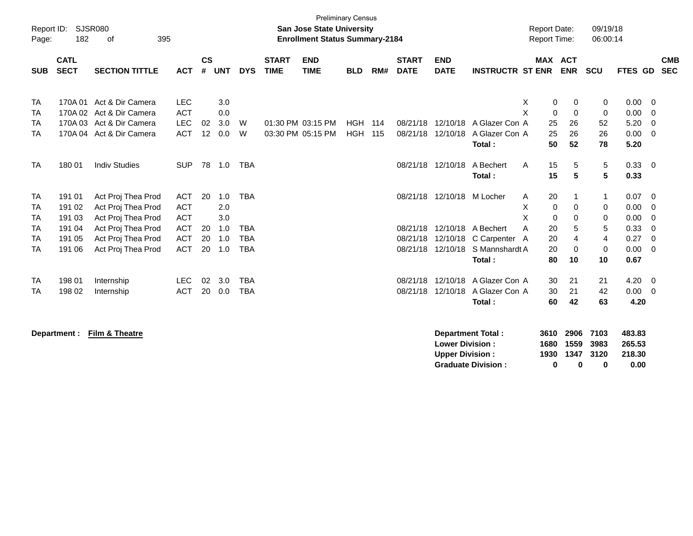| Report ID:<br>Page:    | 182                        | SJSR080<br>395<br>οf                 |                          |                    |            |            |                             | <b>San Jose State University</b><br><b>Enrollment Status Summary-2184</b> | <b>Preliminary Census</b> |     |                             |                           |                         | <b>Report Date:</b><br><b>Report Time:</b> |                              |             | 09/19/18<br>06:00:14 |              |                          |
|------------------------|----------------------------|--------------------------------------|--------------------------|--------------------|------------|------------|-----------------------------|---------------------------------------------------------------------------|---------------------------|-----|-----------------------------|---------------------------|-------------------------|--------------------------------------------|------------------------------|-------------|----------------------|--------------|--------------------------|
| <b>SUB</b>             | <b>CATL</b><br><b>SECT</b> | <b>SECTION TITTLE</b>                | <b>ACT</b>               | $\mathsf{cs}$<br># | <b>UNT</b> | <b>DYS</b> | <b>START</b><br><b>TIME</b> | <b>END</b><br><b>TIME</b>                                                 | <b>BLD</b>                | RM# | <b>START</b><br><b>DATE</b> | <b>END</b><br><b>DATE</b> | <b>INSTRUCTR ST ENR</b> |                                            | <b>MAX ACT</b><br><b>ENR</b> | <b>SCU</b>  |                      | FTES GD      | <b>CMB</b><br><b>SEC</b> |
| TA                     | 170A 01<br>170A 02         | Act & Dir Camera<br>Act & Dir Camera | <b>LEC</b>               |                    | 3.0        |            |                             |                                                                           |                           |     |                             |                           |                         | Χ<br>X                                     | 0                            | 0           | 0                    | 0.00         | - 0                      |
| <b>TA</b><br><b>TA</b> |                            | 170A 03 Act & Dir Camera             | <b>ACT</b><br><b>LEC</b> | 02                 | 0.0<br>3.0 | W          |                             | 01:30 PM 03:15 PM                                                         | HGH                       | 114 | 08/21/18                    | 12/10/18                  | A Glazer Con A          |                                            | $\mathbf 0$<br>25<br>26      | $\mathbf 0$ | 0<br>52              | 0.00<br>5.20 | - 0<br>$\Omega$          |
| <b>TA</b>              |                            | 170A 04 Act & Dir Camera             | <b>ACT</b>               | 12                 | 0.0        | W          |                             | 03:30 PM 05:15 PM                                                         | <b>HGH</b>                | 115 | 08/21/18                    | 12/10/18                  | A Glazer Con A          |                                            | 25<br>26                     |             | 26                   | 0.00         | - 0                      |
|                        |                            |                                      |                          |                    |            |            |                             |                                                                           |                           |     |                             |                           | Total:                  |                                            | 50<br>52                     |             | 78                   | 5.20         |                          |
| <b>TA</b>              | 180 01                     | <b>Indiv Studies</b>                 | <b>SUP</b>               |                    | 78 1.0     | <b>TBA</b> |                             |                                                                           |                           |     | 08/21/18                    | 12/10/18                  | A Bechert<br>Total:     | $\mathsf{A}$                               | 15<br>15                     | 5<br>5      | 5<br>5               | 0.33<br>0.33 | $\overline{\phantom{0}}$ |
| <b>TA</b>              | 191 01                     | Act Proj Thea Prod                   | <b>ACT</b>               | 20                 | 1.0        | <b>TBA</b> |                             |                                                                           |                           |     | 08/21/18                    | 12/10/18                  | M Locher                | A                                          | 20                           |             | 1                    | 0.07         | - 0                      |
| <b>TA</b>              | 191 02                     | Act Proj Thea Prod                   | <b>ACT</b>               |                    | 2.0        |            |                             |                                                                           |                           |     |                             |                           |                         | X                                          | $\mathbf 0$                  | 0           | 0                    | 0.00         | - 0                      |
| <b>TA</b>              | 191 03                     | Act Proj Thea Prod                   | <b>ACT</b>               |                    | 3.0        |            |                             |                                                                           |                           |     |                             |                           |                         | X                                          | $\Omega$                     | $\Omega$    | 0                    | 0.00         | - 0                      |
| <b>TA</b>              | 191 04                     | Act Proj Thea Prod                   | <b>ACT</b>               | 20                 | 1.0        | <b>TBA</b> |                             |                                                                           |                           |     | 08/21/18                    | 12/10/18                  | A Bechert               | Α                                          | 20                           | 5           | 5                    | 0.33         | - 0                      |
| <b>TA</b>              | 191 05                     | Act Proj Thea Prod                   | <b>ACT</b>               | 20                 | 1.0        | <b>TBA</b> |                             |                                                                           |                           |     | 08/21/18                    | 12/10/18                  | C Carpenter A           |                                            | 20                           | 4           | 4                    | 0.27         | $\Omega$                 |
| TA                     | 191 06                     | Act Proj Thea Prod                   | <b>ACT</b>               | 20                 | 1.0        | <b>TBA</b> |                             |                                                                           |                           |     | 08/21/18                    | 12/10/18                  | S Mannshardt A          |                                            | 20                           | 0           | 0                    | 0.00         | - 0                      |
|                        |                            |                                      |                          |                    |            |            |                             |                                                                           |                           |     |                             |                           | Total:                  |                                            | 80                           | 10          | 10                   | 0.67         |                          |
| TA                     | 198 01                     | Internship                           | <b>LEC</b>               | 02                 | 3.0        | <b>TBA</b> |                             |                                                                           |                           |     | 08/21/18                    | 12/10/18                  | A Glazer Con A          |                                            | 30<br>21                     |             | 21                   | 4.20         | - 0                      |
| TA                     | 198 02                     | Internship                           | <b>ACT</b>               | 20                 | 0.0        | <b>TBA</b> |                             |                                                                           |                           |     | 08/21/18                    | 12/10/18                  | A Glazer Con A          |                                            | 30<br>21                     |             | 42                   | 0.00         | - 0                      |
|                        |                            |                                      |                          |                    |            |            |                             |                                                                           |                           |     |                             |                           | Total:                  |                                            | 42<br>60                     |             | 63                   | 4.20         |                          |

**Department : Film & Theatre** 

| <b>Department Total:</b>  |   | 3610 2906 7103 |   | 483.83 |
|---------------------------|---|----------------|---|--------|
| <b>Lower Division :</b>   |   | 1680 1559 3983 |   | 265.53 |
| <b>Upper Division:</b>    |   | 1930 1347 3120 |   | 218.30 |
| <b>Graduate Division:</b> | o | $\mathbf{u}$   | 0 | 0.00   |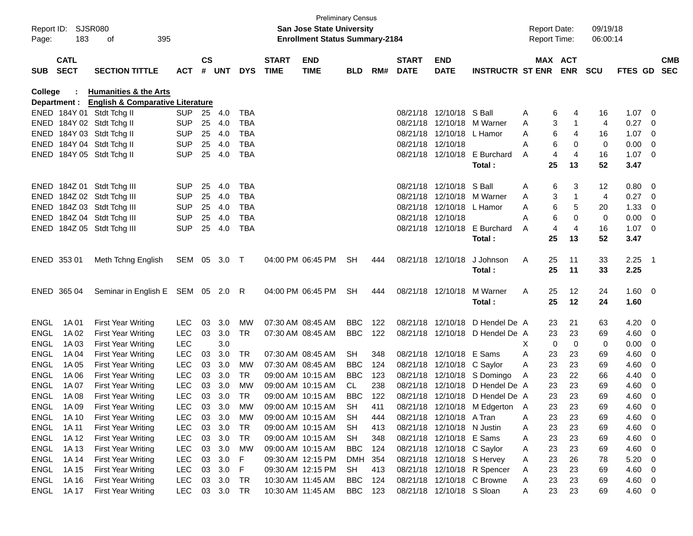| Page:               | Report ID: SJSR080<br>183  | 395<br>оf                                              |                          |                    |            |            |                             | <b>Preliminary Census</b><br><b>San Jose State University</b><br><b>Enrollment Status Summary-2184</b> |                         |            |                             |                                                        |                                                                |        |                | <b>Report Date:</b><br><b>Report Time:</b> | 09/19/18<br>06:00:14 |              |                                                    |            |
|---------------------|----------------------------|--------------------------------------------------------|--------------------------|--------------------|------------|------------|-----------------------------|--------------------------------------------------------------------------------------------------------|-------------------------|------------|-----------------------------|--------------------------------------------------------|----------------------------------------------------------------|--------|----------------|--------------------------------------------|----------------------|--------------|----------------------------------------------------|------------|
| <b>SUB</b>          | <b>CATL</b><br><b>SECT</b> | <b>SECTION TITTLE</b>                                  | <b>ACT</b>               | $\mathsf{cs}$<br># | <b>UNT</b> | <b>DYS</b> | <b>START</b><br><b>TIME</b> | <b>END</b><br><b>TIME</b>                                                                              | <b>BLD</b>              | RM#        | <b>START</b><br><b>DATE</b> | <b>END</b><br><b>DATE</b>                              | <b>INSTRUCTR ST ENR</b>                                        |        |                | MAX ACT<br><b>ENR</b>                      | <b>SCU</b>           | FTES GD SEC  |                                                    | <b>CMB</b> |
| College             |                            | <b>Humanities &amp; the Arts</b>                       |                          |                    |            |            |                             |                                                                                                        |                         |            |                             |                                                        |                                                                |        |                |                                            |                      |              |                                                    |            |
|                     | Department :               | <b>English &amp; Comparative Literature</b>            |                          |                    |            |            |                             |                                                                                                        |                         |            |                             |                                                        |                                                                |        |                |                                            |                      |              |                                                    |            |
|                     |                            | ENED 184Y 01 Stdt Tchg II                              | <b>SUP</b>               | 25                 | 4.0        | <b>TBA</b> |                             |                                                                                                        |                         |            |                             | 08/21/18 12/10/18 S Ball                               |                                                                | A      | 6              | 4                                          | 16                   | 1.07         | $\overline{\phantom{0}}$                           |            |
|                     |                            | ENED 184Y 02 Stdt Tchg II                              | <b>SUP</b>               | 25                 | 4.0        | <b>TBA</b> |                             |                                                                                                        |                         |            |                             |                                                        | 08/21/18 12/10/18 M Warner                                     | A      | 3              | -1                                         | $\overline{4}$       | 0.27         | 0                                                  |            |
|                     |                            | ENED 184Y 03 Stdt Tchg II                              | <b>SUP</b>               | 25                 | 4.0        | <b>TBA</b> |                             |                                                                                                        |                         |            |                             | 08/21/18 12/10/18 L Hamor                              |                                                                | A      | 6              | 4                                          | 16                   | 1.07         | - 0                                                |            |
|                     |                            | ENED 184Y 04 Stdt Tchg II                              | <b>SUP</b>               | 25                 | 4.0        | <b>TBA</b> |                             |                                                                                                        |                         |            |                             | 08/21/18 12/10/18                                      |                                                                | А      | 6              | 0                                          | $\mathbf 0$          | 0.00         | - 0                                                |            |
|                     |                            | ENED 184Y 05 Stdt Tchg II                              | <b>SUP</b>               | 25                 | 4.0        | <b>TBA</b> |                             |                                                                                                        |                         |            |                             |                                                        | 08/21/18 12/10/18 E Burchard                                   | A      | $\overline{4}$ | 4                                          | 16                   | $1.07 \t 0$  |                                                    |            |
|                     |                            |                                                        |                          |                    |            |            |                             |                                                                                                        |                         |            |                             |                                                        | Total:                                                         |        | 25             | 13                                         | 52                   | 3.47         |                                                    |            |
|                     |                            | ENED 184Z 01 Stdt Tchg III                             | <b>SUP</b>               | 25                 | 4.0        | TBA        |                             |                                                                                                        |                         |            |                             | 08/21/18 12/10/18 S Ball                               |                                                                | A      | 6              | 3                                          | 12                   | 0.80         | $\overline{\phantom{0}}$                           |            |
|                     |                            | ENED 184Z 02 Stdt Tchg III                             | <b>SUP</b>               | 25                 | 4.0        | <b>TBA</b> |                             |                                                                                                        |                         |            |                             |                                                        | 08/21/18 12/10/18 M Warner                                     | A      | 3              | 1                                          | 4                    | 0.27         | 0                                                  |            |
|                     |                            | ENED 184Z 03 Stdt Tchg III                             | <b>SUP</b>               | 25                 | 4.0        | <b>TBA</b> |                             |                                                                                                        |                         |            |                             | 08/21/18 12/10/18 L Hamor                              |                                                                | A      | 6              | 5                                          | 20                   | 1.33         | 0                                                  |            |
|                     |                            | ENED 184Z 04 Stdt Tchg III                             | <b>SUP</b>               | 25                 | 4.0        | <b>TBA</b> |                             |                                                                                                        |                         |            |                             | 08/21/18 12/10/18                                      |                                                                | А      | 6              | 0                                          | 0                    | 0.00         | - 0                                                |            |
|                     |                            | ENED 184Z 05 Stdt Tchg III                             | <b>SUP</b>               | 25                 | 4.0        | <b>TBA</b> |                             |                                                                                                        |                         |            |                             |                                                        | 08/21/18 12/10/18 E Burchard                                   | A      | $\overline{4}$ | 4                                          | 16                   | $1.07 \t 0$  |                                                    |            |
|                     |                            |                                                        |                          |                    |            |            |                             |                                                                                                        |                         |            |                             |                                                        | Total:                                                         |        | 25             | 13                                         | 52                   | 3.47         |                                                    |            |
|                     |                            |                                                        |                          |                    |            |            |                             |                                                                                                        |                         |            |                             |                                                        |                                                                |        |                |                                            |                      |              |                                                    |            |
|                     | ENED 353 01                | Meth Tchng English                                     | SEM 05 3.0               |                    |            | $\top$     |                             | 04:00 PM 06:45 PM                                                                                      | <b>SH</b>               | 444        |                             | 08/21/18 12/10/18                                      | J Johnson                                                      | Α      | 25             | 11                                         | 33                   | $2.25$ 1     |                                                    |            |
|                     |                            |                                                        |                          |                    |            |            |                             |                                                                                                        |                         |            |                             |                                                        | Total:                                                         |        | 25             | 11                                         | 33                   | 2.25         |                                                    |            |
|                     |                            |                                                        |                          |                    |            |            |                             |                                                                                                        |                         |            |                             |                                                        |                                                                |        |                |                                            |                      |              |                                                    |            |
|                     | ENED 365 04                | Seminar in English E SEM 05 2.0 R                      |                          |                    |            |            |                             | 04:00 PM 06:45 PM                                                                                      | <b>SH</b>               | 444        |                             | 08/21/18 12/10/18                                      | M Warner                                                       | A      | 25             | 12                                         | 24                   | $1.60 \t 0$  |                                                    |            |
|                     |                            |                                                        |                          |                    |            |            |                             |                                                                                                        |                         |            |                             |                                                        | Total:                                                         |        | 25             | 12                                         | 24                   | 1.60         |                                                    |            |
|                     |                            |                                                        |                          |                    |            |            |                             |                                                                                                        |                         |            |                             |                                                        |                                                                |        |                |                                            |                      |              |                                                    |            |
| ENGL                | 1A 01                      | <b>First Year Writing</b>                              | <b>LEC</b>               | 03                 | 3.0        | <b>MW</b>  |                             | 07:30 AM 08:45 AM                                                                                      | <b>BBC</b>              | 122        |                             | 08/21/18 12/10/18                                      | D Hendel De A                                                  |        | 23             | 21                                         | 63                   | 4.20         | $\overline{\phantom{0}}$                           |            |
| <b>ENGL</b>         | 1A 02                      | <b>First Year Writing</b>                              | <b>LEC</b>               | 03                 | 3.0        | <b>TR</b>  |                             | 07:30 AM 08:45 AM                                                                                      | <b>BBC</b>              | 122        |                             |                                                        | 08/21/18 12/10/18 D Hendel De A                                |        | 23             | 23                                         | 69                   | 4.60         | - 0                                                |            |
| <b>ENGL</b>         | 1A 03                      | <b>First Year Writing</b>                              | <b>LEC</b>               |                    | 3.0        |            |                             |                                                                                                        |                         |            |                             |                                                        |                                                                | X      | 0              | 0                                          | 0                    | 0.00         | 0                                                  |            |
| <b>ENGL</b>         | 1A 04                      | <b>First Year Writing</b>                              | <b>LEC</b>               | 03                 | 3.0        | TR.        |                             | 07:30 AM 08:45 AM                                                                                      | SH.                     | 348        |                             | 08/21/18 12/10/18 E Sams                               |                                                                | A      | 23             | 23                                         | 69                   | 4.60         | 0                                                  |            |
| <b>ENGL</b>         | 1A 05                      | <b>First Year Writing</b>                              | <b>LEC</b>               | 03                 | 3.0        | МW         |                             | 07:30 AM 08:45 AM                                                                                      | <b>BBC</b>              | 124        |                             | 08/21/18 12/10/18 C Saylor                             |                                                                | A      | 23             | 23                                         | 69                   | 4.60         | 0                                                  |            |
| <b>ENGL</b>         | 1A 06                      | <b>First Year Writing</b>                              | <b>LEC</b>               | 03                 | 3.0        | <b>TR</b>  |                             | 09:00 AM 10:15 AM                                                                                      | <b>BBC</b>              | 123        |                             |                                                        | 08/21/18 12/10/18 S Domingo<br>08/21/18 12/10/18 D Hendel De A | A      | 23             | 22                                         | 66                   | 4.40         | 0                                                  |            |
| <b>ENGL</b>         | 1A 07                      | <b>First Year Writing</b>                              | <b>LEC</b>               | 03                 | 3.0        | МW         |                             | 09:00 AM 10:15 AM                                                                                      | CL.                     | 238        |                             |                                                        |                                                                |        | 23             | 23                                         | 69                   | 4.60         | 0                                                  |            |
| ENGL                | 1A 08                      | <b>First Year Writing</b>                              | <b>LEC</b>               | 03                 | 3.0        | TR         |                             | 09:00 AM 10:15 AM                                                                                      | <b>BBC</b>              | 122        |                             |                                                        | 08/21/18 12/10/18 D Hendel De A                                |        | 23             | 23                                         | 69                   | 4.60         | - 0                                                |            |
| ENGL                | 1A 09                      | <b>First Year Writing</b>                              | <b>LEC</b>               | 03                 | 3.0        | <b>MW</b>  |                             | 09:00 AM 10:15 AM                                                                                      | SH                      | 411        |                             |                                                        | 08/21/18 12/10/18 M Edgerton                                   | A      | 23             | 23                                         | 69                   | 4.60         | 0                                                  |            |
| ENGL                | 1A 10                      | <b>First Year Writing</b>                              | <b>LEC</b>               | 03                 | 3.0        | МW         |                             | 09:00 AM 10:15 AM                                                                                      | SH                      | 444        |                             | 08/21/18 12/10/18 A Tran                               |                                                                | A      | 23             | 23                                         | 69                   | 4.60         | - 0                                                |            |
| ENGL                | 1A 11                      | <b>First Year Writing</b>                              | <b>LEC</b>               |                    | 03 3.0     | TR         |                             | 09:00 AM 10:15 AM                                                                                      | <b>SH</b>               | 413        |                             | 08/21/18 12/10/18 N Justin                             |                                                                | A      | 23             | 23                                         | 69                   | 4.60         | $\overline{\mathbf{0}}$                            |            |
| ENGL                | 1A 12                      | <b>First Year Writing</b>                              | <b>LEC</b><br><b>LEC</b> | 03<br>03           | 3.0<br>3.0 | TR<br>MW   |                             | 09:00 AM 10:15 AM<br>09:00 AM 10:15 AM                                                                 | <b>SH</b><br><b>BBC</b> | 348        |                             | 08/21/18 12/10/18 E Sams<br>08/21/18 12/10/18 C Saylor |                                                                | A      | 23<br>23       | 23<br>23                                   | 69                   | 4.60<br>4.60 | $\overline{\phantom{0}}$                           |            |
| ENGL<br><b>ENGL</b> | 1A 13<br>1A 14             | <b>First Year Writing</b><br><b>First Year Writing</b> | <b>LEC</b>               | 03                 | 3.0        | F          |                             | 09:30 AM 12:15 PM                                                                                      | DMH                     | 124<br>354 |                             | 08/21/18 12/10/18 S Hervey                             |                                                                | A<br>A | 23             | 26                                         | 69<br>78             | 5.20         | $\overline{\mathbf{0}}$<br>$\overline{\mathbf{0}}$ |            |
| ENGL                | 1A 15                      | First Year Writing                                     | <b>LEC</b>               | 03                 | 3.0        | F          |                             | 09:30 AM 12:15 PM                                                                                      | <b>SH</b>               | 413        |                             |                                                        | 08/21/18 12/10/18 R Spencer                                    | A      | 23             | 23                                         | 69                   | 4.60         | $\overline{\phantom{0}}$                           |            |
| ENGL                | 1A 16                      | First Year Writing                                     | <b>LEC</b>               |                    | 03 3.0     | TR         |                             | 10:30 AM 11:45 AM                                                                                      | <b>BBC</b>              | 124        |                             |                                                        | 08/21/18 12/10/18 C Browne                                     | A      | 23             | 23                                         | 69                   | $4.60$ 0     |                                                    |            |
| ENGL                | 1A 17                      | First Year Writing                                     | <b>LEC</b>               |                    | 03 3.0     | TR         |                             | 10:30 AM 11:45 AM                                                                                      | <b>BBC</b>              | 123        |                             | 08/21/18 12/10/18 S Sloan                              |                                                                | A      | 23             | 23                                         | 69                   | 4.60 0       |                                                    |            |
|                     |                            |                                                        |                          |                    |            |            |                             |                                                                                                        |                         |            |                             |                                                        |                                                                |        |                |                                            |                      |              |                                                    |            |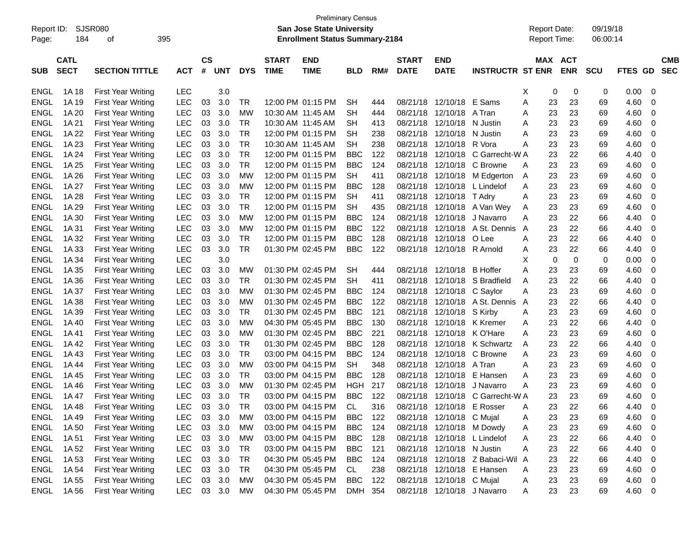| Report ID:<br>Page: | 184                        | SJSR080<br>395<br>οf      |            |                    |            |            |                             | <b>Preliminary Census</b><br><b>San Jose State University</b><br><b>Enrollment Status Summary-2184</b> |            |     |                             |                           |                              |   |    | <b>Report Date:</b><br><b>Report Time:</b> | 09/19/18<br>06:00:14 |                |                          |
|---------------------|----------------------------|---------------------------|------------|--------------------|------------|------------|-----------------------------|--------------------------------------------------------------------------------------------------------|------------|-----|-----------------------------|---------------------------|------------------------------|---|----|--------------------------------------------|----------------------|----------------|--------------------------|
| <b>SUB</b>          | <b>CATL</b><br><b>SECT</b> | <b>SECTION TITTLE</b>     | <b>ACT</b> | $\mathsf{cs}$<br># | <b>UNT</b> | <b>DYS</b> | <b>START</b><br><b>TIME</b> | <b>END</b><br><b>TIME</b>                                                                              | <b>BLD</b> | RM# | <b>START</b><br><b>DATE</b> | <b>END</b><br><b>DATE</b> | <b>INSTRUCTR ST ENR</b>      |   |    | MAX ACT<br><b>ENR</b>                      | <b>SCU</b>           | <b>FTES GD</b> | <b>CMB</b><br><b>SEC</b> |
| ENGL                | 1A 18                      | <b>First Year Writing</b> | <b>LEC</b> |                    | 3.0        |            |                             |                                                                                                        |            |     |                             |                           |                              | Χ | 0  | 0                                          | 0                    | 0.00           | 0                        |
| <b>ENGL</b>         | 1A 19                      | <b>First Year Writing</b> | LEC        | 03                 | 3.0        | TR         |                             | 12:00 PM 01:15 PM                                                                                      | <b>SH</b>  | 444 | 08/21/18                    | 12/10/18                  | E Sams                       | Α | 23 | 23                                         | 69                   | 4.60           | 0                        |
| <b>ENGL</b>         | 1A 20                      | <b>First Year Writing</b> | LEC        | 03                 | 3.0        | <b>MW</b>  |                             | 10:30 AM 11:45 AM                                                                                      | <b>SH</b>  | 444 | 08/21/18                    | 12/10/18                  | A Tran                       | Α | 23 | 23                                         | 69                   | 4.60           | 0                        |
| <b>ENGL</b>         | 1A 21                      | <b>First Year Writing</b> | LEC        | 03                 | 3.0        | <b>TR</b>  |                             | 10:30 AM 11:45 AM                                                                                      | <b>SH</b>  | 413 | 08/21/18                    | 12/10/18                  | N Justin                     | Α | 23 | 23                                         | 69                   | 4.60           | 0                        |
| <b>ENGL</b>         | 1A 22                      | <b>First Year Writing</b> | LEC        | 03                 | 3.0        | <b>TR</b>  |                             | 12:00 PM 01:15 PM                                                                                      | <b>SH</b>  | 238 | 08/21/18                    | 12/10/18                  | N Justin                     | Α | 23 | 23                                         | 69                   | 4.60           | 0                        |
| <b>ENGL</b>         | 1A 23                      | <b>First Year Writing</b> | LEC        | 03                 | 3.0        | <b>TR</b>  |                             | 10:30 AM 11:45 AM                                                                                      | <b>SH</b>  | 238 | 08/21/18                    | 12/10/18                  | R Vora                       | Α | 23 | 23                                         | 69                   | 4.60           | 0                        |
| <b>ENGL</b>         | 1A 24                      | <b>First Year Writing</b> | LEC        | 03                 | 3.0        | <b>TR</b>  |                             | 12:00 PM 01:15 PM                                                                                      | <b>BBC</b> | 122 | 08/21/18                    | 12/10/18                  | C Garrecht-W A               |   | 23 | 22                                         | 66                   | 4.40           | 0                        |
| <b>ENGL</b>         | 1A 25                      | <b>First Year Writing</b> | LEC        | 03                 | 3.0        | <b>TR</b>  |                             | 12:00 PM 01:15 PM                                                                                      | <b>BBC</b> | 124 | 08/21/18                    | 12/10/18                  | C Browne                     | Α | 23 | 23                                         | 69                   | 4.60           | 0                        |
| <b>ENGL</b>         | 1A 26                      | <b>First Year Writing</b> | LEC        | 03                 | 3.0        | MW         |                             | 12:00 PM 01:15 PM                                                                                      | <b>SH</b>  | 411 | 08/21/18                    | 12/10/18                  | M Edgerton                   | A | 23 | 23                                         | 69                   | 4.60           | 0                        |
| <b>ENGL</b>         | 1A 27                      | <b>First Year Writing</b> | LEC        | 03                 | 3.0        | MW         |                             | 12:00 PM 01:15 PM                                                                                      | <b>BBC</b> | 128 | 08/21/18                    | 12/10/18                  | L Lindelof                   | Α | 23 | 23                                         | 69                   | 4.60           | 0                        |
| <b>ENGL</b>         | 1A 28                      | <b>First Year Writing</b> | LEC        | 03                 | 3.0        | <b>TR</b>  |                             | 12:00 PM 01:15 PM                                                                                      | <b>SH</b>  | 411 | 08/21/18                    | 12/10/18                  | T Adry                       | Α | 23 | 23                                         | 69                   | 4.60           | 0                        |
| <b>ENGL</b>         | 1A 29                      | <b>First Year Writing</b> | LEC        | 03                 | 3.0        | <b>TR</b>  |                             | 12:00 PM 01:15 PM                                                                                      | <b>SH</b>  | 435 | 08/21/18                    | 12/10/18                  | A Van Wey                    | Α | 23 | 23                                         | 69                   | 4.60           | 0                        |
| <b>ENGL</b>         | 1A 30                      | <b>First Year Writing</b> | LEC        | 03                 | 3.0        | MW         |                             | 12:00 PM 01:15 PM                                                                                      | <b>BBC</b> | 124 | 08/21/18                    | 12/10/18                  | J Navarro                    | Α | 23 | 22                                         | 66                   | 4.40           | 0                        |
| <b>ENGL</b>         | 1A 31                      | <b>First Year Writing</b> | LEC        | 03                 | 3.0        | MW         |                             | 12:00 PM 01:15 PM                                                                                      | <b>BBC</b> | 122 | 08/21/18                    | 12/10/18                  | A St. Dennis                 | A | 23 | 22                                         | 66                   | 4.40           | 0                        |
| <b>ENGL</b>         | 1A 32                      | <b>First Year Writing</b> | LEC        | 03                 | 3.0        | <b>TR</b>  |                             | 12:00 PM 01:15 PM                                                                                      | <b>BBC</b> | 128 | 08/21/18                    | 12/10/18                  | O Lee                        | Α | 23 | 22                                         | 66                   | 4.40           | 0                        |
| <b>ENGL</b>         | 1A 33                      | <b>First Year Writing</b> | LEC        | 03                 | 3.0        | <b>TR</b>  |                             | 01:30 PM 02:45 PM                                                                                      | <b>BBC</b> | 122 | 08/21/18                    | 12/10/18                  | R Arnold                     | Α | 23 | 22                                         | 66                   | 4.40           | 0                        |
| <b>ENGL</b>         | 1A 34                      | <b>First Year Writing</b> | LEC        |                    | 3.0        |            |                             |                                                                                                        |            |     |                             |                           |                              | х | 0  | $\mathbf 0$                                | 0                    | 0.00           | 0                        |
| <b>ENGL</b>         | 1A 35                      | <b>First Year Writing</b> | LEC        | 03                 | 3.0        | МW         |                             | 01:30 PM 02:45 PM                                                                                      | <b>SH</b>  | 444 | 08/21/18                    | 12/10/18                  | <b>B</b> Hoffer              | Α | 23 | 23                                         | 69                   | 4.60           | 0                        |
| <b>ENGL</b>         | 1A 36                      | <b>First Year Writing</b> | LEC        | 03                 | 3.0        | <b>TR</b>  |                             | 01:30 PM 02:45 PM                                                                                      | <b>SH</b>  | 411 | 08/21/18                    | 12/10/18                  | S Bradfield                  | A | 23 | 22                                         | 66                   | 4.40           | 0                        |
| <b>ENGL</b>         | 1A 37                      | <b>First Year Writing</b> | LEC        | 03                 | 3.0        | MW         |                             | 01:30 PM 02:45 PM                                                                                      | <b>BBC</b> | 124 | 08/21/18                    | 12/10/18                  | C Saylor                     | Α | 23 | 23                                         | 69                   | 4.60           | 0                        |
| <b>ENGL</b>         | 1A 38                      | <b>First Year Writing</b> | LEC        | 03                 | 3.0        | MW         |                             | 01:30 PM 02:45 PM                                                                                      | <b>BBC</b> | 122 | 08/21/18                    | 12/10/18                  | A St. Dennis                 | A | 23 | 22                                         | 66                   | 4.40           | 0                        |
| <b>ENGL</b>         | 1A 39                      | <b>First Year Writing</b> | LEC        | 03                 | 3.0        | <b>TR</b>  |                             | 01:30 PM 02:45 PM                                                                                      | <b>BBC</b> | 121 | 08/21/18                    | 12/10/18                  | S Kirby                      | Α | 23 | 23                                         | 69                   | 4.60           | 0                        |
| <b>ENGL</b>         | 1A 40                      | <b>First Year Writing</b> | LEC        | 03                 | 3.0        | MW         |                             | 04:30 PM 05:45 PM                                                                                      | <b>BBC</b> | 130 | 08/21/18                    | 12/10/18                  | K Kremer                     | Α | 23 | 22                                         | 66                   | 4.40           | 0                        |
| <b>ENGL</b>         | 1A 41                      | <b>First Year Writing</b> | LEC        | 03                 | 3.0        | MW         |                             | 01:30 PM 02:45 PM                                                                                      | <b>BBC</b> | 221 | 08/21/18                    | 12/10/18                  | K O'Hare                     | Α | 23 | 23                                         | 69                   | 4.60           | 0                        |
| <b>ENGL</b>         | 1A 42                      | <b>First Year Writing</b> | LEC        | 03                 | 3.0        | <b>TR</b>  |                             | 01:30 PM 02:45 PM                                                                                      | <b>BBC</b> | 128 | 08/21/18                    | 12/10/18                  | <b>K Schwartz</b>            | A | 23 | 22                                         | 66                   | 4.40           | 0                        |
| <b>ENGL</b>         | 1A 43                      | <b>First Year Writing</b> | LEC        | 03                 | 3.0        | <b>TR</b>  |                             | 03:00 PM 04:15 PM                                                                                      | <b>BBC</b> | 124 | 08/21/18                    | 12/10/18                  | C Browne                     | A | 23 | 23                                         | 69                   | 4.60           | 0                        |
| <b>ENGL</b>         | 1A 44                      | <b>First Year Writing</b> | LEC        | 03                 | 3.0        | МW         |                             | 03:00 PM 04:15 PM                                                                                      | <b>SH</b>  | 348 | 08/21/18                    | 12/10/18                  | A Tran                       | A | 23 | 23                                         | 69                   | 4.60           | 0                        |
| <b>ENGL</b>         | 1A 45                      | <b>First Year Writing</b> | LEC        | 03                 | 3.0        | <b>TR</b>  |                             | 03:00 PM 04:15 PM                                                                                      | <b>BBC</b> | 128 | 08/21/18                    | 12/10/18                  | E Hansen                     | Α | 23 | 23                                         | 69                   | 4.60           | 0                        |
| <b>ENGL</b>         | 1A 46                      | <b>First Year Writing</b> | <b>LEC</b> | 03                 | 3.0        | МW         |                             | 01:30 PM 02:45 PM                                                                                      | HGH        | 217 | 08/21/18                    | 12/10/18                  | J Navarro                    | Α | 23 | 23                                         | 69                   | 4.60           | 0                        |
| <b>ENGL</b>         | 1A 47                      | <b>First Year Writing</b> | <b>LEC</b> | 03                 | 3.0        | <b>TR</b>  |                             | 03:00 PM 04:15 PM                                                                                      | <b>BBC</b> | 122 | 08/21/18                    | 12/10/18                  | C Garrecht-W A               |   | 23 | 23                                         | 69                   | 4.60           | 0                        |
| ENGL                | 1A48                       | <b>First Year Writing</b> | LEC        | 03                 | 3.0        | <b>TR</b>  |                             | 03:00 PM 04:15 PM                                                                                      | CL         | 316 |                             | 08/21/18 12/10/18         | E Rosser                     | A | 23 | 22                                         | 66                   | 4.40           | 0                        |
| <b>ENGL</b>         | 1A 49                      | <b>First Year Writing</b> | <b>LEC</b> | 03                 | 3.0        | МW         |                             | 03:00 PM 04:15 PM                                                                                      | <b>BBC</b> | 122 |                             | 08/21/18 12/10/18 C Mujal |                              | A | 23 | 23                                         | 69                   | 4.60           | 0                        |
| <b>ENGL</b>         | 1A 50                      | <b>First Year Writing</b> | <b>LEC</b> | 03                 | 3.0        | МW         |                             | 03:00 PM 04:15 PM                                                                                      | <b>BBC</b> | 124 |                             | 08/21/18 12/10/18 M Dowdy |                              | A | 23 | 23                                         | 69                   | 4.60           | $\boldsymbol{0}$         |
| <b>ENGL</b>         | 1A 51                      | <b>First Year Writing</b> | <b>LEC</b> | 03                 | 3.0        | МW         |                             | 03:00 PM 04:15 PM                                                                                      | <b>BBC</b> | 128 |                             |                           | 08/21/18 12/10/18 L Lindelof | Α | 23 | 22                                         | 66                   | 4.40           | $\boldsymbol{0}$         |
| <b>ENGL</b>         | 1A 52                      | <b>First Year Writing</b> | <b>LEC</b> | 03                 | 3.0        | <b>TR</b>  |                             | 03:00 PM 04:15 PM                                                                                      | <b>BBC</b> | 121 | 08/21/18                    | 12/10/18 N Justin         |                              | Α | 23 | 22                                         | 66                   | 4.40           | 0                        |
| <b>ENGL</b>         | 1A 53                      | <b>First Year Writing</b> | <b>LEC</b> | 03                 | 3.0        | <b>TR</b>  |                             | 04:30 PM 05:45 PM                                                                                      | <b>BBC</b> | 124 | 08/21/18                    |                           | 12/10/18 Z Babaci-Wil A      |   | 23 | 22                                         | 66                   | 4.40           | 0                        |
| <b>ENGL</b>         | 1A 54                      | <b>First Year Writing</b> | LEC        | 03                 | 3.0        | <b>TR</b>  |                             | 04:30 PM 05:45 PM                                                                                      | CL         | 238 | 08/21/18                    |                           | 12/10/18 E Hansen            | A | 23 | 23                                         | 69                   | 4.60           | $\boldsymbol{0}$         |
| <b>ENGL</b>         | 1A 55                      | <b>First Year Writing</b> | LEC        | 03                 | 3.0        | МW         |                             | 04:30 PM 05:45 PM                                                                                      | <b>BBC</b> | 122 | 08/21/18                    | 12/10/18 C Mujal          |                              | A | 23 | 23                                         | 69                   | 4.60           | $\boldsymbol{0}$         |
| <b>ENGL</b>         | 1A 56                      | <b>First Year Writing</b> | LEC        |                    | 03 3.0     | MW         |                             | 04:30 PM 05:45 PM                                                                                      | DMH 354    |     |                             |                           | 08/21/18 12/10/18 J Navarro  | A | 23 | 23                                         | 69                   | 4.60           | $\boldsymbol{0}$         |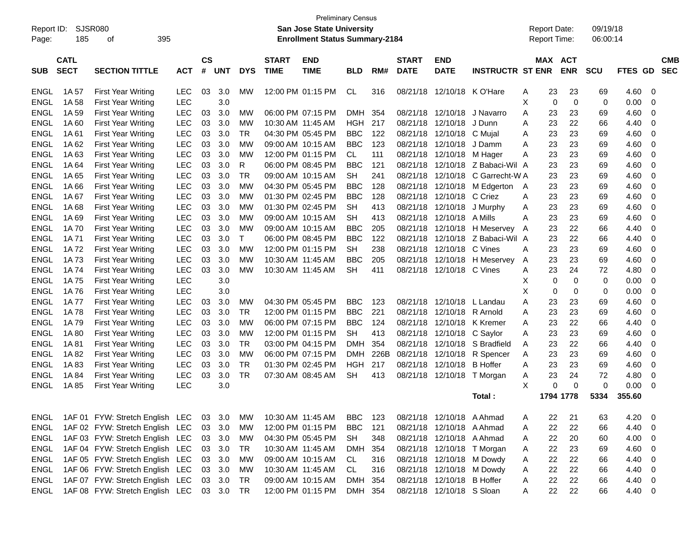| SJSR080<br>Report ID:<br>185<br>Page:<br>οf                       | 395                                    |                    |            |            |                             | <b>Preliminary Census</b><br><b>San Jose State University</b><br><b>Enrollment Status Summary-2184</b> |            |      |                             |                            |                         | <b>Report Date:</b><br><b>Report Time:</b> |                              |             | 09/19/18<br>06:00:14 |                |                         |                          |
|-------------------------------------------------------------------|----------------------------------------|--------------------|------------|------------|-----------------------------|--------------------------------------------------------------------------------------------------------|------------|------|-----------------------------|----------------------------|-------------------------|--------------------------------------------|------------------------------|-------------|----------------------|----------------|-------------------------|--------------------------|
| <b>CATL</b><br><b>SECT</b><br><b>SECTION TITTLE</b><br><b>SUB</b> | <b>ACT</b>                             | $\mathsf{cs}$<br># | <b>UNT</b> | <b>DYS</b> | <b>START</b><br><b>TIME</b> | <b>END</b><br><b>TIME</b>                                                                              | <b>BLD</b> | RM#  | <b>START</b><br><b>DATE</b> | <b>END</b><br><b>DATE</b>  | <b>INSTRUCTR ST ENR</b> |                                            | <b>MAX ACT</b><br><b>ENR</b> |             | <b>SCU</b>           | FTES GD        |                         | <b>CMB</b><br><b>SEC</b> |
| <b>ENGL</b><br>1A 57<br><b>First Year Writing</b>                 | <b>LEC</b>                             | 03                 | 3.0        | МW         |                             | 12:00 PM 01:15 PM                                                                                      | CL         | 316  | 08/21/18                    | 12/10/18 K O'Hare          |                         | A                                          | 23                           | 23          | 69                   | 4.60           | 0                       |                          |
| <b>ENGL</b><br>1A 58<br><b>First Year Writing</b>                 | <b>LEC</b>                             |                    | 3.0        |            |                             |                                                                                                        |            |      |                             |                            |                         | X                                          | 0                            | $\mathbf 0$ | 0                    | 0.00           | 0                       |                          |
| ENGL<br>1A 59<br><b>First Year Writing</b>                        | <b>LEC</b>                             | 03                 | 3.0        | МW         |                             | 06:00 PM 07:15 PM                                                                                      | <b>DMH</b> | 354  | 08/21/18                    | 12/10/18                   | J Navarro               | A                                          | 23                           | 23          | 69                   | 4.60           | 0                       |                          |
| ENGL<br>1A60<br><b>First Year Writing</b>                         | <b>LEC</b>                             | 03                 | 3.0        | МW         | 10:30 AM 11:45 AM           |                                                                                                        | HGH        | 217  | 08/21/18                    | 12/10/18                   | J Dunn                  | A                                          | 23                           | 22          | 66                   | 4.40           | 0                       |                          |
| <b>ENGL</b><br>1A 61<br><b>First Year Writing</b>                 | <b>LEC</b>                             | 03                 | 3.0        | TR         |                             | 04:30 PM 05:45 PM                                                                                      | <b>BBC</b> | 122  | 08/21/18                    | 12/10/18                   | C Muial                 | A                                          | 23                           | 23          | 69                   | 4.60           | 0                       |                          |
| <b>ENGL</b><br>1A 62<br><b>First Year Writing</b>                 | <b>LEC</b>                             | 03                 | 3.0        | МW         | 09:00 AM 10:15 AM           |                                                                                                        | BBC.       | 123  | 08/21/18                    | 12/10/18                   | J Damm                  | A                                          | 23                           | 23          | 69                   | 4.60           | 0                       |                          |
| ENGL<br>1A63<br><b>First Year Writing</b>                         | <b>LEC</b>                             | 03                 | 3.0        | МW         |                             | 12:00 PM 01:15 PM                                                                                      | CL.        | 111  | 08/21/18                    | 12/10/18                   | M Hager                 | A                                          | 23                           | 23          | 69                   | 4.60           | 0                       |                          |
| <b>ENGL</b><br>1A 64<br><b>First Year Writing</b>                 | <b>LEC</b>                             | 03                 | 3.0        | R          |                             | 06:00 PM 08:45 PM                                                                                      | BBC        | 121  | 08/21/18                    |                            | 12/10/18 Z Babaci-Wil A |                                            | 23                           | 23          | 69                   | 4.60           | 0                       |                          |
| <b>ENGL</b><br>1A 65<br><b>First Year Writing</b>                 | <b>LEC</b>                             | 03                 | 3.0        | TR         |                             | 09:00 AM 10:15 AM                                                                                      | <b>SH</b>  | 241  | 08/21/18                    | 12/10/18                   | C Garrecht-W A          |                                            | 23                           | 23          | 69                   | 4.60           | 0                       |                          |
| ENGL<br>1A 66<br><b>First Year Writing</b>                        | <b>LEC</b>                             | 03                 | 3.0        | МW         |                             | 04:30 PM 05:45 PM                                                                                      | BBC        | 128  | 08/21/18                    | 12/10/18                   | M Edgerton              | A                                          | 23                           | 23          | 69                   | 4.60           | 0                       |                          |
| ENGL<br>1A 67<br><b>First Year Writing</b>                        | <b>LEC</b>                             | 03                 | 3.0        | МW         |                             | 01:30 PM 02:45 PM                                                                                      | BBC        | 128  | 08/21/18                    | 12/10/18                   | C Criez                 | A                                          | 23                           | 23          | 69                   | 4.60           | 0                       |                          |
| <b>ENGL</b><br>1A68<br><b>First Year Writing</b>                  | <b>LEC</b>                             | 03                 | 3.0        | МW         |                             | 01:30 PM 02:45 PM                                                                                      | <b>SH</b>  | 413  | 08/21/18                    | 12/10/18                   | J Murphy                | A                                          | 23                           | 23          | 69                   | 4.60           | 0                       |                          |
| <b>ENGL</b><br>1A69<br><b>First Year Writing</b>                  | <b>LEC</b>                             | 03                 | 3.0        | МW         | 09:00 AM 10:15 AM           |                                                                                                        | SH         | 413  | 08/21/18                    | 12/10/18                   | A Mills                 | A                                          | 23                           | 23          | 69                   | 4.60           | 0                       |                          |
| ENGL<br>1A 70<br><b>First Year Writing</b>                        | <b>LEC</b>                             | 03                 | 3.0        | МW         | 09:00 AM 10:15 AM           |                                                                                                        | BBC        | 205  | 08/21/18                    |                            | 12/10/18 H Meservey     | A                                          | 23                           | 22          | 66                   | 4.40           | 0                       |                          |
| ENGL<br>1A 71<br><b>First Year Writing</b>                        | <b>LEC</b>                             | 03                 | 3.0        |            |                             | 06:00 PM 08:45 PM                                                                                      | BBC        | 122  | 08/21/18                    | 12/10/18                   | Z Babaci-Wil   A        |                                            | 23                           | 22          | 66                   | 4.40           | 0                       |                          |
| <b>ENGL</b><br>1A 72<br><b>First Year Writing</b>                 | <b>LEC</b>                             | 03                 | 3.0        | МW         |                             | 12:00 PM 01:15 PM                                                                                      | SH         | 238  | 08/21/18                    | 12/10/18                   | C Vines                 | A                                          | 23                           | 23          | 69                   | 4.60           | 0                       |                          |
| ENGL<br>1A 73<br><b>First Year Writing</b>                        | <b>LEC</b>                             | 03                 | 3.0        | МW         | 10:30 AM 11:45 AM           |                                                                                                        | BBC        | 205  | 08/21/18                    |                            | 12/10/18 H Meservev     | A                                          | 23                           | 23          | 69                   | 4.60           | 0                       |                          |
| ENGL<br>1A 74<br><b>First Year Writing</b>                        | <b>LEC</b>                             | 03                 | 3.0        | МW         | 10:30 AM 11:45 AM           |                                                                                                        | SH         | 411  |                             | 08/21/18 12/10/18 C Vines  |                         | A                                          | 23                           | 24          | 72                   | 4.80           | 0                       |                          |
| <b>ENGL</b><br>1A 75<br><b>First Year Writing</b>                 | <b>LEC</b>                             |                    | 3.0        |            |                             |                                                                                                        |            |      |                             |                            |                         | X                                          | 0                            | 0           | 0                    | 0.00           | 0                       |                          |
| <b>ENGL</b><br>1A 76<br><b>First Year Writing</b>                 | <b>LEC</b>                             |                    | 3.0        |            |                             |                                                                                                        |            |      |                             |                            |                         | Х                                          | 0                            | 0           | 0                    | 0.00           | 0                       |                          |
| ENGL<br>1A 77<br><b>First Year Writing</b>                        | <b>LEC</b>                             | 03                 | 3.0        | МW         |                             | 04:30 PM 05:45 PM                                                                                      | BBC.       | 123  |                             | 08/21/18 12/10/18 L Landau |                         | A                                          | 23                           | 23          | 69                   | 4.60           | 0                       |                          |
| ENGL<br>1A 78<br><b>First Year Writing</b>                        | <b>LEC</b>                             | 03                 | 3.0        | TR         |                             | 12:00 PM 01:15 PM                                                                                      | <b>BBC</b> | 221  | 08/21/18                    | 12/10/18                   | R Arnold                | A                                          | 23                           | 23          | 69                   | 4.60           | 0                       |                          |
| <b>ENGL</b><br>1A 79<br><b>First Year Writing</b>                 | <b>LEC</b>                             | 03                 | 3.0        | МW         |                             | 06:00 PM 07:15 PM                                                                                      | BBC        | 124  | 08/21/18                    | 12/10/18                   | K Kremer                | A                                          | 23                           | 22          | 66                   | 4.40           | 0                       |                          |
| <b>ENGL</b><br>1A 80<br><b>First Year Writing</b>                 | <b>LEC</b>                             | 03                 | 3.0        | МW         |                             | 12:00 PM 01:15 PM                                                                                      | <b>SH</b>  | 413  | 08/21/18                    | 12/10/18                   | C Saylor                | A                                          | 23                           | 23          | 69                   | 4.60           | 0                       |                          |
| ENGL<br><b>First Year Writing</b><br>1A 81                        | <b>LEC</b>                             | 03                 | 3.0        | TR         |                             | 03:00 PM 04:15 PM                                                                                      | DMH        | 354  | 08/21/18                    | 12/10/18                   | S Bradfield             | A                                          | 23                           | 22          | 66                   | 4.40           | 0                       |                          |
| <b>ENGL</b><br>1A 82<br><b>First Year Writing</b>                 | <b>LEC</b>                             | 03                 | 3.0        | МW         |                             | 06:00 PM 07:15 PM                                                                                      | <b>DMH</b> | 226B | 08/21/18                    | 12/10/18                   | R Spencer               | A                                          | 23                           | 23          | 69                   | 4.60           | 0                       |                          |
| <b>ENGL</b><br>1A83<br><b>First Year Writing</b>                  | <b>LEC</b>                             | 03                 | 3.0        | TR         |                             | 01:30 PM 02:45 PM                                                                                      | HGH        | 217  | 08/21/18                    | 12/10/18                   | <b>B</b> Hoffer         | A                                          | 23                           | 23          | 69                   | 4.60           | 0                       |                          |
| <b>ENGL</b><br>1A 84<br><b>First Year Writing</b>                 | <b>LEC</b>                             | 03                 | 3.0        | <b>TR</b>  | 07:30 AM 08:45 AM           |                                                                                                        | <b>SH</b>  | 413  | 08/21/18                    | 12/10/18                   | T Morgan                | A                                          | 23                           | 24          | 72                   | 4.80           | 0                       |                          |
| <b>ENGL</b><br>1A 85<br><b>First Year Writing</b>                 | <b>LEC</b>                             |                    | 3.0        |            |                             |                                                                                                        |            |      |                             |                            |                         | X                                          | 0                            | 0           | 0                    | 0.00           | 0                       |                          |
|                                                                   |                                        |                    |            |            |                             |                                                                                                        |            |      |                             |                            | Total :                 |                                            | 1794 1778                    |             | 5334                 | 355.60         |                         |                          |
| ENGL                                                              | 1AF 01 FYW: Stretch English LEC        |                    | 03 3.0     | МW         |                             | 10:30 AM 11:45 AM                                                                                      | <b>BBC</b> | 123  |                             | 08/21/18 12/10/18 A Ahmad  |                         | A                                          | 22                           | 21          | 63                   | 4.20           | 0                       |                          |
| <b>ENGL</b>                                                       | 1AF 02 FYW: Stretch English LEC        |                    | 03 3.0     | MW         |                             | 12:00 PM 01:15 PM                                                                                      | <b>BBC</b> | 121  |                             | 08/21/18 12/10/18 A Ahmad  |                         | A                                          | 22                           | 22          | 66                   | 4.40           | - 0                     |                          |
| <b>ENGL</b>                                                       | 1AF 03 FYW: Stretch English LEC        |                    | 03 3.0     | <b>MW</b>  |                             | 04:30 PM 05:45 PM                                                                                      | <b>SH</b>  | 348  |                             | 08/21/18 12/10/18 A Ahmad  |                         | A                                          | 22                           | 20          | 60                   | 4.00           | $\overline{\mathbf{0}}$ |                          |
| <b>ENGL</b>                                                       | 1AF 04 FYW: Stretch English LEC        |                    | 03 3.0     | <b>TR</b>  | 10:30 AM 11:45 AM           |                                                                                                        | DMH 354    |      |                             | 08/21/18 12/10/18 T Morgan |                         | A                                          | 22                           | 23          | 69                   | 4.60           | - 0                     |                          |
| <b>ENGL</b>                                                       | 1AF 05 FYW: Stretch English LEC        |                    | 03 3.0     | <b>MW</b>  |                             | 09:00 AM 10:15 AM                                                                                      | CL         | 316  |                             | 08/21/18 12/10/18 M Dowdy  |                         | A                                          | 22                           | 22          | 66                   | 4.40           | - 0                     |                          |
| <b>ENGL</b>                                                       | 1AF 06 FYW: Stretch English LEC        |                    | 03 3.0     | <b>MW</b>  | 10:30 AM 11:45 AM           |                                                                                                        | CL         | 316  |                             | 08/21/18 12/10/18 M Dowdy  |                         | A                                          | 22                           | 22          | 66                   | 4.40           | - 0                     |                          |
| <b>ENGL</b>                                                       | 1AF 07 FYW: Stretch English LEC        |                    | 03 3.0     | TR         |                             | 09:00 AM 10:15 AM                                                                                      | DMH 354    |      |                             | 08/21/18 12/10/18 B Hoffer |                         | A                                          | 22                           | 22          | 66                   | 4.40           | - 0                     |                          |
| ENGL                                                              | 1AF 08 FYW: Stretch English LEC 03 3.0 |                    |            | TR         |                             | 12:00 PM 01:15 PM                                                                                      | DMH 354    |      |                             | 08/21/18 12/10/18 S Sloan  |                         | A                                          | 22                           | 22          | 66                   | $4.40 \quad 0$ |                         |                          |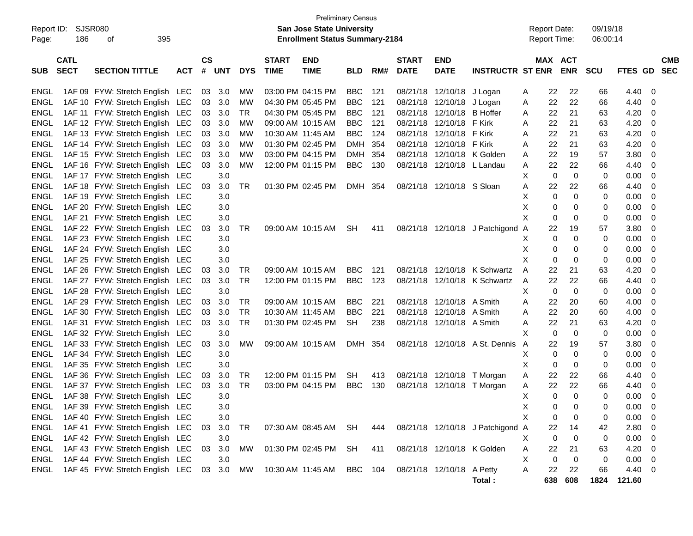| Report ID:<br>Page: | 186                        | SJSR080<br>395<br>οf            |            |                    |            |            |                             | <b>Preliminary Census</b><br><b>San Jose State University</b><br><b>Enrollment Status Summary-2184</b> |            |     |                             |                            |                                  |   | <b>Report Date:</b><br>Report Time: |             | 09/19/18<br>06:00:14 |                  |                          |                          |
|---------------------|----------------------------|---------------------------------|------------|--------------------|------------|------------|-----------------------------|--------------------------------------------------------------------------------------------------------|------------|-----|-----------------------------|----------------------------|----------------------------------|---|-------------------------------------|-------------|----------------------|------------------|--------------------------|--------------------------|
| <b>SUB</b>          | <b>CATL</b><br><b>SECT</b> | <b>SECTION TITTLE</b>           | <b>ACT</b> | $\mathsf{cs}$<br># | <b>UNT</b> | <b>DYS</b> | <b>START</b><br><b>TIME</b> | <b>END</b><br><b>TIME</b>                                                                              | <b>BLD</b> | RM# | <b>START</b><br><b>DATE</b> | <b>END</b><br><b>DATE</b>  | <b>INSTRUCTR ST ENR</b>          |   | MAX ACT                             | <b>ENR</b>  | <b>SCU</b>           | <b>FTES GD</b>   |                          | <b>CMB</b><br><b>SEC</b> |
| ENGL                |                            | 1AF 09 FYW: Stretch English LEC |            | 03                 | 3.0        | МW         |                             | 03:00 PM 04:15 PM                                                                                      | <b>BBC</b> | 121 | 08/21/18                    | 12/10/18 J Logan           |                                  | Α | 22                                  | 22          | 66                   | 4.40             | - 0                      |                          |
| <b>ENGL</b>         |                            | 1AF 10 FYW: Stretch English LEC |            | 03                 | 3.0        | MW         |                             | 04:30 PM 05:45 PM                                                                                      | <b>BBC</b> | 121 | 08/21/18                    | 12/10/18 J Logan           |                                  | Α | 22                                  | 22          | 66                   | 4.40             | 0                        |                          |
| ENGL                |                            | 1AF 11 FYW: Stretch English LEC |            | 03                 | 3.0        | TR         |                             | 04:30 PM 05:45 PM                                                                                      | <b>BBC</b> | 121 | 08/21/18                    | 12/10/18                   | <b>B</b> Hoffer                  | Α | 22                                  | 21          | 63                   | 4.20             | 0                        |                          |
| <b>ENGL</b>         |                            | 1AF 12 FYW: Stretch English LEC |            | 03                 | 3.0        | MW         |                             | 09:00 AM 10:15 AM                                                                                      | <b>BBC</b> | 121 | 08/21/18                    | 12/10/18                   | F Kirk                           | A | 22                                  | 21          | 63                   | 4.20             | 0                        |                          |
| <b>ENGL</b>         |                            | 1AF 13 FYW: Stretch English LEC |            | 03                 | 3.0        | MW         |                             | 10:30 AM 11:45 AM                                                                                      | <b>BBC</b> | 124 | 08/21/18                    | 12/10/18                   | F Kirk                           | A | 22                                  | 21          | 63                   | 4.20             | 0                        |                          |
| <b>ENGL</b>         |                            | 1AF 14 FYW: Stretch English LEC |            | 03                 | 3.0        | MW         |                             | 01:30 PM 02:45 PM                                                                                      | <b>DMH</b> | 354 | 08/21/18                    | 12/10/18                   | F Kirk                           | Α | 22                                  | 21          | 63                   | 4.20             | 0                        |                          |
| <b>ENGL</b>         |                            | 1AF 15 FYW: Stretch English LEC |            | 03                 | 3.0        | MW         |                             | 03:00 PM 04:15 PM                                                                                      | <b>DMH</b> | 354 | 08/21/18                    |                            | 12/10/18 K Golden                | Α | 22                                  | 19          | 57                   | 3.80             | 0                        |                          |
| <b>ENGL</b>         |                            | 1AF 16 FYW: Stretch English LEC |            | 03                 | 3.0        | МW         |                             | 12:00 PM 01:15 PM                                                                                      | <b>BBC</b> | 130 | 08/21/18                    | 12/10/18 L Landau          |                                  | Α | 22                                  | 22          | 66                   | 4.40             | 0                        |                          |
| <b>ENGL</b>         |                            | 1AF 17 FYW: Stretch English LEC |            |                    | 3.0        |            |                             |                                                                                                        |            |     |                             |                            |                                  | х | $\mathbf 0$                         | $\mathbf 0$ | 0                    | 0.00             | 0                        |                          |
| <b>ENGL</b>         |                            | 1AF 18 FYW: Stretch English     | LEC        | 03                 | 3.0        | TR         |                             | 01:30 PM 02:45 PM                                                                                      | DMH 354    |     | 08/21/18                    | 12/10/18 S Sloan           |                                  | Α | 22                                  | 22          | 66                   | 4.40             | 0                        |                          |
| <b>ENGL</b>         |                            | 1AF 19 FYW: Stretch English LEC |            |                    | 3.0        |            |                             |                                                                                                        |            |     |                             |                            |                                  | х | $\mathbf 0$                         | 0           | 0                    | 0.00             | 0                        |                          |
| <b>ENGL</b>         |                            | 1AF 20 FYW: Stretch English LEC |            |                    | 3.0        |            |                             |                                                                                                        |            |     |                             |                            |                                  | х | 0                                   | 0           | 0                    | 0.00             | 0                        |                          |
| <b>ENGL</b>         |                            | 1AF 21 FYW: Stretch English LEC |            |                    | 3.0        |            |                             |                                                                                                        |            |     |                             |                            |                                  | X | 0                                   | 0           | 0                    | 0.00             | 0                        |                          |
| <b>ENGL</b>         |                            | 1AF 22 FYW: Stretch English     | LEC        | 03                 | 3.0        | TR         |                             | 09:00 AM 10:15 AM                                                                                      | <b>SH</b>  | 411 |                             |                            | 08/21/18 12/10/18 J Patchigond A |   | 22                                  | 19          | 57                   | 3.80             | 0                        |                          |
| <b>ENGL</b>         |                            | 1AF 23 FYW: Stretch English LEC |            |                    | 3.0        |            |                             |                                                                                                        |            |     |                             |                            |                                  | х | 0                                   | 0           | 0                    | 0.00             | 0                        |                          |
| <b>ENGL</b>         |                            | 1AF 24 FYW: Stretch English LEC |            |                    | 3.0        |            |                             |                                                                                                        |            |     |                             |                            |                                  | х | 0                                   | 0           | 0                    | 0.00             | 0                        |                          |
| <b>ENGL</b>         |                            | 1AF 25 FYW: Stretch English LEC |            |                    | 3.0        |            |                             |                                                                                                        |            |     |                             |                            |                                  | X | 0                                   | 0           | 0                    | 0.00             | 0                        |                          |
| <b>ENGL</b>         |                            | 1AF 26 FYW: Stretch English LEC |            | 03                 | 3.0        | TR         |                             | 09:00 AM 10:15 AM                                                                                      | <b>BBC</b> | 121 | 08/21/18                    |                            | 12/10/18 K Schwartz              | A | 22                                  | 21          | 63                   | 4.20             | 0                        |                          |
| <b>ENGL</b>         |                            | 1AF 27 FYW: Stretch English LEC |            | 03                 | 3.0        | <b>TR</b>  |                             | 12:00 PM 01:15 PM                                                                                      | <b>BBC</b> | 123 | 08/21/18                    |                            | 12/10/18 K Schwartz              | Α | 22                                  | 22          | 66                   | 4.40             | 0                        |                          |
| <b>ENGL</b>         |                            | 1AF 28 FYW: Stretch English LEC |            |                    | 3.0        |            |                             |                                                                                                        |            |     |                             |                            |                                  | х | 0                                   | $\mathbf 0$ | 0                    | 0.00             | 0                        |                          |
| <b>ENGL</b>         |                            | 1AF 29 FYW: Stretch English LEC |            | 03                 | 3.0        | TR         |                             | 09:00 AM 10:15 AM                                                                                      | <b>BBC</b> | 221 | 08/21/18                    | 12/10/18 A Smith           |                                  | A | 22                                  | 20          | 60                   | 4.00             | 0                        |                          |
| <b>ENGL</b>         |                            | 1AF 30 FYW: Stretch English LEC |            | 03                 | 3.0        | TR         |                             | 10:30 AM 11:45 AM                                                                                      | <b>BBC</b> | 221 | 08/21/18                    | 12/10/18 A Smith           |                                  | Α | 22                                  | 20          | 60                   | 4.00             | 0                        |                          |
| <b>ENGL</b>         |                            | 1AF 31 FYW: Stretch English LEC |            | 03                 | 3.0        | <b>TR</b>  |                             | 01:30 PM 02:45 PM                                                                                      | <b>SH</b>  | 238 |                             | 08/21/18 12/10/18 A Smith  |                                  | Α | 22                                  | 21          | 63                   | 4.20             | 0                        |                          |
| <b>ENGL</b>         |                            | 1AF 32 FYW: Stretch English LEC |            |                    | 3.0        |            |                             |                                                                                                        |            |     |                             |                            |                                  | Х | 0                                   | 0           | 0                    | 0.00             | 0                        |                          |
| <b>ENGL</b>         |                            | 1AF 33 FYW: Stretch English LEC |            | 03                 | 3.0        | МW         |                             | 09:00 AM 10:15 AM                                                                                      | DMH        | 354 |                             |                            | 08/21/18 12/10/18 A St. Dennis   | A | 22                                  | 19          | 57                   | 3.80             | 0                        |                          |
| <b>ENGL</b>         |                            | 1AF 34 FYW: Stretch English LEC |            |                    | 3.0        |            |                             |                                                                                                        |            |     |                             |                            |                                  | х | 0                                   | 0           | 0                    | 0.00             | 0                        |                          |
| <b>ENGL</b>         |                            | 1AF 35 FYW: Stretch English     | LEC        |                    | 3.0        |            |                             |                                                                                                        |            |     |                             |                            |                                  | х | 0                                   | 0           | 0                    | 0.00             | 0                        |                          |
| <b>ENGL</b>         |                            | 1AF 36 FYW: Stretch English LEC |            | 03                 | 3.0        | TR         |                             | 12:00 PM 01:15 PM                                                                                      | <b>SH</b>  | 413 | 08/21/18                    | 12/10/18                   | T Morgan                         | Α | 22                                  | 22          | 66                   | 4.40             | 0                        |                          |
| ENGL                |                            | 1AF 37 FYW: Stretch English     | LEC        | 03                 | 3.0        | <b>TR</b>  |                             | 03:00 PM 04:15 PM                                                                                      | <b>BBC</b> | 130 |                             |                            | 08/21/18 12/10/18 T Morgan       | Α | 22                                  | 22          | 66                   | 4.40             | - 0                      |                          |
| <b>ENGL</b>         |                            | 1AF 38 FYW: Stretch English LEC |            |                    | 3.0        |            |                             |                                                                                                        |            |     |                             |                            |                                  | X | $\mathbf 0$                         | $\Omega$    | 0                    | 0.00             | - 0                      |                          |
| ENGL                |                            | 1AF 39 FYW: Stretch English LEC |            |                    | 3.0        |            |                             |                                                                                                        |            |     |                             |                            |                                  | X | $\pmb{0}$                           | 0           | 0                    | 0.00             | $\overline{\phantom{0}}$ |                          |
| ENGL                |                            | 1AF 40 FYW: Stretch English LEC |            |                    | 3.0        |            |                             |                                                                                                        |            |     |                             |                            |                                  | X | 0                                   | 0           | 0                    | 0.00             | $\overline{\mathbf{0}}$  |                          |
| <b>ENGL</b>         |                            | 1AF 41 FYW: Stretch English LEC |            | 03                 | 3.0        | <b>TR</b>  |                             | 07:30 AM 08:45 AM SH                                                                                   |            | 444 |                             |                            | 08/21/18 12/10/18 J Patchigond A |   | 22                                  | 14          | 42                   | 2.80 0           |                          |                          |
| ENGL                |                            | 1AF 42 FYW: Stretch English LEC |            |                    | 3.0        |            |                             |                                                                                                        |            |     |                             |                            |                                  | Χ | $\mathbf 0$                         | 0           | 0                    | $0.00 \t 0$      |                          |                          |
| ENGL                |                            | 1AF 43 FYW: Stretch English LEC |            | 03                 | 3.0        | <b>MW</b>  |                             | 01:30 PM 02:45 PM                                                                                      | SH         | 411 |                             | 08/21/18 12/10/18 K Golden |                                  | Α | 22                                  | 21          | 63                   | $4.20 \ 0$       |                          |                          |
| ENGL                |                            | 1AF 44 FYW: Stretch English LEC |            |                    | 3.0        |            |                             |                                                                                                        |            |     |                             |                            |                                  | Χ | $\mathbf 0$                         | 0           | 0                    | $0.00 \t 0$      |                          |                          |
| ENGL                |                            | 1AF 45 FYW: Stretch English LEC |            | 03                 | 3.0        | <b>MW</b>  |                             | 10:30 AM 11:45 AM                                                                                      | BBC        | 104 |                             | 08/21/18 12/10/18 A Petty  | Total:                           | A | 22<br>638                           | 22<br>608   | 66<br>1824           | 4.40 0<br>121.60 |                          |                          |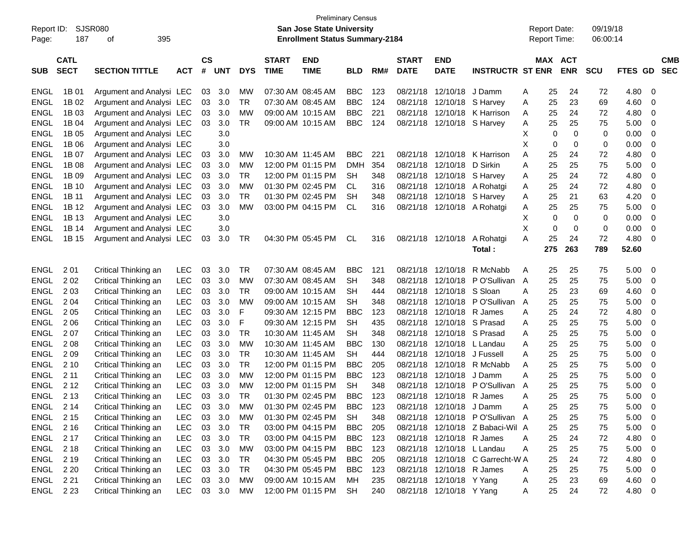|             |             |                          |            |               |            |            |                   | <b>Preliminary Census</b>              |            |     |              |                                         |                                  |                     |          |             |            |              |             |
|-------------|-------------|--------------------------|------------|---------------|------------|------------|-------------------|----------------------------------------|------------|-----|--------------|-----------------------------------------|----------------------------------|---------------------|----------|-------------|------------|--------------|-------------|
| Report ID:  | SJSR080     |                          |            |               |            |            |                   | <b>San Jose State University</b>       |            |     |              |                                         |                                  | <b>Report Date:</b> |          |             | 09/19/18   |              |             |
| Page:       | 187         | 395<br>οf                |            |               |            |            |                   | <b>Enrollment Status Summary-2184</b>  |            |     |              |                                         |                                  | Report Time:        |          |             | 06:00:14   |              |             |
|             |             |                          |            |               |            |            |                   |                                        |            |     |              |                                         |                                  |                     |          |             |            |              |             |
|             | <b>CATL</b> |                          |            | $\mathsf{cs}$ |            |            | <b>START</b>      | <b>END</b>                             |            |     | <b>START</b> | <b>END</b>                              |                                  |                     |          | MAX ACT     |            |              | <b>CMB</b>  |
| <b>SUB</b>  | <b>SECT</b> | <b>SECTION TITTLE</b>    | <b>ACT</b> | #             | <b>UNT</b> | <b>DYS</b> | <b>TIME</b>       | <b>TIME</b>                            | <b>BLD</b> | RM# | <b>DATE</b>  | <b>DATE</b>                             | <b>INSTRUCTR ST ENR</b>          |                     |          | <b>ENR</b>  | <b>SCU</b> | FTES GD      | <b>SEC</b>  |
| ENGL        | 1B 01       | Argument and Analysi LEC |            | 03            | 3.0        | MW         | 07:30 AM 08:45 AM |                                        | <b>BBC</b> | 123 | 08/21/18     | 12/10/18                                | J Damm                           | Α                   | 25       | 24          | 72         | 4.80         | 0           |
| <b>ENGL</b> | 1B 02       | Argument and Analysi LEC |            | 03            | 3.0        | TR         | 07:30 AM 08:45 AM |                                        | <b>BBC</b> | 124 | 08/21/18     | 12/10/18                                | S Harvey                         | A                   | 25       | 23          | 69         | 4.60         | 0           |
| <b>ENGL</b> | 1B 03       | Argument and Analysi LEC |            | 03            | 3.0        | <b>MW</b>  |                   | 09:00 AM 10:15 AM                      | <b>BBC</b> | 221 | 08/21/18     | 12/10/18                                | K Harrison                       | Α                   | 25       | 24          | 72         | 4.80         | 0           |
| <b>ENGL</b> | 1B 04       | Argument and Analysi LEC |            | 03            | 3.0        | <b>TR</b>  |                   | 09:00 AM 10:15 AM                      | <b>BBC</b> | 124 | 08/21/18     |                                         | 12/10/18 S Harvey                | A                   | 25       | 25          | 75         | 5.00         | 0           |
| <b>ENGL</b> | 1B 05       | Argument and Analysi LEC |            |               | 3.0        |            |                   |                                        |            |     |              |                                         |                                  | X                   | 0        | $\mathbf 0$ | 0          | 0.00         | 0           |
| <b>ENGL</b> | 1B 06       |                          |            |               |            |            |                   |                                        |            |     |              |                                         |                                  | X                   | 0        | 0           | 0          |              | 0           |
| <b>ENGL</b> | 1B 07       | Argument and Analysi LEC |            |               | 3.0        | <b>MW</b>  |                   | 10:30 AM 11:45 AM                      | <b>BBC</b> | 221 | 08/21/18     | 12/10/18                                | K Harrison                       | Α                   |          | 24          |            | 0.00         | 0           |
|             |             | Argument and Analysi LEC |            | 03            | 3.0        |            |                   |                                        |            |     |              |                                         |                                  |                     | 25       |             | 72         | 4.80         |             |
| <b>ENGL</b> | 1B 08       | Argument and Analysi LEC |            | 03            | 3.0        | MW         |                   | 12:00 PM 01:15 PM                      | <b>DMH</b> | 354 | 08/21/18     | 12/10/18                                | D Sirkin                         | Α                   | 25       | 25          | 75         | 5.00         | 0           |
| <b>ENGL</b> | 1B 09       | Argument and Analysi LEC |            | 03            | 3.0        | TR         |                   | 12:00 PM 01:15 PM                      | <b>SH</b>  | 348 | 08/21/18     |                                         | 12/10/18 S Harvey                | Α                   | 25       | 24          | 72         | 4.80         | 0           |
| <b>ENGL</b> | 1B 10       | Argument and Analysi LEC |            | 03            | 3.0        | <b>MW</b>  |                   | 01:30 PM 02:45 PM                      | CL.        | 316 | 08/21/18     |                                         | 12/10/18 A Rohatgi               | Α                   | 25       | 24          | 72         | 4.80         | 0           |
| <b>ENGL</b> | 1B 11       | Argument and Analysi LEC |            | 03            | 3.0        | TR         |                   | 01:30 PM 02:45 PM                      | <b>SH</b>  | 348 | 08/21/18     | 12/10/18                                | S Harvey                         | A                   | 25       | 21          | 63         | 4.20         | 0           |
| <b>ENGL</b> | 1B 12       | Argument and Analysi LEC |            | 03            | 3.0        | <b>MW</b>  |                   | 03:00 PM 04:15 PM                      | CL         | 316 |              |                                         | 08/21/18 12/10/18 A Rohatgi      | A                   | 25       | 25          | 75         | 5.00         | 0           |
| <b>ENGL</b> | 1B 13       | Argument and Analysi LEC |            |               | 3.0        |            |                   |                                        |            |     |              |                                         |                                  | Х                   | 0        | $\mathbf 0$ | 0          | 0.00         | 0           |
| <b>ENGL</b> | 1B 14       | Argument and Analysi LEC |            |               | 3.0        |            |                   |                                        |            |     |              |                                         |                                  | X                   | 0        | 0           | 0          | 0.00         | 0           |
| <b>ENGL</b> | 1B 15       | Argument and Analysi LEC |            | 03            | 3.0        | TR         |                   | 04:30 PM 05:45 PM                      | CL         | 316 |              | 08/21/18 12/10/18                       | A Rohatgi                        | Α                   | 25       | 24          | 72         | 4.80         | 0           |
|             |             |                          |            |               |            |            |                   |                                        |            |     |              |                                         | Total:                           |                     | 275      | 263         | 789        | 52.60        |             |
| <b>ENGL</b> | 2 0 1       | Critical Thinking an     | LEC        | 03            | 3.0        | TR         |                   | 07:30 AM 08:45 AM                      | <b>BBC</b> | 121 | 08/21/18     | 12/10/18                                | R McNabb                         | A                   | 25       | 25          | 75         | 5.00         | - 0         |
| <b>ENGL</b> | 202         | Critical Thinking an     | <b>LEC</b> | 03            | 3.0        | MW         |                   | 07:30 AM 08:45 AM                      | <b>SH</b>  | 348 | 08/21/18     | 12/10/18                                | PO'Sullivan A                    |                     | 25       | 25          | 75         | 5.00         | 0           |
| <b>ENGL</b> | 2 0 3       | Critical Thinking an     | <b>LEC</b> | 03            | 3.0        | TR         |                   | 09:00 AM 10:15 AM                      | <b>SH</b>  | 444 | 08/21/18     | 12/10/18 S Sloan                        |                                  | A                   | 25       | 23          | 69         | 4.60         | 0           |
| <b>ENGL</b> | 2 0 4       | Critical Thinking an     | LEC        | 03            | 3.0        | <b>MW</b>  |                   | 09:00 AM 10:15 AM                      | <b>SH</b>  | 348 | 08/21/18     | 12/10/18                                | P O'Sullivan                     | A                   | 25       | 25          | 75         | 5.00         | 0           |
| <b>ENGL</b> | 2 0 5       |                          | LEC        | 03            | 3.0        | F          |                   | 09:30 AM 12:15 PM                      | <b>BBC</b> | 123 | 08/21/18     | 12/10/18 R James                        |                                  | A                   |          | 24          | 72         |              | 0           |
| <b>ENGL</b> | 2 0 6       | Critical Thinking an     | <b>LEC</b> | 03            | 3.0        | F          |                   |                                        | <b>SH</b>  | 435 | 08/21/18     | 12/10/18 S Prasad                       |                                  |                     | 25<br>25 | 25          | 75         | 4.80<br>5.00 |             |
| <b>ENGL</b> | 207         | Critical Thinking an     | <b>LEC</b> | 03            | 3.0        | TR         |                   | 09:30 AM 12:15 PM<br>10:30 AM 11:45 AM | <b>SH</b>  | 348 | 08/21/18     |                                         | 12/10/18 S Prasad                | Α<br>Α              | 25       | 25          | 75         | 5.00         | 0           |
|             |             | Critical Thinking an     |            |               |            |            |                   |                                        |            |     |              |                                         |                                  |                     |          |             |            |              | 0           |
| <b>ENGL</b> | 2 0 8       | Critical Thinking an     | LEC        | 03            | 3.0        | <b>MW</b>  |                   | 10:30 AM 11:45 AM                      | <b>BBC</b> | 130 | 08/21/18     | 12/10/18 L Landau<br>12/10/18 J Fussell |                                  | Α                   | 25       | 25          | 75         | 5.00         | 0           |
| <b>ENGL</b> | 209         | Critical Thinking an     | <b>LEC</b> | 03            | 3.0        | TR         |                   | 10:30 AM 11:45 AM                      | <b>SH</b>  | 444 | 08/21/18     | 12/10/18                                |                                  | Α                   | 25       | 25          | 75         | 5.00         | 0           |
| <b>ENGL</b> | 2 1 0       | Critical Thinking an     | <b>LEC</b> | 03            | 3.0        | TR         |                   | 12:00 PM 01:15 PM                      | <b>BBC</b> | 205 | 08/21/18     |                                         | R McNabb                         | Α                   | 25       | 25          | 75         | 5.00         | 0           |
| <b>ENGL</b> | 2 1 1       | Critical Thinking an     | <b>LEC</b> | 03            | 3.0        | <b>MW</b>  |                   | 12:00 PM 01:15 PM                      | <b>BBC</b> | 123 | 08/21/18     | 12/10/18                                | J Damm                           | Α                   | 25       | 25          | 75         | 5.00         | 0           |
| <b>ENGL</b> | 2 1 2       | Critical Thinking an     | <b>LEC</b> | 03            | 3.0        | MW         |                   | 12:00 PM 01:15 PM                      | <b>SH</b>  | 348 | 08/21/18     | 12/10/18                                | P O'Sullivan                     | A                   | 25       | 25          | 75         | 5.00         | 0           |
| <b>ENGL</b> | 2 1 3       | Critical Thinking an     | <b>LEC</b> | 03            | 3.0        | TR         |                   | 01:30 PM 02:45 PM                      | <b>BBC</b> | 123 | 08/21/18     | 12/10/18 R James                        |                                  | A                   | 25       | 25          | 75         | 5.00         | 0           |
| ENGL        | 2 14        | Critical Thinking an     | LEC        | 03            | 3.0        | MW         |                   | 01:30 PM 02:45 PM                      | <b>BBC</b> | 123 | 08/21/18     | 12/10/18 J Damm                         |                                  |                     | 25       | 25          | 75         | 5.00         | $\mathbf 0$ |
| ENGL        | 2 1 5       | Critical Thinking an     | <b>LEC</b> | 03            | 3.0        | МW         |                   | 01:30 PM 02:45 PM                      | <b>SH</b>  | 348 |              |                                         | 08/21/18 12/10/18 PO'Sullivan A  |                     | 25       | 25          | 75         | 5.00         | 0           |
| ENGL        | 2 1 6       | Critical Thinking an     | <b>LEC</b> |               | 03 3.0     | TR         |                   | 03:00 PM 04:15 PM                      | BBC        | 205 |              |                                         | 08/21/18 12/10/18 Z Babaci-Wil A |                     | 25       | 25          | 75         | 5.00         | 0           |
| ENGL        | 2 1 7       | Critical Thinking an     | <b>LEC</b> |               | 03 3.0     | TR         |                   | 03:00 PM 04:15 PM                      | BBC        | 123 |              | 08/21/18 12/10/18 R James               |                                  | A                   | 25       | 24          | 72         | 4.80         | 0           |
| ENGL        | 2 1 8       | Critical Thinking an     | <b>LEC</b> | 03            | 3.0        | <b>MW</b>  |                   | 03:00 PM 04:15 PM                      | BBC        | 123 |              | 08/21/18 12/10/18 L Landau              |                                  | Α                   | 25       | 25          | 75         | 5.00         | 0           |
| ENGL        | 2 1 9       | Critical Thinking an     | <b>LEC</b> | 03            | 3.0        | <b>TR</b>  |                   | 04:30 PM 05:45 PM                      | <b>BBC</b> | 205 |              |                                         | 08/21/18 12/10/18 C Garrecht-W A |                     | 25       | 24          | 72         | 4.80         | 0           |
| ENGL        | 2 2 0       | Critical Thinking an     | <b>LEC</b> |               | 03 3.0     | TR         |                   | 04:30 PM 05:45 PM                      | BBC        | 123 |              | 08/21/18 12/10/18 R James               |                                  | A                   | 25       | 25          | 75         | 5.00         | $\mathbf 0$ |
| ENGL        | 2 2 1       | Critical Thinking an     | <b>LEC</b> |               | 03 3.0     | <b>MW</b>  |                   | 09:00 AM 10:15 AM                      | MН         | 235 |              | 08/21/18 12/10/18 Y Yang                |                                  | Α                   | 25       | 23          | 69         | 4.60         | 0           |
| ENGL 223    |             | Critical Thinking an     | <b>LEC</b> |               | 03 3.0     | MW         |                   | 12:00 PM 01:15 PM                      | <b>SH</b>  | 240 |              | 08/21/18 12/10/18 Y Yang                |                                  | A                   | 25       | 24          | 72         | 4.80 0       |             |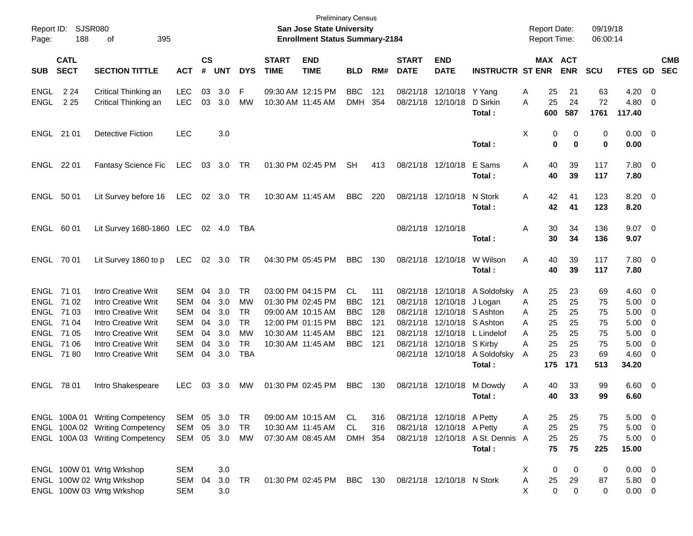| Report ID:<br>Page: | SJSR080<br>188             | 395<br>οf                       |               |                |            |            |                             | <b>Preliminary Census</b><br>San Jose State University<br><b>Enrollment Status Summary-2184</b> |            |     |                             |                           |                                  |   | <b>Report Date:</b><br><b>Report Time:</b> |            | 09/19/18<br>06:00:14 |                    |                         |                          |
|---------------------|----------------------------|---------------------------------|---------------|----------------|------------|------------|-----------------------------|-------------------------------------------------------------------------------------------------|------------|-----|-----------------------------|---------------------------|----------------------------------|---|--------------------------------------------|------------|----------------------|--------------------|-------------------------|--------------------------|
| <b>SUB</b>          | <b>CATL</b><br><b>SECT</b> | <b>SECTION TITTLE</b>           | <b>ACT</b>    | <b>CS</b><br># | <b>UNT</b> | <b>DYS</b> | <b>START</b><br><b>TIME</b> | <b>END</b><br><b>TIME</b>                                                                       | <b>BLD</b> | RM# | <b>START</b><br><b>DATE</b> | <b>END</b><br><b>DATE</b> | <b>INSTRUCTR ST ENR</b>          |   | MAX ACT                                    | <b>ENR</b> | <b>SCU</b>           | FTES GD            |                         | <b>CMB</b><br><b>SEC</b> |
| <b>ENGL</b>         | 2 2 4                      | Critical Thinking an            | <b>LEC</b>    | 03             | 3.0        | F          |                             | 09:30 AM 12:15 PM                                                                               | <b>BBC</b> | 121 | 08/21/18                    | 12/10/18                  | Y Yang                           | Α | 25                                         | 21         | 63                   | 4.20               | $\overline{0}$          |                          |
| <b>ENGL</b>         | 2 2 5                      | Critical Thinking an            | <b>LEC</b>    | 03             | 3.0        | MW         | 10:30 AM 11:45 AM           |                                                                                                 | <b>DMH</b> | 354 | 08/21/18                    | 12/10/18                  | D Sirkin<br>Total:               | Α | 25<br>600                                  | 24<br>587  | 72<br>1761           | 4.80<br>117.40     | 0                       |                          |
| ENGL 21 01          |                            | <b>Detective Fiction</b>        | <b>LEC</b>    |                | 3.0        |            |                             |                                                                                                 |            |     |                             |                           |                                  | Χ | 0                                          | 0          | 0                    | $0.00 \t 0$        |                         |                          |
|                     |                            |                                 |               |                |            |            |                             |                                                                                                 |            |     |                             |                           | Total:                           |   | 0                                          | $\bf{0}$   | 0                    | 0.00               |                         |                          |
| ENGL 22 01          |                            | <b>Fantasy Science Fic</b>      | LEC           | 03             | 3.0        | TR         |                             | 01:30 PM 02:45 PM                                                                               | <b>SH</b>  | 413 |                             | 08/21/18 12/10/18         | E Sams<br>Total :                | A | 40<br>40                                   | 39<br>39   | 117<br>117           | 7.80 0<br>7.80     |                         |                          |
|                     |                            |                                 |               |                |            |            |                             |                                                                                                 |            |     |                             |                           |                                  |   |                                            |            |                      |                    |                         |                          |
| ENGL                | 50 01                      | Lit Survey before 16            | LEC           | 02             | 3.0        | TR         |                             | 10:30 AM 11:45 AM                                                                               | <b>BBC</b> | 220 |                             | 08/21/18 12/10/18         | N Stork<br>Total :               | A | 42<br>42                                   | 41<br>41   | 123<br>123           | $8.20 \ 0$<br>8.20 |                         |                          |
| ENGL                | 60 01                      | Lit Survey 1680-1860 LEC        |               |                | 02 4.0     | TBA        |                             |                                                                                                 |            |     |                             | 08/21/18 12/10/18         |                                  | Α | 30                                         | 34         | 136                  | $9.07$ 0           |                         |                          |
|                     |                            |                                 |               |                |            |            |                             |                                                                                                 |            |     |                             |                           | Total:                           |   | 30                                         | 34         | 136                  | 9.07               |                         |                          |
| ENGL 70 01          |                            | Lit Survey 1860 to p            | <b>LEC</b>    | $02\,$         | 3.0        | TR         |                             | 04:30 PM 05:45 PM                                                                               | <b>BBC</b> | 130 |                             | 08/21/18 12/10/18         | W Wilson<br>Total:               | A | 40<br>40                                   | 39<br>39   | 117<br>117           | 7.80 0<br>7.80     |                         |                          |
| ENGL 71 01          |                            | <b>Intro Creative Writ</b>      | SEM           | 04             | 3.0        | <b>TR</b>  |                             | 03:00 PM 04:15 PM                                                                               | CL         | 111 | 08/21/18                    |                           | 12/10/18 A Soldofsky             | A | 25                                         | 23         | 69                   | 4.60               | $\overline{\mathbf{0}}$ |                          |
|                     | ENGL 71 02                 | Intro Creative Writ             | SEM           | 04             | 3.0        | MW         |                             | 01:30 PM 02:45 PM                                                                               | <b>BBC</b> | 121 | 08/21/18                    | 12/10/18                  | J Logan                          | A | 25                                         | 25         | 75                   | 5.00               | $\overline{0}$          |                          |
|                     | ENGL 71 03                 | <b>Intro Creative Writ</b>      | SEM           | 04             | 3.0        | <b>TR</b>  |                             | 09:00 AM 10:15 AM                                                                               | <b>BBC</b> | 128 | 08/21/18                    |                           | 12/10/18 S Ashton                | A | 25                                         | 25         | 75                   | 5.00               | 0                       |                          |
|                     | ENGL 71 04                 | <b>Intro Creative Writ</b>      | <b>SEM</b>    | 04             | 3.0        | <b>TR</b>  |                             | 12:00 PM 01:15 PM                                                                               | <b>BBC</b> | 121 | 08/21/18                    | 12/10/18                  | S Ashton                         | A | 25                                         | 25         | 75                   | 5.00               | 0                       |                          |
|                     | ENGL 71 05                 | Intro Creative Writ             | SEM           | 04             | 3.0        | MW         |                             | 10:30 AM 11:45 AM                                                                               | <b>BBC</b> | 121 | 08/21/18                    | 12/10/18                  | L Lindelof                       | A | 25                                         | 25         | 75                   | 5.00               | 0                       |                          |
|                     | ENGL 71 06                 | <b>Intro Creative Writ</b>      | SEM           | 04             | 3.0        | <b>TR</b>  |                             | 10:30 AM 11:45 AM                                                                               | <b>BBC</b> | 121 | 08/21/18                    | 12/10/18                  | S Kirby                          | A | 25                                         | 25         | 75                   | 5.00               | 0                       |                          |
|                     | ENGL 7180                  | <b>Intro Creative Writ</b>      | SEM           | 04             | 3.0        | <b>TBA</b> |                             |                                                                                                 |            |     | 08/21/18                    | 12/10/18                  | A Soldofsky                      | A | 25                                         | 23         | 69                   | 4.60               | 0                       |                          |
|                     |                            |                                 |               |                |            |            |                             |                                                                                                 |            |     |                             |                           | Total:                           |   | 175                                        | 171        | 513                  | 34.20              |                         |                          |
| ENGL 78 01          |                            | Intro Shakespeare               | <b>LEC</b>    | 03             | 3.0        | МW         | 01:30 PM 02:45 PM           |                                                                                                 | <b>BBC</b> | 130 |                             | 08/21/18 12/10/18         | M Dowdy                          | Α | 40                                         | 33         | 99                   | $6.60$ 0           |                         |                          |
|                     |                            |                                 |               |                |            |            |                             |                                                                                                 |            |     |                             |                           | Total:                           |   | 40                                         | 33         | 99                   | 6.60               |                         |                          |
|                     |                            | ENGL 100A 01 Writing Competency | SEM 05        |                | 3.0        | TR         |                             | 09:00 AM 10:15 AM                                                                               | CL         | 316 |                             | 08/21/18 12/10/18 A Petty |                                  | Α | 25                                         | 25         | 75                   | $5.00 \t 0$        |                         |                          |
|                     |                            | ENGL 100A 02 Writing Competency | SEM           | 05             | 3.0        | <b>TR</b>  |                             | 10:30 AM 11:45 AM                                                                               | <b>CL</b>  | 316 |                             | 08/21/18 12/10/18 A Petty |                                  | Α | 25                                         | 25         | 75                   | $5.00 \t 0$        |                         |                          |
|                     |                            | ENGL 100A 03 Writing Competency | SEM 05 3.0 MW |                |            |            |                             | 07:30 AM 08:45 AM                                                                               | DMH 354    |     |                             |                           | 08/21/18 12/10/18 A St. Dennis A |   | 25                                         | 25         | 75                   | $5.00 \t 0$        |                         |                          |
|                     |                            |                                 |               |                |            |            |                             |                                                                                                 |            |     |                             |                           | Total:                           |   | 75                                         | 75         | 225                  | 15.00              |                         |                          |
|                     |                            | ENGL 100W 01 Wrtg Wrkshop       | <b>SEM</b>    |                | 3.0        |            |                             |                                                                                                 |            |     |                             |                           |                                  | X | 0                                          | 0          | 0                    | $0.00 \quad 0$     |                         |                          |
|                     |                            | ENGL 100W 02 Wrtg Wrkshop       | SEM 04        |                | 3.0        | TR         |                             | 01:30 PM 02:45 PM BBC 130                                                                       |            |     |                             | 08/21/18 12/10/18 N Stork |                                  | Α | 25                                         | 29         | 87                   | 5.80 0             |                         |                          |
|                     |                            | ENGL 100W 03 Wrtg Wrkshop       | <b>SEM</b>    |                | 3.0        |            |                             |                                                                                                 |            |     |                             |                           |                                  | Χ | 0                                          | 0          | 0                    | $0.00 \t 0$        |                         |                          |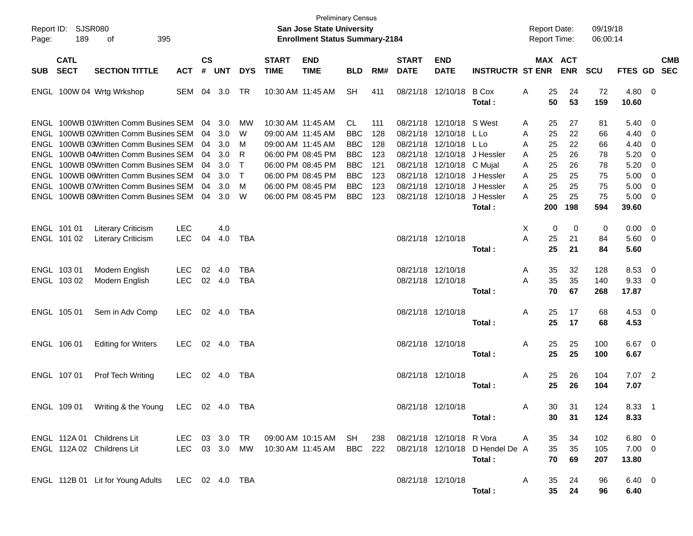| Page: | Report ID: SJSR080<br>189  | 395<br>of                                                                                                               |                          |                    |                      |                        |                                        | <b>Preliminary Census</b><br><b>San Jose State University</b><br><b>Enrollment Status Summary-2184</b> |                                        |                   |                                        |                                                                                    |                                           | <b>Report Date:</b><br><b>Report Time:</b> |                       |                       | 09/19/18<br>06:00:14  |                                       |                                                           |            |
|-------|----------------------------|-------------------------------------------------------------------------------------------------------------------------|--------------------------|--------------------|----------------------|------------------------|----------------------------------------|--------------------------------------------------------------------------------------------------------|----------------------------------------|-------------------|----------------------------------------|------------------------------------------------------------------------------------|-------------------------------------------|--------------------------------------------|-----------------------|-----------------------|-----------------------|---------------------------------------|-----------------------------------------------------------|------------|
| SUB   | <b>CATL</b><br><b>SECT</b> | <b>SECTION TITTLE</b>                                                                                                   | <b>ACT</b>               | $\mathsf{cs}$<br># | <b>UNT</b>           | <b>DYS</b>             | <b>START</b><br><b>TIME</b>            | <b>END</b><br><b>TIME</b>                                                                              | <b>BLD</b>                             | RM#               | <b>START</b><br><b>DATE</b>            | <b>END</b><br><b>DATE</b>                                                          | <b>INSTRUCTR ST ENR</b>                   |                                            |                       | MAX ACT<br><b>ENR</b> | <b>SCU</b>            | FTES GD SEC                           |                                                           | <b>CMB</b> |
|       |                            | ENGL 100W 04 Wrtg Wrkshop                                                                                               | SEM                      | 04                 | 3.0                  | TR                     |                                        | 10:30 AM 11:45 AM                                                                                      | <b>SH</b>                              | 411               |                                        | 08/21/18 12/10/18                                                                  | <b>B</b> Cox<br>Total :                   | Α                                          | 25<br>50              | 24<br>53              | 72<br>159             | $4.80\ 0$<br>10.60                    |                                                           |            |
|       |                            | ENGL 100WB 01Written Comm Busines SEM<br>ENGL 100WB 02Written Comm Busines SEM                                          |                          | 04<br>04           | 3.0<br>3.0           | MW<br>W                | 10:30 AM 11:45 AM<br>09:00 AM 11:45 AM |                                                                                                        | CL.<br><b>BBC</b>                      | 111<br>128        |                                        | 08/21/18 12/10/18 S West<br>08/21/18 12/10/18 L Lo                                 |                                           | Α<br>A                                     | 25<br>25              | 27<br>22              | 81<br>66              | 5.40<br>4.40                          | $\overline{\phantom{0}}$<br>- 0                           |            |
|       |                            | ENGL 100WB 03Written Comm Busines SEM<br>ENGL 100WB 04Written Comm Busines SEM<br>ENGL 100WB 05Written Comm Busines SEM |                          | 04<br>04<br>04     | 3.0<br>3.0<br>3.0    | M<br>R<br>$\mathsf{T}$ | 09:00 AM 11:45 AM                      | 06:00 PM 08:45 PM<br>06:00 PM 08:45 PM                                                                 | <b>BBC</b><br><b>BBC</b><br><b>BBC</b> | 128<br>123<br>121 |                                        | 08/21/18 12/10/18 L Lo<br>08/21/18 12/10/18 J Hessler<br>08/21/18 12/10/18 C Mujal |                                           | Α<br>A<br>A                                | 25<br>25<br>25        | 22<br>26<br>26        | 66<br>78<br>78        | 4.40<br>5.20<br>5.20                  | $\overline{0}$<br>$\overline{0}$<br>$\overline{0}$        |            |
|       |                            | ENGL 100WB 06Written Comm Busines SEM<br>ENGL 100WB 07Written Comm Busines SEM<br>ENGL 100WB 08Written Comm Busines SEM |                          | 04<br>04           | 3.0<br>3.0<br>04 3.0 | $\top$<br>M<br>W       |                                        | 06:00 PM 08:45 PM<br>06:00 PM 08:45 PM<br>06:00 PM 08:45 PM                                            | <b>BBC</b><br><b>BBC</b><br><b>BBC</b> | 123<br>123<br>123 |                                        | 08/21/18 12/10/18 J Hessler<br>08/21/18 12/10/18 J Hessler<br>08/21/18 12/10/18    | J Hessler<br>Total :                      | A<br>A<br>A                                | 25<br>25<br>25<br>200 | 25<br>25<br>25<br>198 | 75<br>75<br>75<br>594 | 5.00<br>5.00<br>5.00<br>39.60         | $\overline{\mathbf{0}}$<br>$\overline{\mathbf{0}}$<br>- 0 |            |
|       | ENGL 101 01<br>ENGL 101 02 | <b>Literary Criticism</b><br><b>Literary Criticism</b>                                                                  | <b>LEC</b><br><b>LEC</b> | 04                 | 4.0<br>4.0           | TBA                    |                                        |                                                                                                        |                                        |                   | 08/21/18 12/10/18                      |                                                                                    | Total :                                   | Х<br>Α                                     | 0<br>25<br>25         | 0<br>21<br>21         | 0<br>84<br>84         | $0.00 \t 0$<br>5.60 0<br>5.60         |                                                           |            |
|       | ENGL 103 01<br>ENGL 103 02 | Modern English<br>Modern English                                                                                        | LEC.<br><b>LEC</b>       | 02                 | -4.0<br>02 4.0       | TBA<br>TBA             |                                        |                                                                                                        |                                        |                   | 08/21/18 12/10/18<br>08/21/18 12/10/18 |                                                                                    | Total:                                    | A<br>A                                     | 35<br>35<br>70        | 32<br>35<br>67        | 128<br>140<br>268     | 8.53<br>9.33<br>17.87                 | $\overline{\mathbf{0}}$<br>$\overline{\phantom{0}}$       |            |
|       | ENGL 105 01                | Sem in Adv Comp                                                                                                         | LEC.                     |                    | 02 4.0               | TBA                    |                                        |                                                                                                        |                                        |                   | 08/21/18 12/10/18                      |                                                                                    | Total :                                   | A                                          | 25<br>25              | 17<br>17              | 68<br>68              | $4.53 \quad 0$<br>4.53                |                                                           |            |
|       | ENGL 106 01                | <b>Editing for Writers</b>                                                                                              | <b>LEC</b>               |                    | 02 4.0               | TBA                    |                                        |                                                                                                        |                                        |                   | 08/21/18 12/10/18                      |                                                                                    | Total :                                   | A                                          | 25<br>25              | 25<br>25              | 100<br>100            | $6.67$ 0<br>6.67                      |                                                           |            |
|       | ENGL 107 01                | Prof Tech Writing                                                                                                       | <b>LEC</b>               |                    | 02 4.0               | TBA                    |                                        |                                                                                                        |                                        |                   | 08/21/18 12/10/18                      |                                                                                    | Total :                                   | A                                          | 25<br>25              | 26<br>26              | 104<br>104            | $7.07$ 2<br>7.07                      |                                                           |            |
|       | ENGL 109 01                | Writing & the Young LEC 02 4.0 TBA                                                                                      |                          |                    |                      |                        |                                        |                                                                                                        |                                        |                   |                                        | 08/21/18 12/10/18                                                                  | Total :                                   | Α                                          | 30<br>30              | -31<br>31             | 124<br>124            | $8.33$ 1<br>8.33                      |                                                           |            |
|       |                            | ENGL 112A 01 Childrens Lit<br>ENGL 112A 02 Childrens Lit                                                                |                          |                    |                      |                        |                                        | LEC 03 3.0 TR 09:00 AM 10:15 AM SH<br>LEC 03 3.0 MW 10:30 AM 11:45 AM                                  | BBC 222                                | 238               |                                        | 08/21/18 12/10/18 R Vora                                                           | 08/21/18 12/10/18 D Hendel De A<br>Total: | A                                          | 35<br>35<br>70        | 34<br>35<br>69        | 102<br>105<br>207     | $6.80\quad 0$<br>$7.00 \t 0$<br>13.80 |                                                           |            |
|       |                            | ENGL 112B 01 Lit for Young Adults LEC 02 4.0 TBA                                                                        |                          |                    |                      |                        |                                        |                                                                                                        |                                        |                   | 08/21/18 12/10/18                      |                                                                                    | Total:                                    | A                                          | 35<br>35              | 24<br>24              | 96<br>96              | 6.40 0<br>6.40                        |                                                           |            |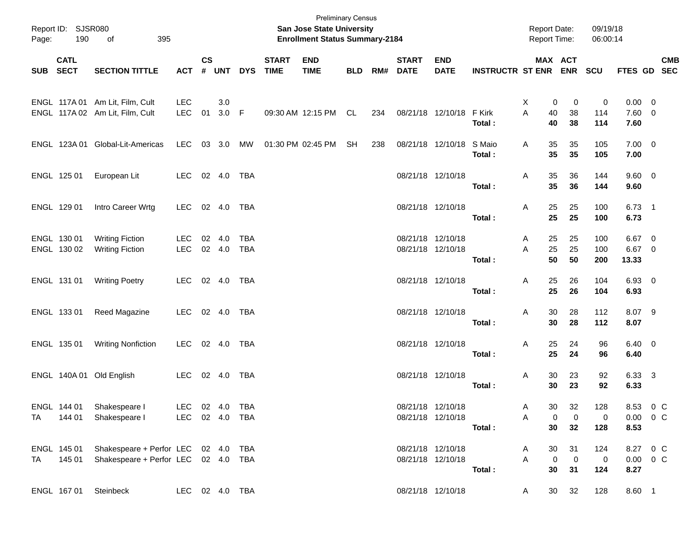| Page:    | Report ID: SJSR080<br>190 | 395<br>of                                               |                |                    |              |            |                             | <b>Preliminary Census</b><br>San Jose State University<br><b>Enrollment Status Summary-2184</b> |            |     |                             |                           |                         | <b>Report Date:</b><br>Report Time: |                         | 09/19/18<br>06:00:14 |                       |            |
|----------|---------------------------|---------------------------------------------------------|----------------|--------------------|--------------|------------|-----------------------------|-------------------------------------------------------------------------------------------------|------------|-----|-----------------------------|---------------------------|-------------------------|-------------------------------------|-------------------------|----------------------|-----------------------|------------|
| SUB SECT | <b>CATL</b>               | <b>SECTION TITTLE</b>                                   | <b>ACT</b>     | $\mathsf{cs}$<br># | <b>UNT</b>   | <b>DYS</b> | <b>START</b><br><b>TIME</b> | <b>END</b><br><b>TIME</b>                                                                       | <b>BLD</b> | RM# | <b>START</b><br><b>DATE</b> | <b>END</b><br><b>DATE</b> | <b>INSTRUCTR ST ENR</b> |                                     | MAX ACT<br><b>ENR</b>   | <b>SCU</b>           | FTES GD SEC           | <b>CMB</b> |
|          |                           |                                                         |                |                    |              |            |                             |                                                                                                 |            |     |                             |                           |                         |                                     |                         |                      |                       |            |
|          |                           | ENGL 117A 01 Am Lit, Film, Cult                         | <b>LEC</b>     |                    | 3.0          |            |                             |                                                                                                 |            |     |                             |                           |                         | 0<br>X                              | 0                       | 0                    | $0.00 \t 0$           |            |
|          |                           | ENGL 117A 02 Am Lit, Film, Cult                         | <b>LEC</b>     | 01                 | 3.0 F        |            |                             | 09:30 AM 12:15 PM                                                                               | CL         | 234 |                             | 08/21/18 12/10/18         | F Kirk                  | A<br>40                             | 38                      | 114                  | $7.60$ 0              |            |
|          |                           |                                                         |                |                    |              |            |                             |                                                                                                 |            |     |                             |                           | Total:                  | 40                                  | 38                      | 114                  | 7.60                  |            |
|          |                           | ENGL 123A 01 Global-Lit-Americas                        | LEC            |                    | 03 3.0 MW    |            |                             | 01:30 PM 02:45 PM                                                                               | SH         | 238 |                             | 08/21/18 12/10/18 S Maio  |                         | Α<br>35                             | 35                      | 105                  | $7.00 \t 0$           |            |
|          |                           |                                                         |                |                    |              |            |                             |                                                                                                 |            |     |                             |                           | Total:                  | 35                                  | 35                      | 105                  | 7.00                  |            |
|          | ENGL 125 01               | European Lit                                            | LEC            |                    | 02 4.0       | TBA        |                             |                                                                                                 |            |     |                             | 08/21/18 12/10/18         |                         | 35<br>A                             | 36                      | 144                  | $9.60 \quad 0$        |            |
|          |                           |                                                         |                |                    |              |            |                             |                                                                                                 |            |     |                             |                           | Total:                  | 35                                  | 36                      | 144                  | 9.60                  |            |
|          | ENGL 129 01               | Intro Career Wrtg                                       | <b>LEC</b>     |                    | 02 4.0       | TBA        |                             |                                                                                                 |            |     |                             | 08/21/18 12/10/18         |                         | 25<br>A                             | 25                      | 100                  | $6.73$ 1              |            |
|          |                           |                                                         |                |                    |              |            |                             |                                                                                                 |            |     |                             |                           | Total:                  | 25                                  | 25                      | 100                  | 6.73                  |            |
|          | ENGL 130 01               | <b>Writing Fiction</b>                                  | LEC            |                    | 02 4.0       | <b>TBA</b> |                             |                                                                                                 |            |     |                             | 08/21/18 12/10/18         |                         | 25<br>A                             | 25                      | 100                  | 6.67 0                |            |
|          | ENGL 130 02               | <b>Writing Fiction</b>                                  | <b>LEC</b>     |                    | 02 4.0       | TBA        |                             |                                                                                                 |            |     |                             | 08/21/18 12/10/18         |                         | 25<br>A                             | 25                      | 100                  | 6.67 0                |            |
|          |                           |                                                         |                |                    |              |            |                             |                                                                                                 |            |     |                             |                           | Total:                  | 50                                  | 50                      | 200                  | 13.33                 |            |
|          | ENGL 131 01               | <b>Writing Poetry</b>                                   | LEC 02 4.0 TBA |                    |              |            |                             |                                                                                                 |            |     |                             | 08/21/18 12/10/18         |                         | 25<br>A                             | 26                      | 104                  | 6.93 0                |            |
|          |                           |                                                         |                |                    |              |            |                             |                                                                                                 |            |     |                             |                           | Total:                  | 25                                  | 26                      | 104                  | 6.93                  |            |
|          | ENGL 133 01               | Reed Magazine                                           | LEC            |                    | 02  4.0  TBA |            |                             |                                                                                                 |            |     |                             | 08/21/18 12/10/18         |                         | 30<br>A                             | 28                      | 112                  | 8.07 9                |            |
|          |                           |                                                         |                |                    |              |            |                             |                                                                                                 |            |     |                             |                           | Total:                  | 30                                  | 28                      | 112                  | 8.07                  |            |
|          | ENGL 135 01               | <b>Writing Nonfiction</b>                               | LEC            |                    | 02  4.0  TBA |            |                             |                                                                                                 |            |     |                             | 08/21/18 12/10/18         |                         | Α<br>25                             | 24                      | 96                   | $6.40 \quad 0$        |            |
|          |                           |                                                         |                |                    |              |            |                             |                                                                                                 |            |     |                             |                           | Total:                  | 25                                  | 24                      | 96                   | 6.40                  |            |
|          |                           |                                                         |                |                    |              |            |                             |                                                                                                 |            |     |                             |                           |                         |                                     |                         |                      |                       |            |
|          |                           | ENGL 140A 01 Old English                                | LEC            |                    | 02 4.0       | TBA        |                             |                                                                                                 |            |     |                             | 08/21/18 12/10/18         | Total:                  | 30<br>A<br>30                       | 23<br>23                | 92<br>92             | 6.33 3<br>6.33        |            |
|          |                           |                                                         |                |                    |              |            |                             |                                                                                                 |            |     |                             |                           |                         |                                     |                         |                      |                       |            |
|          | ENGL 144 01               | Shakespeare I<br>TA 144 01 Shakespeare I LEC 02 4.0 TBA | LEC 02 4.0 TBA |                    |              |            |                             |                                                                                                 |            |     |                             | 08/21/18 12/10/18         |                         | A                                   | 32<br>30                | 128                  | 8.53 0 C              |            |
|          |                           |                                                         |                |                    |              |            |                             |                                                                                                 |            |     |                             | 08/21/18 12/10/18         | Total :                 | $\overline{0}$<br>A                 | $\overline{0}$<br>30 32 | 0<br>128             | $0.00 \t 0 C$<br>8.53 |            |
|          |                           |                                                         |                |                    |              |            |                             |                                                                                                 |            |     |                             |                           |                         |                                     |                         |                      |                       |            |
|          |                           | ENGL 145 01 Shakespeare + Perfor LEC 02 4.0 TBA         |                |                    |              |            |                             |                                                                                                 |            |     |                             | 08/21/18 12/10/18         |                         | A                                   | 30 31                   | 124                  | 8.27 0 C              |            |
|          |                           | TA 145 01 Shakespeare + Perfor LEC 02 4.0 TBA           |                |                    |              |            |                             |                                                                                                 |            |     |                             | 08/21/18 12/10/18         |                         | $\overline{0}$<br>$A \quad \Box$    | $\overline{\mathbf{0}}$ | $\mathbf 0$          | $0.00 \t 0 C$         |            |
|          |                           |                                                         |                |                    |              |            |                             |                                                                                                 |            |     |                             |                           | Total :                 |                                     | 30 31                   | 124                  | 8.27                  |            |
|          |                           | LEC 02 4.0 TBA<br>ENGL 167 01 Steinbeck                 |                |                    |              |            |                             |                                                                                                 |            |     |                             | 08/21/18 12/10/18         |                         | A                                   | 30 32                   | 128                  | 8.60 1                |            |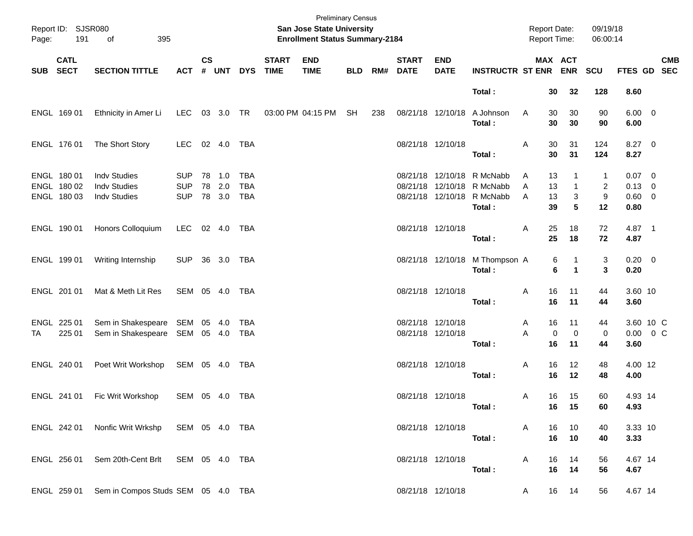| Page: | Report ID: SJSR080<br>191                 | 395<br>of                                                         |                                        |                    |                         |                                        |                             | <b>Preliminary Census</b><br><b>San Jose State University</b><br><b>Enrollment Status Summary-2184</b> |            |     |                             |                                        |                                                              | Report Date:<br>Report Time:        |                              | 09/19/18<br>06:00:14           |                                               |            |
|-------|-------------------------------------------|-------------------------------------------------------------------|----------------------------------------|--------------------|-------------------------|----------------------------------------|-----------------------------|--------------------------------------------------------------------------------------------------------|------------|-----|-----------------------------|----------------------------------------|--------------------------------------------------------------|-------------------------------------|------------------------------|--------------------------------|-----------------------------------------------|------------|
| SUB   | <b>CATL</b><br><b>SECT</b>                | <b>SECTION TITTLE</b>                                             | <b>ACT</b>                             | $\mathsf{cs}$<br># |                         | UNT DYS                                | <b>START</b><br><b>TIME</b> | <b>END</b><br><b>TIME</b>                                                                              | <b>BLD</b> | RM# | <b>START</b><br><b>DATE</b> | <b>END</b><br><b>DATE</b>              | <b>INSTRUCTR ST ENR ENR</b>                                  |                                     | MAX ACT                      | <b>SCU</b>                     | FTES GD SEC                                   | <b>CMB</b> |
|       |                                           |                                                                   |                                        |                    |                         |                                        |                             |                                                                                                        |            |     |                             |                                        | Total:                                                       | 30                                  | 32                           | 128                            | 8.60                                          |            |
|       | ENGL 169 01                               | Ethnicity in Amer Li                                              | LEC                                    |                    | 03 3.0                  | TR                                     |                             | 03:00 PM 04:15 PM                                                                                      | SH         | 238 |                             | 08/21/18 12/10/18                      | A Johnson<br>Total:                                          | 30<br>A<br>30                       | 30<br>30                     | 90<br>90                       | $6.00 \t 0$<br>6.00                           |            |
|       | ENGL 176 01                               | The Short Story                                                   | <b>LEC</b>                             |                    | 02 4.0                  | TBA                                    |                             |                                                                                                        |            |     |                             | 08/21/18 12/10/18                      | Total:                                                       | 30<br>Α<br>30                       | 31<br>31                     | 124<br>124                     | $8.27$ 0<br>8.27                              |            |
|       | ENGL 180 01<br>ENGL 180 02<br>ENGL 180 03 | <b>Indv Studies</b><br><b>Indv Studies</b><br><b>Indv Studies</b> | <b>SUP</b><br><b>SUP</b><br><b>SUP</b> | 78                 | 78 1.0<br>2.0<br>78 3.0 | <b>TBA</b><br><b>TBA</b><br><b>TBA</b> |                             |                                                                                                        |            |     |                             | 08/21/18 12/10/18<br>08/21/18 12/10/18 | R McNabb<br>08/21/18 12/10/18 R McNabb<br>R McNabb<br>Total: | 13<br>A<br>13<br>A<br>A<br>13<br>39 | $\mathbf{1}$<br>3<br>5       | 1<br>$\overline{2}$<br>9<br>12 | $0.07$ 0<br>$0.13 \ 0$<br>$0.60 \t 0$<br>0.80 |            |
|       | ENGL 190 01                               | Honors Colloquium                                                 | LEC                                    | 02 4.0             |                         | TBA                                    |                             |                                                                                                        |            |     |                             | 08/21/18 12/10/18                      | Total:                                                       | 25<br>Α<br>25                       | 18<br>18                     | 72<br>72                       | 4.87 1<br>4.87                                |            |
|       | ENGL 199 01                               | Writing Internship                                                | <b>SUP</b>                             |                    | 36 3.0                  | TBA                                    |                             |                                                                                                        |            |     |                             |                                        | 08/21/18 12/10/18 M Thompson A<br>Total:                     |                                     | 6<br>1<br>6<br>1             | 3<br>3                         | $0.20 \ 0$<br>0.20                            |            |
|       | ENGL 201 01                               | Mat & Meth Lit Res                                                | SEM 05 4.0                             |                    |                         | TBA                                    |                             |                                                                                                        |            |     |                             | 08/21/18 12/10/18                      | Total:                                                       | 16<br>Α<br>16                       | 11<br>11                     | 44<br>44                       | 3.60 10<br>3.60                               |            |
| TA    | ENGL 225 01<br>225 01                     | Sem in Shakespeare<br>Sem in Shakespeare                          | SEM<br>SEM 05 4.0                      |                    | 05 4.0                  | <b>TBA</b><br>TBA                      |                             |                                                                                                        |            |     |                             | 08/21/18 12/10/18<br>08/21/18 12/10/18 | Total:                                                       | 16<br>A<br>A<br>16                  | 11<br>$\mathbf 0$<br>0<br>11 | 44<br>0<br>44                  | 3.60 10 C<br>$0.00 \t 0 C$<br>3.60            |            |
|       | ENGL 240 01                               | Poet Writ Workshop                                                | SEM 05 4.0                             |                    |                         | TBA                                    |                             |                                                                                                        |            |     |                             | 08/21/18 12/10/18                      | Total:                                                       | Α<br>16<br>16                       | 12<br>12                     | 48<br>48                       | 4.00 12<br>4.00                               |            |
|       | ENGL 241 01                               | Fic Writ Workshop                                                 | SEM 05 4.0                             |                    |                         | TBA                                    |                             |                                                                                                        |            |     |                             | 08/21/18 12/10/18                      | Total:                                                       | 16<br>A                             | 15<br>16 15                  | 60<br>60                       | 4.93 14<br>4.93                               |            |
|       | ENGL 242 01                               | Nonfic Writ Wrkshp SEM 05 4.0 TBA                                 |                                        |                    |                         |                                        |                             |                                                                                                        |            |     |                             | 08/21/18 12/10/18                      | Total:                                                       | 16<br>A<br>16                       | 10<br>10                     | 40<br>40                       | 3.33 10<br>3.33                               |            |
|       | ENGL 256 01                               | Sem 20th-Cent Brlt SEM 05 4.0 TBA                                 |                                        |                    |                         |                                        |                             |                                                                                                        |            |     |                             | 08/21/18 12/10/18                      | Total:                                                       | 16<br>A<br>16                       | 14<br>14                     | 56<br>56                       | 4.67 14<br>4.67                               |            |
|       | ENGL 259 01                               | Sem in Compos Studs SEM 05 4.0 TBA                                |                                        |                    |                         |                                        |                             |                                                                                                        |            |     |                             | 08/21/18 12/10/18                      |                                                              | A                                   | 16 14                        | 56                             | 4.67 14                                       |            |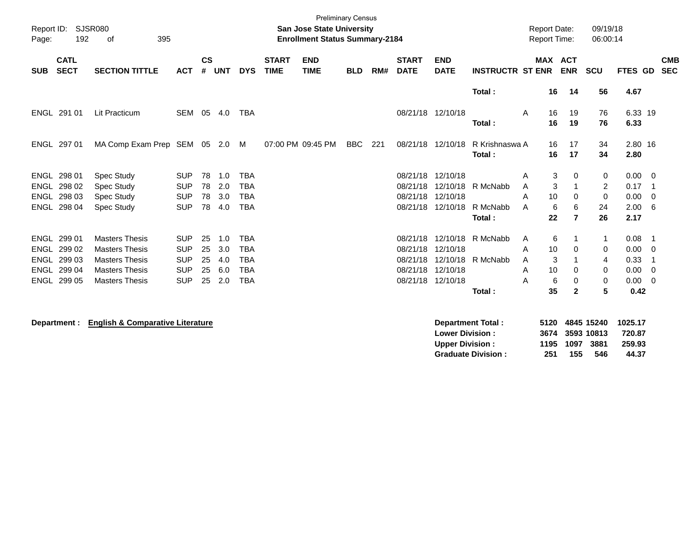| Report ID:<br>Page: | 192                                                                | <b>SJSR080</b><br>395<br>of                                                                                               |                                                                    |                            |                                 |                                                                    |                             | <b>San Jose State University</b><br><b>Enrollment Status Summary-2184</b> | <b>Preliminary Census</b> |     |                                  |                                                                            |                                | <b>Report Date:</b><br><b>Report Time:</b> |                                                                | 09/19/18<br>06:00:14                                  |                                              |                                                          |
|---------------------|--------------------------------------------------------------------|---------------------------------------------------------------------------------------------------------------------------|--------------------------------------------------------------------|----------------------------|---------------------------------|--------------------------------------------------------------------|-----------------------------|---------------------------------------------------------------------------|---------------------------|-----|----------------------------------|----------------------------------------------------------------------------|--------------------------------|--------------------------------------------|----------------------------------------------------------------|-------------------------------------------------------|----------------------------------------------|----------------------------------------------------------|
| <b>SUB</b>          | <b>CATL</b><br><b>SECT</b>                                         | <b>SECTION TITTLE</b>                                                                                                     | <b>ACT</b>                                                         | $\mathsf{cs}$<br>#         | <b>UNT</b>                      | <b>DYS</b>                                                         | <b>START</b><br><b>TIME</b> | <b>END</b><br><b>TIME</b>                                                 | <b>BLD</b>                | RM# | <b>START</b><br><b>DATE</b>      | <b>END</b><br><b>DATE</b>                                                  | <b>INSTRUCTR ST ENR</b>        |                                            | <b>MAX ACT</b><br><b>ENR</b>                                   | <b>SCU</b>                                            | FTES GD                                      | <b>CMB</b><br><b>SEC</b>                                 |
|                     |                                                                    |                                                                                                                           |                                                                    |                            |                                 |                                                                    |                             |                                                                           |                           |     |                                  |                                                                            | Total:                         | 16                                         | 14                                                             | 56                                                    | 4.67                                         |                                                          |
|                     | ENGL 291 01                                                        | <b>Lit Practicum</b>                                                                                                      | SEM 05 4.0                                                         |                            |                                 | <b>TBA</b>                                                         |                             |                                                                           |                           |     |                                  | 08/21/18 12/10/18                                                          | Total:                         | A<br>16<br>16                              | 19<br>19                                                       | 76<br>76                                              | 6.33 19<br>6.33                              |                                                          |
|                     | ENGL 297 01                                                        | MA Comp Exam Prep SEM 05 2.0                                                                                              |                                                                    |                            |                                 | M                                                                  |                             | 07:00 PM 09:45 PM                                                         | <b>BBC</b>                | 221 |                                  | 08/21/18 12/10/18                                                          | R Krishnaswa A<br>Total:       | 16<br>16                                   | 17<br>17                                                       | 34<br>34                                              | 2.80 16<br>2.80                              |                                                          |
| ENGL<br><b>ENGL</b> | ENGL 298 01<br>298 02<br>298 03<br>ENGL 298 04                     | Spec Study<br>Spec Study<br>Spec Study<br>Spec Study                                                                      | <b>SUP</b><br><b>SUP</b><br><b>SUP</b><br><b>SUP</b>               | 78<br>78<br>78<br>78       | 1.0<br>2.0<br>3.0<br>4.0        | <b>TBA</b><br><b>TBA</b><br><b>TBA</b><br><b>TBA</b>               |                             |                                                                           |                           |     | 08/21/18                         | 08/21/18 12/10/18<br>08/21/18 12/10/18<br>12/10/18<br>08/21/18 12/10/18    | R McNabb<br>R McNabb<br>Total: | A<br>A<br>A<br>10<br>A<br>22               | 3<br>0<br>3<br>-1<br>0<br>6<br>6<br>$\overline{7}$             | 0<br>2<br>0<br>24<br>26                               | 0.00<br>0.17<br>0.00<br>2.00<br>2.17         | $\overline{\phantom{0}}$<br>- 1<br>$\overline{0}$<br>- 6 |
| ENGL                | ENGL 299 01<br>ENGL 299 02<br>299 03<br>ENGL 299 04<br>ENGL 299 05 | <b>Masters Thesis</b><br><b>Masters Thesis</b><br><b>Masters Thesis</b><br><b>Masters Thesis</b><br><b>Masters Thesis</b> | <b>SUP</b><br><b>SUP</b><br><b>SUP</b><br><b>SUP</b><br><b>SUP</b> | 25<br>25<br>25<br>25<br>25 | 1.0<br>3.0<br>4.0<br>6.0<br>2.0 | <b>TBA</b><br><b>TBA</b><br><b>TBA</b><br><b>TBA</b><br><b>TBA</b> |                             |                                                                           |                           |     | 08/21/18<br>08/21/18<br>08/21/18 | 12/10/18<br>12/10/18<br>12/10/18<br>08/21/18 12/10/18<br>08/21/18 12/10/18 | R McNabb<br>R McNabb<br>Total: | A<br>10<br>A<br>A<br>10<br>A<br>А<br>35    | 6<br>1<br>0<br>3<br>$\mathbf 1$<br>0<br>6<br>0<br>$\mathbf{2}$ | -1<br>0<br>$\overline{4}$<br>0<br>0<br>$5\phantom{1}$ | 0.08<br>0.00<br>0.33<br>0.00<br>0.00<br>0.42 | $\overline{\phantom{0}}$<br>- 0<br>-1<br>- 0<br>- 0      |
|                     | Department :                                                       | <b>English &amp; Comparative Literature</b>                                                                               |                                                                    |                            |                                 |                                                                    |                             |                                                                           |                           |     |                                  | <b>Lower Division:</b><br><b>Upper Division:</b>                           | <b>Department Total:</b>       | 5120<br>3674<br>1195                       | 1097                                                           | 4845 15240<br>3593 10813<br>3881                      | 1025.17<br>720.87<br>259.93                  |                                                          |

**Upper Division : 1195 1097 3881 259.93**

**Graduate Division : 251 155 546 44.37**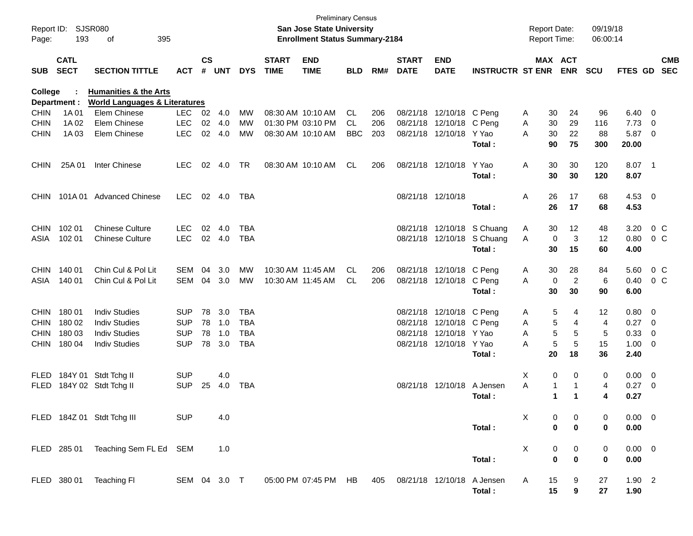| Report ID:<br>Page: | 193                        | SJSR080<br>395<br>οf                     | <b>Preliminary Census</b><br>San Jose State University<br><b>Enrollment Status Summary-2184</b> |               |        |            |                             |                           |            |     |                             |                           | <b>Report Date:</b><br><b>Report Time:</b> |   |          | 09/19/18<br>06:00:14  |            |                |                          |                          |
|---------------------|----------------------------|------------------------------------------|-------------------------------------------------------------------------------------------------|---------------|--------|------------|-----------------------------|---------------------------|------------|-----|-----------------------------|---------------------------|--------------------------------------------|---|----------|-----------------------|------------|----------------|--------------------------|--------------------------|
| <b>SUB</b>          | <b>CATL</b><br><b>SECT</b> | <b>SECTION TITTLE</b>                    | <b>ACT</b>                                                                                      | $\mathsf{cs}$ | # UNT  | <b>DYS</b> | <b>START</b><br><b>TIME</b> | <b>END</b><br><b>TIME</b> | <b>BLD</b> | RM# | <b>START</b><br><b>DATE</b> | <b>END</b><br><b>DATE</b> | <b>INSTRUCTR ST ENR</b>                    |   |          | MAX ACT<br><b>ENR</b> | <b>SCU</b> | FTES GD        |                          | <b>CMB</b><br><b>SEC</b> |
| College             |                            | <b>Humanities &amp; the Arts</b>         |                                                                                                 |               |        |            |                             |                           |            |     |                             |                           |                                            |   |          |                       |            |                |                          |                          |
|                     | Department :               | <b>World Languages &amp; Literatures</b> |                                                                                                 |               |        |            |                             |                           |            |     |                             |                           |                                            |   |          |                       |            |                |                          |                          |
| <b>CHIN</b>         | 1A 01                      | Elem Chinese                             | <b>LEC</b>                                                                                      | 02            | -4.0   | МW         |                             | 08:30 AM 10:10 AM         | CL         | 206 |                             | 08/21/18 12/10/18 C Peng  |                                            | A | 30       | 24                    | 96         | 6.40           | - 0                      |                          |
| <b>CHIN</b>         | 1A 02                      | Elem Chinese                             | <b>LEC</b>                                                                                      | 02            | 4.0    | <b>MW</b>  |                             | 01:30 PM 03:10 PM         | CL         | 206 | 08/21/18                    | 12/10/18                  | C Pena                                     | Α | 30       | 29                    | 116        | 7.73           | $\mathbf 0$              |                          |
| <b>CHIN</b>         | 1A03                       | Elem Chinese                             | <b>LEC</b>                                                                                      | 02            | 4.0    | <b>MW</b>  |                             | 08:30 AM 10:10 AM         | <b>BBC</b> | 203 |                             | 08/21/18 12/10/18         | Y Yao                                      | A | 30       | 22                    | 88         | 5.87           | $\overline{0}$           |                          |
|                     |                            |                                          |                                                                                                 |               |        |            |                             |                           |            |     |                             |                           | Total:                                     |   | 90       | 75                    | 300        | 20.00          |                          |                          |
| <b>CHIN</b>         | 25A 01                     | Inter Chinese                            | <b>LEC</b>                                                                                      | 02            | 4.0    | <b>TR</b>  |                             | 08:30 AM 10:10 AM         | CL         | 206 |                             | 08/21/18 12/10/18         | Y Yao                                      | Α | 30       | 30                    | 120        | 8.07           | $\overline{\phantom{1}}$ |                          |
|                     |                            |                                          |                                                                                                 |               |        |            |                             |                           |            |     |                             |                           | Total:                                     |   | 30       | 30                    | 120        | 8.07           |                          |                          |
| <b>CHIN</b>         | 101A 01                    | <b>Advanced Chinese</b>                  | <b>LEC</b>                                                                                      | 02            | 4.0    | TBA        |                             |                           |            |     |                             | 08/21/18 12/10/18         |                                            | Α | 26       | 17                    | 68         | 4.53           | $\overline{\phantom{0}}$ |                          |
|                     |                            |                                          |                                                                                                 |               |        |            |                             |                           |            |     |                             |                           | Total:                                     |   | 26       | 17                    | 68         | 4.53           |                          |                          |
| <b>CHIN</b>         | 102 01                     | <b>Chinese Culture</b>                   | <b>LEC</b>                                                                                      | 02            | 4.0    | TBA        |                             |                           |            |     |                             |                           | 08/21/18 12/10/18 S Chuang                 | A | 30       | 12                    | 48         | 3.20           |                          | $0\,C$                   |
| ASIA                | 102 01                     | <b>Chinese Culture</b>                   | <b>LEC</b>                                                                                      |               | 02 4.0 | TBA        |                             |                           |            |     |                             | 08/21/18 12/10/18         | S Chuang                                   | A | 0        | 3                     | 12         | 0.80           |                          | 0 C                      |
|                     |                            |                                          |                                                                                                 |               |        |            |                             |                           |            |     |                             |                           | <b>Total:</b>                              |   | 30       | 15                    | 60         | 4.00           |                          |                          |
| <b>CHIN</b>         | 140 01                     | Chin Cul & Pol Lit                       | <b>SEM</b>                                                                                      | 04            | 3.0    | <b>MW</b>  |                             | 10:30 AM 11:45 AM         | CL         | 206 |                             | 08/21/18 12/10/18 C Peng  |                                            | A | 30       | 28                    | 84         | 5.60           |                          | $0\,C$                   |
| ASIA                | 140 01                     | Chin Cul & Pol Lit                       | SEM                                                                                             | 04            | 3.0    | MW         |                             | 10:30 AM 11:45 AM         | CL.        | 206 |                             | 08/21/18 12/10/18         | C Peng                                     | A | 0        | $\overline{2}$        | 6          | 0.40           |                          | 0 C                      |
|                     |                            |                                          |                                                                                                 |               |        |            |                             |                           |            |     |                             |                           | Total:                                     |   | 30       | 30                    | 90         | 6.00           |                          |                          |
| <b>CHIN</b>         | 18001                      | <b>Indiv Studies</b>                     | <b>SUP</b>                                                                                      | 78            | 3.0    | TBA        |                             |                           |            |     |                             | 08/21/18 12/10/18 C Peng  |                                            | A | 5        | 4                     | 12         | 0.80           | - 0                      |                          |
| <b>CHIN</b>         | 180 02                     | <b>Indiv Studies</b>                     | <b>SUP</b>                                                                                      | 78            | 1.0    | TBA        |                             |                           |            |     | 08/21/18                    | 12/10/18                  | C Peng                                     | Α | 5        | 4                     | 4          | 0.27           | $\overline{0}$           |                          |
| <b>CHIN</b>         | 180 03                     | <b>Indiv Studies</b>                     | <b>SUP</b>                                                                                      | 78            | 1.0    | <b>TBA</b> |                             |                           |            |     | 08/21/18                    | 12/10/18                  | Y Yao                                      | A | 5        | 5                     | 5          | 0.33           | 0                        |                          |
| <b>CHIN</b>         | 180 04                     | <b>Indiv Studies</b>                     | <b>SUP</b>                                                                                      | 78            | 3.0    | <b>TBA</b> |                             |                           |            |     |                             | 08/21/18 12/10/18         | Y Yao                                      | A | 5        | 5                     | 15         | 1.00           | 0                        |                          |
|                     |                            |                                          |                                                                                                 |               |        |            |                             |                           |            |     |                             |                           | Total:                                     |   | 20       | 18                    | 36         | 2.40           |                          |                          |
| <b>FLED</b>         |                            | 184Y 01 Stdt Tchg II                     | <b>SUP</b>                                                                                      |               | 4.0    |            |                             |                           |            |     |                             |                           |                                            | X | 0        | 0                     | 0          | 0.00           | $\overline{0}$           |                          |
| <b>FLED</b>         |                            | 184Y 02 Stdt Tchg II                     | <b>SUP</b>                                                                                      | 25            | 4.0    | TBA        |                             |                           |            |     |                             | 08/21/18 12/10/18         | A Jensen                                   | A | -1       | $\mathbf 1$           | 4          | 0.27           | 0                        |                          |
|                     |                            |                                          |                                                                                                 |               |        |            |                             |                           |            |     |                             |                           | Total:                                     |   | 1        | $\mathbf 1$           | 4          | 0.27           |                          |                          |
|                     |                            | FLED 184Z 01 Stdt Tchg III               | <b>SUP</b>                                                                                      |               | 4.0    |            |                             |                           |            |     |                             |                           |                                            | X | 0        | 0                     | 0          | $0.00 \t 0$    |                          |                          |
|                     |                            |                                          |                                                                                                 |               |        |            |                             |                           |            |     |                             |                           | Total:                                     |   | 0        | $\bf{0}$              | 0          | 0.00           |                          |                          |
|                     |                            | FLED 285 01 Teaching Sem FL Ed SEM       |                                                                                                 |               | 1.0    |            |                             |                           |            |     |                             |                           |                                            | X | 0        | 0                     | 0          | $0.00 \quad 0$ |                          |                          |
|                     |                            |                                          |                                                                                                 |               |        |            |                             |                           |            |     |                             |                           | Total:                                     |   | $\bf{0}$ | $\bf{0}$              | 0          | 0.00           |                          |                          |
|                     |                            | FLED 380 01 Teaching FI                  | SEM 04 3.0 T                                                                                    |               |        |            |                             | 05:00 PM 07:45 PM HB      |            | 405 | 08/21/18 12/10/18           |                           | A Jensen                                   | A | 15       | 9                     | 27         | $1.90$ 2       |                          |                          |
|                     |                            |                                          |                                                                                                 |               |        |            |                             |                           |            |     |                             |                           | Total:                                     |   | 15       | 9                     | 27         | 1.90           |                          |                          |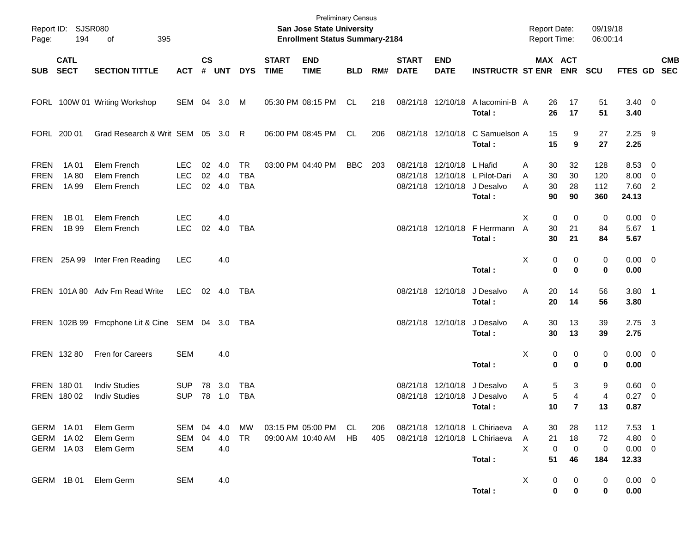| Page:                              | Report ID: SJSR080<br>194           | 395<br>of                                        |                                        |               |                      |                                       |                             | <b>Preliminary Census</b><br>San Jose State University<br><b>Enrollment Status Summary-2184</b> |            |            |                             |                           |                                                                          | <b>Report Date:</b><br>Report Time: |                               | 09/19/18<br>06:00:14          |                                            |            |
|------------------------------------|-------------------------------------|--------------------------------------------------|----------------------------------------|---------------|----------------------|---------------------------------------|-----------------------------|-------------------------------------------------------------------------------------------------|------------|------------|-----------------------------|---------------------------|--------------------------------------------------------------------------|-------------------------------------|-------------------------------|-------------------------------|--------------------------------------------|------------|
| SUB                                | <b>CATL</b><br><b>SECT</b>          | <b>SECTION TITTLE</b>                            | <b>ACT</b>                             | $\mathsf{cs}$ | # UNT                | <b>DYS</b>                            | <b>START</b><br><b>TIME</b> | <b>END</b><br><b>TIME</b>                                                                       | <b>BLD</b> | RM#        | <b>START</b><br><b>DATE</b> | <b>END</b><br><b>DATE</b> | <b>INSTRUCTR ST ENR ENR</b>                                              |                                     | MAX ACT                       | <b>SCU</b>                    | FTES GD SEC                                | <b>CMB</b> |
|                                    |                                     | FORL 100W 01 Writing Workshop                    | SEM 04 3.0 M                           |               |                      |                                       |                             | 05:30 PM 08:15 PM                                                                               | CL         | 218        |                             |                           | 08/21/18 12/10/18 A lacomini-B A<br>Total:                               | 26<br>26                            | 17<br>17                      | 51<br>51                      | $3.40 \ 0$<br>3.40                         |            |
|                                    | FORL 200 01                         | Grad Research & Writ SEM 05 3.0 R                |                                        |               |                      |                                       |                             | 06:00 PM 08:45 PM                                                                               | CL.        | 206        |                             |                           | 08/21/18 12/10/18 C Samuelson A<br>Total:                                | 15<br>15                            | 9<br>9                        | 27<br>27                      | $2.25$ 9<br>2.25                           |            |
| <b>FREN</b><br><b>FREN</b><br>FREN | 1A 01<br>1A 80<br>1A 99             | Elem French<br>Elem French<br>Elem French        | <b>LEC</b><br><b>LEC</b><br><b>LEC</b> | 02<br>02      | 4.0<br>4.0<br>02 4.0 | <b>TR</b><br><b>TBA</b><br><b>TBA</b> |                             | 03:00 PM 04:40 PM                                                                               | BBC        | - 203      |                             | 08/21/18 12/10/18 L Hafid | 08/21/18 12/10/18 L Pilot-Dari<br>08/21/18 12/10/18 J Desalvo<br>Total:  | 30<br>Α<br>30<br>A<br>30<br>A<br>90 | 32<br>30<br>28<br>90          | 128<br>120<br>112<br>360      | 8.53 0<br>$8.00 \t 0$<br>7.60 2<br>24.13   |            |
| <b>FREN</b><br><b>FREN</b>         | 1B 01<br>1B 99                      | Elem French<br>Elem French                       | <b>LEC</b><br><b>LEC</b>               | 02            | 4.0<br>4.0           | <b>TBA</b>                            |                             |                                                                                                 |            |            |                             |                           | 08/21/18 12/10/18 F Herrmann<br>Total:                                   | Χ<br>$\mathbf 0$<br>A<br>30<br>30   | $\mathbf 0$<br>21<br>21       | 0<br>84<br>84                 | $0.00 \t 0$<br>5.67 1<br>5.67              |            |
|                                    | FREN 25A 99                         | Inter Fren Reading                               | <b>LEC</b>                             |               | 4.0                  |                                       |                             |                                                                                                 |            |            |                             |                           | Total:                                                                   | Χ<br>$\mathbf 0$                    | 0<br>0<br>$\bf{0}$            | 0<br>0                        | $0.00 \t 0$<br>0.00                        |            |
|                                    |                                     | FREN 101A 80 Adv Frn Read Write                  | LEC                                    |               | 02 4.0               | TBA                                   |                             |                                                                                                 |            |            |                             | 08/21/18 12/10/18         | J Desalvo<br>Total:                                                      | Α<br>20<br>20                       | 14<br>14                      | 56<br>56                      | $3.80$ 1<br>3.80                           |            |
|                                    |                                     | FREN 102B 99 Frncphone Lit & Cine SEM 04 3.0 TBA |                                        |               |                      |                                       |                             |                                                                                                 |            |            |                             | 08/21/18 12/10/18         | J Desalvo<br>Total:                                                      | Α<br>30<br>30                       | 13<br>13                      | 39<br>39                      | $2.75$ 3<br>2.75                           |            |
|                                    | FREN 132 80                         | Fren for Careers                                 | <b>SEM</b>                             |               | 4.0                  |                                       |                             |                                                                                                 |            |            |                             |                           | Total:                                                                   | Χ<br>0<br>$\bf{0}$                  | 0<br>$\bf{0}$                 | 0<br>0                        | $0.00 \t 0$<br>0.00                        |            |
|                                    | FREN 18001<br>FREN 180 02           | <b>Indiv Studies</b><br><b>Indiv Studies</b>     | <b>SUP</b><br><b>SUP</b>               | 78            | 3.0<br>78 1.0        | TBA<br><b>TBA</b>                     |                             |                                                                                                 |            |            |                             | 08/21/18 12/10/18         | J Desalvo<br>08/21/18 12/10/18 J Desalvo<br>Total:                       | Α<br>Α<br>10                        | 5<br>3<br>5<br>4<br>7         | 9<br>4<br>13                  | $0.60 \quad 0$<br>$0.27$ 0<br>0.87         |            |
|                                    | GERM 1A01<br>GERM 1A02<br>GERM 1A03 | Elem Germ<br>Elem Germ<br>Elem Germ              | SEM 04 4.0<br>SEM<br><b>SEM</b>        | 04            | 4.0<br>4.0           | МW<br>TR                              |                             | 03:15 PM 05:00 PM<br>09:00 AM 10:40 AM                                                          | CL.<br>HB. | 206<br>405 |                             |                           | 08/21/18 12/10/18 L Chiriaeva<br>08/21/18 12/10/18 L Chiriaeva<br>Total: | 30<br>A<br>Α<br>21<br>X<br>0<br>51  | 28<br>18<br>$\mathbf 0$<br>46 | 112<br>72<br>$\pmb{0}$<br>184 | $7.53$ 1<br>4.80 0<br>$0.00 \t 0$<br>12.33 |            |
|                                    | GERM 1B 01                          | Elem Germ                                        | <b>SEM</b>                             |               | 4.0                  |                                       |                             |                                                                                                 |            |            |                             |                           | Total:                                                                   | X                                   | 0<br>0<br>0<br>0              | $\mathbf 0$<br>0              | $0.00 \t 0$<br>0.00                        |            |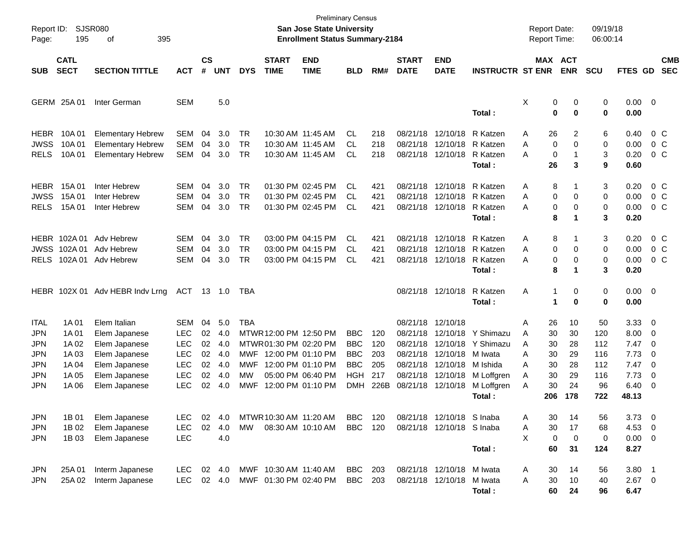| Report ID:<br>Page:                                                 | 195                                                         | <b>SJSR080</b><br>395<br>οf                                                                                        |                                                                           |                                        |                                               |                                       |                                                                                               | <b>Preliminary Census</b><br>San Jose State University<br><b>Enrollment Status Summary-2184</b> |                                                                    |                                         |                                                                                           |                                                                      |                                                                                     | <b>Report Date:</b><br>Report Time: |                                               |                                               | 09/19/18<br>06:00:14                               |                                                               |                                                                                       |                          |
|---------------------------------------------------------------------|-------------------------------------------------------------|--------------------------------------------------------------------------------------------------------------------|---------------------------------------------------------------------------|----------------------------------------|-----------------------------------------------|---------------------------------------|-----------------------------------------------------------------------------------------------|-------------------------------------------------------------------------------------------------|--------------------------------------------------------------------|-----------------------------------------|-------------------------------------------------------------------------------------------|----------------------------------------------------------------------|-------------------------------------------------------------------------------------|-------------------------------------|-----------------------------------------------|-----------------------------------------------|----------------------------------------------------|---------------------------------------------------------------|---------------------------------------------------------------------------------------|--------------------------|
| <b>SUB</b>                                                          | <b>CATL</b><br><b>SECT</b>                                  | <b>SECTION TITTLE</b>                                                                                              | <b>ACT</b>                                                                | $\mathsf{cs}$<br>#                     | <b>UNT</b>                                    | <b>DYS</b>                            | <b>START</b><br><b>TIME</b>                                                                   | <b>END</b><br><b>TIME</b>                                                                       | <b>BLD</b>                                                         | RM#                                     | <b>START</b><br><b>DATE</b>                                                               | <b>END</b><br><b>DATE</b>                                            | <b>INSTRUCTR ST ENR</b>                                                             | <b>MAX ACT</b>                      |                                               | <b>ENR</b>                                    | <b>SCU</b>                                         | <b>FTES GD</b>                                                |                                                                                       | <b>CMB</b><br><b>SEC</b> |
|                                                                     | GERM 25A 01                                                 | Inter German                                                                                                       | <b>SEM</b>                                                                |                                        | 5.0                                           |                                       |                                                                                               |                                                                                                 |                                                                    |                                         |                                                                                           |                                                                      | Total:                                                                              | Χ                                   | 0<br>0                                        | 0<br>$\bf{0}$                                 | 0<br>0                                             | $0.00 \t 0$<br>0.00                                           |                                                                                       |                          |
| <b>HEBR</b><br><b>JWSS</b><br><b>RELS</b>                           | 10A 01<br>10A 01<br>10A 01                                  | <b>Elementary Hebrew</b><br><b>Elementary Hebrew</b><br><b>Elementary Hebrew</b>                                   | <b>SEM</b><br><b>SEM</b><br><b>SEM</b>                                    | 04<br>04<br>04                         | 3.0<br>3.0<br>3.0                             | TR.<br><b>TR</b><br><b>TR</b>         |                                                                                               | 10:30 AM 11:45 AM<br>10:30 AM 11:45 AM<br>10:30 AM 11:45 AM                                     | СL<br><b>CL</b><br>СL                                              | 218<br>218<br>218                       | 08/21/18                                                                                  | 08/21/18 12/10/18<br>12/10/18<br>08/21/18 12/10/18                   | R Katzen<br>R Katzen<br>R Katzen<br>Total:                                          | Α<br>Α<br>А                         | 26<br>0<br>0<br>26                            | 2<br>0<br>$\mathbf{1}$<br>3                   | 6<br>0<br>3<br>9                                   | 0.40<br>0.00<br>0.20<br>0.60                                  | 0 <sup>o</sup><br>0 <sup>o</sup><br>$0\,C$                                            |                          |
| <b>HEBR</b><br><b>JWSS</b><br><b>RELS</b>                           | 15A 01<br>15A 01<br>15A 01                                  | Inter Hebrew<br>Inter Hebrew<br>Inter Hebrew                                                                       | SEM<br><b>SEM</b><br><b>SEM</b>                                           | 04<br>04<br>04                         | 3.0<br>3.0<br>3.0                             | TR.<br><b>TR</b><br><b>TR</b>         |                                                                                               | 01:30 PM 02:45 PM<br>01:30 PM 02:45 PM<br>01:30 PM 02:45 PM                                     | СL<br>СL<br>CL                                                     | 421<br>421<br>421                       | 08/21/18                                                                                  | 08/21/18 12/10/18<br>12/10/18<br>08/21/18 12/10/18                   | R Katzen<br>R Katzen<br>R Katzen<br>Total:                                          | Α<br>Α<br>А                         | 8<br>0<br>0<br>8                              | 1<br>0<br>0<br>1                              | 3<br>0<br>0<br>3                                   | 0.20<br>0.00<br>0.00<br>0.20                                  | 0 <sup>o</sup><br>0 <sup>o</sup><br>$0\,C$                                            |                          |
| JWSS<br><b>RELS</b>                                                 | HEBR 102A01<br>102A 01                                      | Adv Hebrew<br>Adv Hebrew<br>102A 01 Adv Hebrew                                                                     | SEM<br>SEM<br><b>SEM</b>                                                  | 04<br>04<br>04                         | 3.0<br>3.0<br>3.0                             | TR.<br><b>TR</b><br><b>TR</b>         |                                                                                               | 03:00 PM 04:15 PM<br>03:00 PM 04:15 PM<br>03:00 PM 04:15 PM                                     | СL<br>СL<br>CL                                                     | 421<br>421<br>421                       | 08/21/18                                                                                  | 08/21/18 12/10/18<br>12/10/18<br>08/21/18 12/10/18                   | R Katzen<br>R Katzen<br>R Katzen<br>Total:                                          | Α<br>Α<br>А                         | 8<br>0<br>0<br>8                              | 1<br>0<br>0<br>$\mathbf 1$                    | 3<br>0<br>0<br>3                                   | 0.20<br>0.00<br>0.00<br>0.20                                  | 0 <sup>o</sup><br>$0\,C$<br>0 <sup>o</sup>                                            |                          |
|                                                                     |                                                             | HEBR 102X 01 Adv HEBR Indv Lrng                                                                                    | ACT 13 1.0                                                                |                                        |                                               | TBA                                   |                                                                                               |                                                                                                 |                                                                    |                                         |                                                                                           | 08/21/18 12/10/18                                                    | R Katzen<br>Total:                                                                  | Α                                   | 1<br>1                                        | 0<br>$\bf{0}$                                 | 0<br>0                                             | $0.00 \t 0$<br>0.00                                           |                                                                                       |                          |
| <b>ITAL</b><br><b>JPN</b><br>JPN<br><b>JPN</b><br>JPN<br>JPN<br>JPN | 1A 01<br>1A 01<br>1A 02<br>1A 03<br>1A 04<br>1A 05<br>1A 06 | Elem Italian<br>Elem Japanese<br>Elem Japanese<br>Elem Japanese<br>Elem Japanese<br>Elem Japanese<br>Elem Japanese | SEM<br>LEC<br>LEC<br><b>LEC</b><br><b>LEC</b><br><b>LEC</b><br><b>LEC</b> | 04<br>02<br>02<br>02<br>02<br>02<br>02 | 5.0<br>4.0<br>4.0<br>4.0<br>4.0<br>4.0<br>4.0 | <b>TBA</b><br>MWF<br><b>MW</b><br>MWF | MTWR 12:00 PM 12:50 PM<br>MTWR01:30 PM 02:20 PM<br>MWF 12:00 PM 01:10 PM<br>12:00 PM 01:10 PM | 05:00 PM 06:40 PM<br>12:00 PM 01:10 PM                                                          | BBC<br><b>BBC</b><br><b>BBC</b><br><b>BBC</b><br>HGH<br><b>DMH</b> | 120<br>120<br>203<br>205<br>217<br>226B | 08/21/18 12/10/18<br>08/21/18<br>08/21/18<br>08/21/18<br>08/21/18<br>08/21/18<br>08/21/18 | 12/10/18<br>12/10/18<br>12/10/18<br>12/10/18<br>12/10/18<br>12/10/18 | Y Shimazu<br>Y Shimazu<br>M Iwata<br>M Ishida<br>M Loffgren<br>M Loffgren<br>Total: | Α<br>A<br>A<br>Α<br>A<br>A<br>Α     | 26<br>30<br>30<br>30<br>30<br>30<br>30<br>206 | 10<br>30<br>28<br>29<br>28<br>29<br>24<br>178 | 50<br>120<br>112<br>116<br>112<br>116<br>96<br>722 | 3.33<br>8.00<br>7.47<br>7.73<br>7.47<br>7.73<br>6.40<br>48.13 | - 0<br>0<br>$\overline{\mathbf{0}}$<br>$\overline{0}$<br>- 0<br>$\overline{0}$<br>- 0 |                          |
| JPN<br>JPN<br>JPN                                                   | 1B 01<br>1B 02<br>1B 03                                     | Elem Japanese<br>Elem Japanese<br>Elem Japanese                                                                    | LEC.<br><b>LEC</b><br><b>LEC</b>                                          | 02<br>02                               | 4.0<br>4.0<br>4.0                             | MW                                    | MTWR 10:30 AM 11:20 AM                                                                        | 08:30 AM 10:10 AM                                                                               | BBC<br><b>BBC</b>                                                  | 120<br>120                              |                                                                                           | 08/21/18 12/10/18 S Inaba<br>08/21/18 12/10/18 S Inaba               | Total:                                                                              | Α<br>A<br>X                         | 30<br>30<br>0<br>60                           | 14<br>17<br>$\mathbf 0$<br>31                 | 56<br>68<br>0<br>124                               | $3.73$ 0<br>$4.53$ 0<br>$0.00 \t 0$<br>8.27                   |                                                                                       |                          |
| JPN<br>JPN                                                          | 25A 01<br>25A 02                                            | Interm Japanese<br>Interm Japanese                                                                                 | <b>LEC</b><br><b>LEC</b>                                                  |                                        | 02 4.0<br>02 4.0                              |                                       | MWF 10:30 AM 11:40 AM<br>MWF 01:30 PM 02:40 PM                                                |                                                                                                 | <b>BBC</b><br><b>BBC</b>                                           | 203<br>203                              |                                                                                           | 08/21/18 12/10/18 M Iwata<br>08/21/18 12/10/18 M Iwata               | Total:                                                                              | A<br>A                              | 30<br>30<br>60                                | 14<br>10<br>24                                | 56<br>40<br>96                                     | $3.80$ 1<br>$2.67$ 0<br>6.47                                  |                                                                                       |                          |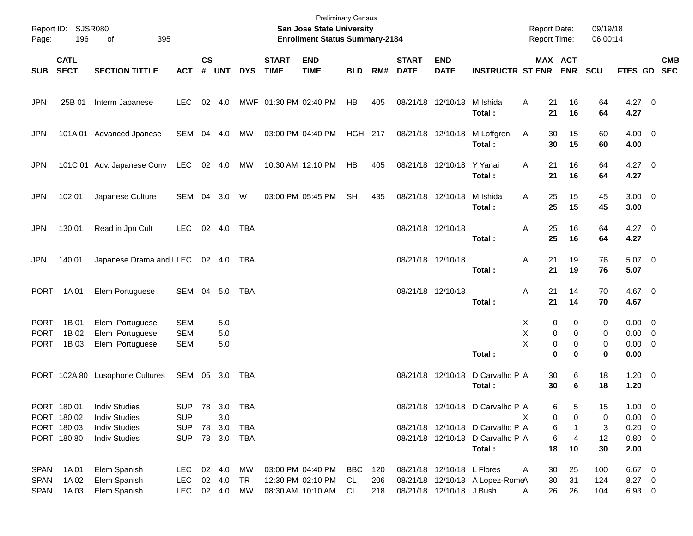| Page:                      | Report ID: SJSR080<br>196  | 395<br>of                          |                          |                    |            |            |                             | <b>Preliminary Census</b><br>San Jose State University<br><b>Enrollment Status Summary-2184</b> |            |     |                             |                            |                                            | <b>Report Date:</b><br><b>Report Time:</b> |                                   | 09/19/18<br>06:00:14 |                                    |            |
|----------------------------|----------------------------|------------------------------------|--------------------------|--------------------|------------|------------|-----------------------------|-------------------------------------------------------------------------------------------------|------------|-----|-----------------------------|----------------------------|--------------------------------------------|--------------------------------------------|-----------------------------------|----------------------|------------------------------------|------------|
| <b>SUB</b>                 | <b>CATL</b><br><b>SECT</b> | <b>SECTION TITTLE</b>              | <b>ACT</b>               | $\mathsf{cs}$<br># | <b>UNT</b> | <b>DYS</b> | <b>START</b><br><b>TIME</b> | <b>END</b><br><b>TIME</b>                                                                       | <b>BLD</b> | RM# | <b>START</b><br><b>DATE</b> | <b>END</b><br><b>DATE</b>  | <b>INSTRUCTR ST ENR</b>                    |                                            | MAX ACT<br><b>ENR</b>             | <b>SCU</b>           | FTES GD SEC                        | <b>CMB</b> |
| <b>JPN</b>                 | 25B 01                     | Interm Japanese                    | <b>LEC</b>               |                    | 02 4.0     |            | MWF 01:30 PM 02:40 PM       |                                                                                                 | HB         | 405 |                             | 08/21/18 12/10/18          | M Ishida                                   | 21<br>Α                                    | 16                                | 64                   | $4.27$ 0                           |            |
|                            |                            |                                    |                          |                    |            |            |                             |                                                                                                 |            |     |                             |                            | Total:                                     | 21                                         | 16                                | 64                   | 4.27                               |            |
| <b>JPN</b>                 |                            | 101A 01 Advanced Jpanese           | SEM                      |                    | 04 4.0     | МW         |                             | 03:00 PM 04:40 PM                                                                               | HGH 217    |     |                             | 08/21/18 12/10/18          | M Loffgren<br>Total:                       | 30<br>A<br>30                              | 15<br>15                          | 60<br>60             | $4.00 \ 0$<br>4.00                 |            |
| <b>JPN</b>                 |                            | 101C 01 Adv. Japanese Conv         | LEC                      |                    | 02 4.0     | MW         |                             | 10:30 AM 12:10 PM                                                                               | HB         | 405 |                             | 08/21/18 12/10/18          | Y Yanai<br>Total:                          | 21<br>Α<br>21                              | 16<br>16                          | 64<br>64             | $4.27$ 0<br>4.27                   |            |
| <b>JPN</b>                 | 102 01                     | Japanese Culture                   | SEM 04 3.0               |                    |            | W          |                             | 03:00 PM 05:45 PM                                                                               | <b>SH</b>  | 435 |                             | 08/21/18 12/10/18          | M Ishida<br>Total:                         | 25<br>Α<br>25                              | 15<br>15                          | 45<br>45             | $3.00 \ 0$<br>3.00                 |            |
| <b>JPN</b>                 | 130 01                     | Read in Jpn Cult                   | <b>LEC</b>               |                    | 02 4.0     | TBA        |                             |                                                                                                 |            |     | 08/21/18 12/10/18           |                            | Total :                                    | 25<br>Α<br>25                              | 16<br>16                          | 64<br>64             | $4.27$ 0<br>4.27                   |            |
| <b>JPN</b>                 | 140 01                     | Japanese Drama and LLEC            |                          |                    | 02 4.0     | TBA        |                             |                                                                                                 |            |     | 08/21/18 12/10/18           |                            | Total :                                    | 21<br>A<br>21                              | 19<br>19                          | 76<br>76             | $5.07$ 0<br>5.07                   |            |
| <b>PORT</b>                | 1A 01                      | Elem Portuguese                    | SEM 04 5.0               |                    |            | TBA        |                             |                                                                                                 |            |     | 08/21/18 12/10/18           |                            | Total :                                    | 21<br>A<br>21                              | 14<br>14                          | 70<br>70             | 4.67 0<br>4.67                     |            |
| <b>PORT</b>                | 1B 01                      | Elem Portuguese                    | <b>SEM</b>               |                    | 5.0        |            |                             |                                                                                                 |            |     |                             |                            |                                            | X                                          | 0<br>0                            | 0                    | $0.00 \t 0$                        |            |
| <b>PORT</b><br><b>PORT</b> | 1B 02<br>1B 03             | Elem Portuguese<br>Elem Portuguese | <b>SEM</b><br><b>SEM</b> |                    | 5.0<br>5.0 |            |                             |                                                                                                 |            |     |                             |                            | Total:                                     | х<br>X                                     | 0<br>0<br>0<br>0<br>$\bf{0}$<br>0 | 0<br>0<br>0          | $0.00 \t 0$<br>$0.00 \t 0$<br>0.00 |            |
|                            |                            | PORT 102A 80 Lusophone Cultures    | SEM 05 3.0               |                    |            | TBA        |                             |                                                                                                 |            |     |                             | 08/21/18 12/10/18          | D Carvalho P A<br>Total:                   | 30<br>30                                   | 6<br>6                            | 18<br>18             | $1.20 \t 0$<br>1.20                |            |
|                            | PORT 180 01                | <b>Indiv Studies</b>               | SUP 78 3.0 TBA           |                    |            |            |                             |                                                                                                 |            |     |                             |                            | 08/21/18 12/10/18 D Carvalho P A           |                                            | 6<br>5                            | 15                   | $1.00 \t 0$                        |            |
|                            | PORT 180 02                | <b>Indiv Studies</b>               | <b>SUP</b>               |                    | 3.0        |            |                             |                                                                                                 |            |     |                             |                            |                                            | х                                          | 0<br>0                            | 0                    | $0.00 \t 0$                        |            |
|                            | PORT 180 03                | <b>Indiv Studies</b>               | <b>SUP</b>               |                    | 78 3.0     | TBA        |                             |                                                                                                 |            |     |                             |                            | 08/21/18 12/10/18 D Carvalho P A           |                                            | 6                                 | 3                    | $0.20 \ 0$                         |            |
|                            | PORT 180 80                | <b>Indiv Studies</b>               | <b>SUP</b>               |                    | 78 3.0     | TBA        |                             |                                                                                                 |            |     |                             |                            | 08/21/18 12/10/18 D Carvalho P A<br>Total: | 18                                         | 6<br>$\overline{4}$<br>10         | 12<br>30             | 0.80 0<br>2.00                     |            |
| SPAN                       | 1A 01                      | Elem Spanish                       | LEC 02 4.0               |                    |            | MW         |                             | 03:00 PM 04:40 PM                                                                               | BBC        | 120 |                             | 08/21/18 12/10/18 L Flores |                                            | 30<br>A                                    | 25                                | 100                  | 6.67 0                             |            |
| <b>SPAN</b>                | 1A 02                      | Elem Spanish                       | <b>LEC</b>               |                    | 02 4.0     | TR         |                             | 12:30 PM 02:10 PM                                                                               | CL         | 206 |                             |                            | 08/21/18 12/10/18 A Lopez-RomeA            | 30                                         | 31                                | 124                  | 8.27 0                             |            |
| <b>SPAN</b>                | 1A03                       | Elem Spanish                       | LEC 02 4.0               |                    |            | MW         |                             | 08:30 AM 10:10 AM                                                                               | CL         | 218 |                             | 08/21/18 12/10/18 J Bush   |                                            | 26<br>A                                    | 26                                | 104                  | 6.93 0                             |            |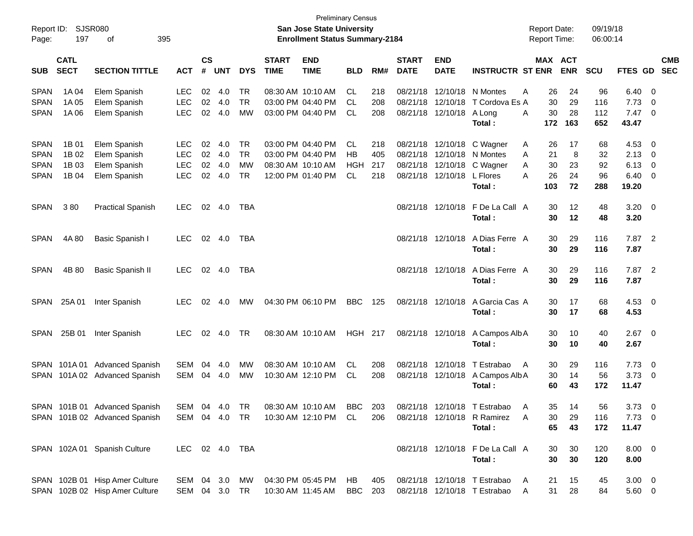| Report ID:<br>Page:        | 197                        | <b>SJSR080</b><br>395<br>οf                                      |                                |                |            |                 |                             | <b>Preliminary Census</b><br><b>San Jose State University</b><br><b>Enrollment Status Summary-2184</b> |                |            |                             |                           |                                                              | <b>Report Date:</b><br><b>Report Time:</b> |                       | 09/19/18<br>06:00:14 |                        |                                                     |                          |
|----------------------------|----------------------------|------------------------------------------------------------------|--------------------------------|----------------|------------|-----------------|-----------------------------|--------------------------------------------------------------------------------------------------------|----------------|------------|-----------------------------|---------------------------|--------------------------------------------------------------|--------------------------------------------|-----------------------|----------------------|------------------------|-----------------------------------------------------|--------------------------|
| <b>SUB</b>                 | <b>CATL</b><br><b>SECT</b> | <b>SECTION TITTLE</b>                                            | <b>ACT</b>                     | <b>CS</b><br># | <b>UNT</b> | <b>DYS</b>      | <b>START</b><br><b>TIME</b> | <b>END</b><br><b>TIME</b>                                                                              | <b>BLD</b>     | RM#        | <b>START</b><br><b>DATE</b> | <b>END</b><br><b>DATE</b> | <b>INSTRUCTR ST ENR</b>                                      |                                            | MAX ACT<br><b>ENR</b> | <b>SCU</b>           | FTES GD                |                                                     | <b>CMB</b><br><b>SEC</b> |
| <b>SPAN</b><br><b>SPAN</b> | 1A 04<br>1A 05             | Elem Spanish<br>Elem Spanish                                     | <b>LEC</b><br><b>LEC</b>       | 02<br>02       | 4.0<br>4.0 | TR<br><b>TR</b> |                             | 08:30 AM 10:10 AM<br>03:00 PM 04:40 PM                                                                 | CL.<br>CL.     | 218<br>208 | 08/21/18<br>08/21/18        | 12/10/18                  | 12/10/18 N Montes<br>T Cordova Es A                          | Α<br>26<br>30                              | 24<br>29              | 96<br>116            | $6.40\quad 0$<br>7.73  | - 0                                                 |                          |
| <b>SPAN</b>                | 1A 06                      | Elem Spanish                                                     | <b>LEC</b>                     | 02             | 4.0        | МW              |                             | 03:00 PM 04:40 PM                                                                                      | CL.            | 208        |                             | 08/21/18 12/10/18         | A Long<br>Total:                                             | 30<br>A<br>172                             | 28<br>163             | 112<br>652           | 7.47<br>43.47          | $\overline{\phantom{0}}$                            |                          |
| <b>SPAN</b>                | 1B 01                      | Elem Spanish                                                     | <b>LEC</b>                     | 02             | 4.0        | TR              |                             | 03:00 PM 04:40 PM<br>03:00 PM 04:40 PM                                                                 | CL.            | 218        |                             | 08/21/18 12/10/18         | C Wagner                                                     | A<br>26                                    | 17                    | 68                   | 4.53                   | $\overline{\mathbf{0}}$                             |                          |
| <b>SPAN</b><br><b>SPAN</b> | 1B 02<br>1B 03             | Elem Spanish<br>Elem Spanish                                     | <b>LEC</b><br><b>LEC</b>       | 02<br>02       | 4.0<br>4.0 | <b>TR</b><br>MW |                             | 08:30 AM 10:10 AM                                                                                      | НB<br>HGH      | 405<br>217 | 08/21/18                    |                           | 12/10/18 N Montes<br>08/21/18 12/10/18 C Wagner              | 21<br>A<br>30<br>A                         | 8<br>23               | 32<br>92             | 2.13<br>6.13           | $\overline{\mathbf{0}}$<br>$\overline{\mathbf{0}}$  |                          |
| <b>SPAN</b>                | 1B 04                      | Elem Spanish                                                     | <b>LEC</b>                     | 02             | 4.0        | <b>TR</b>       |                             | 12:00 PM 01:40 PM                                                                                      | <b>CL</b>      | 218        |                             | 08/21/18 12/10/18         | L Flores<br>Total:                                           | Α<br>26<br>103                             | 24<br>72              | 96<br>288            | 6.40<br>19.20          | $\overline{\phantom{0}}$                            |                          |
| <b>SPAN</b>                | 380                        | <b>Practical Spanish</b>                                         | <b>LEC</b>                     | 02             | 4.0        | TBA             |                             |                                                                                                        |                |            |                             | 08/21/18 12/10/18         | F De La Call A<br>Total:                                     | 30<br>30                                   | 12<br>12              | 48<br>48             | $3.20 \ 0$<br>3.20     |                                                     |                          |
| <b>SPAN</b>                | 4A 80                      | Basic Spanish I                                                  | <b>LEC</b>                     | 02             | 4.0        | <b>TBA</b>      |                             |                                                                                                        |                |            |                             | 08/21/18 12/10/18         | A Dias Ferre A<br>Total:                                     | 30<br>30                                   | 29<br>29              | 116<br>116           | 7.87 2<br>7.87         |                                                     |                          |
| <b>SPAN</b>                | 4B 80                      | <b>Basic Spanish II</b>                                          | <b>LEC</b>                     |                | 02 4.0     | <b>TBA</b>      |                             |                                                                                                        |                |            |                             | 08/21/18 12/10/18         | A Dias Ferre A<br>Total:                                     | 30<br>30                                   | 29<br>29              | 116<br>116           | 7.87 2<br>7.87         |                                                     |                          |
| <b>SPAN</b>                | 25A 01                     | Inter Spanish                                                    | <b>LEC</b>                     | 02             | 4.0        | МW              |                             | 04:30 PM 06:10 PM                                                                                      | <b>BBC</b>     | 125        |                             | 08/21/18 12/10/18         | A Garcia Cas A<br>Total:                                     | 30<br>30                                   | 17<br>17              | 68<br>68             | $4.53 \quad 0$<br>4.53 |                                                     |                          |
| <b>SPAN</b>                | 25B 01                     | Inter Spanish                                                    | <b>LEC</b>                     | 02             | 4.0        | TR              |                             | 08:30 AM 10:10 AM                                                                                      | <b>HGH 217</b> |            |                             | 08/21/18 12/10/18         | A Campos Alb A<br>Total:                                     | 30<br>30                                   | 10<br>10              | 40<br>40             | $2.67$ 0<br>2.67       |                                                     |                          |
| SPAN<br>SPAN               | 101A 01                    | <b>Advanced Spanish</b><br>101A 02 Advanced Spanish              | SEM<br>SEM                     | 04<br>04       | 4.0<br>4.0 | МW<br>МW        |                             | 08:30 AM 10:10 AM<br>10:30 AM 12:10 PM                                                                 | CL.<br>CL.     | 208<br>208 |                             | 08/21/18 12/10/18         | T Estrabao<br>08/21/18 12/10/18 A Campos Alb A<br>Total:     | 30<br>A<br>30<br>60                        | 29<br>14<br>43        | 116<br>56<br>172     | 7.73<br>3.73<br>11.47  | $\overline{\phantom{0}}$<br>$\overline{\mathbf{0}}$ |                          |
|                            |                            | SPAN 101B 01 Advanced Spanish                                    | SEM 04 4.0 TR                  |                |            |                 |                             | 08:30 AM 10:10 AM                                                                                      | BBC            | 203        |                             |                           | 08/21/18 12/10/18 T Estrabao A                               | 35                                         | 14                    | 56                   | $3.73 \quad 0$         |                                                     |                          |
|                            |                            | SPAN 101B 02 Advanced Spanish                                    |                                |                |            |                 |                             | SEM 04 4.0 TR 10:30 AM 12:10 PM CL                                                                     |                | 206        |                             |                           | 08/21/18 12/10/18 R Ramirez<br>Total:                        | A<br>30<br>65                              | 29<br>43              | 116<br>172           | $7.73 \t 0$<br>11.47   |                                                     |                          |
|                            |                            | SPAN 102A 01 Spanish Culture                                     | LEC 02 4.0 TBA                 |                |            |                 |                             |                                                                                                        |                |            |                             |                           | 08/21/18 12/10/18 F De La Call A<br>Total:                   | 30<br>30                                   | 30<br>30              | 120<br>120           | $8.00 \t 0$<br>8.00    |                                                     |                          |
|                            |                            | SPAN 102B 01 Hisp Amer Culture<br>SPAN 102B 02 Hisp Amer Culture | SEM 04 3.0 MW<br>SEM 04 3.0 TR |                |            |                 |                             | 04:30 PM 05:45 PM<br>10:30 AM 11:45 AM                                                                 | HB.<br>BBC     | 405<br>203 |                             |                           | 08/21/18 12/10/18 T Estrabao<br>08/21/18 12/10/18 T Estrabao | 21<br>A<br>31<br>$\mathsf{A}$              | 15<br>28              | 45<br>84             | $3.00 \ 0$<br>5.60 0   |                                                     |                          |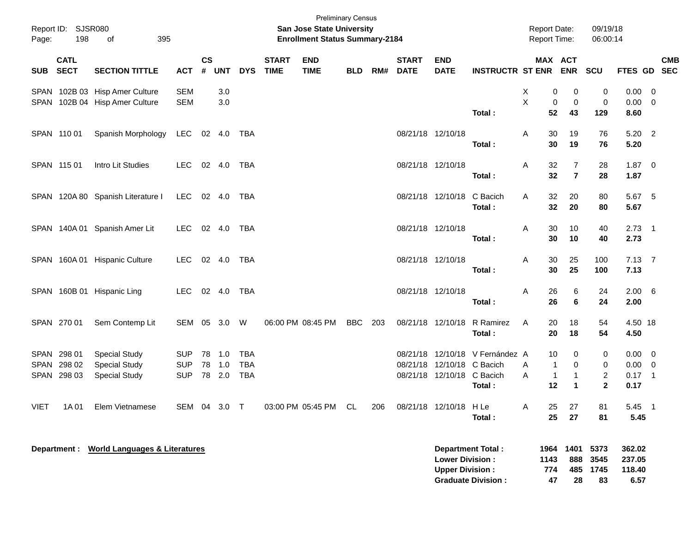| Page:       | Report ID: SJSR080<br>198  | 395<br>οf                                  |              |                    |            |            |                             | <b>Preliminary Census</b><br><b>San Jose State University</b><br><b>Enrollment Status Summary-2184</b> |            |     |                             |                                                  |                                                       |   | <b>Report Date:</b><br><b>Report Time:</b> |                                      | 09/19/18<br>06:00:14           |                                    |            |
|-------------|----------------------------|--------------------------------------------|--------------|--------------------|------------|------------|-----------------------------|--------------------------------------------------------------------------------------------------------|------------|-----|-----------------------------|--------------------------------------------------|-------------------------------------------------------|---|--------------------------------------------|--------------------------------------|--------------------------------|------------------------------------|------------|
| <b>SUB</b>  | <b>CATL</b><br><b>SECT</b> | <b>SECTION TITTLE</b>                      | <b>ACT</b>   | $\mathsf{cs}$<br># | <b>UNT</b> | <b>DYS</b> | <b>START</b><br><b>TIME</b> | <b>END</b><br><b>TIME</b>                                                                              | <b>BLD</b> | RM# | <b>START</b><br><b>DATE</b> | <b>END</b><br><b>DATE</b>                        | <b>INSTRUCTR ST ENR</b>                               |   |                                            | MAX ACT<br><b>ENR</b>                | <b>SCU</b>                     | FTES GD SEC                        | <b>CMB</b> |
|             |                            | SPAN 102B 03 Hisp Amer Culture             | <b>SEM</b>   |                    | 3.0        |            |                             |                                                                                                        |            |     |                             |                                                  |                                                       | Χ | 0                                          | 0                                    | 0                              | $0.00 \t 0$                        |            |
|             |                            | SPAN 102B 04 Hisp Amer Culture             | <b>SEM</b>   |                    | 3.0        |            |                             |                                                                                                        |            |     |                             |                                                  | Total:                                                | X | 0<br>52                                    | 0<br>43                              | 0<br>129                       | $0.00 \t 0$<br>8.60                |            |
|             | SPAN 110 01                | Spanish Morphology                         | LEC          |                    | 02 4.0     | TBA        |                             |                                                                                                        |            |     | 08/21/18 12/10/18           |                                                  |                                                       | Α | 30                                         | 19                                   | 76                             | $5.20$ 2                           |            |
|             |                            |                                            |              |                    |            |            |                             |                                                                                                        |            |     |                             |                                                  | Total:                                                |   | 30                                         | 19                                   | 76                             | 5.20                               |            |
|             | SPAN 115 01                | Intro Lit Studies                          | <b>LEC</b>   | 02 4.0             |            | TBA        |                             |                                                                                                        |            |     | 08/21/18 12/10/18           |                                                  | Total:                                                | Α | 32<br>32                                   | 7<br>$\overline{7}$                  | 28<br>28                       | 1.87 0<br>1.87                     |            |
|             |                            | SPAN 120A 80 Spanish Literature I          | <b>LEC</b>   |                    | 02 4.0     | TBA        |                             |                                                                                                        |            |     |                             | 08/21/18 12/10/18                                | C Bacich<br>Total:                                    | A | 32<br>32                                   | 20<br>20                             | 80<br>80                       | 5.67 5<br>5.67                     |            |
|             |                            | SPAN 140A 01 Spanish Amer Lit              | <b>LEC</b>   |                    | 02 4.0     | TBA        |                             |                                                                                                        |            |     | 08/21/18 12/10/18           |                                                  | Total:                                                | A | 30<br>30                                   | 10<br>10                             | 40<br>40                       | $2.73$ 1<br>2.73                   |            |
|             |                            | SPAN 160A 01 Hispanic Culture              | <b>LEC</b>   |                    | 02 4.0     | TBA        |                             |                                                                                                        |            |     | 08/21/18 12/10/18           |                                                  | Total:                                                | Α | 30<br>30                                   | 25<br>25                             | 100<br>100                     | $7.13 \quad 7$<br>7.13             |            |
|             |                            | SPAN 160B 01 Hispanic Ling                 | <b>LEC</b>   | 02 4.0             |            | TBA        |                             |                                                                                                        |            |     | 08/21/18 12/10/18           |                                                  |                                                       | Α | 26                                         | 6                                    | 24                             | $2.00\quad 6$                      |            |
|             |                            |                                            |              |                    |            |            |                             |                                                                                                        |            |     |                             |                                                  | Total:                                                |   | 26                                         | 6                                    | 24                             | 2.00                               |            |
|             | SPAN 270 01                | Sem Contemp Lit                            | SEM 05 3.0   |                    |            | W          |                             | 06:00 PM 08:45 PM                                                                                      | <b>BBC</b> | 203 |                             | 08/21/18 12/10/18                                | R Ramirez<br>Total:                                   | A | 20<br>20                                   | 18<br>18                             | 54<br>54                       | 4.50 18<br>4.50                    |            |
|             | SPAN 298 01                | <b>Special Study</b>                       | <b>SUP</b>   | 78                 | 1.0        | <b>TBA</b> |                             |                                                                                                        |            |     | 08/21/18                    |                                                  | 12/10/18 V Fernández A                                |   | 10                                         | 0                                    | 0                              | $0.00 \t 0$                        |            |
| <b>SPAN</b> | 298 02                     | <b>Special Study</b>                       | <b>SUP</b>   | 78                 | 1.0        | <b>TBA</b> |                             |                                                                                                        |            |     | 08/21/18                    | 12/10/18                                         | C Bacich                                              | A | 1                                          | 0                                    | 0                              | $0.00 \t 0$                        |            |
|             | SPAN 298 03                | <b>Special Study</b>                       | <b>SUP</b>   | 78                 | 2.0        | <b>TBA</b> |                             |                                                                                                        |            |     |                             | 08/21/18 12/10/18 C Bacich                       | Total:                                                | A | $\mathbf{1}$<br>12                         | $\mathbf{1}$<br>$\blacktriangleleft$ | $\overline{2}$<br>$\mathbf{2}$ | $0.17$ 1<br>0.17                   |            |
| <b>VIET</b> | 1A 01                      | Elem Vietnamese                            | SEM 04 3.0 T |                    |            |            |                             | 03:00 PM 05:45 PM                                                                                      | CL         | 206 |                             | 08/21/18 12/10/18 H Le                           | Total:                                                | A | 25<br>25                                   | 27<br>27                             | 81<br>81                       | 5.45 1<br>5.45                     |            |
|             |                            | Department : World Languages & Literatures |              |                    |            |            |                             |                                                                                                        |            |     |                             | <b>Lower Division:</b><br><b>Upper Division:</b> | <b>Department Total:</b><br><b>Graduate Division:</b> |   | 1143<br>774<br>47                          | 1964 1401<br>888<br>485<br>28        | 5373<br>3545<br>1745<br>83     | 362.02<br>237.05<br>118.40<br>6.57 |            |

**Graduate Division : 47 28 83 6.57**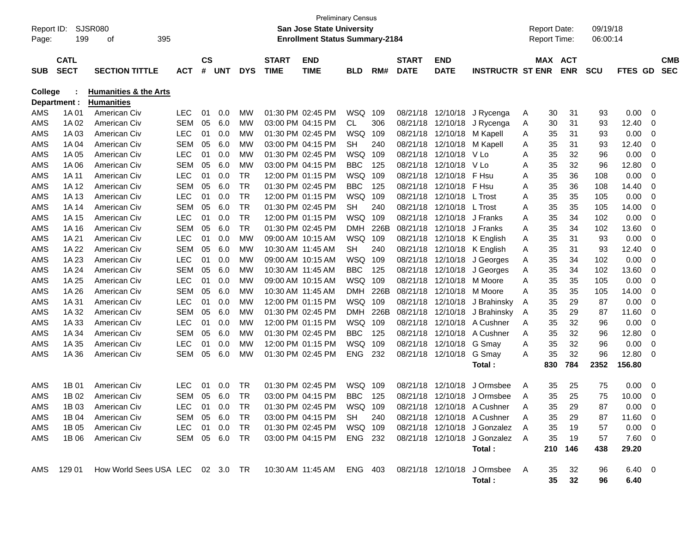| Report ID:<br>Page: | 199                        | SJSR080<br>395<br>οf                                                                                |            |                |            |            |                             | <b>San Jose State University</b><br><b>Enrollment Status Summary-2184</b> | <b>Preliminary Census</b> |      |                             |                           |                                |     | <b>Report Date:</b><br><b>Report Time:</b> |            | 09/19/18<br>06:00:14 |                       |                |                          |
|---------------------|----------------------------|-----------------------------------------------------------------------------------------------------|------------|----------------|------------|------------|-----------------------------|---------------------------------------------------------------------------|---------------------------|------|-----------------------------|---------------------------|--------------------------------|-----|--------------------------------------------|------------|----------------------|-----------------------|----------------|--------------------------|
| <b>SUB</b>          | <b>CATL</b><br><b>SECT</b> | <b>SECTION TITTLE</b>                                                                               | <b>ACT</b> | <b>CS</b><br># | <b>UNT</b> | <b>DYS</b> | <b>START</b><br><b>TIME</b> | <b>END</b><br><b>TIME</b>                                                 | <b>BLD</b>                | RM#  | <b>START</b><br><b>DATE</b> | <b>END</b><br><b>DATE</b> | <b>INSTRUCTR ST ENR</b>        |     | <b>MAX ACT</b>                             | <b>ENR</b> | <b>SCU</b>           | FTES GD               |                | <b>CMB</b><br><b>SEC</b> |
| <b>College</b>      | Department :               | <b>Humanities &amp; the Arts</b><br><b>Humanities</b>                                               |            |                |            |            |                             |                                                                           |                           |      |                             |                           |                                |     |                                            |            |                      |                       |                |                          |
| AMS                 | 1A 01                      | American Civ                                                                                        | LEC        | 01             | 0.0        | MW         |                             | 01:30 PM 02:45 PM                                                         | <b>WSQ</b>                | 109  | 08/21/18                    | 12/10/18                  | J Rycenga                      | A   | 30                                         | 31         | 93                   | 0.00                  | 0              |                          |
| AMS                 | 1A 02                      | American Civ                                                                                        | SEM        | 05             | 6.0        | MW         |                             | 03:00 PM 04:15 PM                                                         | CL.                       | 306  | 08/21/18                    | 12/10/18                  | J Rycenga                      | A   | 30                                         | 31         | 93                   | 12.40                 | 0              |                          |
| <b>AMS</b>          | 1A 03                      | American Civ                                                                                        | <b>LEC</b> | 01             | 0.0        | MW         |                             | 01:30 PM 02:45 PM                                                         | <b>WSQ</b>                | 109  | 08/21/18                    | 12/10/18                  | M Kapell                       | A   | 35                                         | 31         | 93                   | 0.00                  | 0              |                          |
| <b>AMS</b>          | 1A 04                      | American Civ                                                                                        | <b>SEM</b> | 05             | 6.0        | MW         |                             | 03:00 PM 04:15 PM                                                         | <b>SH</b>                 | 240  | 08/21/18                    | 12/10/18                  | M Kapell                       | A   | 35                                         | 31         | 93                   | 12.40                 | 0              |                          |
| <b>AMS</b>          | 1A 05                      | American Civ                                                                                        | <b>LEC</b> | 01             | 0.0        | МW         |                             | 01:30 PM 02:45 PM                                                         | <b>WSQ</b>                | 109  | 08/21/18                    | 12/10/18                  | V Lo                           | Α   | 35                                         | 32         | 96                   | 0.00                  | 0              |                          |
| <b>AMS</b>          | 1A 06                      | American Civ                                                                                        | SEM        | 05             | 6.0        | MW         |                             | 03:00 PM 04:15 PM                                                         | <b>BBC</b>                | 125  | 08/21/18                    | 12/10/18                  | V Lo                           | Α   | 35                                         | 32         | 96                   | 12.80                 | 0              |                          |
| AMS                 | 1A 11                      | American Civ                                                                                        | <b>LEC</b> | 01             | 0.0        | <b>TR</b>  |                             | 12:00 PM 01:15 PM                                                         | <b>WSQ</b>                | 109  | 08/21/18                    | 12/10/18                  | F Hsu                          | A   | 35                                         | 36         | 108                  | 0.00                  | 0              |                          |
| <b>AMS</b>          | 1A 12                      | American Civ                                                                                        | SEM        | 05             | 6.0        | TR         |                             | 01:30 PM 02:45 PM                                                         | <b>BBC</b>                | 125  | 08/21/18                    | 12/10/18                  | F Hsu                          | A   | 35                                         | 36         | 108                  | 14.40                 | 0              |                          |
| <b>AMS</b>          | 1A 13                      | American Civ                                                                                        | <b>LEC</b> | 01             | 0.0        | TR         |                             | 12:00 PM 01:15 PM                                                         | <b>WSQ</b>                | 109  | 08/21/18                    | 12/10/18                  | L Trost                        | Α   | 35                                         | 35         | 105                  | 0.00                  | 0              |                          |
| AMS                 | 1A 14                      | American Civ                                                                                        | SEM        | 05             | 6.0        | TR         |                             | 01:30 PM 02:45 PM                                                         | <b>SH</b>                 | 240  | 08/21/18                    | 12/10/18                  | L Trost                        | Α   | 35                                         | 35         | 105                  | 14.00                 | 0              |                          |
| <b>AMS</b>          | 1A 15                      | American Civ                                                                                        | <b>LEC</b> | 01             | 0.0        | TR         |                             | 12:00 PM 01:15 PM                                                         | WSQ                       | 109  | 08/21/18                    | 12/10/18                  | J Franks                       | A   | 35                                         | 34         | 102                  | 0.00                  | 0              |                          |
| <b>AMS</b>          | 1A 16                      | American Civ                                                                                        | SEM        | 05             | 6.0        | <b>TR</b>  |                             | 01:30 PM 02:45 PM                                                         | <b>DMH</b>                | 226B | 08/21/18                    | 12/10/18                  | J Franks                       | A   | 35                                         | 34         | 102                  | 13.60                 | 0              |                          |
| <b>AMS</b>          | 1A 21                      | American Civ                                                                                        | <b>LEC</b> | 01             | 0.0        | <b>MW</b>  |                             | 09:00 AM 10:15 AM                                                         | WSQ                       | 109  | 08/21/18                    | 12/10/18                  | K English                      | A   | 35                                         | 31         | 93                   | 0.00                  | 0              |                          |
| AMS                 | 1A 22                      | American Civ                                                                                        | <b>SEM</b> | 05             | 6.0        | MW         |                             | 10:30 AM 11:45 AM                                                         | <b>SH</b>                 | 240  | 08/21/18                    | 12/10/18                  | K English                      | A   | 35                                         | 31         | 93                   | 12.40                 | 0              |                          |
| <b>AMS</b>          | 1A 23                      | American Civ                                                                                        | <b>LEC</b> | 01             | 0.0        | MW         |                             | 09:00 AM 10:15 AM                                                         | <b>WSQ</b>                | 109  | 08/21/18                    | 12/10/18                  | J Georges                      | A   | 35                                         | 34         | 102                  | 0.00                  | 0              |                          |
| <b>AMS</b>          | 1A 24                      | American Civ                                                                                        | <b>SEM</b> | 05             | 6.0        | МW         |                             | 10:30 AM 11:45 AM                                                         | <b>BBC</b>                | 125  | 08/21/18                    | 12/10/18                  | J Georges                      | A   | 35                                         | 34         | 102                  | 13.60                 | 0              |                          |
| <b>AMS</b>          | 1A 25                      | American Civ                                                                                        | <b>LEC</b> | 01             | 0.0        | МW         |                             | 09:00 AM 10:15 AM                                                         | <b>WSQ</b>                | 109  | 08/21/18                    | 12/10/18                  | M Moore                        | A   | 35                                         | 35         | 105                  | 0.00                  | 0              |                          |
| <b>AMS</b>          | 1A 26                      | American Civ                                                                                        | <b>SEM</b> | 05             | 6.0        | MW         |                             | 10:30 AM 11:45 AM                                                         | <b>DMH</b>                | 226B | 08/21/18                    | 12/10/18                  | M Moore                        | A   | 35                                         | 35         | 105                  | 14.00                 | 0              |                          |
| <b>AMS</b>          | 1A 31                      | American Civ                                                                                        | <b>LEC</b> | 01             | 0.0        | МW         |                             | 12:00 PM 01:15 PM                                                         | <b>WSQ</b>                | 109  | 08/21/18                    | 12/10/18                  | J Brahinsky                    | A   | 35                                         | 29         | 87                   | 0.00                  | 0              |                          |
| <b>AMS</b>          | 1A 32                      | American Civ                                                                                        | <b>SEM</b> | 05             | 6.0        | MW         |                             | 01:30 PM 02:45 PM                                                         | <b>DMH</b>                | 226B | 08/21/18                    | 12/10/18                  | J Brahinsky                    | A   | 35                                         | 29         | 87                   | 11.60                 | 0              |                          |
| AMS                 | 1A 33                      | American Civ                                                                                        | <b>LEC</b> | 01             | 0.0        | МW         |                             | 12:00 PM 01:15 PM                                                         | <b>WSQ</b>                | 109  | 08/21/18                    | 12/10/18                  | A Cushner                      | A   | 35                                         | 32         | 96                   | 0.00                  | 0              |                          |
| <b>AMS</b>          | 1A 34                      | American Civ                                                                                        | <b>SEM</b> | 05             | 6.0        | MW         |                             | 01:30 PM 02:45 PM                                                         | <b>BBC</b>                | 125  | 08/21/18                    | 12/10/18                  | A Cushner                      | A   | 35                                         | 32         | 96                   | 12.80                 | 0              |                          |
| AMS                 | 1A 35                      | American Civ                                                                                        | <b>LEC</b> | 01             | 0.0        | МW         |                             | 12:00 PM 01:15 PM                                                         | <b>WSQ</b>                | 109  | 08/21/18                    | 12/10/18                  | G Smay                         | A   | 35                                         | 32         | 96                   | 0.00                  | 0              |                          |
| AMS                 | 1A 36                      | American Civ                                                                                        | SEM        | 05             | 6.0        | МW         |                             | 01:30 PM 02:45 PM                                                         | <b>ENG</b>                | 232  | 08/21/18                    | 12/10/18                  | G Smay                         | A   | 35                                         | 32         | 96                   | 12.80                 | 0              |                          |
|                     |                            |                                                                                                     |            |                |            |            |                             |                                                                           |                           |      |                             |                           | Total:                         |     | 830                                        | 784        | 2352                 | 156.80                |                |                          |
| AMS                 | 1B 01                      | American Civ                                                                                        | LEC        | 01             | 0.0        | TR         |                             | 01:30 PM 02:45 PM                                                         | <b>WSQ</b>                | 109  | 08/21/18                    | 12/10/18                  | J Ormsbee                      | A   | 35                                         | 25         | 75                   | 0.00                  | 0              |                          |
| AMS                 | 1B 02                      | American Civ                                                                                        | SEM        | 05             | 6.0        | <b>TR</b>  |                             | 03:00 PM 04:15 PM                                                         | <b>BBC</b>                | 125  | 08/21/18                    | 12/10/18                  | J Ormsbee                      | A   | 35                                         | 25         | 75                   | 10.00                 | 0              |                          |
| AMS                 | 1B 03                      | American Civ                                                                                        | <b>LEC</b> |                | 01 0.0     | TR         |                             | 01:30 PM 02:45 PM                                                         | WSQ 109                   |      |                             |                           | 08/21/18 12/10/18 A Cushner    | A   | 35                                         | 29         | 87                   | 0.00                  | $\overline{0}$ |                          |
| AMS                 |                            | 1B 04 American Civ                                                                                  | SEM 05 6.0 |                |            | TR.        |                             | 03:00 PM_04:15 PM  SH                                                     |                           | 240  |                             |                           | 08/21/18 12/10/18 A Cushner    | A   | 35                                         | 29         | 87                   | $11.60 \t 0$          |                |                          |
| AMS                 |                            | 1B 05 American Civ                                                                                  | LEC 01 0.0 |                |            | TR         |                             | 01:30 PM 02:45 PM WSQ 109                                                 |                           |      |                             |                           | 08/21/18 12/10/18 J Gonzalez   | - A | 35                                         | 19         | 57                   | $0.00 \t 0$           |                |                          |
| AMS                 |                            | 1B 06 American Civ                                                                                  | SEM 05 6.0 |                |            | TR         |                             | 03:00 PM 04:15 PM ENG 232                                                 |                           |      |                             |                           | 08/21/18 12/10/18 J Gonzalez A |     | 35                                         | 19         | 57                   | $7.60\quad 0$         |                |                          |
|                     |                            |                                                                                                     |            |                |            |            |                             |                                                                           |                           |      |                             |                           | Total:                         |     | 210                                        | 146        | 438                  | 29.20                 |                |                          |
|                     |                            | AMS 129 01 How World Sees USA LEC 02 3.0 TR 10:30 AM 11:45 AM ENG 403 08/21/18 12/10/18 J Ormsbee A |            |                |            |            |                             |                                                                           |                           |      |                             |                           | Total:                         |     | 35<br>35                                   | 32<br>32   | 96<br>96             | $6.40\quad 0$<br>6.40 |                |                          |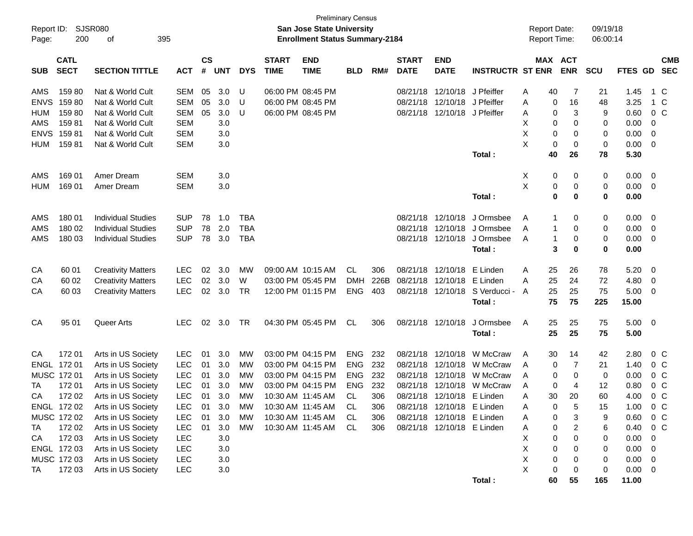|             |                                           |                           |            |               |            |            |              | <b>Preliminary Census</b>                                          |            |      |              |                            |                         |                                            |            | 09/19/18   |             |                          |
|-------------|-------------------------------------------|---------------------------|------------|---------------|------------|------------|--------------|--------------------------------------------------------------------|------------|------|--------------|----------------------------|-------------------------|--------------------------------------------|------------|------------|-------------|--------------------------|
| Page:       | SJSR080<br>Report ID:<br>395<br>200<br>οf |                           |            |               |            |            |              | San Jose State University<br><b>Enrollment Status Summary-2184</b> |            |      |              |                            |                         | <b>Report Date:</b><br><b>Report Time:</b> |            | 06:00:14   |             |                          |
|             | <b>CATL</b>                               |                           |            | $\mathsf{cs}$ |            |            | <b>START</b> | <b>END</b>                                                         |            |      | <b>START</b> | <b>END</b>                 |                         |                                            | MAX ACT    |            |             | <b>CMB</b>               |
| <b>SUB</b>  | <b>SECT</b>                               | <b>SECTION TITTLE</b>     | <b>ACT</b> | #             | <b>UNT</b> | <b>DYS</b> | <b>TIME</b>  | <b>TIME</b>                                                        | <b>BLD</b> | RM#  | <b>DATE</b>  | <b>DATE</b>                | <b>INSTRUCTR ST ENR</b> |                                            | <b>ENR</b> | <b>SCU</b> | FTES GD     | <b>SEC</b>               |
| AMS         | 15980                                     | Nat & World Cult          | SEM        | 05            | 3.0        | U          |              | 06:00 PM 08:45 PM                                                  |            |      | 08/21/18     | 12/10/18                   | J Pfeiffer              | 40<br>A                                    | 7          | 21         | 1.45        | 1 C                      |
| <b>ENVS</b> | 15980                                     | Nat & World Cult          | SEM        | 05            | 3.0        | U          |              | 06:00 PM 08:45 PM                                                  |            |      |              | 08/21/18 12/10/18          | J Pfeiffer              | A                                          | 0<br>16    | 48         | 3.25        | 1 C                      |
| <b>HUM</b>  | 159 80                                    | Nat & World Cult          | SEM        | 05            | 3.0        | U          |              | 06:00 PM 08:45 PM                                                  |            |      | 08/21/18     | 12/10/18                   | J Pfeiffer              | A                                          | 3<br>0     | 9          | 0.60        | 0 <sup>C</sup>           |
| AMS         | 15981                                     | Nat & World Cult          | <b>SEM</b> |               | 3.0        |            |              |                                                                    |            |      |              |                            |                         | х                                          | 0<br>0     | 0          | 0.00        | 0                        |
| <b>ENVS</b> | 15981                                     | Nat & World Cult          | <b>SEM</b> |               | 3.0        |            |              |                                                                    |            |      |              |                            |                         | X                                          | 0<br>0     | 0          | 0.00        | 0                        |
| <b>HUM</b>  | 15981                                     | Nat & World Cult          | SEM        |               | 3.0        |            |              |                                                                    |            |      |              |                            |                         | X                                          | 0<br>0     | 0          | 0.00        | $\overline{\mathbf{0}}$  |
|             |                                           |                           |            |               |            |            |              |                                                                    |            |      |              |                            | Total:                  | 40                                         | 26         | 78         | 5.30        |                          |
| AMS         | 169 01                                    | Amer Dream                | <b>SEM</b> |               | 3.0        |            |              |                                                                    |            |      |              |                            |                         | х                                          | 0<br>0     | 0          | 0.00        | $\overline{\mathbf{0}}$  |
| <b>HUM</b>  | 169 01                                    | Amer Dream                | <b>SEM</b> |               | 3.0        |            |              |                                                                    |            |      |              |                            |                         | Χ                                          | 0<br>0     | 0          | 0.00        | $\overline{\mathbf{0}}$  |
|             |                                           |                           |            |               |            |            |              |                                                                    |            |      |              |                            | Total:                  |                                            | 0<br>0     | 0          | 0.00        |                          |
| AMS         | 180 01                                    | <b>Individual Studies</b> | <b>SUP</b> | 78            | 1.0        | TBA        |              |                                                                    |            |      |              | 08/21/18 12/10/18          | J Ormsbee               | A<br>1                                     | 0          | 0          | 0.00        | $\overline{\mathbf{0}}$  |
| AMS         | 180 02                                    | <b>Individual Studies</b> | <b>SUP</b> | 78            | 2.0        | <b>TBA</b> |              |                                                                    |            |      | 08/21/18     | 12/10/18                   | J Ormsbee               | A                                          | 0<br>1     | 0          | 0.00        | $\overline{\mathbf{0}}$  |
| AMS         | 180 03                                    | <b>Individual Studies</b> | <b>SUP</b> | 78            | 3.0        | <b>TBA</b> |              |                                                                    |            |      |              | 08/21/18 12/10/18          | J Ormsbee               | A                                          | 1<br>0     | 0          | 0.00        | $\overline{\mathbf{0}}$  |
|             |                                           |                           |            |               |            |            |              |                                                                    |            |      |              |                            | Total:                  |                                            | 3<br>0     | 0          | 0.00        |                          |
| CA          | 60 01                                     | <b>Creativity Matters</b> | <b>LEC</b> | 02            | 3.0        | MW         |              | 09:00 AM 10:15 AM                                                  | CL         | 306  | 08/21/18     | 12/10/18                   | E Linden                | 25<br>A                                    | 26         | 78         | 5.20        | $\overline{\mathbf{0}}$  |
| CA          | 60 02                                     | <b>Creativity Matters</b> | <b>LEC</b> | 02            | 3.0        | W          |              | 03:00 PM 05:45 PM                                                  | <b>DMH</b> | 226B | 08/21/18     | 12/10/18                   | E Linden                | 25<br>A                                    | 24         | 72         | 4.80        | - 0                      |
| CA          | 60 03                                     | <b>Creativity Matters</b> | <b>LEC</b> | 02            | 3.0        | <b>TR</b>  |              | 12:00 PM 01:15 PM                                                  | <b>ENG</b> | 403  |              | 08/21/18 12/10/18          | S Verducci -            | 25<br>A                                    | 25         | 75         | 5.00        | $\overline{\mathbf{0}}$  |
|             |                                           |                           |            |               |            |            |              |                                                                    |            |      |              |                            | Total:                  | 75                                         | 75         | 225        | 15.00       |                          |
| CA          | 95 01                                     | Queer Arts                | <b>LEC</b> | 02            | 3.0        | <b>TR</b>  |              | 04:30 PM 05:45 PM                                                  | <b>CL</b>  | 306  |              | 08/21/18 12/10/18          | J Ormsbee               | 25<br>A                                    | 25         | 75         | $5.00 \ 0$  |                          |
|             |                                           |                           |            |               |            |            |              |                                                                    |            |      |              |                            | Total:                  | 25                                         | 25         | 75         | 5.00        |                          |
| CA          | 17201                                     | Arts in US Society        | <b>LEC</b> | 01            | 3.0        | MW         |              | 03:00 PM 04:15 PM                                                  | <b>ENG</b> | 232  | 08/21/18     | 12/10/18                   | W McCraw                | A<br>30                                    | 14         | 42         | 2.80        | $0\,C$                   |
|             | ENGL 172 01                               | Arts in US Society        | <b>LEC</b> | 01            | 3.0        | MW         |              | 03:00 PM 04:15 PM                                                  | ENG        | 232  | 08/21/18     | 12/10/18                   | W McCraw                | A                                          | 7<br>0     | 21         | 1.40        | $0\,C$                   |
|             | MUSC 172 01                               | Arts in US Society        | <b>LEC</b> | 01            | 3.0        | MW         |              | 03:00 PM 04:15 PM                                                  | <b>ENG</b> | 232  | 08/21/18     | 12/10/18                   | W McCraw                | A                                          | 0<br>0     | 0          | 0.00        | 0 <sup>C</sup>           |
| ТA          | 17201                                     | Arts in US Society        | <b>LEC</b> | 01            | 3.0        | MW         |              | 03:00 PM 04:15 PM                                                  | <b>ENG</b> | 232  | 08/21/18     | 12/10/18                   | W McCraw                | A                                          | 0<br>4     | 12         | 0.80        | $0\,C$                   |
| CA          | 172 02                                    | Arts in US Society        | <b>LEC</b> | 01            | 3.0        | MW         |              | 10:30 AM 11:45 AM                                                  | CL         | 306  |              | 08/21/18 12/10/18          | E Linden                | 30<br>A                                    | 20         | 60         | 4.00        | 0 <sup>C</sup>           |
|             | ENGL 172 02                               | Arts in US Society        | LEC        |               | 01 3.0     | MW         |              | 10:30 AM 11:45 AM                                                  | CL         | 306  |              | 08/21/18 12/10/18 E Linden |                         | A                                          | 0<br>5     | 15         | 1.00        | $0\,C$                   |
|             | MUSC 172 02                               | Arts in US Society        | <b>LEC</b> | 01            | 3.0        | МW         |              | 10:30 AM 11:45 AM                                                  | CL.        | 306  |              | 08/21/18 12/10/18 E Linden |                         | Α                                          | 3<br>0     | 9          | 0.60        | $0\,C$                   |
| TA          | 172 02                                    | Arts in US Society        | <b>LEC</b> | 01            | 3.0        | MW         |              | 10:30 AM 11:45 AM                                                  | CL.        | 306  |              | 08/21/18 12/10/18 E Linden |                         | A                                          | 2<br>0     | 6          | 0.40        | $0\,C$                   |
| CA          | 172 03                                    | Arts in US Society        | <b>LEC</b> |               | 3.0        |            |              |                                                                    |            |      |              |                            |                         | х<br>0                                     | 0          | 0          | 0.00        | - 0                      |
|             | ENGL 172 03                               | Arts in US Society        | <b>LEC</b> |               | 3.0        |            |              |                                                                    |            |      |              |                            |                         | X<br>0                                     | 0          | 0          | 0.00        | $\overline{\phantom{0}}$ |
|             | MUSC 172 03                               | Arts in US Society        | <b>LEC</b> |               | 3.0        |            |              |                                                                    |            |      |              |                            |                         | Χ<br>0                                     | 0          | 0          | $0.00 \t 0$ |                          |
| TA          | 172 03                                    | Arts in US Society        | <b>LEC</b> |               | $3.0\,$    |            |              |                                                                    |            |      |              |                            |                         | X<br>0                                     | 0          | 0          | $0.00 \t 0$ |                          |
|             |                                           |                           |            |               |            |            |              |                                                                    |            |      |              |                            | Total:                  | 60                                         | 55         | 165        | 11.00       |                          |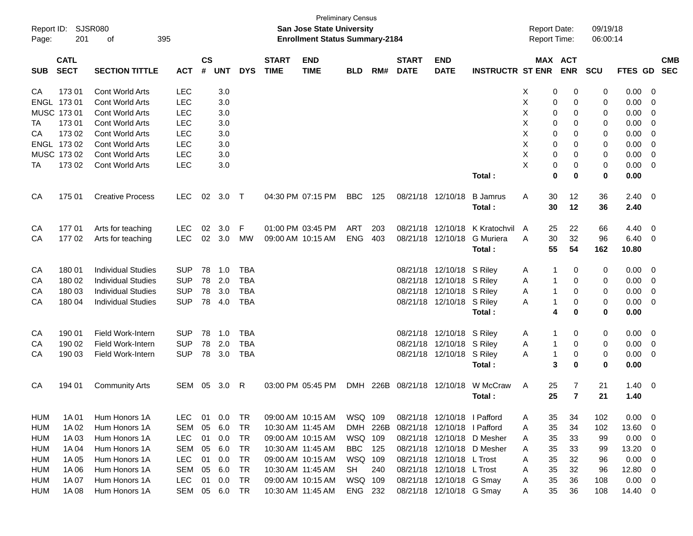| Report ID:<br>SJSR080<br>201<br>395<br>οf<br>Page: |                            |                           |            |                |               |            |                             | San Jose State University<br><b>Enrollment Status Summary-2184</b> | <b>Preliminary Census</b> |          |                             |                             |                            | <b>Report Date:</b><br>Report Time: |             |                       | 09/19/18<br>06:00:14 |             |                          |            |
|----------------------------------------------------|----------------------------|---------------------------|------------|----------------|---------------|------------|-----------------------------|--------------------------------------------------------------------|---------------------------|----------|-----------------------------|-----------------------------|----------------------------|-------------------------------------|-------------|-----------------------|----------------------|-------------|--------------------------|------------|
| <b>SUB</b>                                         | <b>CATL</b><br><b>SECT</b> | <b>SECTION TITTLE</b>     | <b>ACT</b> | <b>CS</b><br># | <b>UNT</b>    | <b>DYS</b> | <b>START</b><br><b>TIME</b> | <b>END</b><br><b>TIME</b>                                          | <b>BLD</b>                | RM#      | <b>START</b><br><b>DATE</b> | <b>END</b><br><b>DATE</b>   | <b>INSTRUCTR ST ENR</b>    |                                     |             | MAX ACT<br><b>ENR</b> | <b>SCU</b>           | FTES GD SEC |                          | <b>CMB</b> |
| CA                                                 | 173 01                     | Cont World Arts           | <b>LEC</b> |                | 3.0           |            |                             |                                                                    |                           |          |                             |                             |                            | х                                   | 0           | 0                     | 0                    | 0.00        | 0                        |            |
| <b>ENGL</b>                                        | 17301                      | <b>Cont World Arts</b>    | <b>LEC</b> |                | 3.0           |            |                             |                                                                    |                           |          |                             |                             |                            | X                                   | 0           | 0                     | 0                    | 0.00        | 0                        |            |
|                                                    | MUSC 173 01                | Cont World Arts           | <b>LEC</b> |                | 3.0           |            |                             |                                                                    |                           |          |                             |                             |                            | X                                   | 0           | 0                     | 0                    | 0.00        | 0                        |            |
| TA                                                 | 173 01                     | Cont World Arts           | <b>LEC</b> |                | 3.0           |            |                             |                                                                    |                           |          |                             |                             |                            | X                                   | 0           | 0                     | 0                    | 0.00        | 0                        |            |
| СA                                                 | 17302                      | Cont World Arts           | <b>LEC</b> |                | 3.0           |            |                             |                                                                    |                           |          |                             |                             |                            | X                                   | 0           | 0                     | 0                    | 0.00        | 0                        |            |
|                                                    | ENGL 173 02                | <b>Cont World Arts</b>    | <b>LEC</b> |                | 3.0           |            |                             |                                                                    |                           |          |                             |                             |                            | X                                   | 0           | 0                     | 0                    | 0.00        | 0                        |            |
|                                                    | MUSC 173 02                | <b>Cont World Arts</b>    | <b>LEC</b> |                | 3.0           |            |                             |                                                                    |                           |          |                             |                             |                            | X                                   | 0           | 0                     | 0                    | 0.00        | 0                        |            |
| TA                                                 | 17302                      | Cont World Arts           | <b>LEC</b> |                | 3.0           |            |                             |                                                                    |                           |          |                             |                             |                            | X                                   | 0           | 0                     | 0                    | 0.00        | 0                        |            |
|                                                    |                            |                           |            |                |               |            |                             |                                                                    |                           |          |                             |                             | Total:                     |                                     | $\mathbf 0$ | 0                     | $\mathbf 0$          | 0.00        |                          |            |
| CA                                                 | 175 01                     | <b>Creative Process</b>   | <b>LEC</b> | 02             | 3.0           | $\top$     |                             | 04:30 PM 07:15 PM                                                  | <b>BBC</b>                | 125      |                             | 08/21/18 12/10/18           | <b>B</b> Jamrus            | Α                                   | 30          | 12                    | 36                   | 2.40        | $\overline{0}$           |            |
|                                                    |                            |                           |            |                |               |            |                             |                                                                    |                           |          |                             |                             | Total:                     |                                     | 30          | 12                    | 36                   | 2.40        |                          |            |
|                                                    |                            |                           |            |                |               |            |                             |                                                                    |                           |          |                             |                             |                            |                                     |             |                       |                      |             |                          |            |
| CA                                                 | 17701                      | Arts for teaching         | <b>LEC</b> | 02             | 3.0           | F          |                             | 01:00 PM 03:45 PM                                                  | <b>ART</b>                | 203      | 08/21/18                    | 12/10/18                    | K Kratochvil               | A                                   | 25          | 22                    | 66                   | 4.40        | 0                        |            |
| CA                                                 | 17702                      | Arts for teaching         | <b>LEC</b> | 02             | 3.0           | МW         |                             | 09:00 AM 10:15 AM                                                  | <b>ENG</b>                | 403      |                             | 08/21/18 12/10/18           | <b>G</b> Muriera           | A                                   | 30          | 32                    | 96                   | 6.40        | $\overline{0}$           |            |
|                                                    |                            |                           |            |                |               |            |                             |                                                                    |                           |          |                             |                             | Total:                     |                                     | 55          | 54                    | 162                  | 10.80       |                          |            |
| CA                                                 | 180 01                     | <b>Individual Studies</b> | <b>SUP</b> | 78             | 1.0           | <b>TBA</b> |                             |                                                                    |                           |          |                             | 08/21/18 12/10/18 S Riley   |                            | A                                   | 1           | 0                     | 0                    | 0.00        | 0                        |            |
| CA                                                 | 180 02                     | <b>Individual Studies</b> | <b>SUP</b> | 78             | 2.0           | <b>TBA</b> |                             |                                                                    |                           |          |                             | 08/21/18 12/10/18           | S Riley                    | Α                                   |             | 0                     | 0                    | 0.00        | 0                        |            |
| CA                                                 | 180 03                     | <b>Individual Studies</b> | <b>SUP</b> | 78             | 3.0           | <b>TBA</b> |                             |                                                                    |                           |          |                             | 08/21/18 12/10/18 S Riley   |                            | Α                                   | 1           | 0                     | 0                    | 0.00        | 0                        |            |
| CA                                                 | 180 04                     | <b>Individual Studies</b> | <b>SUP</b> | 78             | 4.0           | <b>TBA</b> |                             |                                                                    |                           |          |                             | 08/21/18 12/10/18 S Riley   |                            | Α                                   | 1           | 0                     | 0                    | 0.00        | 0                        |            |
|                                                    |                            |                           |            |                |               |            |                             |                                                                    |                           |          |                             |                             | Total:                     |                                     | 4           | 0                     | $\mathbf 0$          | 0.00        |                          |            |
| CA                                                 | 190 01                     | <b>Field Work-Intern</b>  | <b>SUP</b> | 78             | 1.0           | <b>TBA</b> |                             |                                                                    |                           |          |                             | 08/21/18 12/10/18 S Riley   |                            | A                                   | 1           | 0                     | 0                    | 0.00        | 0                        |            |
| CA                                                 | 190 02                     | <b>Field Work-Intern</b>  | <b>SUP</b> | 78             | 2.0           | <b>TBA</b> |                             |                                                                    |                           |          | 08/21/18                    | 12/10/18                    | S Riley                    | Α                                   | 1           | 0                     | 0                    | 0.00        | 0                        |            |
| CA                                                 | 190 03                     | Field Work-Intern         | <b>SUP</b> | 78             | 3.0           | <b>TBA</b> |                             |                                                                    |                           |          |                             | 08/21/18 12/10/18 S Riley   |                            | Α                                   | 1           | 0                     | 0                    | 0.00        | 0                        |            |
|                                                    |                            |                           |            |                |               |            |                             |                                                                    |                           |          |                             |                             | Total:                     |                                     | 3           | 0                     | $\mathbf 0$          | 0.00        |                          |            |
| CA                                                 | 194 01                     | <b>Community Arts</b>     | SEM        | 05             | 3.0           | R          |                             | 03:00 PM 05:45 PM                                                  | <b>DMH</b>                | 226B     |                             | 08/21/18 12/10/18           | W McCraw                   | A                                   | 25          | 7                     | 21                   | 1.40        | $\overline{0}$           |            |
|                                                    |                            |                           |            |                |               |            |                             |                                                                    |                           |          |                             |                             | Total:                     |                                     | 25          | $\overline{7}$        | 21                   | 1.40        |                          |            |
|                                                    |                            |                           |            |                |               |            |                             |                                                                    |                           |          |                             |                             |                            |                                     |             |                       |                      |             |                          |            |
| HUM                                                | 1A 01                      | Hum Honors 1A             | <b>LEC</b> |                | 01 0.0        | TR         |                             | 09:00 AM 10:15 AM                                                  | WSQ 109                   |          |                             | 08/21/18 12/10/18 I Pafford |                            | A                                   | 35          | 34                    | 102                  | 0.00        | $\overline{\phantom{0}}$ |            |
| HUM                                                | 1A 02                      | Hum Honors 1A             | SEM        | 05             | 6.0           | TR         |                             | 10:30 AM 11:45 AM                                                  |                           | DMH 226B |                             | 08/21/18 12/10/18 I Pafford |                            | A                                   | 35          | 34                    | 102                  | 13.60       | $\overline{0}$           |            |
| HUM                                                | 1A03                       | Hum Honors 1A             | LEC        | 01             | 0.0           | TR         |                             | 09:00 AM 10:15 AM                                                  | WSQ 109                   |          |                             |                             | 08/21/18 12/10/18 D Mesher | A                                   | 35          | 33                    | 99                   | 0.00        | $\overline{\mathbf{0}}$  |            |
| HUM                                                | 1A 04                      | Hum Honors 1A             | <b>SEM</b> | 05             | 6.0           | TR         |                             | 10:30 AM 11:45 AM                                                  | <b>BBC</b>                | 125      |                             |                             | 08/21/18 12/10/18 D Mesher | A                                   | 35          | 33                    | 99                   | 13.20       | $\overline{\mathbf{0}}$  |            |
| HUM                                                | 1A 05                      | Hum Honors 1A             | LEC        | 01             | 0.0           | TR         |                             | 09:00 AM 10:15 AM                                                  | WSQ 109                   |          |                             | 08/21/18 12/10/18 L Trost   |                            | A                                   | 35          | 32                    | 96                   | 0.00        | $\overline{\mathbf{0}}$  |            |
| HUM                                                | 1A 06                      | Hum Honors 1A             | SEM        | 05             | 6.0           | TR         |                             | 10:30 AM 11:45 AM                                                  | SH                        | 240      |                             | 08/21/18 12/10/18 L Trost   |                            | A                                   | 35          | 32                    | 96                   | 12.80       | $\overline{\mathbf{0}}$  |            |
| HUM                                                | 1A 07                      | Hum Honors 1A             | <b>LEC</b> | 01             | 0.0           | TR         |                             | 09:00 AM 10:15 AM                                                  | WSQ 109                   |          |                             | 08/21/18 12/10/18 G Smay    |                            | A                                   | 35          | 36                    | 108                  | $0.00 \t 0$ |                          |            |
| HUM                                                | 1A 08                      | Hum Honors 1A             |            |                | SEM 05 6.0 TR |            |                             | 10:30 AM 11:45 AM                                                  | ENG 232                   |          |                             | 08/21/18 12/10/18 G Smay    |                            | A                                   | 35          | 36                    | 108                  | 14.40 0     |                          |            |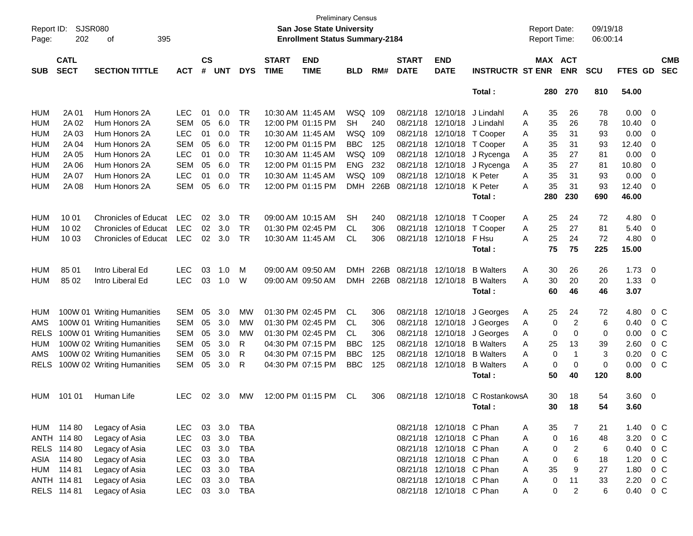| Report ID:  |             | SJSR080                     |            |               |            |            |                   | <b>Preliminary Census</b><br>San Jose State University |            |      |              |                           |                            |   | <b>Report Date:</b> |                         | 09/19/18   |          |                         |            |
|-------------|-------------|-----------------------------|------------|---------------|------------|------------|-------------------|--------------------------------------------------------|------------|------|--------------|---------------------------|----------------------------|---|---------------------|-------------------------|------------|----------|-------------------------|------------|
| Page:       | 202         | 395<br>οf                   |            |               |            |            |                   | <b>Enrollment Status Summary-2184</b>                  |            |      |              |                           |                            |   | <b>Report Time:</b> |                         | 06:00:14   |          |                         |            |
|             | <b>CATL</b> |                             |            | $\mathsf{cs}$ |            |            | <b>START</b>      | <b>END</b>                                             |            |      | <b>START</b> | <b>END</b>                |                            |   | MAX ACT             |                         |            |          |                         | <b>CMB</b> |
| <b>SUB</b>  | <b>SECT</b> | <b>SECTION TITTLE</b>       | <b>ACT</b> | #             | <b>UNT</b> | <b>DYS</b> | <b>TIME</b>       | <b>TIME</b>                                            | <b>BLD</b> | RM#  | <b>DATE</b>  | <b>DATE</b>               | <b>INSTRUCTR ST ENR</b>    |   |                     | <b>ENR</b>              | <b>SCU</b> | FTES GD  |                         | <b>SEC</b> |
|             |             |                             |            |               |            |            |                   |                                                        |            |      |              |                           | Total:                     |   | 280                 | 270                     | 810        | 54.00    |                         |            |
| <b>HUM</b>  | 2A 01       | Hum Honors 2A               | LEC        | 01            | 0.0        | TR         | 10:30 AM 11:45 AM |                                                        | WSQ        | 109  |              | 08/21/18 12/10/18         | J Lindahl                  | A | 35                  | 26                      | 78         | 0.00     | 0                       |            |
| <b>HUM</b>  | 2A 02       | Hum Honors 2A               | <b>SEM</b> | 05            | 6.0        | <b>TR</b>  |                   | 12:00 PM 01:15 PM                                      | <b>SH</b>  | 240  |              | 08/21/18 12/10/18         | J Lindahl                  | A | 35                  | 26                      | 78         | 10.40    | 0                       |            |
| <b>HUM</b>  | 2A 03       | Hum Honors 2A               | LEC        | 01            | 0.0        | <b>TR</b>  |                   | 10:30 AM 11:45 AM                                      | WSQ        | 109  |              |                           | 08/21/18 12/10/18 T Cooper | A | 35                  | 31                      | 93         | 0.00     | 0                       |            |
| <b>HUM</b>  | 2A 04       | Hum Honors 2A               | <b>SEM</b> | 05            | 6.0        | <b>TR</b>  |                   | 12:00 PM 01:15 PM                                      | <b>BBC</b> | 125  |              |                           | 08/21/18 12/10/18 T Cooper | A | 35                  | 31                      | 93         | 12.40    | 0                       |            |
| <b>HUM</b>  | 2A 05       | Hum Honors 2A               | <b>LEC</b> | 01            | 0.0        | <b>TR</b>  |                   | 10:30 AM 11:45 AM                                      | WSQ 109    |      |              | 08/21/18 12/10/18         | J Rycenga                  | A | 35                  | 27                      | 81         | 0.00     | 0                       |            |
| <b>HUM</b>  | 2A 06       | Hum Honors 2A               | <b>SEM</b> | 05            | 6.0        | <b>TR</b>  |                   | 12:00 PM 01:15 PM                                      | <b>ENG</b> | 232  |              | 08/21/18 12/10/18         | J Rycenga                  | A | 35                  | 27                      | 81         | 10.80    | 0                       |            |
| <b>HUM</b>  | 2A 07       | Hum Honors 2A               | <b>LEC</b> | 01            | 0.0        | <b>TR</b>  |                   | 10:30 AM 11:45 AM                                      | WSQ        | 109  |              | 08/21/18 12/10/18 K Peter |                            | A | 35                  | 31                      | 93         | 0.00     | 0                       |            |
| <b>HUM</b>  | 2A 08       | Hum Honors 2A               | <b>SEM</b> | 05            | 6.0        | <b>TR</b>  |                   | 12:00 PM 01:15 PM                                      | <b>DMH</b> | 226B |              | 08/21/18 12/10/18         | K Peter                    | A | 35                  | 31                      | 93         | 12.40    | 0                       |            |
|             |             |                             |            |               |            |            |                   |                                                        |            |      |              |                           | Total:                     |   | 280                 | 230                     | 690        | 46.00    |                         |            |
| <b>HUM</b>  | 10 01       | <b>Chronicles of Educat</b> | <b>LEC</b> | 02            | 3.0        | TR         |                   | 09:00 AM 10:15 AM                                      | <b>SH</b>  | 240  |              | 08/21/18 12/10/18         | T Cooper                   | A | 25                  | 24                      | 72         | 4.80     | 0                       |            |
| <b>HUM</b>  | 10 02       | <b>Chronicles of Educat</b> | <b>LEC</b> | 02            | 3.0        | <b>TR</b>  |                   | 01:30 PM 02:45 PM                                      | СL         | 306  |              | 08/21/18 12/10/18         | T Cooper                   | A | 25                  | 27                      | 81         | 5.40     | $\mathbf 0$             |            |
| <b>HUM</b>  | 10 03       | <b>Chronicles of Educat</b> | <b>LEC</b> | 02            | 3.0        | TR         |                   | 10:30 AM 11:45 AM                                      | СL         | 306  |              | 08/21/18 12/10/18         | F Hsu                      | A | 25                  | 24                      | 72         | 4.80     | 0                       |            |
|             |             |                             |            |               |            |            |                   |                                                        |            |      |              |                           | Total:                     |   | 75                  | 75                      | 225        | 15.00    |                         |            |
| <b>HUM</b>  | 85 01       | Intro Liberal Ed            | <b>LEC</b> | 03            | 1.0        | M          |                   | 09:00 AM 09:50 AM                                      | DMH        | 226B |              | 08/21/18 12/10/18         | <b>B</b> Walters           | A | 30                  | 26                      | 26         | 1.73     | - 0                     |            |
| <b>HUM</b>  | 85 02       | Intro Liberal Ed            | <b>LEC</b> | 03            | 1.0        | W          |                   | 09:00 AM 09:50 AM                                      | DMH        | 226B |              | 08/21/18 12/10/18         | <b>B</b> Walters           | A | 30                  | 20                      | 20         | 1.33     | 0                       |            |
|             |             |                             |            |               |            |            |                   |                                                        |            |      |              |                           | Total:                     |   | 60                  | 46                      | 46         | 3.07     |                         |            |
| HUM         |             | 100W 01 Writing Humanities  | <b>SEM</b> | 05            | 3.0        | MW         |                   | 01:30 PM 02:45 PM                                      | <b>CL</b>  | 306  |              | 08/21/18 12/10/18         | J Georges                  | A | 25                  | 24                      | 72         | 4.80     | $0\,C$                  |            |
| AMS         |             | 100W 01 Writing Humanities  | <b>SEM</b> | 05            | 3.0        | MW         |                   | 01:30 PM 02:45 PM                                      | CL.        | 306  |              | 08/21/18 12/10/18         | J Georges                  | A | 0                   | $\overline{\mathbf{c}}$ | 6          | 0.40     | $0\,C$                  |            |
| <b>RELS</b> |             | 100W 01 Writing Humanities  | <b>SEM</b> | 05            | 3.0        | MW         |                   | 01:30 PM 02:45 PM                                      | CL.        | 306  |              | 08/21/18 12/10/18         | J Georges                  | A | 0                   | 0                       | 0          | 0.00     | $0\,C$                  |            |
| <b>HUM</b>  |             | 100W 02 Writing Humanities  | <b>SEM</b> | 05            | 3.0        | R          |                   | 04:30 PM 07:15 PM                                      | <b>BBC</b> | 125  |              | 08/21/18 12/10/18         | <b>B</b> Walters           | A | 25                  | 13                      | 39         | 2.60     | $0\,C$                  |            |
| AMS         |             | 100W 02 Writing Humanities  | <b>SEM</b> | 05            | 3.0        | R          |                   | 04:30 PM 07:15 PM                                      | <b>BBC</b> | 125  |              | 08/21/18 12/10/18         | <b>B</b> Walters           | A | 0                   | -1                      | 3          | 0.20     | 0 <sup>C</sup>          |            |
| <b>RELS</b> |             | 100W 02 Writing Humanities  | SEM        | 05            | 3.0        | R          |                   | 04:30 PM 07:15 PM                                      | <b>BBC</b> | 125  |              | 08/21/18 12/10/18         | <b>B</b> Walters           | A | 0                   | 0                       | 0          | 0.00     | $0\,C$                  |            |
|             |             |                             |            |               |            |            |                   |                                                        |            |      |              |                           | Total:                     |   | 50                  | 40                      | 120        | 8.00     |                         |            |
| <b>HUM</b>  | 101 01      | Human Life                  | <b>LEC</b> | 02            | 3.0        | МW         |                   | 12:00 PM 01:15 PM                                      | CL         | 306  |              | 08/21/18 12/10/18         | C RostankowsA              |   | 30                  | 18                      | 54         | 3.60     | $\overline{\mathbf{0}}$ |            |
|             |             |                             |            |               |            |            |                   |                                                        |            |      |              |                           | Total :                    |   | 30                  | 18                      | 54         | 3.60     |                         |            |
|             | HUM 114 80  | Legacy of Asia              | LEC.       |               | 03 3.0     | <b>TBA</b> |                   |                                                        |            |      |              | 08/21/18 12/10/18 C Phan  |                            | A | 35                  | 7                       | 21         | 1.40 0 C |                         |            |
|             | ANTH 114 80 | Legacy of Asia              | <b>LEC</b> | 03            | 3.0        | <b>TBA</b> |                   |                                                        |            |      |              | 08/21/18 12/10/18 C Phan  |                            | Α | 0                   | 16                      | 48         | 3.20     | 0 C                     |            |
|             | RELS 114 80 | Legacy of Asia              | <b>LEC</b> | 03            | 3.0        | <b>TBA</b> |                   |                                                        |            |      |              | 08/21/18 12/10/18 C Phan  |                            | A | 0                   | $\overline{2}$          | 6          | 0.40     | 0 <sup>C</sup>          |            |
|             | ASIA 114 80 | Legacy of Asia              | <b>LEC</b> | 03            | 3.0        | <b>TBA</b> |                   |                                                        |            |      |              | 08/21/18 12/10/18 C Phan  |                            | A | 0                   | 6                       | 18         | 1.20     | 0 <sup>C</sup>          |            |
|             | HUM 114 81  | Legacy of Asia              | <b>LEC</b> | 03            | 3.0        | <b>TBA</b> |                   |                                                        |            |      |              | 08/21/18 12/10/18 C Phan  |                            | A | 35                  | 9                       | 27         | 1.80     | 0 <sup>C</sup>          |            |
|             | ANTH 114 81 | Legacy of Asia              | <b>LEC</b> |               | 03 3.0     | <b>TBA</b> |                   |                                                        |            |      |              | 08/21/18 12/10/18 C Phan  |                            | A | 0                   | 11                      | 33         | 2.20     | $0\,C$                  |            |
|             | RELS 114 81 | Legacy of Asia              | <b>LEC</b> |               |            | 03 3.0 TBA |                   |                                                        |            |      |              | 08/21/18 12/10/18 C Phan  |                            | A | 0                   | $\overline{2}$          | 6          | 0.40 0 C |                         |            |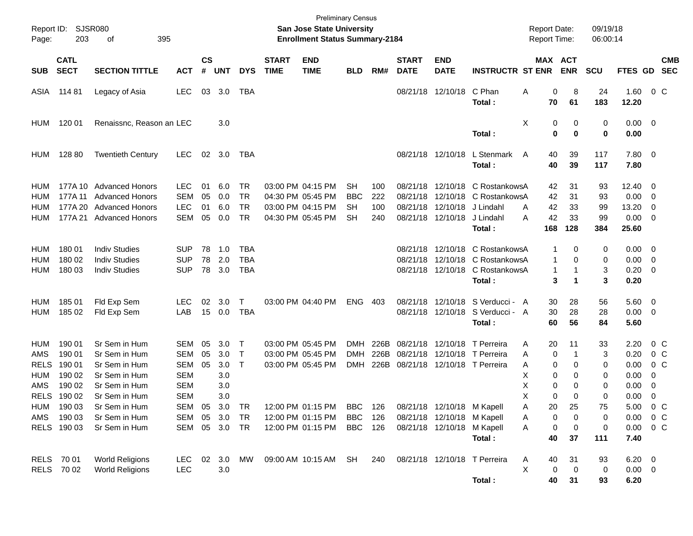| Report ID:<br>Page:                                    | 203                                                      | SJSR080<br>395<br>оf                                                                                  |                                                                                  |                      |                                        |                                           |                             | <b>Preliminary Census</b><br><b>San Jose State University</b><br><b>Enrollment Status Summary-2184</b> |                                            |                          |                                  |                                                          |                                                                    | <b>Report Date:</b><br>Report Time:                       |                                               | 09/19/18<br>06:00:14        |                                              |                                                            |
|--------------------------------------------------------|----------------------------------------------------------|-------------------------------------------------------------------------------------------------------|----------------------------------------------------------------------------------|----------------------|----------------------------------------|-------------------------------------------|-----------------------------|--------------------------------------------------------------------------------------------------------|--------------------------------------------|--------------------------|----------------------------------|----------------------------------------------------------|--------------------------------------------------------------------|-----------------------------------------------------------|-----------------------------------------------|-----------------------------|----------------------------------------------|------------------------------------------------------------|
| <b>SUB</b>                                             | <b>CATL</b><br><b>SECT</b>                               | <b>SECTION TITTLE</b>                                                                                 | <b>ACT</b>                                                                       | <b>CS</b><br>#       | <b>UNT</b>                             | <b>DYS</b>                                | <b>START</b><br><b>TIME</b> | <b>END</b><br><b>TIME</b>                                                                              | <b>BLD</b>                                 | RM#                      | <b>START</b><br><b>DATE</b>      | <b>END</b><br><b>DATE</b>                                | <b>INSTRUCTR ST ENR</b>                                            | MAX ACT                                                   | <b>ENR</b>                                    | <b>SCU</b>                  | FTES GD                                      | <b>CMB</b><br><b>SEC</b>                                   |
| ASIA                                                   | 114 81                                                   | Legacy of Asia                                                                                        | <b>LEC</b>                                                                       | 03                   | 3.0                                    | TBA                                       |                             |                                                                                                        |                                            |                          |                                  | 08/21/18 12/10/18                                        | C Phan<br>Total:                                                   | Α<br>0<br>70                                              | 8<br>61                                       | 24<br>183                   | 1.60<br>12.20                                | $0\,$ C                                                    |
| <b>HUM</b>                                             | 120 01                                                   | Renaissnc, Reason an LEC                                                                              |                                                                                  |                      | 3.0                                    |                                           |                             |                                                                                                        |                                            |                          |                                  |                                                          | Total:                                                             | Χ<br>0<br>$\mathbf 0$                                     | 0<br>$\bf{0}$                                 | 0<br>0                      | 0.00<br>0.00                                 | - 0                                                        |
| <b>HUM</b>                                             | 128 80                                                   | <b>Twentieth Century</b>                                                                              | <b>LEC</b>                                                                       |                      | 02 3.0                                 | TBA                                       |                             |                                                                                                        |                                            |                          |                                  | 08/21/18 12/10/18                                        | L Stenmark<br>Total:                                               | 40<br>A<br>40                                             | 39<br>39                                      | 117<br>117                  | 7.80<br>7.80                                 | $\overline{\mathbf{0}}$                                    |
| HUM<br>HUM<br>HUM<br>HUM                               | 177A 11<br>177A 20<br>177A 21                            | 177A 10 Advanced Honors<br><b>Advanced Honors</b><br><b>Advanced Honors</b><br><b>Advanced Honors</b> | <b>LEC</b><br><b>SEM</b><br><b>LEC</b><br><b>SEM</b>                             | 01<br>05<br>01<br>05 | 6.0<br>0.0<br>6.0<br>0.0               | TR<br><b>TR</b><br><b>TR</b><br><b>TR</b> |                             | 03:00 PM 04:15 PM<br>04:30 PM 05:45 PM<br>03:00 PM 04:15 PM<br>04:30 PM 05:45 PM                       | SН<br><b>BBC</b><br><b>SH</b><br><b>SH</b> | 100<br>222<br>100<br>240 | 08/21/18<br>08/21/18<br>08/21/18 | 12/10/18<br>12/10/18<br>12/10/18<br>08/21/18 12/10/18    | C RostankowsA<br>C RostankowsA<br>J Lindahl<br>J Lindahl<br>Total: | 42<br>42<br>42<br>A<br>42<br>А<br>168                     | 31<br>31<br>33<br>33<br>128                   | 93<br>93<br>99<br>99<br>384 | 12.40<br>0.00<br>13.20<br>0.00<br>25.60      | 0<br>0<br>0<br>0                                           |
| HUM<br>HUM<br>HUM                                      | 180 01<br>180 02<br>180 03                               | <b>Indiv Studies</b><br><b>Indiv Studies</b><br><b>Indiv Studies</b>                                  | <b>SUP</b><br><b>SUP</b><br><b>SUP</b>                                           | 78<br>78<br>78       | 1.0<br>2.0<br>3.0                      | TBA<br><b>TBA</b><br><b>TBA</b>           |                             |                                                                                                        |                                            |                          | 08/21/18<br>08/21/18             | 12/10/18<br>12/10/18<br>08/21/18 12/10/18                | C RostankowsA<br>C RostankowsA<br>C RostankowsA<br>Total:          | 1<br>$\mathbf{1}$<br>$\mathbf{1}$<br>3                    | 0<br>0<br>-1<br>$\mathbf 1$                   | 0<br>0<br>3<br>3            | 0.00<br>0.00<br>0.20<br>0.20                 | - 0<br>0<br>0                                              |
| HUM<br><b>HUM</b>                                      | 185 01<br>185 02                                         | Fld Exp Sem<br>Fld Exp Sem                                                                            | <b>LEC</b><br>LAB                                                                | 02<br>15             | 3.0<br>0.0                             | Τ<br><b>TBA</b>                           |                             | 03:00 PM 04:40 PM                                                                                      | <b>ENG</b>                                 | 403                      | 08/21/18                         | 12/10/18<br>08/21/18 12/10/18                            | S Verducci - A<br>S Verducci - A<br>Total:                         | 30<br>30<br>60                                            | 28<br>28<br>56                                | 56<br>28<br>84              | 5.60<br>0.00<br>5.60                         | 0<br>0                                                     |
| HUM<br>AMS<br><b>RELS</b><br>HUM<br>AMS<br><b>RELS</b> | 190 01<br>190 01<br>190 01<br>190 02<br>190 02<br>190 02 | Sr Sem in Hum<br>Sr Sem in Hum<br>Sr Sem in Hum<br>Sr Sem in Hum<br>Sr Sem in Hum<br>Sr Sem in Hum    | <b>SEM</b><br><b>SEM</b><br><b>SEM</b><br><b>SEM</b><br><b>SEM</b><br><b>SEM</b> | 05<br>05<br>05       | 3.0<br>3.0<br>3.0<br>3.0<br>3.0<br>3.0 | $\mathsf T$<br>$\top$<br>$\mathsf{T}$     |                             | 03:00 PM 05:45 PM<br>03:00 PM 05:45 PM<br>03:00 PM 05:45 PM                                            | <b>DMH</b><br><b>DMH</b><br><b>DMH</b>     | 226B<br>226B             | 08/21/18<br>08/21/18             | 12/10/18<br>12/10/18                                     | T Perreira<br>T Perreira<br>226B 08/21/18 12/10/18 T Perreira      | 20<br>Α<br>0<br>Α<br>Α<br>0<br>X<br>0<br>Х<br>0<br>X<br>0 | 11<br>$\mathbf{1}$<br>0<br>0<br>0<br>$\Omega$ | 33<br>3<br>0<br>0<br>0<br>0 | 2.20<br>0.20<br>0.00<br>0.00<br>0.00<br>0.00 | $0\,$ C<br>0 <sup>o</sup><br>0 <sup>o</sup><br>0<br>0<br>0 |
| <b>HUM</b><br>AMS                                      | 190 03<br>190 03<br>RELS 190 03                          | Sr Sem in Hum<br>Sr Sem in Hum<br>Sr Sem in Hum                                                       | SEM<br><b>SEM</b><br>SEM                                                         | 05<br>05             | 3.0<br>3.0<br>05 3.0 TR                | <b>TR</b><br>TR                           |                             | 12:00 PM 01:15 PM BBC 126 08/21/18 12/10/18 M Kapell<br>12:00 PM 01:15 PM<br>12:00 PM 01:15 PM         | BBC<br>BBC 126                             | 126                      |                                  | 08/21/18 12/10/18 M Kapell<br>08/21/18 12/10/18 M Kapell | Total:                                                             | Α<br>20<br>0<br>A<br>Α<br>0<br>40                         | 25<br>0<br>0<br>37                            | 75<br>0<br>0<br>111         | 5.00<br>0.00<br>0.00<br>7.40                 | $0\,$ C<br>0 <sup>o</sup><br>$0\,C$                        |
|                                                        | RELS 70 01<br>RELS 70 02                                 | <b>World Religions</b><br><b>World Religions</b>                                                      | <b>LEC</b><br><b>LEC</b>                                                         |                      | 02 3.0<br>3.0                          | МW                                        |                             | 09:00 AM 10:15 AM                                                                                      | SH                                         | 240                      |                                  |                                                          | 08/21/18 12/10/18 T Perreira<br>Total:                             | 40<br>A<br>X<br>$\pmb{0}$<br>40                           | 31<br>0<br>31                                 | 93<br>0<br>93               | $6.20 \t 0$<br>$0.00 \t 0$<br>6.20           |                                                            |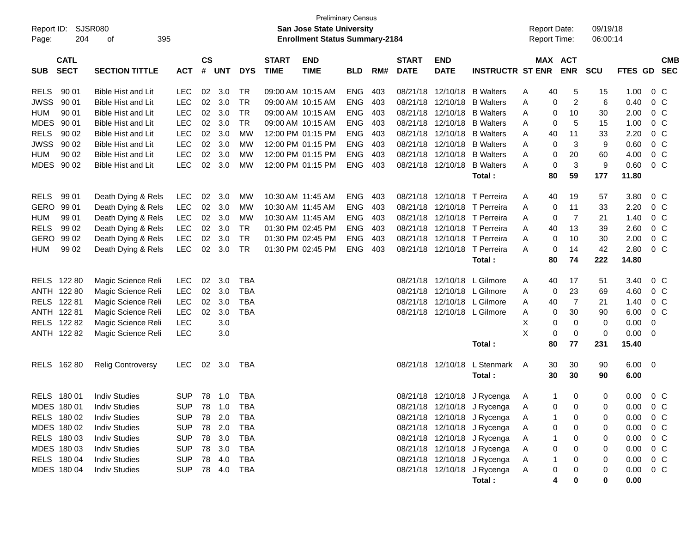| Report ID:<br>Page: | <b>SJSR080</b><br>204      | 395                       |            |                    |              |            | San Jose State University<br><b>Enrollment Status Summary-2184</b> | <b>Preliminary Census</b> |            |     |                             |                           | <b>Report Date:</b><br><b>Report Time:</b> |               | 09/19/18<br>06:00:14  |            |              |                          |  |
|---------------------|----------------------------|---------------------------|------------|--------------------|--------------|------------|--------------------------------------------------------------------|---------------------------|------------|-----|-----------------------------|---------------------------|--------------------------------------------|---------------|-----------------------|------------|--------------|--------------------------|--|
| <b>SUB</b>          | <b>CATL</b><br><b>SECT</b> | <b>SECTION TITTLE</b>     | <b>ACT</b> | $\mathsf{cs}$<br># | <b>UNT</b>   | <b>DYS</b> | <b>START</b><br><b>TIME</b>                                        | <b>END</b><br><b>TIME</b> | <b>BLD</b> | RM# | <b>START</b><br><b>DATE</b> | <b>END</b><br><b>DATE</b> | <b>INSTRUCTR ST ENR</b>                    |               | MAX ACT<br><b>ENR</b> | <b>SCU</b> | FTES GD      | <b>CMB</b><br><b>SEC</b> |  |
| <b>RELS</b>         | 90 01                      | <b>Bible Hist and Lit</b> | <b>LEC</b> | 02                 | 3.0          | <b>TR</b>  |                                                                    | 09:00 AM 10:15 AM         | <b>ENG</b> | 403 | 08/21/18                    | 12/10/18                  | <b>B</b> Walters                           | 40<br>A       | 5                     | 15         | 1.00         | $0\,$ C                  |  |
| <b>JWSS</b>         | 90 01                      | Bible Hist and Lit        | <b>LEC</b> | 02                 | 3.0          | <b>TR</b>  |                                                                    | 09:00 AM 10:15 AM         | <b>ENG</b> | 403 | 08/21/18                    | 12/10/18                  | <b>B</b> Walters                           | Α<br>0        | 2                     | 6          | 0.40         | $0\,C$                   |  |
| <b>HUM</b>          | 90 01                      | <b>Bible Hist and Lit</b> | <b>LEC</b> | 02                 | 3.0          | <b>TR</b>  |                                                                    | 09:00 AM 10:15 AM         | <b>ENG</b> | 403 | 08/21/18                    | 12/10/18                  | <b>B</b> Walters                           | A<br>0        | 10                    | 30         | 2.00         | 0 <sup>o</sup>           |  |
| <b>MDES</b>         | 90 01                      | <b>Bible Hist and Lit</b> | <b>LEC</b> | 02                 | 3.0          | <b>TR</b>  |                                                                    | 09:00 AM 10:15 AM         | <b>ENG</b> | 403 | 08/21/18                    | 12/10/18                  | <b>B</b> Walters                           | 0<br>Α        | 5                     | 15         | 1.00         | 0 <sup>o</sup>           |  |
| <b>RELS</b>         | 90 02                      | <b>Bible Hist and Lit</b> | <b>LEC</b> | 02                 | 3.0          | <b>MW</b>  |                                                                    | 12:00 PM 01:15 PM         | <b>ENG</b> | 403 | 08/21/18                    | 12/10/18                  | <b>B</b> Walters                           | Α<br>40       | 11                    | 33         | 2.20         | 0 <sup>o</sup>           |  |
| <b>JWSS</b>         | 90 02                      | <b>Bible Hist and Lit</b> | LEC        | 02                 | 3.0          | <b>MW</b>  |                                                                    | 12:00 PM 01:15 PM         | <b>ENG</b> | 403 | 08/21/18                    | 12/10/18                  | <b>B</b> Walters                           | 0<br>Α        | 3                     | 9          | 0.60         | 0 <sup>o</sup>           |  |
| <b>HUM</b>          | 90 02                      | <b>Bible Hist and Lit</b> | <b>LEC</b> | 02                 | 3.0          | <b>MW</b>  |                                                                    | 12:00 PM 01:15 PM         | <b>ENG</b> | 403 | 08/21/18                    | 12/10/18                  | <b>B</b> Walters                           | Α<br>0        | 20                    | 60         | 4.00         | 0 <sup>o</sup>           |  |
| MDES 90 02          |                            | <b>Bible Hist and Lit</b> | <b>LEC</b> | 02                 | 3.0          | <b>MW</b>  |                                                                    | 12:00 PM 01:15 PM         | <b>ENG</b> | 403 |                             | 08/21/18 12/10/18         | <b>B</b> Walters                           | 0<br>A        | 3                     | 9          | 0.60         | 0 <sup>o</sup>           |  |
|                     |                            |                           |            |                    |              |            |                                                                    |                           |            |     |                             |                           | Total:                                     | 80            | 59                    | 177        | 11.80        |                          |  |
| <b>RELS</b>         | 99 01                      | Death Dying & Rels        | <b>LEC</b> | 02                 | 3.0          | MW         | 10:30 AM 11:45 AM                                                  |                           | <b>ENG</b> | 403 | 08/21/18                    |                           | 12/10/18 T Perreira                        | 40<br>A       | 19                    | 57         | 3.80         | $0\,$ C                  |  |
| <b>GERO</b>         | 99 01                      | Death Dying & Rels        | <b>LEC</b> | 02                 | 3.0          | <b>MW</b>  | 10:30 AM 11:45 AM                                                  |                           | <b>ENG</b> | 403 |                             |                           | 08/21/18 12/10/18 T Perreira               | Α<br>0        | 11                    | 33         | 2.20         | 0 <sup>o</sup>           |  |
| HUM                 | 99 01                      | Death Dying & Rels        | <b>LEC</b> | 02                 | 3.0          | MW         | 10:30 AM 11:45 AM                                                  |                           | <b>ENG</b> | 403 |                             |                           | 08/21/18 12/10/18 T Perreira               | 0<br>A        | 7                     | 21         | 1.40         | 0 <sup>o</sup>           |  |
| <b>RELS</b>         | 99 02                      | Death Dying & Rels        | <b>LEC</b> | 02                 | 3.0          | <b>TR</b>  |                                                                    | 01:30 PM 02:45 PM         | <b>ENG</b> | 403 |                             |                           | 08/21/18 12/10/18 T Perreira               | Α<br>40       | 13                    | 39         | 2.60         | 0 <sup>o</sup>           |  |
| <b>GERO</b>         | 99 02                      | Death Dying & Rels        | <b>LEC</b> | 02                 | 3.0          | <b>TR</b>  |                                                                    | 01:30 PM 02:45 PM         | <b>ENG</b> | 403 | 08/21/18                    |                           | 12/10/18 T Perreira                        | A<br>0        | 10                    | 30         | 2.00         | 0 <sup>o</sup>           |  |
| <b>HUM</b>          | 99 02                      | Death Dying & Rels        | LEC        | 02                 | 3.0          | <b>TR</b>  |                                                                    | 01:30 PM 02:45 PM         | <b>ENG</b> | 403 |                             |                           | 08/21/18 12/10/18 T Perreira               | A<br>0        | 14                    | 42         | 2.80         | 0 <sup>o</sup>           |  |
|                     |                            |                           |            |                    |              |            |                                                                    |                           |            |     |                             |                           | Total:                                     | 80            | 74                    | 222        | 14.80        |                          |  |
|                     | RELS 122 80                | Magic Science Reli        | <b>LEC</b> | 02                 | 3.0          | <b>TBA</b> |                                                                    |                           |            |     | 08/21/18                    |                           | 12/10/18 L Gilmore                         | 40<br>A       | 17                    | 51         | 3.40         | $0\,$ C                  |  |
|                     | ANTH 122 80                | Magic Science Reli        | <b>LEC</b> | 02                 | 3.0          | <b>TBA</b> |                                                                    |                           |            |     | 08/21/18                    |                           | 12/10/18 L Gilmore                         | Α<br>0        | 23                    | 69         | 4.60         | 0 <sup>o</sup>           |  |
| RELS 122 81         |                            | Magic Science Reli        | <b>LEC</b> | 02                 | 3.0          | <b>TBA</b> |                                                                    |                           |            |     | 08/21/18                    |                           | 12/10/18 L Gilmore                         | Α<br>40       | 7                     | 21         | 1.40         | 0 <sup>o</sup>           |  |
| ANTH 122 81         |                            | Magic Science Reli        | <b>LEC</b> | 02                 | 3.0          | <b>TBA</b> |                                                                    |                           |            |     |                             |                           | 08/21/18 12/10/18 L Gilmore                | Α<br>0        | 30                    | 90         | 6.00         | 0 <sup>o</sup>           |  |
|                     | RELS 122 82                | Magic Science Reli        | <b>LEC</b> |                    | 3.0          |            |                                                                    |                           |            |     |                             |                           |                                            | X<br>0        | 0                     | 0          | 0.00         | 0                        |  |
|                     | ANTH 122 82                | Magic Science Reli        | <b>LEC</b> |                    | 3.0          |            |                                                                    |                           |            |     |                             |                           |                                            | X<br>0        | 0                     | 0          | 0.00         | 0                        |  |
|                     |                            |                           |            |                    |              |            |                                                                    |                           |            |     |                             |                           | Total:                                     | 80            | 77                    | 231        | 15.40        |                          |  |
|                     | RELS 162 80                | <b>Relig Controversy</b>  | <b>LEC</b> | 02                 | 3.0          | TBA        |                                                                    |                           |            |     |                             | 08/21/18 12/10/18         | L Stenmark<br>Total:                       | 30<br>A<br>30 | 30<br>30              | 90<br>90   | 6.00<br>6.00 | $\overline{\mathbf{0}}$  |  |
| RELS 180 01         |                            | <b>Indiv Studies</b>      | <b>SUP</b> |                    |              | TBA        |                                                                    |                           |            |     |                             |                           | 08/21/18 12/10/18 J Rycenga                | 1<br>A        | 0                     | 0          | 0.00         | $0\,C$                   |  |
|                     | MDES 180 01                | <b>Indiv Studies</b>      | <b>SUP</b> | 78                 | 1.0          | <b>TBA</b> |                                                                    |                           |            |     |                             |                           | 08/21/18 12/10/18 J Rycenga                | A<br>0        | 0                     | 0          | 0.00         | $0\,C$                   |  |
|                     | RELS 180 02                | <b>Indiv Studies</b>      | <b>SUP</b> | 78                 | 2.0          | TBA        |                                                                    |                           |            |     |                             |                           | 08/21/18 12/10/18 J Rycenga                | A             | 0                     | 0          | 0.00         | $0\,$ C                  |  |
|                     | MDES 180 02                | <b>Indiv Studies</b>      | <b>SUP</b> | 78                 | 2.0          | <b>TBA</b> |                                                                    |                           |            |     |                             |                           | 08/21/18 12/10/18 J Rycenga                | 0<br>Α        | 0                     | 0          | 0.00         | 0 <sup>o</sup>           |  |
|                     | RELS 180 03                | <b>Indiv Studies</b>      | <b>SUP</b> | 78                 | 3.0          | <b>TBA</b> |                                                                    |                           |            |     |                             |                           | 08/21/18 12/10/18 J Rycenga                | Α             | 0                     | 0          | 0.00         | 0 <sup>o</sup>           |  |
|                     | MDES 180 03                | <b>Indiv Studies</b>      | <b>SUP</b> | 78                 | 3.0          | <b>TBA</b> |                                                                    |                           |            |     |                             |                           | 08/21/18 12/10/18 J Rycenga                | 0<br>Α        | 0                     | 0          | 0.00         | 0 <sup>o</sup>           |  |
|                     | RELS 180 04                | <b>Indiv Studies</b>      | <b>SUP</b> | 78                 | 4.0          | TBA        |                                                                    |                           |            |     |                             |                           | 08/21/18 12/10/18 J Rycenga                | Α             |                       | 0          | 0.00         | $0\,$ C                  |  |
|                     | MDES 180 04                | <b>Indiv Studies</b>      | <b>SUP</b> |                    | 78  4.0  TBA |            |                                                                    |                           |            |     |                             |                           | 08/21/18 12/10/18 J Rycenga                | A<br>0        |                       | 0          | 0.00         | $0\,C$                   |  |
|                     |                            |                           |            |                    |              |            |                                                                    |                           |            |     |                             |                           | Total:                                     | 4             | 0                     | 0          | 0.00         |                          |  |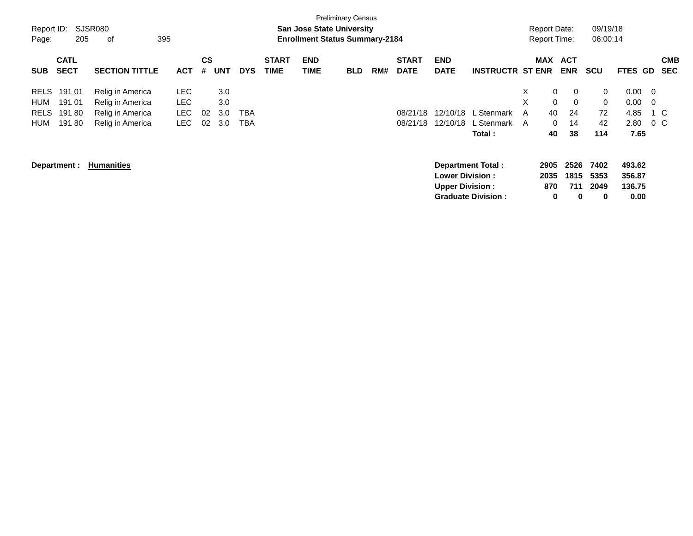| Report ID:<br>Page: | 205                        | SJSR080<br>оf         | 395        |                |            |            |                             | <b>San Jose State University</b><br><b>Enrollment Status Summary-2184</b> | <b>Preliminary Census</b> |     |                             |                           |                           |   | <b>Report Date:</b><br><b>Report Time:</b> |                          | 09/19/18<br>06:00:14 |                  |                |                          |
|---------------------|----------------------------|-----------------------|------------|----------------|------------|------------|-----------------------------|---------------------------------------------------------------------------|---------------------------|-----|-----------------------------|---------------------------|---------------------------|---|--------------------------------------------|--------------------------|----------------------|------------------|----------------|--------------------------|
| <b>SUB</b>          | <b>CATL</b><br><b>SECT</b> | <b>SECTION TITTLE</b> | <b>ACT</b> | <b>CS</b><br># | <b>UNT</b> | <b>DYS</b> | <b>START</b><br><b>TIME</b> | <b>END</b><br><b>TIME</b>                                                 | <b>BLD</b>                | RM# | <b>START</b><br><b>DATE</b> | <b>END</b><br><b>DATE</b> | <b>INSTRUCTR ST ENR</b>   |   | MAX                                        | <b>ACT</b><br><b>ENR</b> | <b>SCU</b>           | <b>FTES</b>      | <b>GD</b>      | <b>CMB</b><br><b>SEC</b> |
| RELS                | 191 01                     | Relig in America      | <b>LEC</b> |                | 3.0        |            |                             |                                                                           |                           |     |                             |                           |                           | X | 0                                          | $\mathbf 0$              | 0                    | 0.00             | $\overline{0}$ |                          |
| HUM                 | 191 01                     | Relig in America      | LEC        |                | 3.0        |            |                             |                                                                           |                           |     |                             |                           |                           | X | $\mathbf 0$                                | $\overline{0}$           | 0                    | 0.00             | - 0            |                          |
| <b>RELS</b>         | 19180                      | Relig in America      | <b>LEC</b> | 02             | 3.0        | TBA        |                             |                                                                           |                           |     | 08/21/18                    | 12/10/18                  | L Stenmark                | A | 40                                         | 24                       | 72                   | 4.85             |                | 1 C                      |
| HUM                 | 19180                      | Relig in America      | LEC.       | 02             | 3.0        | TBA        |                             |                                                                           |                           |     | 08/21/18                    | 12/10/18                  | L Stenmark                | A | $\mathbf{0}$                               | 14                       | 42                   | 2.80             |                | $0\,$ C                  |
|                     |                            |                       |            |                |            |            |                             |                                                                           |                           |     |                             |                           | Total :                   |   | 40                                         | 38                       | 114                  | 7.65             |                |                          |
|                     | Department :               | <b>Humanities</b>     |            |                |            |            |                             |                                                                           |                           |     |                             | <b>Lower Division :</b>   | <b>Department Total:</b>  |   | 2905<br>2035                               | 2526<br>1815             | 7402<br>5353         | 493.62<br>356.87 |                |                          |
|                     |                            |                       |            |                |            |            |                             |                                                                           |                           |     |                             | <b>Upper Division:</b>    |                           |   | 870                                        | 711                      | 2049                 | 136.75           |                |                          |
|                     |                            |                       |            |                |            |            |                             |                                                                           |                           |     |                             |                           | <b>Graduate Division:</b> |   | 0                                          | $\mathbf 0$              | 0                    | 0.00             |                |                          |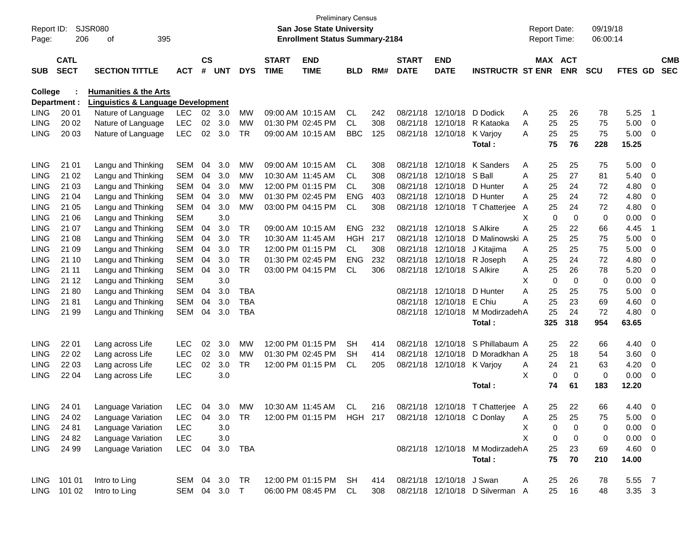| Report ID:<br>Page: | 206                        | <b>SJSR080</b><br>395<br>οf                   |            |                |              |            |                             | <b>Preliminary Census</b><br>San Jose State University<br><b>Enrollment Status Summary-2184</b> |            |     |                             |                            |                                 |   | <b>Report Date:</b><br>Report Time: |             | 09/19/18<br>06:00:14 |                |                          |                          |
|---------------------|----------------------------|-----------------------------------------------|------------|----------------|--------------|------------|-----------------------------|-------------------------------------------------------------------------------------------------|------------|-----|-----------------------------|----------------------------|---------------------------------|---|-------------------------------------|-------------|----------------------|----------------|--------------------------|--------------------------|
| <b>SUB</b>          | <b>CATL</b><br><b>SECT</b> | <b>SECTION TITTLE</b>                         | <b>ACT</b> | <b>CS</b><br># | <b>UNT</b>   | <b>DYS</b> | <b>START</b><br><b>TIME</b> | <b>END</b><br><b>TIME</b>                                                                       | <b>BLD</b> | RM# | <b>START</b><br><b>DATE</b> | <b>END</b><br><b>DATE</b>  | <b>INSTRUCTR ST ENR</b>         |   | MAX ACT                             | <b>ENR</b>  | <b>SCU</b>           | <b>FTES GD</b> |                          | <b>CMB</b><br><b>SEC</b> |
| <b>College</b>      |                            | <b>Humanities &amp; the Arts</b>              |            |                |              |            |                             |                                                                                                 |            |     |                             |                            |                                 |   |                                     |             |                      |                |                          |                          |
|                     | Department :               | <b>Linguistics &amp; Language Development</b> |            |                |              |            |                             |                                                                                                 |            |     |                             |                            |                                 |   |                                     |             |                      |                |                          |                          |
| <b>LING</b>         | 20 01                      | Nature of Language                            | <b>LEC</b> | 02             | 3.0          | MW         |                             | 09:00 AM 10:15 AM                                                                               | <b>CL</b>  | 242 | 08/21/18                    | 12/10/18                   | D Dodick                        | A | 25                                  | 26          | 78                   | 5.25           | -1                       |                          |
| <b>LING</b>         | 20 02                      | Nature of Language                            | <b>LEC</b> | 02             | 3.0          | МW         |                             | 01:30 PM 02:45 PM                                                                               | <b>CL</b>  | 308 | 08/21/18                    | 12/10/18                   | R Kataoka                       | A | 25                                  | 25          | 75                   | 5.00           | 0                        |                          |
| <b>LING</b>         | 20 03                      | Nature of Language                            | <b>LEC</b> | 02             | 3.0          | <b>TR</b>  |                             | 09:00 AM 10:15 AM                                                                               | <b>BBC</b> | 125 | 08/21/18                    | 12/10/18                   | K Varjoy                        | A | 25                                  | 25          | 75                   | 5.00           | 0                        |                          |
|                     |                            |                                               |            |                |              |            |                             |                                                                                                 |            |     |                             |                            | Total:                          |   | 75                                  | 76          | 228                  | 15.25          |                          |                          |
| <b>LING</b>         | 21 01                      | Langu and Thinking                            | <b>SEM</b> | 04             | 3.0          | МW         |                             | 09:00 AM 10:15 AM                                                                               | <b>CL</b>  | 308 | 08/21/18                    | 12/10/18                   | K Sanders                       | A | 25                                  | 25          | 75                   | 5.00           | 0                        |                          |
| <b>LING</b>         | 21 02                      | Langu and Thinking                            | <b>SEM</b> | 04             | 3.0          | МW         |                             | 10:30 AM 11:45 AM                                                                               | <b>CL</b>  | 308 | 08/21/18                    | 12/10/18                   | S Ball                          | Α | 25                                  | 27          | 81                   | 5.40           | 0                        |                          |
| <b>LING</b>         | 21 03                      | Langu and Thinking                            | <b>SEM</b> | 04             | 3.0          | МW         |                             | 12:00 PM 01:15 PM                                                                               | <b>CL</b>  | 308 | 08/21/18                    | 12/10/18                   | D Hunter                        | A | 25                                  | 24          | 72                   | 4.80           | 0                        |                          |
| LING                | 21 04                      | Langu and Thinking                            | <b>SEM</b> | 04             | 3.0          | МW         |                             | 01:30 PM 02:45 PM                                                                               | ENG        | 403 | 08/21/18                    | 12/10/18                   | D Hunter                        | А | 25                                  | 24          | 72                   | 4.80           | 0                        |                          |
| <b>LING</b>         | 21 05                      | Langu and Thinking                            | <b>SEM</b> | 04             | 3.0          | МW         |                             | 03:00 PM 04:15 PM                                                                               | CL.        | 308 | 08/21/18                    |                            | 12/10/18 T Chatterjee           | A | 25                                  | 24          | 72                   | 4.80           | 0                        |                          |
| <b>LING</b>         | 21 06                      | Langu and Thinking                            | <b>SEM</b> |                | 3.0          |            |                             |                                                                                                 |            |     |                             |                            |                                 | Х | $\mathbf 0$                         | $\mathbf 0$ | 0                    | 0.00           | 0                        |                          |
| LING                | 21 07                      | Langu and Thinking                            | <b>SEM</b> | 04             | 3.0          | TR.        |                             | 09:00 AM 10:15 AM                                                                               | <b>ENG</b> | 232 | 08/21/18                    | 12/10/18                   | S Alkire                        | A | 25                                  | 22          | 66                   | 4.45           | $\overline{\mathbf{1}}$  |                          |
| <b>LING</b>         | 21 08                      | Langu and Thinking                            | <b>SEM</b> | 04             | 3.0          | TR.        |                             | 10:30 AM 11:45 AM                                                                               | <b>HGH</b> | 217 | 08/21/18                    | 12/10/18                   | D Malinowski A                  |   | 25                                  | 25          | 75                   | 5.00           | 0                        |                          |
| <b>LING</b>         | 21 09                      | Langu and Thinking                            | <b>SEM</b> | 04             | 3.0          | TR.        |                             | 12:00 PM 01:15 PM                                                                               | <b>CL</b>  | 308 | 08/21/18                    | 12/10/18                   | J Kitajima                      | A | 25                                  | 25          | 75                   | 5.00           | 0                        |                          |
| LING                | 21 10                      | Langu and Thinking                            | <b>SEM</b> | 04             | 3.0          | <b>TR</b>  |                             | 01:30 PM 02:45 PM                                                                               | <b>ENG</b> | 232 | 08/21/18                    | 12/10/18                   | R Joseph                        | A | 25                                  | 24          | 72                   | 4.80           | 0                        |                          |
| <b>LING</b>         | 21 11                      | Langu and Thinking                            | <b>SEM</b> | 04             | 3.0          | <b>TR</b>  |                             | 03:00 PM 04:15 PM                                                                               | <b>CL</b>  | 306 | 08/21/18                    | 12/10/18 S Alkire          |                                 | A | 25                                  | 26          | 78                   | 5.20           | 0                        |                          |
| <b>LING</b>         | 21 12                      | Langu and Thinking                            | <b>SEM</b> |                | 3.0          |            |                             |                                                                                                 |            |     |                             |                            |                                 | X | $\mathbf 0$                         | $\mathbf 0$ | 0                    | 0.00           | 0                        |                          |
| <b>LING</b>         | 2180                       | Langu and Thinking                            | <b>SEM</b> | 04             | 3.0          | <b>TBA</b> |                             |                                                                                                 |            |     | 08/21/18                    | 12/10/18                   | D Hunter                        | A | 25                                  | 25          | 75                   | 5.00           | 0                        |                          |
| <b>LING</b>         | 2181                       | Langu and Thinking                            | <b>SEM</b> | 04             | 3.0          | TBA        |                             |                                                                                                 |            |     | 08/21/18                    | 12/10/18                   | E Chiu                          | A | 25                                  | 23          | 69                   | 4.60           | 0                        |                          |
| <b>LING</b>         | 21 99                      | Langu and Thinking                            | SEM        | 04             | 3.0          | <b>TBA</b> |                             |                                                                                                 |            |     | 08/21/18                    | 12/10/18                   | M ModirzadehA                   |   | 25                                  | 24          | 72                   | 4.80           | 0                        |                          |
|                     |                            |                                               |            |                |              |            |                             |                                                                                                 |            |     |                             |                            | Total:                          |   | 325                                 | 318         | 954                  | 63.65          |                          |                          |
| <b>LING</b>         | 22 01                      | Lang across Life                              | LEC        | 02             | 3.0          | МW         |                             | 12:00 PM 01:15 PM                                                                               | SН         | 414 | 08/21/18                    | 12/10/18                   | S Phillabaum A                  |   | 25                                  | 22          | 66                   | 4.40           | 0                        |                          |
| <b>LING</b>         | 22 02                      | Lang across Life                              | <b>LEC</b> | 02             | 3.0          | МW         |                             | 01:30 PM 02:45 PM                                                                               | <b>SH</b>  | 414 | 08/21/18                    | 12/10/18                   | D Moradkhan A                   |   | 25                                  | 18          | 54                   | 3.60           | 0                        |                          |
| <b>LING</b>         | 22 03                      | Lang across Life                              | <b>LEC</b> | 02             | 3.0          | TR         |                             | 12:00 PM 01:15 PM                                                                               | <b>CL</b>  | 205 | 08/21/18                    | 12/10/18                   | K Varjoy                        | A | 24                                  | 21          | 63                   | 4.20           | 0                        |                          |
| <b>LING</b>         | 22 04                      | Lang across Life                              | <b>LEC</b> |                | 3.0          |            |                             |                                                                                                 |            |     |                             |                            |                                 | Χ | 0                                   | $\mathbf 0$ | 0                    | 0.00           | 0                        |                          |
|                     |                            |                                               |            |                |              |            |                             |                                                                                                 |            |     |                             |                            | Total:                          |   | 74                                  | 61          | 183                  | 12.20          |                          |                          |
| <b>LING</b>         | 24 01                      | Language Variation                            | <b>LEC</b> | 04             | 3.0          | MW         |                             | 10:30 AM 11:45 AM CL                                                                            |            | 216 |                             |                            | 08/21/18 12/10/18 T Chatterjee  | A | 25                                  | 22          | 66                   | 4.40           | $\overline{\mathbf{0}}$  |                          |
| <b>LING</b>         | 24 02                      | Language Variation                            | <b>LEC</b> | 04             | 3.0          | <b>TR</b>  |                             | 12:00 PM 01:15 PM HGH 217                                                                       |            |     |                             | 08/21/18 12/10/18 C Donlay |                                 | Α | 25                                  | 25          | 75                   | 5.00           | $\overline{\mathbf{0}}$  |                          |
| <b>LING</b>         | 24 81                      | Language Variation                            | <b>LEC</b> |                | 3.0          |            |                             |                                                                                                 |            |     |                             |                            |                                 | Х | 0                                   | 0           | 0                    | 0.00           | $\overline{\mathbf{0}}$  |                          |
| <b>LING</b>         | 24 82                      | Language Variation                            | <b>LEC</b> |                | 3.0          |            |                             |                                                                                                 |            |     |                             |                            |                                 | X | 0                                   | 0           | 0                    | 0.00           | $\overline{\phantom{0}}$ |                          |
| LING                | 24 99                      | Language Variation                            | <b>LEC</b> | 04             | 3.0          | <b>TBA</b> |                             |                                                                                                 |            |     |                             |                            | 08/21/18 12/10/18 M ModirzadehA |   | 25                                  | 23          | 69                   | $4.60$ 0       |                          |                          |
|                     |                            |                                               |            |                |              |            |                             |                                                                                                 |            |     |                             |                            | Total:                          |   | 75                                  | 70          | 210                  | 14.00          |                          |                          |
| LING                | 101 01                     | Intro to Ling                                 | SEM 04 3.0 |                |              | TR         |                             | 12:00 PM 01:15 PM SH                                                                            |            | 414 |                             | 08/21/18 12/10/18 J Swan   |                                 | A | 25                                  | 26          | 78                   | 5.55 7         |                          |                          |
| LING                | 101 02                     | Intro to Ling                                 |            |                | SEM 04 3.0 T |            |                             | 06:00 PM 08:45 PM                                                                               | CL         | 308 |                             |                            | 08/21/18 12/10/18 D Silverman A |   | 25                                  | 16          | 48                   | 3.35 3         |                          |                          |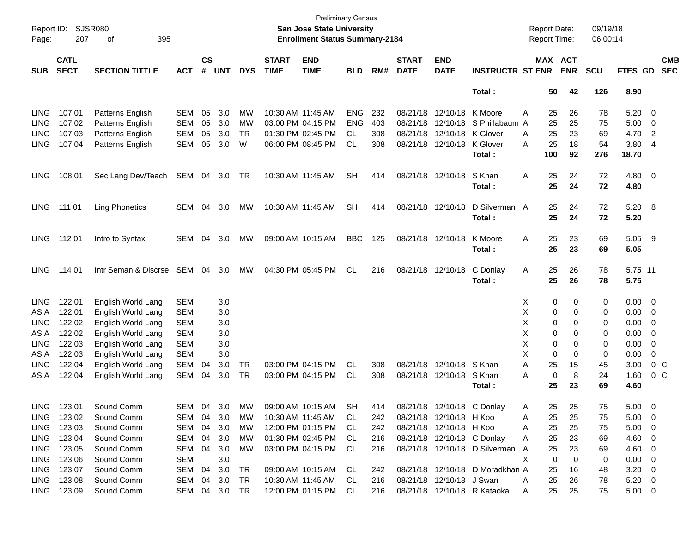| Page:       | Report ID: SJSR080<br>207  | 395<br>of                |               |                    |            |            |                             | <b>Preliminary Census</b><br><b>San Jose State University</b><br><b>Enrollment Status Summary-2184</b> |            |     |                             |                            |                                  |          | <b>Report Date:</b><br><b>Report Time:</b> |                | 09/19/18<br>06:00:14 |                |                         |                          |
|-------------|----------------------------|--------------------------|---------------|--------------------|------------|------------|-----------------------------|--------------------------------------------------------------------------------------------------------|------------|-----|-----------------------------|----------------------------|----------------------------------|----------|--------------------------------------------|----------------|----------------------|----------------|-------------------------|--------------------------|
| <b>SUB</b>  | <b>CATL</b><br><b>SECT</b> | <b>SECTION TITTLE</b>    | <b>ACT</b>    | $\mathsf{cs}$<br># | <b>UNT</b> | <b>DYS</b> | <b>START</b><br><b>TIME</b> | <b>END</b><br><b>TIME</b>                                                                              | <b>BLD</b> | RM# | <b>START</b><br><b>DATE</b> | <b>END</b><br><b>DATE</b>  | <b>INSTRUCTR ST ENR</b>          |          | MAX ACT                                    | <b>ENR</b>     | <b>SCU</b>           | <b>FTES GD</b> |                         | <b>CMB</b><br><b>SEC</b> |
|             |                            |                          |               |                    |            |            |                             |                                                                                                        |            |     |                             |                            | Total:                           |          | 50                                         | 42             | 126                  | 8.90           |                         |                          |
| <b>LING</b> | 107 01                     | Patterns English         | <b>SEM</b>    | 05                 | 3.0        | <b>MW</b>  | 10:30 AM 11:45 AM           |                                                                                                        | ENG        | 232 |                             | 08/21/18 12/10/18 K Moore  |                                  | Α        | 25                                         | 26             | 78                   | 5.20           | $\overline{0}$          |                          |
| <b>LING</b> | 107 02                     | Patterns English         | <b>SEM</b>    | 05                 | 3.0        | <b>MW</b>  |                             | 03:00 PM 04:15 PM                                                                                      | <b>ENG</b> | 403 |                             |                            | 08/21/18 12/10/18 S Phillabaum A |          | 25                                         | 25             | 75                   | 5.00           | $\overline{\mathbf{0}}$ |                          |
| <b>LING</b> | 107 03                     | Patterns English         | <b>SEM</b>    | 05                 | 3.0        | TR         |                             | 01:30 PM 02:45 PM                                                                                      | CL.        | 308 |                             | 08/21/18 12/10/18 K Glover |                                  | A        | 25                                         | 23             | 69                   | 4.70           | $\overline{2}$          |                          |
| <b>LING</b> | 107 04                     | Patterns English         | <b>SEM</b>    | 05                 | 3.0        | W          |                             | 06:00 PM 08:45 PM                                                                                      | <b>CL</b>  | 308 |                             | 08/21/18 12/10/18          | K Glover                         | A        | 25                                         | 18             | 54                   | 3.80           | $\overline{4}$          |                          |
|             |                            |                          |               |                    |            |            |                             |                                                                                                        |            |     |                             |                            | Total:                           |          | 100                                        | 92             | 276                  | 18.70          |                         |                          |
| <b>LING</b> | 108 01                     | Sec Lang Dev/Teach       | SEM           | 04                 | 3.0        | TR         | 10:30 AM 11:45 AM           |                                                                                                        | <b>SH</b>  | 414 |                             | 08/21/18 12/10/18          | S Khan<br>Total:                 | Α        | 25<br>25                                   | 24<br>24       | 72<br>72             | 4.80<br>4.80   | $\overline{\mathbf{0}}$ |                          |
| LING.       | 111 01                     | <b>Ling Phonetics</b>    | <b>SEM</b>    | 04                 | 3.0        | MW         | 10:30 AM 11:45 AM           |                                                                                                        | <b>SH</b>  | 414 |                             | 08/21/18 12/10/18          | D Silverman A<br>Total:          |          | 25<br>25                                   | 24<br>24       | 72<br>72             | 5.20 8<br>5.20 |                         |                          |
|             |                            |                          |               |                    |            |            |                             |                                                                                                        |            |     |                             |                            |                                  |          |                                            |                |                      |                |                         |                          |
| LING.       | 112 01                     | Intro to Syntax          | <b>SEM</b>    | 04                 | 3.0        | МW         |                             | 09:00 AM 10:15 AM                                                                                      | <b>BBC</b> | 125 |                             | 08/21/18 12/10/18          | K Moore                          | Α        | 25                                         | 23             | 69                   | 5.05           | $_{9}$                  |                          |
|             |                            |                          |               |                    |            |            |                             |                                                                                                        |            |     |                             |                            | Total :                          |          | 25                                         | 23             | 69                   | 5.05           |                         |                          |
| <b>LING</b> | 114 01                     | Intr Seman & Discrse SEM |               | 04                 | 3.0        | МW         |                             | 04:30 PM 05:45 PM                                                                                      | CL         | 216 |                             | 08/21/18 12/10/18          | C Donlay                         | A        | 25                                         | 26             | 78                   | 5.75 11        |                         |                          |
|             |                            |                          |               |                    |            |            |                             |                                                                                                        |            |     |                             |                            | Total:                           |          | 25                                         | 26             | 78                   | 5.75           |                         |                          |
| <b>LING</b> | 122 01                     | English World Lang       | <b>SEM</b>    |                    | 3.0        |            |                             |                                                                                                        |            |     |                             |                            |                                  | X        | 0                                          | 0              | 0                    | 0.00           | $\overline{0}$          |                          |
| ASIA        | 122 01                     | English World Lang       | <b>SEM</b>    |                    | 3.0        |            |                             |                                                                                                        |            |     |                             |                            |                                  | х        | 0                                          | 0              | 0                    | 0.00           | - 0                     |                          |
| <b>LING</b> | 122 02                     | English World Lang       | <b>SEM</b>    |                    | 3.0        |            |                             |                                                                                                        |            |     |                             |                            |                                  | х        | 0                                          | 0              | 0                    | 0.00           | $\mathbf 0$             |                          |
| ASIA        | 122 02                     | English World Lang       | <b>SEM</b>    |                    | 3.0        |            |                             |                                                                                                        |            |     |                             |                            |                                  | X        | 0                                          | 0              | 0                    | 0.00           | $\mathbf 0$             |                          |
| <b>LING</b> | 122 03                     | English World Lang       | <b>SEM</b>    |                    | 3.0        |            |                             |                                                                                                        |            |     |                             |                            |                                  | X        | 0                                          | 0              | 0                    | 0.00           | 0                       |                          |
| ASIA        | 122 03                     | English World Lang       | <b>SEM</b>    |                    | 3.0        |            |                             |                                                                                                        |            |     |                             |                            |                                  | X        | $\mathbf 0$                                | 0              | 0                    | 0.00           | 0                       |                          |
| <b>LING</b> | 122 04                     | English World Lang       | <b>SEM</b>    | 04                 | 3.0        | TR         |                             | 03:00 PM 04:15 PM                                                                                      | CL         | 308 |                             | 08/21/18 12/10/18 S Khan   |                                  | A        | 25                                         | 15             | 45                   | 3.00           | $0\,C$                  |                          |
| ASIA        | 122 04                     | English World Lang       | <b>SEM</b>    | 04                 | 3.0        | TR         |                             | 03:00 PM 04:15 PM                                                                                      | CL.        | 308 |                             | 08/21/18 12/10/18          | S Khan                           | A        | $\mathbf 0$                                | 8              | 24                   | 1.60           | 0 <sup>o</sup>          |                          |
|             |                            |                          |               |                    |            |            |                             |                                                                                                        |            |     |                             |                            | Total :                          |          | 25                                         | 23             | 69                   | 4.60           |                         |                          |
| LING        | 123 01                     | Sound Comm               | SEM           | 04                 | 3.0        | MW         |                             | 09:00 AM 10:15 AM                                                                                      | <b>SH</b>  | 414 |                             |                            | 08/21/18 12/10/18 C Donlay       | A        | 25                                         | 25             | 75                   | 5.00           | - 0                     |                          |
|             | LING 123 02                | Sound Comm               | SEM           |                    | 04 3.0     | МW         |                             | 10:30 AM 11:45 AM                                                                                      | CL.        | 242 |                             | 08/21/18 12/10/18 H Koo    |                                  | A        | 25                                         | 25             | 75                   | $5.00 \t 0$    |                         |                          |
| LING        | 123 03                     | Sound Comm               | SEM           | 04                 | 3.0        | МW         |                             | 12:00 PM 01:15 PM                                                                                      | CL.        | 242 |                             | 08/21/18 12/10/18 H Koo    |                                  | A        | 25                                         | 25             | 75                   | $5.00 \t 0$    |                         |                          |
|             | LING 123 04                | Sound Comm               | SEM           |                    | 04 3.0     | МW         |                             | 01:30 PM 02:45 PM                                                                                      | CL.        | 216 |                             |                            | 08/21/18 12/10/18 C Donlay       | A        | 25                                         | 23             | 69                   | 4.60 0         |                         |                          |
|             | LING 123 05                | Sound Comm               | SEM           |                    | 04 3.0     | МW         |                             | 03:00 PM 04:15 PM CL                                                                                   |            | 216 |                             |                            | 08/21/18 12/10/18 D Silverman A  |          | 25                                         | 23             | 69                   | $4.60 \quad 0$ |                         |                          |
|             | LING 123 06                | Sound Comm               | <b>SEM</b>    |                    | 3.0        |            |                             |                                                                                                        |            |     |                             |                            |                                  | X        | $\mathbf 0$                                | $\overline{0}$ | $\mathbf 0$          | $0.00 \quad 0$ |                         |                          |
|             | LING 123 07                | Sound Comm               | SEM           |                    | 04 3.0     | TR.        |                             | 09:00 AM 10:15 AM CL                                                                                   |            | 242 |                             |                            | 08/21/18 12/10/18 D Moradkhan A  |          | 25                                         | 16             | 48                   | $3.20 \ 0$     |                         |                          |
|             | LING 123 08                | Sound Comm               | SEM 04 3.0    |                    |            | TR         |                             | 10:30 AM 11:45 AM                                                                                      | -CL        | 216 |                             | 08/21/18 12/10/18 J Swan   |                                  | A        | 25                                         | 26             | 78                   | $5.20 \t 0$    |                         |                          |
|             | LING 123 09                | Sound Comm               | SEM 04 3.0 TR |                    |            |            |                             | 12:00 PM 01:15 PM CL                                                                                   |            | 216 |                             |                            | 08/21/18 12/10/18 R Kataoka      | <b>A</b> | 25                                         | 25             | 75                   | $5.00 \t 0$    |                         |                          |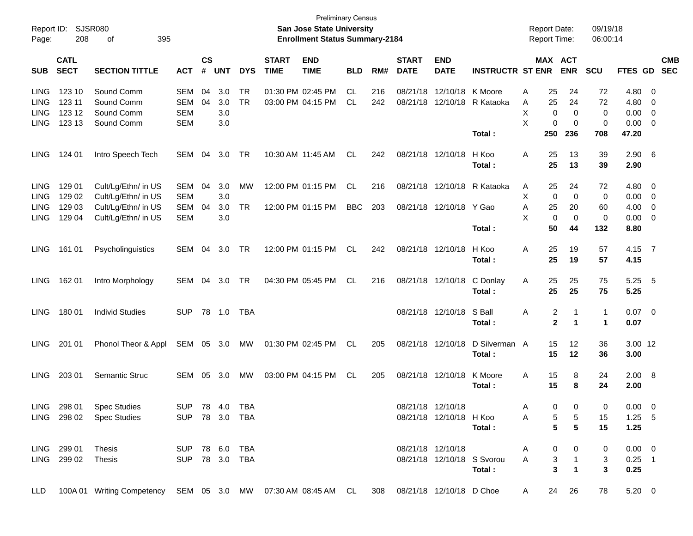| Report ID:<br>Page: | 208                        | SJSR080<br>395<br>οf                                                                             |                |                    |            |            |                             | <b>Preliminary Census</b><br>San Jose State University<br><b>Enrollment Status Summary-2184</b> |            |     |                             |                           |                             | <b>Report Date:</b><br><b>Report Time:</b> |                                   | 09/19/18<br>06:00:14 |               |                          |                          |
|---------------------|----------------------------|--------------------------------------------------------------------------------------------------|----------------|--------------------|------------|------------|-----------------------------|-------------------------------------------------------------------------------------------------|------------|-----|-----------------------------|---------------------------|-----------------------------|--------------------------------------------|-----------------------------------|----------------------|---------------|--------------------------|--------------------------|
| <b>SUB</b>          | <b>CATL</b><br><b>SECT</b> | <b>SECTION TITTLE</b>                                                                            | <b>ACT</b>     | $\mathsf{cs}$<br># | <b>UNT</b> | <b>DYS</b> | <b>START</b><br><b>TIME</b> | <b>END</b><br><b>TIME</b>                                                                       | <b>BLD</b> | RM# | <b>START</b><br><b>DATE</b> | <b>END</b><br><b>DATE</b> | <b>INSTRUCTR ST ENR</b>     |                                            | MAX ACT<br><b>ENR</b>             | <b>SCU</b>           | FTES GD       |                          | <b>CMB</b><br><b>SEC</b> |
| <b>LING</b>         | 123 10                     | Sound Comm                                                                                       | SEM            | 04                 | 3.0        | TR         |                             | 01:30 PM 02:45 PM                                                                               | CL.        | 216 | 08/21/18                    | 12/10/18 K Moore          |                             | 25<br>Α                                    | 24                                | 72                   | 4.80 0        |                          |                          |
| <b>LING</b>         | 123 11                     | Sound Comm                                                                                       | SEM            | 04                 | 3.0        | TR         |                             | 03:00 PM 04:15 PM                                                                               | CL.        | 242 | 08/21/18                    |                           | 12/10/18 R Kataoka          | 25<br>A                                    | 24                                | 72                   | 4.80          | $\overline{\mathbf{0}}$  |                          |
| <b>LING</b>         | 123 12                     | Sound Comm                                                                                       | <b>SEM</b>     |                    | 3.0        |            |                             |                                                                                                 |            |     |                             |                           |                             | х                                          | 0<br>0                            | 0                    | $0.00 \t 0$   |                          |                          |
| <b>LING</b>         | 123 13                     | Sound Comm                                                                                       | <b>SEM</b>     |                    | 3.0        |            |                             |                                                                                                 |            |     |                             |                           |                             | X                                          | 0<br>0                            | 0                    | $0.00 \t 0$   |                          |                          |
|                     |                            |                                                                                                  |                |                    |            |            |                             |                                                                                                 |            |     |                             |                           | Total:                      | 250                                        | 236                               | 708                  | 47.20         |                          |                          |
| <b>LING</b>         | 124 01                     | Intro Speech Tech                                                                                | SEM            | 04                 | 3.0        | TR         |                             | 10:30 AM 11:45 AM                                                                               | CL.        | 242 |                             | 08/21/18 12/10/18         | H Koo                       | 25<br>Α                                    | 13                                | 39                   | $2.90\quad 6$ |                          |                          |
|                     |                            |                                                                                                  |                |                    |            |            |                             |                                                                                                 |            |     |                             |                           | Total:                      | 25                                         | 13                                | 39                   | 2.90          |                          |                          |
| <b>LING</b>         | 129 01                     | Cult/Lg/Ethn/ in US                                                                              | SEM            | 04                 | 3.0        | MW         |                             | 12:00 PM 01:15 PM                                                                               | CL         | 216 |                             |                           | 08/21/18 12/10/18 R Kataoka | 25<br>A                                    | 24                                | 72                   | 4.80 0        |                          |                          |
| <b>LING</b>         | 129 02                     | Cult/Lg/Ethn/ in US                                                                              | <b>SEM</b>     |                    | 3.0        |            |                             |                                                                                                 |            |     |                             |                           |                             | X                                          | 0<br>0                            | 0                    | $0.00 \t 0$   |                          |                          |
| <b>LING</b>         | 129 03                     | Cult/Lg/Ethn/ in US                                                                              | SEM            | 04                 | 3.0        | TR         |                             | 12:00 PM 01:15 PM                                                                               | <b>BBC</b> | 203 |                             | 08/21/18 12/10/18 Y Gao   |                             | 25<br>Α                                    | 20                                | 60                   | 4.00          | $\overline{\phantom{0}}$ |                          |
| <b>LING</b>         | 129 04                     | Cult/Lg/Ethn/ in US                                                                              | <b>SEM</b>     |                    | 3.0        |            |                             |                                                                                                 |            |     |                             |                           |                             | X                                          | 0<br>0                            | 0                    | $0.00 \t 0$   |                          |                          |
|                     |                            |                                                                                                  |                |                    |            |            |                             |                                                                                                 |            |     |                             |                           | Total:                      | 50                                         | 44                                | 132                  | 8.80          |                          |                          |
| <b>LING</b>         | 161 01                     | Psycholinguistics                                                                                | SEM            | 04                 | 3.0        | TR         |                             | 12:00 PM 01:15 PM                                                                               | CL.        | 242 |                             | 08/21/18 12/10/18         | H Koo                       | 25<br>Α                                    | 19                                | 57                   | 4.15 7        |                          |                          |
|                     |                            |                                                                                                  |                |                    |            |            |                             |                                                                                                 |            |     |                             |                           | Total:                      | 25                                         | 19                                | 57                   | 4.15          |                          |                          |
| <b>LING</b>         | 162 01                     | Intro Morphology                                                                                 | SEM            | 04                 | 3.0        | TR         |                             | 04:30 PM 05:45 PM                                                                               | CL         | 216 |                             | 08/21/18 12/10/18         | C Donlay                    | 25<br>Α                                    | 25                                | 75                   | 5.25 5        |                          |                          |
|                     |                            |                                                                                                  |                |                    |            |            |                             |                                                                                                 |            |     |                             |                           | Total:                      | 25                                         | 25                                | 75                   | 5.25          |                          |                          |
| <b>LING</b>         | 18001                      | <b>Individ Studies</b>                                                                           | <b>SUP</b>     |                    | 78 1.0     | TBA        |                             |                                                                                                 |            |     |                             | 08/21/18 12/10/18         | S Ball                      | Α                                          | 2                                 | 1                    | $0.07$ 0      |                          |                          |
|                     |                            |                                                                                                  |                |                    |            |            |                             |                                                                                                 |            |     |                             |                           | Total :                     |                                            | $\mathbf 2$<br>$\mathbf 1$        | 1                    | 0.07          |                          |                          |
| <b>LING</b>         | 201 01                     | Phonol Theor & Appl                                                                              | SEM 05 3.0     |                    |            | MW         |                             | 01:30 PM 02:45 PM                                                                               | CL         | 205 |                             | 08/21/18 12/10/18         | D Silverman A               | 15                                         | 12                                | 36                   | 3.00 12       |                          |                          |
|                     |                            |                                                                                                  |                |                    |            |            |                             |                                                                                                 |            |     |                             |                           | Total:                      | 15                                         | 12                                | 36                   | 3.00          |                          |                          |
| <b>LING</b>         | 203 01                     | Semantic Struc                                                                                   | SEM            | 05                 | 3.0        | MW         |                             | 03:00 PM 04:15 PM                                                                               | CL.        | 205 |                             | 08/21/18 12/10/18         | K Moore                     | 15<br>Α                                    | 8                                 | 24                   | 2.00 8        |                          |                          |
|                     |                            |                                                                                                  |                |                    |            |            |                             |                                                                                                 |            |     |                             |                           | Total :                     | 15                                         | 8                                 | 24                   | 2.00          |                          |                          |
| LING                | 298 01                     | <b>Spec Studies</b>                                                                              | SUP 78 4.0 TBA |                    |            |            |                             |                                                                                                 |            |     |                             | 08/21/18 12/10/18         |                             | A                                          | 0<br>$\mathbf{0}$                 | $\Omega$             | $0.00 \t 0$   |                          |                          |
|                     |                            | LING 298 02 Spec Studies SUP 78 3.0 TBA                                                          |                |                    |            |            |                             |                                                                                                 |            |     |                             | 08/21/18 12/10/18 H Koo   |                             | $\mathsf{A}$                               | $\overline{5}$<br>$5\phantom{.0}$ | 15                   | $1.25$ 5      |                          |                          |
|                     |                            |                                                                                                  |                |                    |            |            |                             |                                                                                                 |            |     |                             |                           | Total:                      |                                            | 5 <sup>5</sup><br>5               | 15                   | 1.25          |                          |                          |
|                     | LING 299 01 Thesis         | SUP 78 6.0 TBA                                                                                   |                |                    |            |            |                             |                                                                                                 |            |     |                             |                           | 08/21/18 12/10/18           | A                                          | $0\qquad 0$                       | $\mathbf{0}$         | $0.00 \ 0$    |                          |                          |
|                     | LING 299 02 Thesis         |                                                                                                  | SUP 78 3.0 TBA |                    |            |            |                             |                                                                                                 |            |     |                             |                           | 08/21/18 12/10/18 S Svorou  | A                                          | $\overline{1}$<br>3 <sup>1</sup>  | 3                    | $0.25$ 1      |                          |                          |
|                     |                            |                                                                                                  |                |                    |            |            |                             |                                                                                                 |            |     |                             |                           | Total:                      |                                            | $\mathbf{3}$<br>$\mathbf{1}$      | $\mathbf{3}$         | 0.25          |                          |                          |
|                     |                            | LLD 100A 01 Writing Competency SEM 05 3.0 MW 07:30 AM 08:45 AM CL 308 08/21/18 12/10/18 D Choe A |                |                    |            |            |                             |                                                                                                 |            |     |                             |                           |                             |                                            | 24 26                             | 78                   | $5.20 \t 0$   |                          |                          |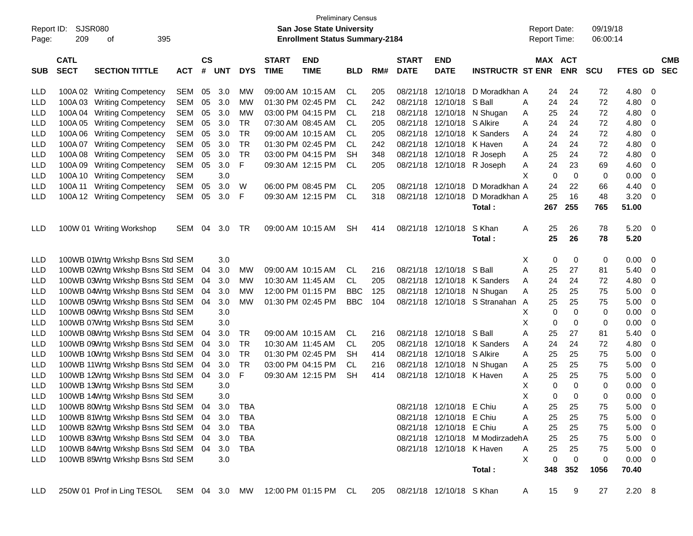| Report ID: |                            | <b>SJSR080</b>                                                                             |            |                    |            |            |                             | <b>Preliminary Census</b><br><b>San Jose State University</b> |            |     |                             |                            |                                 | <b>Report Date:</b> |     |                       | 09/19/18   |                |                          |                          |
|------------|----------------------------|--------------------------------------------------------------------------------------------|------------|--------------------|------------|------------|-----------------------------|---------------------------------------------------------------|------------|-----|-----------------------------|----------------------------|---------------------------------|---------------------|-----|-----------------------|------------|----------------|--------------------------|--------------------------|
| Page:      | 209                        | 395<br>οf                                                                                  |            |                    |            |            |                             | <b>Enrollment Status Summary-2184</b>                         |            |     |                             |                            |                                 | <b>Report Time:</b> |     |                       | 06:00:14   |                |                          |                          |
| SUB        | <b>CATL</b><br><b>SECT</b> | <b>SECTION TITTLE</b>                                                                      | <b>ACT</b> | $\mathsf{cs}$<br># | <b>UNT</b> | <b>DYS</b> | <b>START</b><br><b>TIME</b> | <b>END</b><br><b>TIME</b>                                     | <b>BLD</b> | RM# | <b>START</b><br><b>DATE</b> | <b>END</b><br><b>DATE</b>  | <b>INSTRUCTR ST ENR</b>         |                     |     | MAX ACT<br><b>ENR</b> | <b>SCU</b> | <b>FTES GD</b> |                          | <b>CMB</b><br><b>SEC</b> |
| <b>LLD</b> |                            | 100A 02 Writing Competency                                                                 | <b>SEM</b> | 05                 | 3.0        | МW         |                             | 09:00 AM 10:15 AM                                             | CL.        | 205 | 08/21/18                    | 12/10/18                   | D Moradkhan A                   |                     | 24  | 24                    | 72         | 4.80           | - 0                      |                          |
| <b>LLD</b> |                            | 100A 03 Writing Competency                                                                 | <b>SEM</b> | 05                 | 3.0        | MW         |                             | 01:30 PM 02:45 PM                                             | <b>CL</b>  | 242 | 08/21/18                    | 12/10/18                   | S Ball                          | Α                   | 24  | 24                    | 72         | 4.80           | 0                        |                          |
| <b>LLD</b> |                            | 100A 04 Writing Competency                                                                 | <b>SEM</b> | 05                 | 3.0        | MW         |                             | 03:00 PM 04:15 PM                                             | CL.        | 218 | 08/21/18                    | 12/10/18                   | N Shugan                        | Α                   | 25  | 24                    | 72         | 4.80           | 0                        |                          |
| <b>LLD</b> |                            | 100A 05 Writing Competency                                                                 | <b>SEM</b> | 05                 | 3.0        | TR         |                             | 07:30 AM 08:45 AM                                             | <b>CL</b>  | 205 | 08/21/18                    | 12/10/18                   | S Alkire                        | Α                   | 24  | 24                    | 72         | 4.80           | 0                        |                          |
| <b>LLD</b> |                            | 100A 06 Writing Competency                                                                 | <b>SEM</b> | 05                 | 3.0        | <b>TR</b>  |                             | 09:00 AM 10:15 AM                                             | <b>CL</b>  | 205 | 08/21/18                    | 12/10/18                   | K Sanders                       | A                   | 24  | 24                    | 72         | 4.80           | 0                        |                          |
| <b>LLD</b> |                            | 100A 07 Writing Competency                                                                 | <b>SEM</b> | 05                 | 3.0        | <b>TR</b>  |                             | 01:30 PM 02:45 PM                                             | <b>CL</b>  | 242 | 08/21/18                    | 12/10/18                   | K Haven                         | Α                   | 24  | 24                    | 72         | 4.80           | 0                        |                          |
| LLD        |                            | 100A 08 Writing Competency                                                                 | <b>SEM</b> | 05                 | 3.0        | <b>TR</b>  |                             | 03:00 PM 04:15 PM                                             | SH         | 348 | 08/21/18                    | 12/10/18                   | R Joseph                        | A                   | 25  | 24                    | 72         | 4.80           | 0                        |                          |
| <b>LLD</b> |                            | 100A 09 Writing Competency                                                                 | <b>SEM</b> | 05                 | 3.0        | F          |                             | 09:30 AM 12:15 PM                                             | <b>CL</b>  | 205 |                             |                            | 08/21/18 12/10/18 R Joseph      | A                   | 24  | 23                    | 69         | 4.60           | 0                        |                          |
| <b>LLD</b> |                            | 100A 10 Writing Competency                                                                 | <b>SEM</b> |                    | 3.0        |            |                             |                                                               |            |     |                             |                            |                                 | х                   | 0   | $\mathbf 0$           | 0          | 0.00           | 0                        |                          |
| <b>LLD</b> | 100A 11                    | <b>Writing Competency</b>                                                                  | <b>SEM</b> | 05                 | 3.0        | W          |                             | 06:00 PM 08:45 PM                                             | <b>CL</b>  | 205 |                             | 08/21/18 12/10/18          | D Moradkhan A                   |                     | 24  | 22                    | 66         | 4.40           | 0                        |                          |
| LLD        |                            | 100A 12 Writing Competency                                                                 | <b>SEM</b> | 05                 | 3.0        | F          |                             | 09:30 AM 12:15 PM                                             | <b>CL</b>  | 318 |                             | 08/21/18 12/10/18          | D Moradkhan A                   |                     | 25  | 16                    | 48         | 3.20           | - 0                      |                          |
|            |                            |                                                                                            |            |                    |            |            |                             |                                                               |            |     |                             |                            | Total:                          |                     | 267 | 255                   | 765        | 51.00          |                          |                          |
|            |                            |                                                                                            |            |                    |            |            |                             |                                                               |            |     |                             |                            |                                 |                     |     |                       |            |                |                          |                          |
| <b>LLD</b> |                            | 100W 01 Writing Workshop                                                                   | <b>SEM</b> | 04                 | 3.0        | TR         |                             | 09:00 AM 10:15 AM                                             | <b>SH</b>  | 414 |                             | 08/21/18 12/10/18          | S Khan                          | Α                   | 25  | 26                    | 78         | 5.20           | $\overline{\phantom{0}}$ |                          |
|            |                            |                                                                                            |            |                    |            |            |                             |                                                               |            |     |                             |                            | Total:                          |                     | 25  | 26                    | 78         | 5.20           |                          |                          |
|            |                            |                                                                                            |            |                    |            |            |                             |                                                               |            |     |                             |                            |                                 |                     |     |                       |            |                |                          |                          |
| LLD        |                            | 100WB 01Wrtg Wrkshp Bsns Std SEM                                                           |            |                    | 3.0        |            |                             |                                                               |            |     |                             |                            |                                 | X                   | 0   | 0                     | 0          | 0.00           | - 0                      |                          |
| LLD        |                            | 100WB 02Wrtg Wrkshp Bsns Std SEM                                                           |            | 04                 | 3.0        | MW         |                             | 09:00 AM 10:15 AM                                             | CL         | 216 |                             | 08/21/18 12/10/18          | S Ball                          | A                   | 25  | 27                    | 81         | 5.40           | - 0                      |                          |
| LLD        |                            | 100WB 03Wrtg Wrkshp Bsns Std SEM                                                           |            | 04                 | 3.0        | MW         |                             | 10:30 AM 11:45 AM                                             | CL         | 205 |                             |                            | 08/21/18 12/10/18 K Sanders     | Α                   | 24  | 24                    | 72         | 4.80           | 0                        |                          |
| LLD        |                            | 100WB 04Wrtg Wrkshp Bsns Std SEM                                                           |            | 04                 | 3.0        | MW         |                             | 12:00 PM 01:15 PM                                             | <b>BBC</b> | 125 | 08/21/18                    |                            | 12/10/18 N Shugan               | Α                   | 25  | 25                    | 75         | 5.00           | 0                        |                          |
| LLD        |                            | 100WB 05Wrtg Wrkshp Bsns Std SEM                                                           |            | 04                 | 3.0        | МW         |                             | 01:30 PM 02:45 PM                                             | <b>BBC</b> | 104 |                             |                            | 08/21/18 12/10/18 S Stranahan A |                     | 25  | 25                    | 75         | 5.00           | 0                        |                          |
| LLD        |                            | 100WB 06Wrtg Wrkshp Bsns Std SEM                                                           |            |                    | 3.0        |            |                             |                                                               |            |     |                             |                            |                                 | X                   | 0   | 0                     | 0          | 0.00           | 0                        |                          |
| LLD        |                            | 100WB 07Wrtg Wrkshp Bsns Std SEM                                                           |            |                    | 3.0        |            |                             |                                                               |            |     |                             |                            |                                 | Χ                   | 0   | 0                     | 0          | 0.00           | 0                        |                          |
| LLD        |                            | 100WB 08Wrtg Wrkshp Bsns Std SEM                                                           |            | 04                 | 3.0        | TR         |                             | 09:00 AM 10:15 AM                                             | CL.        | 216 |                             | 08/21/18 12/10/18          | S Ball                          | Α                   | 25  | 27                    | 81         | 5.40           | 0                        |                          |
| LLD        |                            | 100WB 09Wrtg Wrkshp Bsns Std SEM                                                           |            | 04                 | 3.0        | <b>TR</b>  | 10:30 AM 11:45 AM           |                                                               | CL.        | 205 |                             |                            | 08/21/18 12/10/18 K Sanders     | Α                   | 24  | 24                    | 72         | 4.80           | 0                        |                          |
| LLD        |                            | 100WB 10Wrtg Wrkshp Bsns Std SEM                                                           |            | 04                 | 3.0        | <b>TR</b>  |                             | 01:30 PM 02:45 PM                                             | <b>SH</b>  | 414 |                             | 08/21/18 12/10/18 S Alkire |                                 | A                   | 25  | 25                    | 75         | 5.00           | 0                        |                          |
| LLD        |                            | 100WB 11Wrtg Wrkshp Bsns Std SEM                                                           |            | 04                 | 3.0        | <b>TR</b>  |                             | 03:00 PM 04:15 PM                                             | CL.        | 216 | 08/21/18                    |                            | 12/10/18 N Shugan               | A                   | 25  | 25                    | 75         | 5.00           | 0                        |                          |
| LLD        |                            | 100WB 12Wrtg Wrkshp Bsns Std SEM                                                           |            | 04                 | 3.0        | F          |                             | 09:30 AM 12:15 PM                                             | <b>SH</b>  | 414 |                             | 08/21/18 12/10/18 K Haven  |                                 | Α                   | 25  | 25                    | 75         | 5.00           | 0                        |                          |
| LLD        |                            | 100WB 13Wrtg Wrkshp Bsns Std SEM                                                           |            |                    | 3.0        |            |                             |                                                               |            |     |                             |                            |                                 | X                   | 0   | 0                     | 0          | 0.00           | 0                        |                          |
| LLD        |                            | 100WB 14Wrtg Wrkshp Bsns Std SEM                                                           |            |                    | 3.0        |            |                             |                                                               |            |     |                             |                            |                                 | X                   | 0   | 0                     | 0          | 0.00           | 0                        |                          |
| <b>LLD</b> |                            | 100WB 80Wrtg Wrkshp Bsns Std SEM 04                                                        |            |                    | 3.0        | <b>TBA</b> |                             |                                                               |            |     |                             | 08/21/18 12/10/18 E Chiu   |                                 | Α                   | 25  | 25                    | 75         | 5.00           | $\overline{\phantom{0}}$ |                          |
| LLD        |                            | 100WB 81Wrtg Wrkshp Bsns Std SEM                                                           |            |                    | 04 3.0     | TBA        |                             |                                                               |            |     |                             | 08/21/18 12/10/18 E Chiu   |                                 | Α                   | 25  | 25                    | 75         | 5.00           | $\overline{\phantom{0}}$ |                          |
| LLD        |                            | 100WB 82Wrtg Wrkshp Bsns Std SEM                                                           |            |                    | 04 3.0     | <b>TBA</b> |                             |                                                               |            |     |                             | 08/21/18 12/10/18 E Chiu   |                                 | Α                   | 25  | 25                    | 75         | 5.00           | $\overline{\phantom{0}}$ |                          |
| LLD        |                            | 100WB 83Wrtg Wrkshp Bsns Std SEM                                                           |            |                    | 04 3.0     | <b>TBA</b> |                             |                                                               |            |     |                             |                            | 08/21/18 12/10/18 M ModirzadehA |                     | 25  | 25                    | 75         | $5.00 \t 0$    |                          |                          |
| LLD        |                            | 100WB 84Wrtg Wrkshp Bsns Std SEM                                                           |            |                    | 04 3.0     | <b>TBA</b> |                             |                                                               |            |     |                             | 08/21/18 12/10/18 K Haven  |                                 | Α                   | 25  | 25                    | 75         | $5.00 \t 0$    |                          |                          |
| <b>LLD</b> |                            | 100WB 85Wrtg Wrkshp Bsns Std SEM                                                           |            |                    | 3.0        |            |                             |                                                               |            |     |                             |                            |                                 | X                   | 0   | $\mathbf 0$           | 0          | $0.00 \t 0$    |                          |                          |
|            |                            |                                                                                            |            |                    |            |            |                             |                                                               |            |     |                             |                            | Total:                          |                     | 348 | 352                   | 1056       | 70.40          |                          |                          |
|            |                            |                                                                                            |            |                    |            |            |                             |                                                               |            |     |                             |                            |                                 |                     |     |                       |            |                |                          |                          |
| <b>LLD</b> |                            | 250W 01 Prof in Ling TESOL SEM 04 3.0 MW 12:00 PM 01:15 PM CL 205 08/21/18 12/10/18 S Khan |            |                    |            |            |                             |                                                               |            |     |                             |                            |                                 | A                   | 15  | 9                     | 27         | 2.20 8         |                          |                          |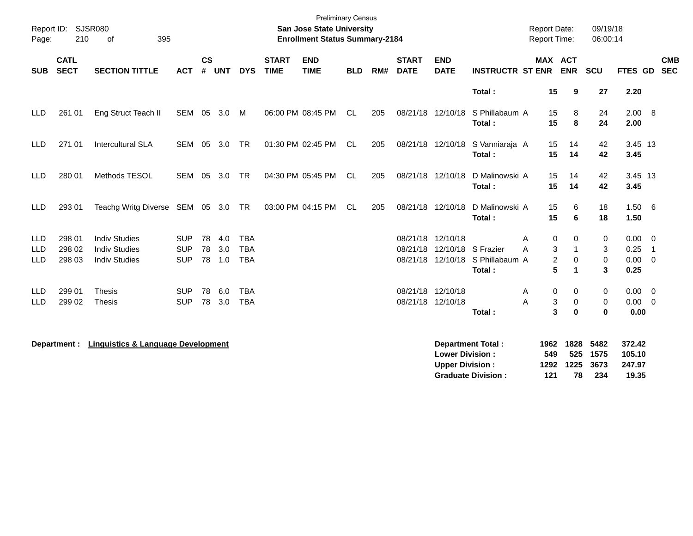| Page:                           | Report ID: SJSR080<br>210  | 395<br>of                                                            |                                        |                |                   |                                        |                             | <b>Preliminary Census</b><br><b>San Jose State University</b><br><b>Enrollment Status Summary-2184</b> |            |     |                             |                                                  |                                                                  | <b>Report Date:</b><br>Report Time:     |                           | 09/19/18<br>06:00:14        |                                            |                |                          |
|---------------------------------|----------------------------|----------------------------------------------------------------------|----------------------------------------|----------------|-------------------|----------------------------------------|-----------------------------|--------------------------------------------------------------------------------------------------------|------------|-----|-----------------------------|--------------------------------------------------|------------------------------------------------------------------|-----------------------------------------|---------------------------|-----------------------------|--------------------------------------------|----------------|--------------------------|
| <b>SUB</b>                      | <b>CATL</b><br><b>SECT</b> | <b>SECTION TITTLE</b>                                                | <b>ACT</b>                             | <b>CS</b><br># | <b>UNT</b>        | <b>DYS</b>                             | <b>START</b><br><b>TIME</b> | <b>END</b><br><b>TIME</b>                                                                              | <b>BLD</b> | RM# | <b>START</b><br><b>DATE</b> | <b>END</b><br><b>DATE</b>                        | <b>INSTRUCTR ST ENR</b>                                          |                                         | MAX ACT<br><b>ENR</b>     | SCU                         | FTES GD                                    |                | <b>CMB</b><br><b>SEC</b> |
|                                 |                            |                                                                      |                                        |                |                   |                                        |                             |                                                                                                        |            |     |                             |                                                  | Total:                                                           | 15                                      | 9                         | 27                          | 2.20                                       |                |                          |
| <b>LLD</b>                      | 261 01                     | Eng Struct Teach II                                                  | SEM 05 3.0                             |                |                   | M                                      |                             | 06:00 PM 08:45 PM                                                                                      | CL         | 205 |                             | 08/21/18 12/10/18                                | S Phillabaum A<br>Total:                                         | 15<br>15                                | 8<br>8                    | 24<br>24                    | 2.00 8<br>2.00                             |                |                          |
| <b>LLD</b>                      | 271 01                     | <b>Intercultural SLA</b>                                             | <b>SEM</b>                             | 05             | 3.0               | TR                                     |                             | 01:30 PM 02:45 PM                                                                                      | CL.        | 205 |                             | 08/21/18 12/10/18                                | S Vanniaraja A<br>Total:                                         | 15<br>15                                | 14<br>14                  | 42<br>42                    | 3.45 13<br>3.45                            |                |                          |
| <b>LLD</b>                      | 280 01                     | Methods TESOL                                                        | SEM                                    | 05             | 3.0               | TR                                     |                             | 04:30 PM 05:45 PM                                                                                      | <b>CL</b>  | 205 |                             | 08/21/18 12/10/18                                | D Malinowski A<br>Total:                                         | 15<br>15                                | 14<br>14                  | 42<br>42                    | 3.45 13<br>3.45                            |                |                          |
| <b>LLD</b>                      | 293 01                     | Teachg Writg Diverse SEM 05 3.0 TR                                   |                                        |                |                   |                                        |                             | 03:00 PM 04:15 PM                                                                                      | CL         | 205 |                             | 08/21/18 12/10/18                                | D Malinowski A<br>Total:                                         | 15<br>15                                | 6<br>6                    | 18<br>18                    | 1.506<br>1.50                              |                |                          |
| <b>LLD</b><br>LLD<br><b>LLD</b> | 298 01<br>298 02<br>298 03 | <b>Indiv Studies</b><br><b>Indiv Studies</b><br><b>Indiv Studies</b> | <b>SUP</b><br><b>SUP</b><br><b>SUP</b> | 78<br>78<br>78 | 4.0<br>3.0<br>1.0 | <b>TBA</b><br><b>TBA</b><br><b>TBA</b> |                             |                                                                                                        |            |     | 08/21/18<br>08/21/18        | 12/10/18                                         | 12/10/18 S Frazier<br>08/21/18 12/10/18 S Phillabaum A<br>Total: | 0<br>Α<br>3<br>A<br>$\overline{c}$<br>5 | 0<br>1<br>$\Omega$<br>1   | 0<br>3<br>0<br>3            | $0.00 \t 0$<br>0.25<br>$0.00 \t 0$<br>0.25 | $\overline{1}$ |                          |
| <b>LLD</b><br><b>LLD</b>        | 299 01<br>299 02           | <b>Thesis</b><br>Thesis                                              | <b>SUP</b><br><b>SUP</b>               | 78<br>78       | 6.0<br>3.0        | <b>TBA</b><br><b>TBA</b>               |                             |                                                                                                        |            |     | 08/21/18                    | 12/10/18<br>08/21/18 12/10/18                    | Total:                                                           | 0<br>Α<br>A<br>3<br>3                   | 0<br>0<br>$\bf{0}$        | 0<br>0<br>$\mathbf{0}$      | $0.00 \quad 0$<br>$0.00 \t 0$<br>0.00      |                |                          |
|                                 | Department :               | <b>Linguistics &amp; Language Development</b>                        |                                        |                |                   |                                        |                             |                                                                                                        |            |     |                             | <b>Lower Division:</b><br><b>Upper Division:</b> | <b>Department Total:</b><br><b>Graduate Division:</b>            | 1962<br>549<br>1292<br>121              | 1828<br>525<br>1225<br>78 | 5482<br>1575<br>3673<br>234 | 372.42<br>105.10<br>247.97<br>19.35        |                |                          |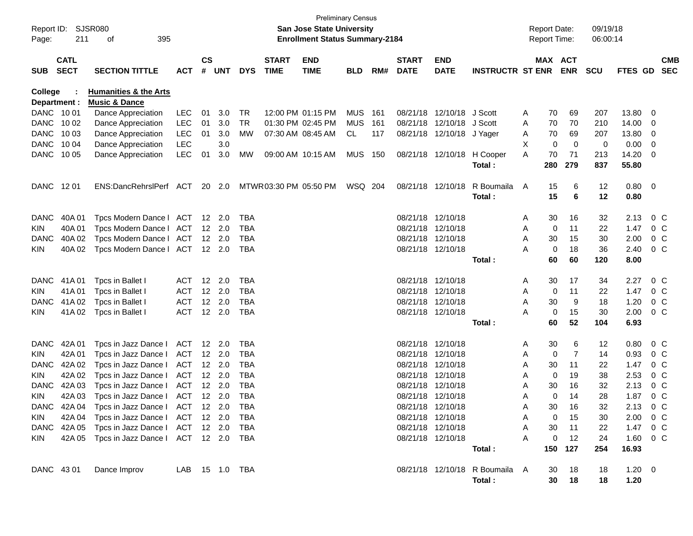| Page:                   | Report ID: SJSR080<br>211  | 395<br>οf                                                    |                |           |                |            |                             | <b>San Jose State University</b><br><b>Enrollment Status Summary-2184</b> | <b>Preliminary Census</b> |      |                             |                           |                                          |   | <b>Report Date:</b><br><b>Report Time:</b> |                | 09/19/18<br>06:00:14 |                     |                          |                          |
|-------------------------|----------------------------|--------------------------------------------------------------|----------------|-----------|----------------|------------|-----------------------------|---------------------------------------------------------------------------|---------------------------|------|-----------------------------|---------------------------|------------------------------------------|---|--------------------------------------------|----------------|----------------------|---------------------|--------------------------|--------------------------|
| <b>SUB</b>              | <b>CATL</b><br><b>SECT</b> | <b>SECTION TITTLE</b>                                        | <b>ACT</b>     | <b>CS</b> | # UNT          | <b>DYS</b> | <b>START</b><br><b>TIME</b> | <b>END</b><br><b>TIME</b>                                                 | <b>BLD</b>                | RM#  | <b>START</b><br><b>DATE</b> | <b>END</b><br><b>DATE</b> | <b>INSTRUCTR ST ENR</b>                  |   | MAX ACT                                    | <b>ENR</b>     | <b>SCU</b>           | <b>FTES GD</b>      |                          | <b>CMB</b><br><b>SEC</b> |
| College<br>Department : |                            | <b>Humanities &amp; the Arts</b><br><b>Music &amp; Dance</b> |                |           |                |            |                             |                                                                           |                           |      |                             |                           |                                          |   |                                            |                |                      |                     |                          |                          |
| DANC 1001               |                            | Dance Appreciation                                           | LEC            | 01        | 3.0            | TR         |                             | 12:00 PM 01:15 PM                                                         | MUS                       | -161 |                             | 08/21/18 12/10/18 J Scott |                                          | A | 70                                         | 69             | 207                  | 13.80               | 0                        |                          |
| DANC 1002               |                            | Dance Appreciation                                           | <b>LEC</b>     | 01        | 3.0            | <b>TR</b>  | 01:30 PM 02:45 PM           |                                                                           | MUS                       | 161  |                             | 08/21/18 12/10/18 J Scott |                                          | A | 70                                         | 70             | 210                  | 14.00               | - 0                      |                          |
| DANC 1003               |                            | Dance Appreciation                                           | <b>LEC</b>     | 01        | 3.0            | MW         |                             | 07:30 AM 08:45 AM                                                         | CL.                       | 117  |                             | 08/21/18 12/10/18 J Yager |                                          | A | 70                                         | 69             | 207                  | 13.80               | - 0                      |                          |
| DANC 1004               |                            | Dance Appreciation                                           | <b>LEC</b>     |           | 3.0            |            |                             |                                                                           |                           |      |                             |                           |                                          | х | 0                                          | 0              | 0                    | 0.00                | 0                        |                          |
| DANC 1005               |                            | Dance Appreciation                                           | <b>LEC</b>     | 01        | 3.0            | МW         |                             | 09:00 AM 10:15 AM                                                         | <b>MUS 150</b>            |      |                             | 08/21/18 12/10/18         | H Cooper<br><b>Total:</b>                | A | 70<br>280                                  | 71<br>279      | 213<br>837           | 14.20<br>55.80      | 0                        |                          |
| DANC 1201               |                            | ENS:DancRehrslPerf ACT                                       |                |           | 20 2.0         |            | MTWR 03:30 PM 05:50 PM      |                                                                           | WSQ 204                   |      |                             | 08/21/18 12/10/18         | R Boumaila<br>Total:                     | A | 15<br>15                                   | 6<br>6         | 12<br>12             | 0.80<br>0.80        | $\overline{\phantom{0}}$ |                          |
| <b>DANC</b>             | 40A 01                     | Tpcs Modern Dance   ACT                                      |                |           | $12 \quad 2.0$ | TBA        |                             |                                                                           |                           |      |                             | 08/21/18 12/10/18         |                                          | A | 30                                         | 16             | 32                   | 2.13                | 0 <sup>o</sup>           |                          |
| <b>KIN</b>              | 40A 01                     | Tpcs Modern Dance I                                          | ACT            |           | $12 \quad 2.0$ | TBA        |                             |                                                                           |                           |      |                             | 08/21/18 12/10/18         |                                          | Α | 0                                          | 11             | 22                   | 1.47                | 0 <sup>o</sup>           |                          |
| DANC                    | 40A 02                     | Tpcs Modern Dance I                                          | ACT            |           | $12 \quad 2.0$ | <b>TBA</b> |                             |                                                                           |                           |      |                             | 08/21/18 12/10/18         |                                          | Α | 30                                         | 15             | 30                   | 2.00                | 0 <sup>o</sup>           |                          |
| <b>KIN</b>              | 40A 02                     | Tpcs Modern Dance   ACT 12 2.0                               |                |           |                | <b>TBA</b> |                             |                                                                           |                           |      |                             | 08/21/18 12/10/18         |                                          | A | 0                                          | 18             | 36                   | 2.40                | 0 <sup>o</sup>           |                          |
|                         |                            |                                                              |                |           |                |            |                             |                                                                           |                           |      |                             |                           | <b>Total :</b>                           |   | 60                                         | 60             | 120                  | 8.00                |                          |                          |
| <b>DANC</b>             | 41A 01                     | Tpcs in Ballet I                                             | ACT            |           | 12 2.0         | TBA        |                             |                                                                           |                           |      |                             | 08/21/18 12/10/18         |                                          | A | 30                                         | 17             | 34                   | 2.27                | 0 <sup>o</sup>           |                          |
| <b>KIN</b>              | 41A01                      | Tpcs in Ballet I                                             | <b>ACT</b>     |           | 12 2.0         | TBA        |                             |                                                                           |                           |      |                             | 08/21/18 12/10/18         |                                          | Α | 0                                          | 11             | 22                   | 1.47                | 0 <sup>o</sup>           |                          |
| <b>DANC</b>             | 41A 02                     | Tpcs in Ballet I                                             | <b>ACT</b>     |           | 12 2.0         | TBA        |                             |                                                                           |                           |      |                             | 08/21/18 12/10/18         |                                          | Α | 30                                         | 9              | 18                   | 1.20                | 0 <sup>o</sup>           |                          |
| <b>KIN</b>              | 41A 02                     | Tpcs in Ballet I                                             | <b>ACT</b>     |           | 12 2.0         | TBA        |                             |                                                                           |                           |      |                             | 08/21/18 12/10/18         |                                          | A | 0                                          | 15             | 30                   | 2.00                | 0 <sup>o</sup>           |                          |
|                         |                            |                                                              |                |           |                |            |                             |                                                                           |                           |      |                             |                           | <b>Total :</b>                           |   | 60                                         | 52             | 104                  | 6.93                |                          |                          |
| <b>DANC</b>             | 42A 01                     | Tpcs in Jazz Dance I                                         | ACT            |           | 12 2.0         | TBA        |                             |                                                                           |                           |      |                             | 08/21/18 12/10/18         |                                          | A | 30                                         | 6              | 12                   | 0.80                | $0\,C$                   |                          |
| <b>KIN</b>              | 42A 01                     | Tpcs in Jazz Dance I                                         | ACT            |           | $12 \quad 2.0$ | <b>TBA</b> |                             |                                                                           |                           |      |                             | 08/21/18 12/10/18         |                                          | Α | 0                                          | $\overline{7}$ | 14                   | 0.93                | 0 <sup>o</sup>           |                          |
| <b>DANC</b>             | 42A 02                     | Tpcs in Jazz Dance I                                         | ACT            |           | $12 \quad 2.0$ | <b>TBA</b> |                             |                                                                           |                           |      |                             | 08/21/18 12/10/18         |                                          | Α | 30                                         | 11             | 22                   | 1.47                | 0 <sup>o</sup>           |                          |
| <b>KIN</b>              | 42A 02                     | Tpcs in Jazz Dance I                                         | ACT            |           | $12 \quad 2.0$ | <b>TBA</b> |                             |                                                                           |                           |      |                             | 08/21/18 12/10/18         |                                          | Α | 0                                          | 19             | 38                   | 2.53                | 0 <sup>o</sup>           |                          |
| <b>DANC</b>             | 42A 03                     | Tpcs in Jazz Dance I                                         | ACT            |           | $12 \quad 2.0$ | TBA        |                             |                                                                           |                           |      |                             | 08/21/18 12/10/18         |                                          | Α | 30                                         | 16             | 32                   | 2.13                | 0 <sup>o</sup>           |                          |
| <b>KIN</b>              | 42A 03                     | Tpcs in Jazz Dance I                                         | <b>ACT</b>     |           | $12 \quad 2.0$ | <b>TBA</b> |                             |                                                                           |                           |      |                             | 08/21/18 12/10/18         |                                          | Α | 0                                          | 14             | 28                   | 1.87                | 0 <sup>o</sup>           |                          |
|                         |                            | DANC 42A 04 Tpcs in Jazz Dance I ACT 12 2.0                  |                |           |                | TBA        |                             |                                                                           |                           |      |                             | 08/21/18 12/10/18         |                                          | Α | 30                                         | 16             | 32                   | 2.13                | $0\,C$                   |                          |
| KIN 1                   |                            | 42A 04 Tpcs in Jazz Dance I ACT 12 2.0 TBA                   |                |           |                |            |                             |                                                                           |                           |      |                             | 08/21/18 12/10/18         |                                          | A | $\mathbf{0}$                               | 15             | 30                   | $2.00 \t 0 \t C$    |                          |                          |
|                         |                            | DANC 42A 05 Tpcs in Jazz Dance I ACT 12 2.0                  |                |           |                | TBA        |                             |                                                                           |                           |      |                             | 08/21/18 12/10/18         |                                          | A | 30                                         | 11             | 22                   | 1.47 0 C            |                          |                          |
| KIN 1                   |                            | 42A 05 Tpcs in Jazz Dance I ACT 12 2.0 TBA                   |                |           |                |            |                             |                                                                           |                           |      |                             | 08/21/18 12/10/18         | Total:                                   | A | 0                                          | 12<br>150 127  | 24<br>254            | 1.60 0 C<br>16.93   |                          |                          |
| DANC 43 01              |                            | Dance Improv                                                 | LAB 15 1.0 TBA |           |                |            |                             |                                                                           |                           |      |                             |                           | 08/21/18 12/10/18 R Boumaila A<br>Total: |   | 30<br>30 <sub>o</sub>                      | - 18<br>18     | 18<br>18             | $1.20 \t 0$<br>1.20 |                          |                          |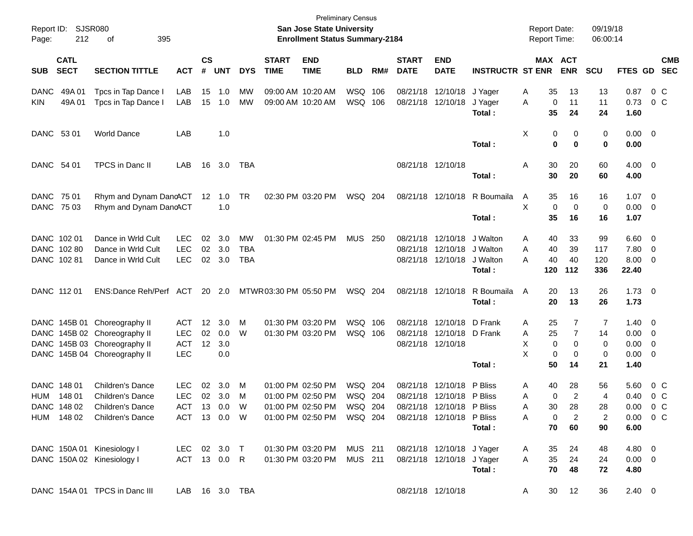| Report ID:<br>Page:        | 212                        | SJSR080<br>395<br>οf                                                                                                         |                                                      |                             |                          |                             |                             | San Jose State University<br><b>Enrollment Status Summary-2184</b>     | <b>Preliminary Census</b>     |     |                             |                                                                             |                                             | <b>Report Date:</b><br><b>Report Time:</b> |                                                                        | 09/19/18<br>06:00:14                  |                                                   |                                                           |
|----------------------------|----------------------------|------------------------------------------------------------------------------------------------------------------------------|------------------------------------------------------|-----------------------------|--------------------------|-----------------------------|-----------------------------|------------------------------------------------------------------------|-------------------------------|-----|-----------------------------|-----------------------------------------------------------------------------|---------------------------------------------|--------------------------------------------|------------------------------------------------------------------------|---------------------------------------|---------------------------------------------------|-----------------------------------------------------------|
| <b>SUB</b>                 | <b>CATL</b><br><b>SECT</b> | <b>SECTION TITTLE</b>                                                                                                        | <b>ACT</b>                                           | $\mathsf{cs}$<br>#          | <b>UNT</b>               | <b>DYS</b>                  | <b>START</b><br><b>TIME</b> | <b>END</b><br><b>TIME</b>                                              | <b>BLD</b>                    | RM# | <b>START</b><br><b>DATE</b> | <b>END</b><br><b>DATE</b>                                                   | <b>INSTRUCTR ST ENR</b>                     |                                            | MAX ACT<br><b>ENR</b>                                                  | <b>SCU</b>                            | FTES GD                                           | <b>CMB</b><br><b>SEC</b>                                  |
| <b>DANC</b><br><b>KIN</b>  | 49A 01<br>49A01            | Tpcs in Tap Dance<br>Tpcs in Tap Dance I                                                                                     | LAB<br>LAB                                           | 15                          | 1.0<br>15 1.0            | MW<br>MW                    |                             | 09:00 AM 10:20 AM<br>09:00 AM 10:20 AM                                 | WSQ 106<br>WSQ 106            |     |                             | 08/21/18 12/10/18<br>08/21/18 12/10/18                                      | J Yager<br>J Yager<br>Total:                | A<br>35<br>A<br>35                         | 13<br>0<br>11<br>24                                                    | 13<br>11<br>24                        | 0.87<br>0.73<br>1.60                              | 0 <sup>C</sup><br>$0\,$ C                                 |
| DANC 53 01                 |                            | <b>World Dance</b>                                                                                                           | LAB                                                  |                             | 1.0                      |                             |                             |                                                                        |                               |     |                             |                                                                             | Total:                                      | Χ                                          | 0<br>0<br>0<br>0                                                       | 0<br>0                                | $0.00 \quad 0$<br>0.00                            |                                                           |
| DANC 54 01                 |                            | TPCS in Danc II                                                                                                              | LAB                                                  | 16                          | 3.0                      | TBA                         |                             |                                                                        |                               |     |                             | 08/21/18 12/10/18                                                           | Total:                                      | 30<br>A<br>30                              | 20<br>20                                                               | 60<br>60                              | $4.00 \ 0$<br>4.00                                |                                                           |
| DANC 75 01<br>DANC 75 03   |                            | Rhym and Dynam DancACT 12 1.0 TR<br>Rhym and Dynam DanoACT                                                                   |                                                      |                             | 1.0                      |                             |                             | 02:30 PM 03:20 PM                                                      | WSQ 204                       |     |                             | 08/21/18 12/10/18                                                           | R Boumaila<br>Total:                        | A<br>35<br>X<br>35                         | 16<br>0<br>$\mathbf 0$<br>16                                           | 16<br>0<br>16                         | 1.07<br>0.00<br>1.07                              | $\overline{\phantom{0}}$<br>$\overline{\phantom{0}}$      |
| DANC 102 01<br>DANC 102 81 | DANC 102 80                | Dance in Wrld Cult<br>Dance in Wrld Cult<br>Dance in Wrld Cult                                                               | <b>LEC</b><br><b>LEC</b><br><b>LEC</b>               | 02                          | 3.0<br>02 3.0<br>02 3.0  | MW<br>TBA<br><b>TBA</b>     |                             | 01:30 PM 02:45 PM                                                      | <b>MUS 250</b>                |     |                             | 08/21/18 12/10/18<br>08/21/18 12/10/18<br>08/21/18 12/10/18                 | J Walton<br>J Walton<br>J Walton<br>Total : | A<br>40<br>40<br>A<br>40<br>A<br>120       | 33<br>39<br>40<br>112                                                  | 99<br>117<br>120<br>336               | 6.60<br>7.80<br>8.00<br>22.40                     | $\overline{\mathbf{0}}$<br>$\overline{\mathbf{0}}$<br>- 0 |
| DANC 112 01                |                            | ENS:Dance Reh/Perf ACT                                                                                                       |                                                      |                             | 20 2.0                   |                             | MTWR 03:30 PM 05:50 PM      |                                                                        | WSQ 204                       |     |                             | 08/21/18 12/10/18                                                           | R Boumaila<br>Total:                        | 20<br>A<br>20                              | 13<br>13                                                               | 26<br>26                              | $1.73 \t 0$<br>1.73                               |                                                           |
|                            |                            | DANC 145B 01 Choreography II<br>DANC 145B 02 Choreography II<br>DANC 145B 03 Choreography II<br>DANC 145B 04 Choreography II | <b>ACT</b><br><b>LEC</b><br><b>ACT</b><br><b>LEC</b> | 12 <sub>2</sub><br>02<br>12 | 3.0<br>0.0<br>3.0<br>0.0 | M<br>W                      |                             | 01:30 PM 03:20 PM<br>01:30 PM 03:20 PM                                 | WSQ 106<br>WSQ 106            |     |                             | 08/21/18 12/10/18<br>08/21/18 12/10/18 D Frank<br>08/21/18 12/10/18         | D Frank<br>Total:                           | A<br>25<br>25<br>A<br>X<br>X<br>50         | 7<br>7<br>0<br>0<br>0<br>0<br>14                                       | 7<br>14<br>0<br>0<br>21               | $1.40 \ 0$<br>$0.00 \t 0$<br>0.00<br>0.00<br>1.40 | - 0<br>- 0                                                |
| DANC 148 01<br>HUM         | 148 01<br>DANC 148 02      | <b>Children's Dance</b><br><b>Children's Dance</b><br>Children's Dance<br>HUM 148 02 Children's Dance                        | <b>LEC</b><br><b>LEC</b><br>ACT 13 0.0               | 02                          | 3.0<br>02 3.0            | M<br>M<br>W<br>ACT 13 0.0 W |                             | 01:00 PM 02:50 PM<br>01:00 PM 02:50 PM<br>01:00 PM 02:50 PM            | WSQ 204<br>WSQ 204<br>WSQ 204 |     |                             | 08/21/18 12/10/18<br>08/21/18 12/10/18 P Bliss<br>08/21/18 12/10/18 P Bliss | P Bliss<br>Total:                           | 40<br>A<br>A<br>30<br>А<br>A<br>70         | 28<br>$\overline{2}$<br>0<br>28<br>$\overline{2}$<br>$\mathbf 0$<br>60 | 56<br>$\overline{4}$<br>28<br>2<br>90 | 5.60<br>0.40<br>0.00<br>$0.00 \t 0 C$<br>6.00     | $0\,$ C<br>$0\,C$<br>0 C                                  |
|                            |                            | DANC 150A 01 Kinesiology I<br>LEC 02 3.0 T<br>DANC 150A 02 Kinesiology I                                                     |                                                      |                             |                          |                             |                             | 01:30 PM 03:20 PM MUS 211<br>ACT 13 0.0 R  01:30 PM 03:20 PM  MUS  211 |                               |     |                             | 08/21/18 12/10/18 J Yager<br>08/21/18 12/10/18 J Yager                      | Total:                                      | 35<br>A<br>35<br>A<br>70                   | 24<br>24<br>48                                                         | 48<br>24<br>72                        | $4.80\quad 0$<br>$0.00 \t 0$<br>4.80              |                                                           |
|                            |                            | DANC 154A 01 TPCS in Danc III                                                                                                | LAB  16  3.0  TBA                                    |                             |                          |                             |                             |                                                                        |                               |     |                             | 08/21/18 12/10/18                                                           |                                             | A                                          | 30 12                                                                  | 36                                    | $2.40\ 0$                                         |                                                           |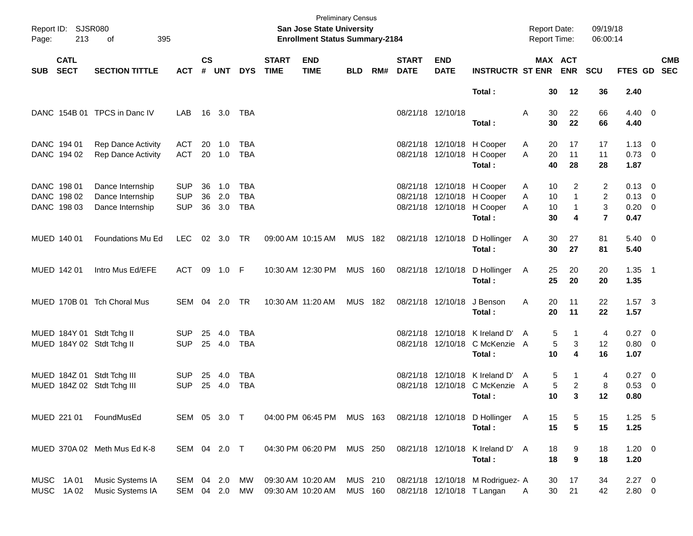| Page:      | Report ID: SJSR080<br>213                 | of<br>395                                                |                                        |                    |                      |                                 |                             | <b>Preliminary Census</b><br><b>San Jose State University</b><br><b>Enrollment Status Summary-2184</b> |                           |     |                             |                           |                                                                                                  | <b>Report Date:</b><br>Report Time: |                             | 09/19/18<br>06:00:14                       |                                                    |                           |
|------------|-------------------------------------------|----------------------------------------------------------|----------------------------------------|--------------------|----------------------|---------------------------------|-----------------------------|--------------------------------------------------------------------------------------------------------|---------------------------|-----|-----------------------------|---------------------------|--------------------------------------------------------------------------------------------------|-------------------------------------|-----------------------------|--------------------------------------------|----------------------------------------------------|---------------------------|
| <b>SUB</b> | <b>CATL</b><br><b>SECT</b>                | <b>SECTION TITTLE</b>                                    | <b>ACT</b>                             | $\mathsf{cs}$<br># | <b>UNT</b>           | <b>DYS</b>                      | <b>START</b><br><b>TIME</b> | <b>END</b><br><b>TIME</b>                                                                              | <b>BLD</b>                | RM# | <b>START</b><br><b>DATE</b> | <b>END</b><br><b>DATE</b> | <b>INSTRUCTR ST ENR ENR</b>                                                                      |                                     | MAX ACT                     | SCU                                        |                                                    | <b>CMB</b><br>FTES GD SEC |
|            |                                           |                                                          |                                        |                    |                      |                                 |                             |                                                                                                        |                           |     |                             |                           | Total:                                                                                           | 30                                  | 12                          | 36                                         | 2.40                                               |                           |
|            |                                           | DANC 154B 01 TPCS in Danc IV                             | LAB.                                   |                    | 16 3.0               | TBA                             |                             |                                                                                                        |                           |     | 08/21/18 12/10/18           |                           | Total :                                                                                          | A<br>30<br>30                       | 22<br>22                    | 66<br>66                                   | $4.40 \quad 0$<br>4.40                             |                           |
|            | DANC 194 01<br>DANC 194 02                | <b>Rep Dance Activity</b><br><b>Rep Dance Activity</b>   | <b>ACT</b><br><b>ACT</b>               | 20                 | 1.0<br>20 1.0        | TBA<br><b>TBA</b>               |                             |                                                                                                        |                           |     |                             |                           | 08/21/18 12/10/18 H Cooper<br>08/21/18 12/10/18 H Cooper<br>Total:                               | A<br>20<br>A<br>20<br>40            | 17<br>11<br>28              | 17<br>11<br>28                             | $1.13 \ 0$<br>$0.73 \quad 0$<br>1.87               |                           |
|            | DANC 198 01<br>DANC 198 02<br>DANC 198 03 | Dance Internship<br>Dance Internship<br>Dance Internship | <b>SUP</b><br><b>SUP</b><br><b>SUP</b> | 36<br>36           | 1.0<br>2.0<br>36 3.0 | TBA<br><b>TBA</b><br><b>TBA</b> |                             |                                                                                                        |                           |     |                             |                           | 08/21/18 12/10/18 H Cooper<br>08/21/18 12/10/18 H Cooper<br>08/21/18 12/10/18 H Cooper<br>Total: | 10<br>Α<br>Α<br>10<br>A<br>10<br>30 | 2<br>$\mathbf{1}$<br>1<br>4 | 2<br>$\overline{2}$<br>3<br>$\overline{7}$ | $0.13 \quad 0$<br>$0.13 \ 0$<br>$0.20 \ 0$<br>0.47 |                           |
|            | MUED 140 01                               | Foundations Mu Ed                                        | <b>LEC</b>                             |                    | 02 3.0               | TR                              |                             | 09:00 AM 10:15 AM                                                                                      | MUS 182                   |     |                             |                           | 08/21/18 12/10/18 D Hollinger<br>Total:                                                          | 30<br>A<br>30                       | 27<br>27                    | 81<br>81                                   | $5.40 \ 0$<br>5.40                                 |                           |
|            | MUED 142 01                               | Intro Mus Ed/EFE                                         | <b>ACT</b>                             |                    | 09 1.0 F             |                                 |                             | 10:30 AM 12:30 PM                                                                                      | <b>MUS 160</b>            |     |                             |                           | 08/21/18 12/10/18 D Hollinger<br>Total:                                                          | 25<br>A<br>25                       | 20<br>20                    | 20<br>20                                   | $1.35$ 1<br>1.35                                   |                           |
|            |                                           | MUED 170B 01 Tch Choral Mus                              | SEM 04 2.0                             |                    |                      | <b>TR</b>                       |                             | 10:30 AM 11:20 AM                                                                                      | <b>MUS 182</b>            |     |                             | 08/21/18 12/10/18         | J Benson<br>Total:                                                                               | A<br>20<br>20                       | 11<br>11                    | 22<br>22                                   | $1.57$ 3<br>1.57                                   |                           |
|            |                                           | MUED 184Y 01 Stdt Tchg II<br>MUED 184Y 02 Stdt Tchg II   | <b>SUP</b><br><b>SUP</b>               | 25                 | 4.0<br>25 4.0        | <b>TBA</b><br><b>TBA</b>        |                             |                                                                                                        |                           |     |                             |                           | 08/21/18 12/10/18 K Ireland D'<br>08/21/18 12/10/18 C McKenzie A<br>Total:                       | 5<br>A<br>5<br>10                   | 1<br>3<br>4                 | 4<br>12<br>16                              | $0.27$ 0<br>0.80 0<br>1.07                         |                           |
|            |                                           | MUED 184Z 01 Stdt Tchg III<br>MUED 184Z 02 Stdt Tchg III | <b>SUP</b><br><b>SUP</b>               | 25                 | 4.0<br>25 4.0        | <b>TBA</b><br><b>TBA</b>        |                             |                                                                                                        |                           |     |                             |                           | 08/21/18 12/10/18 K Ireland D'<br>08/21/18 12/10/18 C McKenzie A<br>Total :                      | 5<br>A<br>5<br>10                   | 1<br>2<br>3                 | 4<br>8<br>12                               | $0.27$ 0<br>0.53 0<br>0.80                         |                           |
|            | MUED 221 01                               | FoundMusEd                                               | SEM 05 3.0 T                           |                    |                      |                                 |                             | 04:00 PM 06:45 PM MUS 163                                                                              |                           |     |                             |                           | 08/21/18 12/10/18 D Hollinger A<br>Total:                                                        | 15<br>15                            | 5<br>5                      | 15<br>15                                   | $1.25$ 5<br>1.25                                   |                           |
|            |                                           | MUED 370A 02 Meth Mus Ed K-8                             | SEM 04 2.0 T                           |                    |                      |                                 |                             | 04:30 PM 06:20 PM                                                                                      | MUS 250                   |     |                             |                           | 08/21/18 12/10/18 K Ireland D' A<br>Total:                                                       | 18<br>18                            | 9<br>$\boldsymbol{9}$       | 18<br>18                                   | $1.20 \t 0$<br>1.20                                |                           |
|            | MUSC 1A01<br>MUSC 1A02                    | Music Systems IA<br>Music Systems IA                     | SEM 04 2.0<br>SEM 04 2.0               |                    |                      | MW<br>MW                        |                             | 09:30 AM 10:20 AM<br>09:30 AM 10:20 AM                                                                 | MUS 210<br><b>MUS 160</b> |     |                             |                           | 08/21/18 12/10/18 M Rodriguez- A<br>08/21/18 12/10/18 T Langan                                   | 30<br>30<br>A                       | 17<br>21                    | 34<br>42                                   | $2.27$ 0<br>2.80 0                                 |                           |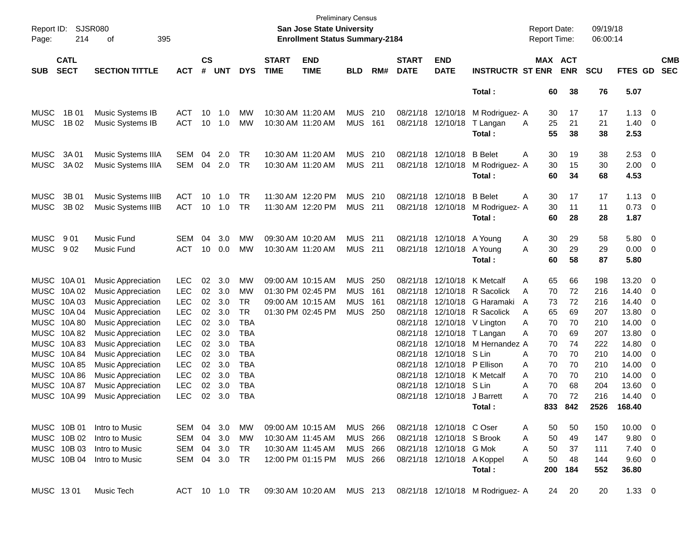| Page:       | Report ID: SJSR080<br>214  | 395<br>οf                                              |                          |                    |            |                          |                             | <b>Preliminary Census</b><br>San Jose State University<br><b>Enrollment Status Summary-2184</b> |                |     |                             |                                     |                                  | <b>Report Date:</b><br><b>Report Time:</b> |                       | 09/19/18<br>06:00:14 |                |                |                          |
|-------------|----------------------------|--------------------------------------------------------|--------------------------|--------------------|------------|--------------------------|-----------------------------|-------------------------------------------------------------------------------------------------|----------------|-----|-----------------------------|-------------------------------------|----------------------------------|--------------------------------------------|-----------------------|----------------------|----------------|----------------|--------------------------|
| <b>SUB</b>  | <b>CATL</b><br><b>SECT</b> | <b>SECTION TITTLE</b>                                  | <b>ACT</b>               | $\mathsf{cs}$<br># | <b>UNT</b> | <b>DYS</b>               | <b>START</b><br><b>TIME</b> | <b>END</b><br><b>TIME</b>                                                                       | <b>BLD</b>     | RM# | <b>START</b><br><b>DATE</b> | <b>END</b><br><b>DATE</b>           | <b>INSTRUCTR ST ENR</b>          |                                            | MAX ACT<br><b>ENR</b> | <b>SCU</b>           | FTES GD        |                | <b>CMB</b><br><b>SEC</b> |
|             |                            |                                                        |                          |                    |            |                          |                             |                                                                                                 |                |     |                             |                                     | Total:                           | 60                                         | 38                    | 76                   | 5.07           |                |                          |
| <b>MUSC</b> | 1B 01                      | Music Systems IB                                       | <b>ACT</b>               | 10                 | 1.0        | MW                       | 10:30 AM 11:20 AM           |                                                                                                 | <b>MUS</b>     | 210 |                             | 08/21/18 12/10/18                   | M Rodriguez- A                   | 30                                         | 17                    | 17                   | 1.13           | $\overline{0}$ |                          |
| <b>MUSC</b> | 1B 02                      | Music Systems IB                                       | <b>ACT</b>               | 10                 | 1.0        | MW                       | 10:30 AM 11:20 AM           |                                                                                                 | <b>MUS</b>     | 161 |                             | 08/21/18 12/10/18                   | T Langan                         | 25<br>A                                    | 21                    | 21                   | 1.40           | 0              |                          |
|             |                            |                                                        |                          |                    |            |                          |                             |                                                                                                 |                |     |                             |                                     | Total:                           | 55                                         | 38                    | 38                   | 2.53           |                |                          |
| <b>MUSC</b> | 3A 01                      | Music Systems IIIA                                     | <b>SEM</b>               | 04                 | 2.0        | TR                       | 10:30 AM 11:20 AM           |                                                                                                 | <b>MUS</b>     | 210 |                             | 08/21/18 12/10/18                   | <b>B</b> Belet                   | 30<br>Α                                    | 19                    | 38                   | 2.53           | 0              |                          |
| <b>MUSC</b> | 3A 02                      | Music Systems IIIA                                     | <b>SEM</b>               | 04                 | 2.0        | TR                       | 10:30 AM 11:20 AM           |                                                                                                 | <b>MUS</b>     | 211 |                             | 08/21/18 12/10/18                   | M Rodriguez- A                   | 30                                         | 15                    | 30                   | 2.00           | 0              |                          |
|             |                            |                                                        |                          |                    |            |                          |                             |                                                                                                 |                |     |                             |                                     | Total:                           | 60                                         | 34                    | 68                   | 4.53           |                |                          |
| <b>MUSC</b> | 3B 01                      | Music Systems IIIB                                     | ACT                      | 10                 | 1.0        | TR                       |                             | 11:30 AM 12:20 PM                                                                               | <b>MUS</b>     | 210 |                             | 08/21/18 12/10/18                   | <b>B</b> Belet                   | Α<br>30                                    | 17                    | 17                   | 1.13           | $\overline{0}$ |                          |
| <b>MUSC</b> | 3B 02                      | Music Systems IIIB                                     | <b>ACT</b>               | 10                 | 1.0        | TR                       | 11:30 AM 12:20 PM           |                                                                                                 | <b>MUS</b>     | 211 |                             | 08/21/18 12/10/18                   | M Rodriguez- A                   | 30                                         | 11                    | 11                   | 0.73           | 0              |                          |
|             |                            |                                                        |                          |                    |            |                          |                             |                                                                                                 |                |     |                             |                                     | Total:                           | 60                                         | 28                    | 28                   | 1.87           |                |                          |
| <b>MUSC</b> | 901                        | Music Fund                                             | <b>SEM</b>               | 04                 | 3.0        | MW                       | 09:30 AM 10:20 AM           |                                                                                                 | <b>MUS</b>     | 211 |                             | 08/21/18 12/10/18                   | A Young                          | A<br>30                                    | 29                    | 58                   | 5.80           | $\overline{0}$ |                          |
| <b>MUSC</b> | 902                        | Music Fund                                             | <b>ACT</b>               | 10                 | 0.0        | MW                       | 10:30 AM 11:20 AM           |                                                                                                 | <b>MUS</b>     | 211 |                             | 08/21/18 12/10/18                   | A Young                          | 30<br>A                                    | 29                    | 29                   | 0.00           | 0              |                          |
|             |                            |                                                        |                          |                    |            |                          |                             |                                                                                                 |                |     |                             |                                     | Total:                           | 60                                         | 58                    | 87                   | 5.80           |                |                          |
| MUSC 10A 01 |                            | <b>Music Appreciation</b>                              | <b>LEC</b>               | 02                 | 3.0        | MW                       | 09:00 AM 10:15 AM           |                                                                                                 | <b>MUS</b>     | 250 |                             | 08/21/18 12/10/18                   | K Metcalf                        | 65<br>Α                                    | 66                    | 198                  | 13.20          | 0              |                          |
|             | MUSC 10A02                 | <b>Music Appreciation</b>                              | <b>LEC</b>               | 02                 | 3.0        | MW                       | 01:30 PM 02:45 PM           |                                                                                                 | <b>MUS</b>     | 161 |                             |                                     | 08/21/18 12/10/18 R Sacolick     | 70<br>A                                    | 72                    | 216                  | 14.40          | 0              |                          |
|             | MUSC 10A03                 | <b>Music Appreciation</b>                              | <b>LEC</b>               | 02                 | 3.0        | <b>TR</b>                | 09:00 AM 10:15 AM           |                                                                                                 | <b>MUS</b>     | 161 |                             | 08/21/18 12/10/18                   | G Haramaki                       | A<br>73                                    | 72                    | 216                  | 14.40          | 0              |                          |
|             | MUSC 10A 04                | <b>Music Appreciation</b>                              | <b>LEC</b>               | 02                 | 3.0        | <b>TR</b>                | 01:30 PM 02:45 PM           |                                                                                                 | <b>MUS</b>     | 250 |                             | 08/21/18 12/10/18                   | R Sacolick                       | 65<br>A                                    | 69                    | 207                  | 13.80          | 0              |                          |
|             | MUSC 10A 80                | <b>Music Appreciation</b>                              | <b>LEC</b>               | 02                 | 3.0        | <b>TBA</b>               |                             |                                                                                                 |                |     |                             |                                     | 08/21/18 12/10/18 V Lington      | 70<br>A                                    | 70                    | 210                  | 14.00          | 0              |                          |
|             | MUSC 10A82                 | <b>Music Appreciation</b>                              | <b>LEC</b>               | 02                 | 3.0        | <b>TBA</b>               |                             |                                                                                                 |                |     |                             | 08/21/18 12/10/18                   | T Langan                         | 70<br>Α                                    | 69                    | 207                  | 13.80          | 0              |                          |
|             | MUSC 10A83                 | <b>Music Appreciation</b>                              | <b>LEC</b>               | 02                 | 3.0        | <b>TBA</b>               |                             |                                                                                                 |                |     | 08/21/18                    |                                     | 12/10/18 M Hernandez A           | 70                                         | 74                    | 222                  | 14.80          | 0              |                          |
|             | MUSC 10A 84                | <b>Music Appreciation</b>                              | <b>LEC</b>               | 02                 | 3.0        | <b>TBA</b>               |                             |                                                                                                 |                |     | 08/21/18                    | 12/10/18                            | S Lin                            | 70<br>A                                    | 70                    | 210                  | 14.00          | 0              |                          |
|             | MUSC 10A 85                | <b>Music Appreciation</b>                              | <b>LEC</b>               | 02                 | 3.0        | <b>TBA</b>               |                             |                                                                                                 |                |     | 08/21/18                    | 12/10/18                            | P Ellison                        | 70<br>A                                    | 70                    | 210                  | 14.00          | 0              |                          |
|             | MUSC 10A 86<br>MUSC 10A 87 | <b>Music Appreciation</b>                              | <b>LEC</b>               | 02                 | 3.0        | <b>TBA</b>               |                             |                                                                                                 |                |     | 08/21/18                    |                                     | 12/10/18 K Metcalf               | 70<br>A                                    | 70                    | 210                  | 14.00          | 0              |                          |
|             | MUSC 10A 99                | <b>Music Appreciation</b><br><b>Music Appreciation</b> | <b>LEC</b><br><b>LEC</b> | 02<br>02           | 3.0<br>3.0 | <b>TBA</b><br><b>TBA</b> |                             |                                                                                                 |                |     | 08/21/18                    | 12/10/18 S Lin<br>08/21/18 12/10/18 | J Barrett                        | 70<br>A<br>70<br>A                         | 68<br>72              | 204<br>216           | 13.60<br>14.40 | 0<br>0         |                          |
|             |                            |                                                        |                          |                    |            |                          |                             |                                                                                                 |                |     |                             |                                     | Total:                           | 833                                        | 842                   | 2526                 | 168.40         |                |                          |
|             |                            |                                                        |                          |                    |            |                          |                             |                                                                                                 |                |     |                             |                                     |                                  |                                            |                       |                      |                |                |                          |
|             | MUSC 10B 01                | Intro to Music                                         | SEM 04 3.0               |                    |            | МW                       |                             | 09:00 AM 10:15 AM                                                                               | <b>MUS 266</b> |     |                             | 08/21/18 12/10/18 COser             |                                  | 50<br>A                                    | 50                    | 150                  | $10.00 \t 0$   |                |                          |
|             | MUSC 10B 02                | Intro to Music                                         | SEM                      | 04                 | 3.0        | МW                       | 10:30 AM 11:45 AM           |                                                                                                 | MUS 266        |     |                             | 08/21/18 12/10/18 S Brook           |                                  | 50<br>A                                    | 49                    | 147                  | 9.80 0         |                |                          |
|             | MUSC 10B 03                | Intro to Music                                         | SEM                      |                    | 04 3.0     | TR                       |                             | 10:30 AM 11:45 AM                                                                               | MUS 266        |     |                             | 08/21/18 12/10/18 G Mok             |                                  | 50<br>A                                    | 37                    | 111                  | $7.40 \quad 0$ |                |                          |
|             | MUSC 10B 04                | Intro to Music                                         | SEM 04 3.0 TR            |                    |            |                          |                             | 12:00 PM 01:15 PM                                                                               | MUS 266        |     |                             | 08/21/18 12/10/18 A Koppel          |                                  | 50<br>A                                    | 48                    | 144                  | 9.60 0         |                |                          |
|             |                            |                                                        |                          |                    |            |                          |                             |                                                                                                 |                |     |                             |                                     | Total:                           | 200                                        | 184                   | 552                  | 36.80          |                |                          |
| MUSC 1301   |                            | Music Tech                                             | ACT 10 1.0 TR            |                    |            |                          |                             | 09:30 AM 10:20 AM MUS 213                                                                       |                |     |                             |                                     | 08/21/18 12/10/18 M Rodriguez- A |                                            | 24<br>20              | 20                   | $1.33 \ 0$     |                |                          |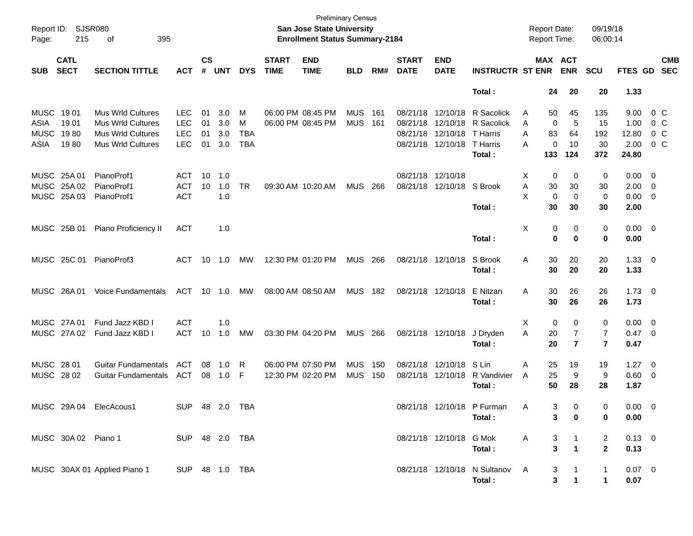| Report ID:<br>Page:                      | SJSR080<br>215             | 395<br>οf                                                                                                    |                                                      |                      |                          |                      |                             | <b>Preliminary Census</b><br>San Jose State University<br><b>Enrollment Status Summary-2184</b> |                          |              |                                              |                                              |                                                            |                  | <b>Report Date:</b><br><b>Report Time:</b> |                            | 09/19/18<br>06:00:14          |                                        |                                                      |
|------------------------------------------|----------------------------|--------------------------------------------------------------------------------------------------------------|------------------------------------------------------|----------------------|--------------------------|----------------------|-----------------------------|-------------------------------------------------------------------------------------------------|--------------------------|--------------|----------------------------------------------|----------------------------------------------|------------------------------------------------------------|------------------|--------------------------------------------|----------------------------|-------------------------------|----------------------------------------|------------------------------------------------------|
| <b>SUB</b>                               | <b>CATL</b><br><b>SECT</b> | <b>SECTION TITTLE</b>                                                                                        | <b>ACT</b>                                           | $\mathsf{cs}$<br>#   | <b>UNT</b>               | <b>DYS</b>           | <b>START</b><br><b>TIME</b> | <b>END</b><br><b>TIME</b>                                                                       | <b>BLD</b>               | RM#          | <b>START</b><br><b>DATE</b>                  | <b>END</b><br><b>DATE</b>                    | <b>INSTRUCTR ST ENR</b>                                    |                  | MAX ACT                                    | <b>ENR</b>                 | <b>SCU</b>                    | FTES GD                                | <b>CMB</b><br><b>SEC</b>                             |
|                                          |                            |                                                                                                              |                                                      |                      |                          |                      |                             |                                                                                                 |                          |              |                                              |                                              | Total:                                                     |                  | 24                                         | 20                         | 20                            | 1.33                                   |                                                      |
| MUSC 1901<br>ASIA<br><b>MUSC</b><br>ASIA | 19 01<br>1980<br>1980      | <b>Mus Wrld Cultures</b><br><b>Mus Wrld Cultures</b><br><b>Mus Wrld Cultures</b><br><b>Mus Wrld Cultures</b> | <b>LEC</b><br><b>LEC</b><br><b>LEC</b><br><b>LEC</b> | 01<br>01<br>01<br>01 | 3.0<br>3.0<br>3.0<br>3.0 | M<br>М<br>TBA<br>TBA |                             | 06:00 PM 08:45 PM<br>06:00 PM 08:45 PM                                                          | <b>MUS</b><br><b>MUS</b> | 161<br>- 161 | 08/21/18<br>08/21/18<br>08/21/18<br>08/21/18 | 12/10/18<br>12/10/18<br>12/10/18<br>12/10/18 | R Sacolick<br>R Sacolick<br>T Harris<br>T Harris<br>Total: | A<br>Α<br>A<br>A | 50<br>0<br>83<br>0<br>133                  | 45<br>5<br>64<br>10<br>124 | 135<br>15<br>192<br>30<br>372 | 9.00<br>1.00<br>12.80<br>2.00<br>24.80 | $0\,$ C<br>$0\,$ C<br>$0\,$ C<br>$0\,$ C             |
| MUSC 25A 01                              | MUSC 25A 02<br>MUSC 25A 03 | PianoProf1<br>PianoProf1<br>PianoProf1                                                                       | <b>ACT</b><br><b>ACT</b><br><b>ACT</b>               | 10<br>10             | 1.0<br>1.0<br>1.0        | TR                   |                             | 09:30 AM 10:20 AM                                                                               | <b>MUS</b>               | 266          | 08/21/18 12/10/18<br>08/21/18                | 12/10/18                                     | S Brook<br>Total:                                          | X.<br>Α<br>X     | 0<br>30<br>0<br>30                         | 0<br>30<br>0<br>30         | 0<br>30<br>0<br>30            | $0.00 \t 0$<br>2.00<br>0.00<br>2.00    | $\overline{\phantom{0}}$<br>$\overline{\phantom{0}}$ |
|                                          | MUSC 25B 01                | Piano Proficiency II                                                                                         | <b>ACT</b>                                           |                      | 1.0                      |                      |                             |                                                                                                 |                          |              |                                              |                                              | Total:                                                     | Χ                | 0<br>0                                     | 0<br>0                     | 0<br>0                        | $0.00 \t 0$<br>0.00                    |                                                      |
|                                          | MUSC 25C 01                | PianoProf3                                                                                                   | ACT                                                  | 10                   | 1.0                      | МW                   |                             | 12:30 PM 01:20 PM                                                                               | MUS                      | 266          | 08/21/18 12/10/18                            |                                              | S Brook<br>Total:                                          | Α                | 30<br>30                                   | 20<br>20                   | 20<br>20                      | $1.33 \ 0$<br>1.33                     |                                                      |
|                                          | MUSC 26A01                 | Voice Fundamentals                                                                                           | ACT                                                  |                      | 10 1.0                   | МW                   |                             | 08:00 AM 08:50 AM                                                                               | <b>MUS</b>               | 182          | 08/21/18 12/10/18                            |                                              | E Nitzan<br>Total:                                         | Α                | 30<br>30                                   | 26<br>26                   | 26<br>26                      | $1.73 \t 0$<br>1.73                    |                                                      |
| MUSC 27A 01                              | MUSC 27A 02                | Fund Jazz KBD I<br>Fund Jazz KBD I                                                                           | <b>ACT</b><br><b>ACT</b>                             | 10                   | 1.0<br>1.0               | МW                   |                             | 03:30 PM 04:20 PM                                                                               | <b>MUS</b>               | 266          | 08/21/18 12/10/18                            |                                              | J Dryden<br>Total:                                         | X<br>A           | 0<br>20<br>20                              | 0<br>7<br>$\overline{7}$   | 0<br>7<br>$\overline{7}$      | $0.00 \t 0$<br>0.47 0<br>0.47          |                                                      |
| MUSC 28 01<br>MUSC 28 02                 |                            | <b>Guitar Fundamentals</b><br><b>Guitar Fundamentals</b>                                                     | ACT<br>ACT                                           | 08<br>08             | 1.0<br>1.0               | R<br>-F              |                             | 06:00 PM 07:50 PM<br>12:30 PM 02:20 PM                                                          | <b>MUS</b><br><b>MUS</b> | 150<br>150   | 08/21/18                                     | 12/10/18<br>08/21/18 12/10/18                | S Lin<br>R Vandivier<br>Total :                            | A<br>A           | 25<br>25<br>50                             | 19<br>9<br>28              | 19<br>9<br>28                 | 1.27<br>0.60<br>1.87                   | $\overline{\phantom{0}}$<br>$\overline{\phantom{0}}$ |
|                                          |                            | MUSC 29A 04 ElecAcous1                                                                                       | <b>SUP</b>                                           |                      |                          | 48 2.0 TBA           |                             |                                                                                                 |                          |              |                                              | 08/21/18 12/10/18                            | P Furman<br>Total:                                         | A                | 3<br>3                                     | 0<br>0                     | $\Omega$<br>0                 | $0.00 \quad 0$<br>0.00                 |                                                      |
|                                          | MUSC 30A 02 Piano 1        |                                                                                                              | SUP 48 2.0 TBA                                       |                      |                          |                      |                             |                                                                                                 |                          |              |                                              | 08/21/18 12/10/18 G Mok                      | Total:                                                     | A                | 3<br>3                                     | 1<br>$\mathbf 1$           | 2<br>$\mathbf{2}$             | $0.13 \ 0$<br>0.13                     |                                                      |
|                                          |                            | MUSC 30AX 01 Applied Piano 1                                                                                 | SUP 48 1.0 TBA                                       |                      |                          |                      |                             |                                                                                                 |                          |              |                                              |                                              | 08/21/18 12/10/18 N Sultanov<br>Total:                     | A                | 3<br>3                                     | 1<br>$\mathbf 1$           | 1<br>$\mathbf{1}$             | $0.07$ 0<br>0.07                       |                                                      |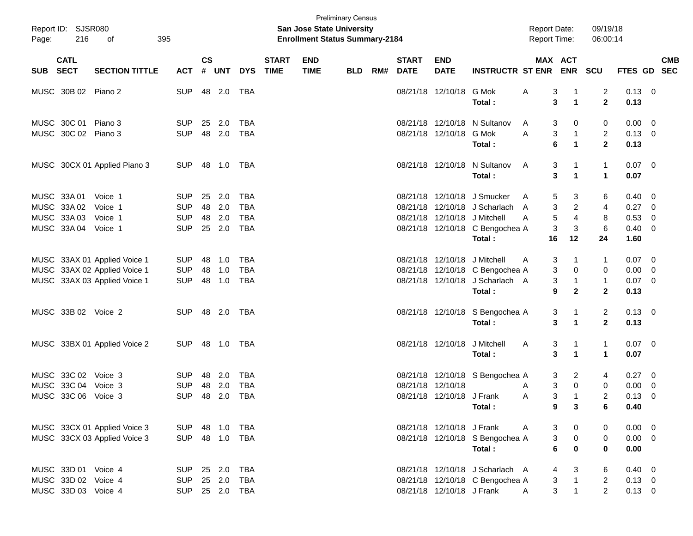| $\mathsf{cs}$<br><b>CATL</b><br><b>START</b><br><b>END</b><br><b>START</b><br><b>END</b><br>MAX ACT<br><b>CMB</b><br><b>TIME</b><br><b>ENR</b><br><b>SECT</b><br><b>SECTION TITTLE</b><br>#<br><b>UNT</b><br><b>DYS</b><br><b>TIME</b><br>RM#<br><b>DATE</b><br><b>DATE</b><br><b>INSTRUCTR ST ENR</b><br>SCU<br><b>FTES GD</b><br><b>SEC</b><br>SUB<br><b>ACT</b><br><b>BLD</b><br>$0.13 \ 0$<br>MUSC 30B 02 Piano 2<br><b>SUP</b><br>48 2.0<br>TBA<br>08/21/18 12/10/18<br>G Mok<br>Α<br>3<br>2<br>-1<br>$\mathbf{2}$<br>$\mathbf{1}$<br>Total:<br>3<br>0.13<br>MUSC 30C 01<br>Piano 3<br>12/10/18<br>N Sultanov<br><b>SUP</b><br>25<br>2.0<br><b>TBA</b><br>08/21/18<br>0.00<br>$\overline{\mathbf{0}}$<br>3<br>0<br>0<br>A<br>MUSC 30C 02 Piano 3<br><b>SUP</b><br>48 2.0<br><b>TBA</b><br>08/21/18 12/10/18<br>G Mok<br>3<br>$\mathbf{1}$<br>2<br>$0.13 \ 0$<br>A<br>$\overline{2}$<br>6<br>$\mathbf{1}$<br>Total:<br>0.13<br>08/21/18 12/10/18 N Sultanov<br>$0.07$ 0<br>MUSC 30CX 01 Applied Piano 3<br><b>SUP</b><br>48<br>1.0<br>TBA<br>3<br>$\mathbf 1$<br>A<br>-1<br>$\mathbf{1}$<br>Total:<br>3<br>$\mathbf 1$<br>0.07<br>MUSC 33A 01<br>12/10/18 J Smucker<br>Voice 1<br><b>SUP</b><br>25<br>2.0<br><b>TBA</b><br>08/21/18<br>0.40<br>3<br>6<br>- 0<br>A<br>5<br>2.0<br>$\overline{2}$<br>MUSC 33A 02<br><b>SUP</b><br>48<br><b>TBA</b><br>08/21/18<br>12/10/18 J Scharlach<br>3<br>0.27<br>Voice 1<br>4<br>$\overline{\mathbf{0}}$<br>A<br>$\overline{4}$<br>$\mathbf 5$<br>MUSC 33A 03<br>48<br>2.0<br><b>TBA</b><br>08/21/18<br>12/10/18 J Mitchell<br>8<br>0.53<br>Voice 1<br><b>SUP</b><br>$\overline{\mathbf{0}}$<br>A<br>6<br>MUSC 33A 04<br><b>SUP</b><br>25 2.0<br><b>TBA</b><br>08/21/18 12/10/18 C Bengochea A<br>3<br>3<br>$0.40 \ 0$<br>Voice 1<br>16<br>12<br>24<br>1.60<br>Total:<br>12/10/18 J Mitchell<br>MUSC 33AX 01 Applied Voice 1<br><b>SUP</b><br>48<br>1.0<br><b>TBA</b><br>08/21/18<br>$0.07 \t 0$<br>3<br>-1<br>1<br>A<br>MUSC 33AX 02 Applied Voice 1<br><b>SUP</b><br>48<br>1.0<br><b>TBA</b><br>12/10/18 C Bengochea A<br>3<br>0.00<br>08/21/18<br>0<br>0<br>$\overline{0}$<br>MUSC 33AX 03 Applied Voice 1<br><b>SUP</b><br>48<br>1.0<br><b>TBA</b><br>08/21/18 12/10/18 J Scharlach A<br>3<br>$\mathbf{1}$<br>$0.07$ 0<br>$\mathbf{1}$<br>Total:<br>9<br>$\mathbf{2}$<br>$\mathbf{2}$<br>0.13<br>MUSC 33B 02 Voice 2<br>$\overline{\mathbf{c}}$<br>$0.13 \ 0$<br><b>SUP</b><br>48 2.0<br>TBA<br>08/21/18 12/10/18 S Bengochea A<br>3<br>-1<br>$\mathbf{2}$<br>3<br>$\mathbf{1}$<br>Total:<br>0.13<br>$0.07$ 0<br>MUSC 33BX 01 Applied Voice 2<br><b>SUP</b><br>48<br>1.0<br>TBA<br>08/21/18 12/10/18<br>J Mitchell<br>3<br>$\mathbf{1}$<br>A<br>$\mathbf 1$<br>3<br>$\mathbf{1}$<br>1<br>0.07<br>Total:<br>MUSC 33C 02<br>Voice 3<br><b>SUP</b><br>48<br>2.0<br><b>TBA</b><br>08/21/18<br>12/10/18 S Bengochea A<br>0.27<br>3<br>2<br>$\overline{\phantom{0}}$<br>4<br>MUSC 33C 04<br>Voice 3<br>48<br>2.0<br><b>TBA</b><br>08/21/18<br>12/10/18<br>3<br>0<br>0.00<br><b>SUP</b><br>0<br>$\overline{\mathbf{0}}$<br>A<br>3<br>MUSC 33C 06<br><b>SUP</b><br>48 2.0<br><b>TBA</b><br>08/21/18 12/10/18 J Frank<br>$\overline{1}$<br>2<br>0.13<br>Voice 3<br>A<br>- 0<br>Total:<br>9<br>6<br>0.40<br>3<br>MUSC 33CX 01 Applied Voice 3<br>08/21/18 12/10/18 J Frank<br>$0.00 \t 0$<br><b>SUP</b><br>48 1.0<br>TBA<br>3<br>0<br>A<br>0<br>3<br>$\pmb{0}$<br>MUSC 33CX 03 Applied Voice 3<br><b>SUP</b><br>48 1.0<br>TBA<br>08/21/18 12/10/18 S Bengochea A<br>$\mathbf 0$<br>$0.00 \t 0$<br>$\mathbf 0$<br>6<br>$\mathbf 0$<br>Total:<br>0.00<br>MUSC 33D 01 Voice 4<br>25 2.0<br><b>TBA</b><br>08/21/18 12/10/18 J Scharlach A<br>$0.40 \ 0$<br><b>SUP</b><br>4<br>3<br>6<br>$\overline{\mathbf{1}}$<br>$\mathbf{3}$<br>25 2.0<br>$\overline{2}$<br>$0.13 \ 0$<br>MUSC 33D 02 Voice 4<br><b>TBA</b><br>08/21/18 12/10/18 C Bengochea A<br><b>SUP</b><br>$\overline{1}$ | Page: | Report ID: SJSR080<br>216 | 395<br>οf |            |  |  | San Jose State University<br><b>Enrollment Status Summary-2184</b> | <b>Preliminary Census</b> |  |  | <b>Report Date:</b><br><b>Report Time:</b> |   | 09/19/18<br>06:00:14 |  |
|-----------------------------------------------------------------------------------------------------------------------------------------------------------------------------------------------------------------------------------------------------------------------------------------------------------------------------------------------------------------------------------------------------------------------------------------------------------------------------------------------------------------------------------------------------------------------------------------------------------------------------------------------------------------------------------------------------------------------------------------------------------------------------------------------------------------------------------------------------------------------------------------------------------------------------------------------------------------------------------------------------------------------------------------------------------------------------------------------------------------------------------------------------------------------------------------------------------------------------------------------------------------------------------------------------------------------------------------------------------------------------------------------------------------------------------------------------------------------------------------------------------------------------------------------------------------------------------------------------------------------------------------------------------------------------------------------------------------------------------------------------------------------------------------------------------------------------------------------------------------------------------------------------------------------------------------------------------------------------------------------------------------------------------------------------------------------------------------------------------------------------------------------------------------------------------------------------------------------------------------------------------------------------------------------------------------------------------------------------------------------------------------------------------------------------------------------------------------------------------------------------------------------------------------------------------------------------------------------------------------------------------------------------------------------------------------------------------------------------------------------------------------------------------------------------------------------------------------------------------------------------------------------------------------------------------------------------------------------------------------------------------------------------------------------------------------------------------------------------------------------------------------------------------------------------------------------------------------------------------------------------------------------------------------------------------------------------------------------------------------------------------------------------------------------------------------------------------------------------------------------------------------------------------------------------------------------------------------------------------------------------------------------------------------------------------------------------------------------------------------------------------------------------------------------------------------------------------------------------------------------------------------------------------------|-------|---------------------------|-----------|------------|--|--|--------------------------------------------------------------------|---------------------------|--|--|--------------------------------------------|---|----------------------|--|
|                                                                                                                                                                                                                                                                                                                                                                                                                                                                                                                                                                                                                                                                                                                                                                                                                                                                                                                                                                                                                                                                                                                                                                                                                                                                                                                                                                                                                                                                                                                                                                                                                                                                                                                                                                                                                                                                                                                                                                                                                                                                                                                                                                                                                                                                                                                                                                                                                                                                                                                                                                                                                                                                                                                                                                                                                                                                                                                                                                                                                                                                                                                                                                                                                                                                                                                                                                                                                                                                                                                                                                                                                                                                                                                                                                                                                                                                                                                 |       |                           |           |            |  |  |                                                                    |                           |  |  |                                            |   |                      |  |
|                                                                                                                                                                                                                                                                                                                                                                                                                                                                                                                                                                                                                                                                                                                                                                                                                                                                                                                                                                                                                                                                                                                                                                                                                                                                                                                                                                                                                                                                                                                                                                                                                                                                                                                                                                                                                                                                                                                                                                                                                                                                                                                                                                                                                                                                                                                                                                                                                                                                                                                                                                                                                                                                                                                                                                                                                                                                                                                                                                                                                                                                                                                                                                                                                                                                                                                                                                                                                                                                                                                                                                                                                                                                                                                                                                                                                                                                                                                 |       |                           |           |            |  |  |                                                                    |                           |  |  |                                            |   |                      |  |
|                                                                                                                                                                                                                                                                                                                                                                                                                                                                                                                                                                                                                                                                                                                                                                                                                                                                                                                                                                                                                                                                                                                                                                                                                                                                                                                                                                                                                                                                                                                                                                                                                                                                                                                                                                                                                                                                                                                                                                                                                                                                                                                                                                                                                                                                                                                                                                                                                                                                                                                                                                                                                                                                                                                                                                                                                                                                                                                                                                                                                                                                                                                                                                                                                                                                                                                                                                                                                                                                                                                                                                                                                                                                                                                                                                                                                                                                                                                 |       |                           |           |            |  |  |                                                                    |                           |  |  |                                            |   |                      |  |
|                                                                                                                                                                                                                                                                                                                                                                                                                                                                                                                                                                                                                                                                                                                                                                                                                                                                                                                                                                                                                                                                                                                                                                                                                                                                                                                                                                                                                                                                                                                                                                                                                                                                                                                                                                                                                                                                                                                                                                                                                                                                                                                                                                                                                                                                                                                                                                                                                                                                                                                                                                                                                                                                                                                                                                                                                                                                                                                                                                                                                                                                                                                                                                                                                                                                                                                                                                                                                                                                                                                                                                                                                                                                                                                                                                                                                                                                                                                 |       |                           |           |            |  |  |                                                                    |                           |  |  |                                            |   |                      |  |
|                                                                                                                                                                                                                                                                                                                                                                                                                                                                                                                                                                                                                                                                                                                                                                                                                                                                                                                                                                                                                                                                                                                                                                                                                                                                                                                                                                                                                                                                                                                                                                                                                                                                                                                                                                                                                                                                                                                                                                                                                                                                                                                                                                                                                                                                                                                                                                                                                                                                                                                                                                                                                                                                                                                                                                                                                                                                                                                                                                                                                                                                                                                                                                                                                                                                                                                                                                                                                                                                                                                                                                                                                                                                                                                                                                                                                                                                                                                 |       |                           |           |            |  |  |                                                                    |                           |  |  |                                            |   |                      |  |
|                                                                                                                                                                                                                                                                                                                                                                                                                                                                                                                                                                                                                                                                                                                                                                                                                                                                                                                                                                                                                                                                                                                                                                                                                                                                                                                                                                                                                                                                                                                                                                                                                                                                                                                                                                                                                                                                                                                                                                                                                                                                                                                                                                                                                                                                                                                                                                                                                                                                                                                                                                                                                                                                                                                                                                                                                                                                                                                                                                                                                                                                                                                                                                                                                                                                                                                                                                                                                                                                                                                                                                                                                                                                                                                                                                                                                                                                                                                 |       |                           |           |            |  |  |                                                                    |                           |  |  |                                            |   |                      |  |
|                                                                                                                                                                                                                                                                                                                                                                                                                                                                                                                                                                                                                                                                                                                                                                                                                                                                                                                                                                                                                                                                                                                                                                                                                                                                                                                                                                                                                                                                                                                                                                                                                                                                                                                                                                                                                                                                                                                                                                                                                                                                                                                                                                                                                                                                                                                                                                                                                                                                                                                                                                                                                                                                                                                                                                                                                                                                                                                                                                                                                                                                                                                                                                                                                                                                                                                                                                                                                                                                                                                                                                                                                                                                                                                                                                                                                                                                                                                 |       |                           |           |            |  |  |                                                                    |                           |  |  |                                            |   |                      |  |
|                                                                                                                                                                                                                                                                                                                                                                                                                                                                                                                                                                                                                                                                                                                                                                                                                                                                                                                                                                                                                                                                                                                                                                                                                                                                                                                                                                                                                                                                                                                                                                                                                                                                                                                                                                                                                                                                                                                                                                                                                                                                                                                                                                                                                                                                                                                                                                                                                                                                                                                                                                                                                                                                                                                                                                                                                                                                                                                                                                                                                                                                                                                                                                                                                                                                                                                                                                                                                                                                                                                                                                                                                                                                                                                                                                                                                                                                                                                 |       |                           |           |            |  |  |                                                                    |                           |  |  |                                            |   |                      |  |
|                                                                                                                                                                                                                                                                                                                                                                                                                                                                                                                                                                                                                                                                                                                                                                                                                                                                                                                                                                                                                                                                                                                                                                                                                                                                                                                                                                                                                                                                                                                                                                                                                                                                                                                                                                                                                                                                                                                                                                                                                                                                                                                                                                                                                                                                                                                                                                                                                                                                                                                                                                                                                                                                                                                                                                                                                                                                                                                                                                                                                                                                                                                                                                                                                                                                                                                                                                                                                                                                                                                                                                                                                                                                                                                                                                                                                                                                                                                 |       |                           |           |            |  |  |                                                                    |                           |  |  |                                            |   |                      |  |
|                                                                                                                                                                                                                                                                                                                                                                                                                                                                                                                                                                                                                                                                                                                                                                                                                                                                                                                                                                                                                                                                                                                                                                                                                                                                                                                                                                                                                                                                                                                                                                                                                                                                                                                                                                                                                                                                                                                                                                                                                                                                                                                                                                                                                                                                                                                                                                                                                                                                                                                                                                                                                                                                                                                                                                                                                                                                                                                                                                                                                                                                                                                                                                                                                                                                                                                                                                                                                                                                                                                                                                                                                                                                                                                                                                                                                                                                                                                 |       |                           |           |            |  |  |                                                                    |                           |  |  |                                            |   |                      |  |
|                                                                                                                                                                                                                                                                                                                                                                                                                                                                                                                                                                                                                                                                                                                                                                                                                                                                                                                                                                                                                                                                                                                                                                                                                                                                                                                                                                                                                                                                                                                                                                                                                                                                                                                                                                                                                                                                                                                                                                                                                                                                                                                                                                                                                                                                                                                                                                                                                                                                                                                                                                                                                                                                                                                                                                                                                                                                                                                                                                                                                                                                                                                                                                                                                                                                                                                                                                                                                                                                                                                                                                                                                                                                                                                                                                                                                                                                                                                 |       |                           |           |            |  |  |                                                                    |                           |  |  |                                            |   |                      |  |
|                                                                                                                                                                                                                                                                                                                                                                                                                                                                                                                                                                                                                                                                                                                                                                                                                                                                                                                                                                                                                                                                                                                                                                                                                                                                                                                                                                                                                                                                                                                                                                                                                                                                                                                                                                                                                                                                                                                                                                                                                                                                                                                                                                                                                                                                                                                                                                                                                                                                                                                                                                                                                                                                                                                                                                                                                                                                                                                                                                                                                                                                                                                                                                                                                                                                                                                                                                                                                                                                                                                                                                                                                                                                                                                                                                                                                                                                                                                 |       |                           |           |            |  |  |                                                                    |                           |  |  |                                            |   |                      |  |
|                                                                                                                                                                                                                                                                                                                                                                                                                                                                                                                                                                                                                                                                                                                                                                                                                                                                                                                                                                                                                                                                                                                                                                                                                                                                                                                                                                                                                                                                                                                                                                                                                                                                                                                                                                                                                                                                                                                                                                                                                                                                                                                                                                                                                                                                                                                                                                                                                                                                                                                                                                                                                                                                                                                                                                                                                                                                                                                                                                                                                                                                                                                                                                                                                                                                                                                                                                                                                                                                                                                                                                                                                                                                                                                                                                                                                                                                                                                 |       |                           |           |            |  |  |                                                                    |                           |  |  |                                            |   |                      |  |
| 08/21/18 12/10/18 J Frank<br>$0.13 \ 0$<br>MUSC 33D 03 Voice 4<br>25  2.0  TBA                                                                                                                                                                                                                                                                                                                                                                                                                                                                                                                                                                                                                                                                                                                                                                                                                                                                                                                                                                                                                                                                                                                                                                                                                                                                                                                                                                                                                                                                                                                                                                                                                                                                                                                                                                                                                                                                                                                                                                                                                                                                                                                                                                                                                                                                                                                                                                                                                                                                                                                                                                                                                                                                                                                                                                                                                                                                                                                                                                                                                                                                                                                                                                                                                                                                                                                                                                                                                                                                                                                                                                                                                                                                                                                                                                                                                                  |       |                           |           | <b>SUP</b> |  |  |                                                                    |                           |  |  | A                                          | 3 | $\overline{2}$       |  |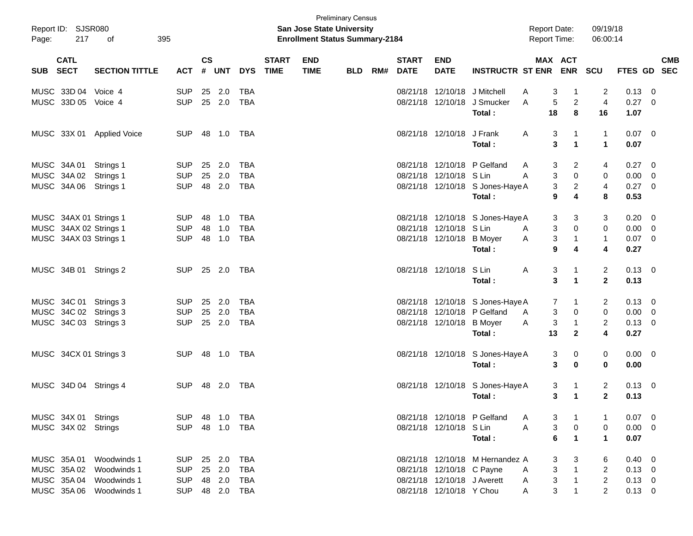| Page:    | Report ID: SJSR080<br>217 | 395<br>of                 |            |               |            |            |                             | <b>San Jose State University</b><br><b>Enrollment Status Summary-2184</b> | <b>Preliminary Census</b> |     |                             |                             |                                            | <b>Report Date:</b> |                                | Report Time:                 | 09/19/18<br>06:00:14      |                  |                          |                          |
|----------|---------------------------|---------------------------|------------|---------------|------------|------------|-----------------------------|---------------------------------------------------------------------------|---------------------------|-----|-----------------------------|-----------------------------|--------------------------------------------|---------------------|--------------------------------|------------------------------|---------------------------|------------------|--------------------------|--------------------------|
| SUB SECT | <b>CATL</b>               | <b>SECTION TITTLE</b>     | <b>ACT</b> | $\mathsf{cs}$ | # UNT      | <b>DYS</b> | <b>START</b><br><b>TIME</b> | <b>END</b><br><b>TIME</b>                                                 | <b>BLD</b>                | RM# | <b>START</b><br><b>DATE</b> | <b>END</b><br><b>DATE</b>   | <b>INSTRUCTR ST ENR</b>                    |                     |                                | MAX ACT<br><b>ENR</b>        | SCU                       | <b>FTES GD</b>   |                          | <b>CMB</b><br><b>SEC</b> |
|          | MUSC 33D 04               | Voice 4                   | <b>SUP</b> | 25            | 2.0        | <b>TBA</b> |                             |                                                                           |                           |     | 08/21/18                    |                             | 12/10/18 J Mitchell                        | A                   | 3                              | -1                           | 2                         | 0.13             | 0                        |                          |
|          | MUSC 33D 05               | Voice 4                   | <b>SUP</b> |               | 25 2.0     | <b>TBA</b> |                             |                                                                           |                           |     |                             |                             | 08/21/18 12/10/18 J Smucker<br>Total :     | A                   | 5<br>18                        | $\overline{2}$<br>8          | $\overline{4}$<br>16      | 0.27<br>1.07     | $\Omega$                 |                          |
|          |                           | MUSC 33X 01 Applied Voice | <b>SUP</b> |               | 48  1.0    | TBA        |                             |                                                                           |                           |     |                             | 08/21/18 12/10/18 J Frank   | Total:                                     | A                   | 3<br>3                         | 1<br>1                       | 1<br>$\blacktriangleleft$ | $0.07$ 0<br>0.07 |                          |                          |
|          | MUSC 34A 01               | Strings 1                 | <b>SUP</b> | 25            | 2.0        | <b>TBA</b> |                             |                                                                           |                           |     |                             |                             | 08/21/18 12/10/18 P Gelfand                | A                   | 3                              | 2                            | 4                         | 0.27             | - 0                      |                          |
|          | MUSC 34A 02               | Strings 1                 | <b>SUP</b> | 25            | 2.0        | <b>TBA</b> |                             |                                                                           |                           |     |                             | 08/21/18 12/10/18 S Lin     |                                            | A                   | 3                              | $\mathbf 0$                  | 0                         | 0.00             | - 0                      |                          |
|          | MUSC 34A 06               | Strings 1                 | <b>SUP</b> |               | 48 2.0     | <b>TBA</b> |                             |                                                                           |                           |     |                             |                             | 08/21/18 12/10/18 S Jones-Haye A<br>Total: |                     | 3<br>9                         | 2<br>$\overline{\mathbf{4}}$ | $\overline{4}$<br>8       | 0.27<br>0.53     | - 0                      |                          |
|          | MUSC 34AX 01 Strings 1    |                           | <b>SUP</b> | 48            | 1.0        | <b>TBA</b> |                             |                                                                           |                           |     |                             |                             | 08/21/18 12/10/18 S Jones-Haye A           |                     | 3                              | 3                            | 3                         | 0.20             | - 0                      |                          |
|          | MUSC 34AX 02 Strings 1    |                           | <b>SUP</b> | 48            | 1.0        | <b>TBA</b> |                             |                                                                           |                           |     |                             | 08/21/18 12/10/18 S Lin     |                                            | A                   | 3                              | 0                            | 0                         | 0.00             | - 0                      |                          |
|          | MUSC 34AX 03 Strings 1    |                           | <b>SUP</b> | 48            | 1.0        | <b>TBA</b> |                             |                                                                           |                           |     |                             | 08/21/18 12/10/18 B Moyer   | Total :                                    | Α                   | $\ensuremath{\mathsf{3}}$<br>9 | $\mathbf{1}$<br>4            | $\mathbf{1}$<br>4         | 0.07<br>0.27     | - 0                      |                          |
|          | MUSC 34B 01 Strings 2     |                           | <b>SUP</b> |               | 25 2.0     | TBA        |                             |                                                                           |                           |     |                             | 08/21/18 12/10/18           | S Lin                                      | A                   | 3                              | 1                            | 2                         | $0.13 \ 0$       |                          |                          |
|          |                           |                           |            |               |            |            |                             |                                                                           |                           |     |                             |                             | Total:                                     |                     | 3                              | 1                            | $\mathbf 2$               | 0.13             |                          |                          |
|          | MUSC 34C 01 Strings 3     |                           | <b>SUP</b> | 25            | 2.0        | <b>TBA</b> |                             |                                                                           |                           |     |                             |                             | 08/21/18 12/10/18 S Jones-Haye A           |                     | 7                              | 1                            | 2                         | 0.13             | - 0                      |                          |
|          | MUSC 34C 02 Strings 3     |                           | <b>SUP</b> | 25            | 2.0        | <b>TBA</b> |                             |                                                                           |                           |     |                             |                             | 08/21/18 12/10/18 P Gelfand                | A                   | 3                              | 0                            | 0                         | 0.00             | - 0                      |                          |
|          | MUSC 34C 03 Strings 3     |                           | <b>SUP</b> |               | 25 2.0     | <b>TBA</b> |                             |                                                                           |                           |     |                             | 08/21/18 12/10/18 B Moyer   |                                            | Α                   | $\ensuremath{\mathsf{3}}$      | $\mathbf{1}$                 | $\overline{\mathbf{c}}$   | 0.13             | - 0                      |                          |
|          |                           |                           |            |               |            |            |                             |                                                                           |                           |     |                             |                             | Total :                                    |                     | 13                             | $\mathbf{2}$                 | 4                         | 0.27             |                          |                          |
|          | MUSC 34CX 01 Strings 3    |                           | <b>SUP</b> |               | 48  1.0    | TBA        |                             |                                                                           |                           |     |                             |                             | 08/21/18 12/10/18 S Jones-Haye A           |                     | 3                              | 0                            | 0                         | $0.00 \t 0$      |                          |                          |
|          |                           |                           |            |               |            |            |                             |                                                                           |                           |     |                             |                             | Total:                                     |                     | 3                              | $\mathbf 0$                  | $\bf{0}$                  | 0.00             |                          |                          |
|          | MUSC 34D 04 Strings 4     |                           | <b>SUP</b> |               | 48 2.0     | TBA        |                             |                                                                           |                           |     |                             |                             | 08/21/18 12/10/18 S Jones-Haye A           |                     | 3                              | $\mathbf{1}$                 | 2                         | $0.13 \quad 0$   |                          |                          |
|          |                           |                           |            |               |            |            |                             |                                                                           |                           |     |                             |                             | Total :                                    |                     | 3                              | $\mathbf{1}$                 | $\mathbf 2$               | 0.13             |                          |                          |
|          | MUSC 34X 01 Strings       |                           | <b>SUP</b> |               | 48 1.0     | TBA        |                             |                                                                           |                           |     |                             |                             | 08/21/18 12/10/18 P Gelfand                | A                   | 3                              | $\mathbf{1}$                 |                           | 0.07             | $\overline{\phantom{0}}$ |                          |
|          | MUSC 34X 02 Strings       |                           | <b>SUP</b> |               | 48 1.0     | TBA        |                             |                                                                           |                           |     |                             | 08/21/18 12/10/18 S Lin     |                                            | A                   | $\ensuremath{\mathsf{3}}$      | $\mathbf 0$                  | 0                         | $0.00 \t 0$      |                          |                          |
|          |                           |                           |            |               |            |            |                             |                                                                           |                           |     |                             |                             | Total:                                     |                     | 6                              | $\mathbf{1}$                 | $\mathbf{1}$              | 0.07             |                          |                          |
|          | MUSC 35A 01               | Woodwinds 1               | <b>SUP</b> |               | 25 2.0     | <b>TBA</b> |                             |                                                                           |                           |     |                             |                             | 08/21/18 12/10/18 M Hernandez A            |                     | 3                              | 3                            | 6                         | $0.40 \ 0$       |                          |                          |
|          | MUSC 35A 02               | Woodwinds 1               | <b>SUP</b> |               | 25 2.0     | <b>TBA</b> |                             |                                                                           |                           |     |                             | 08/21/18 12/10/18 C Payne   |                                            | A                   | $\ensuremath{\mathsf{3}}$      | $\mathbf{1}$                 | $\overline{2}$            | $0.13 \ 0$       |                          |                          |
|          | MUSC 35A 04               | Woodwinds 1               | <b>SUP</b> |               | 48 2.0     | <b>TBA</b> |                             |                                                                           |                           |     |                             | 08/21/18 12/10/18 J Averett |                                            | A                   | $\ensuremath{\mathsf{3}}$      | $\mathbf{1}$                 | $\overline{c}$            | $0.13 \ 0$       |                          |                          |
|          | MUSC 35A 06               | Woodwinds 1               | <b>SUP</b> |               | 48 2.0 TBA |            |                             |                                                                           |                           |     |                             | 08/21/18 12/10/18 Y Chou    |                                            | Α                   | 3                              | 1                            | $\overline{2}$            | $0.13 \ 0$       |                          |                          |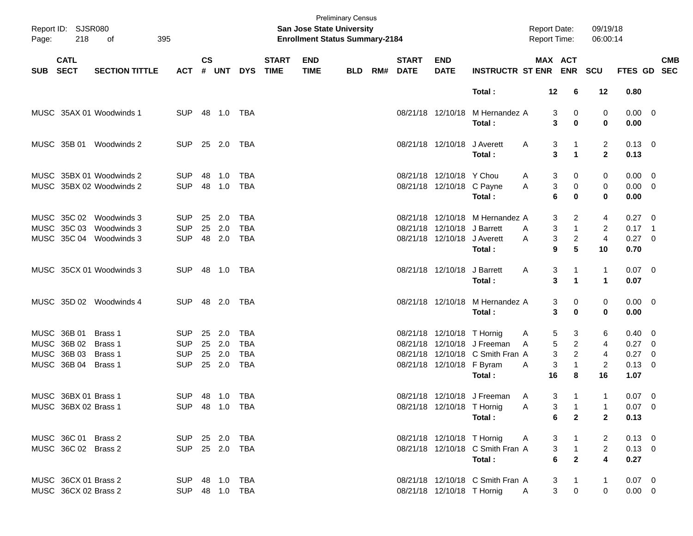| Page:      | Report ID: SJSR080<br>218  | 395<br>of                                            |                          |               |               |                          |                             | San Jose State University<br><b>Enrollment Status Summary-2184</b> | <b>Preliminary Census</b> |     |                             |                                                            |                                           | <b>Report Date:</b><br>Report Time: |                                | 09/19/18<br>06:00:14    |                            |                          |            |
|------------|----------------------------|------------------------------------------------------|--------------------------|---------------|---------------|--------------------------|-----------------------------|--------------------------------------------------------------------|---------------------------|-----|-----------------------------|------------------------------------------------------------|-------------------------------------------|-------------------------------------|--------------------------------|-------------------------|----------------------------|--------------------------|------------|
| <b>SUB</b> | <b>CATL</b><br><b>SECT</b> | <b>SECTION TITTLE</b>                                | <b>ACT</b>               | $\mathsf{cs}$ | # UNT         | <b>DYS</b>               | <b>START</b><br><b>TIME</b> | <b>END</b><br><b>TIME</b>                                          | <b>BLD</b>                | RM# | <b>START</b><br><b>DATE</b> | <b>END</b><br><b>DATE</b>                                  | <b>INSTRUCTR ST ENR</b>                   | MAX ACT                             | <b>ENR</b>                     | <b>SCU</b>              | FTES GD SEC                |                          | <b>CMB</b> |
|            |                            |                                                      |                          |               |               |                          |                             |                                                                    |                           |     |                             |                                                            | Total:                                    | 12                                  | 6                              | 12                      | 0.80                       |                          |            |
|            |                            | MUSC 35AX 01 Woodwinds 1                             | <b>SUP</b>               |               | 48 1.0        | TBA                      |                             |                                                                    |                           |     |                             |                                                            | 08/21/18 12/10/18 M Hernandez A<br>Total: | 3<br>3                              | 0<br>$\mathbf 0$               | 0<br>0                  | $0.00 \t 0$<br>0.00        |                          |            |
|            | MUSC 35B 01                | Woodwinds 2                                          | <b>SUP</b>               |               | 25 2.0        | TBA                      |                             |                                                                    |                           |     |                             | 08/21/18 12/10/18 J Averett                                |                                           | 3<br>A                              | 1                              | $\overline{2}$          | $0.13 \quad 0$             |                          |            |
|            |                            |                                                      |                          |               |               |                          |                             |                                                                    |                           |     |                             |                                                            | Total:                                    | 3                                   | 1                              | $\mathbf{2}$            | 0.13                       |                          |            |
|            |                            | MUSC 35BX 01 Woodwinds 2<br>MUSC 35BX 02 Woodwinds 2 | <b>SUP</b><br><b>SUP</b> | 48<br>48      | 1.0<br>1.0    | <b>TBA</b><br><b>TBA</b> |                             |                                                                    |                           |     |                             | 08/21/18 12/10/18 Y Chou<br>08/21/18 12/10/18 C Payne      |                                           | 3<br>A<br>3<br>Α                    | 0<br>0                         | 0                       | $0.00 \t 0$<br>$0.00 \t 0$ |                          |            |
|            |                            |                                                      |                          |               |               |                          |                             |                                                                    |                           |     |                             |                                                            | Total:                                    | 6                                   | 0                              | 0<br>$\mathbf 0$        | 0.00                       |                          |            |
|            | MUSC 35C 02                | Woodwinds 3                                          | <b>SUP</b>               | 25            | 2.0           | <b>TBA</b>               |                             |                                                                    |                           |     |                             |                                                            | 08/21/18 12/10/18 M Hernandez A           | 3                                   | 2                              | 4                       | $0.27 \t 0$                |                          |            |
|            | MUSC 35C 03<br>MUSC 35C 04 | Woodwinds 3<br>Woodwinds 3                           | <b>SUP</b><br><b>SUP</b> | 25            | 2.0<br>48 2.0 | <b>TBA</b><br><b>TBA</b> |                             |                                                                    |                           |     |                             | 08/21/18 12/10/18 J Barrett<br>08/21/18 12/10/18 J Averett |                                           | 3<br>A<br>3<br>A                    | $\mathbf{1}$<br>$\overline{c}$ | 2<br>$\overline{4}$     | $0.17$ 1<br>0.27 0         |                          |            |
|            |                            |                                                      |                          |               |               |                          |                             |                                                                    |                           |     |                             |                                                            | Total:                                    | 9                                   | 5                              | 10                      | 0.70                       |                          |            |
|            |                            | MUSC 35CX 01 Woodwinds 3                             | <b>SUP</b>               |               | 48 1.0        | TBA                      |                             |                                                                    |                           |     |                             | 08/21/18 12/10/18 J Barrett                                |                                           | 3<br>A                              | 1                              | $\mathbf{1}$            | $0.07 \quad 0$             |                          |            |
|            |                            |                                                      |                          |               |               |                          |                             |                                                                    |                           |     |                             |                                                            | Total:                                    | 3                                   | 1                              | $\mathbf{1}$            | 0.07                       |                          |            |
|            |                            | MUSC 35D 02 Woodwinds 4                              | <b>SUP</b>               |               | 48 2.0        | TBA                      |                             |                                                                    |                           |     |                             |                                                            | 08/21/18 12/10/18 M Hernandez A           | 3                                   | 0                              | 0                       | $0.00 \t 0$                |                          |            |
|            |                            |                                                      |                          |               |               |                          |                             |                                                                    |                           |     |                             |                                                            | Total:                                    | 3                                   | 0                              | 0                       | 0.00                       |                          |            |
|            | MUSC 36B 01                | Brass 1                                              | <b>SUP</b>               | 25            | 2.0           | <b>TBA</b>               |                             |                                                                    |                           |     |                             | 08/21/18 12/10/18 T Hornig                                 |                                           | 5<br>A                              | 3                              | 6                       | $0.40 \quad 0$             |                          |            |
|            | MUSC 36B 02                | Brass 1                                              | <b>SUP</b>               | 25            | 2.0           | <b>TBA</b>               |                             |                                                                    |                           |     |                             |                                                            | 08/21/18 12/10/18 J Freeman               | 5<br>A                              | $\overline{c}$                 | 4                       | $0.27$ 0                   |                          |            |
|            | MUSC 36B 03                | Brass 1                                              | <b>SUP</b>               | 25            | 2.0           | <b>TBA</b>               |                             |                                                                    |                           |     |                             |                                                            | 08/21/18 12/10/18 C Smith Fran A          | 3                                   | $\overline{a}$                 | 4                       | 0.27                       | $\overline{\phantom{0}}$ |            |
|            | MUSC 36B 04                | Brass 1                                              | <b>SUP</b>               |               | 25 2.0        | <b>TBA</b>               |                             |                                                                    |                           |     |                             | 08/21/18 12/10/18 F Byram                                  | Total:                                    | 3<br>A<br>16                        | $\mathbf{1}$<br>8              | $\overline{2}$<br>16    | $0.13 \ 0$<br>1.07         |                          |            |
|            | MUSC 36BX 01 Brass 1       |                                                      | SUP.                     |               | 48  1.0  TBA  |                          |                             |                                                                    |                           |     |                             |                                                            | 08/21/18 12/10/18 J Freeman               | 3<br>A                              | 1                              | $\mathbf{1}$            | $0.07 \quad 0$             |                          |            |
|            | MUSC 36BX 02 Brass 1       |                                                      |                          |               |               | SUP 48 1.0 TBA           |                             |                                                                    |                           |     |                             | 08/21/18 12/10/18 T Hornig                                 |                                           | A                                   | 3<br>$\overline{1}$            |                         | $0.07 \quad 0$             |                          |            |
|            |                            |                                                      |                          |               |               |                          |                             |                                                                    |                           |     |                             |                                                            | Total:                                    | 6                                   | $\overline{2}$                 | $\mathbf{2}$            | 0.13                       |                          |            |
|            | MUSC 36C 01 Brass 2        |                                                      | SUP 25 2.0 TBA           |               |               |                          |                             |                                                                    |                           |     |                             | 08/21/18 12/10/18 T Hornig                                 |                                           | 3<br>A                              |                                | 2                       | $0.13 \ 0$                 |                          |            |
|            | MUSC 36C 02 Brass 2        |                                                      | SUP 25 2.0 TBA           |               |               |                          |                             |                                                                    |                           |     |                             |                                                            | 08/21/18 12/10/18 C Smith Fran A          | 3                                   | $\overline{1}$                 | $\overline{2}$          | $0.13 \ 0$                 |                          |            |
|            |                            |                                                      |                          |               |               |                          |                             |                                                                    |                           |     |                             |                                                            | Total:                                    | $\bf 6$                             | $\overline{2}$                 | $\overline{\mathbf{4}}$ | 0.27                       |                          |            |
|            | MUSC 36CX 01 Brass 2       |                                                      | SUP 48 1.0 TBA           |               |               |                          |                             |                                                                    |                           |     |                             |                                                            | 08/21/18 12/10/18 C Smith Fran A          | 3                                   | $\overline{1}$                 | $\mathbf{1}$            | $0.07$ 0                   |                          |            |
|            | MUSC 36CX 02 Brass 2       |                                                      |                          |               |               | SUP 48 1.0 TBA           |                             |                                                                    |                           |     |                             | 08/21/18 12/10/18 T Hornig                                 |                                           | $\mathsf{A}$                        | $\mathbf{3}$<br>$\mathbf 0$    | 0                       | $0.00 \t 0$                |                          |            |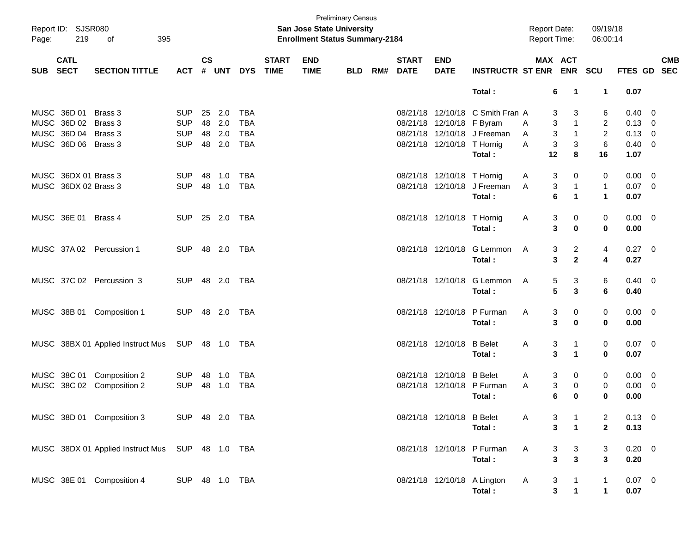| Page:      | Report ID: SJSR080<br>219  | 395<br>оf                                        |                |                             |            |            |                             | San Jose State University<br><b>Enrollment Status Summary-2184</b> | <b>Preliminary Census</b> |     |                             |                            |                                  | <b>Report Date:</b><br><b>Report Time:</b> |                             | 09/19/18<br>06:00:14 |                |            |
|------------|----------------------------|--------------------------------------------------|----------------|-----------------------------|------------|------------|-----------------------------|--------------------------------------------------------------------|---------------------------|-----|-----------------------------|----------------------------|----------------------------------|--------------------------------------------|-----------------------------|----------------------|----------------|------------|
| <b>SUB</b> | <b>CATL</b><br><b>SECT</b> | <b>SECTION TITTLE</b>                            | <b>ACT</b>     | $\mathsf{cs}$<br>$\pmb{\#}$ | <b>UNT</b> | <b>DYS</b> | <b>START</b><br><b>TIME</b> | <b>END</b><br><b>TIME</b>                                          | <b>BLD</b>                | RM# | <b>START</b><br><b>DATE</b> | <b>END</b><br><b>DATE</b>  | <b>INSTRUCTR ST ENR</b>          |                                            | MAX ACT<br><b>ENR</b>       | SCU                  | FTES GD SEC    | <b>CMB</b> |
|            |                            |                                                  |                |                             |            |            |                             |                                                                    |                           |     |                             |                            | Total:                           |                                            | 6<br>-1                     | $\mathbf 1$          | 0.07           |            |
|            | MUSC 36D 01                | Brass 3                                          | <b>SUP</b>     |                             | 25 2.0     | TBA        |                             |                                                                    |                           |     |                             |                            | 08/21/18 12/10/18 C Smith Fran A |                                            | 3<br>3                      | 6                    | $0.40 \ 0$     |            |
|            | MUSC 36D 02                | Brass 3                                          | <b>SUP</b>     |                             | 48 2.0     | <b>TBA</b> |                             |                                                                    |                           |     |                             | 08/21/18 12/10/18 F Byram  |                                  | A                                          | 3<br>$\mathbf{1}$           | $\overline{2}$       | $0.13 \ 0$     |            |
|            | MUSC 36D 04 Brass 3        |                                                  | <b>SUP</b>     |                             | 48 2.0     | <b>TBA</b> |                             |                                                                    |                           |     |                             |                            | 08/21/18 12/10/18 J Freeman      | A                                          | 3<br>$\mathbf{1}$           | 2                    | $0.13 \ 0$     |            |
|            | MUSC 36D 06 Brass 3        |                                                  | <b>SUP</b>     |                             | 48 2.0     | <b>TBA</b> |                             |                                                                    |                           |     |                             | 08/21/18 12/10/18 T Hornig |                                  | A                                          | 3<br>3                      | 6                    | $0.40 \quad 0$ |            |
|            |                            |                                                  |                |                             |            |            |                             |                                                                    |                           |     |                             |                            | Total:                           | 12                                         | 8                           | 16                   | 1.07           |            |
|            | MUSC 36DX 01 Brass 3       |                                                  | <b>SUP</b>     | 48                          | 1.0        | TBA        |                             |                                                                    |                           |     |                             | 08/21/18 12/10/18 T Hornig |                                  | A                                          | 3<br>0                      | 0                    | $0.00 \t 0$    |            |
|            | MUSC 36DX 02 Brass 3       |                                                  | <b>SUP</b>     |                             | 48 1.0     | <b>TBA</b> |                             |                                                                    |                           |     |                             |                            | 08/21/18 12/10/18 J Freeman      | A                                          | 3<br>$\mathbf{1}$           | $\mathbf{1}$         | $0.07$ 0       |            |
|            |                            |                                                  |                |                             |            |            |                             |                                                                    |                           |     |                             |                            | Total:                           |                                            | 6<br>$\mathbf 1$            | $\mathbf{1}$         | 0.07           |            |
|            | MUSC 36E 01                | Brass 4                                          | <b>SUP</b>     |                             | 25 2.0     | TBA        |                             |                                                                    |                           |     |                             | 08/21/18 12/10/18 T Hornig |                                  | A                                          | 3<br>0                      | 0                    | $0.00 \t 0$    |            |
|            |                            |                                                  |                |                             |            |            |                             |                                                                    |                           |     |                             |                            | Total:                           |                                            | 3<br>$\mathbf 0$            | 0                    | 0.00           |            |
|            |                            |                                                  |                |                             |            |            |                             |                                                                    |                           |     |                             |                            |                                  |                                            |                             |                      |                |            |
|            |                            | MUSC 37A 02 Percussion 1                         | <b>SUP</b>     |                             | 48 2.0     | TBA        |                             |                                                                    |                           |     |                             | 08/21/18 12/10/18          | G Lemmon                         | Α                                          | $\overline{c}$<br>3         | 4                    | $0.27$ 0       |            |
|            |                            |                                                  |                |                             |            |            |                             |                                                                    |                           |     |                             |                            | Total:                           |                                            | 3<br>$\mathbf{2}$           | 4                    | 0.27           |            |
|            |                            |                                                  |                |                             |            |            |                             |                                                                    |                           |     |                             |                            |                                  |                                            |                             |                      |                |            |
|            |                            | MUSC 37C 02 Percussion 3                         | <b>SUP</b>     |                             | 48 2.0     | TBA        |                             |                                                                    |                           |     |                             | 08/21/18 12/10/18          | G Lemmon                         | A                                          | 3<br>5                      | 6                    | $0.40 \quad 0$ |            |
|            |                            |                                                  |                |                             |            |            |                             |                                                                    |                           |     |                             |                            | Total:                           |                                            | $5\phantom{1}$<br>3         | 6                    | 0.40           |            |
|            | MUSC 38B 01                | Composition 1                                    | <b>SUP</b>     |                             | 48 2.0     | TBA        |                             |                                                                    |                           |     |                             | 08/21/18 12/10/18          | P Furman                         | Α                                          | 3<br>0                      | 0                    | $0.00 \t 0$    |            |
|            |                            |                                                  |                |                             |            |            |                             |                                                                    |                           |     |                             |                            | Total:                           |                                            | 3<br>$\mathbf 0$            | 0                    | 0.00           |            |
|            |                            |                                                  |                |                             |            |            |                             |                                                                    |                           |     |                             |                            |                                  |                                            |                             |                      |                |            |
|            |                            | MUSC 38BX 01 Applied Instruct Mus                | SUP 48 1.0     |                             |            | TBA        |                             |                                                                    |                           |     |                             | 08/21/18 12/10/18          | <b>B</b> Belet                   | Α                                          | 3<br>$\mathbf{1}$           | 0                    | $0.07$ 0       |            |
|            |                            |                                                  |                |                             |            |            |                             |                                                                    |                           |     |                             |                            | Total:                           |                                            | 3<br>$\blacktriangleleft$   | $\mathbf 0$          | 0.07           |            |
|            |                            |                                                  |                |                             |            |            |                             |                                                                    |                           |     |                             |                            |                                  |                                            |                             |                      |                |            |
|            | MUSC 38C 01                | Composition 2                                    | <b>SUP</b>     | 48                          | 1.0        | TBA        |                             |                                                                    |                           |     |                             | 08/21/18 12/10/18          | <b>B</b> Belet                   | A                                          | 3<br>0                      | 0                    | $0.00 \t 0$    |            |
|            | MUSC 38C 02                | Composition 2                                    | <b>SUP</b>     | 48                          | 1.0        | <b>TBA</b> |                             |                                                                    |                           |     |                             |                            | 08/21/18 12/10/18 P Furman       | A                                          | 3<br>0                      | 0                    | $0.00 \t 0$    |            |
|            |                            |                                                  |                |                             |            |            |                             |                                                                    |                           |     |                             |                            | Total:                           |                                            | 6<br>0                      | 0                    | 0.00           |            |
|            |                            |                                                  |                |                             |            |            |                             |                                                                    |                           |     |                             |                            |                                  |                                            |                             |                      |                |            |
|            |                            | MUSC 38D 01 Composition 3                        | SUP 48 2.0 TBA |                             |            |            |                             |                                                                    |                           |     |                             | 08/21/18 12/10/18 B Belet  |                                  | A                                          | 3                           | 2                    | $0.13 \ 0$     |            |
|            |                            |                                                  |                |                             |            |            |                             |                                                                    |                           |     |                             |                            | Total:                           |                                            | 3<br>$\mathbf 1$            | $\mathbf{2}$         | 0.13           |            |
|            |                            | MUSC 38DX 01 Applied Instruct Mus SUP 48 1.0 TBA |                |                             |            |            |                             |                                                                    |                           |     |                             |                            | 08/21/18 12/10/18 P Furman       | A                                          | 3<br>3                      | 3                    | $0.20 \ 0$     |            |
|            |                            |                                                  |                |                             |            |            |                             |                                                                    |                           |     |                             |                            | Total:                           |                                            | $\mathbf{3}$<br>3           | 3                    | 0.20           |            |
|            |                            |                                                  |                |                             |            |            |                             |                                                                    |                           |     |                             |                            |                                  |                                            |                             |                      |                |            |
|            |                            | MUSC 38E 01 Composition 4                        | SUP 48 1.0 TBA |                             |            |            |                             |                                                                    |                           |     |                             |                            | 08/21/18 12/10/18 A Lington      | A                                          | 3                           | 1                    | $0.07$ 0       |            |
|            |                            |                                                  |                |                             |            |            |                             |                                                                    |                           |     |                             |                            | Total:                           |                                            | $\mathbf{3}$<br>$\mathbf 1$ | $\mathbf 1$          | 0.07           |            |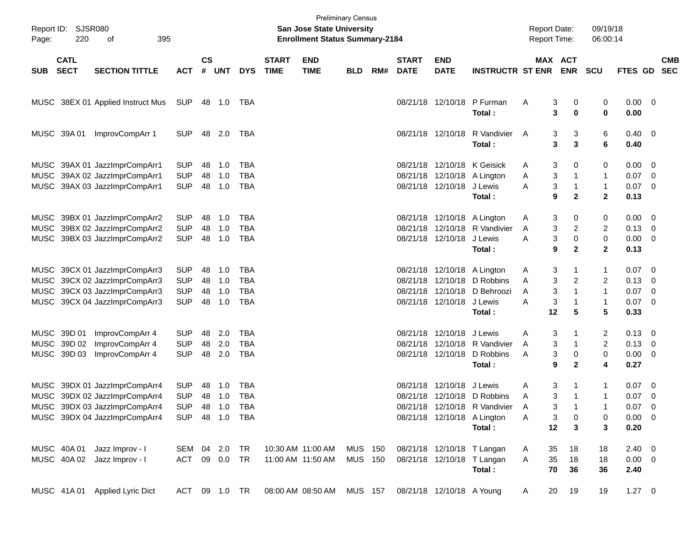| Report ID:<br>Page: | <b>SJSR080</b><br>220      | 395<br>οf                         |               |                    |            |            |                             | <b>San Jose State University</b><br><b>Enrollment Status Summary-2184</b> | <b>Preliminary Census</b> |     |                             |                           |                                         | <b>Report Date:</b><br>Report Time: |                              | 09/19/18<br>06:00:14        |                        |                          |
|---------------------|----------------------------|-----------------------------------|---------------|--------------------|------------|------------|-----------------------------|---------------------------------------------------------------------------|---------------------------|-----|-----------------------------|---------------------------|-----------------------------------------|-------------------------------------|------------------------------|-----------------------------|------------------------|--------------------------|
| <b>SUB</b>          | <b>CATL</b><br><b>SECT</b> | <b>SECTION TITTLE</b>             | <b>ACT</b>    | $\mathsf{cs}$<br># | <b>UNT</b> | <b>DYS</b> | <b>START</b><br><b>TIME</b> | <b>END</b><br><b>TIME</b>                                                 | <b>BLD</b>                | RM# | <b>START</b><br><b>DATE</b> | <b>END</b><br><b>DATE</b> | <b>INSTRUCTR ST ENR ENR</b>             | <b>MAX ACT</b>                      |                              | <b>SCU</b>                  | <b>FTES GD</b>         | <b>CMB</b><br><b>SEC</b> |
|                     |                            | MUSC 38EX 01 Applied Instruct Mus | SUP           |                    | 48 1.0     | TBA        |                             |                                                                           |                           |     |                             |                           | 08/21/18 12/10/18 P Furman<br>Total :   | 3<br>Α<br>3                         | 0<br>0                       | 0<br>0                      | $0.00 \ 0$<br>0.00     |                          |
|                     | MUSC 39A 01                | ImprovCompArr 1                   | <b>SUP</b>    |                    | 48 2.0     | TBA        |                             |                                                                           |                           |     |                             |                           | 08/21/18 12/10/18 R Vandivier<br>Total: | A<br>3<br>3                         | 3<br>3                       | 6<br>6                      | $0.40 \quad 0$<br>0.40 |                          |
|                     |                            | MUSC 39AX 01 JazzImprCompArr1     | <b>SUP</b>    | 48                 | 1.0        | <b>TBA</b> |                             |                                                                           |                           |     |                             |                           | 08/21/18 12/10/18 K Geisick             | 3<br>Α                              | 0                            | 0                           | $0.00 \t 0$            |                          |
|                     |                            | MUSC 39AX 02 JazzImprCompArr1     | <b>SUP</b>    | 48                 | 1.0        | <b>TBA</b> |                             |                                                                           |                           |     |                             |                           | 08/21/18 12/10/18 A Lington             | 3<br>Α                              | 1                            | $\mathbf{1}$                | 0.07                   | $\overline{\phantom{0}}$ |
|                     |                            | MUSC 39AX 03 JazzImprCompArr1     | <b>SUP</b>    | 48                 | 1.0        | <b>TBA</b> |                             |                                                                           |                           |     |                             | 08/21/18 12/10/18 J Lewis | Total :                                 | 3<br>Α<br>9                         | $\mathbf{1}$<br>$\mathbf{2}$ | $\mathbf{1}$<br>$\mathbf 2$ | $0.07$ 0<br>0.13       |                          |
|                     |                            | MUSC 39BX 01 JazzImprCompArr2     | <b>SUP</b>    | 48                 | 1.0        | <b>TBA</b> |                             |                                                                           |                           |     |                             |                           | 08/21/18 12/10/18 A Lington             | 3<br>A                              | 0                            | 0                           | $0.00 \t 0$            |                          |
|                     |                            | MUSC 39BX 02 JazzImprCompArr2     | <b>SUP</b>    | 48                 | 1.0        | <b>TBA</b> |                             |                                                                           |                           |     |                             |                           | 08/21/18 12/10/18 R Vandivier           | 3<br>Α                              | $\overline{\mathbf{c}}$      | 2                           | $0.13 \ 0$             |                          |
|                     |                            | MUSC 39BX 03 JazzImprCompArr2     | <b>SUP</b>    | 48                 | 1.0        | <b>TBA</b> |                             |                                                                           |                           |     |                             | 08/21/18 12/10/18 J Lewis |                                         | 3<br>Α                              | 0                            | 0                           | $0.00 \t 0$            |                          |
|                     |                            |                                   |               |                    |            |            |                             |                                                                           |                           |     |                             |                           | Total :                                 | 9                                   | $\mathbf{2}$                 | $\mathbf{2}$                | 0.13                   |                          |
|                     |                            | MUSC 39CX 01 JazzImprCompArr3     | <b>SUP</b>    | 48                 | 1.0        | <b>TBA</b> |                             |                                                                           |                           |     |                             |                           | 08/21/18 12/10/18 A Lington             | 3<br>A                              |                              | $\mathbf{1}$                | $0.07$ 0               |                          |
| MUSC                |                            | 39CX 02 JazzImprCompArr3          | <b>SUP</b>    | 48                 | 1.0        | <b>TBA</b> |                             |                                                                           |                           |     |                             |                           | 08/21/18 12/10/18 D Robbins             | 3<br>Α                              | 2                            | 2                           | $0.13 \ 0$             |                          |
|                     |                            | MUSC 39CX 03 JazzImprCompArr3     | <b>SUP</b>    | 48                 | 1.0        | <b>TBA</b> |                             |                                                                           |                           |     |                             |                           | 08/21/18 12/10/18 D Behroozi            | 3<br>A                              | $\mathbf{1}$                 | $\mathbf{1}$                | 0.07                   | $\overline{\mathbf{0}}$  |
|                     |                            | MUSC 39CX 04 JazzImprCompArr3     | <b>SUP</b>    | 48                 | 1.0        | <b>TBA</b> |                             |                                                                           |                           |     |                             | 08/21/18 12/10/18 J Lewis | Total :                                 | 3<br>Α<br>12                        | 1<br>5                       | $\mathbf{1}$<br>5           | $0.07$ 0<br>0.33       |                          |
|                     | MUSC 39D 01                | ImprovCompArr 4                   | SUP.          | 48                 | 2.0        | <b>TBA</b> |                             |                                                                           |                           |     |                             | 08/21/18 12/10/18 J Lewis |                                         | 3<br>Α                              |                              | $\overline{c}$              | $0.13 \ 0$             |                          |
|                     | MUSC 39D 02                | ImprovCompArr 4                   | <b>SUP</b>    | 48                 | 2.0        | <b>TBA</b> |                             |                                                                           |                           |     |                             |                           | 08/21/18 12/10/18 R Vandivier           | 3<br>Α                              | 1                            | $\overline{c}$              | $0.13 \ 0$             |                          |
|                     | MUSC 39D 03                | ImprovCompArr 4                   | <b>SUP</b>    | 48                 | 2.0        | <b>TBA</b> |                             |                                                                           |                           |     |                             |                           | 08/21/18 12/10/18 D Robbins             | 3<br>Α                              | 0                            | 0                           | $0.00 \t 0$            |                          |
|                     |                            |                                   |               |                    |            |            |                             |                                                                           |                           |     |                             |                           | Total:                                  | 9                                   | $\mathbf{2}$                 | 4                           | 0.27                   |                          |
|                     |                            | MUSC 39DX 01 JazzImprCompArr4     | <b>SUP</b>    | 48                 | 1.0        | <b>TBA</b> |                             |                                                                           |                           |     | 08/21/18                    | 12/10/18 J Lewis          |                                         | 3<br>Α                              |                              | 1                           | 0.07                   | $\overline{\phantom{0}}$ |
|                     |                            | MUSC 39DX 02 JazzImprCompArr4     | <b>SUP</b>    | 48                 | 1.0        | <b>TBA</b> |                             |                                                                           |                           |     |                             |                           | 08/21/18 12/10/18 D Robbins             | 3<br>A                              | -1                           | 1                           | 0.07                   | $\overline{\phantom{0}}$ |
|                     |                            | MUSC 39DX 03 JazzImprCompArr4     | <b>SUP</b>    | 48                 | 1.0        | TBA        |                             |                                                                           |                           |     |                             |                           | 08/21/18 12/10/18 R Vandivier           | 3<br>A                              |                              | 1                           | $0.07 \quad 0$         |                          |
|                     |                            | MUSC 39DX 04 JazzImprCompArr4     | <b>SUP</b>    |                    | 48 1.0     | TBA        |                             |                                                                           |                           |     |                             |                           | 08/21/18 12/10/18 A Lington             | 3<br>Α                              | 0                            | 0                           | $0.00 \t 0$            |                          |
|                     |                            |                                   |               |                    |            |            |                             |                                                                           |                           |     |                             |                           | Total:                                  | 12                                  | 3                            | 3                           | 0.20                   |                          |
|                     | MUSC 40A 01                | Jazz Improv - I                   | SEM 04 2.0    |                    |            | TR         |                             | 10:30 AM 11:00 AM                                                         | <b>MUS 150</b>            |     |                             |                           | 08/21/18 12/10/18 T Langan              | 35<br>A                             | 18                           | 18                          | $2.40 \ 0$             |                          |
|                     | MUSC 40A 02                | Jazz Improv - I                   | ACT 09 0.0 TR |                    |            |            |                             | 11:00 AM 11:50 AM                                                         | <b>MUS 150</b>            |     |                             |                           | 08/21/18 12/10/18 T Langan              | Α<br>35                             | 18                           | 18                          | $0.00 \t 0$            |                          |
|                     |                            |                                   |               |                    |            |            |                             |                                                                           |                           |     |                             |                           | Total:                                  | 70                                  | 36                           | 36                          | 2.40                   |                          |
|                     |                            | MUSC 41A 01 Applied Lyric Dict    | ACT 09 1.0 TR |                    |            |            |                             | 08:00 AM 08:50 AM                                                         | MUS 157                   |     |                             | 08/21/18 12/10/18 A Young |                                         | 20<br>A                             | 19                           | 19                          | $1.27 \t 0$            |                          |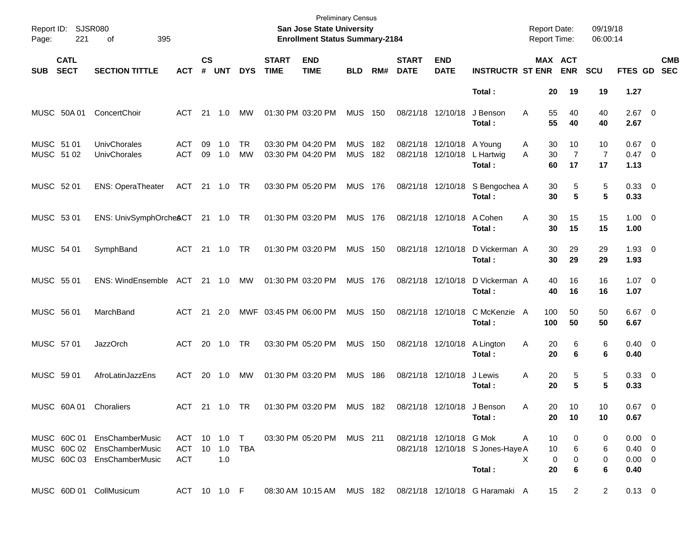| Report ID:<br>Page:      | 221                        | <b>SJSR080</b><br>395<br>οf                                                               |                                   |                    |            |                        |                             | <b>Preliminary Census</b><br>San Jose State University<br><b>Enrollment Status Summary-2184</b> |                          |            |                             |                                                |                                                          | <b>Report Date:</b><br><b>Report Time:</b> |                              | 09/19/18<br>06:00:14       |                                                  |                          |            |
|--------------------------|----------------------------|-------------------------------------------------------------------------------------------|-----------------------------------|--------------------|------------|------------------------|-----------------------------|-------------------------------------------------------------------------------------------------|--------------------------|------------|-----------------------------|------------------------------------------------|----------------------------------------------------------|--------------------------------------------|------------------------------|----------------------------|--------------------------------------------------|--------------------------|------------|
| <b>SUB</b>               | <b>CATL</b><br><b>SECT</b> | <b>SECTION TITTLE</b>                                                                     | АСТ                               | $\mathsf{cs}$<br># | <b>UNT</b> | <b>DYS</b>             | <b>START</b><br><b>TIME</b> | <b>END</b><br><b>TIME</b>                                                                       | <b>BLD</b>               | RM#        | <b>START</b><br><b>DATE</b> | <b>END</b><br><b>DATE</b>                      | <b>INSTRUCTR ST ENR</b>                                  |                                            | <b>MAX ACT</b><br><b>ENR</b> | <b>SCU</b>                 | <b>FTES GD</b>                                   | <b>SEC</b>               | <b>CMB</b> |
|                          |                            |                                                                                           |                                   |                    |            |                        |                             |                                                                                                 |                          |            |                             |                                                | Total:                                                   | 20                                         | 19                           | 19                         | 1.27                                             |                          |            |
|                          | MUSC 50A 01                | ConcertChoir                                                                              | ACT                               |                    | 21 1.0     | МW                     |                             | 01:30 PM 03:20 PM                                                                               | <b>MUS 150</b>           |            |                             | 08/21/18 12/10/18                              | J Benson<br>Total:                                       | 55<br>A<br>55                              | 40<br>40                     | 40<br>40                   | $2.67$ 0<br>2.67                                 |                          |            |
| MUSC 51 01<br>MUSC 51 02 |                            | UnivChorales<br>UnivChorales                                                              | ACT<br><b>ACT</b>                 | 09<br>09           | 1.0<br>1.0 | <b>TR</b><br><b>MW</b> |                             | 03:30 PM 04:20 PM<br>03:30 PM 04:20 PM                                                          | <b>MUS</b><br><b>MUS</b> | 182<br>182 |                             | 08/21/18 12/10/18 A Young<br>08/21/18 12/10/18 | L Hartwig<br>Total:                                      | 30<br>A<br>30<br>A<br>60                   | 10<br>$\overline{7}$<br>17   | 10<br>$\overline{7}$<br>17 | 0.67<br>$0.47 \quad 0$<br>1.13                   | $\overline{\phantom{0}}$ |            |
| MUSC 52 01               |                            | <b>ENS: OperaTheater</b>                                                                  | ACT 21 1.0 TR                     |                    |            |                        |                             | 03:30 PM 05:20 PM                                                                               | <b>MUS 176</b>           |            |                             | 08/21/18 12/10/18                              | S Bengochea A<br>Total:                                  | 30<br>30                                   | 5<br>5                       | 5<br>5                     | 0.33 0<br>0.33                                   |                          |            |
| MUSC 53 01               |                            | ENS: UnivSymphOrcheACT 21 1.0 TR                                                          |                                   |                    |            |                        |                             | 01:30 PM 03:20 PM                                                                               | <b>MUS 176</b>           |            |                             | 08/21/18 12/10/18                              | A Cohen<br>Total:                                        | 30<br>A<br>30                              | 15<br>15                     | 15<br>15                   | $1.00 \t 0$<br>1.00                              |                          |            |
| MUSC 54 01               |                            | SymphBand                                                                                 | ACT 21 1.0                        |                    |            | <b>TR</b>              |                             | 01:30 PM 03:20 PM                                                                               | <b>MUS 150</b>           |            |                             | 08/21/18 12/10/18                              | D Vickerman A<br>Total:                                  | 30<br>30                                   | 29<br>29                     | 29<br>29                   | $1.93 \ 0$<br>1.93                               |                          |            |
| MUSC 55 01               |                            | ENS: WindEnsemble ACT 21 1.0                                                              |                                   |                    |            | MW                     |                             | 01:30 PM 03:20 PM                                                                               | <b>MUS 176</b>           |            |                             | 08/21/18 12/10/18                              | D Vickerman A<br>Total:                                  | 40<br>40                                   | 16<br>16                     | 16<br>16                   | $1.07 \t 0$<br>1.07                              |                          |            |
| MUSC 56 01               |                            | MarchBand                                                                                 | ACT                               |                    | 21 2.0     |                        |                             | MWF 03:45 PM 06:00 PM                                                                           | <b>MUS 150</b>           |            |                             | 08/21/18 12/10/18                              | C McKenzie A<br>Total:                                   | 100<br>100                                 | 50<br>50                     | 50<br>50                   | $6.67$ 0<br>6.67                                 |                          |            |
| MUSC 57 01               |                            | <b>JazzOrch</b>                                                                           | ACT                               | 20                 | 1.0        | <b>TR</b>              |                             | 03:30 PM 05:20 PM                                                                               | <b>MUS 150</b>           |            |                             | 08/21/18 12/10/18                              | A Lington<br>Total:                                      | 20<br>A<br>20                              | 6<br>6                       | 6<br>6                     | $0.40 \quad 0$<br>0.40                           |                          |            |
| MUSC 59 01               |                            | AfroLatinJazzEns                                                                          | ACT                               | 20                 | 1.0        | МW                     |                             | 01:30 PM 03:20 PM                                                                               | <b>MUS 186</b>           |            |                             | 08/21/18 12/10/18                              | J Lewis<br>Total:                                        | 20<br>Α<br>20                              | 5<br>5                       | 5<br>5                     | 0.33 0<br>0.33                                   |                          |            |
|                          |                            | MUSC 60A 01 Choraliers                                                                    |                                   |                    |            |                        |                             | ACT 21 1.0 TR  01:30 PM  03:20 PM  MUS  182  08/21/18  12/10/18  J Benson                       |                          |            |                             |                                                | Total:                                                   | Α<br>20<br>20                              | 10<br>10                     | 10<br>10                   | $0.67$ 0<br>0.67                                 |                          |            |
|                          |                            | MUSC 60C 01 EnsChamberMusic<br>MUSC 60C 02 EnsChamberMusic<br>MUSC 60C 03 EnsChamberMusic | ACT 10 1.0 T<br>ACT<br><b>ACT</b> |                    | 1.0        | 10 1.0 TBA             |                             | 03:30 PM 05:20 PM MUS 211                                                                       |                          |            |                             | 08/21/18 12/10/18 G Mok                        | 08/21/18 12/10/18 S Jones-Haye A<br>Total:               | 10<br>Α<br>10<br>X<br>20                   | 0<br>6<br>0<br>0<br>6        | 0<br>6<br>0<br>6           | $0.00 \t 0$<br>$0.40 \ 0$<br>$0.00 \t 0$<br>0.40 |                          |            |
|                          |                            | MUSC 60D 01 CollMusicum                                                                   | ACT 10 1.0 F                      |                    |            |                        |                             |                                                                                                 |                          |            |                             |                                                | 08:30 AM 10:15 AM MUS 182 08/21/18 12/10/18 G Haramaki A | 15                                         | $\overline{2}$               | $\overline{2}$             | $0.13 \ 0$                                       |                          |            |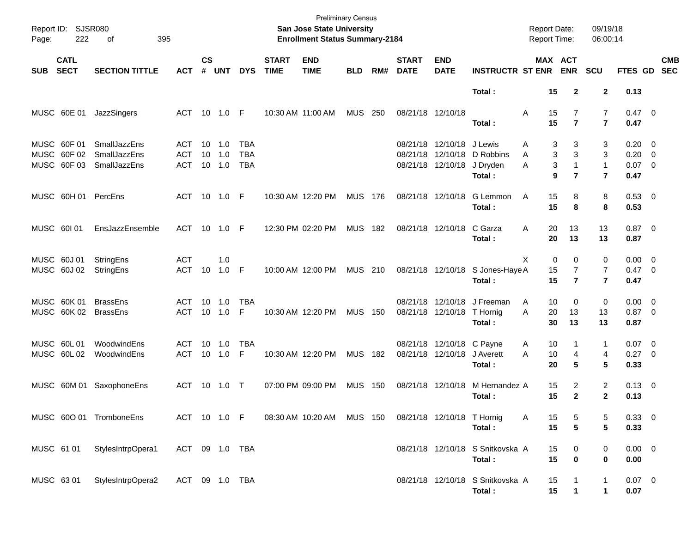| Page:      | Report ID: SJSR080<br>222                 | 395<br>οf                                           |                                 |                |                         |                                        |                             | <b>Preliminary Census</b><br><b>San Jose State University</b><br><b>Enrollment Status Summary-2184</b> |                |     |                             |                                                |                                            | <b>Report Date:</b><br>Report Time: |                                       | 09/19/18<br>06:00:14             |                                       |                          |
|------------|-------------------------------------------|-----------------------------------------------------|---------------------------------|----------------|-------------------------|----------------------------------------|-----------------------------|--------------------------------------------------------------------------------------------------------|----------------|-----|-----------------------------|------------------------------------------------|--------------------------------------------|-------------------------------------|---------------------------------------|----------------------------------|---------------------------------------|--------------------------|
| <b>SUB</b> | <b>CATL</b><br><b>SECT</b>                | <b>SECTION TITTLE</b>                               | <b>ACT</b>                      | <b>CS</b><br># | <b>UNT</b>              | <b>DYS</b>                             | <b>START</b><br><b>TIME</b> | <b>END</b><br><b>TIME</b>                                                                              | <b>BLD</b>     | RM# | <b>START</b><br><b>DATE</b> | <b>END</b><br><b>DATE</b>                      | <b>INSTRUCTR ST ENR</b>                    | MAX ACT                             | <b>ENR</b>                            | SCU                              | FTES GD                               | <b>CMB</b><br><b>SEC</b> |
|            |                                           |                                                     |                                 |                |                         |                                        |                             |                                                                                                        |                |     |                             |                                                | Total:                                     | 15                                  | $\mathbf{2}$                          | $\mathbf 2$                      | 0.13                                  |                          |
|            | MUSC 60E 01                               | JazzSingers                                         | ACT 10 1.0 F                    |                |                         |                                        |                             | 10:30 AM 11:00 AM                                                                                      | MUS            | 250 |                             | 08/21/18 12/10/18                              | Total:                                     | 15<br>A<br>15                       | $\overline{7}$<br>$\overline{7}$      | $\overline{7}$<br>$\overline{7}$ | $0.47 \quad 0$<br>0.47                |                          |
|            | MUSC 60F 01<br>MUSC 60F 02<br>MUSC 60F 03 | SmallJazzEns<br><b>SmallJazzEns</b><br>SmallJazzEns | ACT<br><b>ACT</b><br><b>ACT</b> | 10<br>10       | $-1.0$<br>1.0<br>10 1.0 | <b>TBA</b><br><b>TBA</b><br><b>TBA</b> |                             |                                                                                                        |                |     | 08/21/18                    | 08/21/18 12/10/18 J Lewis<br>08/21/18 12/10/18 | 12/10/18 D Robbins<br>J Dryden             | 3<br>A<br>3<br>A<br>3<br>A          | 3<br>3<br>$\mathbf{1}$                | 3<br>3<br>$\mathbf{1}$           | $0.20 \ 0$<br>$0.20 \ 0$<br>$0.07$ 0  |                          |
|            | MUSC 60H 01                               | PercEns                                             | ACT 10 1.0 F                    |                |                         |                                        |                             | 10:30 AM 12:20 PM                                                                                      | MUS 176        |     |                             | 08/21/18 12/10/18                              | Total:<br>G Lemmon<br>Total:               | 9<br>15<br>A<br>15                  | $\overline{7}$<br>8<br>8              | $\overline{7}$<br>8<br>8         | 0.47<br>0.53 0<br>0.53                |                          |
| MUSC 60101 |                                           | EnsJazzEnsemble                                     | ACT 10 1.0 F                    |                |                         |                                        |                             | 12:30 PM 02:20 PM                                                                                      | <b>MUS 182</b> |     |                             | 08/21/18 12/10/18                              | C Garza<br>Total:                          | 20<br>A<br>20                       | 13<br>13                              | 13<br>13                         | $0.87$ 0<br>0.87                      |                          |
|            | MUSC 60J 01<br>MUSC 60J 02                | StringEns<br>StringEns                              | <b>ACT</b><br><b>ACT</b>        | 10             | 1.0<br>$1.0$ F          |                                        |                             | 10:00 AM 12:00 PM                                                                                      | <b>MUS 210</b> |     |                             |                                                | 08/21/18 12/10/18 S Jones-Haye A<br>Total: | X<br>0<br>15<br>15                  | 0<br>$\overline{7}$<br>$\overline{7}$ | 0<br>7<br>$\overline{7}$         | $0.00 \t 0$<br>$0.47 \quad 0$<br>0.47 |                          |
|            | MUSC 60K 01<br>MUSC 60K 02                | <b>BrassEns</b><br><b>BrassEns</b>                  | ACT<br>ACT                      | 10<br>10       | 1.0<br>1.0              | <b>TBA</b><br>F                        |                             | 10:30 AM 12:20 PM                                                                                      | <b>MUS 150</b> |     |                             | 08/21/18 12/10/18<br>08/21/18 12/10/18         | J Freeman<br>T Hornig<br>Total :           | 10<br>A<br>A<br>20<br>30            | 0<br>13<br>13                         | 0<br>13<br>13                    | $0.00 \t 0$<br>$0.87$ 0<br>0.87       |                          |
|            | MUSC 60L 01<br>MUSC 60L02                 | WoodwindEns<br>WoodwindEns                          | ACT<br><b>ACT</b>               | 10<br>10       | 1.0<br>1.0              | <b>TBA</b><br>F                        |                             | 10:30 AM 12:20 PM                                                                                      | MUS 182        |     |                             | 08/21/18 12/10/18 C Payne<br>08/21/18 12/10/18 | J Averett<br>Total:                        | 10<br>A<br>A<br>10<br>20            | 1<br>4<br>5                           | 1<br>4<br>5                      | $0.07$ 0<br>$0.27 \ 0$<br>0.33        |                          |
|            | MUSC 60M 01                               | SaxophoneEns                                        | ACT                             |                | 10 1.0                  | $\top$                                 |                             | 07:00 PM 09:00 PM                                                                                      | <b>MUS 150</b> |     |                             | 08/21/18 12/10/18                              | M Hernandez A<br>Total:                    | 15<br>15                            | 2<br>$\overline{2}$                   | $\overline{2}$<br>$\mathbf{2}$   | $0.13 \quad 0$<br>0.13                |                          |
|            |                                           | MUSC 600 01 TromboneEns                             | ACT 10 1.0 F                    |                |                         |                                        |                             | 08:30 AM 10:20 AM MUS 150 08/21/18 12/10/18 T Hornig                                                   |                |     |                             |                                                | Total:                                     | 15<br>A<br>15                       | 5<br>$5\phantom{a}$                   | 5<br>5                           | 0.33 0<br>0.33                        |                          |
| MUSC 61 01 |                                           | StylesIntrpOpera1                                   | ACT 09 1.0 TBA                  |                |                         |                                        |                             |                                                                                                        |                |     |                             |                                                | 08/21/18 12/10/18 S Snitkovska A<br>Total: | 15<br>15                            | 0<br>$\bf{0}$                         | 0<br>0                           | $0.00 \t 0$<br>0.00                   |                          |
| MUSC 6301  |                                           | StylesIntrpOpera2                                   | ACT 09 1.0 TBA                  |                |                         |                                        |                             |                                                                                                        |                |     |                             |                                                | 08/21/18 12/10/18 S Snitkovska A<br>Total: | 15<br>15                            | $\mathbf{1}$                          | 1<br>1                           | $0.07$ 0<br>0.07                      |                          |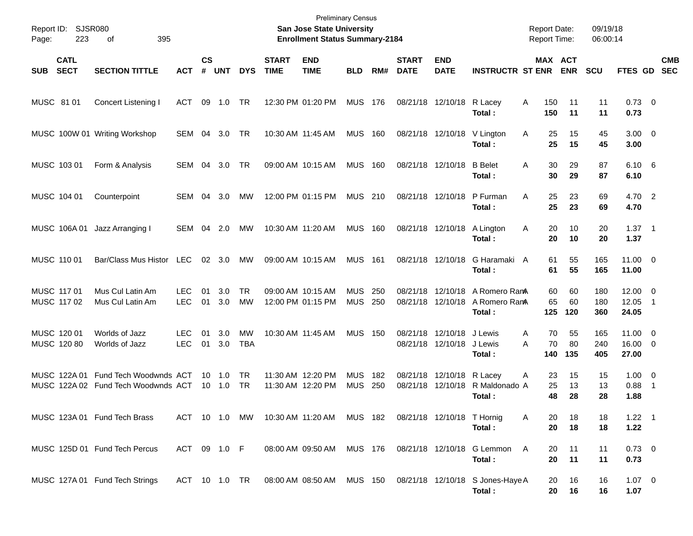| Page:       | Report ID: SJSR080<br>223  | 395<br>оf                                                     |                          |                    |                          |                         |                             | <b>Preliminary Census</b><br><b>San Jose State University</b><br><b>Enrollment Status Summary-2184</b> |                          |            |                             |                               |                                            |        | <b>Report Date:</b><br><b>Report Time:</b> |                 | 09/19/18<br>06:00:14 |                                  |                          |                          |
|-------------|----------------------------|---------------------------------------------------------------|--------------------------|--------------------|--------------------------|-------------------------|-----------------------------|--------------------------------------------------------------------------------------------------------|--------------------------|------------|-----------------------------|-------------------------------|--------------------------------------------|--------|--------------------------------------------|-----------------|----------------------|----------------------------------|--------------------------|--------------------------|
| SUB         | <b>CATL</b><br><b>SECT</b> | <b>SECTION TITTLE</b>                                         | <b>ACT</b>               | $\mathsf{cs}$<br># | <b>UNT</b>               | <b>DYS</b>              | <b>START</b><br><b>TIME</b> | <b>END</b><br><b>TIME</b>                                                                              | <b>BLD</b>               | RM#        | <b>START</b><br><b>DATE</b> | <b>END</b><br><b>DATE</b>     | <b>INSTRUCTR ST ENR</b>                    |        | MAX ACT                                    | <b>ENR</b>      | <b>SCU</b>           | FTES GD                          |                          | <b>CMB</b><br><b>SEC</b> |
| MUSC 81 01  |                            | <b>Concert Listening I</b>                                    | ACT                      | 09                 | 1.0                      | TR                      |                             | 12:30 PM 01:20 PM                                                                                      | <b>MUS 176</b>           |            |                             | 08/21/18 12/10/18             | R Lacey<br>Total:                          | A      | 150<br>150                                 | 11<br>11        | 11<br>11             | $0.73 \quad 0$<br>0.73           |                          |                          |
|             |                            | MUSC 100W 01 Writing Workshop                                 | SEM                      | 04                 | 3.0                      | TR                      | 10:30 AM 11:45 AM           |                                                                                                        | <b>MUS</b>               | 160        |                             | 08/21/18 12/10/18             | V Lington<br>Total:                        | Α      | 25<br>25                                   | 15<br>15        | 45<br>45             | $3.00 \ 0$<br>3.00               |                          |                          |
|             | MUSC 103 01                | Form & Analysis                                               | SEM                      | 04                 | 3.0                      | TR                      |                             | 09:00 AM 10:15 AM                                                                                      | <b>MUS</b>               | 160        | 08/21/18 12/10/18           |                               | <b>B</b> Belet<br>Total :                  | A      | 30<br>30                                   | 29<br>29        | 87<br>87             | $6.10\quad 6$<br>6.10            |                          |                          |
|             | MUSC 104 01                | Counterpoint                                                  | <b>SEM</b>               | 04                 | 3.0                      | МW                      |                             | 12:00 PM 01:15 PM                                                                                      | <b>MUS 210</b>           |            | 08/21/18 12/10/18           |                               | P Furman<br>Total:                         | A      | 25<br>25                                   | 23<br>23        | 69<br>69             | 4.70 2<br>4.70                   |                          |                          |
|             | MUSC 106A01                | Jazz Arranging I                                              | SEM                      | 04                 | 2.0                      | МW                      | 10:30 AM 11:20 AM           |                                                                                                        | <b>MUS</b>               | 160        | 08/21/18 12/10/18           |                               | A Lington<br>Total:                        | A      | 20<br>20                                   | 10<br>10        | 20<br>20             | $1.37 \quad 1$<br>1.37           |                          |                          |
| MUSC 110 01 |                            | Bar/Class Mus Histor                                          | LEC                      |                    | 02 3.0                   | МW                      | 09:00 AM 10:15 AM           |                                                                                                        | <b>MUS</b>               | 161        | 08/21/18 12/10/18           |                               | G Haramaki A<br>Total:                     |        | 61<br>61                                   | 55<br>55        | 165<br>165           | $11.00 \t 0$<br>11.00            |                          |                          |
| MUSC 117 01 | MUSC 117 02                | Mus Cul Latin Am<br>Mus Cul Latin Am                          | <b>LEC</b><br><b>LEC</b> | 01<br>01           | 3.0<br>3.0               | <b>TR</b><br><b>MW</b>  |                             | 09:00 AM 10:15 AM<br>12:00 PM 01:15 PM                                                                 | <b>MUS</b><br><b>MUS</b> | 250<br>250 | 08/21/18                    | 12/10/18<br>08/21/18 12/10/18 | A Romero RamA<br>A Romero RamA<br>Total:   |        | 60<br>65<br>125                            | 60<br>60<br>120 | 180<br>180<br>360    | $12.00 \t 0$<br>12.05<br>24.05   | $\blacksquare$ 1         |                          |
|             | MUSC 120 01<br>MUSC 120 80 | Worlds of Jazz<br>Worlds of Jazz                              | LEC.<br><b>LEC</b>       | 01<br>01           | 3.0<br>3.0               | <b>MW</b><br><b>TBA</b> | 10:30 AM 11:45 AM           |                                                                                                        | <b>MUS</b>               | 150        | 08/21/18                    | 12/10/18<br>08/21/18 12/10/18 | J Lewis<br>J Lewis<br>Total:               | A<br>A | 70<br>70<br>140                            | 55<br>80<br>135 | 165<br>240<br>405    | $11.00 \t 0$<br>16.00 0<br>27.00 |                          |                          |
|             | MUSC 122A 01               | Fund Tech Woodwnds ACT<br>MUSC 122A 02 Fund Tech Woodwnds ACT |                          |                    | $10 \quad 1.0$<br>10 1.0 | TR<br>. TR              |                             | 11:30 AM 12:20 PM<br>11:30 AM 12:20 PM                                                                 | <b>MUS</b><br><b>MUS</b> | 182<br>250 | 08/21/18<br>08/21/18        | 12/10/18<br>12/10/18          | R Lacey<br>R Maldonado A<br>Total :        | A      | 23<br>25<br>48                             | 15<br>13<br>28  | 15<br>13<br>28       | $1.00 \t 0$<br>0.88<br>1.88      | $\overline{\phantom{1}}$ |                          |
|             |                            | MUSC 123A 01 Fund Tech Brass                                  | ACT 10 1.0 MW            |                    |                          |                         |                             | 10:30 AM 11:20 AM MUS 182                                                                              |                          |            |                             | 08/21/18 12/10/18 T Hornig    | Total:                                     | A      | 20<br>20                                   | 18<br>18        | 18<br>18             | $1.22 \quad 1$<br>1.22           |                          |                          |
|             |                            | MUSC 125D 01 Fund Tech Percus                                 | ACT 09 1.0 F             |                    |                          |                         |                             | 08:00 AM 09:50 AM MUS 176                                                                              |                          |            |                             |                               | 08/21/18 12/10/18 G Lemmon<br>Total:       | A      | 20<br>20                                   | 11<br>11        | 11<br>11             | $0.73 \ 0$<br>0.73               |                          |                          |
|             |                            | MUSC 127A 01 Fund Tech Strings                                | ACT 10 1.0 TR            |                    |                          |                         |                             | 08:00 AM 08:50 AM MUS 150                                                                              |                          |            |                             |                               | 08/21/18 12/10/18 S Jones-Haye A<br>Total: |        | 20<br>20                                   | 16<br>16        | 16<br>16             | $1.07 \t 0$<br>1.07              |                          |                          |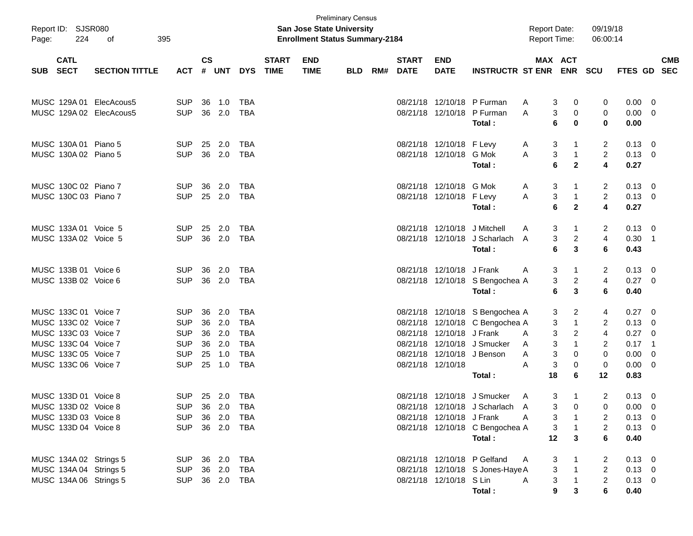| Report ID: SJSR080<br>224<br>Page:           | 395<br>οf             |                          |               |               |            |                             | <b>San Jose State University</b><br><b>Enrollment Status Summary-2184</b> | <b>Preliminary Census</b> |     |                             |                              |                                                                    | <b>Report Date:</b><br><b>Report Time:</b> |                                          | 09/19/18<br>06:00:14 |                               |     |                          |
|----------------------------------------------|-----------------------|--------------------------|---------------|---------------|------------|-----------------------------|---------------------------------------------------------------------------|---------------------------|-----|-----------------------------|------------------------------|--------------------------------------------------------------------|--------------------------------------------|------------------------------------------|----------------------|-------------------------------|-----|--------------------------|
| <b>CATL</b><br><b>SECT</b><br><b>SUB</b>     | <b>SECTION TITTLE</b> | <b>ACT</b>               | $\mathsf{cs}$ | # UNT         | <b>DYS</b> | <b>START</b><br><b>TIME</b> | <b>END</b><br><b>TIME</b>                                                 | <b>BLD</b>                | RM# | <b>START</b><br><b>DATE</b> | <b>END</b><br><b>DATE</b>    | <b>INSTRUCTR ST ENR ENR</b>                                        |                                            | MAX ACT                                  | <b>SCU</b>           | FTES GD                       |     | <b>CMB</b><br><b>SEC</b> |
| MUSC 129A 01<br>MUSC 129A 02 ElecAcous5      | ElecAcous5            | <b>SUP</b><br><b>SUP</b> | 36            | 1.0<br>36 2.0 | TBA<br>TBA |                             |                                                                           |                           |     |                             |                              | 08/21/18 12/10/18 P Furman<br>08/21/18 12/10/18 P Furman           | A<br>A                                     | 3<br>0<br>3<br>0                         | 0<br>0               | $0.00 \quad 0$<br>$0.00 \t 0$ |     |                          |
|                                              |                       |                          |               |               |            |                             |                                                                           |                           |     |                             |                              | Total :                                                            |                                            | 6<br>0                                   | 0                    | 0.00                          |     |                          |
| MUSC 130A 01 Piano 5                         |                       | <b>SUP</b>               |               | 25 2.0        | TBA        |                             |                                                                           |                           |     |                             | 08/21/18 12/10/18 F Levy     |                                                                    | A                                          | 3<br>-1                                  | 2                    | $0.13 \quad 0$                |     |                          |
| MUSC 130A 02 Piano 5                         |                       | <b>SUP</b>               |               | 36 2.0        | TBA        |                             |                                                                           |                           |     |                             | 08/21/18 12/10/18 G Mok      | Total :                                                            | A                                          | 3<br>$\overline{1}$<br>6<br>$\mathbf{2}$ | $\overline{2}$<br>4  | $0.13 \ 0$<br>0.27            |     |                          |
| MUSC 130C 02 Piano 7                         |                       | <b>SUP</b>               | 36            | 2.0           | TBA        |                             |                                                                           |                           |     |                             | 08/21/18 12/10/18 G Mok      |                                                                    | A                                          | 3<br>-1                                  | 2                    | $0.13 \quad 0$                |     |                          |
| MUSC 130C 03 Piano 7                         |                       | <b>SUP</b>               |               | 25 2.0        | TBA        |                             |                                                                           |                           |     |                             | 08/21/18 12/10/18 F Levy     | Total :                                                            | A                                          | 3<br>$\overline{1}$<br>6<br>$\mathbf{2}$ | $\overline{2}$<br>4  | $0.13 \ 0$<br>0.27            |     |                          |
| MUSC 133A 01 Voice 5                         |                       | <b>SUP</b>               |               | 25 2.0        | TBA        |                             |                                                                           |                           |     |                             | 08/21/18 12/10/18 J Mitchell |                                                                    | A                                          | 3<br>-1                                  | 2                    | $0.13 \quad 0$                |     |                          |
| MUSC 133A 02 Voice 5                         |                       | <b>SUP</b>               |               | 36 2.0        | TBA        |                             |                                                                           |                           |     |                             |                              | 08/21/18 12/10/18 J Scharlach<br>Total:                            | A                                          | $\overline{2}$<br>3<br>3<br>6            | 4<br>6               | $0.30$ 1<br>0.43              |     |                          |
| MUSC 133B 01 Voice 6                         |                       | <b>SUP</b>               | 36            | 2.0           | TBA        |                             |                                                                           |                           |     |                             | 08/21/18 12/10/18 J Frank    |                                                                    | A                                          | 3<br>-1                                  | 2                    | $0.13 \quad 0$                |     |                          |
| MUSC 133B 02 Voice 6                         |                       | <b>SUP</b>               |               | 36 2.0        | TBA        |                             |                                                                           |                           |     |                             |                              | 08/21/18 12/10/18 S Bengochea A<br>Total:                          |                                            | 3<br>$\overline{c}$<br>3<br>6            | 4<br>6               | $0.27 \ 0$<br>0.40            |     |                          |
|                                              |                       |                          |               |               |            |                             |                                                                           |                           |     |                             |                              |                                                                    |                                            |                                          |                      |                               |     |                          |
| MUSC 133C 01 Voice 7<br>MUSC 133C 02 Voice 7 |                       | <b>SUP</b><br><b>SUP</b> | 36<br>36      | 2.0<br>2.0    | TBA<br>TBA |                             |                                                                           |                           |     |                             |                              | 08/21/18 12/10/18 S Bengochea A<br>08/21/18 12/10/18 C Bengochea A |                                            | 3<br>2<br>3<br>-1                        | 4<br>2               | $0.27 \quad 0$<br>$0.13 \ 0$  |     |                          |
| MUSC 133C 03 Voice 7                         |                       | <b>SUP</b>               | 36            | 2.0           | TBA        |                             |                                                                           |                           |     |                             | 08/21/18 12/10/18 J Frank    |                                                                    | A                                          | 3<br>2                                   | $\overline{4}$       | $0.27 \ 0$                    |     |                          |
| MUSC 133C 04 Voice 7                         |                       | <b>SUP</b>               | 36            | 2.0           | TBA        |                             |                                                                           |                           |     |                             |                              | 08/21/18 12/10/18 J Smucker                                        | A                                          | 3<br>-1                                  | 2                    | $0.17$ 1                      |     |                          |
| MUSC 133C 05 Voice 7                         |                       | <b>SUP</b>               |               | 25 1.0        | <b>TBA</b> |                             |                                                                           |                           |     |                             | 08/21/18 12/10/18 J Benson   |                                                                    | A                                          | 3<br>0                                   | 0                    | 0.00                          | - 0 |                          |
| MUSC 133C 06 Voice 7                         |                       | <b>SUP</b>               |               | 25 1.0        | <b>TBA</b> |                             |                                                                           |                           |     |                             | 08/21/18 12/10/18            |                                                                    | A                                          | 3<br>0                                   | 0                    | $0.00 \t 0$                   |     |                          |
|                                              |                       |                          |               |               |            |                             |                                                                           |                           |     |                             |                              | Total :                                                            | 18                                         | 6                                        | 12                   | 0.83                          |     |                          |
| MUSC 133D 01 Voice 8                         |                       | <b>SUP</b>               |               | 25 2.0        | TBA        |                             |                                                                           |                           |     |                             |                              | 08/21/18 12/10/18 J Smucker                                        | A                                          | 3<br>-1                                  | 2                    | $0.13 \quad 0$                |     |                          |
| MUSC 133D 02 Voice 8                         |                       | SUP 36 2.0 TBA           |               |               |            |                             |                                                                           |                           |     |                             |                              | 08/21/18 12/10/18 J Scharlach                                      | A                                          | 3<br>0                                   | 0                    | $0.00 \t 0$                   |     |                          |
| MUSC 133D 03 Voice 8                         |                       | SUP 36 2.0 TBA           |               |               |            |                             |                                                                           |                           |     |                             | 08/21/18 12/10/18 J Frank    | <b>A</b>                                                           |                                            | $3 \quad 1$                              | 2                    | $0.13 \quad 0$                |     |                          |
| MUSC 133D 04 Voice 8                         |                       | SUP 36 2.0 TBA           |               |               |            |                             |                                                                           |                           |     |                             |                              | 08/21/18 12/10/18 C Bengochea A<br>Total:                          |                                            | $3 \quad 1$<br>$12 \quad 3$              | $\overline{2}$<br>6  | $0.13 \ 0$<br>0.40            |     |                          |
| MUSC 134A 02 Strings 5                       |                       | SUP 36 2.0 TBA           |               |               |            |                             |                                                                           |                           |     |                             |                              | 08/21/18 12/10/18 P Gelfand                                        | A                                          | 3<br>$\overline{\phantom{0}}$ 1          | 2                    | $0.13 \ 0$                    |     |                          |
| MUSC 134A 04 Strings 5                       | SUP 36 2.0 TBA        |                          |               |               |            |                             |                                                                           |                           |     |                             |                              | 08/21/18 12/10/18 S Jones-Haye A                                   |                                            | $3 \quad 1$                              | $\overline{2}$       | $0.13 \quad 0$                |     |                          |
| MUSC 134A 06 Strings 5                       |                       | SUP 36 2.0 TBA           |               |               |            |                             |                                                                           |                           |     |                             | 08/21/18 12/10/18 S Lin      |                                                                    | A                                          | $3 \quad 1$                              | 2                    | $0.13 \ 0$                    |     |                          |
|                                              |                       |                          |               |               |            |                             |                                                                           |                           |     |                             |                              | Total :                                                            |                                            | $9^{\circ}$<br>$\mathbf{3}$              | 6                    | 0.40                          |     |                          |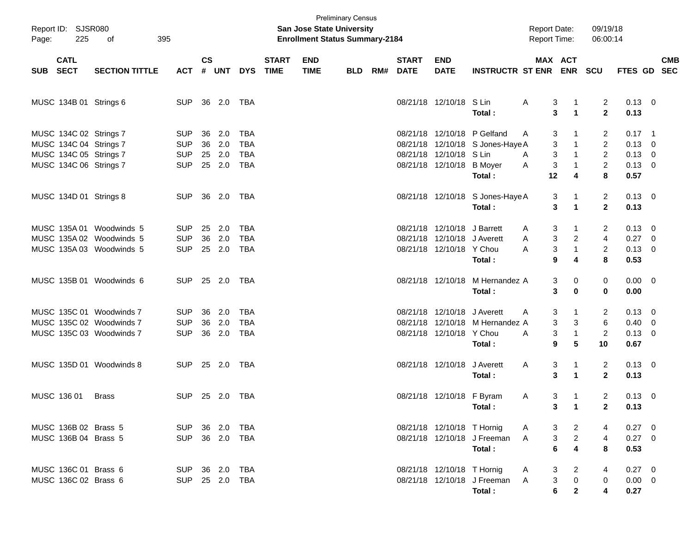| Page:      | Report ID: SJSR080<br>225                                                                            | 395<br>of                                                                        |                                                      |                |                                |                                                      |                             | San Jose State University<br><b>Enrollment Status Summary-2184</b> | <b>Preliminary Census</b> |     |                             |                                                                              |                                                                                   | <b>Report Date:</b><br><b>Report Time:</b> |                                              | 09/19/18<br>06:00:14                                    |                                              |                                                     |  |
|------------|------------------------------------------------------------------------------------------------------|----------------------------------------------------------------------------------|------------------------------------------------------|----------------|--------------------------------|------------------------------------------------------|-----------------------------|--------------------------------------------------------------------|---------------------------|-----|-----------------------------|------------------------------------------------------------------------------|-----------------------------------------------------------------------------------|--------------------------------------------|----------------------------------------------|---------------------------------------------------------|----------------------------------------------|-----------------------------------------------------|--|
| <b>SUB</b> | <b>CATL</b><br><b>SECT</b>                                                                           | <b>SECTION TITTLE</b>                                                            | <b>ACT</b>                                           | <b>CS</b><br># | <b>UNT</b>                     | <b>DYS</b>                                           | <b>START</b><br><b>TIME</b> | <b>END</b><br><b>TIME</b>                                          | <b>BLD</b>                | RM# | <b>START</b><br><b>DATE</b> | <b>END</b><br><b>DATE</b>                                                    | <b>INSTRUCTR ST ENR</b>                                                           | <b>MAX ACT</b>                             | <b>ENR</b>                                   | <b>SCU</b>                                              | FTES GD SEC                                  | <b>CMB</b>                                          |  |
|            | MUSC 134B 01 Strings 6                                                                               |                                                                                  | <b>SUP</b>                                           |                | 36 2.0                         | TBA                                                  |                             |                                                                    |                           |     |                             | 08/21/18 12/10/18 S Lin                                                      | Total:                                                                            | A<br>3<br>3                                | $\mathbf{1}$<br>$\blacktriangleleft$         | $\overline{2}$<br>$\overline{2}$                        | $0.13 \ 0$<br>0.13                           |                                                     |  |
|            | MUSC 134C 02 Strings 7<br>MUSC 134C 04 Strings 7<br>MUSC 134C 05 Strings 7<br>MUSC 134C 06 Strings 7 |                                                                                  | <b>SUP</b><br><b>SUP</b><br><b>SUP</b><br><b>SUP</b> | 36<br>36       | 2.0<br>2.0<br>25 2.0<br>25 2.0 | <b>TBA</b><br><b>TBA</b><br><b>TBA</b><br><b>TBA</b> |                             |                                                                    |                           |     |                             | 08/21/18 12/10/18 S Lin<br>08/21/18 12/10/18                                 | 08/21/18 12/10/18 P Gelfand<br>08/21/18 12/10/18 S Jones-Haye A<br><b>B</b> Moyer | 3<br>A<br>3<br>3<br>A<br>3<br>Α            | $\mathbf{1}$<br>$\mathbf{1}$<br>$\mathbf{1}$ | 2<br>$\overline{2}$<br>$\overline{2}$<br>$\overline{2}$ | $0.17$ 1<br>0.13<br>$0.13 \ 0$<br>$0.13 \ 0$ | $\overline{\mathbf{0}}$                             |  |
|            | MUSC 134D 01 Strings 8                                                                               |                                                                                  | <b>SUP</b>                                           |                | 36 2.0                         | TBA                                                  |                             |                                                                    |                           |     |                             |                                                                              | Total:<br>08/21/18 12/10/18 S Jones-Haye A<br>Total:                              | 12<br>3<br>3                               | 4<br>1<br>$\blacktriangleleft$               | 8<br>$\overline{2}$<br>$\mathbf{2}$                     | 0.57<br>$0.13 \quad 0$<br>0.13               |                                                     |  |
|            |                                                                                                      | MUSC 135A 01 Woodwinds 5<br>MUSC 135A 02 Woodwinds 5<br>MUSC 135A 03 Woodwinds 5 | <b>SUP</b><br><b>SUP</b><br><b>SUP</b>               | 25<br>36       | 2.0<br>2.0<br>25 2.0           | <b>TBA</b><br><b>TBA</b><br><b>TBA</b>               |                             |                                                                    |                           |     |                             | 08/21/18 12/10/18<br>08/21/18 12/10/18 J Averett<br>08/21/18 12/10/18 Y Chou | J Barrett<br>Total:                                                               | 3<br>A<br>3<br>Α<br>3<br>A<br>9            | 1<br>$\overline{2}$<br>$\mathbf{1}$<br>4     | 2<br>$\overline{\mathbf{4}}$<br>$\overline{c}$<br>8     | 0.13<br>0.27<br>$0.13 \ 0$<br>0.53           | $\overline{\mathbf{0}}$<br>$\overline{\phantom{0}}$ |  |
|            |                                                                                                      | MUSC 135B 01 Woodwinds 6                                                         | <b>SUP</b>                                           |                | 25 2.0                         | TBA                                                  |                             |                                                                    |                           |     |                             | 08/21/18 12/10/18                                                            | M Hernandez A<br>Total:                                                           | 3<br>3                                     | 0<br>0                                       | 0<br>0                                                  | $0.00 \t 0$<br>0.00                          |                                                     |  |
|            |                                                                                                      | MUSC 135C 01 Woodwinds 7<br>MUSC 135C 02 Woodwinds 7<br>MUSC 135C 03 Woodwinds 7 | <b>SUP</b><br><b>SUP</b><br><b>SUP</b>               | 36<br>36       | 2.0<br>2.0<br>36 2.0           | <b>TBA</b><br><b>TBA</b><br><b>TBA</b>               |                             |                                                                    |                           |     |                             | 08/21/18 12/10/18<br>08/21/18 12/10/18 Y Chou                                | J Averett<br>08/21/18 12/10/18 M Hernandez A<br>Total:                            | 3<br>A<br>3<br>3<br>A<br>9                 | 1<br>3<br>$\mathbf{1}$<br>5                  | 2<br>6<br>$\overline{2}$<br>10                          | 0.13<br>$0.40 \ 0$<br>$0.13 \ 0$<br>0.67     | $\overline{\phantom{0}}$                            |  |
|            |                                                                                                      | MUSC 135D 01 Woodwinds 8                                                         | <b>SUP</b>                                           |                | 25 2.0                         | TBA                                                  |                             |                                                                    |                           |     |                             | 08/21/18 12/10/18                                                            | J Averett<br>Total:                                                               | Α<br>3<br>3                                | 1<br>$\blacktriangleleft$                    | $\overline{2}$<br>$\mathbf{2}$                          | $0.13 \ 0$<br>0.13                           |                                                     |  |
|            | MUSC 136 01                                                                                          | <b>Brass</b>                                                                     | <b>SUP</b>                                           |                | 25 2.0                         | TBA                                                  |                             |                                                                    |                           |     |                             | 08/21/18 12/10/18 F Byram                                                    | Total :                                                                           | 3<br>A                                     | 1<br>$3 \quad 1$                             | $\overline{2}$<br>2                                     | $0.13 \ 0$<br>0.13                           |                                                     |  |
|            | MUSC 136B 02 Brass 5<br>MUSC 136B 04 Brass 5                                                         |                                                                                  | SUP 36 2.0<br><b>SUP</b>                             |                | 36 2.0                         | TBA<br>TBA                                           |                             |                                                                    |                           |     |                             | 08/21/18 12/10/18 T Hornig                                                   | 08/21/18 12/10/18 J Freeman<br>Total:                                             | 3<br>A<br>3<br>A<br>6                      | $\overline{a}$<br>$\frac{2}{4}$              | 4<br>8                                                  | $0.27$ 0<br>$0.27$ 0<br>0.53                 |                                                     |  |
|            | MUSC 136C 01 Brass 6<br>MUSC 136C 02 Brass 6                                                         |                                                                                  | SUP 36 2.0<br><b>SUP</b>                             |                | 25 2.0                         | TBA<br>TBA                                           |                             |                                                                    |                           |     |                             | 08/21/18 12/10/18 T Hornig                                                   | 08/21/18 12/10/18 J Freeman<br>Total:                                             | 3<br>A<br>3<br>$\mathsf{A}$<br>6           | $\overline{a}$<br>$\pmb{0}$<br>$\mathbf{2}$  | $\boldsymbol{0}$                                        | $0.27$ 0<br>$0.00 \t 0$<br>0.27              |                                                     |  |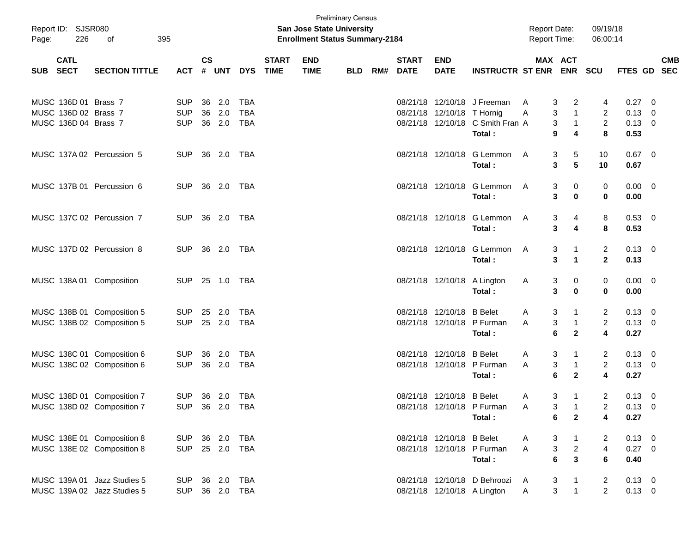| Page: | Report ID: SJSR080<br>226  | 395<br>οf                                                |                              |               |              |            |                             | San Jose State University<br><b>Enrollment Status Summary-2184</b> | <b>Preliminary Census</b> |     |                             |                             |                                            | <b>Report Date:</b><br><b>Report Time:</b> |                                | 09/19/18<br>06:00:14             |                              |                          |
|-------|----------------------------|----------------------------------------------------------|------------------------------|---------------|--------------|------------|-----------------------------|--------------------------------------------------------------------|---------------------------|-----|-----------------------------|-----------------------------|--------------------------------------------|--------------------------------------------|--------------------------------|----------------------------------|------------------------------|--------------------------|
| SUB   | <b>CATL</b><br><b>SECT</b> | <b>SECTION TITTLE</b>                                    | <b>ACT</b>                   | $\mathsf{cs}$ | # UNT        | <b>DYS</b> | <b>START</b><br><b>TIME</b> | <b>END</b><br><b>TIME</b>                                          | <b>BLD</b>                | RM# | <b>START</b><br><b>DATE</b> | <b>END</b><br><b>DATE</b>   | <b>INSTRUCTR ST ENR</b>                    |                                            | MAX ACT<br><b>ENR</b>          | <b>SCU</b>                       | <b>FTES GD</b>               | <b>CMB</b><br><b>SEC</b> |
|       |                            |                                                          |                              |               |              |            |                             |                                                                    |                           |     |                             |                             |                                            |                                            |                                |                                  |                              |                          |
|       | MUSC 136D 01 Brass 7       |                                                          | <b>SUP</b>                   |               | 36 2.0       | TBA        |                             |                                                                    |                           |     |                             |                             | 08/21/18 12/10/18 J Freeman                | A                                          | 3<br>2                         | 4                                | $0.27 \ 0$                   |                          |
|       | MUSC 136D 02 Brass 7       |                                                          | <b>SUP</b>                   |               | 36 2.0       | <b>TBA</b> |                             |                                                                    |                           |     |                             | 08/21/18 12/10/18 T Hornig  |                                            | Α                                          | 3<br>$\mathbf{1}$              | $\overline{2}$                   | $0.13 \quad 0$               |                          |
|       | MUSC 136D 04 Brass 7       |                                                          | <b>SUP</b>                   |               | 36 2.0       | <b>TBA</b> |                             |                                                                    |                           |     |                             |                             | 08/21/18 12/10/18 C Smith Fran A<br>Total: |                                            | 3<br>$\overline{1}$<br>9<br>4  | $\overline{2}$<br>8              | $0.13 \ 0$<br>0.53           |                          |
|       |                            |                                                          |                              |               |              |            |                             |                                                                    |                           |     |                             |                             |                                            |                                            |                                |                                  |                              |                          |
|       |                            | MUSC 137A 02 Percussion 5                                | <b>SUP</b>                   |               | 36 2.0 TBA   |            |                             |                                                                    |                           |     |                             |                             | 08/21/18 12/10/18 G Lemmon                 | A                                          | 5<br>3                         | 10                               | $0.67$ 0                     |                          |
|       |                            |                                                          |                              |               |              |            |                             |                                                                    |                           |     |                             |                             | Total:                                     |                                            | 3<br>5                         | 10                               | 0.67                         |                          |
|       |                            |                                                          |                              |               |              |            |                             |                                                                    |                           |     |                             |                             |                                            |                                            |                                |                                  |                              |                          |
|       |                            | MUSC 137B 01 Percussion 6                                | <b>SUP</b>                   |               | 36 2.0 TBA   |            |                             |                                                                    |                           |     |                             |                             | 08/21/18 12/10/18 G Lemmon                 | A                                          | 0<br>3                         | 0                                | $0.00 \quad 0$               |                          |
|       |                            |                                                          |                              |               |              |            |                             |                                                                    |                           |     |                             |                             | Total:                                     |                                            | 3<br>$\bf{0}$                  | 0                                | 0.00                         |                          |
|       |                            | MUSC 137C 02 Percussion 7                                | SUP.                         |               | 36 2.0 TBA   |            |                             |                                                                    |                           |     |                             |                             | 08/21/18 12/10/18 G Lemmon                 | A                                          |                                | 8                                | $0.53 \ 0$                   |                          |
|       |                            |                                                          |                              |               |              |            |                             |                                                                    |                           |     |                             |                             | Total:                                     |                                            | 3<br>4<br>3<br>4               | 8                                | 0.53                         |                          |
|       |                            |                                                          |                              |               |              |            |                             |                                                                    |                           |     |                             |                             |                                            |                                            |                                |                                  |                              |                          |
|       |                            | MUSC 137D 02 Percussion 8                                | SUP.                         |               | 36 2.0 TBA   |            |                             |                                                                    |                           |     |                             |                             | 08/21/18 12/10/18 G Lemmon                 | A                                          | 3<br>-1                        | 2                                | $0.13 \quad 0$               |                          |
|       |                            |                                                          |                              |               |              |            |                             |                                                                    |                           |     |                             |                             | Total:                                     |                                            | 3<br>$\overline{1}$            | $\mathbf{2}$                     | 0.13                         |                          |
|       |                            |                                                          |                              |               |              |            |                             |                                                                    |                           |     |                             |                             |                                            |                                            |                                |                                  |                              |                          |
|       |                            | MUSC 138A 01 Composition                                 | <b>SUP</b>                   |               |              |            |                             |                                                                    |                           |     |                             | 08/21/18 12/10/18 A Lington |                                            | A                                          | 3<br>0                         | 0                                | $0.00 \quad 0$               |                          |
|       |                            |                                                          |                              |               |              |            |                             |                                                                    |                           |     |                             |                             | Total:                                     |                                            | 3<br>$\bf{0}$                  | 0                                | 0.00                         |                          |
|       |                            | MUSC 138B 01 Composition 5                               | <b>SUP</b>                   |               | 25 2.0       | TBA        |                             |                                                                    |                           |     |                             | 08/21/18 12/10/18 B Belet   |                                            | A                                          | 3<br>-1                        | 2                                | $0.13 \ 0$                   |                          |
|       |                            | MUSC 138B 02 Composition 5                               | <b>SUP</b>                   |               | 25 2.0       | TBA        |                             |                                                                    |                           |     |                             |                             | 08/21/18 12/10/18 P Furman                 | A                                          | 3<br>$\overline{1}$            | $\overline{2}$                   | $0.13 \ 0$                   |                          |
|       |                            |                                                          |                              |               |              |            |                             |                                                                    |                           |     |                             |                             | Total:                                     |                                            | 6<br>$\mathbf{2}$              | 4                                | 0.27                         |                          |
|       |                            |                                                          |                              |               |              |            |                             |                                                                    |                           |     |                             |                             |                                            |                                            |                                |                                  |                              |                          |
|       |                            | MUSC 138C 01 Composition 6                               | <b>SUP</b>                   |               | 36 2.0       | TBA        |                             |                                                                    |                           |     |                             | 08/21/18 12/10/18 B Belet   |                                            | A                                          | 3<br>-1                        | 2                                | $0.13 \ 0$                   |                          |
|       |                            | MUSC 138C 02 Composition 6                               | <b>SUP</b>                   |               | 36 2.0       | TBA        |                             |                                                                    |                           |     |                             |                             | 08/21/18 12/10/18 P Furman                 | A                                          | 3<br>$\overline{1}$            | $\overline{2}$                   | $0.13 \ 0$                   |                          |
|       |                            |                                                          |                              |               |              |            |                             |                                                                    |                           |     |                             |                             | Total:                                     |                                            | 6<br>$\mathbf{2}$              | 4                                | 0.27                         |                          |
|       |                            |                                                          |                              |               |              |            |                             |                                                                    |                           |     |                             |                             |                                            |                                            |                                |                                  |                              |                          |
|       |                            | MUSC 138D 01 Composition 7<br>MUSC 138D 02 Composition 7 | <b>SUP</b><br>SUP 36 2.0 TBA |               | 36 2.0       | TBA        |                             |                                                                    |                           |     |                             | 08/21/18 12/10/18 B Belet   | 08/21/18 12/10/18 P Furman                 | A                                          | 3<br>-1<br>3<br>-1             | $\overline{2}$<br>$\overline{2}$ | $0.13 \quad 0$<br>$0.13 \ 0$ |                          |
|       |                            |                                                          |                              |               |              |            |                             |                                                                    |                           |     |                             |                             | Total:                                     | A                                          | $\mathbf{2}$<br>6              | 4                                | 0.27                         |                          |
|       |                            |                                                          |                              |               |              |            |                             |                                                                    |                           |     |                             |                             |                                            |                                            |                                |                                  |                              |                          |
|       |                            | MUSC 138E 01 Composition 8                               | SUP 36 2.0 TBA               |               |              |            |                             |                                                                    |                           |     |                             | 08/21/18 12/10/18 B Belet   |                                            | A                                          | 3<br>$\overline{1}$            | 2                                | $0.13 \quad 0$               |                          |
|       |                            | MUSC 138E 02 Composition 8                               | <b>SUP</b>                   |               | 25  2.0  TBA |            |                             |                                                                    |                           |     |                             |                             | 08/21/18 12/10/18 P Furman                 | A                                          | $\mathbf{3}$<br>$\overline{2}$ | $\overline{\mathbf{4}}$          | $0.27 \t 0$                  |                          |
|       |                            |                                                          |                              |               |              |            |                             |                                                                    |                           |     |                             |                             | Total:                                     |                                            | $\mathbf{3}$<br>6              | 6                                | 0.40                         |                          |
|       |                            |                                                          |                              |               |              |            |                             |                                                                    |                           |     |                             |                             |                                            |                                            |                                |                                  |                              |                          |
|       |                            | MUSC 139A 01 Jazz Studies 5                              | <b>SUP</b>                   |               | 36 2.0 TBA   |            |                             |                                                                    |                           |     |                             |                             | 08/21/18 12/10/18 D Behroozi A             |                                            | 3<br>$\mathbf{1}$              | 2                                | $0.13 \quad 0$               |                          |
|       |                            | MUSC 139A 02 Jazz Studies 5                              | <b>SUP</b>                   |               | 36 2.0 TBA   |            |                             |                                                                    |                           |     |                             | 08/21/18 12/10/18 A Lington |                                            | A                                          | 3<br>$\mathbf{1}$              | $\overline{2}$                   | $0.13 \ 0$                   |                          |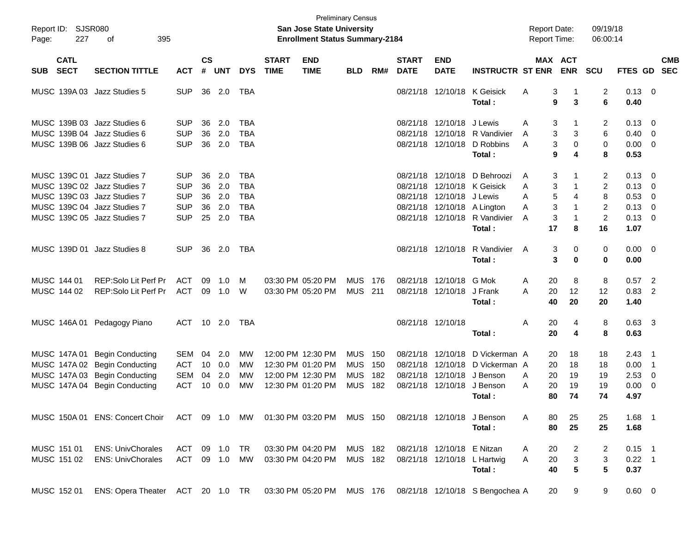| Page:      | Report ID: SJSR080<br>227  | 395<br>οf                        |               |                    |            |            |                             | San Jose State University<br><b>Enrollment Status Summary-2184</b> | <b>Preliminary Census</b> |       |                             |                            |                                 | <b>Report Date:</b><br>Report Time: |                           | 09/19/18<br>06:00:14 |                |                          |            |
|------------|----------------------------|----------------------------------|---------------|--------------------|------------|------------|-----------------------------|--------------------------------------------------------------------|---------------------------|-------|-----------------------------|----------------------------|---------------------------------|-------------------------------------|---------------------------|----------------------|----------------|--------------------------|------------|
| <b>SUB</b> | <b>CATL</b><br><b>SECT</b> | <b>SECTION TITTLE</b>            | <b>ACT</b>    | $\mathsf{cs}$<br># | <b>UNT</b> | <b>DYS</b> | <b>START</b><br><b>TIME</b> | <b>END</b><br><b>TIME</b>                                          | <b>BLD</b>                | RM#   | <b>START</b><br><b>DATE</b> | <b>END</b><br><b>DATE</b>  | <b>INSTRUCTR ST ENR</b>         | MAX ACT                             | <b>ENR</b>                | <b>SCU</b>           | FTES GD SEC    |                          | <b>CMB</b> |
|            |                            | MUSC 139A 03 Jazz Studies 5      | <b>SUP</b>    |                    | 36 2.0     | TBA        |                             |                                                                    |                           |       |                             | 08/21/18 12/10/18          | K Geisick                       | Α<br>3                              |                           | 2                    | $0.13 \ 0$     |                          |            |
|            |                            |                                  |               |                    |            |            |                             |                                                                    |                           |       |                             |                            | Total:                          | 9                                   | 3                         | 6                    | 0.40           |                          |            |
|            |                            | MUSC 139B 03 Jazz Studies 6      | <b>SUP</b>    | 36                 | 2.0        | TBA        |                             |                                                                    |                           |       |                             | 08/21/18 12/10/18 J Lewis  |                                 | 3<br>Α                              | 1                         | 2                    | $0.13 \quad 0$ |                          |            |
|            |                            | MUSC 139B 04 Jazz Studies 6      | <b>SUP</b>    | 36                 | 2.0        | <b>TBA</b> |                             |                                                                    |                           |       |                             |                            | 08/21/18 12/10/18 R Vandivier   | 3<br>A                              | 3                         | 6                    | $0.40 \quad 0$ |                          |            |
|            |                            | MUSC 139B 06 Jazz Studies 6      | <b>SUP</b>    | 36                 | 2.0        | TBA        |                             |                                                                    |                           |       |                             | 08/21/18 12/10/18          | D Robbins                       | 3<br>A                              | $\mathbf 0$               | 0                    | $0.00 \t 0$    |                          |            |
|            |                            |                                  |               |                    |            |            |                             |                                                                    |                           |       |                             |                            | Total:                          | 9                                   | 4                         | 8                    | 0.53           |                          |            |
|            |                            | MUSC 139C 01 Jazz Studies 7      | <b>SUP</b>    | 36                 | 2.0        | TBA        |                             |                                                                    |                           |       |                             | 08/21/18 12/10/18          | D Behroozi                      | 3<br>Α                              |                           | 2                    | $0.13 \quad 0$ |                          |            |
|            |                            | MUSC 139C 02 Jazz Studies 7      | <b>SUP</b>    | 36                 | 2.0        | TBA        |                             |                                                                    |                           |       | 08/21/18                    |                            | 12/10/18 K Geisick              | 3<br>Α                              | 1                         | 2                    | $0.13 \quad 0$ |                          |            |
|            |                            | MUSC 139C 03 Jazz Studies 7      | <b>SUP</b>    | 36                 | 2.0        | <b>TBA</b> |                             |                                                                    |                           |       |                             | 08/21/18 12/10/18 J Lewis  |                                 | 5<br>Α                              | 4                         | 8                    | 0.53           | $\overline{\phantom{0}}$ |            |
|            |                            | MUSC 139C 04 Jazz Studies 7      | <b>SUP</b>    | 36                 | 2.0        | <b>TBA</b> |                             |                                                                    |                           |       |                             |                            | 08/21/18 12/10/18 A Lington     | 3<br>A                              | 1                         | $\overline{c}$       | $0.13 \quad 0$ |                          |            |
|            |                            | MUSC 139C 05 Jazz Studies 7      | <b>SUP</b>    |                    | 25 2.0     | <b>TBA</b> |                             |                                                                    |                           |       |                             |                            | 08/21/18 12/10/18 R Vandivier   | 3<br>Α                              | $\mathbf{1}$              | $\overline{c}$       | $0.13 \quad 0$ |                          |            |
|            |                            |                                  |               |                    |            |            |                             |                                                                    |                           |       |                             |                            | Total:                          | 17                                  | 8                         | 16                   | 1.07           |                          |            |
|            |                            | MUSC 139D 01 Jazz Studies 8      | <b>SUP</b>    | 36                 | 2.0        | TBA        |                             |                                                                    |                           |       |                             | 08/21/18 12/10/18          | R Vandivier                     | 3<br>A                              | 0                         | 0                    | $0.00 \t 0$    |                          |            |
|            |                            |                                  |               |                    |            |            |                             |                                                                    |                           |       |                             |                            | Total:                          | 3                                   | $\bf{0}$                  | 0                    | 0.00           |                          |            |
|            | MUSC 144 01                | REP:Solo Lit Perf Pr             | ACT           | 09                 | 1.0        | м          |                             | 03:30 PM 05:20 PM                                                  | <b>MUS</b>                | - 176 |                             | 08/21/18 12/10/18 G Mok    |                                 | 20<br>Α                             | 8                         | 8                    | $0.57$ 2       |                          |            |
|            | MUSC 144 02                | REP:Solo Lit Perf Pr             | ACT           | 09                 | 1.0        | W          |                             | 03:30 PM 05:20 PM                                                  | MUS                       | 211   |                             | 08/21/18 12/10/18 J Frank  |                                 | A<br>20                             | 12                        | 12                   | 0.83           | $\overline{2}$           |            |
|            |                            |                                  |               |                    |            |            |                             |                                                                    |                           |       |                             |                            | Total:                          | 40                                  | 20                        | 20                   | 1.40           |                          |            |
|            |                            | MUSC 146A 01 Pedagogy Piano      | ACT           |                    | 10 2.0     | TBA        |                             |                                                                    |                           |       |                             | 08/21/18 12/10/18          |                                 | Α<br>20                             | 4                         | 8                    | $0.63$ 3       |                          |            |
|            |                            |                                  |               |                    |            |            |                             |                                                                    |                           |       |                             |                            | Total:                          | 20                                  | 4                         | 8                    | 0.63           |                          |            |
|            |                            | MUSC 147A 01 Begin Conducting    | <b>SEM</b>    | 04                 | 2.0        | <b>MW</b>  |                             | 12:00 PM 12:30 PM                                                  | <b>MUS</b>                | 150   |                             | 08/21/18 12/10/18          | D Vickerman A                   | 20                                  | 18                        | 18                   | 2.43           | - 1                      |            |
|            |                            | MUSC 147A 02 Begin Conducting    | ACT           | 10                 | 0.0        | MW         |                             | 12:30 PM 01:20 PM                                                  | <b>MUS</b>                | 150   | 08/21/18                    | 12/10/18                   | D Vickerman A                   | 20                                  | 18                        | 18                   | 0.00           | $\overline{\phantom{1}}$ |            |
|            |                            | MUSC 147A 03 Begin Conducting    | SEM           | 04                 | 2.0        | MW         |                             | 12:00 PM 12:30 PM                                                  | <b>MUS</b>                | 182   |                             |                            | 08/21/18 12/10/18 J Benson      | 20<br>A                             | 19                        | 19                   | 2.53           | $\overline{\phantom{0}}$ |            |
|            |                            | MUSC 147A 04 Begin Conducting    | <b>ACT</b>    | 10                 | 0.0        | MW         |                             | 12:30 PM 01:20 PM                                                  | <b>MUS</b>                | 182   |                             | 08/21/18 12/10/18          | J Benson                        | А<br>20                             | 19                        | 19                   | 0.00           | $\overline{\phantom{0}}$ |            |
|            |                            |                                  |               |                    |            |            |                             |                                                                    |                           |       |                             |                            | Total:                          | 80                                  | 74                        | 74                   | 4.97           |                          |            |
|            |                            | MUSC 150A 01 ENS: Concert Choir  |               |                    |            |            |                             | ACT 09 1.0 MW 01:30 PM 03:20 PM MUS 150                            |                           |       |                             |                            | 08/21/18 12/10/18 J Benson      | 80<br>Α                             | 25                        | 25                   | $1.68$ 1       |                          |            |
|            |                            |                                  |               |                    |            |            |                             |                                                                    |                           |       |                             |                            | Total:                          | 80                                  | 25                        | 25                   | 1.68           |                          |            |
|            | MUSC 151 01                | <b>ENS: UnivChorales</b>         | ACT           |                    | 09 1.0 TR  |            |                             | 03:30 PM 04:20 PM                                                  | MUS 182                   |       |                             | 08/21/18 12/10/18 E Nitzan |                                 | 20<br>Α                             | $\overline{a}$            | 2                    | $0.15$ 1       |                          |            |
|            | MUSC 151 02                | <b>ENS: UnivChorales</b>         | ACT 09 1.0 MW |                    |            |            |                             | 03:30 PM 04:20 PM                                                  | MUS 182                   |       |                             |                            | 08/21/18 12/10/18 L Hartwig     | 20<br>A                             | $\ensuremath{\mathsf{3}}$ | 3                    | $0.22$ 1       |                          |            |
|            |                            |                                  |               |                    |            |            |                             |                                                                    |                           |       |                             |                            | Total:                          | 40                                  | $5\phantom{.0}$           | 5                    | 0.37           |                          |            |
|            | MUSC 152 01                | ENS: Opera Theater ACT 20 1.0 TR |               |                    |            |            |                             | 03:30 PM 05:20 PM MUS 176                                          |                           |       |                             |                            | 08/21/18 12/10/18 S Bengochea A | 20                                  | 9                         | 9                    | $0.60 \t 0$    |                          |            |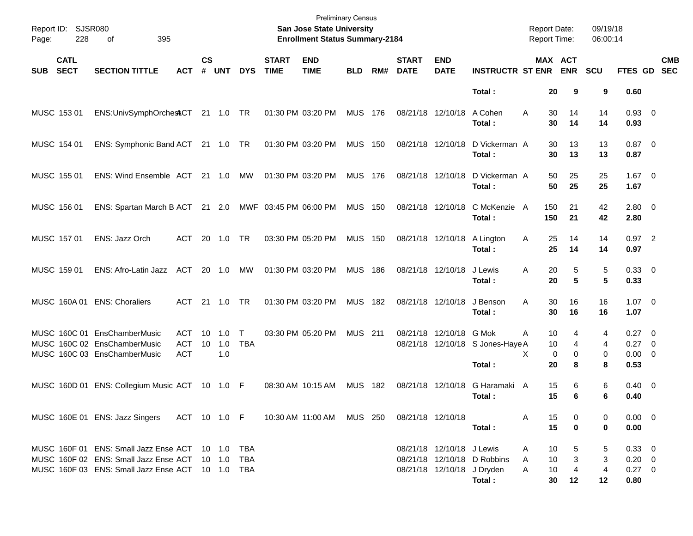| Report ID:<br>228<br>Page:               | SJSR080<br>395<br>οf                                                                                                                      |                                        |                |                   |                            |                             | <b>Preliminary Census</b><br>San Jose State University<br><b>Enrollment Status Summary-2184</b> |                |     |                             |                           |                                                                     | <b>Report Date:</b> | <b>Report Time:</b>                                    | 09/19/18<br>06:00:14 |                                                |                          |
|------------------------------------------|-------------------------------------------------------------------------------------------------------------------------------------------|----------------------------------------|----------------|-------------------|----------------------------|-----------------------------|-------------------------------------------------------------------------------------------------|----------------|-----|-----------------------------|---------------------------|---------------------------------------------------------------------|---------------------|--------------------------------------------------------|----------------------|------------------------------------------------|--------------------------|
| <b>CATL</b><br><b>SECT</b><br><b>SUB</b> | <b>SECTION TITTLE</b>                                                                                                                     | <b>ACT</b>                             | <b>CS</b><br># | <b>UNT</b>        | <b>DYS</b>                 | <b>START</b><br><b>TIME</b> | <b>END</b><br><b>TIME</b>                                                                       | <b>BLD</b>     | RM# | <b>START</b><br><b>DATE</b> | <b>END</b><br><b>DATE</b> | <b>INSTRUCTR ST ENR</b>                                             |                     | MAX ACT<br><b>ENR</b>                                  | <b>SCU</b>           | FTES GD                                        | <b>CMB</b><br><b>SEC</b> |
|                                          |                                                                                                                                           |                                        |                |                   |                            |                             |                                                                                                 |                |     |                             |                           | Total:                                                              |                     | 20<br>9                                                | 9                    | 0.60                                           |                          |
| MUSC 153 01                              | ENS:UnivSymphOrchesACT 21 1.0 TR                                                                                                          |                                        |                |                   |                            |                             | 01:30 PM 03:20 PM                                                                               | <b>MUS 176</b> |     | 08/21/18 12/10/18           |                           | A Cohen<br>Total :                                                  | A                   | 30<br>14<br>30<br>14                                   | 14<br>14             | $0.93$ 0<br>0.93                               |                          |
| MUSC 154 01                              | ENS: Symphonic Band ACT 21 1.0 TR                                                                                                         |                                        |                |                   |                            |                             | 01:30 PM 03:20 PM                                                                               | <b>MUS</b>     | 150 | 08/21/18 12/10/18           |                           | D Vickerman A<br>Total:                                             |                     | 30<br>13<br>30<br>13                                   | 13<br>13             | $0.87$ 0<br>0.87                               |                          |
| MUSC 155 01                              | ENS: Wind Ensemble ACT                                                                                                                    |                                        | 21 1.0         |                   | MW                         |                             | 01:30 PM 03:20 PM                                                                               | <b>MUS 176</b> |     | 08/21/18 12/10/18           |                           | D Vickerman A<br>Total:                                             |                     | 50<br>25<br>50<br>25                                   | 25<br>25             | $1.67$ 0<br>1.67                               |                          |
| MUSC 156 01                              | ENS: Spartan March B ACT 21 2.0                                                                                                           |                                        |                |                   |                            | MWF 03:45 PM 06:00 PM       |                                                                                                 | <b>MUS 150</b> |     | 08/21/18 12/10/18           |                           | C McKenzie A<br>Total:                                              | 150<br>150          | 21<br>21                                               | 42<br>42             | 2.80 0<br>2.80                                 |                          |
| MUSC 157 01                              | ENS: Jazz Orch                                                                                                                            | ACT                                    | 20             | 1.0               | TR                         |                             | 03:30 PM 05:20 PM                                                                               | <b>MUS 150</b> |     | 08/21/18 12/10/18           |                           | A Lington<br>Total:                                                 | A                   | 25<br>14<br>25<br>14                                   | 14<br>14             | $0.97$ 2<br>0.97                               |                          |
| MUSC 159 01                              | ENS: Afro-Latin Jazz                                                                                                                      | ACT                                    | 20 1.0         |                   | MW                         |                             | 01:30 PM 03:20 PM                                                                               | <b>MUS 186</b> |     | 08/21/18 12/10/18           |                           | J Lewis<br>Total:                                                   | A                   | 5<br>20<br>$5\phantom{1}$<br>20                        | 5<br>5               | 0.33 0<br>0.33                                 |                          |
| MUSC 160A01                              | <b>ENS: Choraliers</b>                                                                                                                    | ACT                                    | $21 \quad 1.0$ |                   | TR                         |                             | 01:30 PM 03:20 PM                                                                               | <b>MUS 182</b> |     | 08/21/18 12/10/18           |                           | J Benson<br>Total:                                                  | A                   | 30<br>16<br>30<br>16                                   | 16<br>16             | $1.07 \t 0$<br>1.07                            |                          |
|                                          | MUSC 160C 01 EnsChamberMusic<br>MUSC 160C 02 EnsChamberMusic<br>MUSC 160C 03 EnsChamberMusic                                              | <b>ACT</b><br><b>ACT</b><br><b>ACT</b> | 10<br>10       | 1.0<br>1.0<br>1.0 | $\mathsf{T}$<br><b>TBA</b> |                             | 03:30 PM 05:20 PM                                                                               | <b>MUS 211</b> |     | 08/21/18                    | 12/10/18                  | G Mok<br>08/21/18 12/10/18 S Jones-Haye A<br>Total:                 | A<br>X              | 10<br>4<br>10<br>4<br>$\mathbf 0$<br>0<br>20<br>8      | 4<br>4<br>0<br>8     | $0.27 \ 0$<br>$0.27$ 0<br>$0.00 \t 0$<br>0.53  |                          |
|                                          | MUSC 160D 01 ENS: Collegium Music ACT 10 1.0 F                                                                                            |                                        |                |                   |                            |                             | 08:30 AM 10:15 AM                                                                               | <b>MUS 182</b> |     | 08/21/18 12/10/18           |                           | G Haramaki A<br>Total :                                             |                     | 6<br>15<br>15<br>6                                     | 6<br>6               | $0.40 \quad 0$<br>0.40                         |                          |
|                                          | MUSC 160E 01 ENS: Jazz Singers                                                                                                            |                                        |                |                   |                            |                             | ACT 10 1.0 F 10:30 AM 11:00 AM MUS 250                                                          |                |     | 08/21/18 12/10/18           |                           | Total:                                                              | Α                   | 15<br>0<br>15<br>0                                     | 0<br>0               | $0.00 \t 0$<br>0.00                            |                          |
|                                          | MUSC 160F 01 ENS: Small Jazz Ense ACT 10 1.0<br>MUSC 160F 02 ENS: Small Jazz Ense ACT<br>MUSC 160F 03 ENS: Small Jazz Ense ACT 10 1.0 TBA |                                        | $10 \quad 1.0$ |                   | TBA<br><b>TBA</b>          |                             |                                                                                                 |                |     |                             | 08/21/18 12/10/18 J Lewis | 08/21/18 12/10/18 D Robbins<br>08/21/18 12/10/18 J Dryden<br>Total: | A<br>A<br>A         | 10<br>5<br>3<br>10<br>$\overline{4}$<br>10<br>30<br>12 | 5<br>3<br>4<br>12    | $0.33 \ 0$<br>$0.20 \ 0$<br>$0.27 \ 0$<br>0.80 |                          |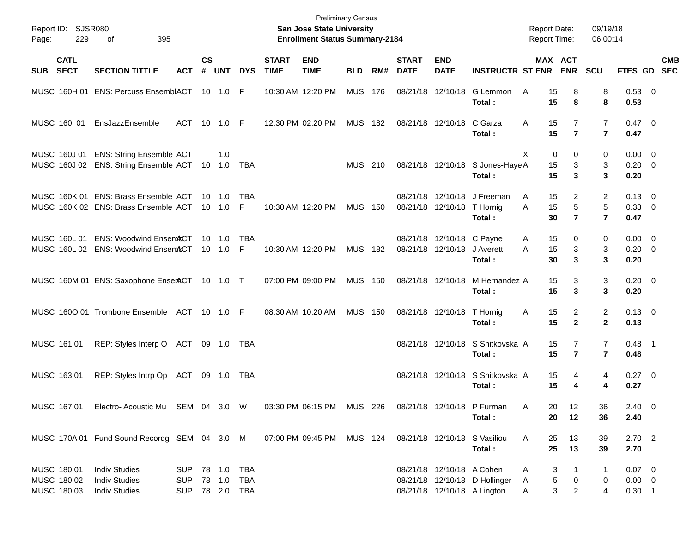| Report ID:<br>Page:                       | SJSR080<br>229             | of<br>395                                                                           |                                                |                    |                            |                               |                             | <b>Preliminary Census</b><br>San Jose State University<br><b>Enrollment Status Summary-2184</b> |                |     |                             |                                                          |                                                              | <b>Report Date:</b><br>Report Time: |                                       | 09/19/18<br>06:00:14                    |                                     |                           |
|-------------------------------------------|----------------------------|-------------------------------------------------------------------------------------|------------------------------------------------|--------------------|----------------------------|-------------------------------|-----------------------------|-------------------------------------------------------------------------------------------------|----------------|-----|-----------------------------|----------------------------------------------------------|--------------------------------------------------------------|-------------------------------------|---------------------------------------|-----------------------------------------|-------------------------------------|---------------------------|
| <b>SUB</b>                                | <b>CATL</b><br><b>SECT</b> | <b>SECTION TITTLE</b>                                                               | <b>ACT</b>                                     | $\mathsf{cs}$<br># | <b>UNT</b>                 | <b>DYS</b>                    | <b>START</b><br><b>TIME</b> | <b>END</b><br><b>TIME</b>                                                                       | <b>BLD</b>     | RM# | <b>START</b><br><b>DATE</b> | <b>END</b><br><b>DATE</b>                                | <b>INSTRUCTR ST ENR</b>                                      | MAX ACT                             | <b>ENR</b>                            | SCU                                     |                                     | <b>CMB</b><br>FTES GD SEC |
|                                           |                            | MUSC 160H 01 ENS: Percuss EnsemblACT 10 1.0 F                                       |                                                |                    |                            |                               |                             | 10:30 AM 12:20 PM                                                                               | MUS 176        |     |                             | 08/21/18 12/10/18                                        | G Lemmon<br>Total:                                           | 15<br>A<br>15                       | 8<br>8                                | 8<br>8                                  | 0.53 0<br>0.53                      |                           |
|                                           | MUSC 160101                | EnsJazzEnsemble                                                                     | ACT                                            |                    | 10 1.0 F                   |                               |                             | 12:30 PM 02:20 PM                                                                               | MUS 182        |     |                             | 08/21/18 12/10/18 C Garza                                | Total:                                                       | 15<br>A<br>15                       | $\overline{7}$                        | $\overline{7}$<br>$\overline{7}$        | $0.47 \quad 0$<br>0.47              |                           |
|                                           | MUSC 160J 01               | <b>ENS: String Ensemble ACT</b><br>MUSC 160J 02 ENS: String Ensemble ACT 10 1.0 TBA |                                                |                    | 1.0                        |                               |                             |                                                                                                 | MUS 210        |     |                             |                                                          | 08/21/18 12/10/18 S Jones-Haye A<br>Total:                   | X<br>0<br>15<br>15                  | $\Omega$<br>3<br>3                    | 0<br>3<br>3                             | $0.00 \t 0$<br>$0.20 \ 0$<br>0.20   |                           |
|                                           |                            | MUSC 160K 01 ENS: Brass Ensemble ACT<br>MUSC 160K 02 ENS: Brass Ensemble ACT        |                                                |                    | $10 \quad 1.0$<br>10 1.0 F | TBA                           |                             | 10:30 AM 12:20 PM                                                                               | <b>MUS 150</b> |     | 08/21/18                    | 12/10/18<br>08/21/18 12/10/18 T Hornig                   | J Freeman<br>Total:                                          | 15<br>A<br>15<br>A<br>30            | $\overline{2}$<br>5<br>$\overline{7}$ | $\overline{2}$<br>5<br>$\overline{7}$   | $0.13 \quad 0$<br>0.33 0<br>0.47    |                           |
|                                           | MUSC 160L01                | <b>ENS: Woodwind Ensem&amp;CT</b><br>MUSC 160L 02 ENS: Woodwind EnsemACT            |                                                | 10                 | 1.0<br>$10 \quad 1.0$      | TBA<br>$\mid \mathsf{F} \mid$ |                             | 10:30 AM 12:20 PM                                                                               | MUS 182        |     |                             | 08/21/18 12/10/18 C Payne<br>08/21/18 12/10/18 J Averett | Total:                                                       | 15<br>A<br>15<br>A<br>30            | 0<br>3<br>$\mathbf{3}$                | 0<br>3<br>3                             | $0.00 \t 0$<br>$0.20 \ 0$<br>0.20   |                           |
|                                           |                            | MUSC 160M 01 ENS: Saxophone EnserACT 10 1.0 T                                       |                                                |                    |                            |                               |                             | 07:00 PM 09:00 PM                                                                               | <b>MUS 150</b> |     |                             | 08/21/18 12/10/18                                        | M Hernandez A<br>Total:                                      | 15<br>15                            | 3<br>3                                | 3<br>3                                  | $0.20 \ 0$<br>0.20                  |                           |
|                                           |                            | MUSC 1600 01 Trombone Ensemble ACT 10 1.0 F                                         |                                                |                    |                            |                               |                             | 08:30 AM 10:20 AM                                                                               | <b>MUS 150</b> |     |                             | 08/21/18 12/10/18                                        | T Hornig<br>Total:                                           | 15<br>Α<br>15                       | $\overline{a}$<br>$\overline{2}$      | $\overline{\mathbf{c}}$<br>$\mathbf{2}$ | $0.13 \quad 0$<br>0.13              |                           |
| MUSC 161 01                               |                            | REP: Styles Interp O ACT 09 1.0 TBA                                                 |                                                |                    |                            |                               |                             |                                                                                                 |                |     |                             |                                                          | 08/21/18 12/10/18 S Snitkovska A<br>Total:                   | 15<br>15                            | 7<br>$\overline{7}$                   | 7<br>$\overline{7}$                     | $0.48$ 1<br>0.48                    |                           |
| MUSC 163 01                               |                            | REP: Styles Intrp Op ACT 09 1.0 TBA                                                 |                                                |                    |                            |                               |                             |                                                                                                 |                |     |                             |                                                          | 08/21/18 12/10/18 S Snitkovska A<br>Total:                   | 15<br>15                            | 4<br>4                                | 4<br>4                                  | $0.27$ 0<br>0.27                    |                           |
|                                           |                            | MUSC 167 01 Electro- Acoustic Mu SEM 04 3.0 W                                       |                                                |                    |                            |                               |                             | 03:30 PM 06:15 PM MUS 226 08/21/18 12/10/18 P Furman                                            |                |     |                             |                                                          | Total:                                                       | 20<br>A<br>20                       | 12<br>12                              | 36<br>36                                | $2.40 \ 0$<br>2.40                  |                           |
|                                           |                            | MUSC 170A 01 Fund Sound Recordg SEM 04 3.0 M                                        |                                                |                    |                            |                               |                             | 07:00 PM 09:45 PM MUS 124                                                                       |                |     |                             |                                                          | 08/21/18 12/10/18 S Vasiliou<br>Total:                       | 25<br>A<br>25                       | 13<br>13                              | 39<br>39                                | $2.70$ 2<br>2.70                    |                           |
| MUSC 180 01<br>MUSC 180 02<br>MUSC 180 03 |                            | <b>Indiv Studies</b><br><b>Indiv Studies</b><br><b>Indiv Studies</b>                | SUP 78 1.0 TBA<br><b>SUP</b><br>SUP 78 2.0 TBA |                    | 78  1.0  TBA               |                               |                             |                                                                                                 |                |     |                             | 08/21/18 12/10/18 A Cohen                                | 08/21/18 12/10/18 D Hollinger<br>08/21/18 12/10/18 A Lington | 3<br>Α<br>5<br>A<br>3<br>Α          | 1<br>0<br>$\overline{c}$              | $\mathbf{1}$<br>0<br>4                  | $0.07$ 0<br>$0.00 \t 0$<br>$0.30$ 1 |                           |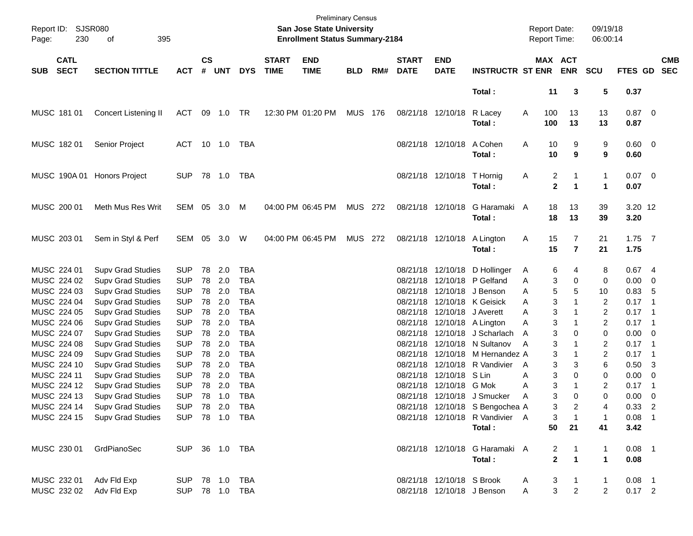| Report ID:<br>Page: | SJSR080<br>230             | 395<br>of                                            |                          |                    |            |                                  |                             | <b>San Jose State University</b><br><b>Enrollment Status Summary-2184</b> | <b>Preliminary Census</b> |     |                             |                                  |                                                                    |        | <b>Report Date:</b><br>Report Time:       |                              | 09/19/18<br>06:00:14         |                            |                          |                          |
|---------------------|----------------------------|------------------------------------------------------|--------------------------|--------------------|------------|----------------------------------|-----------------------------|---------------------------------------------------------------------------|---------------------------|-----|-----------------------------|----------------------------------|--------------------------------------------------------------------|--------|-------------------------------------------|------------------------------|------------------------------|----------------------------|--------------------------|--------------------------|
| <b>SUB</b>          | <b>CATL</b><br><b>SECT</b> | <b>SECTION TITTLE</b>                                | <b>ACT</b>               | $\mathsf{cs}$<br># | <b>UNT</b> | <b>DYS</b>                       | <b>START</b><br><b>TIME</b> | <b>END</b><br><b>TIME</b>                                                 | <b>BLD</b>                | RM# | <b>START</b><br><b>DATE</b> | <b>END</b><br><b>DATE</b>        | <b>INSTRUCTR ST ENR</b>                                            |        |                                           | MAX ACT<br><b>ENR</b>        | SCU                          | FTES GD                    |                          | <b>CMB</b><br><b>SEC</b> |
|                     |                            |                                                      |                          |                    |            |                                  |                             |                                                                           |                           |     |                             |                                  | Total:                                                             |        | 11                                        | 3                            | 5                            | 0.37                       |                          |                          |
|                     | MUSC 181 01                | Concert Listening II                                 | ACT                      |                    | 09 1.0 TR  |                                  |                             | 12:30 PM 01:20 PM                                                         | MUS 176                   |     |                             | 08/21/18 12/10/18                | R Lacey<br>Total:                                                  | A      | 100<br>100                                | 13<br>13                     | 13<br>13                     | $0.87$ 0<br>0.87           |                          |                          |
|                     | MUSC 182 01                | Senior Project                                       | ACT 10 1.0               |                    |            | TBA                              |                             |                                                                           |                           |     |                             | 08/21/18 12/10/18                | A Cohen<br>Total:                                                  | Α      | 10<br>10                                  | 9<br>9                       | 9<br>9                       | $0.60 \quad 0$<br>0.60     |                          |                          |
|                     |                            | MUSC 190A 01 Honors Project                          | <b>SUP</b>               |                    |            | TBA                              |                             |                                                                           |                           |     |                             | 08/21/18 12/10/18 T Hornig       | Total:                                                             | Α      | $\overline{c}$<br>$\overline{\mathbf{2}}$ | 1<br>$\mathbf{1}$            | $\mathbf{1}$<br>$\mathbf{1}$ | $0.07$ 0<br>0.07           |                          |                          |
|                     | MUSC 200 01                | Meth Mus Res Writ                                    | SEM 05 3.0               |                    |            | M                                |                             | 04:00 PM 06:45 PM                                                         | <b>MUS 272</b>            |     |                             | 08/21/18 12/10/18                | G Haramaki A<br>Total:                                             |        | 18<br>18                                  | 13<br>13                     | 39<br>39                     | 3.20 12<br>3.20            |                          |                          |
|                     | MUSC 203 01                | Sem in Styl & Perf                                   | SEM 05 3.0 W             |                    |            |                                  |                             | 04:00 PM 06:45 PM                                                         | MUS 272                   |     |                             | 08/21/18 12/10/18                | A Lington<br>Total:                                                | Α      | 15<br>15                                  | 7<br>$\overline{\mathbf{r}}$ | 21<br>21                     | $1.75$ 7<br>1.75           |                          |                          |
|                     | MUSC 224 01                | <b>Supv Grad Studies</b>                             | <b>SUP</b>               | 78                 | 2.0        | <b>TBA</b>                       |                             |                                                                           |                           |     | 08/21/18                    |                                  | 12/10/18 D Hollinger                                               | A      | 6                                         | 4                            | 8                            | 0.674                      |                          |                          |
|                     | MUSC 224 02                | <b>Supv Grad Studies</b>                             | <b>SUP</b>               | 78                 | 2.0        | <b>TBA</b>                       |                             |                                                                           |                           |     | 08/21/18                    |                                  | 12/10/18 P Gelfand                                                 | A      | 3                                         | 0                            | 0                            | $0.00 \t 0$                |                          |                          |
|                     | MUSC 224 03                | <b>Supv Grad Studies</b>                             | <b>SUP</b>               | 78                 | 2.0        | <b>TBA</b>                       |                             |                                                                           |                           |     | 08/21/18                    |                                  | 12/10/18 J Benson                                                  | Α      | 5                                         | 5                            | 10                           | 0.83                       | - 5                      |                          |
|                     | MUSC 224 04                | <b>Supv Grad Studies</b>                             | <b>SUP</b>               | 78                 | 2.0        | <b>TBA</b>                       |                             |                                                                           |                           |     | 08/21/18                    |                                  | 12/10/18 K Geisick                                                 | Α      | 3                                         | $\mathbf{1}$                 | $\overline{2}$               | $0.17$ 1                   |                          |                          |
|                     | MUSC 224 05                | <b>Supv Grad Studies</b>                             | <b>SUP</b>               | 78                 | 2.0        | <b>TBA</b>                       |                             |                                                                           |                           |     | 08/21/18                    |                                  | 12/10/18 J Averett                                                 | Α      | 3                                         | 1                            | $\overline{c}$               | $0.17$ 1                   |                          |                          |
|                     | MUSC 224 06                | <b>Supv Grad Studies</b>                             | <b>SUP</b>               | 78                 | 2.0        | <b>TBA</b>                       |                             |                                                                           |                           |     | 08/21/18                    |                                  | 12/10/18 A Lington                                                 | A      | 3                                         | $\mathbf{1}$                 | 2                            | $0.17$ 1                   |                          |                          |
|                     | MUSC 224 07                | <b>Supv Grad Studies</b>                             | <b>SUP</b>               | 78                 | 2.0        | <b>TBA</b>                       |                             |                                                                           |                           |     | 08/21/18                    |                                  | 12/10/18 J Scharlach                                               | A      | 3                                         | $\Omega$                     | 0                            | $0.00 \t 0$                |                          |                          |
|                     | MUSC 224 08                | <b>Supv Grad Studies</b>                             | <b>SUP</b>               | 78                 | 2.0        | <b>TBA</b>                       |                             |                                                                           |                           |     | 08/21/18                    |                                  | 12/10/18 N Sultanov                                                | A      | 3                                         | $\mathbf{1}$                 | 2                            | $0.17$ 1                   |                          |                          |
|                     | MUSC 224 09                | <b>Supv Grad Studies</b>                             | <b>SUP</b>               | 78                 | 2.0        | <b>TBA</b>                       |                             |                                                                           |                           |     | 08/21/18                    | 12/10/18                         | M Hernandez A                                                      |        | 3                                         | $\mathbf{1}$                 | 2                            | $0.17$ 1                   |                          |                          |
|                     | MUSC 224 10                | <b>Supv Grad Studies</b>                             | <b>SUP</b>               | 78                 | 2.0        | <b>TBA</b>                       |                             |                                                                           |                           |     | 08/21/18                    |                                  | 12/10/18 R Vandivier                                               | A      | 3                                         | 3                            | 6                            | $0.50$ 3                   |                          |                          |
|                     | MUSC 224 11                | <b>Supv Grad Studies</b>                             | <b>SUP</b><br><b>SUP</b> | 78                 | 2.0<br>2.0 | <b>TBA</b><br><b>TBA</b>         |                             |                                                                           |                           |     | 08/21/18                    | 12/10/18 S Lin<br>12/10/18 G Mok |                                                                    | Α      | 3<br>3                                    | 0<br>1                       | 0                            | $0.00 \t 0$                | $\overline{\phantom{1}}$ |                          |
|                     | MUSC 224 12<br>MUSC 224 13 | <b>Supv Grad Studies</b>                             | <b>SUP</b>               | 78<br>78           | 1.0        | <b>TBA</b>                       |                             |                                                                           |                           |     | 08/21/18                    |                                  | 08/21/18 12/10/18 J Smucker                                        | Α<br>A | 3                                         | $\Omega$                     | 2<br>$\Omega$                | 0.17<br>0.00               | $\overline{\phantom{0}}$ |                          |
|                     |                            | <b>Supv Grad Studies</b>                             |                          |                    |            |                                  |                             |                                                                           |                           |     |                             |                                  |                                                                    |        | 3                                         |                              |                              |                            |                          |                          |
|                     | MUSC 224 14<br>MUSC 224 15 | <b>Supv Grad Studies</b><br><b>Supv Grad Studies</b> |                          |                    |            | SUP 78 2.0 TBA<br>SUP 78 1.0 TBA |                             |                                                                           |                           |     |                             |                                  | 08/21/18 12/10/18 S Bengochea A<br>08/21/18 12/10/18 R Vandivier A |        | 3                                         | 2<br>$\mathbf{1}$            | 4<br>1                       | $0.33 \quad 2$<br>$0.08$ 1 |                          |                          |
|                     |                            |                                                      |                          |                    |            |                                  |                             |                                                                           |                           |     |                             |                                  | Total:                                                             |        | 50                                        | 21                           | 41                           | 3.42                       |                          |                          |
|                     |                            |                                                      |                          |                    |            |                                  |                             |                                                                           |                           |     |                             |                                  |                                                                    |        |                                           |                              |                              |                            |                          |                          |
|                     | MUSC 230 01                | GrdPianoSec                                          |                          |                    |            | SUP 36 1.0 TBA                   |                             |                                                                           |                           |     |                             |                                  | 08/21/18 12/10/18 G Haramaki A                                     |        | 2                                         | 1                            | 1                            | $0.08$ 1                   |                          |                          |
|                     |                            |                                                      |                          |                    |            |                                  |                             |                                                                           |                           |     |                             |                                  | Total:                                                             |        | $\overline{2}$                            | $\mathbf{1}$                 | $\mathbf{1}$                 | 0.08                       |                          |                          |
|                     | MUSC 232 01                | Adv Fld Exp                                          |                          |                    |            | SUP 78 1.0 TBA                   |                             |                                                                           |                           |     |                             | 08/21/18 12/10/18 S Brook        |                                                                    | A      | 3                                         | 1                            | 1                            | $0.08$ 1                   |                          |                          |
|                     | MUSC 232 02                | Adv Fld Exp                                          |                          |                    |            | SUP 78 1.0 TBA                   |                             |                                                                           |                           |     |                             |                                  | 08/21/18 12/10/18 J Benson                                         | Α      | 3                                         | $\overline{2}$               | 2                            | $0.17$ 2                   |                          |                          |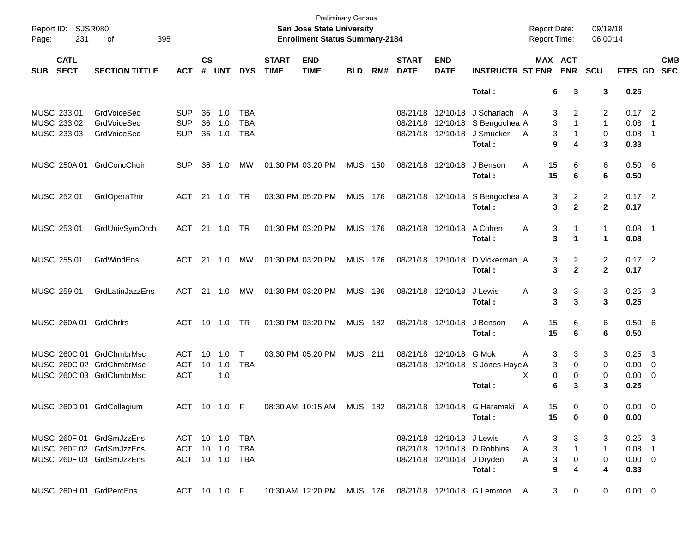| Page:      | Report ID: SJSR080<br>231  | of                        | 395            |                    |                |                |                             | San Jose State University<br><b>Enrollment Status Summary-2184</b> | <b>Preliminary Census</b> |     |                             |                           |                                                          | <b>Report Date:</b><br>Report Time: |                             | 09/19/18<br>06:00:14 |                |                          |                          |
|------------|----------------------------|---------------------------|----------------|--------------------|----------------|----------------|-----------------------------|--------------------------------------------------------------------|---------------------------|-----|-----------------------------|---------------------------|----------------------------------------------------------|-------------------------------------|-----------------------------|----------------------|----------------|--------------------------|--------------------------|
| <b>SUB</b> | <b>CATL</b><br><b>SECT</b> | <b>SECTION TITTLE</b>     | <b>ACT</b>     | $\mathsf{cs}$<br># | <b>UNT</b>     | <b>DYS</b>     | <b>START</b><br><b>TIME</b> | <b>END</b><br><b>TIME</b>                                          | <b>BLD</b>                | RM# | <b>START</b><br><b>DATE</b> | <b>END</b><br><b>DATE</b> | <b>INSTRUCTR ST ENR</b>                                  | MAX ACT                             | <b>ENR</b>                  | <b>SCU</b>           | <b>FTES GD</b> |                          | <b>CMB</b><br><b>SEC</b> |
|            |                            |                           |                |                    |                |                |                             |                                                                    |                           |     |                             |                           | Total:                                                   | 6                                   | 3                           | 3                    | 0.25           |                          |                          |
|            | MUSC 233 01                | <b>GrdVoiceSec</b>        | <b>SUP</b>     | 36                 | 1.0            | <b>TBA</b>     |                             |                                                                    |                           |     |                             |                           | 08/21/18 12/10/18 J Scharlach A                          | 3                                   | 2                           | 2                    | $0.17$ 2       |                          |                          |
|            | MUSC 233 02                | <b>GrdVoiceSec</b>        | <b>SUP</b>     | 36                 | 1.0            | <b>TBA</b>     |                             |                                                                    |                           |     |                             |                           | 08/21/18 12/10/18 S Bengochea A                          | 3                                   | $\mathbf{1}$                | $\mathbf{1}$         | 0.08           | $\overline{1}$           |                          |
|            | MUSC 233 03                | <b>GrdVoiceSec</b>        | <b>SUP</b>     | 36                 | 1.0            | <b>TBA</b>     |                             |                                                                    |                           |     |                             |                           | 08/21/18 12/10/18 J Smucker                              | 3<br>A                              | 1                           | 0                    | 0.08           | $\overline{\phantom{0}}$ |                          |
|            |                            |                           |                |                    |                |                |                             |                                                                    |                           |     |                             |                           | Total:                                                   | 9                                   | 4                           | 3                    | 0.33           |                          |                          |
|            | MUSC 250A 01               | GrdConcChoir              | <b>SUP</b>     | 36                 | 1.0            | МW             |                             | 01:30 PM 03:20 PM                                                  | <b>MUS 150</b>            |     |                             | 08/21/18 12/10/18         | J Benson                                                 | 15<br>A                             | 6                           | 6                    | 0.50 6         |                          |                          |
|            |                            |                           |                |                    |                |                |                             |                                                                    |                           |     |                             |                           | Total:                                                   | 15                                  | 6                           | 6                    | 0.50           |                          |                          |
|            | MUSC 252 01                | GrdOperaThtr              | ACT            |                    | 21  1.0        | - TR           |                             | 03:30 PM 05:20 PM                                                  | <b>MUS 176</b>            |     |                             |                           | 08/21/18 12/10/18 S Bengochea A                          | 3                                   | 2                           | $\overline{c}$       | $0.17$ 2       |                          |                          |
|            |                            |                           |                |                    |                |                |                             |                                                                    |                           |     |                             |                           | Total:                                                   | 3                                   | $\mathbf{2}$                | $\mathbf{2}$         | 0.17           |                          |                          |
|            | MUSC 253 01                | GrdUnivSymOrch            | ACT            |                    | 21 1.0 TR      |                |                             | 01:30 PM 03:20 PM                                                  | <b>MUS 176</b>            |     |                             | 08/21/18 12/10/18         | A Cohen                                                  | Α<br>3                              | 1                           | 1                    | $0.08$ 1       |                          |                          |
|            |                            |                           |                |                    |                |                |                             |                                                                    |                           |     |                             |                           | Total:                                                   | 3                                   | 1                           | $\mathbf 1$          | 0.08           |                          |                          |
|            | MUSC 255 01                | GrdWindEns                | ACT            |                    | $21 \quad 1.0$ | МW             |                             | 01:30 PM 03:20 PM                                                  | <b>MUS 176</b>            |     |                             | 08/21/18 12/10/18         | D Vickerman A                                            | 3                                   | 2                           | $\overline{c}$       | $0.17$ 2       |                          |                          |
|            |                            |                           |                |                    |                |                |                             |                                                                    |                           |     |                             |                           | Total:                                                   | 3                                   | $\mathbf{2}$                | $\mathbf{2}$         | 0.17           |                          |                          |
|            | MUSC 259 01                | GrdLatinJazzEns           | ACT            |                    | $21 \quad 1.0$ | МW             |                             | 01:30 PM 03:20 PM                                                  | <b>MUS 186</b>            |     |                             | 08/21/18 12/10/18         | J Lewis                                                  | Α<br>3                              | 3                           | 3                    | $0.25$ 3       |                          |                          |
|            |                            |                           |                |                    |                |                |                             |                                                                    |                           |     |                             |                           | Total:                                                   | 3                                   | 3                           | 3                    | 0.25           |                          |                          |
|            |                            | MUSC 260A 01 GrdChrlrs    | <b>ACT</b>     |                    | 10 1.0         | TR.            |                             | 01:30 PM 03:20 PM                                                  | <b>MUS 182</b>            |     |                             | 08/21/18 12/10/18         | J Benson                                                 | 15<br>A                             | 6                           | 6                    | 0.50 6         |                          |                          |
|            |                            |                           |                |                    |                |                |                             |                                                                    |                           |     |                             |                           | Total:                                                   | 15                                  | 6                           | 6                    | 0.50           |                          |                          |
|            |                            | MUSC 260C 01 GrdChmbrMsc  | ACT            | 10                 | 1.0            | $\mathsf T$    |                             | 03:30 PM 05:20 PM                                                  | <b>MUS 211</b>            |     |                             | 08/21/18 12/10/18 G Mok   |                                                          | 3<br>A                              | 3                           | 3                    | $0.25 \quad 3$ |                          |                          |
|            |                            | MUSC 260C 02 GrdChmbrMsc  | <b>ACT</b>     | 10                 | 1.0            | <b>TBA</b>     |                             |                                                                    |                           |     |                             |                           | 08/21/18 12/10/18 S Jones-Haye A                         | 3                                   | $\mathbf 0$                 | 0                    | $0.00 \t 0$    |                          |                          |
|            |                            | MUSC 260C 03 GrdChmbrMsc  | <b>ACT</b>     |                    | 1.0            |                |                             |                                                                    |                           |     |                             |                           |                                                          | 0<br>х                              | 0                           | 0                    | $0.00 \t 0$    |                          |                          |
|            |                            |                           |                |                    |                |                |                             |                                                                    |                           |     |                             |                           | Total:                                                   | 6                                   | 3                           | 3                    | 0.25           |                          |                          |
|            |                            | MUSC 260D 01 GrdCollegium | ACT 10 1.0 F   |                    |                |                |                             |                                                                    |                           |     |                             |                           | 08:30 AM 10:15 AM MUS 182 08/21/18 12/10/18 G Haramaki A | 15                                  | 0                           | 0                    | $0.00 \t 0$    |                          |                          |
|            |                            |                           |                |                    |                |                |                             |                                                                    |                           |     |                             |                           | Total:                                                   | 15                                  | 0                           | 0                    | 0.00           |                          |                          |
|            |                            | MUSC 260F 01 GrdSmJzzEns  | ACT 10 1.0 TBA |                    |                |                |                             |                                                                    |                           |     |                             | 08/21/18 12/10/18 J Lewis |                                                          | 3<br>A                              | 3                           | 3                    | $0.25$ 3       |                          |                          |
|            |                            | MUSC 260F 02 GrdSmJzzEns  | ACT 10 1.0     |                    |                | TBA            |                             |                                                                    |                           |     |                             |                           | 08/21/18 12/10/18 D Robbins                              | 3<br>A                              | $\mathbf{1}$                | $\mathbf{1}$         | $0.08$ 1       |                          |                          |
|            |                            | MUSC 260F 03 GrdSmJzzEns  |                |                    |                | ACT 10 1.0 TBA |                             |                                                                    |                           |     |                             |                           | 08/21/18 12/10/18 J Dryden                               | 3<br>A                              | 0                           | 0                    | $0.00 \t 0$    |                          |                          |
|            |                            |                           |                |                    |                |                |                             |                                                                    |                           |     |                             |                           | Total:                                                   | 9                                   | 4                           | 4                    | 0.33           |                          |                          |
|            |                            | MUSC 260H 01 GrdPercEns   | ACT 10 1.0 F   |                    |                |                |                             |                                                                    |                           |     |                             |                           | 10:30 AM 12:20 PM MUS 176 08/21/18 12/10/18 G Lemmon A   |                                     | $\mathbf{3}$<br>$\mathbf 0$ | 0                    | $0.00 \t 0$    |                          |                          |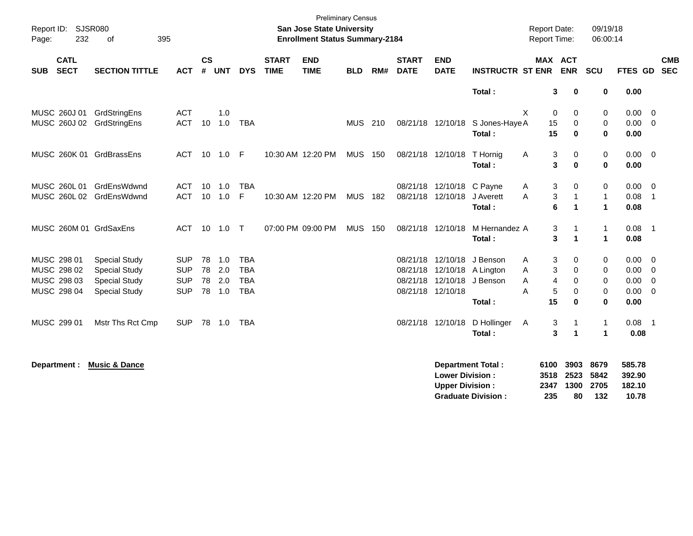| Page:      | Report ID: SJSR080<br>232  | 395<br>οf                 |            |                |            |            |                             | San Jose State University<br><b>Enrollment Status Summary-2184</b> | <b>Preliminary Census</b> |     |                             |                                                  |                                                       | <b>Report Date:</b><br>Report Time: |                             |                              | 09/19/18<br>06:00:14        |                                     |                         |            |
|------------|----------------------------|---------------------------|------------|----------------|------------|------------|-----------------------------|--------------------------------------------------------------------|---------------------------|-----|-----------------------------|--------------------------------------------------|-------------------------------------------------------|-------------------------------------|-----------------------------|------------------------------|-----------------------------|-------------------------------------|-------------------------|------------|
| <b>SUB</b> | <b>CATL</b><br><b>SECT</b> | <b>SECTION TITTLE</b>     | <b>ACT</b> | <b>CS</b><br># | <b>UNT</b> | <b>DYS</b> | <b>START</b><br><b>TIME</b> | <b>END</b><br><b>TIME</b>                                          | <b>BLD</b>                | RM# | <b>START</b><br><b>DATE</b> | <b>END</b><br><b>DATE</b>                        | <b>INSTRUCTR ST ENR</b>                               |                                     |                             | <b>MAX ACT</b><br><b>ENR</b> | <b>SCU</b>                  | FTES GD SEC                         |                         | <b>CMB</b> |
|            |                            |                           |            |                |            |            |                             |                                                                    |                           |     |                             |                                                  | Total:                                                |                                     | 3                           | $\mathbf 0$                  | $\bf{0}$                    | 0.00                                |                         |            |
|            | MUSC 260J 01               | GrdStringEns              | <b>ACT</b> |                | 1.0        |            |                             |                                                                    |                           |     |                             |                                                  |                                                       | X                                   | 0                           | 0                            | 0                           | 0.00                                | $\overline{0}$          |            |
|            |                            | MUSC 260J 02 GrdStringEns | <b>ACT</b> | 10             | 1.0        | <b>TBA</b> |                             |                                                                    | <b>MUS 210</b>            |     |                             |                                                  | 08/21/18 12/10/18 S Jones-Haye A                      |                                     | 15                          | 0                            | 0                           | 0.00                                | $\overline{\mathbf{0}}$ |            |
|            |                            |                           |            |                |            |            |                             |                                                                    |                           |     |                             |                                                  | Total:                                                |                                     | 15                          | $\bf{0}$                     | $\mathbf{0}$                | 0.00                                |                         |            |
|            |                            | MUSC 260K 01 GrdBrassEns  | ACT        |                | 10  1.0    | - F        |                             | 10:30 AM 12:20 PM                                                  | MUS                       | 150 |                             | 08/21/18 12/10/18                                | T Hornig                                              | A                                   | 3                           | 0                            | 0                           | 0.00                                | $\overline{0}$          |            |
|            |                            |                           |            |                |            |            |                             |                                                                    |                           |     |                             |                                                  | Total:                                                |                                     | 3                           | $\mathbf{0}$                 | $\mathbf 0$                 | 0.00                                |                         |            |
|            | MUSC 260L 01               | GrdEnsWdwnd               | <b>ACT</b> | 10             | 1.0        | <b>TBA</b> |                             |                                                                    |                           |     | 08/21/18                    | 12/10/18                                         | C Payne                                               | A                                   | 3                           | 0                            | 0                           | 0.00                                | $\overline{0}$          |            |
|            |                            | MUSC 260L 02 GrdEnsWdwnd  | <b>ACT</b> | 10             | 1.0        | F          |                             | 10:30 AM 12:20 PM                                                  | <b>MUS</b>                | 182 |                             | 08/21/18 12/10/18                                | J Averett                                             | A                                   | 3                           | $\mathbf{1}$                 | $\mathbf{1}$                | 0.08                                | $\overline{1}$          |            |
|            |                            |                           |            |                |            |            |                             |                                                                    |                           |     |                             |                                                  | Total:                                                |                                     | 6                           | 1                            | $\blacktriangleleft$        | 0.08                                |                         |            |
|            |                            | MUSC 260M 01 GrdSaxEns    | ACT        |                | 10 1.0 T   |            |                             | 07:00 PM 09:00 PM                                                  | <b>MUS</b>                | 150 |                             | 08/21/18 12/10/18                                | M Hernandez A                                         |                                     | 3                           |                              | $\mathbf{1}$                | $0.08$ 1                            |                         |            |
|            |                            |                           |            |                |            |            |                             |                                                                    |                           |     |                             |                                                  | Total:                                                |                                     | 3                           | $\mathbf 1$                  | $\blacktriangleleft$        | 0.08                                |                         |            |
|            | MUSC 298 01                | <b>Special Study</b>      | <b>SUP</b> |                | 78 1.0     | <b>TBA</b> |                             |                                                                    |                           |     |                             | 08/21/18 12/10/18                                | J Benson                                              | Α                                   | 3                           | $\Omega$                     | $\mathbf 0$                 | 0.00                                | $\overline{\mathbf{0}}$ |            |
|            | MUSC 298 02                | <b>Special Study</b>      | <b>SUP</b> | 78             | 2.0        | <b>TBA</b> |                             |                                                                    |                           |     |                             |                                                  | 08/21/18 12/10/18 A Lington                           | Α                                   | 3                           | 0                            | $\mathbf 0$                 | 0.00                                | $\overline{\mathbf{0}}$ |            |
|            | MUSC 298 03                | <b>Special Study</b>      | <b>SUP</b> |                | 78 2.0     | <b>TBA</b> |                             |                                                                    |                           |     |                             |                                                  | 08/21/18 12/10/18 J Benson                            | A                                   | $\overline{4}$              | $\Omega$                     | $\Omega$                    | 0.00                                | $\overline{0}$          |            |
|            | MUSC 298 04                | <b>Special Study</b>      | <b>SUP</b> |                | 78 1.0     | <b>TBA</b> |                             |                                                                    |                           |     | 08/21/18 12/10/18           |                                                  |                                                       | A                                   | 5                           | $\Omega$                     | $\mathbf 0$                 | 0.00                                | $\overline{\mathbf{0}}$ |            |
|            |                            |                           |            |                |            |            |                             |                                                                    |                           |     |                             |                                                  | Total:                                                |                                     | 15                          | 0                            | $\mathbf 0$                 | 0.00                                |                         |            |
|            | MUSC 299 01                | Mstr Ths Rct Cmp          | <b>SUP</b> |                |            | TBA        |                             |                                                                    |                           |     | 08/21/18 12/10/18           |                                                  | D Hollinger                                           | A                                   | 3                           | 1                            | $\mathbf{1}$                | $0.08$ 1                            |                         |            |
|            |                            |                           |            |                |            |            |                             |                                                                    |                           |     |                             |                                                  | Total:                                                |                                     | 3                           | $\blacktriangleleft$         | $\mathbf{1}$                | 0.08                                |                         |            |
|            | Department :               | <b>Music &amp; Dance</b>  |            |                |            |            |                             |                                                                    |                           |     |                             | <b>Lower Division:</b><br><b>Upper Division:</b> | <b>Department Total:</b><br><b>Graduate Division:</b> |                                     | 6100<br>3518<br>2347<br>235 | 3903<br>2523<br>1300<br>80   | 8679<br>5842<br>2705<br>132 | 585.78<br>392.90<br>182.10<br>10.78 |                         |            |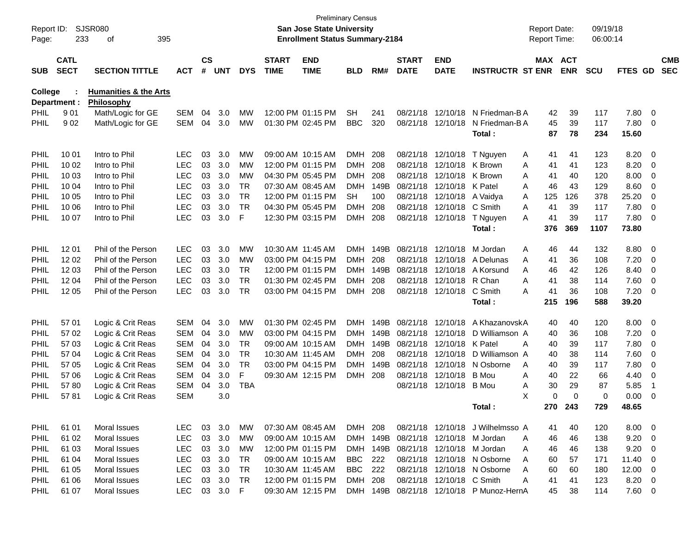| Report ID:<br>Page: | 233                        | <b>SJSR080</b><br>395<br>of            |                          |                    |            |            |                             | San Jose State University<br><b>Enrollment Status Summary-2184</b> | <b>Preliminary Census</b> |            |                             |                            |                                          | <b>Report Date:</b><br>Report Time: |            | 09/19/18<br>06:00:14 |              |                         |                          |
|---------------------|----------------------------|----------------------------------------|--------------------------|--------------------|------------|------------|-----------------------------|--------------------------------------------------------------------|---------------------------|------------|-----------------------------|----------------------------|------------------------------------------|-------------------------------------|------------|----------------------|--------------|-------------------------|--------------------------|
| <b>SUB</b>          | <b>CATL</b><br><b>SECT</b> | <b>SECTION TITTLE</b>                  | <b>ACT</b>               | $\mathsf{cs}$<br># | <b>UNT</b> | <b>DYS</b> | <b>START</b><br><b>TIME</b> | <b>END</b><br><b>TIME</b>                                          | <b>BLD</b>                | RM#        | <b>START</b><br><b>DATE</b> | <b>END</b><br><b>DATE</b>  | <b>INSTRUCTR ST ENR</b>                  | MAX ACT                             | <b>ENR</b> | <b>SCU</b>           | FTES GD      |                         | <b>CMB</b><br><b>SEC</b> |
| College             |                            | <b>Humanities &amp; the Arts</b>       |                          |                    |            |            |                             |                                                                    |                           |            |                             |                            |                                          |                                     |            |                      |              |                         |                          |
|                     | Department :               | Philosophy                             |                          |                    |            |            |                             |                                                                    |                           |            |                             | 08/21/18 12/10/18          | N Friedman-B A                           |                                     |            |                      |              | $\overline{0}$          |                          |
| <b>PHIL</b><br>PHIL | 901<br>902                 | Math/Logic for GE<br>Math/Logic for GE | <b>SEM</b><br><b>SEM</b> | 04<br>04           | 3.0<br>3.0 | МW<br>МW   |                             | 12:00 PM 01:15 PM<br>01:30 PM 02:45 PM                             | <b>SH</b><br><b>BBC</b>   | 241<br>320 |                             | 08/21/18 12/10/18          | N Friedman-B A                           | 42<br>45                            | 39<br>39   | 117<br>117           | 7.80<br>7.80 | $\mathbf 0$             |                          |
|                     |                            |                                        |                          |                    |            |            |                             |                                                                    |                           |            |                             |                            | Total:                                   | 87                                  | 78         | 234                  | 15.60        |                         |                          |
| PHIL                | 10 01                      | Intro to Phil                          | <b>LEC</b>               | 03                 | 3.0        | МW         |                             | 09:00 AM 10:15 AM                                                  | <b>DMH</b>                | 208        |                             | 08/21/18 12/10/18          | T Nguyen                                 | A<br>41                             | 41         | 123                  | 8.20         | 0                       |                          |
| PHIL                | 10 02                      | Intro to Phil                          | <b>LEC</b>               | 03                 | 3.0        | МW         |                             | 12:00 PM 01:15 PM                                                  | <b>DMH</b>                | 208        |                             | 08/21/18 12/10/18 K Brown  |                                          | Α<br>41                             | 41         | 123                  | 8.20         | 0                       |                          |
| PHIL                | 10 03                      | Intro to Phil                          | <b>LEC</b>               | 03                 | 3.0        | МW         |                             | 04:30 PM 05:45 PM                                                  | <b>DMH</b>                | 208        |                             | 08/21/18 12/10/18 K Brown  |                                          | Α<br>41                             | 40         | 120                  | 8.00         | 0                       |                          |
| PHIL                | 10 04                      | Intro to Phil                          | <b>LEC</b>               | 03                 | 3.0        | <b>TR</b>  |                             | 07:30 AM 08:45 AM                                                  | DMH                       | 149B       |                             | 08/21/18 12/10/18 K Patel  |                                          | 46<br>A                             | 43         | 129                  | 8.60         | 0                       |                          |
| PHIL                | 10 05                      | Intro to Phil                          | <b>LEC</b>               | 03                 | 3.0        | <b>TR</b>  |                             | 12:00 PM 01:15 PM                                                  | SН                        | 100        |                             | 08/21/18 12/10/18 A Vaidya |                                          | 125<br>A                            | 126        | 378                  | 25.20        | $\mathbf 0$             |                          |
| PHIL                | 10 06                      | Intro to Phil                          | <b>LEC</b>               | 03                 | 3.0        | <b>TR</b>  |                             | 04:30 PM 05:45 PM                                                  | <b>DMH</b>                | 208        |                             | 08/21/18 12/10/18 C Smith  |                                          | A<br>41                             | 39         | 117                  | 7.80         | $\mathbf 0$             |                          |
| <b>PHIL</b>         | 10 07                      | Intro to Phil                          | <b>LEC</b>               | 03                 | 3.0        | F          |                             | 12:30 PM 03:15 PM                                                  | <b>DMH</b>                | 208        |                             | 08/21/18 12/10/18          | T Nguyen                                 | 41<br>A                             | 39         | 117                  | 7.80         | $\mathbf 0$             |                          |
|                     |                            |                                        |                          |                    |            |            |                             |                                                                    |                           |            |                             |                            | Total:                                   | 376                                 | 369        | 1107                 | 73.80        |                         |                          |
| PHIL                | 12 01                      | Phil of the Person                     | <b>LEC</b>               | 03                 | 3.0        | <b>MW</b>  | 10:30 AM 11:45 AM           |                                                                    | DMH.                      | 149B       |                             | 08/21/18 12/10/18          | M Jordan                                 | 46<br>A                             | 44         | 132                  | 8.80         | 0                       |                          |
| PHIL                | 12 02                      | Phil of the Person                     | <b>LEC</b>               | 03                 | 3.0        | MW         |                             | 03:00 PM 04:15 PM                                                  | <b>DMH</b>                | 208        |                             |                            | 08/21/18 12/10/18 A Delunas              | A<br>41                             | 36         | 108                  | 7.20         | 0                       |                          |
| PHIL                | 12 03                      | Phil of the Person                     | <b>LEC</b>               | 03                 | 3.0        | <b>TR</b>  |                             | 12:00 PM 01:15 PM                                                  | DMH                       | 149B       |                             |                            | 08/21/18 12/10/18 A Korsund              | 46<br>A                             | 42         | 126                  | 8.40         | 0                       |                          |
| PHIL                | 1204                       | Phil of the Person                     | <b>LEC</b>               | 03                 | 3.0        | <b>TR</b>  |                             | 01:30 PM 02:45 PM                                                  | <b>DMH</b>                | 208        |                             | 08/21/18 12/10/18 R Chan   |                                          | Α<br>41                             | 38         | 114                  | 7.60         | $\mathbf 0$             |                          |
| <b>PHIL</b>         | 12 05                      | Phil of the Person                     | <b>LEC</b>               | 03                 | 3.0        | <b>TR</b>  |                             | 03:00 PM 04:15 PM                                                  | <b>DMH</b>                | 208        |                             | 08/21/18 12/10/18          | C Smith                                  | Α<br>41                             | 36         | 108                  | 7.20         | $\mathbf 0$             |                          |
|                     |                            |                                        |                          |                    |            |            |                             |                                                                    |                           |            |                             |                            | Total:                                   | 215                                 | 196        | 588                  | 39.20        |                         |                          |
| PHIL                | 57 01                      | Logic & Crit Reas                      | <b>SEM</b>               | 04                 | 3.0        | <b>MW</b>  |                             | 01:30 PM 02:45 PM                                                  | DMH                       | 149B       |                             | 08/21/18 12/10/18          | A KhazanovskA                            | 40                                  | 40         | 120                  | 8.00         | 0                       |                          |
| PHIL                | 57 02                      | Logic & Crit Reas                      | <b>SEM</b>               | 04                 | 3.0        | MW         |                             | 03:00 PM 04:15 PM                                                  | DMH                       | 149B       |                             | 08/21/18 12/10/18          | D Williamson A                           | 40                                  | 36         | 108                  | 7.20         | 0                       |                          |
| PHIL                | 57 03                      | Logic & Crit Reas                      | <b>SEM</b>               | 04                 | 3.0        | <b>TR</b>  |                             | 09:00 AM 10:15 AM                                                  | <b>DMH</b>                | 149B       |                             | 08/21/18 12/10/18          | K Patel                                  | Α<br>40                             | 39         | 117                  | 7.80         | 0                       |                          |
| PHIL                | 57 04                      | Logic & Crit Reas                      | <b>SEM</b>               | 04                 | 3.0        | <b>TR</b>  | 10:30 AM 11:45 AM           |                                                                    | <b>DMH</b>                | 208        |                             | 08/21/18 12/10/18          | D Williamson A                           | 40                                  | 38         | 114                  | 7.60         | $\mathbf 0$             |                          |
| PHIL                | 57 05                      | Logic & Crit Reas                      | <b>SEM</b>               | 04                 | 3.0        | <b>TR</b>  |                             | 03:00 PM 04:15 PM                                                  | DMH                       | 149B       |                             | 08/21/18 12/10/18          | N Osborne                                | 40<br>A                             | 39         | 117                  | 7.80         | $\mathbf 0$             |                          |
| PHIL                | 57 06                      | Logic & Crit Reas                      | <b>SEM</b>               | 04                 | 3.0        | F          |                             | 09:30 AM 12:15 PM                                                  | <b>DMH</b>                | 208        |                             | 08/21/18 12/10/18          | <b>B</b> Mou                             | A<br>40                             | 22         | 66                   | 4.40         | 0                       |                          |
| PHIL                | 5780                       | Logic & Crit Reas                      | <b>SEM</b>               | 04                 | 3.0        | <b>TBA</b> |                             |                                                                    |                           |            |                             | 08/21/18 12/10/18          | B Mou                                    | 30<br>Α                             | 29         | 87                   | 5.85         | -1                      |                          |
| PHIL                | 5781                       | Logic & Crit Reas                      | <b>SEM</b>               |                    | 3.0        |            |                             |                                                                    |                           |            |                             |                            |                                          | X<br>0                              | $\Omega$   | 0                    | 0.00         | 0                       |                          |
|                     |                            |                                        |                          |                    |            |            |                             |                                                                    |                           |            |                             |                            | Total:                                   | 270                                 | 243        | 729                  | 48.65        |                         |                          |
| <b>PHIL</b>         | 61 01                      | Moral Issues                           | LEC.                     |                    | 03 3.0     | МW         |                             | 07:30 AM 08:45 AM                                                  | DMH 208                   |            |                             |                            | 08/21/18 12/10/18 J Wilhelmsso A         | 41                                  | 40         | 120                  | $8.00 \t 0$  |                         |                          |
| <b>PHIL</b>         | 61 02                      | Moral Issues                           | <b>LEC</b>               | 03                 | 3.0        | <b>MW</b>  |                             | 09:00 AM 10:15 AM                                                  |                           | DMH 149B   |                             |                            | 08/21/18 12/10/18 M Jordan               | 46<br>A                             | 46         | 138                  | 9.20         | $\overline{\mathbf{0}}$ |                          |
| <b>PHIL</b>         | 61 03                      | Moral Issues                           | <b>LEC</b>               |                    | 03 3.0     | MW         |                             | 12:00 PM 01:15 PM                                                  |                           | DMH 149B   |                             |                            | 08/21/18 12/10/18 M Jordan               | 46<br>A                             | 46         | 138                  | 9.20         | $\overline{\mathbf{0}}$ |                          |
| <b>PHIL</b>         | 61 04                      | <b>Moral Issues</b>                    | <b>LEC</b>               | 03                 | 3.0        | TR         |                             | 09:00 AM 10:15 AM                                                  | <b>BBC</b> 222            |            |                             |                            | 08/21/18 12/10/18 N Osborne              | A<br>60                             | 57         | 171                  | $11.40 \t 0$ |                         |                          |
| <b>PHIL</b>         | 61 05                      | Moral Issues                           | <b>LEC</b>               | 03                 | 3.0        | <b>TR</b>  | 10:30 AM 11:45 AM           |                                                                    | <b>BBC</b> 222            |            |                             |                            | 08/21/18 12/10/18 N Osborne              | A<br>60                             | 60         | 180                  | $12.00 \t 0$ |                         |                          |
| <b>PHIL</b>         | 61 06                      | Moral Issues                           | <b>LEC</b>               | 03                 | 3.0        | <b>TR</b>  |                             | 12:00 PM 01:15 PM                                                  | DMH 208                   |            |                             | 08/21/18 12/10/18 C Smith  |                                          | Α<br>41                             | 41         | 123                  | $8.20 \ 0$   |                         |                          |
| <b>PHIL</b>         | 61 07                      | Moral Issues                           | <b>LEC</b>               |                    | 03 3.0 F   |            |                             | 09:30 AM 12:15 PM                                                  |                           |            |                             |                            | DMH 149B 08/21/18 12/10/18 P Munoz-HernA | 45                                  | 38         | 114                  | $7.60\ 0$    |                         |                          |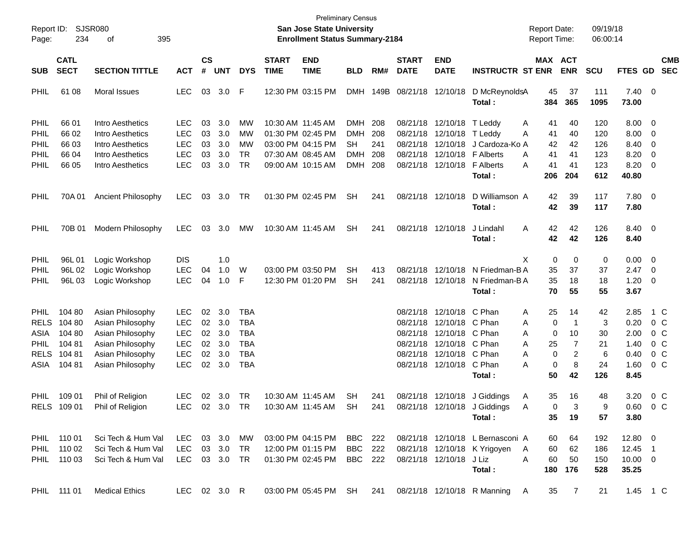| Report ID:<br>Page:                                                      | 234                                                     | <b>SJSR080</b><br>395<br>οf                                                                                          |                                                                           |                                  |                                        |                                                                                  |                             | <b>San Jose State University</b><br><b>Enrollment Status Summary-2184</b>        | <b>Preliminary Census</b>                                  |                                 |                             |                                                                                                                                                                      |                                                                            | <b>Report Date:</b><br><b>Report Time:</b>                       |                                                  | 09/19/18<br>06:00:14                  |                                                      |                                                                                        |                          |
|--------------------------------------------------------------------------|---------------------------------------------------------|----------------------------------------------------------------------------------------------------------------------|---------------------------------------------------------------------------|----------------------------------|----------------------------------------|----------------------------------------------------------------------------------|-----------------------------|----------------------------------------------------------------------------------|------------------------------------------------------------|---------------------------------|-----------------------------|----------------------------------------------------------------------------------------------------------------------------------------------------------------------|----------------------------------------------------------------------------|------------------------------------------------------------------|--------------------------------------------------|---------------------------------------|------------------------------------------------------|----------------------------------------------------------------------------------------|--------------------------|
| <b>SUB</b>                                                               | <b>CATL</b><br><b>SECT</b>                              | <b>SECTION TITTLE</b>                                                                                                | <b>ACT</b>                                                                | $\mathbf{c}\mathbf{s}$<br>#      | <b>UNT</b>                             | <b>DYS</b>                                                                       | <b>START</b><br><b>TIME</b> | <b>END</b><br><b>TIME</b>                                                        | <b>BLD</b>                                                 | RM#                             | <b>START</b><br><b>DATE</b> | <b>END</b><br><b>DATE</b>                                                                                                                                            | <b>INSTRUCTR ST ENR</b>                                                    | MAX ACT                                                          | <b>ENR</b>                                       | <b>SCU</b>                            | FTES GD                                              |                                                                                        | <b>CMB</b><br><b>SEC</b> |
| PHIL                                                                     | 61 08                                                   | <b>Moral Issues</b>                                                                                                  | <b>LEC</b>                                                                | 03                               | 3.0                                    | F                                                                                |                             | 12:30 PM 03:15 PM                                                                | <b>DMH</b>                                                 | 149B                            | 08/21/18 12/10/18           |                                                                                                                                                                      | D McReynoldsA<br>Total:                                                    | 45<br>384                                                        | 37<br>365                                        | 111<br>1095                           | $7.40 \quad 0$<br>73.00                              |                                                                                        |                          |
| PHIL<br>PHIL<br>PHIL<br>PHIL                                             | 66 01<br>66 02<br>66 03<br>66 04<br>66 05               | Intro Aesthetics<br>Intro Aesthetics<br>Intro Aesthetics<br>Intro Aesthetics<br>Intro Aesthetics                     | <b>LEC</b><br><b>LEC</b><br><b>LEC</b><br><b>LEC</b><br><b>LEC</b>        | 03<br>03<br>03<br>03<br>03       | 3.0<br>3.0<br>3.0<br>3.0<br>3.0        | МW<br>MW<br>MW<br>TR<br><b>TR</b>                                                |                             | 10:30 AM 11:45 AM<br>01:30 PM 02:45 PM<br>03:00 PM 04:15 PM<br>07:30 AM 08:45 AM | <b>DMH</b><br><b>DMH</b><br>SН<br><b>DMH</b><br><b>DMH</b> | 208<br>208<br>241<br>208<br>208 | 08/21/18<br>08/21/18        | 08/21/18 12/10/18 T Leddy<br>08/21/18 12/10/18<br>12/10/18<br>12/10/18 F Alberts<br>08/21/18 12/10/18                                                                | T Leddy<br>J Cardoza-Ko A<br><b>F</b> Alberts                              | A<br>41<br>Α<br>41<br>42<br>41<br>A<br>A<br>41                   | 40<br>40<br>42<br>41<br>41                       | 120<br>120<br>126<br>123<br>123       | 8.00<br>8.00<br>8.40<br>8.20<br>8.20                 | 0<br>0<br>0<br>0<br>0                                                                  |                          |
| PHIL                                                                     |                                                         |                                                                                                                      |                                                                           |                                  |                                        |                                                                                  |                             | 09:00 AM 10:15 AM                                                                |                                                            |                                 |                             |                                                                                                                                                                      | Total:                                                                     | 206                                                              | 204                                              | 612                                   | 40.80                                                |                                                                                        |                          |
| PHIL                                                                     | 70A 01                                                  | <b>Ancient Philosophy</b>                                                                                            | <b>LEC</b>                                                                | 03                               | 3.0                                    | TR                                                                               |                             | 01:30 PM 02:45 PM                                                                | <b>SH</b>                                                  | 241                             |                             | 08/21/18 12/10/18                                                                                                                                                    | D Williamson A<br>Total:                                                   | 42<br>42                                                         | 39<br>39                                         | 117<br>117                            | 7.80 0<br>7.80                                       |                                                                                        |                          |
| PHIL                                                                     | 70B 01                                                  | Modern Philosophy                                                                                                    | <b>LEC</b>                                                                | 03                               | 3.0                                    | МW                                                                               |                             | 10:30 AM 11:45 AM                                                                | SН                                                         | 241                             |                             | 08/21/18 12/10/18                                                                                                                                                    | J Lindahl<br>Total:                                                        | Α<br>42<br>42                                                    | 42<br>42                                         | 126<br>126                            | 8.40 0<br>8.40                                       |                                                                                        |                          |
| PHIL<br>PHIL<br>PHIL                                                     | 96L01<br>96L02<br>96L03                                 | Logic Workshop<br>Logic Workshop<br>Logic Workshop                                                                   | <b>DIS</b><br><b>LEC</b><br><b>LEC</b>                                    | 04<br>04                         | 1.0<br>1.0<br>1.0                      | W<br>F                                                                           |                             | 03:00 PM 03:50 PM<br>12:30 PM 01:20 PM                                           | SН<br>SН                                                   | 413<br>241                      |                             | 08/21/18 12/10/18<br>08/21/18 12/10/18                                                                                                                               | N Friedman-B A<br>N Friedman-B A<br>Total:                                 | X<br>0<br>35<br>35<br>70                                         | 0<br>37<br>18<br>55                              | 0<br>37<br>18<br>55                   | 0.00<br>2.47<br>1.20<br>3.67                         | $\overline{0}$<br>0<br>0                                                               |                          |
| <b>PHIL</b><br><b>RELS</b><br>ASIA<br><b>PHIL</b><br><b>RELS</b><br>ASIA | 104 80<br>104 80<br>104 80<br>104 81<br>10481<br>104 81 | Asian Philosophy<br>Asian Philosophy<br>Asian Philosophy<br>Asian Philosophy<br>Asian Philosophy<br>Asian Philosophy | LEC<br><b>LEC</b><br><b>LEC</b><br><b>LEC</b><br><b>LEC</b><br><b>LEC</b> | 02<br>02<br>02<br>02<br>02<br>02 | 3.0<br>3.0<br>3.0<br>3.0<br>3.0<br>3.0 | <b>TBA</b><br><b>TBA</b><br><b>TBA</b><br><b>TBA</b><br><b>TBA</b><br><b>TBA</b> |                             |                                                                                  |                                                            |                                 |                             | 08/21/18 12/10/18 C Phan<br>08/21/18 12/10/18 C Phan<br>08/21/18 12/10/18 C Phan<br>08/21/18 12/10/18 C Phan<br>08/21/18 12/10/18 C Phan<br>08/21/18 12/10/18 C Phan | Total:                                                                     | 25<br>A<br>0<br>Α<br>0<br>A<br>A<br>25<br>0<br>Α<br>0<br>A<br>50 | 14<br>-1<br>10<br>$\overline{7}$<br>2<br>8<br>42 | 42<br>3<br>30<br>21<br>6<br>24<br>126 | 2.85<br>0.20<br>2.00<br>1.40<br>0.40<br>1.60<br>8.45 | 1 C<br>$0\,$ C<br>0 <sup>o</sup><br>0 <sup>o</sup><br>0 <sup>o</sup><br>0 <sup>o</sup> |                          |
| <b>PHIL</b>                                                              | 109 01<br>RELS 109 01                                   | Phil of Religion<br>Phil of Religion                                                                                 | <b>LEC</b><br>LEC                                                         | 02                               | 3.0<br>02 3.0 TR                       | TR                                                                               |                             | 10:30 AM 11:45 AM<br>10:30 AM 11:45 AM SH                                        | <b>SH</b>                                                  | 241<br>241                      |                             | 08/21/18 12/10/18                                                                                                                                                    | J Giddings<br>08/21/18 12/10/18 J Giddings<br>Total:                       | 35<br>A<br>A<br>$\Omega$<br>35                                   | 16<br>3<br>19                                    | 48<br>9<br>57                         | 3.20<br>0.60<br>3.80                                 | $0\,$ C<br>0 C                                                                         |                          |
|                                                                          | PHIL 110 01<br>PHIL 110 02<br>PHIL 110 03               | Sci Tech & Hum Val<br>Sci Tech & Hum Val<br>Sci Tech & Hum Val                                                       | LEC 03 3.0 MW<br>LEC<br>LEC 03 3.0 TR                                     |                                  | 03 3.0                                 | <b>TR</b>                                                                        |                             | 03:00 PM 04:15 PM BBC 222<br>12:00 PM 01:15 PM<br>01:30 PM 02:45 PM              | BBC 222<br>BBC 222                                         |                                 |                             | 08/21/18 12/10/18 J Liz                                                                                                                                              | 08/21/18 12/10/18 L Bernasconi A<br>08/21/18 12/10/18 K Yrigoyen<br>Total: | 60<br>A<br>60<br>A<br>60                                         | 64<br>62<br>50<br>180 176                        | 192<br>186<br>150<br>528              | $12.80 \t 0$<br>12.45 1<br>$10.00 \t 0$<br>35.25     |                                                                                        |                          |
|                                                                          | PHIL 111 01                                             | <b>Medical Ethics</b>                                                                                                | LEC 02 3.0 R                                                              |                                  |                                        |                                                                                  |                             |                                                                                  |                                                            |                                 |                             |                                                                                                                                                                      | 03:00 PM 05:45 PM SH 241 08/21/18 12/10/18 R Manning A                     |                                                                  | 35 7                                             | 21                                    | 1.45 1 C                                             |                                                                                        |                          |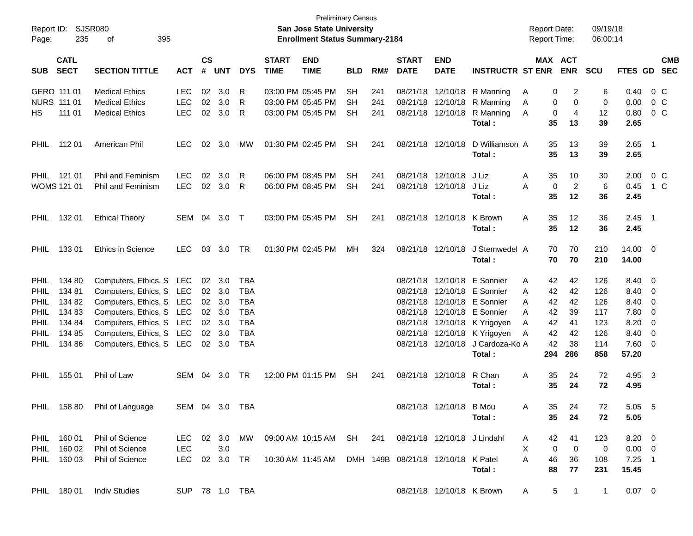| Report ID:<br>Page: | 235                        | SJSR080<br>395<br>οf         |                |                             |                |            |                             | <b>Preliminary Census</b><br><b>San Jose State University</b><br><b>Enrollment Status Summary-2184</b> |            |     |                             |                           |                         | <b>Report Date:</b><br><b>Report Time:</b> |                               | 09/19/18<br>06:00:14 |             |                          |                          |
|---------------------|----------------------------|------------------------------|----------------|-----------------------------|----------------|------------|-----------------------------|--------------------------------------------------------------------------------------------------------|------------|-----|-----------------------------|---------------------------|-------------------------|--------------------------------------------|-------------------------------|----------------------|-------------|--------------------------|--------------------------|
| <b>SUB</b>          | <b>CATL</b><br><b>SECT</b> | <b>SECTION TITTLE</b>        | <b>ACT</b>     | $\mathbf{c}\mathbf{s}$<br># | <b>UNT</b>     | <b>DYS</b> | <b>START</b><br><b>TIME</b> | <b>END</b><br><b>TIME</b>                                                                              | <b>BLD</b> | RM# | <b>START</b><br><b>DATE</b> | <b>END</b><br><b>DATE</b> | <b>INSTRUCTR ST ENR</b> |                                            | MAX ACT<br><b>ENR</b>         | <b>SCU</b>           | FTES GD     |                          | <b>CMB</b><br><b>SEC</b> |
|                     | GERO 111 01                | <b>Medical Ethics</b>        | <b>LEC</b>     | 02                          | 3.0            | R          |                             | 03:00 PM 05:45 PM                                                                                      | <b>SH</b>  | 241 | 08/21/18                    | 12/10/18                  | R Manning               | A                                          | 2<br>0                        | 6                    | 0.40        |                          | 0 C                      |
|                     | NURS 111 01                | <b>Medical Ethics</b>        | <b>LEC</b>     | 02                          | 3.0            | R          |                             | 03:00 PM 05:45 PM                                                                                      | SН         | 241 | 08/21/18                    | 12/10/18                  | R Manning               | A                                          | 0<br>0                        | 0                    | 0.00        |                          | $0\,C$                   |
| HS.                 | 111 01                     | <b>Medical Ethics</b>        | <b>LEC</b>     | 02                          | 3.0            | R          |                             | 03:00 PM 05:45 PM                                                                                      | <b>SH</b>  | 241 | 08/21/18                    | 12/10/18                  | R Manning               | 0<br>A                                     | 4                             | 12                   | 0.80        |                          | 0 C                      |
|                     |                            |                              |                |                             |                |            |                             |                                                                                                        |            |     |                             |                           | Total:                  | 35                                         | 13                            | 39                   | 2.65        |                          |                          |
| <b>PHIL</b>         | 112 01                     | American Phil                | <b>LEC</b>     | 02                          | 3.0            | MW         |                             | 01:30 PM 02:45 PM                                                                                      | <b>SH</b>  | 241 |                             | 08/21/18 12/10/18         | D Williamson A          | 35                                         | 13                            | 39                   | 2.65        | $\overline{\phantom{1}}$ |                          |
|                     |                            |                              |                |                             |                |            |                             |                                                                                                        |            |     |                             |                           | Total:                  | 35                                         | 13                            | 39                   | 2.65        |                          |                          |
| <b>PHIL</b>         | 121 01                     | <b>Phil and Feminism</b>     | <b>LEC</b>     | 02                          | 3.0            | R          |                             | 06:00 PM 08:45 PM                                                                                      | <b>SH</b>  | 241 | 08/21/18                    | 12/10/18                  | J Liz                   | 35<br>A                                    | 10                            | 30                   | 2.00        |                          | $0\,C$                   |
|                     | <b>WOMS 121 01</b>         | Phil and Feminism            | <b>LEC</b>     | 02                          | 3.0            | R          |                             | 06:00 PM 08:45 PM                                                                                      | <b>SH</b>  | 241 |                             | 08/21/18 12/10/18         | J Liz                   | 0<br>A                                     | $\overline{2}$                | 6                    | 0.45        |                          | 1 C                      |
|                     |                            |                              |                |                             |                |            |                             |                                                                                                        |            |     |                             |                           | Total:                  | 35                                         | 12                            | 36                   | 2.45        |                          |                          |
| <b>PHIL</b>         | 132 01                     | <b>Ethical Theory</b>        | SEM 04         |                             | 3.0            | $\top$     |                             | 03:00 PM 05:45 PM                                                                                      | <b>SH</b>  | 241 |                             | 08/21/18 12/10/18         | K Brown                 | Α<br>35                                    | 12                            | 36                   | $2.45$ 1    |                          |                          |
|                     |                            |                              |                |                             |                |            |                             |                                                                                                        |            |     |                             |                           | Total:                  | 35                                         | 12                            | 36                   | 2.45        |                          |                          |
| <b>PHIL</b>         | 13301                      | Ethics in Science            | <b>LEC</b>     | 03                          | 3.0            | TR         |                             | 01:30 PM 02:45 PM                                                                                      | MH         | 324 |                             | 08/21/18 12/10/18         | J Stemwedel A           | 70                                         | 70                            | 210                  | 14.00 0     |                          |                          |
|                     |                            |                              |                |                             |                |            |                             |                                                                                                        |            |     |                             |                           | Total:                  | 70                                         | 70                            | 210                  | 14.00       |                          |                          |
| <b>PHIL</b>         | 134 80                     | Computers, Ethics, S LEC     |                | 02                          | 3.0            | <b>TBA</b> |                             |                                                                                                        |            |     | 08/21/18                    |                           | 12/10/18 E Sonnier      | 42<br>Α                                    | 42                            | 126                  | 8.40 0      |                          |                          |
| <b>PHIL</b>         | 134 81                     | Computers, Ethics, S LEC     |                | 02                          | 3.0            | <b>TBA</b> |                             |                                                                                                        |            |     | 08/21/18                    |                           | 12/10/18 E Sonnier      | 42<br>A                                    | 42                            | 126                  | 8.40        | $\overline{\phantom{0}}$ |                          |
| <b>PHIL</b>         | 134 82                     | Computers, Ethics, S LEC     |                | 02                          | 3.0            | <b>TBA</b> |                             |                                                                                                        |            |     | 08/21/18                    |                           | 12/10/18 E Sonnier      | 42<br>A                                    | 42                            | 126                  | 8.40        | 0                        |                          |
| <b>PHIL</b>         | 134 83                     | Computers, Ethics, S LEC     |                | 02                          | 3.0            | <b>TBA</b> |                             |                                                                                                        |            |     | 08/21/18                    | 12/10/18                  | E Sonnier               | 42<br>A                                    | 39                            | 117                  | 7.80        | 0                        |                          |
| <b>PHIL</b>         | 134 84                     | Computers, Ethics, S LEC     |                | 02                          | 3.0            | <b>TBA</b> |                             |                                                                                                        |            |     | 08/21/18                    |                           | 12/10/18 K Yrigoyen     | 42<br>A                                    | 41                            | 123                  | 8.20        | 0                        |                          |
| <b>PHIL</b>         | 134 85                     | Computers, Ethics, S LEC     |                | 02                          | 3.0            | <b>TBA</b> |                             |                                                                                                        |            |     | 08/21/18                    | 12/10/18                  | K Yrigoyen              | 42<br>Α                                    | 42                            | 126                  | 8.40        | 0                        |                          |
| <b>PHIL</b>         | 134 86                     | Computers, Ethics, S LEC     |                |                             | $02 \quad 3.0$ | <b>TBA</b> |                             |                                                                                                        |            |     |                             | 08/21/18 12/10/18         | J Cardoza-Ko A          | 42                                         | 38                            | 114                  | 7.60        | $\overline{\mathbf{0}}$  |                          |
|                     |                            |                              |                |                             |                |            |                             |                                                                                                        |            |     |                             |                           | Total:                  | 294                                        | 286                           | 858                  | 57.20       |                          |                          |
| <b>PHIL</b>         | 155 01                     | Phil of Law                  | SEM            | 04                          | 3.0            | TR         |                             | 12:00 PM 01:15 PM                                                                                      | <b>SH</b>  | 241 |                             | 08/21/18 12/10/18         | R Chan                  | Α<br>35                                    | 24                            | 72                   | 4.95        | $\overline{\mathbf{3}}$  |                          |
|                     |                            |                              |                |                             |                |            |                             |                                                                                                        |            |     |                             |                           | Total:                  | 35                                         | 24                            | 72                   | 4.95        |                          |                          |
|                     |                            | PHIL 158 80 Phil of Language | SEM 04 3.0 TBA |                             |                |            |                             |                                                                                                        |            |     |                             | 08/21/18 12/10/18 B Mou   |                         | 35.<br>A                                   | 24                            | 72                   | 5.05        | - 5                      |                          |
|                     |                            |                              |                |                             |                |            |                             |                                                                                                        |            |     |                             |                           | Total:                  | 35                                         | 24                            | 72                   | 5.05        |                          |                          |
|                     | PHIL 160 01                | Phil of Science              |                |                             |                |            |                             | LEC 02 3.0 MW 09:00 AM 10:15 AM SH 241 08/21/18 12/10/18 J Lindahl                                     |            |     |                             |                           |                         | 42<br>A                                    | 41                            | 123                  | $8.20 \ 0$  |                          |                          |
| PHIL                | 160 02                     | Phil of Science              | LEC            |                             | 3.0            |            |                             |                                                                                                        |            |     |                             |                           |                         | X<br>$\mathbf{0}$                          | $\overline{0}$                | $\mathbf 0$          | $0.00 \t 0$ |                          |                          |
|                     | PHIL 160 03                | Phil of Science              | LEC 02 3.0 TR  |                             |                |            |                             | 10:30 AM 11:45 AM DMH 149B 08/21/18 12/10/18 K Patel                                                   |            |     |                             |                           |                         | 46<br>A                                    | 36                            | 108                  | $7.25$ 1    |                          |                          |
|                     |                            |                              |                |                             |                |            |                             |                                                                                                        |            |     |                             |                           | Total:                  | 88                                         | 77                            | 231                  | 15.45       |                          |                          |
|                     | PHIL 180 01                | <b>Indiv Studies</b>         | SUP 78 1.0 TBA |                             |                |            |                             |                                                                                                        |            |     |                             | 08/21/18 12/10/18 K Brown |                         | A                                          | $5^{\circ}$<br>$\overline{1}$ | $\overline{1}$       | $0.07 \t 0$ |                          |                          |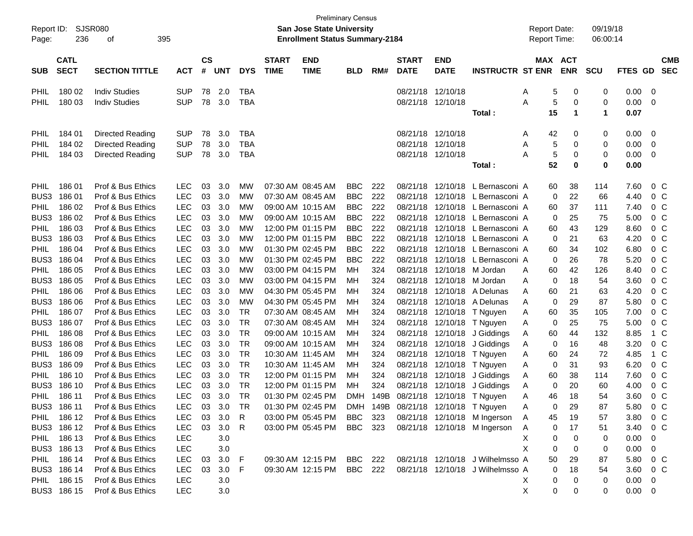| Report ID:<br>Page: | 236              | SJSR080<br>395<br>οf                   |                          |           |            |                        |              | <b>Preliminary Census</b><br>San Jose State University<br><b>Enrollment Status Summary-2184</b> |            |            |                      |                      |                                     | <b>Report Date:</b><br>Report Time: |               | 09/19/18<br>06:00:14 |              |                         |            |
|---------------------|------------------|----------------------------------------|--------------------------|-----------|------------|------------------------|--------------|-------------------------------------------------------------------------------------------------|------------|------------|----------------------|----------------------|-------------------------------------|-------------------------------------|---------------|----------------------|--------------|-------------------------|------------|
|                     | <b>CATL</b>      |                                        |                          | <b>CS</b> |            |                        | <b>START</b> | <b>END</b>                                                                                      |            |            | <b>START</b>         | <b>END</b>           |                                     |                                     | MAX ACT       |                      |              |                         | <b>CMB</b> |
| <b>SUB</b>          | <b>SECT</b>      | <b>SECTION TITTLE</b>                  | <b>ACT</b>               | #         | <b>UNT</b> | <b>DYS</b>             | <b>TIME</b>  | <b>TIME</b>                                                                                     | <b>BLD</b> | RM#        | <b>DATE</b>          | <b>DATE</b>          | <b>INSTRUCTR ST ENR</b>             |                                     | <b>ENR</b>    | <b>SCU</b>           | <b>FTES</b>  | <b>GD</b>               | <b>SEC</b> |
| PHIL                | 180 02           | <b>Indiv Studies</b>                   | <b>SUP</b>               | 78        | 2.0        | <b>TBA</b>             |              |                                                                                                 |            |            | 08/21/18             | 12/10/18             |                                     | A                                   | 5<br>0        | 0                    | 0.00         | - 0                     |            |
| PHIL                | 180 03           | <b>Indiv Studies</b>                   | <b>SUP</b>               | 78        | 3.0        | <b>TBA</b>             |              |                                                                                                 |            |            | 08/21/18 12/10/18    |                      |                                     | Α                                   | 5<br>0        | 0                    | 0.00         | - 0                     |            |
|                     |                  |                                        |                          |           |            |                        |              |                                                                                                 |            |            |                      |                      | Total:                              | 15                                  | $\mathbf 1$   | 1                    | 0.07         |                         |            |
| PHIL                | 184 01           | Directed Reading                       | <b>SUP</b>               | 78        | 3.0        | <b>TBA</b>             |              |                                                                                                 |            |            | 08/21/18             | 12/10/18             |                                     | 42<br>A                             | 0             | 0                    | 0.00         | 0                       |            |
| PHIL                | 184 02           | Directed Reading                       | <b>SUP</b>               | 78        | 3.0        | <b>TBA</b>             |              |                                                                                                 |            |            | 08/21/18             | 12/10/18             |                                     | A                                   | 5<br>0        | 0                    | 0.00         | 0                       |            |
| PHIL                | 184 03           | Directed Reading                       | <b>SUP</b>               | 78        | 3.0        | <b>TBA</b>             |              |                                                                                                 |            |            | 08/21/18 12/10/18    |                      |                                     | Α                                   | 5<br>0        | 0                    | 0.00         | 0                       |            |
|                     |                  |                                        |                          |           |            |                        |              |                                                                                                 |            |            |                      |                      | Total:                              | 52                                  | 0             | 0                    | 0.00         |                         |            |
| PHIL                | 186 01           | Prof & Bus Ethics                      | <b>LEC</b>               | 03        | 3.0        | MW                     |              | 07:30 AM 08:45 AM                                                                               | <b>BBC</b> | 222        | 08/21/18             | 12/10/18             | L Bernasconi A                      | 60                                  | 38            | 114                  | 7.60         | 0 <sup>o</sup>          |            |
| BUS3                | 18601            | Prof & Bus Ethics                      | <b>LEC</b>               | 03        | 3.0        | MW                     |              | 07:30 AM 08:45 AM                                                                               | <b>BBC</b> | 222        | 08/21/18             |                      | 12/10/18 L Bernasconi A             |                                     | 22<br>0       | 66                   | 4.40         | 0 <sup>o</sup>          |            |
| PHIL                | 186 02           | Prof & Bus Ethics                      | <b>LEC</b>               | 03        | 3.0        | MW                     |              | 09:00 AM 10:15 AM                                                                               | <b>BBC</b> | 222        | 08/21/18             | 12/10/18             | L Bernasconi A                      | 60                                  | 37            | 111                  | 7.40         | 0 <sup>o</sup>          |            |
| BUS3                | 186 02           | Prof & Bus Ethics                      | <b>LEC</b>               | 03        | 3.0        | MW                     |              | 09:00 AM 10:15 AM                                                                               | <b>BBC</b> | 222        | 08/21/18             |                      | 12/10/18 L Bernasconi A             |                                     | 25<br>0       | 75                   | 5.00         | 0 <sup>o</sup>          |            |
| PHIL                | 186 03           | Prof & Bus Ethics                      | <b>LEC</b>               | 03        | 3.0        | MW                     |              | 12:00 PM 01:15 PM                                                                               | <b>BBC</b> | 222        | 08/21/18             |                      | 12/10/18 L Bernasconi A             | 60                                  | 43            | 129                  | 8.60         | 0 <sup>o</sup>          |            |
| BUS3                | 186 03           | Prof & Bus Ethics                      | <b>LEC</b>               | 03        | 3.0        | MW                     |              | 12:00 PM 01:15 PM                                                                               | <b>BBC</b> | 222        | 08/21/18             |                      | 12/10/18 L Bernasconi A             |                                     | 21<br>0       | 63                   | 4.20         | 0 <sup>o</sup>          |            |
| PHIL                | 186 04           | Prof & Bus Ethics                      | <b>LEC</b>               | 03        | 3.0        | MW                     |              | 01:30 PM 02:45 PM                                                                               | <b>BBC</b> | 222        | 08/21/18             |                      | 12/10/18 L Bernasconi A             | 60                                  | 34            | 102                  | 6.80         | 0 <sup>o</sup>          |            |
| BUS3                | 186 04           | Prof & Bus Ethics                      | <b>LEC</b>               | 03        | 3.0        | МW                     |              | 01:30 PM 02:45 PM                                                                               | <b>BBC</b> | 222        | 08/21/18             |                      | 12/10/18 L Bernasconi A             |                                     | 26<br>0       | 78                   | 5.20         | 0 <sup>o</sup>          |            |
| PHIL                | 186 05           | Prof & Bus Ethics                      | <b>LEC</b>               | 03        | 3.0        | МW                     |              | 03:00 PM 04:15 PM                                                                               | MН         | 324        | 08/21/18             |                      | 12/10/18 M Jordan                   | 60<br>A                             | 42            | 126                  | 8.40         | 0 <sup>o</sup>          |            |
| BUS3                | 186 05           | Prof & Bus Ethics                      | <b>LEC</b>               | 03        | 3.0        | МW                     |              | 03:00 PM 04:15 PM                                                                               | MН         | 324        | 08/21/18             | 12/10/18             | M Jordan                            | A                                   | 18<br>0       | 54                   | 3.60         | 0 <sup>o</sup>          |            |
| PHIL                | 186 06           | Prof & Bus Ethics                      | <b>LEC</b>               | 03        | 3.0        | МW                     |              | 04:30 PM 05:45 PM                                                                               | MН         | 324        | 08/21/18             | 12/10/18             | A Delunas                           | 60<br>A                             | 21            | 63                   | 4.20         | 0 <sup>o</sup>          |            |
| BUS3                | 186 06           | Prof & Bus Ethics                      | <b>LEC</b>               | 03        | 3.0        | МW                     |              | 04:30 PM 05:45 PM                                                                               | MН         | 324        | 08/21/18             | 12/10/18             | A Delunas                           | A                                   | 29<br>0       | 87                   | 5.80         | 0 <sup>o</sup>          |            |
| PHIL                | 186 07<br>186 07 | Prof & Bus Ethics                      | <b>LEC</b>               | 03        | 3.0<br>3.0 | <b>TR</b><br><b>TR</b> |              | 07:30 AM 08:45 AM                                                                               | MН         | 324        | 08/21/18             | 12/10/18             | T Nguyen                            | 60<br>A                             | 35            | 105                  | 7.00         | 0 <sup>o</sup>          |            |
| BUS3<br>PHIL        | 186 08           | Prof & Bus Ethics<br>Prof & Bus Ethics | <b>LEC</b><br><b>LEC</b> | 03<br>03  | 3.0        | <b>TR</b>              |              | 07:30 AM 08:45 AM<br>09:00 AM 10:15 AM                                                          | MН<br>MН   | 324<br>324 | 08/21/18<br>08/21/18 | 12/10/18<br>12/10/18 | T Nguyen                            | A<br>60                             | 25<br>0<br>44 | 75<br>132            | 5.00<br>8.85 | 0 <sup>o</sup><br>1 C   |            |
| BUS3                | 186 08           | Prof & Bus Ethics                      | <b>LEC</b>               | 03        | 3.0        | <b>TR</b>              |              | 09:00 AM 10:15 AM                                                                               | MН         | 324        | 08/21/18             | 12/10/18             | J Giddings<br>J Giddings            | A<br>A                              | 16<br>0       | 48                   | 3.20         | 0 <sup>o</sup>          |            |
| PHIL                | 186 09           | Prof & Bus Ethics                      | <b>LEC</b>               | 03        | 3.0        | <b>TR</b>              |              | 10:30 AM 11:45 AM                                                                               | MН         | 324        | 08/21/18             | 12/10/18             | T Nguyen                            | 60<br>A                             | 24            | 72                   | 4.85         | 1 C                     |            |
| BUS3                | 186 09           | Prof & Bus Ethics                      | <b>LEC</b>               | 03        | 3.0        | <b>TR</b>              |              | 10:30 AM 11:45 AM                                                                               | MН         | 324        | 08/21/18             | 12/10/18             | T Nguyen                            | A                                   | 31<br>0       | 93                   | 6.20         | 0 <sup>o</sup>          |            |
| PHIL                | 186 10           | Prof & Bus Ethics                      | <b>LEC</b>               | 03        | 3.0        | <b>TR</b>              |              | 12:00 PM 01:15 PM                                                                               | MН         | 324        | 08/21/18             | 12/10/18             | J Giddings                          | 60<br>A                             | 38            | 114                  | 7.60         | 0 <sup>o</sup>          |            |
| BUS3                | 186 10           | Prof & Bus Ethics                      | <b>LEC</b>               | 03        | 3.0        | <b>TR</b>              |              | 12:00 PM 01:15 PM                                                                               | MН         | 324        | 08/21/18             | 12/10/18             | J Giddings                          | A                                   | 20<br>0       | 60                   | 4.00         | 0 <sup>o</sup>          |            |
| PHIL                | 186 11           | Prof & Bus Ethics                      | <b>LEC</b>               | 03        | 3.0        | <b>TR</b>              |              | 01:30 PM 02:45 PM                                                                               | DMH        | 149B       | 08/21/18             | 12/10/18             | T Nguyen                            | 46<br>A                             | 18            | 54                   | 3.60         | 0 <sup>o</sup>          |            |
|                     | BUS3 186 11      | Prof & Bus Ethics                      | <b>LEC</b>               |           | 03 3.0     | <b>TR</b>              |              | 01:30 PM 02:45 PM                                                                               |            |            |                      |                      | DMH 149B 08/21/18 12/10/18 T Nguyen | A                                   | 29<br>0       | 87                   | 5.80         | 0 <sub>c</sub>          |            |
|                     | PHIL 186 12      | Prof & Bus Ethics                      | <b>LEC</b>               | 03        | 3.0        | R                      |              | 03:00 PM 05:45 PM BBC 323                                                                       |            |            |                      |                      | 08/21/18 12/10/18 M Ingerson        | A<br>45                             | 19            | 57                   | 3.80         | $0\,$ C                 |            |
|                     | BUS3 186 12      | Prof & Bus Ethics                      | <b>LEC</b>               | 03        | 3.0        | R                      |              | 03:00 PM 05:45 PM BBC 323                                                                       |            |            |                      |                      | 08/21/18 12/10/18 M Ingerson        | A                                   | 17<br>0       | 51                   | 3.40         | $0\,C$                  |            |
|                     | PHIL 186 13      | Prof & Bus Ethics                      | <b>LEC</b>               |           | 3.0        |                        |              |                                                                                                 |            |            |                      |                      |                                     | Х                                   | 0<br>0        | 0                    | 0.00         | 0                       |            |
|                     | BUS3 186 13      | Prof & Bus Ethics                      | <b>LEC</b>               |           | 3.0        |                        |              |                                                                                                 |            |            |                      |                      |                                     | X                                   | 0<br>0        | 0                    | 0.00         | 0                       |            |
|                     | PHIL 186 14      | Prof & Bus Ethics                      | <b>LEC</b>               | 03        | 3.0        | F                      |              | 09:30 AM 12:15 PM BBC 222                                                                       |            |            |                      |                      | 08/21/18 12/10/18 J Wilhelmsso A    | 50                                  | 29            | 87                   | 5.80         | $0\,$ C                 |            |
|                     | BUS3 186 14      | Prof & Bus Ethics                      | <b>LEC</b>               | 03        | 3.0        | F.                     |              | 09:30 AM 12:15 PM BBC 222                                                                       |            |            |                      |                      | 08/21/18 12/10/18 J Wilhelmsso A    |                                     | 18<br>0       | 54                   | 3.60         | $0\,C$                  |            |
|                     | PHIL 186 15      | Prof & Bus Ethics                      | <b>LEC</b>               |           | 3.0        |                        |              |                                                                                                 |            |            |                      |                      |                                     | X.                                  | 0<br>0        | 0                    | 0.00         | $\overline{\mathbf{0}}$ |            |
|                     | BUS3 186 15      | Prof & Bus Ethics                      | <b>LEC</b>               |           | 3.0        |                        |              |                                                                                                 |            |            |                      |                      |                                     | X                                   | 0<br>0        | 0                    | $0.00 \t 0$  |                         |            |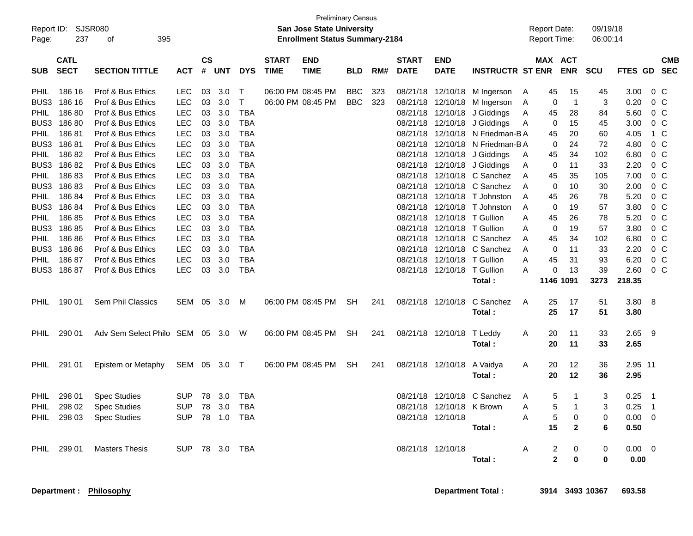| <b>Preliminary Census</b><br>SJSR080<br>Report ID:<br><b>San Jose State University</b><br><b>Enrollment Status Summary-2184</b><br>237<br>395<br>Page:<br>οf<br><b>CATL</b><br>$\mathsf{cs}$<br><b>START</b><br><b>START</b><br><b>END</b><br><b>END</b> |                           |                                                                             |                                                |                |                   |                                        |             |                                        |                          |            |                                  |                                                |                                                                                         | <b>Report Date:</b><br><b>Report Time:</b> |                      |                                        | 09/19/18<br>06:00:14 |                                 |                                                    |  |
|----------------------------------------------------------------------------------------------------------------------------------------------------------------------------------------------------------------------------------------------------------|---------------------------|-----------------------------------------------------------------------------|------------------------------------------------|----------------|-------------------|----------------------------------------|-------------|----------------------------------------|--------------------------|------------|----------------------------------|------------------------------------------------|-----------------------------------------------------------------------------------------|--------------------------------------------|----------------------|----------------------------------------|----------------------|---------------------------------|----------------------------------------------------|--|
| <b>SUB</b>                                                                                                                                                                                                                                               | <b>SECT</b>               | <b>SECTION TITTLE</b>                                                       | <b>ACT</b>                                     | $\pmb{\#}$     | <b>UNT</b>        | <b>DYS</b>                             | <b>TIME</b> | <b>TIME</b>                            | <b>BLD</b>               | RM#        | <b>DATE</b>                      | <b>DATE</b>                                    | <b>INSTRUCTR ST ENR</b>                                                                 |                                            | MAX ACT              | <b>ENR</b>                             | <b>SCU</b>           | <b>FTES GD</b>                  | <b>CMB</b><br><b>SEC</b>                           |  |
| <b>PHIL</b><br>BUS3<br><b>PHIL</b>                                                                                                                                                                                                                       | 186 16<br>186 16<br>18680 | Prof & Bus Ethics<br>Prof & Bus Ethics<br>Prof & Bus Ethics                 | <b>LEC</b><br><b>LEC</b><br><b>LEC</b>         | 03<br>03<br>03 | 3.0<br>3.0<br>3.0 | Т<br>т<br><b>TBA</b>                   |             | 06:00 PM 08:45 PM<br>06:00 PM 08:45 PM | <b>BBC</b><br><b>BBC</b> | 323<br>323 | 08/21/18<br>08/21/18             | 12/10/18<br>12/10/18                           | 12/10/18 M Ingerson<br>M Ingerson<br>J Giddings                                         | A<br>A                                     | 45<br>0              | 15<br>-1                               | 45<br>3              | 3.00<br>0.20                    | 0 <sup>C</sup><br>0 <sup>C</sup>                   |  |
| BUS3<br><b>PHIL</b>                                                                                                                                                                                                                                      | 18680<br>18681            | Prof & Bus Ethics<br>Prof & Bus Ethics                                      | <b>LEC</b><br><b>LEC</b>                       | 03<br>03       | 3.0<br>3.0        | <b>TBA</b><br><b>TBA</b>               |             |                                        |                          |            | 08/21/18<br>08/21/18             |                                                | 08/21/18 12/10/18 J Giddings<br>12/10/18 N Friedman-B A                                 | A<br>A                                     | 45<br>0<br>45        | 28<br>15<br>20                         | 84<br>45<br>60       | 5.60<br>3.00<br>4.05            | 0 <sup>o</sup><br>0 <sup>o</sup><br>1 C            |  |
| BUS3<br><b>PHIL</b><br>BUS3                                                                                                                                                                                                                              | 18681<br>18682<br>18682   | Prof & Bus Ethics<br>Prof & Bus Ethics<br>Prof & Bus Ethics                 | <b>LEC</b><br><b>LEC</b><br><b>LEC</b>         | 03<br>03<br>03 | 3.0<br>3.0<br>3.0 | <b>TBA</b><br><b>TBA</b><br><b>TBA</b> |             |                                        |                          |            | 08/21/18                         |                                                | 12/10/18 N Friedman-B A<br>08/21/18 12/10/18 J Giddings<br>08/21/18 12/10/18 J Giddings | A<br>A                                     | 0<br>45<br>0         | 24<br>34<br>11                         | 72<br>102<br>33      | 4.80<br>6.80<br>2.20            | 0 <sup>o</sup><br>0 <sup>o</sup><br>0 <sup>o</sup> |  |
| <b>PHIL</b><br>BUS3<br><b>PHIL</b>                                                                                                                                                                                                                       | 18683<br>18683<br>18684   | Prof & Bus Ethics<br>Prof & Bus Ethics<br>Prof & Bus Ethics                 | <b>LEC</b><br><b>LEC</b><br><b>LEC</b>         | 03<br>03<br>03 | 3.0<br>3.0<br>3.0 | <b>TBA</b><br><b>TBA</b><br><b>TBA</b> |             |                                        |                          |            | 08/21/18<br>08/21/18<br>08/21/18 | 12/10/18                                       | 12/10/18 C Sanchez<br>12/10/18 C Sanchez<br>T Johnston                                  | A<br>A<br>A                                | 45<br>0<br>45        | 35<br>10<br>26                         | 105<br>30<br>78      | 7.00<br>2.00<br>5.20            | 0 <sup>o</sup><br>0 <sup>o</sup><br>0 <sup>o</sup> |  |
| BUS3<br><b>PHIL</b><br>BUS3                                                                                                                                                                                                                              | 18684<br>18685<br>18685   | Prof & Bus Ethics<br>Prof & Bus Ethics<br>Prof & Bus Ethics                 | <b>LEC</b><br><b>LEC</b><br><b>LEC</b>         | 03<br>03<br>03 | 3.0<br>3.0<br>3.0 | <b>TBA</b><br><b>TBA</b><br><b>TBA</b> |             |                                        |                          |            | 08/21/18<br>08/21/18<br>08/21/18 | 12/10/18<br>12/10/18<br>12/10/18 T Gullion     | T Johnston<br>T Gullion                                                                 | A<br>A<br>A                                | 0<br>45<br>0         | 19<br>26<br>19                         | 57<br>78<br>57       | 3.80<br>5.20<br>3.80            | 0 <sup>o</sup><br>0 <sup>o</sup><br>0 <sup>o</sup> |  |
| <b>PHIL</b><br>BUS3<br><b>PHIL</b>                                                                                                                                                                                                                       | 18686<br>18686<br>18687   | Prof & Bus Ethics<br>Prof & Bus Ethics<br>Prof & Bus Ethics                 | <b>LEC</b><br><b>LEC</b><br><b>LEC</b>         | 03<br>03<br>03 | 3.0<br>3.0<br>3.0 | <b>TBA</b><br><b>TBA</b><br><b>TBA</b> |             |                                        |                          |            | 08/21/18                         | 08/21/18 12/10/18                              | 12/10/18 C Sanchez<br>08/21/18 12/10/18 C Sanchez<br>T Gullion                          | A<br>A<br>A                                | 45<br>0<br>45        | 34<br>11<br>31                         | 102<br>33<br>93      | 6.80<br>2.20<br>6.20            | 0 <sup>o</sup><br>0 <sup>o</sup><br>$0\,C$         |  |
| BUS3                                                                                                                                                                                                                                                     | 18687                     | Prof & Bus Ethics                                                           | <b>LEC</b>                                     | 03             | 3.0               | <b>TBA</b>                             |             |                                        |                          |            |                                  | 08/21/18 12/10/18                              | T Gullion<br>Total:                                                                     | A                                          | 0<br>1146 1091       | -13                                    | 39<br>3273           | 2.60<br>218.35                  | $0\,C$                                             |  |
| <b>PHIL</b>                                                                                                                                                                                                                                              | 190 01                    | Sem Phil Classics                                                           | SEM                                            | 05             | 3.0               | M                                      |             | 06:00 PM 08:45 PM                      | <b>SH</b>                | 241        |                                  | 08/21/18 12/10/18                              | C Sanchez<br>Total:                                                                     | A                                          | 25<br>25             | 17<br>17                               | 51<br>51             | 3.80<br>3.80                    | - 8                                                |  |
| <b>PHIL</b>                                                                                                                                                                                                                                              | 290 01                    | Adv Sem Select Philo SEM                                                    |                                                |                | 05 3.0            | W                                      |             | 06:00 PM 08:45 PM                      | <b>SH</b>                | 241        |                                  | 08/21/18 12/10/18                              | T Leddy<br>Total:                                                                       | A                                          | 20<br>20             | 11<br>11                               | 33<br>33             | 2.65<br>2.65                    | - 9                                                |  |
| <b>PHIL</b>                                                                                                                                                                                                                                              | 291 01                    | Epistem or Metaphy                                                          | SEM                                            | 05             | 3.0               | T                                      |             | 06:00 PM 08:45 PM                      | <b>SH</b>                | 241        |                                  | 08/21/18 12/10/18                              | A Vaidya<br>Total:                                                                      | A                                          | 20<br>20             | 12<br>12                               | 36<br>36             | 2.95 11<br>2.95                 |                                                    |  |
| <b>PHIL</b>                                                                                                                                                                                                                                              | 298 01                    | <b>Spec Studies</b><br>PHIL 298 02 Spec Studies<br>PHIL 298 03 Spec Studies | <b>SUP</b><br>SUP 78 3.0 TBA<br>SUP 78 1.0 TBA |                | 78 3.0            | TBA                                    |             |                                        |                          |            |                                  | 08/21/18 12/10/18 K Brown<br>08/21/18 12/10/18 | 08/21/18 12/10/18 C Sanchez                                                             | A<br>A<br>A                                | 5<br>5<br>5          | -1<br>$\overline{1}$<br>$\overline{0}$ | 3<br>3<br>0          | 0.25<br>$0.25$ 1<br>$0.00 \t 0$ | $\overline{\phantom{1}}$                           |  |
|                                                                                                                                                                                                                                                          | PHIL 299 01               | <b>Masters Thesis</b>                                                       | SUP 78 3.0 TBA                                 |                |                   |                                        |             |                                        |                          |            |                                  | 08/21/18 12/10/18                              | Total:                                                                                  | A                                          | 15<br>$\overline{a}$ | $\mathbf{2}$<br>$\mathbf 0$            | 6<br>0               | 0.50<br>$0.00 \quad 0$          |                                                    |  |
|                                                                                                                                                                                                                                                          |                           |                                                                             |                                                |                |                   |                                        |             |                                        |                          |            |                                  |                                                | Total:                                                                                  |                                            | $\mathbf{2}$         | $\mathbf 0$                            | 0                    | 0.00                            |                                                    |  |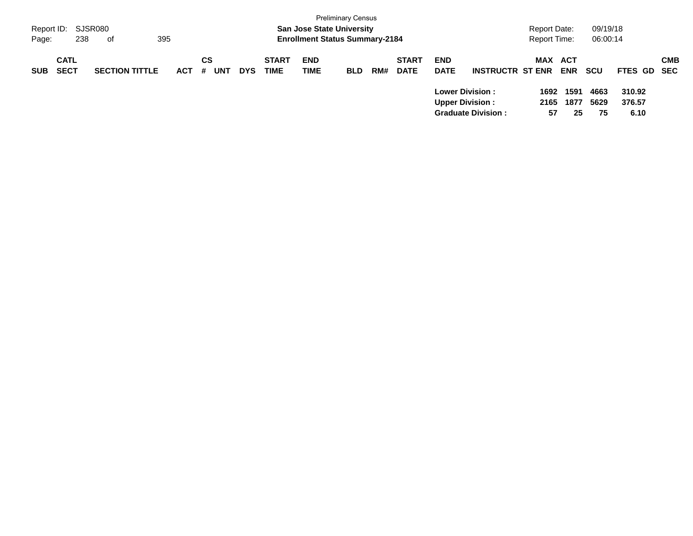| Report ID:<br>Page: | 238                        | SJSR080<br>395<br>of  |            |                |            |                             | <b>San Jose State University</b><br><b>Enrollment Status Summary-2184</b> | <b>Preliminary Census</b> |     |                             |                                                   |                           | Report Date:<br>Report Time: |                    | 09/19/18<br>06:00:14 |                          |            |
|---------------------|----------------------------|-----------------------|------------|----------------|------------|-----------------------------|---------------------------------------------------------------------------|---------------------------|-----|-----------------------------|---------------------------------------------------|---------------------------|------------------------------|--------------------|----------------------|--------------------------|------------|
| <b>SUB</b>          | <b>CATL</b><br><b>SECT</b> | <b>SECTION TITTLE</b> | <b>ACT</b> | CS<br>UNT<br># | <b>DYS</b> | <b>START</b><br><b>TIME</b> | <b>END</b><br>TIME                                                        | <b>BLD</b>                | RM# | <b>START</b><br><b>DATE</b> | <b>END</b><br><b>DATE</b>                         | <b>INSTRUCTR ST ENR</b>   | MAX ACT                      | <b>ENR</b>         | <b>SCU</b>           | FTES GD SEC              | <b>CMB</b> |
|                     |                            |                       |            |                |            |                             |                                                                           |                           |     |                             | <b>Lower Division :</b><br><b>Upper Division:</b> | <b>Graduate Division:</b> | 1692<br>2165<br>57           | 1591<br>1877<br>25 | 4663<br>5629<br>75   | 310.92<br>376.57<br>6.10 |            |